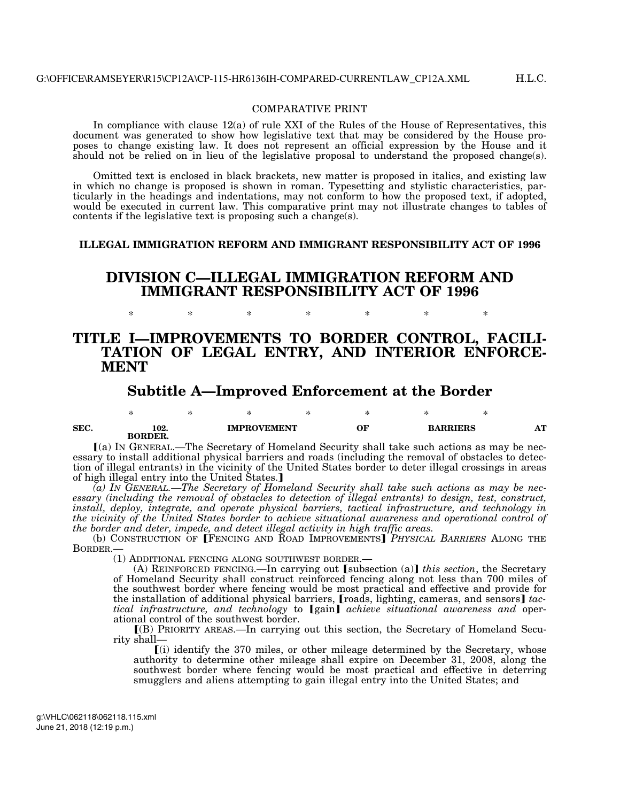## COMPARATIVE PRINT

In compliance with clause  $12(a)$  of rule XXI of the Rules of the House of Representatives, this document was generated to show how legislative text that may be considered by the House proposes to change existing law. It does not represent an official expression by the House and it should not be relied on in lieu of the legislative proposal to understand the proposed change(s).

Omitted text is enclosed in black brackets, new matter is proposed in italics, and existing law in which no change is proposed is shown in roman. Typesetting and stylistic characteristics, particularly in the headings and indentations, may not conform to how the proposed text, if adopted, would be executed in current law. This comparative print may not illustrate changes to tables of contents if the legislative text is proposing such a change(s).

## **ILLEGAL IMMIGRATION REFORM AND IMMIGRANT RESPONSIBILITY ACT OF 1996**

# **DIVISION C—ILLEGAL IMMIGRATION REFORM AND IMMIGRANT RESPONSIBILITY ACT OF 1996**

\* \* \* \* \* \* \* \*

# **TITLE I—IMPROVEMENTS TO BORDER CONTROL, FACILI-TATION OF LEGAL ENTRY, AND INTERIOR ENFORCE-MENT**

# **Subtitle A—Improved Enforcement at the Border**

|            |                        | . . | $\sim$             | -14<br>$\sim$ |                 |             |
|------------|------------------------|-----|--------------------|---------------|-----------------|-------------|
| <b>SEC</b> | 102.<br><b>BORDER.</b> |     | <b>IMPROVEMENT</b> | ОF            | <b>BARRIERS</b> | A FET<br>лі |

ø(a) IN GENERAL.—The Secretary of Homeland Security shall take such actions as may be necessary to install additional physical barriers and roads (including the removal of obstacles to detection of illegal entrants) in the vicinity of the United States border to deter illegal crossings in areas of high illegal entry into the United States.

*(a) IN GENERAL.—The Secretary of Homeland Security shall take such actions as may be necessary (including the removal of obstacles to detection of illegal entrants) to design, test, construct, install, deploy, integrate, and operate physical barriers, tactical infrastructure, and technology in the vicinity of the United States border to achieve situational awareness and operational control of the border and deter, impede, and detect illegal activity in high traffic areas.* 

(b) CONSTRUCTION OF **[FENCING AND ROAD IMPROVEMENTS]** *PHYSICAL BARRIERS* ALONG THE BORDER.—

(1) ADDITIONAL FENCING ALONG SOUTHWEST BORDER.—

(A) REINFORCED FENCING.—In carrying out [subsection (a)] *this section*, the Secretary of Homeland Security shall construct reinforced fencing along not less than 700 miles of the southwest border where fencing would be most practical and effective and provide for the installation of additional physical barriers, [roads, lighting, cameras, and sensors] tac*tical infrastructure, and technology to* [gain] *achieve situational awareness and* operational control of the southwest border.

ø(B) PRIORITY AREAS.—In carrying out this section, the Secretary of Homeland Security shall—

ø(i) identify the 370 miles, or other mileage determined by the Secretary, whose authority to determine other mileage shall expire on December 31, 2008, along the southwest border where fencing would be most practical and effective in deterring smugglers and aliens attempting to gain illegal entry into the United States; and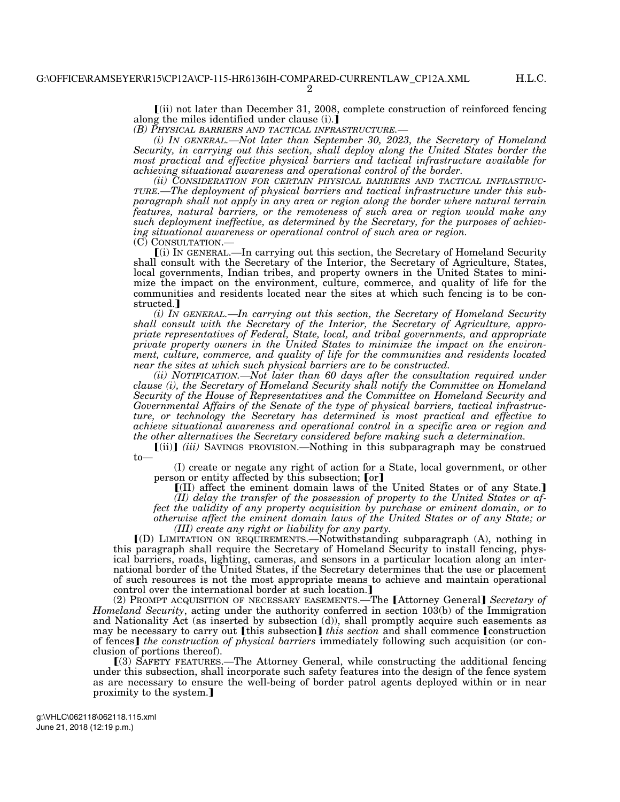H.L.C.

2

 $(iii)$  not later than December 31, 2008, complete construction of reinforced fencing along the miles identified under clause (i).

*(B) PHYSICAL BARRIERS AND TACTICAL INFRASTRUCTURE.—* 

*(i) IN GENERAL.—Not later than September 30, 2023, the Secretary of Homeland Security, in carrying out this section, shall deploy along the United States border the most practical and effective physical barriers and tactical infrastructure available for achieving situational awareness and operational control of the border.* 

*(ii) CONSIDERATION FOR CERTAIN PHYSICAL BARRIERS AND TACTICAL INFRASTRUC-TURE.—The deployment of physical barriers and tactical infrastructure under this subparagraph shall not apply in any area or region along the border where natural terrain features, natural barriers, or the remoteness of such area or region would make any such deployment ineffective, as determined by the Secretary, for the purposes of achieving situational awareness or operational control of such area or region.*  (C) CONSULTATION.—

 $(i)$  In GENERAL.—In carrying out this section, the Secretary of Homeland Security shall consult with the Secretary of the Interior, the Secretary of Agriculture, States, local governments, Indian tribes, and property owners in the United States to minimize the impact on the environment, culture, commerce, and quality of life for the communities and residents located near the sites at which such fencing is to be constructed.

*(i) IN GENERAL.—In carrying out this section, the Secretary of Homeland Security shall consult with the Secretary of the Interior, the Secretary of Agriculture, appropriate representatives of Federal, State, local, and tribal governments, and appropriate private property owners in the United States to minimize the impact on the environment, culture, commerce, and quality of life for the communities and residents located near the sites at which such physical barriers are to be constructed.* 

*(ii) NOTIFICATION.—Not later than 60 days after the consultation required under clause (i), the Secretary of Homeland Security shall notify the Committee on Homeland Security of the House of Representatives and the Committee on Homeland Security and Governmental Affairs of the Senate of the type of physical barriers, tactical infrastructure, or technology the Secretary has determined is most practical and effective to achieve situational awareness and operational control in a specific area or region and the other alternatives the Secretary considered before making such a determination.* 

 $\lceil$ (ii) $\lceil$  (*iii*) SAVINGS PROVISION.—Nothing in this subparagraph may be construed  $t_0$ 

(I) create or negate any right of action for a State, local government, or other person or entity affected by this subsection; [or]

ø(II) affect the eminent domain laws of the United States or of any State.¿ *(II) delay the transfer of the possession of property to the United States or af-*

fect the validity of any property acquisition by purchase or eminent domain, or to *otherwise affect the eminent domain laws of the United States or of any State; or* 

*(III) create any right or liability for any party.*<br> **[(D)** LIMITATION ON REQUIREMENTS.—Notwithstanding subparagraph (A), nothing in this paragraph shall require the Secretary of Homeland Security to install fencing, physical barriers, roads, lighting, cameras, and sensors in a particular location along an international border of the United States, if the Secretary determines that the use or placement of such resources is not the most appropriate means to achieve and maintain operational control over the international border at such location.]

(2) PROMPT ACQUISITION OF NECESSARY EASEMENTS.—The [Attorney General] Secretary of *Homeland Security*, acting under the authority conferred in section 103(b) of the Immigration and Nationality Act (as inserted by subsection (d)), shall promptly acquire such easements as may be necessary to carry out [this subsection] *this section* and shall commence [construction] of fences] *the construction of physical barriers* immediately following such acquisition (or conclusion of portions thereof).

ø(3) SAFETY FEATURES.—The Attorney General, while constructing the additional fencing under this subsection, shall incorporate such safety features into the design of the fence system as are necessary to ensure the well-being of border patrol agents deployed within or in near proximity to the system.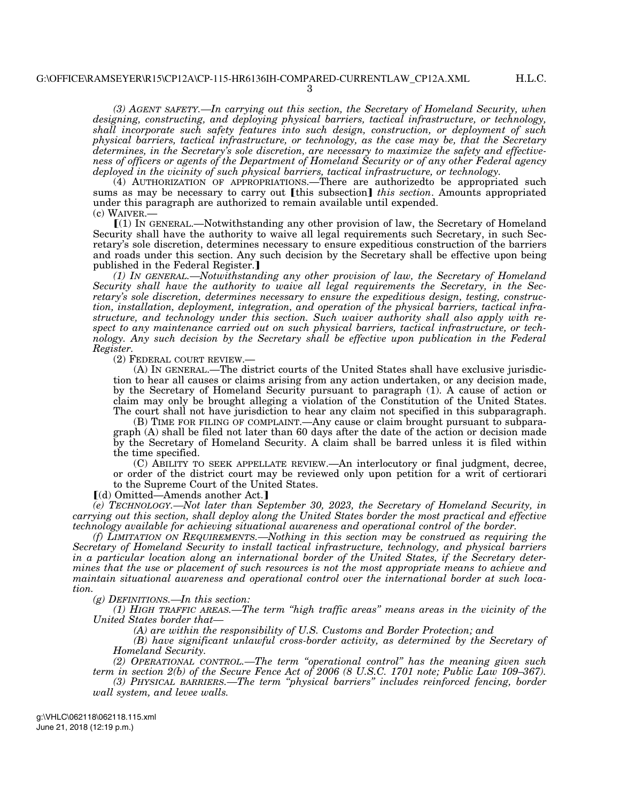3

H.L.C.

*(3) AGENT SAFETY.—In carrying out this section, the Secretary of Homeland Security, when designing, constructing, and deploying physical barriers, tactical infrastructure, or technology, shall incorporate such safety features into such design, construction, or deployment of such physical barriers, tactical infrastructure, or technology, as the case may be, that the Secretary determines, in the Secretary's sole discretion, are necessary to maximize the safety and effectiveness of officers or agents of the Department of Homeland Security or of any other Federal agency deployed in the vicinity of such physical barriers, tactical infrastructure, or technology.* 

(4) AUTHORIZATION OF APPROPRIATIONS.—There are authorizedto be appropriated such sums as may be necessary to carry out [this subsection] *this section*. Amounts appropriated under this paragraph are authorized to remain available until expended. (c) WAIVER.—

 $(1)$  IN GENERAL.—Notwithstanding any other provision of law, the Secretary of Homeland Security shall have the authority to waive all legal requirements such Secretary, in such Secretary's sole discretion, determines necessary to ensure expeditious construction of the barriers and roads under this section. Any such decision by the Secretary shall be effective upon being published in the Federal Register.]

*(1) IN GENERAL.—Notwithstanding any other provision of law, the Secretary of Homeland Security shall have the authority to waive all legal requirements the Secretary, in the Secretary's sole discretion, determines necessary to ensure the expeditious design, testing, construction, installation, deployment, integration, and operation of the physical barriers, tactical infrastructure, and technology under this section. Such waiver authority shall also apply with respect to any maintenance carried out on such physical barriers, tactical infrastructure, or technology. Any such decision by the Secretary shall be effective upon publication in the Federal Register.* 

(2) FEDERAL COURT REVIEW.—

(A) IN GENERAL.—The district courts of the United States shall have exclusive jurisdiction to hear all causes or claims arising from any action undertaken, or any decision made, by the Secretary of Homeland Security pursuant to paragraph (1). A cause of action or claim may only be brought alleging a violation of the Constitution of the United States. The court shall not have jurisdiction to hear any claim not specified in this subparagraph.

(B) TIME FOR FILING OF COMPLAINT.—Any cause or claim brought pursuant to subparagraph (A) shall be filed not later than 60 days after the date of the action or decision made by the Secretary of Homeland Security. A claim shall be barred unless it is filed within the time specified.

(C) ABILITY TO SEEK APPELLATE REVIEW.—An interlocutory or final judgment, decree, or order of the district court may be reviewed only upon petition for a writ of certiorari to the Supreme Court of the United States.

 $\lceil$ (d) Omitted—Amends another Act.

*(e) TECHNOLOGY.—Not later than September 30, 2023, the Secretary of Homeland Security, in carrying out this section, shall deploy along the United States border the most practical and effective technology available for achieving situational awareness and operational control of the border.* 

*(f) LIMITATION ON REQUIREMENTS.—Nothing in this section may be construed as requiring the Secretary of Homeland Security to install tactical infrastructure, technology, and physical barriers in a particular location along an international border of the United States, if the Secretary determines that the use or placement of such resources is not the most appropriate means to achieve and maintain situational awareness and operational control over the international border at such location.* 

*(g) DEFINITIONS.—In this section:* 

*(1) HIGH TRAFFIC AREAS.—The term ''high traffic areas'' means areas in the vicinity of the United States border that—* 

*(A) are within the responsibility of U.S. Customs and Border Protection; and* 

*(B) have significant unlawful cross-border activity, as determined by the Secretary of Homeland Security.* 

*(2) OPERATIONAL CONTROL.—The term ''operational control'' has the meaning given such term in section 2(b) of the Secure Fence Act of 2006 (8 U.S.C. 1701 note; Public Law 109–367).* 

*(3) PHYSICAL BARRIERS.—The term ''physical barriers'' includes reinforced fencing, border wall system, and levee walls.*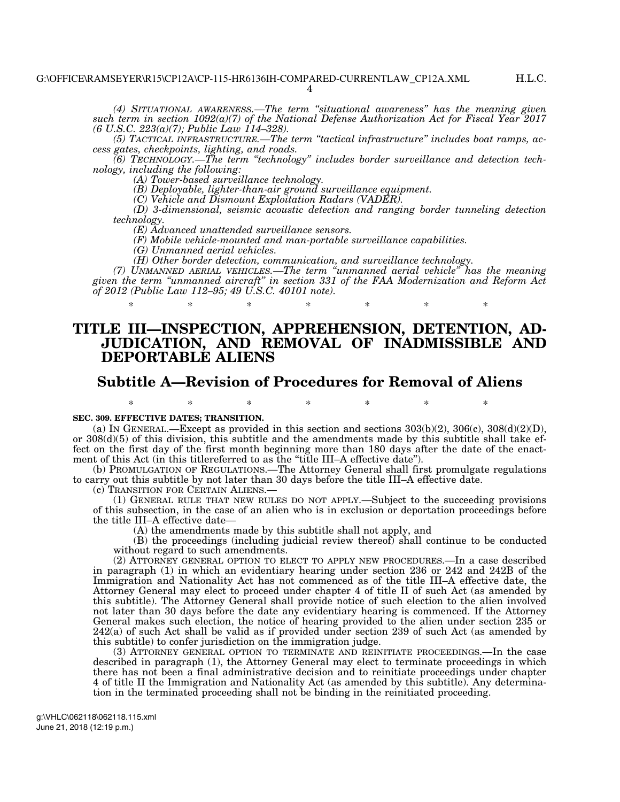*(4) SITUATIONAL AWARENESS.—The term ''situational awareness'' has the meaning given such term in section 1092(a)(7) of the National Defense Authorization Act for Fiscal Year 2017 (6 U.S.C. 223(a)(7); Public Law 114–328).* 

*(5) TACTICAL INFRASTRUCTURE.—The term ''tactical infrastructure'' includes boat ramps, access gates, checkpoints, lighting, and roads.* 

*(6) TECHNOLOGY.—The term ''technology'' includes border surveillance and detection technology, including the following:* 

*(A) Tower-based surveillance technology.* 

*(B) Deployable, lighter-than-air ground surveillance equipment.* 

*(C) Vehicle and Dismount Exploitation Radars (VADER).* 

*(D) 3-dimensional, seismic acoustic detection and ranging border tunneling detection technology.* 

*(E) Advanced unattended surveillance sensors.* 

*(F) Mobile vehicle-mounted and man-portable surveillance capabilities.* 

*(G) Unmanned aerial vehicles.* 

*(H) Other border detection, communication, and surveillance technology.* 

*(7) UNMANNED AERIAL VEHICLES.—The term ''unmanned aerial vehicle'' has the meaning given the term ''unmanned aircraft'' in section 331 of the FAA Modernization and Reform Act of 2012 (Public Law 112–95; 49 U.S.C. 40101 note).* 

# **TITLE III—INSPECTION, APPREHENSION, DETENTION, AD-JUDICATION, AND REMOVAL OF INADMISSIBLE AND DEPORTABLE ALIENS**

\* \* \* \* \* \* \*

# **Subtitle A—Revision of Procedures for Removal of Aliens**

\* \* \* \* \* \* \*

**SEC. 309. EFFECTIVE DATES; TRANSITION.** 

(a) IN GENERAL.—Except as provided in this section and sections  $303(b)(2)$ ,  $306(c)$ ,  $308(d)(2)(D)$ , or 308(d)(5) of this division, this subtitle and the amendments made by this subtitle shall take effect on the first day of the first month beginning more than 180 days after the date of the enactment of this Act (in this titlereferred to as the "title III-A effective date").

(b) PROMULGATION OF REGULATIONS.—The Attorney General shall first promulgate regulations to carry out this subtitle by not later than 30 days before the title III–A effective date.

(c) TRANSITION FOR CERTAIN ALIENS.—

(1) GENERAL RULE THAT NEW RULES DO NOT APPLY.—Subject to the succeeding provisions of this subsection, in the case of an alien who is in exclusion or deportation proceedings before the title III–A effective date—

(A) the amendments made by this subtitle shall not apply, and

(B) the proceedings (including judicial review thereof) shall continue to be conducted without regard to such amendments.

(2) ATTORNEY GENERAL OPTION TO ELECT TO APPLY NEW PROCEDURES.—In a case described in paragraph (1) in which an evidentiary hearing under section 236 or 242 and 242B of the Immigration and Nationality Act has not commenced as of the title III–A effective date, the Attorney General may elect to proceed under chapter 4 of title II of such Act (as amended by this subtitle). The Attorney General shall provide notice of such election to the alien involved not later than 30 days before the date any evidentiary hearing is commenced. If the Attorney General makes such election, the notice of hearing provided to the alien under section 235 or 242(a) of such Act shall be valid as if provided under section 239 of such Act (as amended by this subtitle) to confer jurisdiction on the immigration judge.

(3) ATTORNEY GENERAL OPTION TO TERMINATE AND REINITIATE PROCEEDINGS.—In the case described in paragraph (1), the Attorney General may elect to terminate proceedings in which there has not been a final administrative decision and to reinitiate proceedings under chapter 4 of title II the Immigration and Nationality Act (as amended by this subtitle). Any determination in the terminated proceeding shall not be binding in the reinitiated proceeding.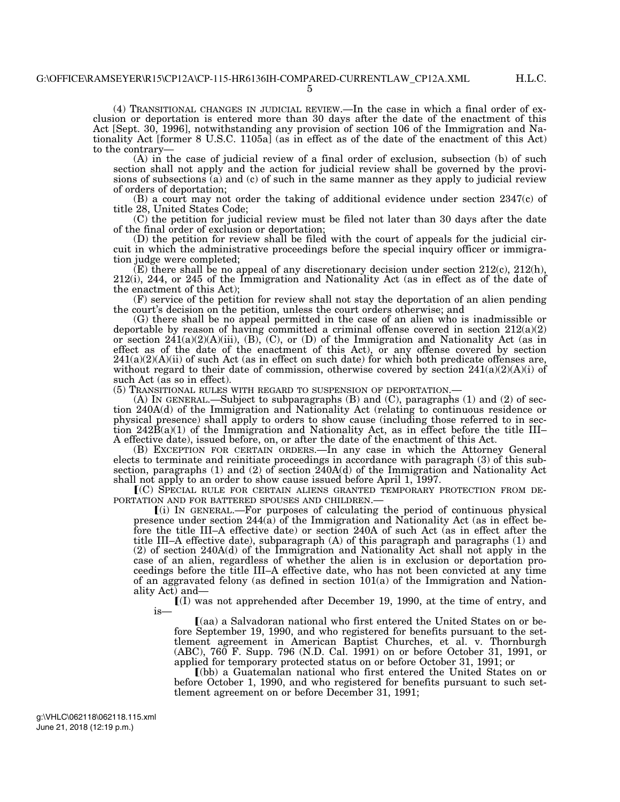H.L.C.

(4) TRANSITIONAL CHANGES IN JUDICIAL REVIEW.—In the case in which a final order of exclusion or deportation is entered more than 30 days after the date of the enactment of this Act [Sept. 30, 1996], notwithstanding any provision of section 106 of the Immigration and Nationality Act [former 8 U.S.C. 1105a] (as in effect as of the date of the enactment of this Act) to the contrary—

(A) in the case of judicial review of a final order of exclusion, subsection (b) of such section shall not apply and the action for judicial review shall be governed by the provisions of subsections  $\alpha$  and  $\alpha$  of such in the same manner as they apply to judicial review of orders of deportation;

(B) a court may not order the taking of additional evidence under section 2347(c) of title 28, United States Code;

(C) the petition for judicial review must be filed not later than 30 days after the date of the final order of exclusion or deportation;

(D) the petition for review shall be filed with the court of appeals for the judicial circuit in which the administrative proceedings before the special inquiry officer or immigration judge were completed;

 $(E)$  there shall be no appeal of any discretionary decision under section 212(c), 212(h), 212(i), 244, or 245 of the Immigration and Nationality Act (as in effect as of the date of the enactment of this Act);

(F) service of the petition for review shall not stay the deportation of an alien pending the court's decision on the petition, unless the court orders otherwise; and

(G) there shall be no appeal permitted in the case of an alien who is inadmissible or deportable by reason of having committed a criminal offense covered in section  $212(a)(2)$ or section  $241(a)(2)(A)(iii)$ , (B), (C), or (D) of the Immigration and Nationality Act (as in effect as of the date of the enactment of this Act), or any offense covered by section  $241(a)(2)(A)(ii)$  of such Act (as in effect on such date) for which both predicate offenses are, without regard to their date of commission, otherwise covered by section  $241(a)(2)(A)(i)$  of such Act (as so in effect).<br>(5) Transitional rules with regard to suspension of deportation.—

 $(A)$  IN GENERAL.—Subject to subparagraphs  $(B)$  and  $(C)$ , paragraphs  $(1)$  and  $(2)$  of section 240A(d) of the Immigration and Nationality Act (relating to continuous residence or physical presence) shall apply to orders to show cause (including those referred to in section  $242\text{B}(a)(1)$  of the Immigration and Nationality Act, as in effect before the title III– A effective date), issued before, on, or after the date of the enactment of this Act.

(B) EXCEPTION FOR CERTAIN ORDERS.—In any case in which the Attorney General elects to terminate and reinitiate proceedings in accordance with paragraph (3) of this subsection, paragraphs (1) and (2) of section 240A(d) of the Immigration and Nationality Act shall not apply to an order to show cause issued before April 1, 1997.

 $[(C)$  SPECIAL RULE FOR CERTAIN ALIENS GRANTED TEMPORARY PROTECTION FROM DEPORTATION AND FOR BATTERED SPOUSES AND CHILDREN.—<br> $[(i)$  IN GENERAL.—For purposes of calculating the period of continuous physical

presence under section 244(a) of the Immigration and Nationality Act (as in effect before the title III–A effective date) or section 240A of such Act (as in effect after the title III–A effective date), subparagraph (A) of this paragraph and paragraphs (1) and (2) of section 240A(d) of the Immigration and Nationality Act shall not apply in the case of an alien, regardless of whether the alien is in exclusion or deportation proceedings before the title III–A effective date, who has not been convicted at any time of an aggravated felony (as defined in section  $101(a)$  of the Immigration and Nationality Act) and—

 $I(1)$  was not apprehended after December 19, 1990, at the time of entry, and is—

ø(aa) a Salvadoran national who first entered the United States on or before September 19, 1990, and who registered for benefits pursuant to the settlement agreement in American Baptist Churches, et al. v. Thornburgh (ABC), 760 F. Supp. 796 (N.D. Cal. 1991) on or before October 31, 1991, or applied for temporary protected status on or before October 31, 1991; or

ø(bb) a Guatemalan national who first entered the United States on or before October 1, 1990, and who registered for benefits pursuant to such settlement agreement on or before December 31, 1991;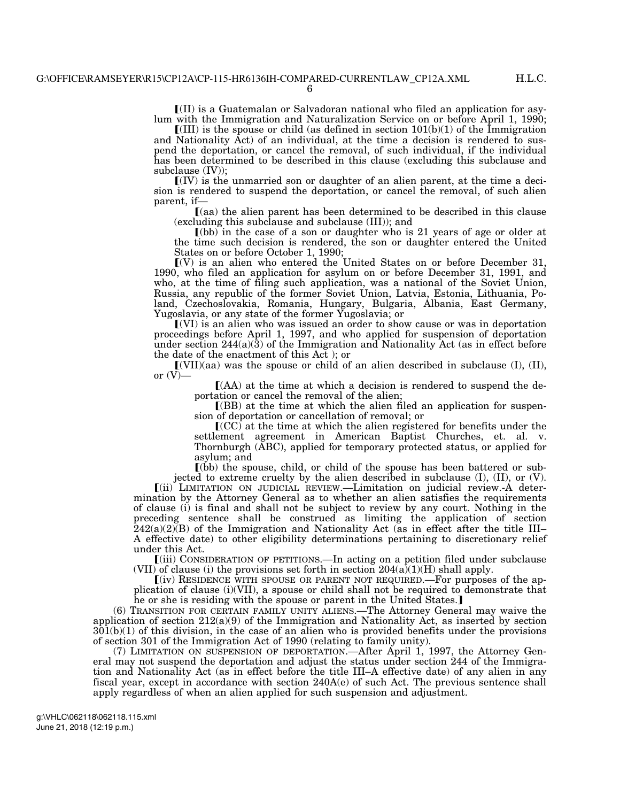6

 $\overline{f(II)}$  is a Guatemalan or Salvadoran national who filed an application for asylum with the Immigration and Naturalization Service on or before April 1, 1990;

 $\llbracket$ (III) is the spouse or child (as defined in section 101(b)(1) of the Immigration and Nationality Act) of an individual, at the time a decision is rendered to suspend the deportation, or cancel the removal, of such individual, if the individual has been determined to be described in this clause (excluding this subclause and subclause (IV));

 $\langle$ [(IV) is the unmarried son or daughter of an alien parent, at the time a decision is rendered to suspend the deportation, or cancel the removal, of such alien parent, if—

ø(aa) the alien parent has been determined to be described in this clause (excluding this subclause and subclause (III)); and

ø(bb) in the case of a son or daughter who is 21 years of age or older at the time such decision is rendered, the son or daughter entered the United States on or before October 1, 1990;

 $\lfloor$ (V) is an alien who entered the United States on or before December 31, 1990, who filed an application for asylum on or before December 31, 1991, and who, at the time of filing such application, was a national of the Soviet Union, Russia, any republic of the former Soviet Union, Latvia, Estonia, Lithuania, Poland, Czechoslovakia, Romania, Hungary, Bulgaria, Albania, East Germany, Yugoslavia, or any state of the former Yugoslavia; or

ø(VI) is an alien who was issued an order to show cause or was in deportation proceedings before April 1, 1997, and who applied for suspension of deportation under section  $244(a)(3)$  of the Immigration and Nationality Act (as in effect before the date of the enactment of this Act ); or

 $\left[ \text{VII}\right]$ (aa) was the spouse or child of an alien described in subclause (I), (II), or  $(V)$ —

> $(AA)$  at the time at which a decision is rendered to suspend the deportation or cancel the removal of the alien;

> $($  $(BB)$  at the time at which the alien filed an application for suspension of deportation or cancellation of removal; or

> $(C<sub>C</sub>)$  at the time at which the alien registered for benefits under the settlement agreement in American Baptist Churches, et. al. v. Thornburgh (ABC), applied for temporary protected status, or applied for asylum; and

ø(bb) the spouse, child, or child of the spouse has been battered or subjected to extreme cruelty by the alien described in subclause (I), (II), or (V).

ø(ii) LIMITATION ON JUDICIAL REVIEW.—Limitation on judicial review.-A determination by the Attorney General as to whether an alien satisfies the requirements of clause (i) is final and shall not be subject to review by any court. Nothing in the preceding sentence shall be construed as limiting the application of section  $242(a)(2)$ (B) of the Immigration and Nationality Act (as in effect after the title III– A effective date) to other eligibility determinations pertaining to discretionary relief under this Act.

ø(iii) CONSIDERATION OF PETITIONS.—In acting on a petition filed under subclause (VII) of clause (i) the provisions set forth in section  $204(a)(1)(H)$  shall apply.

 $(iv)$  RESIDENCE WITH SPOUSE OR PARENT NOT REQUIRED.—For purposes of the application of clause (i)(VII), a spouse or child shall not be required to demonstrate that he or she is residing with the spouse or parent in the United States.

(6) TRANSITION FOR CERTAIN FAMILY UNITY ALIENS.—The Attorney General may waive the application of section 212(a)(9) of the Immigration and Nationality Act, as inserted by section  $301(b)(1)$  of this division, in the case of an alien who is provided benefits under the provisions of section 301 of the Immigration Act of 1990 (relating to family unity).

(7) LIMITATION ON SUSPENSION OF DEPORTATION.—After April 1, 1997, the Attorney General may not suspend the deportation and adjust the status under section 244 of the Immigration and Nationality Act (as in effect before the title III–A effective date) of any alien in any fiscal year, except in accordance with section 240A(e) of such Act. The previous sentence shall apply regardless of when an alien applied for such suspension and adjustment.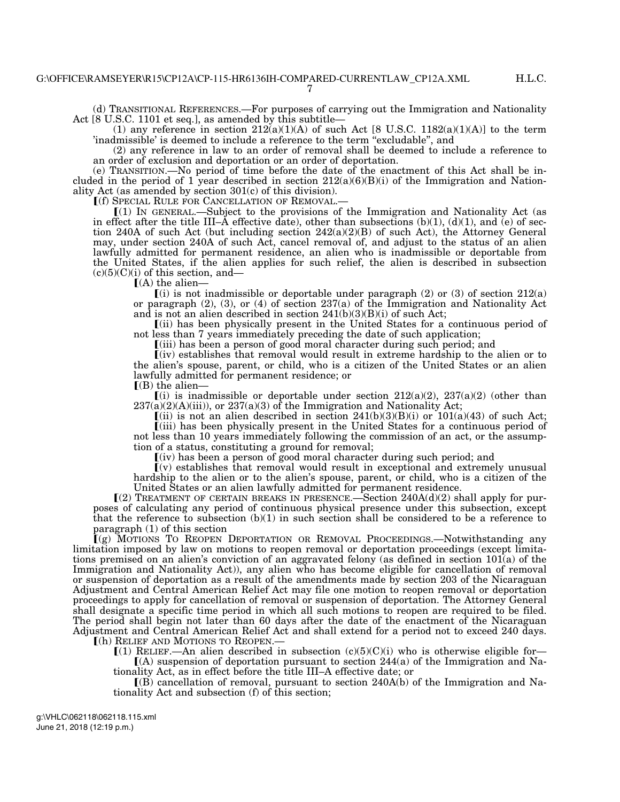7

(d) TRANSITIONAL REFERENCES.—For purposes of carrying out the Immigration and Nationality Act [8 U.S.C. 1101 et seq.], as amended by this subtitle—

(1) any reference in section  $212(a)(1)(A)$  of such Act [8 U.S.C. 1182(a)(1)(A)] to the term 'inadmissible' is deemed to include a reference to the term ''excludable'', and

(2) any reference in law to an order of removal shall be deemed to include a reference to an order of exclusion and deportation or an order of deportation.

(e) TRANSITION.—No period of time before the date of the enactment of this Act shall be included in the period of 1 year described in section  $212(a)(6)(B)(i)$  of the Immigration and Nationality Act (as amended by section 301(c) of this division).

ø(f) SPECIAL RULE FOR CANCELLATION OF REMOVAL.—

 $(1)$  IN GENERAL.—Subject to the provisions of the Immigration and Nationality Act (as in effect after the title III– $\tilde{A}$  effective date), other than subsections (b)(1), (d)(1), and (e) of section 240A of such Act (but including section  $242(a)(2)(B)$  of such Act), the Attorney General may, under section 240A of such Act, cancel removal of, and adjust to the status of an alien lawfully admitted for permanent residence, an alien who is inadmissible or deportable from the United States, if the alien applies for such relief, the alien is described in subsection  $(c)(5)(C)(i)$  of this section, and—

 $\Gamma(A)$  the alien-

 $(i)$  is not inadmissible or deportable under paragraph (2) or (3) of section 212(a) or paragraph (2), (3), or (4) of section 237(a) of the Immigration and Nationality Act and is not an alien described in section 241(b)(3)(B)(i) of such Act;

ø(ii) has been physically present in the United States for a continuous period of not less than 7 years immediately preceding the date of such application;

ø(iii) has been a person of good moral character during such period; and

ø(iv) establishes that removal would result in extreme hardship to the alien or to the alien's spouse, parent, or child, who is a citizen of the United States or an alien lawfully admitted for permanent residence; or  $[(B)$  the alien-

(i) is inadmissible or deportable under section  $212(a)(2)$ ,  $237(a)(2)$  (other than  $237(a)(2)(A)(iii)$ , or  $237(a)(3)$  of the Immigration and Nationality Act;

(ii) is not an alien described in section  $241(b)(3)(B)(i)$  or  $101(a)(43)$  of such Act;

 $\tilde{I}$ (iii) has been physically present in the United States for a continuous period of not less than 10 years immediately following the commission of an act, or the assumption of a status, constituting a ground for removal;

 $(iv)$  has been a person of good moral character during such period; and

 $(v)$  establishes that removal would result in exceptional and extremely unusual hardship to the alien or to the alien's spouse, parent, or child, who is a citizen of the United States or an alien lawfully admitted for permanent residence.

 $(2)$  TREATMENT OF CERTAIN BREAKS IN PRESENCE.—Section 240A(d)(2) shall apply for purposes of calculating any period of continuous physical presence under this subsection, except that the reference to subsection  $(b)(1)$  in such section shall be considered to be a reference to paragraph (1) of this section<br>[(g) MOTIONS TO REOPEN DEPORTATION OR REMOVAL PROCEEDINGS.—Notwithstanding any

limitation imposed by law on motions to reopen removal or deportation proceedings (except limitations premised on an alien's conviction of an aggravated felony (as defined in section 101(a) of the Immigration and Nationality Act)), any alien who has become eligible for cancellation of removal or suspension of deportation as a result of the amendments made by section 203 of the Nicaraguan Adjustment and Central American Relief Act may file one motion to reopen removal or deportation proceedings to apply for cancellation of removal or suspension of deportation. The Attorney General shall designate a specific time period in which all such motions to reopen are required to be filed. The period shall begin not later than 60 days after the date of the enactment of the Nicaraguan Adjustment and Central American Relief Act and shall extend for a period not to exceed 240 days. ø(h) RELIEF AND MOTIONS TO REOPEN.—

 $(1)$  RELIEF.—An alien described in subsection  $(c)(5)(C)(i)$  who is otherwise eligible for—  $(A)$  suspension of deportation pursuant to section 244(a) of the Immigration and Nationality Act, as in effect before the title III–A effective date; or

 $($ B) cancellation of removal, pursuant to section 240A(b) of the Immigration and Nationality Act and subsection (f) of this section;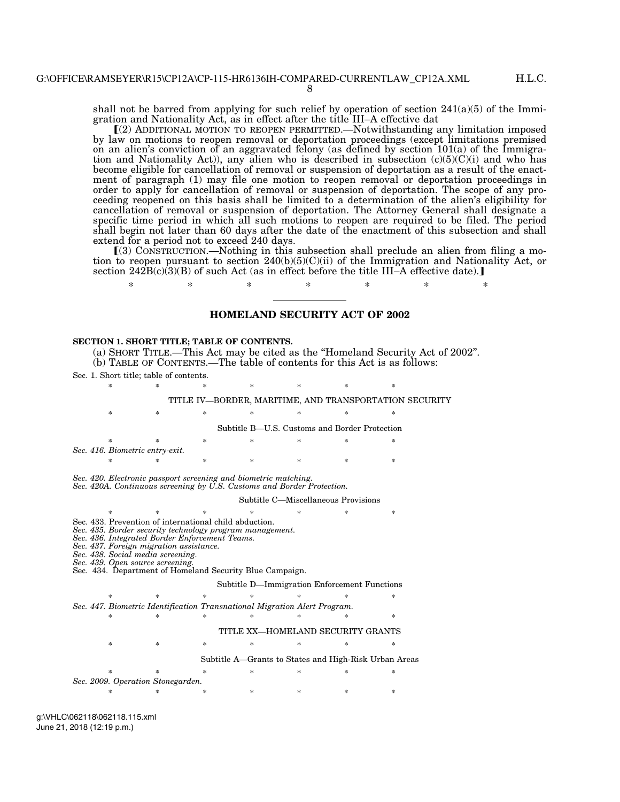8

shall not be barred from applying for such relief by operation of section  $241(a)(5)$  of the Immigration and Nationality Act, as in effect after the title III–A effective dat

ø(2) ADDITIONAL MOTION TO REOPEN PERMITTED.—Notwithstanding any limitation imposed by law on motions to reopen removal or deportation proceedings (except limitations premised on an alien's conviction of an aggravated felony (as defined by section  $101(a)$  of the Immigration and Nationality Act)), any alien who is described in subsection  $(c)(5)(C)(i)$  and who has become eligible for cancellation of removal or suspension of deportation as a result of the enactment of paragraph (1) may file one motion to reopen removal or deportation proceedings in order to apply for cancellation of removal or suspension of deportation. The scope of any proceeding reopened on this basis shall be limited to a determination of the alien's eligibility for cancellation of removal or suspension of deportation. The Attorney General shall designate a specific time period in which all such motions to reopen are required to be filed. The period shall begin not later than 60 days after the date of the enactment of this subsection and shall extend for a period not to exceed 240 days.

 $(3)$  CONSTRUCTION.—Nothing in this subsection shall preclude an alien from filing a motion to reopen pursuant to section 240(b)(5)(C)(ii) of the Immigration and Nationality Act, or section  $242B(c)(3)(B)$  of such Act (as in effect before the title III–A effective date).

## **HOMELAND SECURITY ACT OF 2002**

\* \* \* \* \* \* \* \*

#### **SECTION 1. SHORT TITLE; TABLE OF CONTENTS.**

(a) SHORT TITLE.—This Act may be cited as the ''Homeland Security Act of 2002''. (b) TABLE OF CONTENTS.—The table of contents for this Act is as follows:

Sec. 1. Short title; table of contents.

|                                 | 冰  | 冰 | 氺 |  | × | 冰                                             |                                                        |  |  |
|---------------------------------|----|---|---|--|---|-----------------------------------------------|--------------------------------------------------------|--|--|
|                                 |    |   |   |  |   |                                               | TITLE IV—BORDER, MARITIME, AND TRANSPORTATION SECURITY |  |  |
|                                 | ∗  | 字 | * |  | 冰 |                                               |                                                        |  |  |
|                                 |    |   |   |  |   | Subtitle B—U.S. Customs and Border Protection |                                                        |  |  |
|                                 | 冰  | 冰 | × |  | 冰 | ×                                             | ×.                                                     |  |  |
| Sec. 416. Biometric entry-exit. |    |   |   |  |   |                                               |                                                        |  |  |
|                                 | ×. | × |   |  | 冰 | ×                                             | ×                                                      |  |  |
|                                 |    |   |   |  |   |                                               |                                                        |  |  |

*Sec. 420. Electronic passport screening and biometric matching.* 

*Sec. 420A. Continuous screening by U.S. Customs and Border Protection.* 

Subtitle C—Miscellaneous Provisions

\* \* \* \* \* \* \* Sec. 433. Prevention of international child abduction.

- *Sec. 435. Border security technology program management.*
- *Sec. 436. Integrated Border Enforcement Teams.*

*Sec. 437. Foreign migration assistance.* 

*Sec. 438. Social media screening.* 

*Sec. 439. Open source screening.* 

Sec. 434. Department of Homeland Security Blue Campaign.

Subtitle D—Immigration Enforcement Functions

|  | Sec. 447. Biometric Identification Transnational Migration Alert Program. |  |  |  |
|--|---------------------------------------------------------------------------|--|--|--|

## TITLE XX—HOMELAND SECURITY GRANTS

\* \* \* \* \* \* \*

Subtitle A—Grants to States and High-Risk Urban Areas

\* \* \* \* \* \* \* *Sec. 2009. Operation Stonegarden.*  \* \* \* \* \* \* \*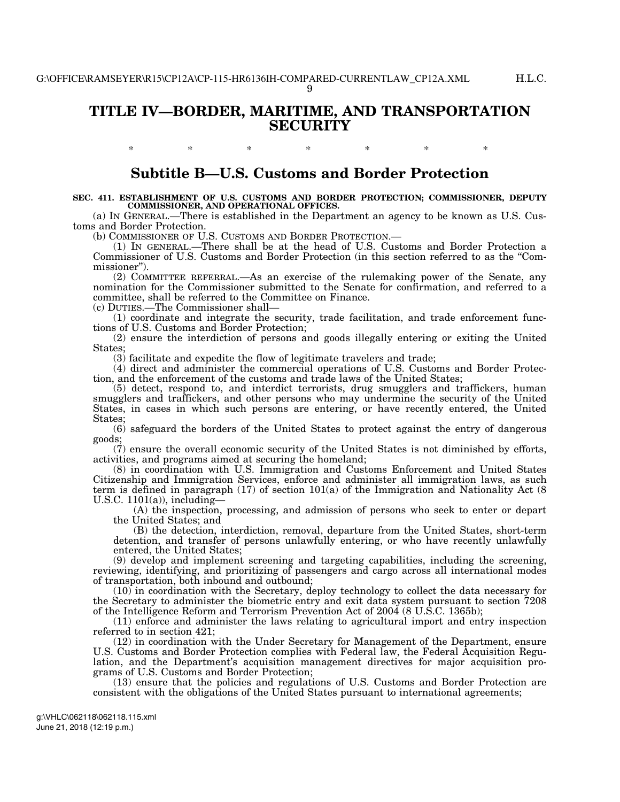# **TITLE IV—BORDER, MARITIME, AND TRANSPORTATION SECURITY**

\* \* \* \* \* \* \*

# **Subtitle B—U.S. Customs and Border Protection**

#### **SEC. 411. ESTABLISHMENT OF U.S. CUSTOMS AND BORDER PROTECTION; COMMISSIONER, DEPUTY COMMISSIONER, AND OPERATIONAL OFFICES.**

(a) IN GENERAL.—There is established in the Department an agency to be known as U.S. Customs and Border Protection.

(b) COMMISSIONER OF U.S. CUSTOMS AND BORDER PROTECTION.—

(1) IN GENERAL.—There shall be at the head of U.S. Customs and Border Protection a Commissioner of U.S. Customs and Border Protection (in this section referred to as the ''Commissioner'').

(2) COMMITTEE REFERRAL.—As an exercise of the rulemaking power of the Senate, any nomination for the Commissioner submitted to the Senate for confirmation, and referred to a committee, shall be referred to the Committee on Finance.

(c) DUTIES.—The Commissioner shall—

(1) coordinate and integrate the security, trade facilitation, and trade enforcement functions of U.S. Customs and Border Protection;

(2) ensure the interdiction of persons and goods illegally entering or exiting the United States;

(3) facilitate and expedite the flow of legitimate travelers and trade;

(4) direct and administer the commercial operations of U.S. Customs and Border Protection, and the enforcement of the customs and trade laws of the United States;

(5) detect, respond to, and interdict terrorists, drug smugglers and traffickers, human smugglers and traffickers, and other persons who may undermine the security of the United States, in cases in which such persons are entering, or have recently entered, the United States;

(6) safeguard the borders of the United States to protect against the entry of dangerous goods;

(7) ensure the overall economic security of the United States is not diminished by efforts, activities, and programs aimed at securing the homeland;

(8) in coordination with U.S. Immigration and Customs Enforcement and United States Citizenship and Immigration Services, enforce and administer all immigration laws, as such term is defined in paragraph  $(17)$  of section  $101(a)$  of the Immigration and Nationality Act  $(8)$ U.S.C.  $1101(a)$ , including-

(A) the inspection, processing, and admission of persons who seek to enter or depart the United States; and

(B) the detection, interdiction, removal, departure from the United States, short-term detention, and transfer of persons unlawfully entering, or who have recently unlawfully entered, the United States;

(9) develop and implement screening and targeting capabilities, including the screening, reviewing, identifying, and prioritizing of passengers and cargo across all international modes of transportation, both inbound and outbound;

(10) in coordination with the Secretary, deploy technology to collect the data necessary for the Secretary to administer the biometric entry and exit data system pursuant to section 7208 of the Intelligence Reform and Terrorism Prevention Act of 2004 (8 U.S.C. 1365b);

(11) enforce and administer the laws relating to agricultural import and entry inspection referred to in section 421;

(12) in coordination with the Under Secretary for Management of the Department, ensure U.S. Customs and Border Protection complies with Federal law, the Federal Acquisition Regulation, and the Department's acquisition management directives for major acquisition programs of U.S. Customs and Border Protection;

(13) ensure that the policies and regulations of U.S. Customs and Border Protection are consistent with the obligations of the United States pursuant to international agreements;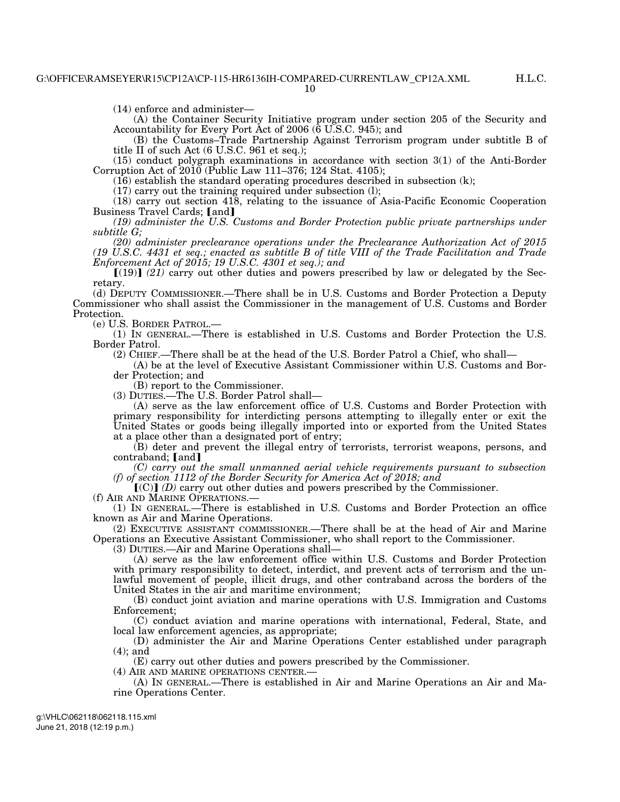10

(14) enforce and administer—

(A) the Container Security Initiative program under section 205 of the Security and Accountability for Every Port Act of 2006 (6 U.S.C. 945); and

(B) the Customs–Trade Partnership Against Terrorism program under subtitle B of title  $\overline{II}$  of such Act (6 U.S.C. 961 et seq.);

(15) conduct polygraph examinations in accordance with section 3(1) of the Anti-Border Corruption Act of 2010 (Public Law 111–376; 124 Stat. 4105);

(16) establish the standard operating procedures described in subsection (k);

(17) carry out the training required under subsection (l);

(18) carry out section 418, relating to the issuance of Asia-Pacific Economic Cooperation Business Travel Cards; [and]

*(19) administer the U.S. Customs and Border Protection public private partnerships under subtitle G;* 

*(20) administer preclearance operations under the Preclearance Authorization Act of 2015 (19 U.S.C. 4431 et seq.; enacted as subtitle B of title VIII of the Trade Facilitation and Trade Enforcement Act of 2015; 19 U.S.C. 4301 et seq.); and* 

 $[(19)]$  (21) carry out other duties and powers prescribed by law or delegated by the Secretary.

(d) DEPUTY COMMISSIONER.—There shall be in U.S. Customs and Border Protection a Deputy Commissioner who shall assist the Commissioner in the management of U.S. Customs and Border Protection.

(e) U.S. BORDER PATROL.—

(1) IN GENERAL.—There is established in U.S. Customs and Border Protection the U.S. Border Patrol.

(2) CHIEF.—There shall be at the head of the U.S. Border Patrol a Chief, who shall—

(A) be at the level of Executive Assistant Commissioner within U.S. Customs and Border Protection; and

(B) report to the Commissioner.

(3) DUTIES.—The U.S. Border Patrol shall—

(A) serve as the law enforcement office of U.S. Customs and Border Protection with primary responsibility for interdicting persons attempting to illegally enter or exit the United States or goods being illegally imported into or exported from the United States at a place other than a designated port of entry;

(B) deter and prevent the illegal entry of terrorists, terrorist weapons, persons, and contraband;  $[and]$ 

*(C) carry out the small unmanned aerial vehicle requirements pursuant to subsection (f) of section 1112 of the Border Security for America Act of 2018; and* 

 $[(C)]$  *(D)* carry out other duties and powers prescribed by the Commissioner.

(f) AIR AND MARINE OPERATIONS.—

(1) IN GENERAL.—There is established in U.S. Customs and Border Protection an office known as Air and Marine Operations.

(2) EXECUTIVE ASSISTANT COMMISSIONER.—There shall be at the head of Air and Marine Operations an Executive Assistant Commissioner, who shall report to the Commissioner.

(3) DUTIES.—Air and Marine Operations shall—

(A) serve as the law enforcement office within U.S. Customs and Border Protection with primary responsibility to detect, interdict, and prevent acts of terrorism and the unlawful movement of people, illicit drugs, and other contraband across the borders of the United States in the air and maritime environment;

(B) conduct joint aviation and marine operations with U.S. Immigration and Customs Enforcement;

(C) conduct aviation and marine operations with international, Federal, State, and local law enforcement agencies, as appropriate;

(D) administer the Air and Marine Operations Center established under paragraph (4); and

(E) carry out other duties and powers prescribed by the Commissioner.

(4) AIR AND MARINE OPERATIONS CENTER.—

(A) IN GENERAL.—There is established in Air and Marine Operations an Air and Marine Operations Center.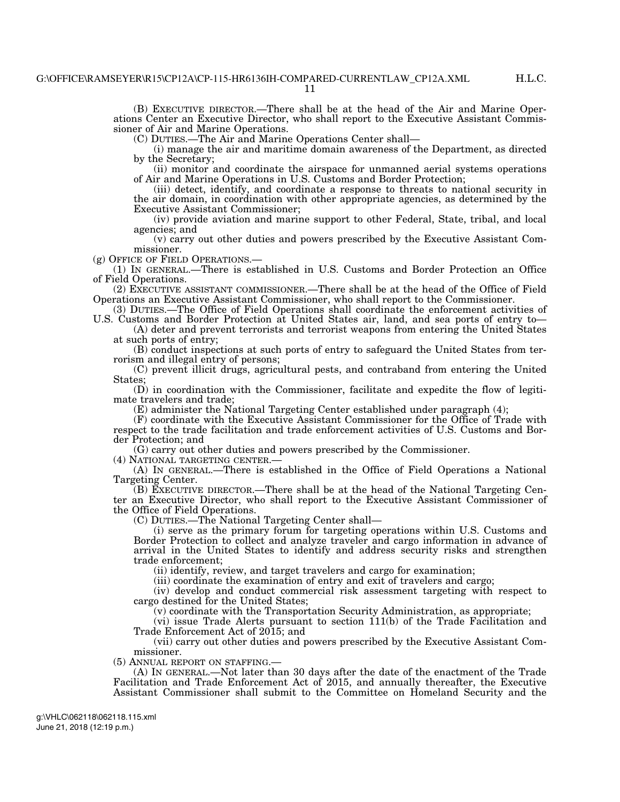11

(B) EXECUTIVE DIRECTOR.—There shall be at the head of the Air and Marine Operations Center an Executive Director, who shall report to the Executive Assistant Commissioner of Air and Marine Operations.

(C) DUTIES.—The Air and Marine Operations Center shall—

(i) manage the air and maritime domain awareness of the Department, as directed by the Secretary;

(ii) monitor and coordinate the airspace for unmanned aerial systems operations of Air and Marine Operations in U.S. Customs and Border Protection;

(iii) detect, identify, and coordinate a response to threats to national security in the air domain, in coordination with other appropriate agencies, as determined by the Executive Assistant Commissioner;

(iv) provide aviation and marine support to other Federal, State, tribal, and local agencies; and

(v) carry out other duties and powers prescribed by the Executive Assistant Commissioner.

(g) OFFICE OF FIELD OPERATIONS.— (1) IN GENERAL.—There is established in U.S. Customs and Border Protection an Office of Field Operations.

(2) EXECUTIVE ASSISTANT COMMISSIONER.—There shall be at the head of the Office of Field Operations an Executive Assistant Commissioner, who shall report to the Commissioner.

(3) DUTIES.—The Office of Field Operations shall coordinate the enforcement activities of U.S. Customs and Border Protection at United States air, land, and sea ports of entry to—

(A) deter and prevent terrorists and terrorist weapons from entering the United States at such ports of entry;

(B) conduct inspections at such ports of entry to safeguard the United States from terrorism and illegal entry of persons;

(C) prevent illicit drugs, agricultural pests, and contraband from entering the United States;

(D) in coordination with the Commissioner, facilitate and expedite the flow of legitimate travelers and trade;

(E) administer the National Targeting Center established under paragraph (4);

(F) coordinate with the Executive Assistant Commissioner for the Office of Trade with respect to the trade facilitation and trade enforcement activities of U.S. Customs and Border Protection; and

(G) carry out other duties and powers prescribed by the Commissioner.

(4) NATIONAL TARGETING CENTER.— (A) IN GENERAL.—There is established in the Office of Field Operations a National Targeting Center.

(B) EXECUTIVE DIRECTOR.—There shall be at the head of the National Targeting Center an Executive Director, who shall report to the Executive Assistant Commissioner of the Office of Field Operations.

(C) DUTIES.—The National Targeting Center shall—

(i) serve as the primary forum for targeting operations within U.S. Customs and Border Protection to collect and analyze traveler and cargo information in advance of arrival in the United States to identify and address security risks and strengthen trade enforcement;

(ii) identify, review, and target travelers and cargo for examination;

(iii) coordinate the examination of entry and exit of travelers and cargo;

(iv) develop and conduct commercial risk assessment targeting with respect to cargo destined for the United States;

(v) coordinate with the Transportation Security Administration, as appropriate;

(vi) issue Trade Alerts pursuant to section 111(b) of the Trade Facilitation and Trade Enforcement Act of 2015; and

(vii) carry out other duties and powers prescribed by the Executive Assistant Commissioner.

(5) ANNUAL REPORT ON STAFFING.—

(A) IN GENERAL.—Not later than 30 days after the date of the enactment of the Trade Facilitation and Trade Enforcement Act of 2015, and annually thereafter, the Executive Assistant Commissioner shall submit to the Committee on Homeland Security and the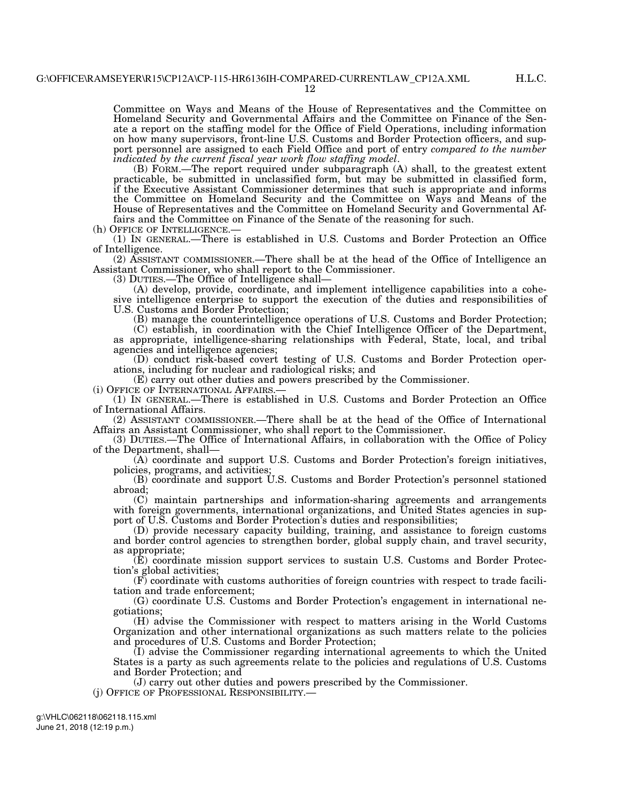Committee on Ways and Means of the House of Representatives and the Committee on Homeland Security and Governmental Affairs and the Committee on Finance of the Senate a report on the staffing model for the Office of Field Operations, including information on how many supervisors, front-line U.S. Customs and Border Protection officers, and support personnel are assigned to each Field Office and port of entry *compared to the number indicated by the current fiscal year work flow staffing model*. (B) FORM.—The report required under subparagraph (A) shall, to the greatest extent

practicable, be submitted in unclassified form, but may be submitted in classified form, if the Executive Assistant Commissioner determines that such is appropriate and informs the Committee on Homeland Security and the Committee on Ways and Means of the House of Representatives and the Committee on Homeland Security and Governmental Affairs and the Committee on Finance of the Senate of the reasoning for such.<br>(h) OFFICE OF INTELLIGENCE.—

(1) IN GENERAL.—There is established in U.S. Customs and Border Protection an Office of Intelligence.

(2) ASSISTANT COMMISSIONER.—There shall be at the head of the Office of Intelligence an Assistant Commissioner, who shall report to the Commissioner.

(3) DUTIES.—The Office of Intelligence shall—

(A) develop, provide, coordinate, and implement intelligence capabilities into a cohesive intelligence enterprise to support the execution of the duties and responsibilities of U.S. Customs and Border Protection;

(B) manage the counterintelligence operations of U.S. Customs and Border Protection;

(C) establish, in coordination with the Chief Intelligence Officer of the Department, as appropriate, intelligence-sharing relationships with Federal, State, local, and tribal agencies and intelligence agencies;

(D) conduct risk-based covert testing of U.S. Customs and Border Protection operations, including for nuclear and radiological risks; and

(E) carry out other duties and powers prescribed by the Commissioner.

(1) IN GENERAL.—There is established in U.S. Customs and Border Protection an Office of International Affairs.

(2) ASSISTANT COMMISSIONER.—There shall be at the head of the Office of International Affairs an Assistant Commissioner, who shall report to the Commissioner.

(3) DUTIES.—The Office of International Affairs, in collaboration with the Office of Policy of the Department, shall—

(A) coordinate and support U.S. Customs and Border Protection's foreign initiatives, policies, programs, and activities;

(B) coordinate and support U.S. Customs and Border Protection's personnel stationed abroad;

(C) maintain partnerships and information-sharing agreements and arrangements with foreign governments, international organizations, and United States agencies in support of U.S. Customs and Border Protection's duties and responsibilities;

(D) provide necessary capacity building, training, and assistance to foreign customs and border control agencies to strengthen border, global supply chain, and travel security, as appropriate;

(E) coordinate mission support services to sustain U.S. Customs and Border Protection's global activities;

(F) coordinate with customs authorities of foreign countries with respect to trade facilitation and trade enforcement;

(G) coordinate U.S. Customs and Border Protection's engagement in international negotiations;

(H) advise the Commissioner with respect to matters arising in the World Customs Organization and other international organizations as such matters relate to the policies and procedures of U.S. Customs and Border Protection;

(I) advise the Commissioner regarding international agreements to which the United States is a party as such agreements relate to the policies and regulations of U.S. Customs and Border Protection; and

(J) carry out other duties and powers prescribed by the Commissioner.

(j) OFFICE OF PROFESSIONAL RESPONSIBILITY.—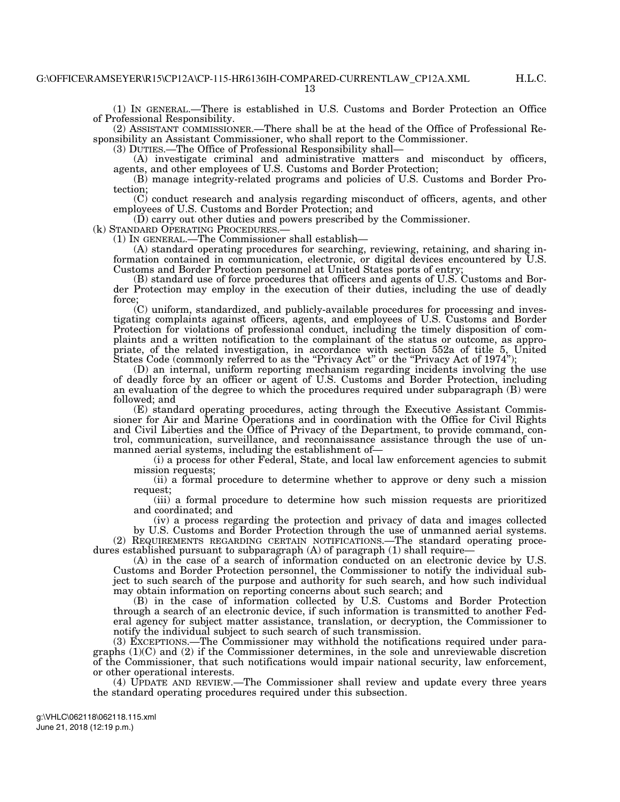H.L.C.

13

(1) IN GENERAL.—There is established in U.S. Customs and Border Protection an Office of Professional Responsibility.

(2) ASSISTANT COMMISSIONER.—There shall be at the head of the Office of Professional Responsibility an Assistant Commissioner, who shall report to the Commissioner.

(3) DUTIES.—The Office of Professional Responsibility shall—

(A) investigate criminal and administrative matters and misconduct by officers, agents, and other employees of U.S. Customs and Border Protection;

(B) manage integrity-related programs and policies of U.S. Customs and Border Protection;

(C) conduct research and analysis regarding misconduct of officers, agents, and other employees of U.S. Customs and Border Protection; and

 $(D)$  carry out other duties and powers prescribed by the Commissioner.<br>(k) STANDARD OPERATING PROCEDURES.—

(1) IN GENERAL.—The Commissioner shall establish—

(A) standard operating procedures for searching, reviewing, retaining, and sharing information contained in communication, electronic, or digital devices encountered by U.S. Customs and Border Protection personnel at United States ports of entry;

(B) standard use of force procedures that officers and agents of U.S. Customs and Border Protection may employ in the execution of their duties, including the use of deadly force;

(C) uniform, standardized, and publicly-available procedures for processing and investigating complaints against officers, agents, and employees of U.S. Customs and Border Protection for violations of professional conduct, including the timely disposition of complaints and a written notification to the complainant of the status or outcome, as appropriate, of the related investigation, in accordance with section 552a of title 5, United States Code (commonly referred to as the "Privacy Act" or the "Privacy Act of 1974");

(D) an internal, uniform reporting mechanism regarding incidents involving the use of deadly force by an officer or agent of U.S. Customs and Border Protection, including an evaluation of the degree to which the procedures required under subparagraph (B) were followed; and

(E) standard operating procedures, acting through the Executive Assistant Commissioner for Air and Marine Operations and in coordination with the Office for Civil Rights and Civil Liberties and the Office of Privacy of the Department, to provide command, control, communication, surveillance, and reconnaissance assistance through the use of unmanned aerial systems, including the establishment of—

(i) a process for other Federal, State, and local law enforcement agencies to submit mission requests;

(ii) a formal procedure to determine whether to approve or deny such a mission request;

(iii) a formal procedure to determine how such mission requests are prioritized and coordinated; and

(iv) a process regarding the protection and privacy of data and images collected by U.S. Customs and Border Protection through the use of unmanned aerial systems. (2) REQUIREMENTS REGARDING CERTAIN NOTIFICATIONS.—The standard operating procedures established pursuant to subparagraph (A) of paragraph (1) shall require—

(A) in the case of a search of information conducted on an electronic device by U.S. Customs and Border Protection personnel, the Commissioner to notify the individual subject to such search of the purpose and authority for such search, and how such individual may obtain information on reporting concerns about such search; and

(B) in the case of information collected by U.S. Customs and Border Protection through a search of an electronic device, if such information is transmitted to another Federal agency for subject matter assistance, translation, or decryption, the Commissioner to notify the individual subject to such search of such transmission.

(3) EXCEPTIONS.—The Commissioner may withhold the notifications required under paragraphs  $(1)(C)$  and  $(2)$  if the Commissioner determines, in the sole and unreviewable discretion of the Commissioner, that such notifications would impair national security, law enforcement, or other operational interests.

(4) UPDATE AND REVIEW.—The Commissioner shall review and update every three years the standard operating procedures required under this subsection.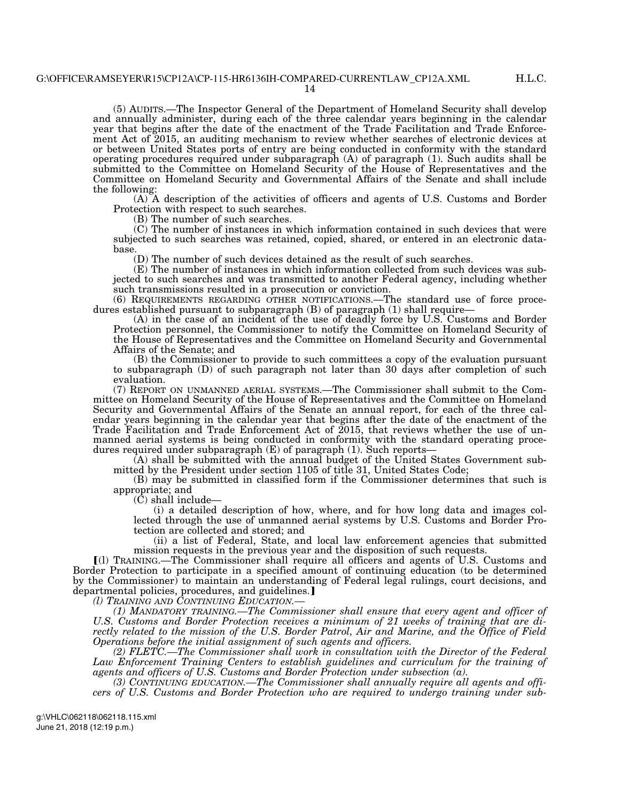14

(5) AUDITS.—The Inspector General of the Department of Homeland Security shall develop and annually administer, during each of the three calendar years beginning in the calendar year that begins after the date of the enactment of the Trade Facilitation and Trade Enforcement Act of 2015, an auditing mechanism to review whether searches of electronic devices at or between United States ports of entry are being conducted in conformity with the standard operating procedures required under subparagraph (A) of paragraph (1). Such audits shall be submitted to the Committee on Homeland Security of the House of Representatives and the Committee on Homeland Security and Governmental Affairs of the Senate and shall include the following:

(A) A description of the activities of officers and agents of U.S. Customs and Border Protection with respect to such searches.

(B) The number of such searches.

(C) The number of instances in which information contained in such devices that were subjected to such searches was retained, copied, shared, or entered in an electronic database.

(D) The number of such devices detained as the result of such searches.

(E) The number of instances in which information collected from such devices was subjected to such searches and was transmitted to another Federal agency, including whether such transmissions resulted in a prosecution or conviction.

(6) REQUIREMENTS REGARDING OTHER NOTIFICATIONS.—The standard use of force procedures established pursuant to subparagraph (B) of paragraph (1) shall require—

(A) in the case of an incident of the use of deadly force by U.S. Customs and Border Protection personnel, the Commissioner to notify the Committee on Homeland Security of the House of Representatives and the Committee on Homeland Security and Governmental Affairs of the Senate; and

(B) the Commissioner to provide to such committees a copy of the evaluation pursuant to subparagraph (D) of such paragraph not later than 30 days after completion of such evaluation.

(7) REPORT ON UNMANNED AERIAL SYSTEMS.—The Commissioner shall submit to the Committee on Homeland Security of the House of Representatives and the Committee on Homeland Security and Governmental Affairs of the Senate an annual report, for each of the three calendar years beginning in the calendar year that begins after the date of the enactment of the Trade Facilitation and Trade Enforcement Act of 2015, that reviews whether the use of unmanned aerial systems is being conducted in conformity with the standard operating procedures required under subparagraph (E) of paragraph (1). Such reports—

(A) shall be submitted with the annual budget of the United States Government submitted by the President under section 1105 of title 31, United States Code;

(B) may be submitted in classified form if the Commissioner determines that such is appropriate; and

 $(\tilde{C})$  shall include—

(i) a detailed description of how, where, and for how long data and images collected through the use of unmanned aerial systems by U.S. Customs and Border Protection are collected and stored; and

(ii) a list of Federal, State, and local law enforcement agencies that submitted

mission requests in the previous year and the disposition of such requests.<br>
[(1) TRAINING.—The Commissioner shall require all officers and agents of U.S. Customs and Border Protection to participate in a specified amount of continuing education (to be determined by the Commissioner) to maintain an understanding of Federal legal rulings, court decisions, and departmental policies, procedures, and guidelines.]

*(l) TRAINING AND CONTINUING EDUCATION.—* 

*(1) MANDATORY TRAINING.—The Commissioner shall ensure that every agent and officer of U.S. Customs and Border Protection receives a minimum of 21 weeks of training that are directly related to the mission of the U.S. Border Patrol, Air and Marine, and the Office of Field Operations before the initial assignment of such agents and officers.* 

*(2) FLETC.—The Commissioner shall work in consultation with the Director of the Federal*  Law Enforcement Training Centers to establish guidelines and curriculum for the training of *agents and officers of U.S. Customs and Border Protection under subsection (a).* 

*(3) CONTINUING EDUCATION.—The Commissioner shall annually require all agents and officers of U.S. Customs and Border Protection who are required to undergo training under sub-*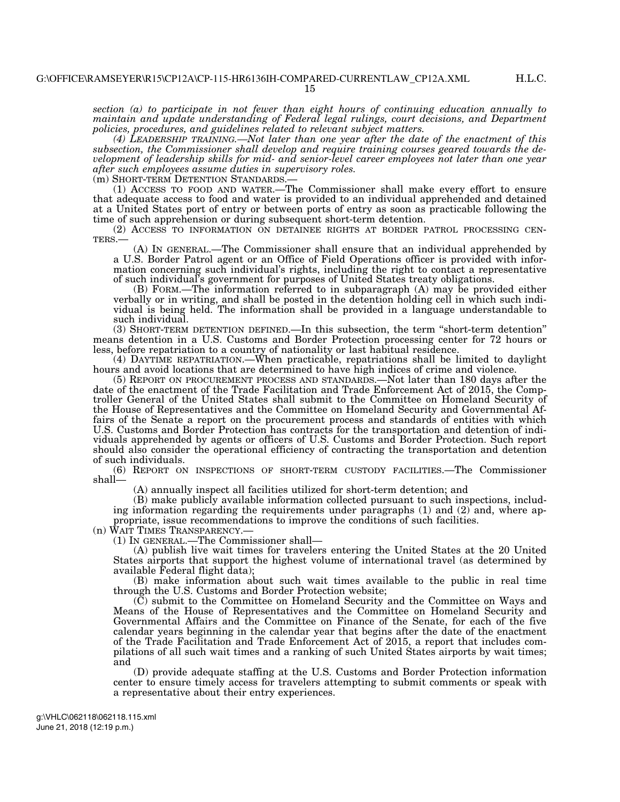*section (a) to participate in not fewer than eight hours of continuing education annually to maintain and update understanding of Federal legal rulings, court decisions, and Department policies, procedures, and guidelines related to relevant subject matters.* 

*(4) LEADERSHIP TRAINING.—Not later than one year after the date of the enactment of this subsection, the Commissioner shall develop and require training courses geared towards the development of leadership skills for mid- and senior-level career employees not later than one year after such employees assume duties in supervisory roles.* 

 $(1)$  ACCESS TO FOOD AND WATER.—The Commissioner shall make every effort to ensure that adequate access to food and water is provided to an individual apprehended and detained at a United States port of entry or between ports of entry as soon as practicable following the time of such apprehension or during subsequent short-term detention.<br>(2) ACCESS TO INFORMATION ON DETAINEE RIGHTS AT BORDER PATROL PROCESSING CEN-

TERS.—  $(A)$  IN GENERAL.—The Commissioner shall ensure that an individual apprehended by a U.S. Border Patrol agent or an Office of Field Operations officer is provided with information concerning such individual's rights, including the right to contact a representative of such individual's government for purposes of United States treaty obligations.

(B) FORM.—The information referred to in subparagraph (A) may be provided either verbally or in writing, and shall be posted in the detention holding cell in which such individual is being held. The information shall be provided in a language understandable to such individual.

(3) SHORT-TERM DETENTION DEFINED.—In this subsection, the term ''short-term detention'' means detention in a U.S. Customs and Border Protection processing center for 72 hours or less, before repatriation to a country of nationality or last habitual residence.

(4) DAYTIME REPATRIATION.—When practicable, repatriations shall be limited to daylight hours and avoid locations that are determined to have high indices of crime and violence.

(5) REPORT ON PROCUREMENT PROCESS AND STANDARDS.—Not later than 180 days after the date of the enactment of the Trade Facilitation and Trade Enforcement Act of 2015, the Comptroller General of the United States shall submit to the Committee on Homeland Security of the House of Representatives and the Committee on Homeland Security and Governmental Affairs of the Senate a report on the procurement process and standards of entities with which U.S. Customs and Border Protection has contracts for the transportation and detention of individuals apprehended by agents or officers of U.S. Customs and Border Protection. Such report should also consider the operational efficiency of contracting the transportation and detention of such individuals.

(6) REPORT ON INSPECTIONS OF SHORT-TERM CUSTODY FACILITIES.—The Commissioner shall—

(A) annually inspect all facilities utilized for short-term detention; and

(B) make publicly available information collected pursuant to such inspections, including information regarding the requirements under paragraphs (1) and (2) and, where appropriate, issue recommendations to improve the conditions of such facilities.

(n) WAIT TIMES TRANSPARENCY.—

(1) IN GENERAL.—The Commissioner shall—

(A) publish live wait times for travelers entering the United States at the 20 United States airports that support the highest volume of international travel (as determined by available Federal flight data);

(B) make information about such wait times available to the public in real time through the U.S. Customs and Border Protection website;

(C) submit to the Committee on Homeland Security and the Committee on Ways and Means of the House of Representatives and the Committee on Homeland Security and Governmental Affairs and the Committee on Finance of the Senate, for each of the five calendar years beginning in the calendar year that begins after the date of the enactment of the Trade Facilitation and Trade Enforcement Act of 2015, a report that includes compilations of all such wait times and a ranking of such United States airports by wait times; and

(D) provide adequate staffing at the U.S. Customs and Border Protection information center to ensure timely access for travelers attempting to submit comments or speak with a representative about their entry experiences.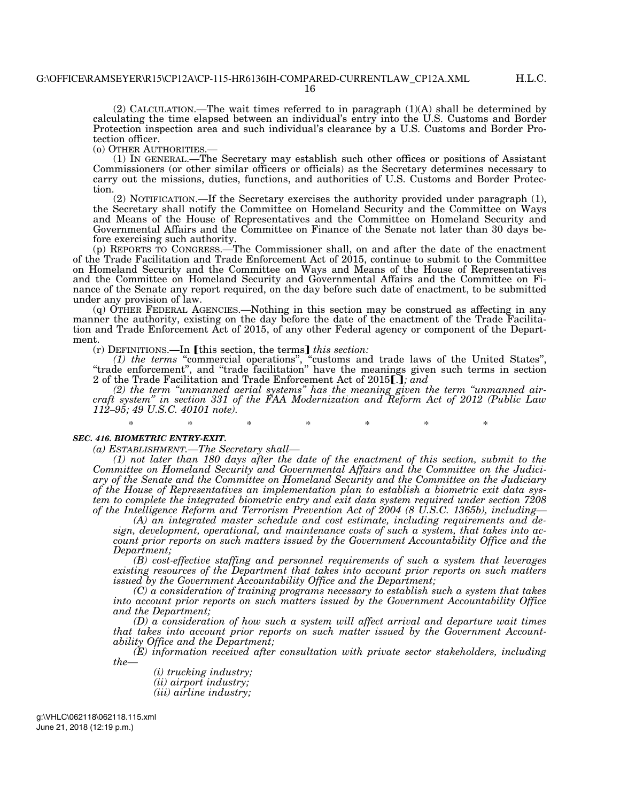H.L.C.

(2) CALCULATION.—The wait times referred to in paragraph (1)(A) shall be determined by calculating the time elapsed between an individual's entry into the U.S. Customs and Border Protection inspection area and such individual's clearance by a U.S. Customs and Border Protection officer.<br>(o) OTHER AUTHORITIES.

 $(1)$  IN GENERAL.—The Secretary may establish such other offices or positions of Assistant Commissioners (or other similar officers or officials) as the Secretary determines necessary to carry out the missions, duties, functions, and authorities of U.S. Customs and Border Protection.

(2) NOTIFICATION.—If the Secretary exercises the authority provided under paragraph (1), the Secretary shall notify the Committee on Homeland Security and the Committee on Ways and Means of the House of Representatives and the Committee on Homeland Security and Governmental Affairs and the Committee on Finance of the Senate not later than 30 days before exercising such authority.

(p) REPORTS TO CONGRESS.—The Commissioner shall, on and after the date of the enactment of the Trade Facilitation and Trade Enforcement Act of 2015, continue to submit to the Committee on Homeland Security and the Committee on Ways and Means of the House of Representatives and the Committee on Homeland Security and Governmental Affairs and the Committee on Finance of the Senate any report required, on the day before such date of enactment, to be submitted under any provision of law.

(q) OTHER FEDERAL AGENCIES.—Nothing in this section may be construed as affecting in any manner the authority, existing on the day before the date of the enactment of the Trade Facilitation and Trade Enforcement Act of 2015, of any other Federal agency or component of the Department.

(r) DEFINITIONS.—In [this section, the terms] *this section:* 

*(1) the terms* ''commercial operations'', ''customs and trade laws of the United States'', ''trade enforcement'', and ''trade facilitation'' have the meanings given such terms in section 2 of the Trade Facilitation and Trade Enforcement Act of 2015**[.]**; and

*(2) the term ''unmanned aerial systems'' has the meaning given the term ''unmanned aircraft system'' in section 331 of the FAA Modernization and Reform Act of 2012 (Public Law 112–95; 49 U.S.C. 40101 note).* 

\* \* \* \* \* \* \*

*SEC. 416. BIOMETRIC ENTRY-EXIT.* 

*(a) ESTABLISHMENT.—The Secretary shall—* 

*(1) not later than 180 days after the date of the enactment of this section, submit to the Committee on Homeland Security and Governmental Affairs and the Committee on the Judiciary of the Senate and the Committee on Homeland Security and the Committee on the Judiciary of the House of Representatives an implementation plan to establish a biometric exit data system to complete the integrated biometric entry and exit data system required under section 7208 of the Intelligence Reform and Terrorism Prevention Act of 2004 (8 U.S.C. 1365b), including—* 

*(A) an integrated master schedule and cost estimate, including requirements and design, development, operational, and maintenance costs of such a system, that takes into account prior reports on such matters issued by the Government Accountability Office and the Department;* 

*(B) cost-effective staffing and personnel requirements of such a system that leverages existing resources of the Department that takes into account prior reports on such matters issued by the Government Accountability Office and the Department;* 

*(C) a consideration of training programs necessary to establish such a system that takes into account prior reports on such matters issued by the Government Accountability Office and the Department;* 

*(D) a consideration of how such a system will affect arrival and departure wait times that takes into account prior reports on such matter issued by the Government Accountability Office and the Department;* 

*(E) information received after consultation with private sector stakeholders, including the—* 

*(i) trucking industry; (ii) airport industry; (iii) airline industry;*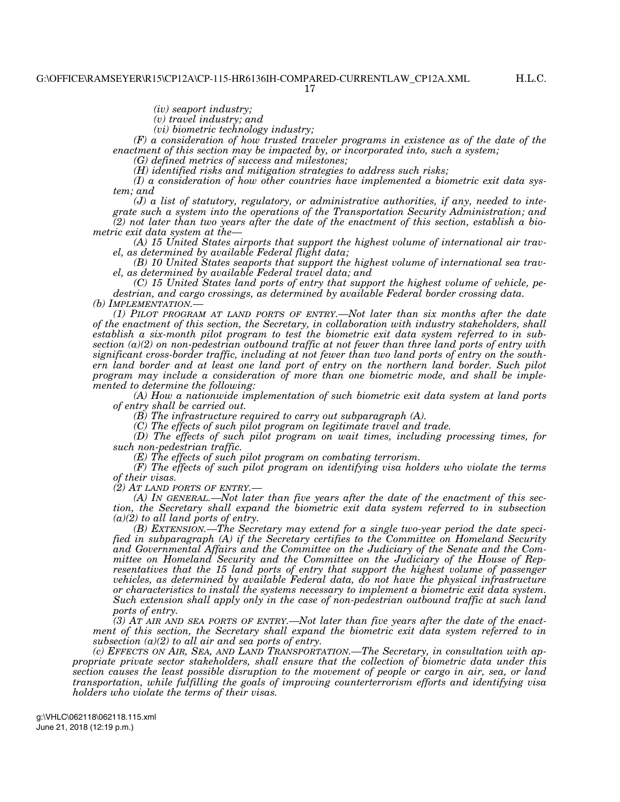*(iv) seaport industry;* 

*(v) travel industry; and* 

*(vi) biometric technology industry;* 

*(F) a consideration of how trusted traveler programs in existence as of the date of the enactment of this section may be impacted by, or incorporated into, such a system;* 

*(G) defined metrics of success and milestones;* 

*(H) identified risks and mitigation strategies to address such risks;* 

*(I) a consideration of how other countries have implemented a biometric exit data system; and* 

*(J) a list of statutory, regulatory, or administrative authorities, if any, needed to integrate such a system into the operations of the Transportation Security Administration; and (2) not later than two years after the date of the enactment of this section, establish a biometric exit data system at the—* 

*(A) 15 United States airports that support the highest volume of international air travel, as determined by available Federal flight data;* 

*(B) 10 United States seaports that support the highest volume of international sea travel, as determined by available Federal travel data; and* 

*(C) 15 United States land ports of entry that support the highest volume of vehicle, pedestrian, and cargo crossings, as determined by available Federal border crossing data. (b) IMPLEMENTATION.—* 

*(1) PILOT PROGRAM AT LAND PORTS OF ENTRY.—Not later than six months after the date of the enactment of this section, the Secretary, in collaboration with industry stakeholders, shall establish a six-month pilot program to test the biometric exit data system referred to in subsection (a)(2) on non-pedestrian outbound traffic at not fewer than three land ports of entry with significant cross-border traffic, including at not fewer than two land ports of entry on the southern land border and at least one land port of entry on the northern land border. Such pilot program may include a consideration of more than one biometric mode, and shall be implemented to determine the following:* 

*(A) How a nationwide implementation of such biometric exit data system at land ports of entry shall be carried out.* 

*(B) The infrastructure required to carry out subparagraph (A).* 

*(C) The effects of such pilot program on legitimate travel and trade.* 

*(D) The effects of such pilot program on wait times, including processing times, for such non-pedestrian traffic.* 

*(E) The effects of such pilot program on combating terrorism.* 

*(F) The effects of such pilot program on identifying visa holders who violate the terms of their visas.* 

*(2) AT LAND PORTS OF ENTRY.—* 

*(A) IN GENERAL.—Not later than five years after the date of the enactment of this section, the Secretary shall expand the biometric exit data system referred to in subsection (a)(2) to all land ports of entry.* 

*(B) EXTENSION.—The Secretary may extend for a single two-year period the date specified in subparagraph (A) if the Secretary certifies to the Committee on Homeland Security and Governmental Affairs and the Committee on the Judiciary of the Senate and the Committee on Homeland Security and the Committee on the Judiciary of the House of Representatives that the 15 land ports of entry that support the highest volume of passenger vehicles, as determined by available Federal data, do not have the physical infrastructure or characteristics to install the systems necessary to implement a biometric exit data system. Such extension shall apply only in the case of non-pedestrian outbound traffic at such land ports of entry.* 

*(3) AT AIR AND SEA PORTS OF ENTRY.—Not later than five years after the date of the enactment of this section, the Secretary shall expand the biometric exit data system referred to in subsection (a)(2) to all air and sea ports of entry.* 

*(c) EFFECTS ON AIR, SEA, AND LAND TRANSPORTATION.—The Secretary, in consultation with appropriate private sector stakeholders, shall ensure that the collection of biometric data under this section causes the least possible disruption to the movement of people or cargo in air, sea, or land transportation, while fulfilling the goals of improving counterterrorism efforts and identifying visa holders who violate the terms of their visas.*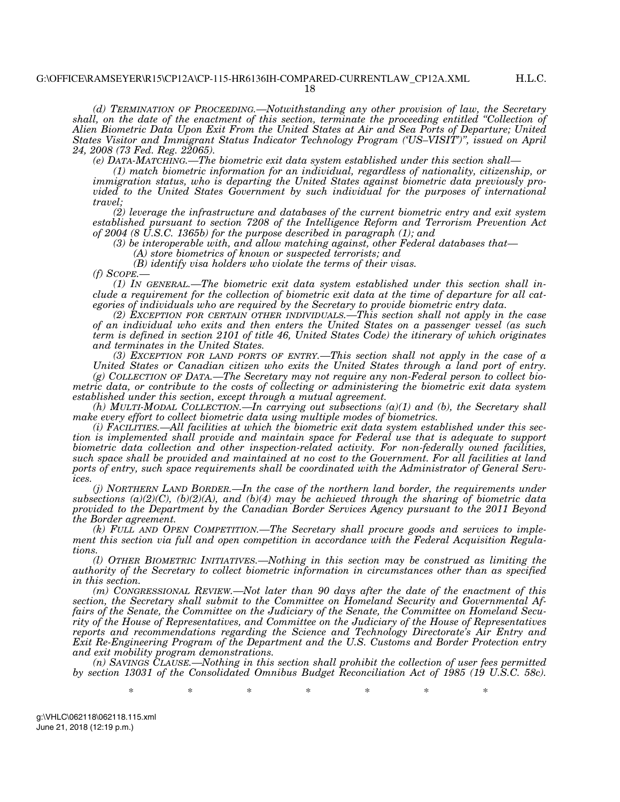*(d) TERMINATION OF PROCEEDING.—Notwithstanding any other provision of law, the Secretary shall, on the date of the enactment of this section, terminate the proceeding entitled ''Collection of Alien Biometric Data Upon Exit From the United States at Air and Sea Ports of Departure; United States Visitor and Immigrant Status Indicator Technology Program ('US–VISIT')'', issued on April 24, 2008 (73 Fed. Reg. 22065).* 

*(e) DATA-MATCHING.—The biometric exit data system established under this section shall—* 

*(1) match biometric information for an individual, regardless of nationality, citizenship, or immigration status, who is departing the United States against biometric data previously provided to the United States Government by such individual for the purposes of international travel;* 

*(2) leverage the infrastructure and databases of the current biometric entry and exit system established pursuant to section 7208 of the Intelligence Reform and Terrorism Prevention Act of 2004 (8 U.S.C. 1365b) for the purpose described in paragraph (1); and* 

*(3) be interoperable with, and allow matching against, other Federal databases that—* 

*(A) store biometrics of known or suspected terrorists; and* 

*(B) identify visa holders who violate the terms of their visas.* 

*(f) SCOPE.—* 

*(1) IN GENERAL.—The biometric exit data system established under this section shall include a requirement for the collection of biometric exit data at the time of departure for all categories of individuals who are required by the Secretary to provide biometric entry data.* 

*(2) EXCEPTION FOR CERTAIN OTHER INDIVIDUALS.—This section shall not apply in the case of an individual who exits and then enters the United States on a passenger vessel (as such term is defined in section 2101 of title 46, United States Code) the itinerary of which originates and terminates in the United States.* 

*(3) EXCEPTION FOR LAND PORTS OF ENTRY.—This section shall not apply in the case of a United States or Canadian citizen who exits the United States through a land port of entry.* 

*(g) COLLECTION OF DATA.—The Secretary may not require any non-Federal person to collect biometric data, or contribute to the costs of collecting or administering the biometric exit data system established under this section, except through a mutual agreement.* 

*(h) MULTI-MODAL COLLECTION.—In carrying out subsections (a)(1) and (b), the Secretary shall make every effort to collect biometric data using multiple modes of biometrics.* 

*(i) FACILITIES.—All facilities at which the biometric exit data system established under this section is implemented shall provide and maintain space for Federal use that is adequate to support biometric data collection and other inspection-related activity. For non-federally owned facilities, such space shall be provided and maintained at no cost to the Government. For all facilities at land ports of entry, such space requirements shall be coordinated with the Administrator of General Services.* 

*(j) NORTHERN LAND BORDER.—In the case of the northern land border, the requirements under subsections (a)(2)(C), (b)(2)(A), and (b)(4) may be achieved through the sharing of biometric data provided to the Department by the Canadian Border Services Agency pursuant to the 2011 Beyond the Border agreement.* 

*(k) FULL AND OPEN COMPETITION.—The Secretary shall procure goods and services to implement this section via full and open competition in accordance with the Federal Acquisition Regulations.* 

*(l) OTHER BIOMETRIC INITIATIVES.—Nothing in this section may be construed as limiting the authority of the Secretary to collect biometric information in circumstances other than as specified in this section.* 

*(m) CONGRESSIONAL REVIEW.—Not later than 90 days after the date of the enactment of this section, the Secretary shall submit to the Committee on Homeland Security and Governmental Affairs of the Senate, the Committee on the Judiciary of the Senate, the Committee on Homeland Security of the House of Representatives, and Committee on the Judiciary of the House of Representatives reports and recommendations regarding the Science and Technology Directorate's Air Entry and Exit Re-Engineering Program of the Department and the U.S. Customs and Border Protection entry and exit mobility program demonstrations.* 

*(n) SAVINGS CLAUSE.—Nothing in this section shall prohibit the collection of user fees permitted by section 13031 of the Consolidated Omnibus Budget Reconciliation Act of 1985 (19 U.S.C. 58c).* 

\* \* \* \* \* \* \* \*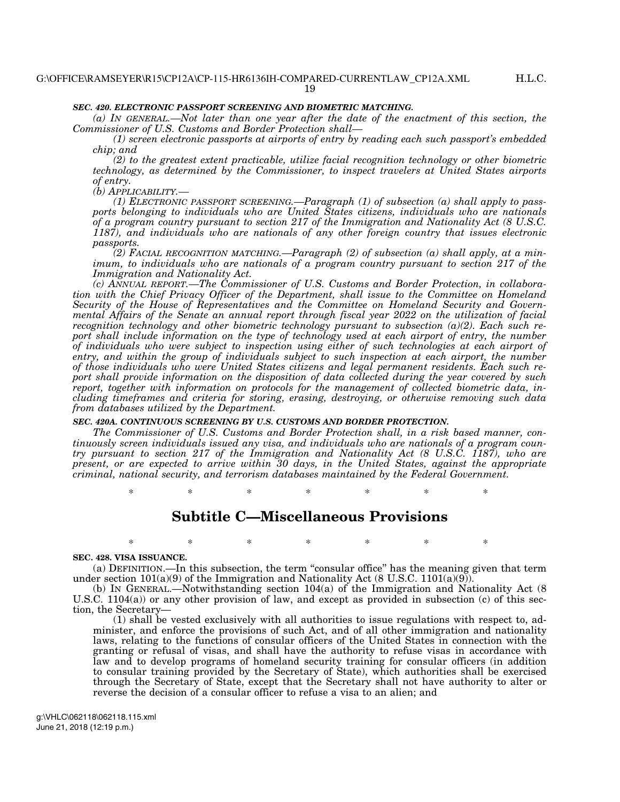## H.L.C.

19

## *SEC. 420. ELECTRONIC PASSPORT SCREENING AND BIOMETRIC MATCHING.*

*(a) IN GENERAL.—Not later than one year after the date of the enactment of this section, the Commissioner of U.S. Customs and Border Protection shall—* 

*(1) screen electronic passports at airports of entry by reading each such passport's embedded chip; and* 

*(2) to the greatest extent practicable, utilize facial recognition technology or other biometric technology, as determined by the Commissioner, to inspect travelers at United States airports of entry.* 

*(b) APPLICABILITY.—* 

*(1) ELECTRONIC PASSPORT SCREENING.—Paragraph (1) of subsection (a) shall apply to passports belonging to individuals who are United States citizens, individuals who are nationals of a program country pursuant to section 217 of the Immigration and Nationality Act (8 U.S.C. 1187), and individuals who are nationals of any other foreign country that issues electronic passports.* 

*(2) FACIAL RECOGNITION MATCHING.—Paragraph (2) of subsection (a) shall apply, at a minimum, to individuals who are nationals of a program country pursuant to section 217 of the Immigration and Nationality Act.* 

*(c) ANNUAL REPORT.—The Commissioner of U.S. Customs and Border Protection, in collaboration with the Chief Privacy Officer of the Department, shall issue to the Committee on Homeland Security of the House of Representatives and the Committee on Homeland Security and Governmental Affairs of the Senate an annual report through fiscal year 2022 on the utilization of facial recognition technology and other biometric technology pursuant to subsection (a)(2). Each such report shall include information on the type of technology used at each airport of entry, the number of individuals who were subject to inspection using either of such technologies at each airport of entry, and within the group of individuals subject to such inspection at each airport, the number of those individuals who were United States citizens and legal permanent residents. Each such report shall provide information on the disposition of data collected during the year covered by such report, together with information on protocols for the management of collected biometric data, including timeframes and criteria for storing, erasing, destroying, or otherwise removing such data from databases utilized by the Department.* 

## *SEC. 420A. CONTINUOUS SCREENING BY U.S. CUSTOMS AND BORDER PROTECTION.*

*The Commissioner of U.S. Customs and Border Protection shall, in a risk based manner, continuously screen individuals issued any visa, and individuals who are nationals of a program country pursuant to section 217 of the Immigration and Nationality Act (8 U.S.C. 1187), who are present, or are expected to arrive within 30 days, in the United States, against the appropriate criminal, national security, and terrorism databases maintained by the Federal Government.* 

\* \* \* \* \* \* \*

# **Subtitle C—Miscellaneous Provisions**

\* \* \* \* \* \* \*

**SEC. 428. VISA ISSUANCE.** 

(a) DEFINITION.—In this subsection, the term ''consular office'' has the meaning given that term under section  $101(a)(9)$  of the Immigration and Nationality Act (8 U.S.C.  $1101(a)(9)$ ).

(b) IN GENERAL.—Notwithstanding section 104(a) of the Immigration and Nationality Act (8 U.S.C. 1104(a)) or any other provision of law, and except as provided in subsection (c) of this section, the Secretary—

(1) shall be vested exclusively with all authorities to issue regulations with respect to, administer, and enforce the provisions of such Act, and of all other immigration and nationality laws, relating to the functions of consular officers of the United States in connection with the granting or refusal of visas, and shall have the authority to refuse visas in accordance with law and to develop programs of homeland security training for consular officers (in addition to consular training provided by the Secretary of State), which authorities shall be exercised through the Secretary of State, except that the Secretary shall not have authority to alter or reverse the decision of a consular officer to refuse a visa to an alien; and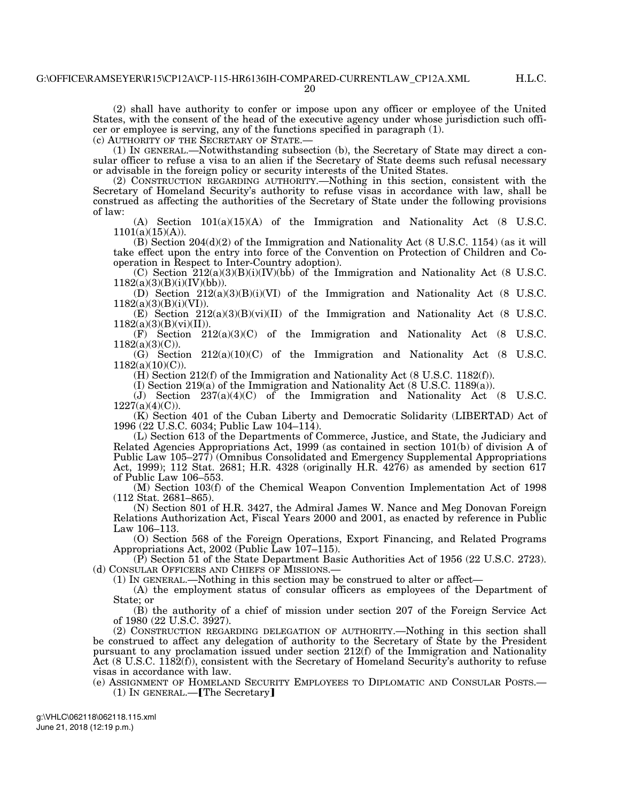(2) shall have authority to confer or impose upon any officer or employee of the United States, with the consent of the head of the executive agency under whose jurisdiction such officer or employee is serving, any of the functions specified in paragraph (1).

(c) AUTHORITY OF THE SECRETARY OF STATE.—

(1) IN GENERAL.—Notwithstanding subsection (b), the Secretary of State may direct a consular officer to refuse a visa to an alien if the Secretary of State deems such refusal necessary or advisable in the foreign policy or security interests of the United States.

(2) CONSTRUCTION REGARDING AUTHORITY.—Nothing in this section, consistent with the Secretary of Homeland Security's authority to refuse visas in accordance with law, shall be construed as affecting the authorities of the Secretary of State under the following provisions of law:

(A) Section  $101(a)(15)(A)$  of the Immigration and Nationality Act (8 U.S.C.  $1101(a)(15)(A)).$ 

(B) Section 204(d)(2) of the Immigration and Nationality Act (8 U.S.C. 1154) (as it will take effect upon the entry into force of the Convention on Protection of Children and Cooperation in Respect to Inter-Country adoption).

(C) Section  $212(a)(3)(B)(i)(IV)(bb)$  of the Immigration and Nationality Act (8 U.S.C.  $1182(a)(3)(B)(i)(IV)(bb)$ ).

(D) Section 212(a)(3)(B)(i)(VI) of the Immigration and Nationality Act (8 U.S.C. 1182(a)(3)(B)(i)(VI)).

(E) Section  $212(a)(3)(B)(vi)(II)$  of the Immigration and Nationality Act (8 U.S.C.  $1182(a)(3)(B)(vi)(II)$ .

(F) Section  $212(a)(3)(C)$  of the Immigration and Nationality Act (8 U.S.C.  $1182(a)(3)(C)$ ).

 $(G)$  Section 212(a)(10)(C) of the Immigration and Nationality Act (8 U.S.C.  $1182(a)(10)(C)$ .

(H) Section 212(f) of the Immigration and Nationality Act (8 U.S.C. 1182(f)).

(I) Section 219(a) of the Immigration and Nationality Act (8 U.S.C. 1189(a)).

(J) Section  $237(a)(4)(C)$  of the Immigration and Nationality Act (8 U.S.C.  $1227(a)(4)(C)$ ).

(K) Section 401 of the Cuban Liberty and Democratic Solidarity (LIBERTAD) Act of 1996 (22 U.S.C. 6034; Public Law 104–114).

(L) Section 613 of the Departments of Commerce, Justice, and State, the Judiciary and Related Agencies Appropriations Act, 1999 (as contained in section 101(b) of division A of Public Law 105–277) (Omnibus Consolidated and Emergency Supplemental Appropriations Act, 1999); 112 Stat. 2681; H.R. 4328 (originally H.R. 4276) as amended by section 617 of Public Law 106–553.

(M) Section 103(f) of the Chemical Weapon Convention Implementation Act of 1998 (112 Stat. 2681–865).

(N) Section 801 of H.R. 3427, the Admiral James W. Nance and Meg Donovan Foreign Relations Authorization Act, Fiscal Years 2000 and 2001, as enacted by reference in Public Law 106–113.

(O) Section 568 of the Foreign Operations, Export Financing, and Related Programs Appropriations Act, 2002 (Public Law 107–115).

(P) Section 51 of the State Department Basic Authorities Act of 1956 (22 U.S.C. 2723). (d) CONSULAR OFFICERS AND CHIEFS OF MISSIONS.—

(1) IN GENERAL.—Nothing in this section may be construed to alter or affect—

(A) the employment status of consular officers as employees of the Department of State; or

(B) the authority of a chief of mission under section 207 of the Foreign Service Act of 1980 (22 U.S.C. 3927).

(2) CONSTRUCTION REGARDING DELEGATION OF AUTHORITY.—Nothing in this section shall be construed to affect any delegation of authority to the Secretary of State by the President pursuant to any proclamation issued under section 212(f) of the Immigration and Nationality Act (8 U.S.C. 1182(f)), consistent with the Secretary of Homeland Security's authority to refuse visas in accordance with law.

(e) ASSIGNMENT OF HOMELAND SECURITY EMPLOYEES TO DIPLOMATIC AND CONSULAR POSTS.—  $(1)$  In GENERAL.—**[The Secretary**]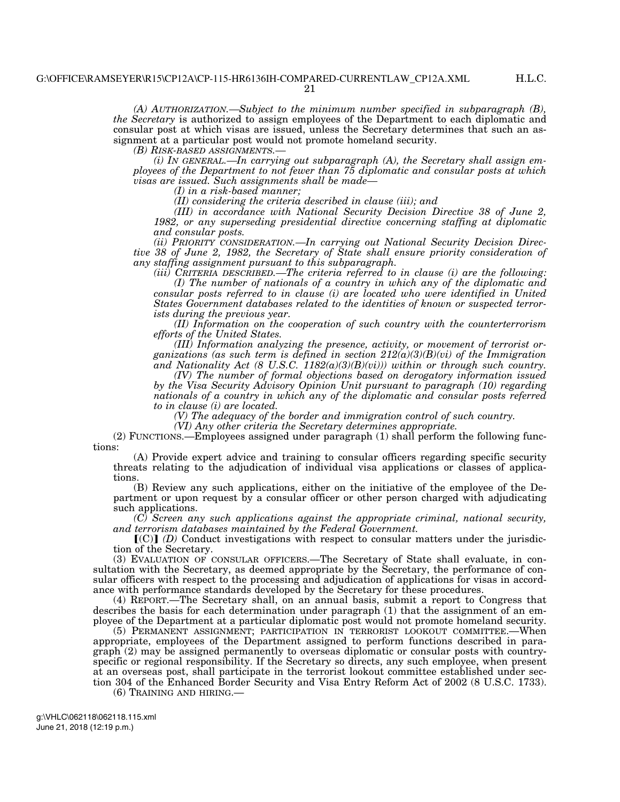*(A) AUTHORIZATION.—Subject to the minimum number specified in subparagraph (B), the Secretary* is authorized to assign employees of the Department to each diplomatic and consular post at which visas are issued, unless the Secretary determines that such an assignment at a particular post would not promote homeland security.

*(B) RISK-BASED ASSIGNMENTS.—* 

*(i) IN GENERAL.—In carrying out subparagraph (A), the Secretary shall assign employees of the Department to not fewer than 75 diplomatic and consular posts at which visas are issued. Such assignments shall be made—* 

*(I) in a risk-based manner;* 

*(II) considering the criteria described in clause (iii); and* 

*(III) in accordance with National Security Decision Directive 38 of June 2, 1982, or any superseding presidential directive concerning staffing at diplomatic and consular posts.* 

*(ii) PRIORITY CONSIDERATION.—In carrying out National Security Decision Directive 38 of June 2, 1982, the Secretary of State shall ensure priority consideration of any staffing assignment pursuant to this subparagraph.* 

*(iii)* CRITERIA DESCRIBED.—The criteria referred to in clause *(i)* are the following: *(I) The number of nationals of a country in which any of the diplomatic and consular posts referred to in clause (i) are located who were identified in United States Government databases related to the identities of known or suspected terrorists during the previous year.* 

*(II) Information on the cooperation of such country with the counterterrorism efforts of the United States.* 

*(III) Information analyzing the presence, activity, or movement of terrorist organizations (as such term is defined in section*  $2I2(a)(3)(B)(vi)$  *of the Immigration and Nationality Act (8 U.S.C. 1182(a)(3)(B)(vi))) within or through such country.* 

*(IV) The number of formal objections based on derogatory information issued by the Visa Security Advisory Opinion Unit pursuant to paragraph (10) regarding nationals of a country in which any of the diplomatic and consular posts referred to in clause (i) are located.* 

*(V) The adequacy of the border and immigration control of such country.* 

*(VI) Any other criteria the Secretary determines appropriate.* 

(2) FUNCTIONS.—Employees assigned under paragraph (1) shall perform the following functions:

(A) Provide expert advice and training to consular officers regarding specific security threats relating to the adjudication of individual visa applications or classes of applications.

(B) Review any such applications, either on the initiative of the employee of the Department or upon request by a consular officer or other person charged with adjudicating such applications.

*(C) Screen any such applications against the appropriate criminal, national security, and terrorism databases maintained by the Federal Government.* 

 $\lbrack\!\lbrack\text{C}\rbrack\rbrack$  *(D)* Conduct investigations with respect to consular matters under the jurisdiction of the Secretary.

(3) EVALUATION OF CONSULAR OFFICERS.—The Secretary of State shall evaluate, in consultation with the Secretary, as deemed appropriate by the Secretary, the performance of consular officers with respect to the processing and adjudication of applications for visas in accordance with performance standards developed by the Secretary for these procedures.

(4) REPORT.—The Secretary shall, on an annual basis, submit a report to Congress that describes the basis for each determination under paragraph (1) that the assignment of an employee of the Department at a particular diplomatic post would not promote homeland security.

(5) PERMANENT ASSIGNMENT; PARTICIPATION IN TERRORIST LOOKOUT COMMITTEE.—When appropriate, employees of the Department assigned to perform functions described in paragraph (2) may be assigned permanently to overseas diplomatic or consular posts with countryspecific or regional responsibility. If the Secretary so directs, any such employee, when present at an overseas post, shall participate in the terrorist lookout committee established under section 304 of the Enhanced Border Security and Visa Entry Reform Act of 2002 (8 U.S.C. 1733).

(6) TRAINING AND HIRING.—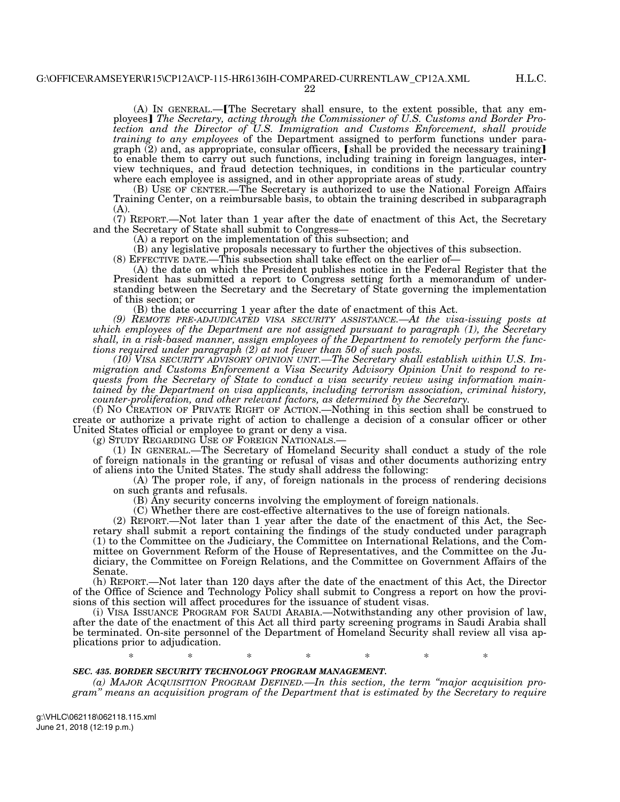$(A)$  In GENERAL.— $[$ The Secretary shall ensure, to the extent possible, that any employees] The Secretary, acting through the Commissioner of U.S. Customs and Border Pro*tection and the Director of U.S. Immigration and Customs Enforcement, shall provide training to any employees* of the Department assigned to perform functions under paragraph  $(2)$  and, as appropriate, consular officers, [shall be provided the necessary training] to enable them to carry out such functions, including training in foreign languages, interview techniques, and fraud detection techniques, in conditions in the particular country where each employee is assigned, and in other appropriate areas of study.

(B) USE OF CENTER.—The Secretary is authorized to use the National Foreign Affairs Training Center, on a reimbursable basis, to obtain the training described in subparagraph (A).

(7) REPORT.—Not later than 1 year after the date of enactment of this Act, the Secretary and the Secretary of State shall submit to Congress—

(A) a report on the implementation of this subsection; and

(B) any legislative proposals necessary to further the objectives of this subsection.

(8) EFFECTIVE DATE.—This subsection shall take effect on the earlier of—

(A) the date on which the President publishes notice in the Federal Register that the President has submitted a report to Congress setting forth a memorandum of understanding between the Secretary and the Secretary of State governing the implementation of this section; or

(B) the date occurring 1 year after the date of enactment of this Act.

*(9) REMOTE PRE-ADJUDICATED VISA SECURITY ASSISTANCE.—At the visa-issuing posts at which employees of the Department are not assigned pursuant to paragraph (1), the Secretary shall, in a risk-based manner, assign employees of the Department to remotely perform the functions required under paragraph (2) at not fewer than 50 of such posts.* 

*(10) VISA SECURITY ADVISORY OPINION UNIT.—The Secretary shall establish within U.S. Immigration and Customs Enforcement a Visa Security Advisory Opinion Unit to respond to requests from the Secretary of State to conduct a visa security review using information maintained by the Department on visa applicants, including terrorism association, criminal history, counter-proliferation, and other relevant factors, as determined by the Secretary.* 

(f) NO CREATION OF PRIVATE RIGHT OF ACTION.—Nothing in this section shall be construed to create or authorize a private right of action to challenge a decision of a consular officer or other United States official or employee to grant or deny a visa.<br>(g) STUDY REGARDING USE OF FOREIGN NATIONALS.—

(1) IN GENERAL.—The Secretary of Homeland Security shall conduct a study of the role of foreign nationals in the granting or refusal of visas and other documents authorizing entry of aliens into the United States. The study shall address the following:

(A) The proper role, if any, of foreign nationals in the process of rendering decisions on such grants and refusals.

(B) Any security concerns involving the employment of foreign nationals.

(C) Whether there are cost-effective alternatives to the use of foreign nationals.

(2) REPORT.—Not later than 1 year after the date of the enactment of this Act, the Secretary shall submit a report containing the findings of the study conducted under paragraph (1) to the Committee on the Judiciary, the Committee on International Relations, and the Committee on Government Reform of the House of Representatives, and the Committee on the Judiciary, the Committee on Foreign Relations, and the Committee on Government Affairs of the Senate.

(h) REPORT.—Not later than 120 days after the date of the enactment of this Act, the Director of the Office of Science and Technology Policy shall submit to Congress a report on how the provisions of this section will affect procedures for the issuance of student visas.

(i) VISA ISSUANCE PROGRAM FOR SAUDI ARABIA.—Notwithstanding any other provision of law, after the date of the enactment of this Act all third party screening programs in Saudi Arabia shall be terminated. On-site personnel of the Department of Homeland Security shall review all visa applications prior to adjudication.

\* \* \* \* \* \* \*

## *SEC. 435. BORDER SECURITY TECHNOLOGY PROGRAM MANAGEMENT.*

*(a) MAJOR ACQUISITION PROGRAM DEFINED.—In this section, the term ''major acquisition program'' means an acquisition program of the Department that is estimated by the Secretary to require*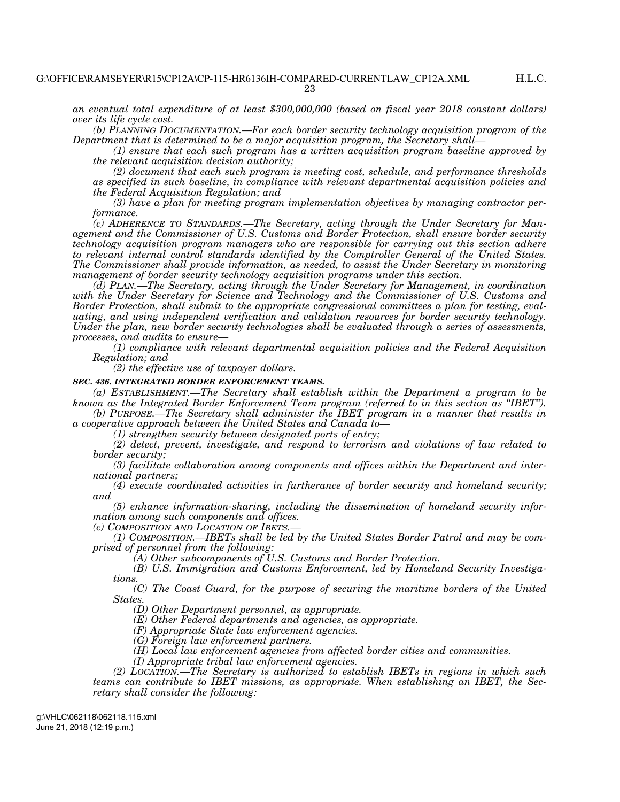*an eventual total expenditure of at least \$300,000,000 (based on fiscal year 2018 constant dollars) over its life cycle cost.* 

*(b) PLANNING DOCUMENTATION.—For each border security technology acquisition program of the Department that is determined to be a major acquisition program, the Secretary shall—* 

*(1) ensure that each such program has a written acquisition program baseline approved by the relevant acquisition decision authority;* 

*(2) document that each such program is meeting cost, schedule, and performance thresholds as specified in such baseline, in compliance with relevant departmental acquisition policies and the Federal Acquisition Regulation; and* 

*(3) have a plan for meeting program implementation objectives by managing contractor performance.* 

*(c) ADHERENCE TO STANDARDS.—The Secretary, acting through the Under Secretary for Management and the Commissioner of U.S. Customs and Border Protection, shall ensure border security technology acquisition program managers who are responsible for carrying out this section adhere to relevant internal control standards identified by the Comptroller General of the United States. The Commissioner shall provide information, as needed, to assist the Under Secretary in monitoring management of border security technology acquisition programs under this section.* 

*(d) PLAN.—The Secretary, acting through the Under Secretary for Management, in coordination with the Under Secretary for Science and Technology and the Commissioner of U.S. Customs and Border Protection, shall submit to the appropriate congressional committees a plan for testing, evaluating, and using independent verification and validation resources for border security technology. Under the plan, new border security technologies shall be evaluated through a series of assessments, processes, and audits to ensure—* 

*(1) compliance with relevant departmental acquisition policies and the Federal Acquisition Regulation; and* 

*(2) the effective use of taxpayer dollars.* 

## *SEC. 436. INTEGRATED BORDER ENFORCEMENT TEAMS.*

*(a) ESTABLISHMENT.—The Secretary shall establish within the Department a program to be known as the Integrated Border Enforcement Team program (referred to in this section as ''IBET'').* 

*(b) PURPOSE.—The Secretary shall administer the IBET program in a manner that results in a cooperative approach between the United States and Canada to—* 

*(1) strengthen security between designated ports of entry;* 

*(2) detect, prevent, investigate, and respond to terrorism and violations of law related to border security;* 

*(3) facilitate collaboration among components and offices within the Department and international partners;* 

*(4) execute coordinated activities in furtherance of border security and homeland security; and* 

*(5) enhance information-sharing, including the dissemination of homeland security information among such components and offices.* 

*(c) COMPOSITION AND LOCATION OF IBETS.—* 

*(1) COMPOSITION.—IBETs shall be led by the United States Border Patrol and may be comprised of personnel from the following:* 

*(A) Other subcomponents of U.S. Customs and Border Protection.* 

*(B) U.S. Immigration and Customs Enforcement, led by Homeland Security Investigations.* 

*(C) The Coast Guard, for the purpose of securing the maritime borders of the United States.* 

*(D) Other Department personnel, as appropriate.* 

*(E) Other Federal departments and agencies, as appropriate.* 

*(F) Appropriate State law enforcement agencies.* 

*(G) Foreign law enforcement partners.* 

*(H) Local law enforcement agencies from affected border cities and communities.* 

*(I) Appropriate tribal law enforcement agencies.* 

*(2) LOCATION.—The Secretary is authorized to establish IBETs in regions in which such teams can contribute to IBET missions, as appropriate. When establishing an IBET, the Secretary shall consider the following:*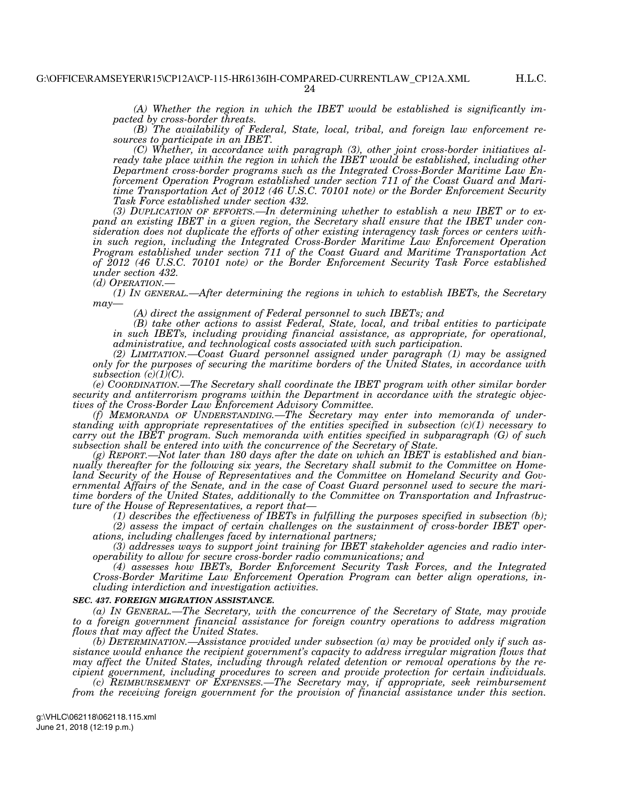H.L.C.

*(A) Whether the region in which the IBET would be established is significantly impacted by cross-border threats.* 

*(B) The availability of Federal, State, local, tribal, and foreign law enforcement resources to participate in an IBET.* 

*(C) Whether, in accordance with paragraph (3), other joint cross-border initiatives already take place within the region in which the IBET would be established, including other Department cross-border programs such as the Integrated Cross-Border Maritime Law Enforcement Operation Program established under section 711 of the Coast Guard and Maritime Transportation Act of 2012 (46 U.S.C. 70101 note) or the Border Enforcement Security Task Force established under section 432.* 

*(3) DUPLICATION OF EFFORTS.—In determining whether to establish a new IBET or to expand an existing IBET in a given region, the Secretary shall ensure that the IBET under consideration does not duplicate the efforts of other existing interagency task forces or centers within such region, including the Integrated Cross-Border Maritime Law Enforcement Operation Program established under section 711 of the Coast Guard and Maritime Transportation Act of 2012 (46 U.S.C. 70101 note) or the Border Enforcement Security Task Force established under section 432.* 

*(d) OPERATION.—* 

*(1) IN GENERAL.—After determining the regions in which to establish IBETs, the Secretary may—* 

*(A) direct the assignment of Federal personnel to such IBETs; and* 

*(B) take other actions to assist Federal, State, local, and tribal entities to participate in such IBETs, including providing financial assistance, as appropriate, for operational, administrative, and technological costs associated with such participation.* 

*(2) LIMITATION.—Coast Guard personnel assigned under paragraph (1) may be assigned only for the purposes of securing the maritime borders of the United States, in accordance with*  subsection  $(c)(1)(C)$ .

*(e) COORDINATION.—The Secretary shall coordinate the IBET program with other similar border security and antiterrorism programs within the Department in accordance with the strategic objectives of the Cross-Border Law Enforcement Advisory Committee.* 

*(f) MEMORANDA OF UNDERSTANDING.—The Secretary may enter into memoranda of understanding with appropriate representatives of the entities specified in subsection (c)(1) necessary to carry out the IBET program. Such memoranda with entities specified in subparagraph (G) of such subsection shall be entered into with the concurrence of the Secretary of State.* 

*(g) REPORT.—Not later than 180 days after the date on which an IBET is established and biannually thereafter for the following six years, the Secretary shall submit to the Committee on Homeland Security of the House of Representatives and the Committee on Homeland Security and Governmental Affairs of the Senate, and in the case of Coast Guard personnel used to secure the maritime borders of the United States, additionally to the Committee on Transportation and Infrastructure of the House of Representatives, a report that—* 

*(1) describes the effectiveness of IBETs in fulfilling the purposes specified in subsection (b);* 

*(2) assess the impact of certain challenges on the sustainment of cross-border IBET operations, including challenges faced by international partners;* 

*(3) addresses ways to support joint training for IBET stakeholder agencies and radio interoperability to allow for secure cross-border radio communications; and* 

*(4) assesses how IBETs, Border Enforcement Security Task Forces, and the Integrated Cross-Border Maritime Law Enforcement Operation Program can better align operations, including interdiction and investigation activities.* 

#### *SEC. 437. FOREIGN MIGRATION ASSISTANCE.*

*(a) IN GENERAL.—The Secretary, with the concurrence of the Secretary of State, may provide to a foreign government financial assistance for foreign country operations to address migration flows that may affect the United States.* 

*(b) DETERMINATION.—Assistance provided under subsection (a) may be provided only if such assistance would enhance the recipient government's capacity to address irregular migration flows that may affect the United States, including through related detention or removal operations by the recipient government, including procedures to screen and provide protection for certain individuals.* 

*(c) REIMBURSEMENT OF EXPENSES.—The Secretary may, if appropriate, seek reimbursement from the receiving foreign government for the provision of financial assistance under this section.*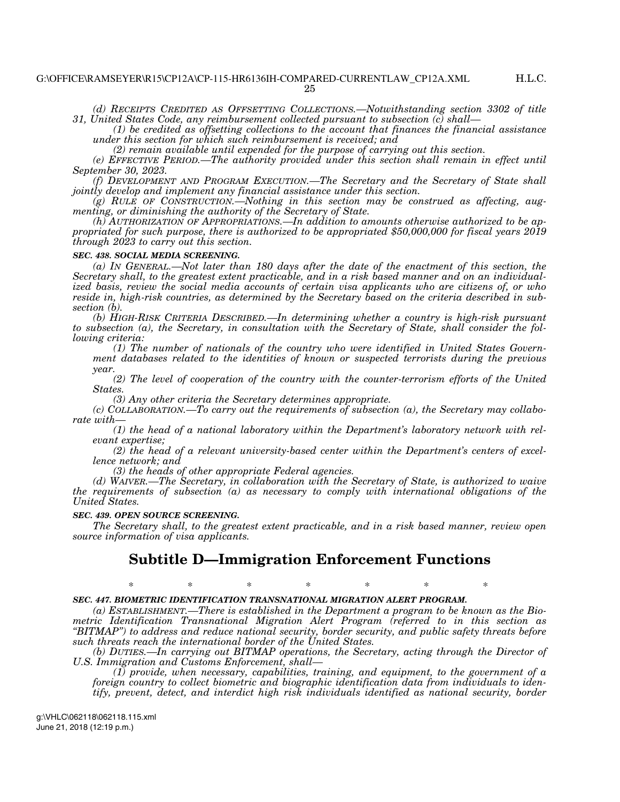*(d) RECEIPTS CREDITED AS OFFSETTING COLLECTIONS.—Notwithstanding section 3302 of title 31, United States Code, any reimbursement collected pursuant to subsection (c) shall—* 

*(1) be credited as offsetting collections to the account that finances the financial assistance under this section for which such reimbursement is received; and* 

*(2) remain available until expended for the purpose of carrying out this section.* 

*(e) EFFECTIVE PERIOD.—The authority provided under this section shall remain in effect until September 30, 2023.* 

*(f) DEVELOPMENT AND PROGRAM EXECUTION.—The Secretary and the Secretary of State shall jointly develop and implement any financial assistance under this section.* 

*(g) RULE OF CONSTRUCTION.—Nothing in this section may be construed as affecting, augmenting, or diminishing the authority of the Secretary of State.* 

*(h) AUTHORIZATION OF APPROPRIATIONS.—In addition to amounts otherwise authorized to be appropriated for such purpose, there is authorized to be appropriated \$50,000,000 for fiscal years 2019 through 2023 to carry out this section.* 

#### *SEC. 438. SOCIAL MEDIA SCREENING.*

*(a) IN GENERAL.—Not later than 180 days after the date of the enactment of this section, the Secretary shall, to the greatest extent practicable, and in a risk based manner and on an individualized basis, review the social media accounts of certain visa applicants who are citizens of, or who reside in, high-risk countries, as determined by the Secretary based on the criteria described in subsection (b).* 

*(b) HIGH-RISK CRITERIA DESCRIBED.—In determining whether a country is high-risk pursuant to subsection (a), the Secretary, in consultation with the Secretary of State, shall consider the following criteria:* 

*(1) The number of nationals of the country who were identified in United States Government databases related to the identities of known or suspected terrorists during the previous year.* 

*(2) The level of cooperation of the country with the counter-terrorism efforts of the United States.* 

*(3) Any other criteria the Secretary determines appropriate.* 

*(c) COLLABORATION.—To carry out the requirements of subsection (a), the Secretary may collaborate with—* 

*(1) the head of a national laboratory within the Department's laboratory network with relevant expertise;* 

*(2) the head of a relevant university-based center within the Department's centers of excellence network; and* 

*(3) the heads of other appropriate Federal agencies.* 

*(d) WAIVER.—The Secretary, in collaboration with the Secretary of State, is authorized to waive the requirements of subsection (a) as necessary to comply with international obligations of the United States.* 

#### *SEC. 439. OPEN SOURCE SCREENING.*

*The Secretary shall, to the greatest extent practicable, and in a risk based manner, review open source information of visa applicants.* 

## **Subtitle D—Immigration Enforcement Functions**

\* \* \* \* \* \* \* \*

*SEC. 447. BIOMETRIC IDENTIFICATION TRANSNATIONAL MIGRATION ALERT PROGRAM.* 

*(a) ESTABLISHMENT.—There is established in the Department a program to be known as the Biometric Identification Transnational Migration Alert Program (referred to in this section as ''BITMAP'') to address and reduce national security, border security, and public safety threats before such threats reach the international border of the United States.* 

*(b) DUTIES.—In carrying out BITMAP operations, the Secretary, acting through the Director of U.S. Immigration and Customs Enforcement, shall—* 

*(1) provide, when necessary, capabilities, training, and equipment, to the government of a foreign country to collect biometric and biographic identification data from individuals to identify, prevent, detect, and interdict high risk individuals identified as national security, border*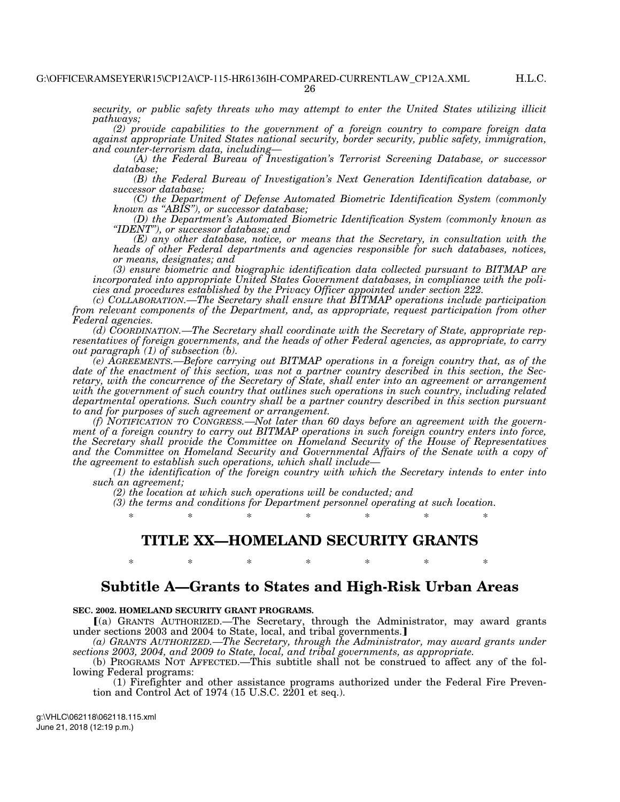$26$ 

*security, or public safety threats who may attempt to enter the United States utilizing illicit pathways;* 

*(2) provide capabilities to the government of a foreign country to compare foreign data against appropriate United States national security, border security, public safety, immigration, and counter-terrorism data, including—* 

*(A) the Federal Bureau of Investigation's Terrorist Screening Database, or successor database;* 

*(B) the Federal Bureau of Investigation's Next Generation Identification database, or successor database;* 

*(C) the Department of Defense Automated Biometric Identification System (commonly known as ''ABIS''), or successor database;* 

*(D) the Department's Automated Biometric Identification System (commonly known as ''IDENT''), or successor database; and* 

*(E) any other database, notice, or means that the Secretary, in consultation with the heads of other Federal departments and agencies responsible for such databases, notices, or means, designates; and* 

*(3) ensure biometric and biographic identification data collected pursuant to BITMAP are incorporated into appropriate United States Government databases, in compliance with the policies and procedures established by the Privacy Officer appointed under section 222.* 

*(c) COLLABORATION.—The Secretary shall ensure that BITMAP operations include participation from relevant components of the Department, and, as appropriate, request participation from other Federal agencies.* 

*(d) COORDINATION.—The Secretary shall coordinate with the Secretary of State, appropriate representatives of foreign governments, and the heads of other Federal agencies, as appropriate, to carry out paragraph (1) of subsection (b).* 

*(e) AGREEMENTS.—Before carrying out BITMAP operations in a foreign country that, as of the date of the enactment of this section, was not a partner country described in this section, the Secretary, with the concurrence of the Secretary of State, shall enter into an agreement or arrangement with the government of such country that outlines such operations in such country, including related departmental operations. Such country shall be a partner country described in this section pursuant to and for purposes of such agreement or arrangement.* 

*(f) NOTIFICATION TO CONGRESS.—Not later than 60 days before an agreement with the government of a foreign country to carry out BITMAP operations in such foreign country enters into force, the Secretary shall provide the Committee on Homeland Security of the House of Representatives*  and the Committee on Homeland Security and Governmental Affairs of the Senate with a copy of *the agreement to establish such operations, which shall include—* 

*(1) the identification of the foreign country with which the Secretary intends to enter into such an agreement;* 

*(2) the location at which such operations will be conducted; and* 

*(3) the terms and conditions for Department personnel operating at such location.*  \* \* \* \* \* \* \*

# **TITLE XX—HOMELAND SECURITY GRANTS**

\* \* \* \* \* \* \*

# **Subtitle A—Grants to States and High-Risk Urban Areas**

## **SEC. 2002. HOMELAND SECURITY GRANT PROGRAMS.**

ø(a) GRANTS AUTHORIZED.—The Secretary, through the Administrator, may award grants under sections 2003 and 2004 to State, local, and tribal governments.]

*(a) GRANTS AUTHORIZED.—The Secretary, through the Administrator, may award grants under sections 2003, 2004, and 2009 to State, local, and tribal governments, as appropriate.* 

(b) PROGRAMS NOT AFFECTED.—This subtitle shall not be construed to affect any of the following Federal programs:

(1) Firefighter and other assistance programs authorized under the Federal Fire Prevention and Control Act of 1974 (15 U.S.C. 2201 et seq.).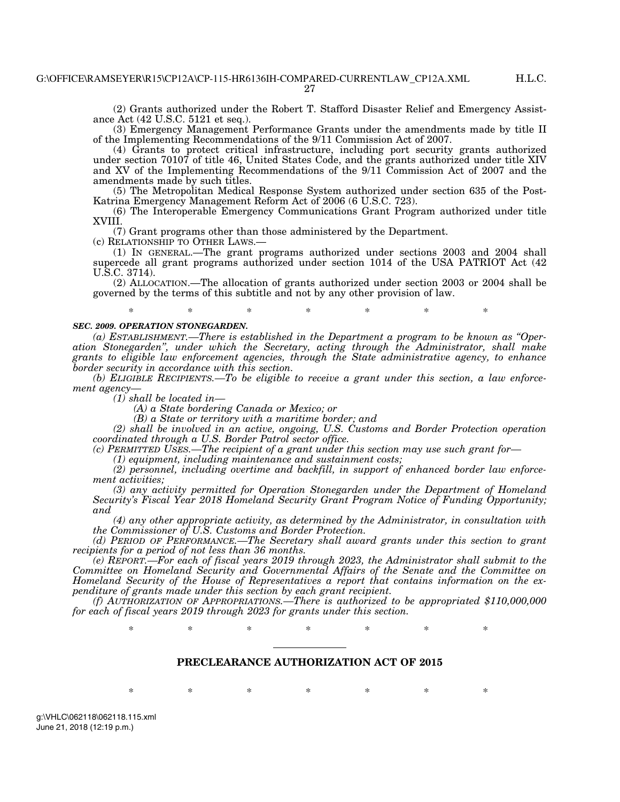27

(2) Grants authorized under the Robert T. Stafford Disaster Relief and Emergency Assistance Act (42 U.S.C. 5121 et seq.).

(3) Emergency Management Performance Grants under the amendments made by title II of the Implementing Recommendations of the 9/11 Commission Act of 2007.

(4) Grants to protect critical infrastructure, including port security grants authorized under section 70107 of title 46, United States Code, and the grants authorized under title XIV and XV of the Implementing Recommendations of the 9/11 Commission Act of 2007 and the amendments made by such titles.

(5) The Metropolitan Medical Response System authorized under section 635 of the Post-Katrina Emergency Management Reform Act of 2006 (6 U.S.C. 723).

(6) The Interoperable Emergency Communications Grant Program authorized under title XVIII.

(7) Grant programs other than those administered by the Department.

(c) RELATIONSHIP TO OTHER LAWS.—

(1) IN GENERAL.—The grant programs authorized under sections 2003 and 2004 shall supercede all grant programs authorized under section 1014 of the USA PATRIOT Act (42 U.S.C. 3714).

(2) ALLOCATION.—The allocation of grants authorized under section 2003 or 2004 shall be governed by the terms of this subtitle and not by any other provision of law.

\* \* \* \* \* \* \* \*

#### *SEC. 2009. OPERATION STONEGARDEN.*

*(a) ESTABLISHMENT.—There is established in the Department a program to be known as ''Operation Stonegarden'', under which the Secretary, acting through the Administrator, shall make grants to eligible law enforcement agencies, through the State administrative agency, to enhance border security in accordance with this section.* 

*(b) ELIGIBLE RECIPIENTS.—To be eligible to receive a grant under this section, a law enforcement agency—* 

*(1) shall be located in—* 

*(A) a State bordering Canada or Mexico; or* 

*(B) a State or territory with a maritime border; and* 

*(2) shall be involved in an active, ongoing, U.S. Customs and Border Protection operation coordinated through a U.S. Border Patrol sector office.* 

*(c) PERMITTED USES.—The recipient of a grant under this section may use such grant for—* 

*(1) equipment, including maintenance and sustainment costs;* 

*(2) personnel, including overtime and backfill, in support of enhanced border law enforcement activities;* 

*(3) any activity permitted for Operation Stonegarden under the Department of Homeland Security's Fiscal Year 2018 Homeland Security Grant Program Notice of Funding Opportunity; and* 

*(4) any other appropriate activity, as determined by the Administrator, in consultation with the Commissioner of U.S. Customs and Border Protection.* 

*(d) PERIOD OF PERFORMANCE.—The Secretary shall award grants under this section to grant recipients for a period of not less than 36 months.* 

*(e) REPORT.—For each of fiscal years 2019 through 2023, the Administrator shall submit to the Committee on Homeland Security and Governmental Affairs of the Senate and the Committee on Homeland Security of the House of Representatives a report that contains information on the expenditure of grants made under this section by each grant recipient.* 

*(f) AUTHORIZATION OF APPROPRIATIONS.—There is authorized to be appropriated \$110,000,000 for each of fiscal years 2019 through 2023 for grants under this section.* 

\* \* \* \* \* \* \* \*

## **PRECLEARANCE AUTHORIZATION ACT OF 2015**

\* \* \* \* \* \* \* \*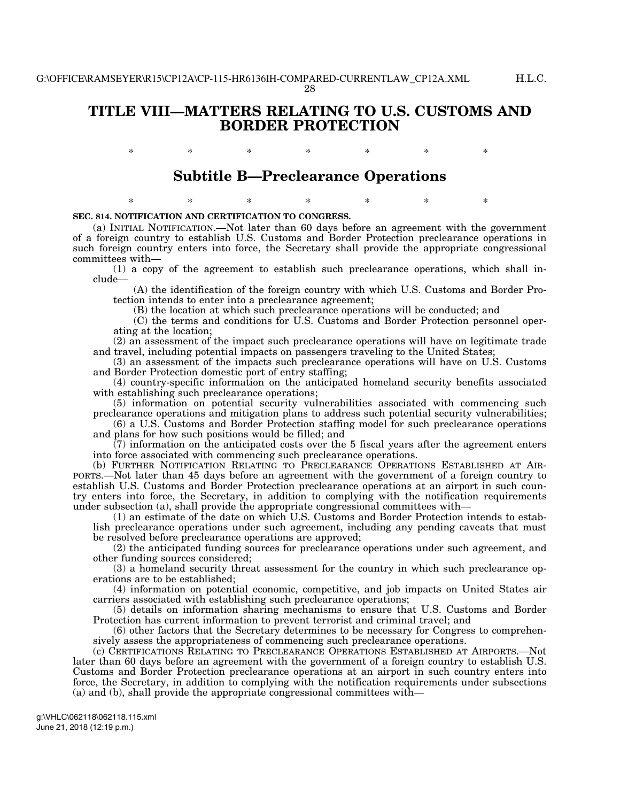28

# **TITLE VIII—MATTERS RELATING TO U.S. CUSTOMS AND BORDER PROTECTION**

\* \* \* \* \* \* \*

# **Subtitle B—Preclearance Operations**

\* \* \* \* \* \* \*

**SEC. 814. NOTIFICATION AND CERTIFICATION TO CONGRESS.** 

(a) INITIAL NOTIFICATION.—Not later than 60 days before an agreement with the government of a foreign country to establish U.S. Customs and Border Protection preclearance operations in such foreign country enters into force, the Secretary shall provide the appropriate congressional committees with—

(1) a copy of the agreement to establish such preclearance operations, which shall include—

(A) the identification of the foreign country with which U.S. Customs and Border Protection intends to enter into a preclearance agreement;

(B) the location at which such preclearance operations will be conducted; and

(C) the terms and conditions for U.S. Customs and Border Protection personnel operating at the location;

(2) an assessment of the impact such preclearance operations will have on legitimate trade and travel, including potential impacts on passengers traveling to the United States;

(3) an assessment of the impacts such preclearance operations will have on U.S. Customs and Border Protection domestic port of entry staffing;

(4) country-specific information on the anticipated homeland security benefits associated with establishing such preclearance operations;

(5) information on potential security vulnerabilities associated with commencing such preclearance operations and mitigation plans to address such potential security vulnerabilities;

(6) a U.S. Customs and Border Protection staffing model for such preclearance operations and plans for how such positions would be filled; and

 $(7)$  information on the anticipated costs over the 5 fiscal years after the agreement enters into force associated with commencing such preclearance operations.

(b) FURTHER NOTIFICATION RELATING TO PRECLEARANCE OPERATIONS ESTABLISHED AT AIR-PORTS.—Not later than 45 days before an agreement with the government of a foreign country to establish U.S. Customs and Border Protection preclearance operations at an airport in such country enters into force, the Secretary, in addition to complying with the notification requirements under subsection (a), shall provide the appropriate congressional committees with—

(1) an estimate of the date on which U.S. Customs and Border Protection intends to establish preclearance operations under such agreement, including any pending caveats that must be resolved before preclearance operations are approved;

(2) the anticipated funding sources for preclearance operations under such agreement, and other funding sources considered;

(3) a homeland security threat assessment for the country in which such preclearance operations are to be established;

(4) information on potential economic, competitive, and job impacts on United States air carriers associated with establishing such preclearance operations;

(5) details on information sharing mechanisms to ensure that U.S. Customs and Border Protection has current information to prevent terrorist and criminal travel; and

(6) other factors that the Secretary determines to be necessary for Congress to comprehensively assess the appropriateness of commencing such preclearance operations.

(c) CERTIFICATIONS RELATING TO PRECLEARANCE OPERATIONS ESTABLISHED AT AIRPORTS.—Not later than 60 days before an agreement with the government of a foreign country to establish U.S. Customs and Border Protection preclearance operations at an airport in such country enters into force, the Secretary, in addition to complying with the notification requirements under subsections (a) and (b), shall provide the appropriate congressional committees with—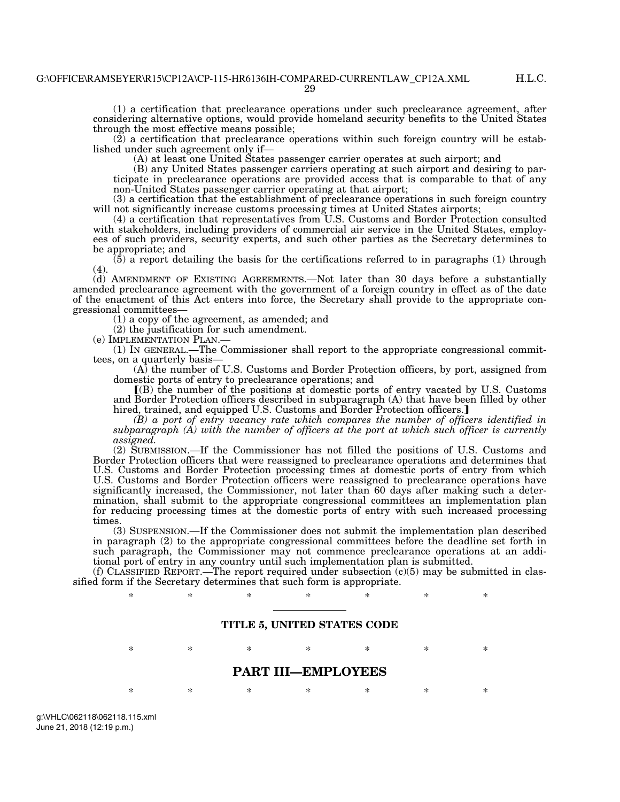$29$ 

(1) a certification that preclearance operations under such preclearance agreement, after considering alternative options, would provide homeland security benefits to the United States through the most effective means possible;

 $(2)$  a certification that preclearance operations within such foreign country will be established under such agreement only if—

(A) at least one United States passenger carrier operates at such airport; and

(B) any United States passenger carriers operating at such airport and desiring to participate in preclearance operations are provided access that is comparable to that of any non-United States passenger carrier operating at that airport;

(3) a certification that the establishment of preclearance operations in such foreign country will not significantly increase customs processing times at United States airports;

(4) a certification that representatives from U.S. Customs and Border Protection consulted with stakeholders, including providers of commercial air service in the United States, employees of such providers, security experts, and such other parties as the Secretary determines to be appropriate; and

 $(5)$  a report detailing the basis for the certifications referred to in paragraphs (1) through (4).

(d) AMENDMENT OF EXISTING AGREEMENTS.—Not later than 30 days before a substantially amended preclearance agreement with the government of a foreign country in effect as of the date of the enactment of this Act enters into force, the Secretary shall provide to the appropriate congressional committees—

(1) a copy of the agreement, as amended; and

(2) the justification for such amendment.<br>(e) IMPLEMENTATION PLAN.—

 $(1)$  IN GENERAL.—The Commissioner shall report to the appropriate congressional committees, on a quarterly basis—

(A) the number of U.S. Customs and Border Protection officers, by port, assigned from domestic ports of entry to preclearance operations; and

 $(6)$  the number of the positions at domestic ports of entry vacated by U.S. Customs and Border Protection officers described in subparagraph (A) that have been filled by other hired, trained, and equipped U.S. Customs and Border Protection officers.]

*(B) a port of entry vacancy rate which compares the number of officers identified in subparagraph (A) with the number of officers at the port at which such officer is currently assigned.* 

(2) SUBMISSION.—If the Commissioner has not filled the positions of U.S. Customs and Border Protection officers that were reassigned to preclearance operations and determines that U.S. Customs and Border Protection processing times at domestic ports of entry from which U.S. Customs and Border Protection officers were reassigned to preclearance operations have significantly increased, the Commissioner, not later than 60 days after making such a determination, shall submit to the appropriate congressional committees an implementation plan for reducing processing times at the domestic ports of entry with such increased processing times.

(3) SUSPENSION.—If the Commissioner does not submit the implementation plan described in paragraph (2) to the appropriate congressional committees before the deadline set forth in such paragraph, the Commissioner may not commence preclearance operations at an additional port of entry in any country until such implementation plan is submitted.

(f) CLASSIFIED REPORT.—The report required under subsection  $(c)(5)$  may be submitted in classified form if the Secretary determines that such form is appropriate.

\* \* \* \* \* \* \*

## **TITLE 5, UNITED STATES CODE**

\* \* \* \* \* \* \* \*

## **PART III—EMPLOYEES**

\* \* \* \* \* \* \* \*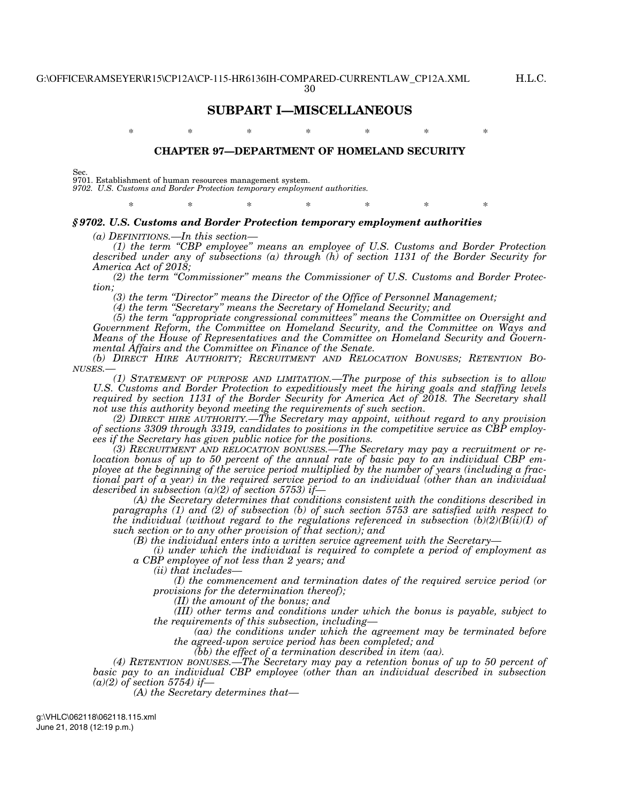H.L.C.

## **SUBPART I—MISCELLANEOUS**

# \* \* \* \* \* \* \* \* **CHAPTER 97—DEPARTMENT OF HOMELAND SECURITY**

\* \* \* \* \* \* \* \*

Sec.

9701. Establishment of human resources management system.

*9702. U.S. Customs and Border Protection temporary employment authorities.* 

### *§ 9702. U.S. Customs and Border Protection temporary employment authorities*

*(a) DEFINITIONS.—In this section—* 

*(1) the term ''CBP employee'' means an employee of U.S. Customs and Border Protection described under any of subsections (a) through (h) of section 1131 of the Border Security for America Act of 2018;* 

*(2) the term ''Commissioner'' means the Commissioner of U.S. Customs and Border Protection;* 

*(3) the term ''Director'' means the Director of the Office of Personnel Management;* 

*(4) the term ''Secretary'' means the Secretary of Homeland Security; and* 

*(5) the term ''appropriate congressional committees'' means the Committee on Oversight and Government Reform, the Committee on Homeland Security, and the Committee on Ways and Means of the House of Representatives and the Committee on Homeland Security and Governmental Affairs and the Committee on Finance of the Senate.* 

*(b) DIRECT HIRE AUTHORITY; RECRUITMENT AND RELOCATION BONUSES; RETENTION BO-NUSES.—* 

*(1) STATEMENT OF PURPOSE AND LIMITATION.—The purpose of this subsection is to allow U.S. Customs and Border Protection to expeditiously meet the hiring goals and staffing levels required by section 1131 of the Border Security for America Act of 2018. The Secretary shall not use this authority beyond meeting the requirements of such section.* 

*(2) DIRECT HIRE AUTHORITY.—The Secretary may appoint, without regard to any provision of sections 3309 through 3319, candidates to positions in the competitive service as CBP employees if the Secretary has given public notice for the positions.* 

*(3) RECRUITMENT AND RELOCATION BONUSES.—The Secretary may pay a recruitment or relocation bonus of up to 50 percent of the annual rate of basic pay to an individual CBP employee at the beginning of the service period multiplied by the number of years (including a fractional part of a year) in the required service period to an individual (other than an individual described in subsection (a)(2) of section 5753) if—* 

*(A) the Secretary determines that conditions consistent with the conditions described in paragraphs (1) and (2) of subsection (b) of such section 5753 are satisfied with respect to the individual (without regard to the regulations referenced in subsection (b)(2)(B(ii)(I) of such section or to any other provision of that section); and* 

*(B) the individual enters into a written service agreement with the Secretary—* 

*(i) under which the individual is required to complete a period of employment as a CBP employee of not less than 2 years; and* 

*(ii) that includes—* 

*(I) the commencement and termination dates of the required service period (or provisions for the determination thereof);* 

*(II) the amount of the bonus; and* 

*(III) other terms and conditions under which the bonus is payable, subject to the requirements of this subsection, including—* 

*(aa) the conditions under which the agreement may be terminated before the agreed-upon service period has been completed; and* 

*(bb) the effect of a termination described in item (aa).* 

*(4) RETENTION BONUSES.—The Secretary may pay a retention bonus of up to 50 percent of basic pay to an individual CBP employee (other than an individual described in subsection (a)(2) of section 5754) if—* 

*(A) the Secretary determines that—*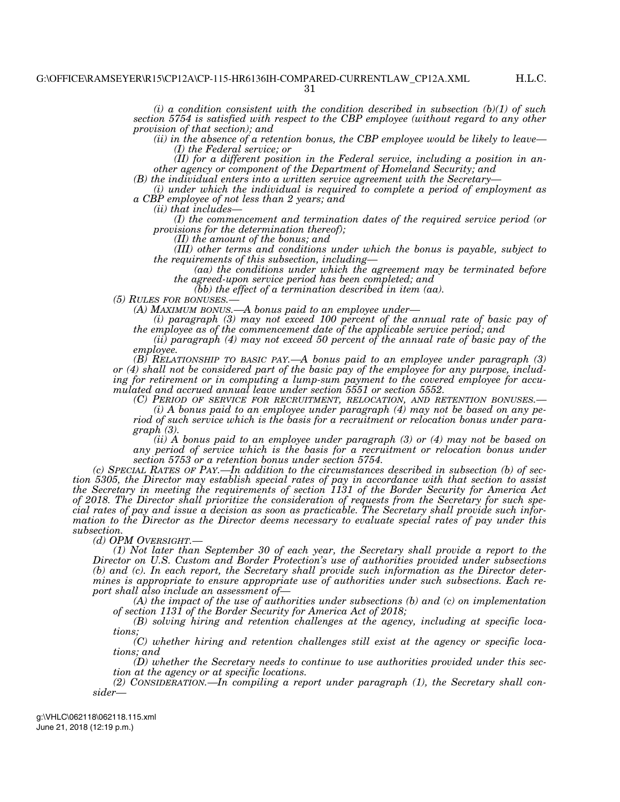*(i) a condition consistent with the condition described in subsection (b)(1) of such section 5754 is satisfied with respect to the CBP employee (without regard to any other provision of that section); and* 

*(ii) in the absence of a retention bonus, the CBP employee would be likely to leave— (I) the Federal service; or* 

*(II) for a different position in the Federal service, including a position in another agency or component of the Department of Homeland Security; and* 

*(B) the individual enters into a written service agreement with the Secretary—* 

*(i) under which the individual is required to complete a period of employment as a CBP employee of not less than 2 years; and* 

*(ii) that includes—* 

*(I) the commencement and termination dates of the required service period (or provisions for the determination thereof);* 

*(II) the amount of the bonus; and* 

*(III) other terms and conditions under which the bonus is payable, subject to the requirements of this subsection, including—* 

*(aa) the conditions under which the agreement may be terminated before the agreed-upon service period has been completed; and* 

*(bb) the effect of a termination described in item (aa).* 

*(A) MAXIMUM BONUS.—A bonus paid to an employee under—* 

*(i) paragraph (3) may not exceed 100 percent of the annual rate of basic pay of the employee as of the commencement date of the applicable service period; and* 

*(ii) paragraph (4) may not exceed 50 percent of the annual rate of basic pay of the employee.* 

*(B) RELATIONSHIP TO BASIC PAY.—A bonus paid to an employee under paragraph (3) or (4) shall not be considered part of the basic pay of the employee for any purpose, including for retirement or in computing a lump-sum payment to the covered employee for accumulated and accrued annual leave under section 5551 or section 5552.* 

 $(i)$  A bonus paid to an employee under paragraph  $(4)$  may not be based on any pe*riod of such service which is the basis for a recruitment or relocation bonus under paragraph (3).* 

*(ii) A bonus paid to an employee under paragraph (3) or (4) may not be based on*  any period of service which is the basis for a recruitment or relocation bonus under *section 5753 or a retention bonus under section 5754.* 

*(c) SPECIAL RATES OF PAY.—In addition to the circumstances described in subsection (b) of section 5305, the Director may establish special rates of pay in accordance with that section to assist the Secretary in meeting the requirements of section 1131 of the Border Security for America Act of 2018. The Director shall prioritize the consideration of requests from the Secretary for such special rates of pay and issue a decision as soon as practicable. The Secretary shall provide such information to the Director as the Director deems necessary to evaluate special rates of pay under this subsection.* 

*(d) OPM OVERSIGHT.—* 

*(1) Not later than September 30 of each year, the Secretary shall provide a report to the Director on U.S. Custom and Border Protection's use of authorities provided under subsections (b) and (c). In each report, the Secretary shall provide such information as the Director determines is appropriate to ensure appropriate use of authorities under such subsections. Each report shall also include an assessment of—* 

*(A) the impact of the use of authorities under subsections (b) and (c) on implementation of section 1131 of the Border Security for America Act of 2018;* 

*(B) solving hiring and retention challenges at the agency, including at specific locations;* 

*(C) whether hiring and retention challenges still exist at the agency or specific locations; and* 

*(D) whether the Secretary needs to continue to use authorities provided under this section at the agency or at specific locations.* 

*(2) CONSIDERATION.—In compiling a report under paragraph (1), the Secretary shall consider—*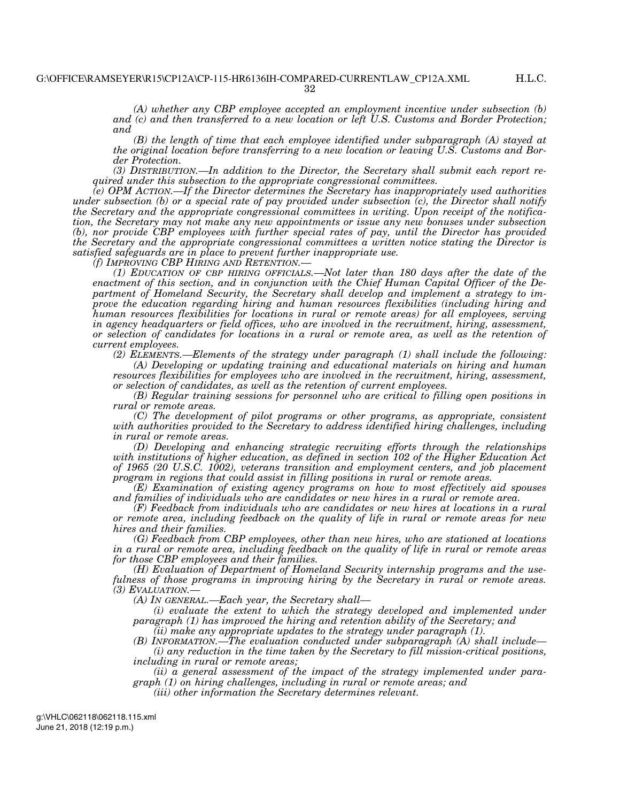H.L.C.

*(A) whether any CBP employee accepted an employment incentive under subsection (b) and (c) and then transferred to a new location or left U.S. Customs and Border Protection; and* 

*(B) the length of time that each employee identified under subparagraph (A) stayed at the original location before transferring to a new location or leaving U.S. Customs and Border Protection.* 

*(3) DISTRIBUTION.—In addition to the Director, the Secretary shall submit each report required under this subsection to the appropriate congressional committees.* 

*(e) OPM ACTION.—If the Director determines the Secretary has inappropriately used authorities under subsection (b) or a special rate of pay provided under subsection (c), the Director shall notify the Secretary and the appropriate congressional committees in writing. Upon receipt of the notification, the Secretary may not make any new appointments or issue any new bonuses under subsection (b), nor provide CBP employees with further special rates of pay, until the Director has provided the Secretary and the appropriate congressional committees a written notice stating the Director is satisfied safeguards are in place to prevent further inappropriate use.* 

*(f) IMPROVING CBP HIRING AND RETENTION.—* 

*(1) EDUCATION OF CBP HIRING OFFICIALS.—Not later than 180 days after the date of the enactment of this section, and in conjunction with the Chief Human Capital Officer of the Department of Homeland Security, the Secretary shall develop and implement a strategy to improve the education regarding hiring and human resources flexibilities (including hiring and human resources flexibilities for locations in rural or remote areas) for all employees, serving in agency headquarters or field offices, who are involved in the recruitment, hiring, assessment, or selection of candidates for locations in a rural or remote area, as well as the retention of current employees.* 

*(2) ELEMENTS.—Elements of the strategy under paragraph (1) shall include the following: (A) Developing or updating training and educational materials on hiring and human resources flexibilities for employees who are involved in the recruitment, hiring, assessment,* 

*or selection of candidates, as well as the retention of current employees.* 

*(B) Regular training sessions for personnel who are critical to filling open positions in rural or remote areas.* 

*(C) The development of pilot programs or other programs, as appropriate, consistent with authorities provided to the Secretary to address identified hiring challenges, including in rural or remote areas.* 

*(D) Developing and enhancing strategic recruiting efforts through the relationships with institutions of higher education, as defined in section 102 of the Higher Education Act of 1965 (20 U.S.C. 1002), veterans transition and employment centers, and job placement program in regions that could assist in filling positions in rural or remote areas.* 

*(E) Examination of existing agency programs on how to most effectively aid spouses and families of individuals who are candidates or new hires in a rural or remote area.* 

*(F) Feedback from individuals who are candidates or new hires at locations in a rural or remote area, including feedback on the quality of life in rural or remote areas for new hires and their families.* 

*(G) Feedback from CBP employees, other than new hires, who are stationed at locations in a rural or remote area, including feedback on the quality of life in rural or remote areas for those CBP employees and their families.* 

*(H) Evaluation of Department of Homeland Security internship programs and the usefulness of those programs in improving hiring by the Secretary in rural or remote areas. (3) EVALUATION.—* 

*(A) IN GENERAL.—Each year, the Secretary shall—* 

*(i) evaluate the extent to which the strategy developed and implemented under paragraph (1) has improved the hiring and retention ability of the Secretary; and* 

*(ii) make any appropriate updates to the strategy under paragraph (1).* 

*(B) INFORMATION.—The evaluation conducted under subparagraph (A) shall include— (i) any reduction in the time taken by the Secretary to fill mission-critical positions, including in rural or remote areas;* 

*(ii) a general assessment of the impact of the strategy implemented under paragraph (1) on hiring challenges, including in rural or remote areas; and* 

*(iii) other information the Secretary determines relevant.*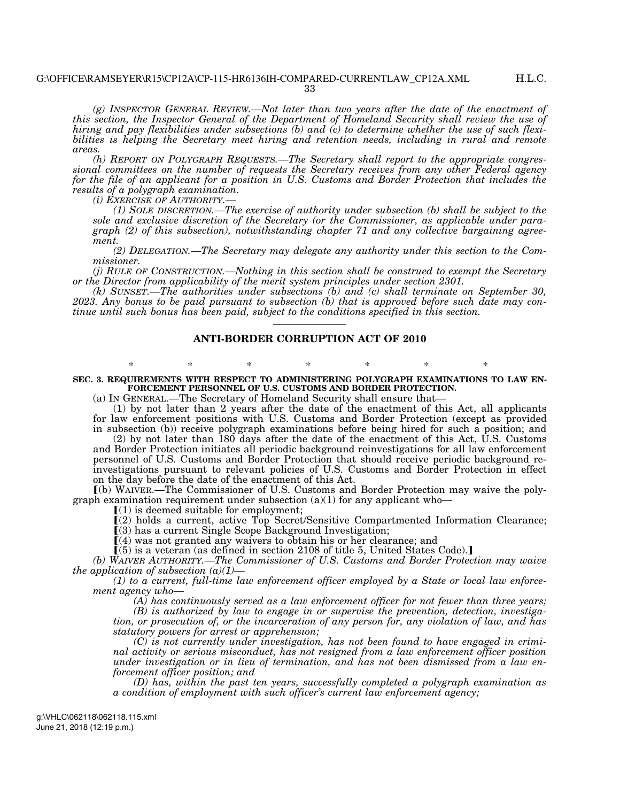*(g) INSPECTOR GENERAL REVIEW.—Not later than two years after the date of the enactment of this section, the Inspector General of the Department of Homeland Security shall review the use of hiring and pay flexibilities under subsections (b) and (c) to determine whether the use of such flexi*bilities is helping the Secretary meet hiring and retention needs, including in rural and remote *areas.* 

*(h) REPORT ON POLYGRAPH REQUESTS.—The Secretary shall report to the appropriate congressional committees on the number of requests the Secretary receives from any other Federal agency for the file of an applicant for a position in U.S. Customs and Border Protection that includes the results of a polygraph examination.* 

*(i) EXERCISE OF AUTHORITY.— (1) SOLE DISCRETION.—The exercise of authority under subsection (b) shall be subject to the sole and exclusive discretion of the Secretary (or the Commissioner, as applicable under paragraph (2) of this subsection), notwithstanding chapter 71 and any collective bargaining agreement.* 

*(2) DELEGATION.—The Secretary may delegate any authority under this section to the Commissioner.* 

*(j) RULE OF CONSTRUCTION.—Nothing in this section shall be construed to exempt the Secretary or the Director from applicability of the merit system principles under section 2301.* 

*(k) SUNSET.—The authorities under subsections (b) and (c) shall terminate on September 30, 2023. Any bonus to be paid pursuant to subsection (b) that is approved before such date may continue until such bonus has been paid, subject to the conditions specified in this section.* 

## **ANTI-BORDER CORRUPTION ACT OF 2010**

\* \* \* \* \* \* \* **SEC. 3. REQUIREMENTS WITH RESPECT TO ADMINISTERING POLYGRAPH EXAMINATIONS TO LAW EN-FORCEMENT PERSONNEL OF U.S. CUSTOMS AND BORDER PROTECTION.** 

(a) IN GENERAL.—The Secretary of Homeland Security shall ensure that—

(1) by not later than 2 years after the date of the enactment of this Act, all applicants for law enforcement positions with U.S. Customs and Border Protection (except as provided in subsection (b)) receive polygraph examinations before being hired for such a position; and

(2) by not later than 180 days after the date of the enactment of this Act, U.S. Customs and Border Protection initiates all periodic background reinvestigations for all law enforcement personnel of U.S. Customs and Border Protection that should receive periodic background reinvestigations pursuant to relevant policies of U.S. Customs and Border Protection in effect on the day before the date of the enactment of this Act.

ø(b) WAIVER.—The Commissioner of U.S. Customs and Border Protection may waive the polygraph examination requirement under subsection (a)(1) for any applicant who—

 $(1)$  is deemed suitable for employment;

 $\overline{I}(2)$  holds a current, active Top Secret/Sensitive Compartmented Information Clearance;

ø(3) has a current Single Scope Background Investigation;

 $(4)$  was not granted any waivers to obtain his or her clearance; and

 $(5)$  is a veteran (as defined in section 2108 of title 5, United States Code).

*(b) WAIVER AUTHORITY.—The Commissioner of U.S. Customs and Border Protection may waive the application of subsection (a)(1)—* 

*(1) to a current, full-time law enforcement officer employed by a State or local law enforcement agency who—* 

*(A) has continuously served as a law enforcement officer for not fewer than three years;* 

*(B) is authorized by law to engage in or supervise the prevention, detection, investigation, or prosecution of, or the incarceration of any person for, any violation of law, and has statutory powers for arrest or apprehension;* 

*(C) is not currently under investigation, has not been found to have engaged in criminal activity or serious misconduct, has not resigned from a law enforcement officer position under investigation or in lieu of termination, and has not been dismissed from a law enforcement officer position; and* 

*(D) has, within the past ten years, successfully completed a polygraph examination as a condition of employment with such officer's current law enforcement agency;*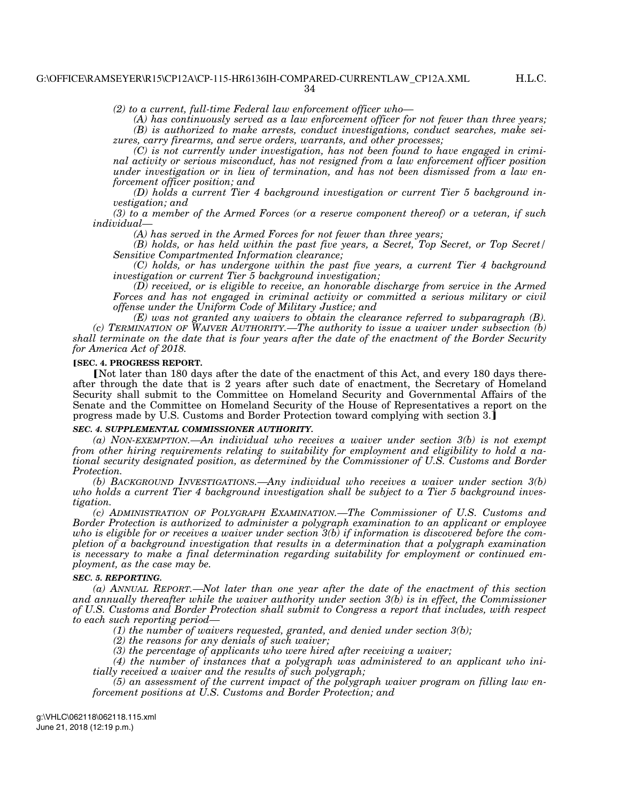34

*(2) to a current, full-time Federal law enforcement officer who—* 

*(A) has continuously served as a law enforcement officer for not fewer than three years; (B) is authorized to make arrests, conduct investigations, conduct searches, make seizures, carry firearms, and serve orders, warrants, and other processes;* 

*(C) is not currently under investigation, has not been found to have engaged in criminal activity or serious misconduct, has not resigned from a law enforcement officer position under investigation or in lieu of termination, and has not been dismissed from a law enforcement officer position; and* 

*(D) holds a current Tier 4 background investigation or current Tier 5 background investigation; and* 

*(3) to a member of the Armed Forces (or a reserve component thereof) or a veteran, if such individual—* 

*(A) has served in the Armed Forces for not fewer than three years;* 

*(B) holds, or has held within the past five years, a Secret, Top Secret, or Top Secret/ Sensitive Compartmented Information clearance;* 

*(C) holds, or has undergone within the past five years, a current Tier 4 background investigation or current Tier 5 background investigation;* 

*(D) received, or is eligible to receive, an honorable discharge from service in the Armed Forces and has not engaged in criminal activity or committed a serious military or civil offense under the Uniform Code of Military Justice; and* 

*(E) was not granted any waivers to obtain the clearance referred to subparagraph (B). (c) TERMINATION OF WAIVER AUTHORITY.—The authority to issue a waiver under subsection (b) shall terminate on the date that is four years after the date of the enactment of the Border Security for America Act of 2018.* 

### **[SEC. 4. PROGRESS REPORT.**

[Not later than 180 days after the date of the enactment of this Act, and every 180 days thereafter through the date that is 2 years after such date of enactment, the Secretary of Homeland Security shall submit to the Committee on Homeland Security and Governmental Affairs of the Senate and the Committee on Homeland Security of the House of Representatives a report on the progress made by U.S. Customs and Border Protection toward complying with section 3.]

## *SEC. 4. SUPPLEMENTAL COMMISSIONER AUTHORITY.*

*(a) NON-EXEMPTION.—An individual who receives a waiver under section 3(b) is not exempt from other hiring requirements relating to suitability for employment and eligibility to hold a national security designated position, as determined by the Commissioner of U.S. Customs and Border Protection.* 

*(b) BACKGROUND INVESTIGATIONS.—Any individual who receives a waiver under section 3(b) who holds a current Tier 4 background investigation shall be subject to a Tier 5 background investigation.* 

*(c) ADMINISTRATION OF POLYGRAPH EXAMINATION.—The Commissioner of U.S. Customs and Border Protection is authorized to administer a polygraph examination to an applicant or employee who is eligible for or receives a waiver under section 3(b) if information is discovered before the completion of a background investigation that results in a determination that a polygraph examination is necessary to make a final determination regarding suitability for employment or continued employment, as the case may be.* 

## *SEC. 5. REPORTING.*

*(a) ANNUAL REPORT.—Not later than one year after the date of the enactment of this section and annually thereafter while the waiver authority under section 3(b) is in effect, the Commissioner of U.S. Customs and Border Protection shall submit to Congress a report that includes, with respect to each such reporting period—* 

*(1) the number of waivers requested, granted, and denied under section 3(b);* 

*(2) the reasons for any denials of such waiver;* 

*(3) the percentage of applicants who were hired after receiving a waiver;* 

*(4) the number of instances that a polygraph was administered to an applicant who initially received a waiver and the results of such polygraph;* 

*(5) an assessment of the current impact of the polygraph waiver program on filling law enforcement positions at U.S. Customs and Border Protection; and*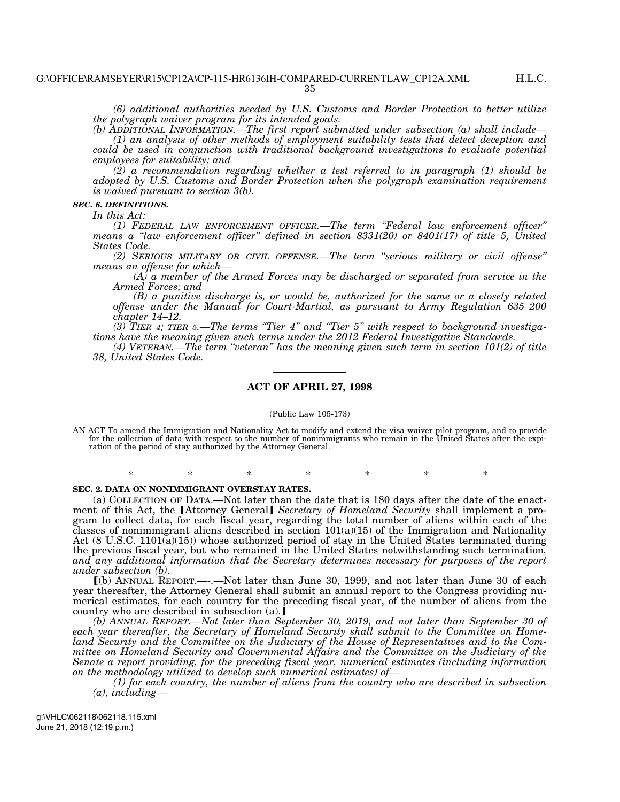*(6) additional authorities needed by U.S. Customs and Border Protection to better utilize the polygraph waiver program for its intended goals.* 

*(b) ADDITIONAL INFORMATION.—The first report submitted under subsection (a) shall include— (1) an analysis of other methods of employment suitability tests that detect deception and could be used in conjunction with traditional background investigations to evaluate potential employees for suitability; and* 

*(2) a recommendation regarding whether a test referred to in paragraph (1) should be adopted by U.S. Customs and Border Protection when the polygraph examination requirement is waived pursuant to section 3(b).* 

## *SEC. 6. DEFINITIONS.*

*In this Act:* 

*(1) FEDERAL LAW ENFORCEMENT OFFICER.—The term ''Federal law enforcement officer'' means a ''law enforcement officer'' defined in section 8331(20) or 8401(17) of title 5, United States Code.* 

*(2) SERIOUS MILITARY OR CIVIL OFFENSE.—The term ''serious military or civil offense'' means an offense for which—* 

*(A) a member of the Armed Forces may be discharged or separated from service in the Armed Forces; and* 

*(B) a punitive discharge is, or would be, authorized for the same or a closely related offense under the Manual for Court-Martial, as pursuant to Army Regulation 635–200 chapter 14–12.* 

*(3) TIER 4; TIER 5.—The terms ''Tier 4'' and ''Tier 5'' with respect to background investigations have the meaning given such terms under the 2012 Federal Investigative Standards.* 

*(4) VETERAN.—The term ''veteran'' has the meaning given such term in section 101(2) of title 38, United States Code.* 

## **ACT OF APRIL 27, 1998**

#### (Public Law 105-173)

AN ACT To amend the Immigration and Nationality Act to modify and extend the visa waiver pilot program, and to provide for the collection of data with respect to the number of nonimmigrants who remain in the United States after the expiration of the period of stay authorized by the Attorney General.

\* \* \* \* \* \* \*

#### **SEC. 2. DATA ON NONIMMIGRANT OVERSTAY RATES.**

(a) COLLECTION OF DATA.—Not later than the date that is 180 days after the date of the enactment of this Act, the [Attorney General] Secretary of Homeland Security shall implement a program to collect data, for each fiscal year, regarding the total number of aliens within each of the classes of nonimmigrant aliens described in section  $101(a)(15)$  of the Immigration and Nationality Act (8 U.S.C. 1101(a)(15)) whose authorized period of stay in the United States terminated during the previous fiscal year, but who remained in the United States notwithstanding such termination*, and any additional information that the Secretary determines necessary for purposes of the report under subsection (b)*.

ø(b) ANNUAL REPORT.—-.—Not later than June 30, 1999, and not later than June 30 of each year thereafter, the Attorney General shall submit an annual report to the Congress providing numerical estimates, for each country for the preceding fiscal year, of the number of aliens from the country who are described in subsection  $(a)$ .

*(b) ANNUAL REPORT.—Not later than September 30, 2019, and not later than September 30 of each year thereafter, the Secretary of Homeland Security shall submit to the Committee on Homeland Security and the Committee on the Judiciary of the House of Representatives and to the Committee on Homeland Security and Governmental Affairs and the Committee on the Judiciary of the Senate a report providing, for the preceding fiscal year, numerical estimates (including information on the methodology utilized to develop such numerical estimates) of—* 

*(1) for each country, the number of aliens from the country who are described in subsection (a), including—*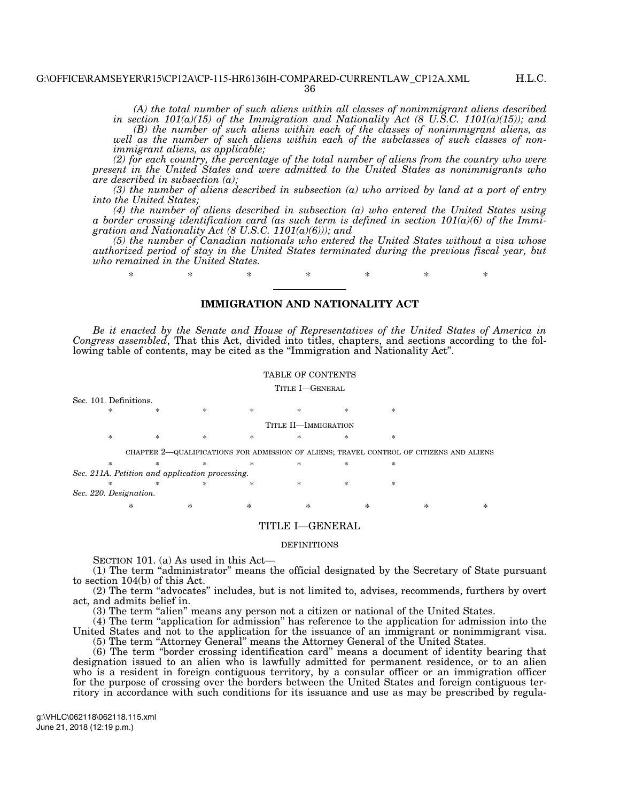*(A) the total number of such aliens within all classes of nonimmigrant aliens described in section 101(a)(15) of the Immigration and Nationality Act (8 U.S.C. 1101(a)(15)); and (B) the number of such aliens within each of the classes of nonimmigrant aliens, as well as the number of such aliens within each of the subclasses of such classes of nonimmigrant aliens, as applicable;* 

*(2) for each country, the percentage of the total number of aliens from the country who were present in the United States and were admitted to the United States as nonimmigrants who are described in subsection (a);* 

*(3) the number of aliens described in subsection (a) who arrived by land at a port of entry into the United States;* 

*(4) the number of aliens described in subsection (a) who entered the United States using a border crossing identification card (as such term is defined in section 101(a)(6) of the Immigration and Nationality Act (8 U.S.C. 1101(a)(6))); and* 

*(5) the number of Canadian nationals who entered the United States without a visa whose authorized period of stay in the United States terminated during the previous fiscal year, but who remained in the United States.* 

\* \* \* \* \* \* \*

## **IMMIGRATION AND NATIONALITY ACT**

*Be it enacted by the Senate and House of Representatives of the United States of America in Congress assembled*, That this Act, divided into titles, chapters, and sections according to the following table of contents, may be cited as the "Immigration and Nationality Act".

## TABLE OF CONTENTS

TITLE I—GENERAL

Sec. 101. Definitions. \* \* \* \* \* \* \* TITLE II—IMMIGRATION \* \* \* \* \* \* \* CHAPTER 2—QUALIFICATIONS FOR ADMISSION OF ALIENS; TRAVEL CONTROL OF CITIZENS AND ALIENS \* \* \* \* \* \* \* *Sec. 211A. Petition and application processing.*  \* \* \* \* \* \* \* *Sec. 220. Designation.*  \* \* \* \* \* \* \*

## TITLE I—GENERAL

#### DEFINITIONS

SECTION 101. (a) As used in this Act—

(1) The term ''administrator'' means the official designated by the Secretary of State pursuant to section 104(b) of this Act.

(2) The term ''advocates'' includes, but is not limited to, advises, recommends, furthers by overt act, and admits belief in.

(3) The term "alien" means any person not a citizen or national of the United States.

(4) The term ''application for admission'' has reference to the application for admission into the United States and not to the application for the issuance of an immigrant or nonimmigrant visa.

(5) The term ''Attorney General'' means the Attorney General of the United States.

(6) The term ''border crossing identification card'' means a document of identity bearing that designation issued to an alien who is lawfully admitted for permanent residence, or to an alien who is a resident in foreign contiguous territory, by a consular officer or an immigration officer for the purpose of crossing over the borders between the United States and foreign contiguous territory in accordance with such conditions for its issuance and use as may be prescribed by regula-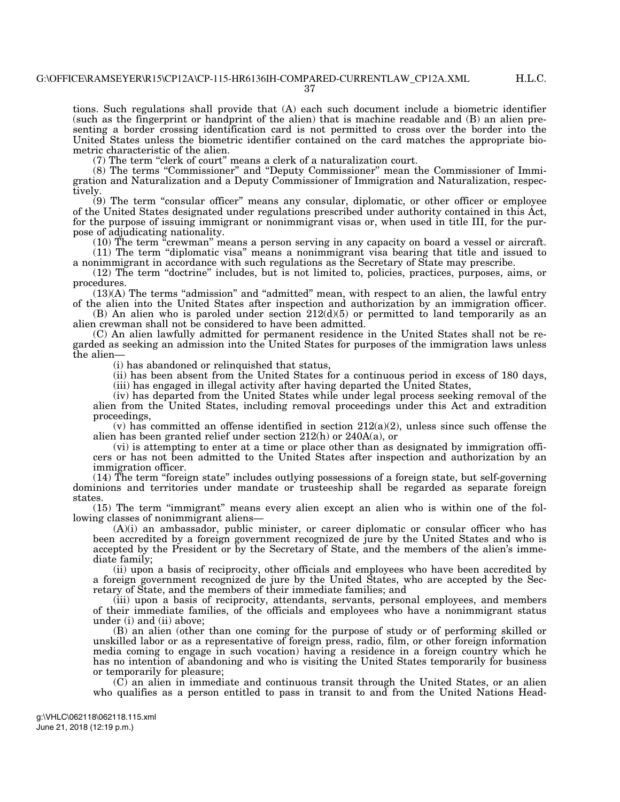tions. Such regulations shall provide that (A) each such document include a biometric identifier (such as the fingerprint or handprint of the alien) that is machine readable and (B) an alien presenting a border crossing identification card is not permitted to cross over the border into the United States unless the biometric identifier contained on the card matches the appropriate biometric characteristic of the alien.

(7) The term ''clerk of court'' means a clerk of a naturalization court.

(8) The terms ''Commissioner'' and ''Deputy Commissioner'' mean the Commissioner of Immigration and Naturalization and a Deputy Commissioner of Immigration and Naturalization, respectively.

(9) The term ''consular officer'' means any consular, diplomatic, or other officer or employee of the United States designated under regulations prescribed under authority contained in this Act, for the purpose of issuing immigrant or nonimmigrant visas or, when used in title III, for the purpose of adjudicating nationality.

(10) The term ''crewman'' means a person serving in any capacity on board a vessel or aircraft.

(11) The term ''diplomatic visa'' means a nonimmigrant visa bearing that title and issued to a nonimmigrant in accordance with such regulations as the Secretary of State may prescribe.

(12) The term ''doctrine'' includes, but is not limited to, policies, practices, purposes, aims, or procedures.

(13)(A) The terms ''admission'' and ''admitted'' mean, with respect to an alien, the lawful entry of the alien into the United States after inspection and authorization by an immigration officer.

 $(B)$  An alien who is paroled under section  $212(d)(5)$  or permitted to land temporarily as an alien crewman shall not be considered to have been admitted.

(C) An alien lawfully admitted for permanent residence in the United States shall not be regarded as seeking an admission into the United States for purposes of the immigration laws unless the alien—

(i) has abandoned or relinquished that status,

(ii) has been absent from the United States for a continuous period in excess of 180 days, (iii) has engaged in illegal activity after having departed the United States,

(iv) has departed from the United States while under legal process seeking removal of the alien from the United States, including removal proceedings under this Act and extradition proceedings,

 $(v)$  has committed an offense identified in section  $212(a)(2)$ , unless since such offense the alien has been granted relief under section 212(h) or 240A(a), or

(vi) is attempting to enter at a time or place other than as designated by immigration officers or has not been admitted to the United States after inspection and authorization by an immigration officer.

(14) The term ''foreign state'' includes outlying possessions of a foreign state, but self-governing dominions and territories under mandate or trusteeship shall be regarded as separate foreign states.

(15) The term ''immigrant'' means every alien except an alien who is within one of the following classes of nonimmigrant aliens—

(A)(i) an ambassador, public minister, or career diplomatic or consular officer who has been accredited by a foreign government recognized de jure by the United States and who is accepted by the President or by the Secretary of State, and the members of the alien's immediate family;

(ii) upon a basis of reciprocity, other officials and employees who have been accredited by a foreign government recognized de jure by the United States, who are accepted by the Secretary of State, and the members of their immediate families; and

(iii) upon a basis of reciprocity, attendants, servants, personal employees, and members of their immediate families, of the officials and employees who have a nonimmigrant status under (i) and (ii) above;

(B) an alien (other than one coming for the purpose of study or of performing skilled or unskilled labor or as a representative of foreign press, radio, film, or other foreign information media coming to engage in such vocation) having a residence in a foreign country which he has no intention of abandoning and who is visiting the United States temporarily for business or temporarily for pleasure;

(C) an alien in immediate and continuous transit through the United States, or an alien who qualifies as a person entitled to pass in transit to and from the United Nations Head-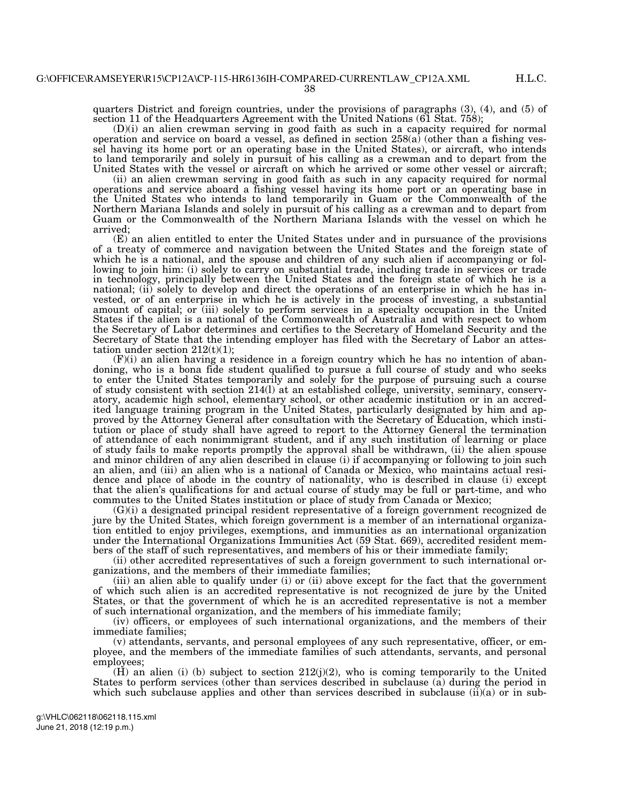H.L.C.

quarters District and foreign countries, under the provisions of paragraphs (3), (4), and (5) of section 11 of the Headquarters Agreement with the United Nations (61 Stat. 758);

(D)(i) an alien crewman serving in good faith as such in a capacity required for normal operation and service on board a vessel, as defined in section 258(a) (other than a fishing vessel having its home port or an operating base in the United States), or aircraft, who intends to land temporarily and solely in pursuit of his calling as a crewman and to depart from the United States with the vessel or aircraft on which he arrived or some other vessel or aircraft;

(ii) an alien crewman serving in good faith as such in any capacity required for normal operations and service aboard a fishing vessel having its home port or an operating base in the United States who intends to land temporarily in Guam or the Commonwealth of the Northern Mariana Islands and solely in pursuit of his calling as a crewman and to depart from Guam or the Commonwealth of the Northern Mariana Islands with the vessel on which he arrived;

(E) an alien entitled to enter the United States under and in pursuance of the provisions of a treaty of commerce and navigation between the United States and the foreign state of which he is a national, and the spouse and children of any such alien if accompanying or following to join him: (i) solely to carry on substantial trade, including trade in services or trade in technology, principally between the United States and the foreign state of which he is a national; (ii) solely to develop and direct the operations of an enterprise in which he has invested, or of an enterprise in which he is actively in the process of investing, a substantial amount of capital; or (iii) solely to perform services in a specialty occupation in the United States if the alien is a national of the Commonwealth of Australia and with respect to whom the Secretary of Labor determines and certifies to the Secretary of Homeland Security and the Secretary of State that the intending employer has filed with the Secretary of Labor an attestation under section  $212(t)(1)$ ;

 $(F)(i)$  an alien having a residence in a foreign country which he has no intention of abandoning, who is a bona fide student qualified to pursue a full course of study and who seeks to enter the United States temporarily and solely for the purpose of pursuing such a course of study consistent with section 214(l) at an established college, university, seminary, conservatory, academic high school, elementary school, or other academic institution or in an accredited language training program in the United States, particularly designated by him and approved by the Attorney General after consultation with the Secretary of Education, which institution or place of study shall have agreed to report to the Attorney General the termination of attendance of each nonimmigrant student, and if any such institution of learning or place of study fails to make reports promptly the approval shall be withdrawn, (ii) the alien spouse and minor children of any alien described in clause (i) if accompanying or following to join such an alien, and (iii) an alien who is a national of Canada or Mexico, who maintains actual residence and place of abode in the country of nationality, who is described in clause (i) except that the alien's qualifications for and actual course of study may be full or part-time, and who commutes to the United States institution or place of study from Canada or Mexico;

(G)(i) a designated principal resident representative of a foreign government recognized de jure by the United States, which foreign government is a member of an international organization entitled to enjoy privileges, exemptions, and immunities as an international organization under the International Organizations Immunities Act (59 Stat. 669), accredited resident members of the staff of such representatives, and members of his or their immediate family;

(ii) other accredited representatives of such a foreign government to such international organizations, and the members of their immediate families;

(iii) an alien able to qualify under (i) or (ii) above except for the fact that the government of which such alien is an accredited representative is not recognized de jure by the United States, or that the government of which he is an accredited representative is not a member of such international organization, and the members of his immediate family;

(iv) officers, or employees of such international organizations, and the members of their immediate families;

(v) attendants, servants, and personal employees of any such representative, officer, or employee, and the members of the immediate families of such attendants, servants, and personal employees;

(H) an alien (i) (b) subject to section  $212(j)(2)$ , who is coming temporarily to the United States to perform services (other than services described in subclause (a) during the period in which such subclause applies and other than services described in subclause  $(ii)(a)$  or in sub-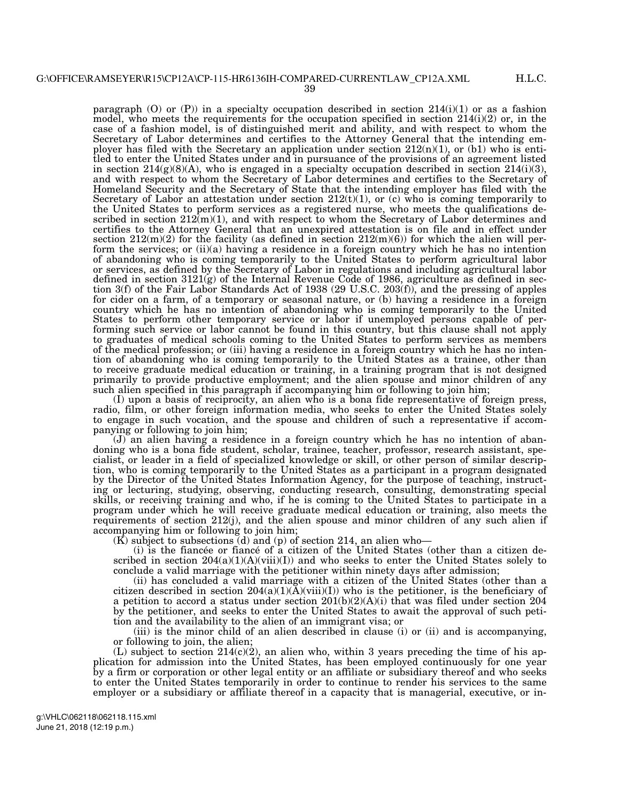H.L.C.

paragraph  $(0)$  or  $(P)$ ) in a specialty occupation described in section  $214(i)(1)$  or as a fashion model, who meets the requirements for the occupation specified in section  $214(i)(2)$  or, in the case of a fashion model, is of distinguished merit and ability, and with respect to whom the Secretary of Labor determines and certifies to the Attorney General that the intending employer has filed with the Secretary an application under section  $212(n)(1)$ , or (b1) who is entitled to enter the United States under and in pursuance of the provisions of an agreement listed in section  $214(g)(8)(A)$ , who is engaged in a specialty occupation described in section  $214(i)(3)$ , and with respect to whom the Secretary of Labor determines and certifies to the Secretary of Homeland Security and the Secretary of State that the intending employer has filed with the Secretary of Labor an attestation under section  $212(t)(1)$ , or (c) who is coming temporarily to the United States to perform services as a registered nurse, who meets the qualifications described in section  $212(m)(1)$ , and with respect to whom the Secretary of Labor determines and certifies to the Attorney General that an unexpired attestation is on file and in effect under section  $212(m)(2)$  for the facility (as defined in section  $212(m)(6)$ ) for which the alien will perform the services; or (ii)(a) having a residence in a foreign country which he has no intention of abandoning who is coming temporarily to the United States to perform agricultural labor or services, as defined by the Secretary of Labor in regulations and including agricultural labor defined in section  $3121(g)$  of the Internal Revenue Code of 1986, agriculture as defined in section 3(f) of the Fair Labor Standards Act of 1938 (29 U.S.C. 203(f)), and the pressing of apples for cider on a farm, of a temporary or seasonal nature, or (b) having a residence in a foreign country which he has no intention of abandoning who is coming temporarily to the United States to perform other temporary service or labor if unemployed persons capable of performing such service or labor cannot be found in this country, but this clause shall not apply to graduates of medical schools coming to the United States to perform services as members of the medical profession; or (iii) having a residence in a foreign country which he has no intention of abandoning who is coming temporarily to the United States as a trainee, other than to receive graduate medical education or training, in a training program that is not designed primarily to provide productive employment; and the alien spouse and minor children of any such alien specified in this paragraph if accompanying him or following to join him;

(I) upon a basis of reciprocity, an alien who is a bona fide representative of foreign press, radio, film, or other foreign information media, who seeks to enter the United States solely to engage in such vocation, and the spouse and children of such a representative if accompanying or following to join him;

(J) an alien having a residence in a foreign country which he has no intention of abandoning who is a bona fide student, scholar, trainee, teacher, professor, research assistant, specialist, or leader in a field of specialized knowledge or skill, or other person of similar description, who is coming temporarily to the United States as a participant in a program designated by the Director of the United States Information Agency, for the purpose of teaching, instructing or lecturing, studying, observing, conducting research, consulting, demonstrating special skills, or receiving training and who, if he is coming to the United States to participate in a program under which he will receive graduate medical education or training, also meets the requirements of section 212(j), and the alien spouse and minor children of any such alien if accompanying him or following to join him;

 $(K)$  subject to subsections (d) and (p) of section 214, an alien who-

(i) is the fiancée or fiancé of a citizen of the United States (other than a citizen described in section  $204(a)(1)(A)(viii)(I))$  and who seeks to enter the United States solely to conclude a valid marriage with the petitioner within ninety days after admission;

(ii) has concluded a valid marriage with a citizen of the United States (other than a citizen described in section  $204(a)(1)(\tilde{A})(viii)(I)$  who is the petitioner, is the beneficiary of a petition to accord a status under section  $201(b)(2)(A)(i)$  that was filed under section 204 by the petitioner, and seeks to enter the United States to await the approval of such petition and the availability to the alien of an immigrant visa; or

(iii) is the minor child of an alien described in clause (i) or (ii) and is accompanying, or following to join, the alien;

(L) subject to section  $214(c)(2)$ , an alien who, within 3 years preceding the time of his application for admission into the United States, has been employed continuously for one year by a firm or corporation or other legal entity or an affiliate or subsidiary thereof and who seeks to enter the United States temporarily in order to continue to render his services to the same employer or a subsidiary or affiliate thereof in a capacity that is managerial, executive, or in-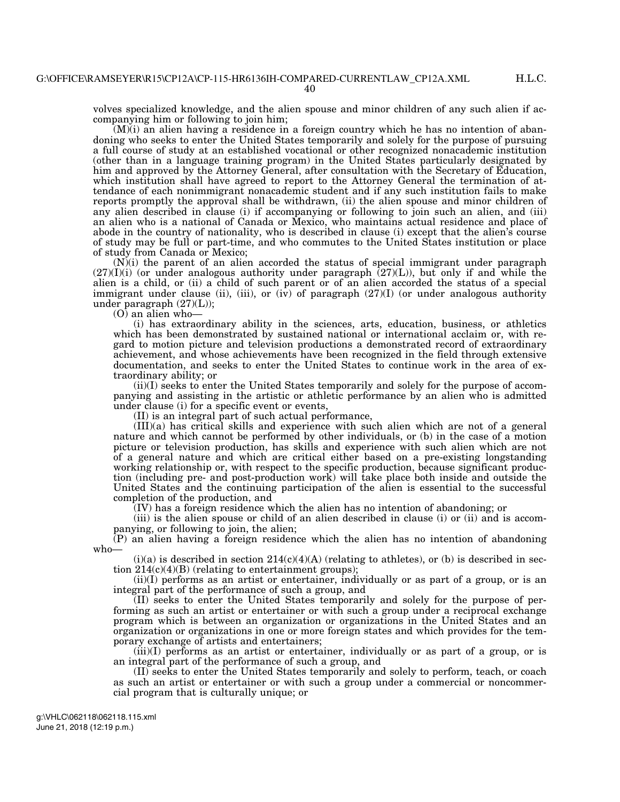H.L.C.

volves specialized knowledge, and the alien spouse and minor children of any such alien if accompanying him or following to join him;

(M)(i) an alien having a residence in a foreign country which he has no intention of abandoning who seeks to enter the United States temporarily and solely for the purpose of pursuing a full course of study at an established vocational or other recognized nonacademic institution (other than in a language training program) in the United States particularly designated by him and approved by the Attorney General, after consultation with the Secretary of Education, which institution shall have agreed to report to the Attorney General the termination of attendance of each nonimmigrant nonacademic student and if any such institution fails to make reports promptly the approval shall be withdrawn, (ii) the alien spouse and minor children of any alien described in clause (i) if accompanying or following to join such an alien, and (iii) an alien who is a national of Canada or Mexico, who maintains actual residence and place of abode in the country of nationality, who is described in clause (i) except that the alien's course of study may be full or part-time, and who commutes to the United States institution or place of study from Canada or Mexico;

 $(N)(i)$  the parent of an alien accorded the status of special immigrant under paragraph  $(27)(I)(i)$  (or under analogous authority under paragraph  $(27)(L)$ ), but only if and while the alien is a child, or (ii) a child of such parent or of an alien accorded the status of a special immigrant under clause (ii), (iii), or (iv) of paragraph  $(27)(I)$  (or under analogous authority under paragraph  $(27)(L)$ ;

(O) an alien who—

(i) has extraordinary ability in the sciences, arts, education, business, or athletics which has been demonstrated by sustained national or international acclaim or, with regard to motion picture and television productions a demonstrated record of extraordinary achievement, and whose achievements have been recognized in the field through extensive documentation, and seeks to enter the United States to continue work in the area of extraordinary ability; or

(ii)(I) seeks to enter the United States temporarily and solely for the purpose of accompanying and assisting in the artistic or athletic performance by an alien who is admitted under clause (i) for a specific event or events,

(II) is an integral part of such actual performance,

(III)(a) has critical skills and experience with such alien which are not of a general nature and which cannot be performed by other individuals, or (b) in the case of a motion picture or television production, has skills and experience with such alien which are not of a general nature and which are critical either based on a pre-existing longstanding working relationship or, with respect to the specific production, because significant production (including pre- and post-production work) will take place both inside and outside the United States and the continuing participation of the alien is essential to the successful completion of the production, and

(IV) has a foreign residence which the alien has no intention of abandoning; or

(iii) is the alien spouse or child of an alien described in clause (i) or (ii) and is accompanying, or following to join, the alien;

(P) an alien having a foreign residence which the alien has no intention of abandoning who—

 $(i)(a)$  is described in section  $214(c)(4)(A)$  (relating to athletes), or (b) is described in section  $214(c)(4)(B)$  (relating to entertainment groups);

(ii)(I) performs as an artist or entertainer, individually or as part of a group, or is an integral part of the performance of such a group, and

(II) seeks to enter the United States temporarily and solely for the purpose of performing as such an artist or entertainer or with such a group under a reciprocal exchange program which is between an organization or organizations in the United States and an organization or organizations in one or more foreign states and which provides for the temporary exchange of artists and entertainers;

(iii)(I) performs as an artist or entertainer, individually or as part of a group, or is an integral part of the performance of such a group, and

(II) seeks to enter the United States temporarily and solely to perform, teach, or coach as such an artist or entertainer or with such a group under a commercial or noncommercial program that is culturally unique; or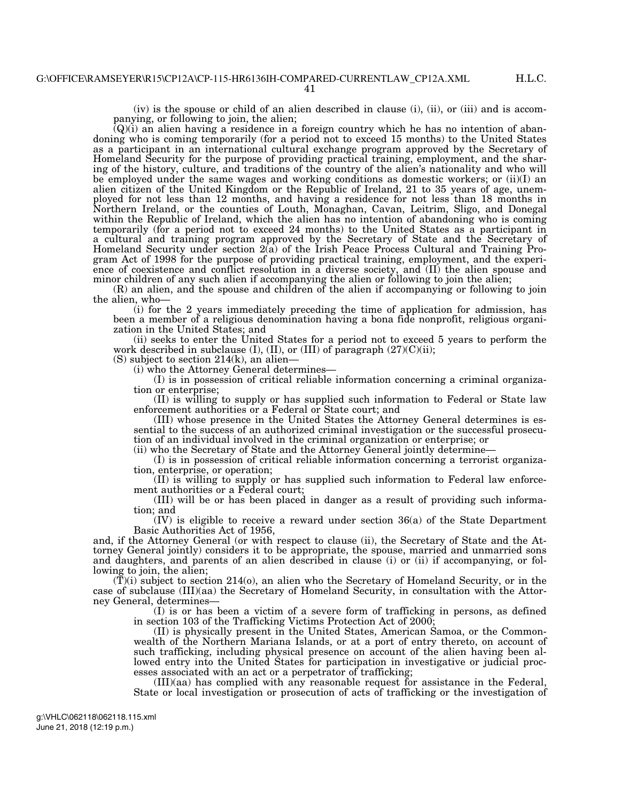41

(iv) is the spouse or child of an alien described in clause (i), (ii), or (iii) and is accompanying, or following to join, the alien;

 $(Q)(i)$  an alien having a residence in a foreign country which he has no intention of abandoning who is coming temporarily (for a period not to exceed 15 months) to the United States as a participant in an international cultural exchange program approved by the Secretary of Homeland Security for the purpose of providing practical training, employment, and the sharing of the history, culture, and traditions of the country of the alien's nationality and who will be employed under the same wages and working conditions as domestic workers; or (ii)(I) an alien citizen of the United Kingdom or the Republic of Ireland, 21 to 35 years of age, unemployed for not less than 12 months, and having a residence for not less than 18 months in Northern Ireland, or the counties of Louth, Monaghan, Cavan, Leitrim, Sligo, and Donegal within the Republic of Ireland, which the alien has no intention of abandoning who is coming temporarily (for a period not to exceed 24 months) to the United States as a participant in a cultural and training program approved by the Secretary of State and the Secretary of Homeland Security under section 2(a) of the Irish Peace Process Cultural and Training Program Act of 1998 for the purpose of providing practical training, employment, and the experience of coexistence and conflict resolution in a diverse society, and (II) the alien spouse and minor children of any such alien if accompanying the alien or following to join the alien;

(R) an alien, and the spouse and children of the alien if accompanying or following to join the alien, who—

(i) for the 2 years immediately preceding the time of application for admission, has been a member of a religious denomination having a bona fide nonprofit, religious organization in the United States; and

(ii) seeks to enter the United States for a period not to exceed 5 years to perform the work described in subclause (I), (II), or (III) of paragraph  $(27)(C)(ii)$ ;

(S) subject to section 214(k), an alien—

(i) who the Attorney General determines—

(I) is in possession of critical reliable information concerning a criminal organization or enterprise;

(II) is willing to supply or has supplied such information to Federal or State law enforcement authorities or a Federal or State court; and

(III) whose presence in the United States the Attorney General determines is essential to the success of an authorized criminal investigation or the successful prosecution of an individual involved in the criminal organization or enterprise; or

(ii) who the Secretary of State and the Attorney General jointly determine—

(I) is in possession of critical reliable information concerning a terrorist organization, enterprise, or operation;

(II) is willing to supply or has supplied such information to Federal law enforcement authorities or a Federal court;

(III) will be or has been placed in danger as a result of providing such information; and

(IV) is eligible to receive a reward under section 36(a) of the State Department Basic Authorities Act of 1956,

and, if the Attorney General (or with respect to clause (ii), the Secretary of State and the Attorney General jointly) considers it to be appropriate, the spouse, married and unmarried sons and daughters, and parents of an alien described in clause (i) or (ii) if accompanying, or following to join, the alien;

 $(\overline{T})$ (i) subject to section 214(o), an alien who the Secretary of Homeland Security, or in the case of subclause (III)(aa) the Secretary of Homeland Security, in consultation with the Attorney General, determines—

(I) is or has been a victim of a severe form of trafficking in persons, as defined in section 103 of the Trafficking Victims Protection Act of 2000;

(II) is physically present in the United States, American Samoa, or the Commonwealth of the Northern Mariana Islands, or at a port of entry thereto, on account of such trafficking, including physical presence on account of the alien having been allowed entry into the United States for participation in investigative or judicial processes associated with an act or a perpetrator of trafficking;

(III)(aa) has complied with any reasonable request for assistance in the Federal, State or local investigation or prosecution of acts of trafficking or the investigation of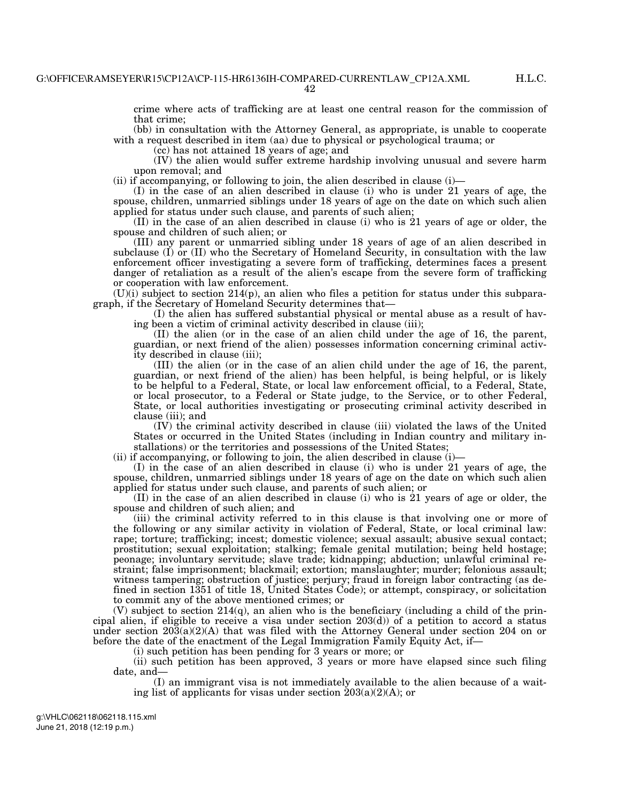crime where acts of trafficking are at least one central reason for the commission of that crime;

(bb) in consultation with the Attorney General, as appropriate, is unable to cooperate with a request described in item (aa) due to physical or psychological trauma; or

(cc) has not attained 18 years of age; and

(IV) the alien would suffer extreme hardship involving unusual and severe harm upon removal; and

(ii) if accompanying, or following to join, the alien described in clause (i)—

(I) in the case of an alien described in clause (i) who is under 21 years of age, the spouse, children, unmarried siblings under 18 years of age on the date on which such alien applied for status under such clause, and parents of such alien;

(II) in the case of an alien described in clause (i) who is 21 years of age or older, the spouse and children of such alien; or

(III) any parent or unmarried sibling under 18 years of age of an alien described in subclause  $(I)$  or  $(II)$  who the Secretary of Homeland Security, in consultation with the law enforcement officer investigating a severe form of trafficking, determines faces a present danger of retaliation as a result of the alien's escape from the severe form of trafficking or cooperation with law enforcement.

(U)(i) subject to section 214(p), an alien who files a petition for status under this subparagraph, if the Secretary of Homeland Security determines that—

(I) the alien has suffered substantial physical or mental abuse as a result of having been a victim of criminal activity described in clause (iii);

(II) the alien (or in the case of an alien child under the age of 16, the parent, guardian, or next friend of the alien) possesses information concerning criminal activity described in clause (iii);

(III) the alien (or in the case of an alien child under the age of 16, the parent, guardian, or next friend of the alien) has been helpful, is being helpful, or is likely to be helpful to a Federal, State, or local law enforcement official, to a Federal, State, or local prosecutor, to a Federal or State judge, to the Service, or to other Federal, State, or local authorities investigating or prosecuting criminal activity described in clause (iii); and

(IV) the criminal activity described in clause (iii) violated the laws of the United States or occurred in the United States (including in Indian country and military installations) or the territories and possessions of the United States;

(ii) if accompanying, or following to join, the alien described in clause (i)—

(I) in the case of an alien described in clause (i) who is under 21 years of age, the spouse, children, unmarried siblings under 18 years of age on the date on which such alien applied for status under such clause, and parents of such alien; or

(II) in the case of an alien described in clause (i) who is 21 years of age or older, the spouse and children of such alien; and

(iii) the criminal activity referred to in this clause is that involving one or more of the following or any similar activity in violation of Federal, State, or local criminal law: rape; torture; trafficking; incest; domestic violence; sexual assault; abusive sexual contact; prostitution; sexual exploitation; stalking; female genital mutilation; being held hostage; peonage; involuntary servitude; slave trade; kidnapping; abduction; unlawful criminal restraint; false imprisonment; blackmail; extortion; manslaughter; murder; felonious assault; witness tampering; obstruction of justice; perjury; fraud in foreign labor contracting (as defined in section 1351 of title 18, United States Code); or attempt, conspiracy, or solicitation to commit any of the above mentioned crimes; or

 $(V)$  subject to section 214 $(q)$ , an alien who is the beneficiary (including a child of the principal alien, if eligible to receive a visa under section  $203(d)$  of a petition to accord a status under section  $203(a)(2)(A)$  that was filed with the Attorney General under section 204 on or before the date of the enactment of the Legal Immigration Family Equity Act, if—

(i) such petition has been pending for 3 years or more; or

(ii) such petition has been approved, 3 years or more have elapsed since such filing date, and—

(I) an immigrant visa is not immediately available to the alien because of a waiting list of applicants for visas under section  $203(a)(2)(A)$ ; or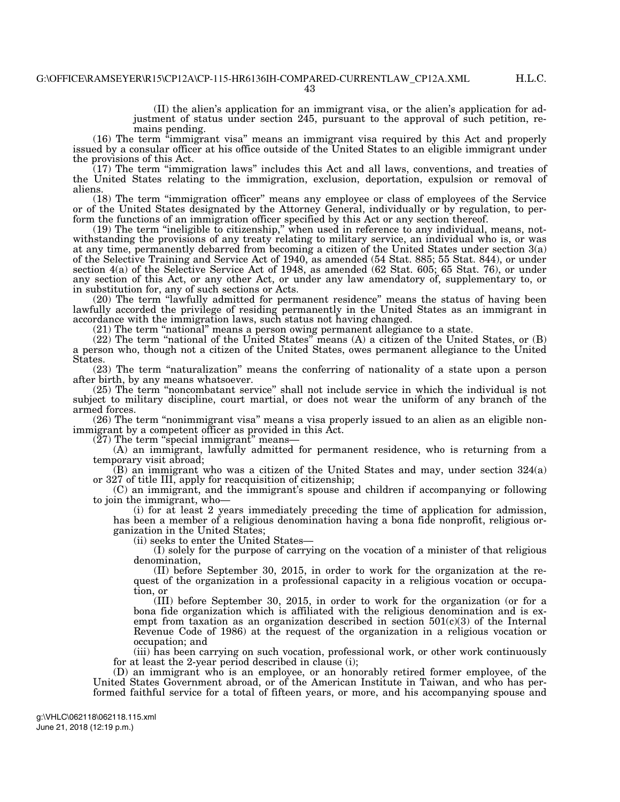H.L.C.

(II) the alien's application for an immigrant visa, or the alien's application for adjustment of status under section 245, pursuant to the approval of such petition, remains pending.

(16) The term ''immigrant visa'' means an immigrant visa required by this Act and properly issued by a consular officer at his office outside of the United States to an eligible immigrant under the provisions of this Act.

(17) The term ''immigration laws'' includes this Act and all laws, conventions, and treaties of the United States relating to the immigration, exclusion, deportation, expulsion or removal of aliens.

(18) The term ''immigration officer'' means any employee or class of employees of the Service or of the United States designated by the Attorney General, individually or by regulation, to perform the functions of an immigration officer specified by this Act or any section thereof.

(19) The term ''ineligible to citizenship,'' when used in reference to any individual, means, notwithstanding the provisions of any treaty relating to military service, an individual who is, or was at any time, permanently debarred from becoming a citizen of the United States under section 3(a) of the Selective Training and Service Act of 1940, as amended (54 Stat. 885; 55 Stat. 844), or under section 4(a) of the Selective Service Act of 1948, as amended (62 Stat. 605; 65 Stat. 76), or under any section of this Act, or any other Act, or under any law amendatory of, supplementary to, or in substitution for, any of such sections or Acts.

(20) The term ''lawfully admitted for permanent residence'' means the status of having been lawfully accorded the privilege of residing permanently in the United States as an immigrant in accordance with the immigration laws, such status not having changed.

(21) The term ''national'' means a person owing permanent allegiance to a state.

 $(22)$  The term "national of the United States" means  $(A)$  a citizen of the United States, or  $(B)$ a person who, though not a citizen of the United States, owes permanent allegiance to the United States.

(23) The term ''naturalization'' means the conferring of nationality of a state upon a person after birth, by any means whatsoever.

(25) The term ''noncombatant service'' shall not include service in which the individual is not subject to military discipline, court martial, or does not wear the uniform of any branch of the armed forces.

(26) The term ''nonimmigrant visa'' means a visa properly issued to an alien as an eligible nonimmigrant by a competent officer as provided in this Act.

 $(27)$  The term "special immigrant" means—

(A) an immigrant, lawfully admitted for permanent residence, who is returning from a temporary visit abroad;

(B) an immigrant who was a citizen of the United States and may, under section 324(a) or 327 of title III, apply for reacquisition of citizenship;

(C) an immigrant, and the immigrant's spouse and children if accompanying or following to join the immigrant, who—

(i) for at least 2 years immediately preceding the time of application for admission, has been a member of a religious denomination having a bona fide nonprofit, religious organization in the United States;

(ii) seeks to enter the United States—

(I) solely for the purpose of carrying on the vocation of a minister of that religious denomination,

(II) before September 30, 2015, in order to work for the organization at the request of the organization in a professional capacity in a religious vocation or occupation, or

(III) before September 30, 2015, in order to work for the organization (or for a bona fide organization which is affiliated with the religious denomination and is exempt from taxation as an organization described in section  $501(c)(3)$  of the Internal Revenue Code of 1986) at the request of the organization in a religious vocation or occupation; and

(iii) has been carrying on such vocation, professional work, or other work continuously for at least the 2-year period described in clause (i);

(D) an immigrant who is an employee, or an honorably retired former employee, of the United States Government abroad, or of the American Institute in Taiwan, and who has performed faithful service for a total of fifteen years, or more, and his accompanying spouse and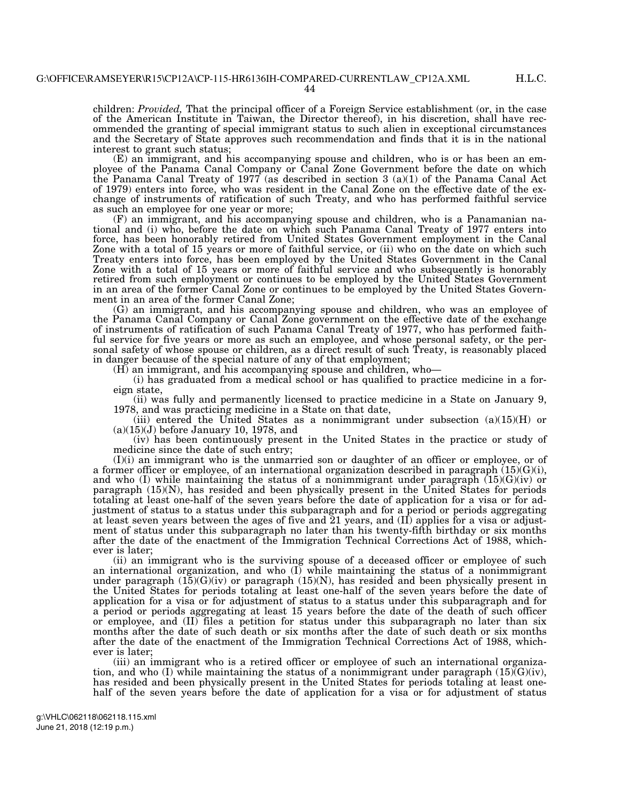children: *Provided,* That the principal officer of a Foreign Service establishment (or, in the case of the American Institute in Taiwan, the Director thereof), in his discretion, shall have recommended the granting of special immigrant status to such alien in exceptional circumstances and the Secretary of State approves such recommendation and finds that it is in the national interest to grant such status;

(E) an immigrant, and his accompanying spouse and children, who is or has been an employee of the Panama Canal Company or Canal Zone Government before the date on which the Panama Canal Treaty of 1977 (as described in section 3 (a)(1) of the Panama Canal Act of 1979) enters into force, who was resident in the Canal Zone on the effective date of the exchange of instruments of ratification of such Treaty, and who has performed faithful service as such an employee for one year or more;

(F) an immigrant, and his accompanying spouse and children, who is a Panamanian national and (i) who, before the date on which such Panama Canal Treaty of 1977 enters into force, has been honorably retired from United States Government employment in the Canal Zone with a total of 15 years or more of faithful service, or (ii) who on the date on which such Treaty enters into force, has been employed by the United States Government in the Canal Zone with a total of 15 years or more of faithful service and who subsequently is honorably retired from such employment or continues to be employed by the United States Government in an area of the former Canal Zone or continues to be employed by the United States Government in an area of the former Canal Zone;

(G) an immigrant, and his accompanying spouse and children, who was an employee of the Panama Canal Company or Canal Zone government on the effective date of the exchange of instruments of ratification of such Panama Canal Treaty of 1977, who has performed faithful service for five years or more as such an employee, and whose personal safety, or the personal safety of whose spouse or children, as a direct result of such Treaty, is reasonably placed in danger because of the special nature of any of that employment;

(H) an immigrant, and his accompanying spouse and children, who—

(i) has graduated from a medical school or has qualified to practice medicine in a foreign state,

(ii) was fully and permanently licensed to practice medicine in a State on January 9, 1978, and was practicing medicine in a State on that date,

(iii) entered the United States as a nonimmigrant under subsection  $(a)(15)(H)$  or  $(a)(15)(J)$  before January 10, 1978, and

(iv) has been continuously present in the United States in the practice or study of medicine since the date of such entry;

(I)(i) an immigrant who is the unmarried son or daughter of an officer or employee, or of a former officer or employee, of an international organization described in paragraph  $(15)(G)(i)$ , and who (I) while maintaining the status of a nonimmigrant under paragraph  $(15)(G)(iv)$  or paragraph (15)(N), has resided and been physically present in the United States for periods totaling at least one-half of the seven years before the date of application for a visa or for adjustment of status to a status under this subparagraph and for a period or periods aggregating at least seven years between the ages of five and 21 years, and (II) applies for a visa or adjustment of status under this subparagraph no later than his twenty-fifth birthday or six months after the date of the enactment of the Immigration Technical Corrections Act of 1988, whichever is later;

(ii) an immigrant who is the surviving spouse of a deceased officer or employee of such an international organization, and who (I) while maintaining the status of a nonimmigrant under paragraph  $(15)(G)(iv)$  or paragraph  $(15)(N)$ , has resided and been physically present in the United States for periods totaling at least one-half of the seven years before the date of application for a visa or for adjustment of status to a status under this subparagraph and for a period or periods aggregating at least 15 years before the date of the death of such officer or employee, and (II) files a petition for status under this subparagraph no later than six months after the date of such death or six months after the date of such death or six months after the date of the enactment of the Immigration Technical Corrections Act of 1988, whichever is later;

(iii) an immigrant who is a retired officer or employee of such an international organization, and who (I) while maintaining the status of a nonimmigrant under paragraph  $(15)\text{G}(i)v$ , has resided and been physically present in the United States for periods totaling at least onehalf of the seven years before the date of application for a visa or for adjustment of status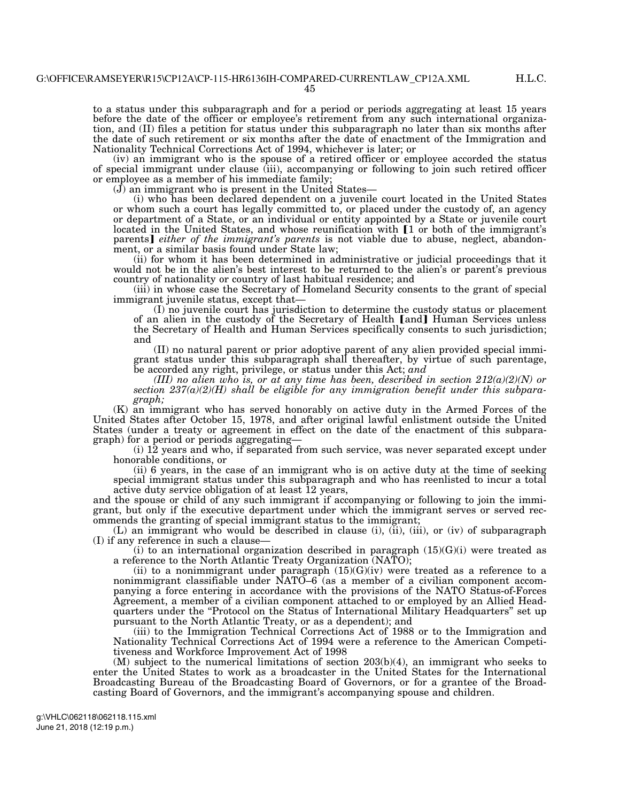45

to a status under this subparagraph and for a period or periods aggregating at least 15 years before the date of the officer or employee's retirement from any such international organization, and (II) files a petition for status under this subparagraph no later than six months after the date of such retirement or six months after the date of enactment of the Immigration and Nationality Technical Corrections Act of 1994, whichever is later; or

(iv) an immigrant who is the spouse of a retired officer or employee accorded the status of special immigrant under clause (iii), accompanying or following to join such retired officer or employee as a member of his immediate family;

 $J$ ) an immigrant who is present in the United States—

(i) who has been declared dependent on a juvenile court located in the United States or whom such a court has legally committed to, or placed under the custody of, an agency or department of a State, or an individual or entity appointed by a State or juvenile court located in the United States, and whose reunification with  $[1 \text{ or both of the immigration}]$ parents] *either of the immigrant's parents* is not viable due to abuse, neglect, abandonment, or a similar basis found under State law;

(ii) for whom it has been determined in administrative or judicial proceedings that it would not be in the alien's best interest to be returned to the alien's or parent's previous country of nationality or country of last habitual residence; and

(iii) in whose case the Secretary of Homeland Security consents to the grant of special immigrant juvenile status, except that—

(I) no juvenile court has jurisdiction to determine the custody status or placement of an alien in the custody of the Secretary of Health [and] Human Services unless the Secretary of Health and Human Services specifically consents to such jurisdiction; and

(II) no natural parent or prior adoptive parent of any alien provided special immigrant status under this subparagraph shall thereafter, by virtue of such parentage, be accorded any right, privilege, or status under this Act; *and* 

*(III) no alien who is, or at any time has been, described in section*  $212(a)(2)(N)$  *or section 237(a)(2)(H) shall be eligible for any immigration benefit under this subparagraph;* 

(K) an immigrant who has served honorably on active duty in the Armed Forces of the United States after October 15, 1978, and after original lawful enlistment outside the United States (under a treaty or agreement in effect on the date of the enactment of this subparagraph) for a period or periods aggregating—

(i) 12 years and who, if separated from such service, was never separated except under honorable conditions, or

(ii) 6 years, in the case of an immigrant who is on active duty at the time of seeking special immigrant status under this subparagraph and who has reenlisted to incur a total active duty service obligation of at least 12 years,

and the spouse or child of any such immigrant if accompanying or following to join the immigrant, but only if the executive department under which the immigrant serves or served recommends the granting of special immigrant status to the immigrant;

(L) an immigrant who would be described in clause (i), (ii), (iii), or (iv) of subparagraph (I) if any reference in such a clause—

(i) to an international organization described in paragraph  $(15)(G)(i)$  were treated as a reference to the North Atlantic Treaty Organization (NATO);

(ii) to a nonimmigrant under paragraph  $(15)(G)(iv)$  were treated as a reference to a nonimmigrant classifiable under NATO–6 (as a member of a civilian component accompanying a force entering in accordance with the provisions of the NATO Status-of-Forces Agreement, a member of a civilian component attached to or employed by an Allied Headquarters under the "Protocol on the Status of International Military Headquarters" set up pursuant to the North Atlantic Treaty, or as a dependent); and

(iii) to the Immigration Technical Corrections Act of 1988 or to the Immigration and Nationality Technical Corrections Act of 1994 were a reference to the American Competitiveness and Workforce Improvement Act of 1998

(M) subject to the numerical limitations of section 203(b)(4), an immigrant who seeks to enter the United States to work as a broadcaster in the United States for the International Broadcasting Bureau of the Broadcasting Board of Governors, or for a grantee of the Broadcasting Board of Governors, and the immigrant's accompanying spouse and children.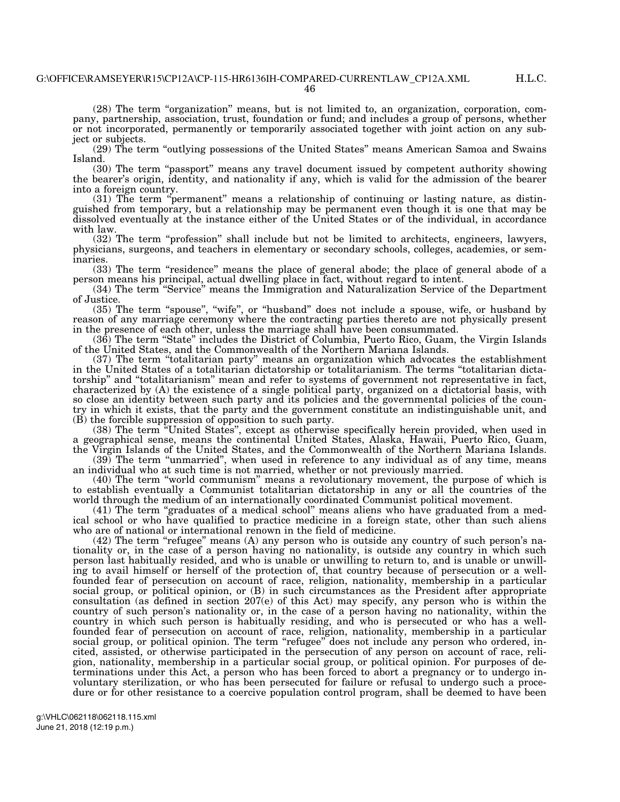(28) The term "organization" means, but is not limited to, an organization, corporation, company, partnership, association, trust, foundation or fund; and includes a group of persons, whether or not incorporated, permanently or temporarily associated together with joint action on any subject or subjects.

(29) The term ''outlying possessions of the United States'' means American Samoa and Swains Island.

(30) The term "passport" means any travel document issued by competent authority showing the bearer's origin, identity, and nationality if any, which is valid for the admission of the bearer into a foreign country.

(31) The term "permanent" means a relationship of continuing or lasting nature, as distinguished from temporary, but a relationship may be permanent even though it is one that may be dissolved eventually at the instance either of the United States or of the individual, in accordance with law.

(32) The term "profession" shall include but not be limited to architects, engineers, lawyers, physicians, surgeons, and teachers in elementary or secondary schools, colleges, academies, or seminaries.

(33) The term ''residence'' means the place of general abode; the place of general abode of a person means his principal, actual dwelling place in fact, without regard to intent.

(34) The term ''Service'' means the Immigration and Naturalization Service of the Department of Justice.

(35) The term "spouse", "wife", or "husband" does not include a spouse, wife, or husband by reason of any marriage ceremony where the contracting parties thereto are not physically present in the presence of each other, unless the marriage shall have been consummated.

 $(36)$  The term "State" includes the District of Columbia, Puerto Rico, Guam, the Virgin Islands of the United States, and the Commonwealth of the Northern Mariana Islands.

(37) The term ''totalitarian party'' means an organization which advocates the establishment in the United States of a totalitarian dictatorship or totalitarianism. The terms ''totalitarian dictatorship'' and ''totalitarianism'' mean and refer to systems of government not representative in fact, characterized by (A) the existence of a single political party, organized on a dictatorial basis, with so close an identity between such party and its policies and the governmental policies of the country in which it exists, that the party and the government constitute an indistinguishable unit, and (B) the forcible suppression of opposition to such party.

(38) The term ''United States'', except as otherwise specifically herein provided, when used in a geographical sense, means the continental United States, Alaska, Hawaii, Puerto Rico, Guam, the Virgin Islands of the United States, and the Commonwealth of the Northern Mariana Islands.

(39) The term ''unmarried'', when used in reference to any individual as of any time, means an individual who at such time is not married, whether or not previously married.

(40) The term ''world communism'' means a revolutionary movement, the purpose of which is to establish eventually a Communist totalitarian dictatorship in any or all the countries of the world through the medium of an internationally coordinated Communist political movement.

(41) The term "graduates of a medical school" means aliens who have graduated from a medical school or who have qualified to practice medicine in a foreign state, other than such aliens who are of national or international renown in the field of medicine.

(42) The term "refugee" means (A) any person who is outside any country of such person's nationality or, in the case of a person having no nationality, is outside any country in which such person last habitually resided, and who is unable or unwilling to return to, and is unable or unwilling to avail himself or herself of the protection of, that country because of persecution or a wellfounded fear of persecution on account of race, religion, nationality, membership in a particular social group, or political opinion, or (B) in such circumstances as the President after appropriate consultation (as defined in section 207(e) of this Act) may specify, any person who is within the country of such person's nationality or, in the case of a person having no nationality, within the country in which such person is habitually residing, and who is persecuted or who has a wellfounded fear of persecution on account of race, religion, nationality, membership in a particular social group, or political opinion. The term "refugee" does not include any person who ordered, incited, assisted, or otherwise participated in the persecution of any person on account of race, religion, nationality, membership in a particular social group, or political opinion. For purposes of determinations under this Act, a person who has been forced to abort a pregnancy or to undergo involuntary sterilization, or who has been persecuted for failure or refusal to undergo such a procedure or for other resistance to a coercive population control program, shall be deemed to have been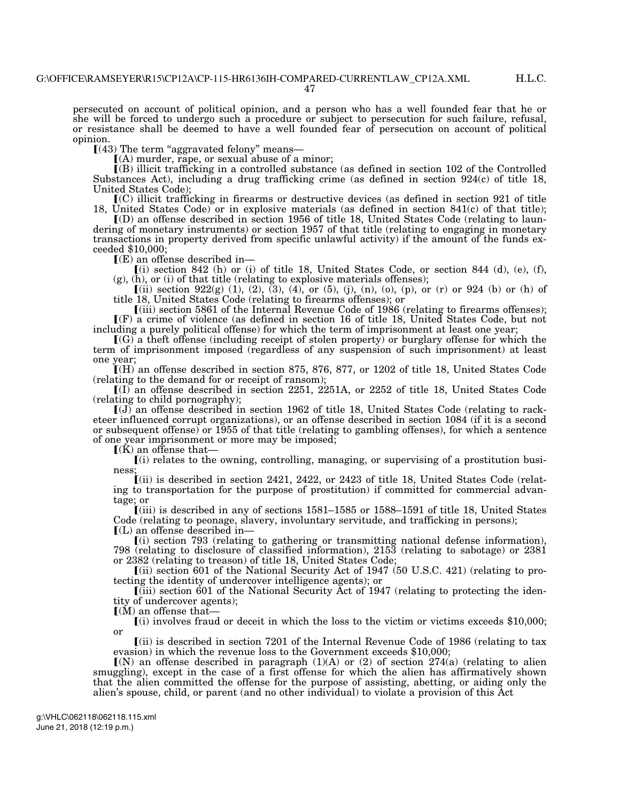persecuted on account of political opinion, and a person who has a well founded fear that he or she will be forced to undergo such a procedure or subject to persecution for such failure, refusal, or resistance shall be deemed to have a well founded fear of persecution on account of political opinion.

 $(43)$  The term "aggravated felony" means-

 $(A)$  murder, rape, or sexual abuse of a minor;

ø(B) illicit trafficking in a controlled substance (as defined in section 102 of the Controlled Substances Act), including a drug trafficking crime (as defined in section 924(c) of title 18, United States Code);

 $(C)$  illicit trafficking in firearms or destructive devices (as defined in section 921 of title 18, United States Code) or in explosive materials (as defined in section 841(c) of that title);

ø(D) an offense described in section 1956 of title 18, United States Code (relating to laundering of monetary instruments) or section 1957 of that title (relating to engaging in monetary transactions in property derived from specific unlawful activity) if the amount of the funds exceeded \$10,000;

 $\mathbf{F}(\mathbf{E})$  an offense described in-

 $(i)$  section 842 (h) or (i) of title 18, United States Code, or section 844 (d), (e), (f), (g), (h), or (i) of that title (relating to explosive materials offenses);

(ii) section 922(g) (1), (2), (3), (4), or (5), (j), (n), (o), (p), or (r) or 924 (b) or (h) of title 18, United States Code (relating to firearms offenses); or <br>[(iii) section 5861 of the Internal Revenue Code of 1986 (relating to firearms offenses);

ø(F) a crime of violence (as defined in section 16 of title 18, United States Code, but not including a purely political offense) for which the term of imprisonment at least one year;

 $[(G)]$  a theft offense (including receipt of stolen property) or burglary offense for which the term of imprisonment imposed (regardless of any suspension of such imprisonment) at least one year;

 $(M)$  an offense described in section 875, 876, 877, or 1202 of title 18, United States Code (relating to the demand for or receipt of ransom);

 $(1)$  an offense described in section 2251, 2251A, or 2252 of title 18, United States Code (relating to child pornography);

 $\left[\mathrm{(\mathrm{J})}\right]$  an offense described in section 1962 of title 18, United States Code (relating to racketeer influenced corrupt organizations), or an offense described in section 1084 (if it is a second or subsequent offense) or 1955 of that title (relating to gambling offenses), for which a sentence of one year imprisonment or more may be imposed;

 $K(K)$  an offense that-

 $(i)$  relates to the owning, controlling, managing, or supervising of a prostitution business;

 $(iii)$  is described in section 2421, 2422, or 2423 of title 18, United States Code (relating to transportation for the purpose of prostitution) if committed for commercial advantage; or

 $(iii)$  is described in any of sections 1581–1585 or 1588–1591 of title 18, United States Code (relating to peonage, slavery, involuntary servitude, and trafficking in persons);  $\mathbf{L}$ (L) an offense described in-

ø(i) section 793 (relating to gathering or transmitting national defense information), 798 (relating to disclosure of classified information), 2153 (relating to sabotage) or 2381 or 2382 (relating to treason) of title 18, United States Code;

 $\lbrack$ (ii) section 601 of the National Security Act of 1947 (50 U.S.C. 421) (relating to protecting the identity of undercover intelligence agents); or

 $\left[ \left( \mathrm{iii}\right) \right]$  section 601 of the National Security Act of 1947 (relating to protecting the identity of undercover agents);

 $(M)$  an offense that-

 $(i)$  involves fraud or deceit in which the loss to the victim or victims exceeds \$10,000; or

 $\int$ [(ii) is described in section 7201 of the Internal Revenue Code of 1986 (relating to tax evasion) in which the revenue loss to the Government exceeds \$10,000;

 $(N)$  an offense described in paragraph  $(1)(A)$  or  $(2)$  of section 274(a) (relating to alien smuggling), except in the case of a first offense for which the alien has affirmatively shown that the alien committed the offense for the purpose of assisting, abetting, or aiding only the alien's spouse, child, or parent (and no other individual) to violate a provision of this Act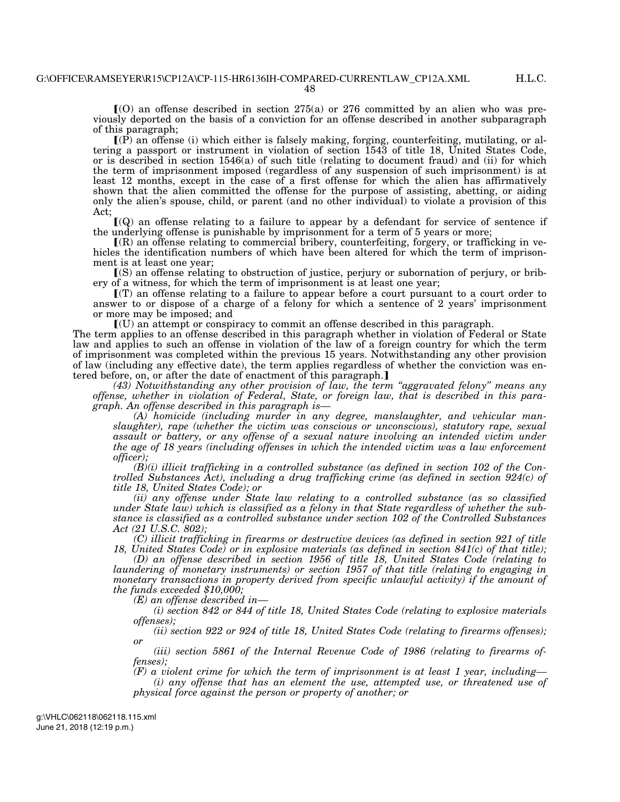H.L.C.

 $(0)$  an offense described in section 275(a) or 276 committed by an alien who was previously deported on the basis of a conviction for an offense described in another subparagraph of this paragraph;

 $(\mathbf{P})$  an offense (i) which either is falsely making, forging, counterfeiting, mutilating, or altering a passport or instrument in violation of section 1543 of title 18, United States Code, or is described in section 1546(a) of such title (relating to document fraud) and (ii) for which the term of imprisonment imposed (regardless of any suspension of such imprisonment) is at least 12 months, except in the case of a first offense for which the alien has affirmatively shown that the alien committed the offense for the purpose of assisting, abetting, or aiding only the alien's spouse, child, or parent (and no other individual) to violate a provision of this Act;

 $(Q)$  an offense relating to a failure to appear by a defendant for service of sentence if the underlying offense is punishable by imprisonment for a term of 5 years or more;

 $\Gamma(R)$  an offense relating to commercial bribery, counterfeiting, forgery, or trafficking in vehicles the identification numbers of which have been altered for which the term of imprisonment is at least one year;

ø(S) an offense relating to obstruction of justice, perjury or subornation of perjury, or bribery of a witness, for which the term of imprisonment is at least one year;

 $\Gamma(T)$  an offense relating to a failure to appear before a court pursuant to a court order to answer to or dispose of a charge of a felony for which a sentence of 2 years' imprisonment or more may be imposed; and

 $\left[$ (U) an attempt or conspiracy to commit an offense described in this paragraph.

The term applies to an offense described in this paragraph whether in violation of Federal or State law and applies to such an offense in violation of the law of a foreign country for which the term of imprisonment was completed within the previous 15 years. Notwithstanding any other provision of law (including any effective date), the term applies regardless of whether the conviction was entered before, on, or after the date of enactment of this paragraph.]

*(43) Notwithstanding any other provision of law, the term ''aggravated felony'' means any offense, whether in violation of Federal, State, or foreign law, that is described in this paragraph. An offense described in this paragraph is—* 

*(A) homicide (including murder in any degree, manslaughter, and vehicular manslaughter), rape (whether the victim was conscious or unconscious), statutory rape, sexual assault or battery, or any offense of a sexual nature involving an intended victim under the age of 18 years (including offenses in which the intended victim was a law enforcement officer);* 

*(B)(i) illicit trafficking in a controlled substance (as defined in section 102 of the Controlled Substances Act), including a drug trafficking crime (as defined in section 924(c) of title 18, United States Code); or* 

*(ii) any offense under State law relating to a controlled substance (as so classified under State law) which is classified as a felony in that State regardless of whether the substance is classified as a controlled substance under section 102 of the Controlled Substances Act (21 U.S.C. 802);* 

*(C) illicit trafficking in firearms or destructive devices (as defined in section 921 of title 18, United States Code) or in explosive materials (as defined in section 841(c) of that title);* 

*(D) an offense described in section 1956 of title 18, United States Code (relating to laundering of monetary instruments) or section 1957 of that title (relating to engaging in monetary transactions in property derived from specific unlawful activity) if the amount of the funds exceeded \$10,000;* 

*(E) an offense described in—* 

*(i) section 842 or 844 of title 18, United States Code (relating to explosive materials offenses);* 

*(ii) section 922 or 924 of title 18, United States Code (relating to firearms offenses); or* 

*(iii) section 5861 of the Internal Revenue Code of 1986 (relating to firearms offenses);* 

*(F) a violent crime for which the term of imprisonment is at least 1 year, including— (i) any offense that has an element the use, attempted use, or threatened use of physical force against the person or property of another; or*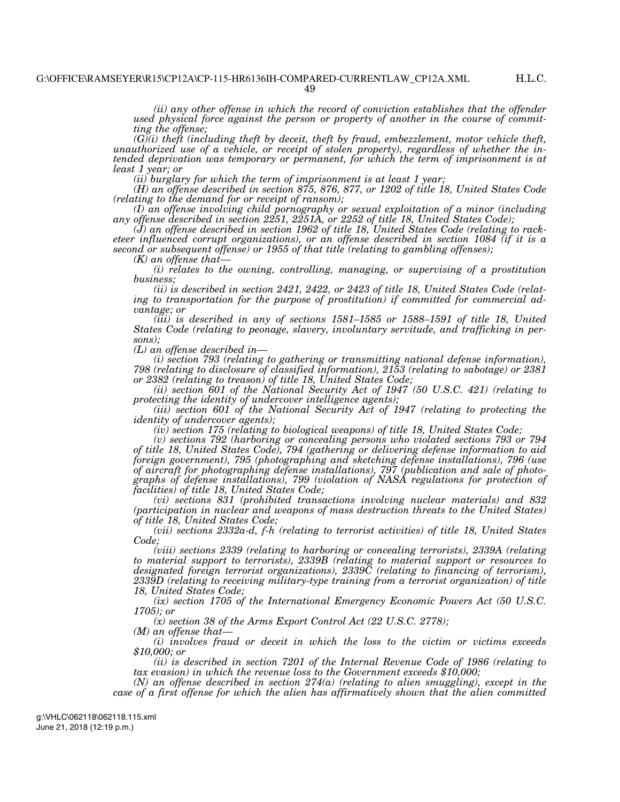H.L.C.

*(ii) any other offense in which the record of conviction establishes that the offender used physical force against the person or property of another in the course of committing the offense;* 

*(G)(i) theft (including theft by deceit, theft by fraud, embezzlement, motor vehicle theft, unauthorized use of a vehicle, or receipt of stolen property), regardless of whether the intended deprivation was temporary or permanent, for which the term of imprisonment is at least 1 year; or* 

*(ii) burglary for which the term of imprisonment is at least 1 year;* 

*(H) an offense described in section 875, 876, 877, or 1202 of title 18, United States Code (relating to the demand for or receipt of ransom);* 

*(I) an offense involving child pornography or sexual exploitation of a minor (including any offense described in section 2251, 2251A, or 2252 of title 18, United States Code);* 

*(J) an offense described in section 1962 of title 18, United States Code (relating to racketeer influenced corrupt organizations), or an offense described in section 1084 (if it is a second or subsequent offense) or 1955 of that title (relating to gambling offenses);* 

*(K) an offense that—* 

*(i) relates to the owning, controlling, managing, or supervising of a prostitution business;* 

*(ii) is described in section 2421, 2422, or 2423 of title 18, United States Code (relating to transportation for the purpose of prostitution) if committed for commercial advantage; or* 

*(iii) is described in any of sections 1581–1585 or 1588–1591 of title 18, United States Code (relating to peonage, slavery, involuntary servitude, and trafficking in persons);* 

*(L) an offense described in—* 

*(i) section 793 (relating to gathering or transmitting national defense information), 798 (relating to disclosure of classified information), 2153 (relating to sabotage) or 2381 or 2382 (relating to treason) of title 18, United States Code;* 

*(ii) section 601 of the National Security Act of 1947 (50 U.S.C. 421) (relating to protecting the identity of undercover intelligence agents);* 

*(iii)* section 601 of the National Security Act of 1947 (relating to protecting the *identity of undercover agents);* 

*(iv) section 175 (relating to biological weapons) of title 18, United States Code;* 

*(v) sections 792 (harboring or concealing persons who violated sections 793 or 794 of title 18, United States Code), 794 (gathering or delivering defense information to aid foreign government), 795 (photographing and sketching defense installations), 796 (use of aircraft for photographing defense installations), 797 (publication and sale of photographs of defense installations), 799 (violation of NASA regulations for protection of facilities) of title 18, United States Code;* 

*(vi) sections 831 (prohibited transactions involving nuclear materials) and 832 (participation in nuclear and weapons of mass destruction threats to the United States) of title 18, United States Code;* 

*(vii) sections 2332a-d, f-h (relating to terrorist activities) of title 18, United States Code;* 

*(viii) sections 2339 (relating to harboring or concealing terrorists), 2339A (relating to material support to terrorists), 2339B (relating to material support or resources to designated foreign terrorist organizations), 2339C (relating to financing of terrorism), 2339D (relating to receiving military-type training from a terrorist organization) of title 18, United States Code;* 

*(ix) section 1705 of the International Emergency Economic Powers Act (50 U.S.C. 1705); or* 

*(x) section 38 of the Arms Export Control Act (22 U.S.C. 2778);* 

*(M) an offense that—* 

*(i) involves fraud or deceit in which the loss to the victim or victims exceeds \$10,000; or* 

*(ii) is described in section 7201 of the Internal Revenue Code of 1986 (relating to tax evasion) in which the revenue loss to the Government exceeds \$10,000;* 

*(N) an offense described in section 274(a) (relating to alien smuggling), except in the case of a first offense for which the alien has affirmatively shown that the alien committed*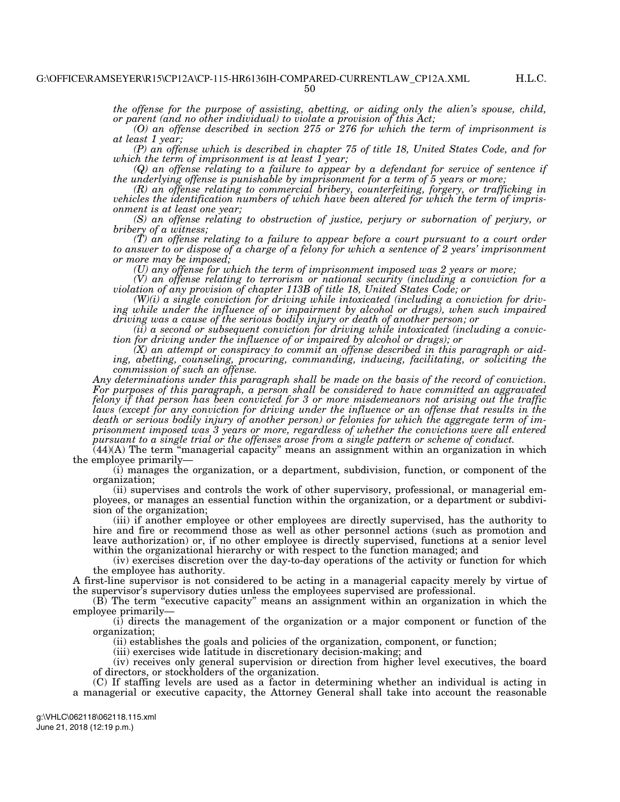*the offense for the purpose of assisting, abetting, or aiding only the alien's spouse, child, or parent (and no other individual) to violate a provision of this Act;* 

*(O) an offense described in section 275 or 276 for which the term of imprisonment is at least 1 year;* 

*(P) an offense which is described in chapter 75 of title 18, United States Code, and for which the term of imprisonment is at least 1 year;* 

*(Q) an offense relating to a failure to appear by a defendant for service of sentence if the underlying offense is punishable by imprisonment for a term of 5 years or more;* 

*(R) an offense relating to commercial bribery, counterfeiting, forgery, or trafficking in vehicles the identification numbers of which have been altered for which the term of imprisonment is at least one year;* 

*(S) an offense relating to obstruction of justice, perjury or subornation of perjury, or bribery of a witness;* 

*(T) an offense relating to a failure to appear before a court pursuant to a court order to answer to or dispose of a charge of a felony for which a sentence of 2 years' imprisonment or more may be imposed;* 

*(U) any offense for which the term of imprisonment imposed was 2 years or more;* 

*(V) an offense relating to terrorism or national security (including a conviction for a violation of any provision of chapter 113B of title 18, United States Code; or* 

*(W)(i) a single conviction for driving while intoxicated (including a conviction for driving while under the influence of or impairment by alcohol or drugs), when such impaired driving was a cause of the serious bodily injury or death of another person; or* 

*(ii) a second or subsequent conviction for driving while intoxicated (including a conviction for driving under the influence of or impaired by alcohol or drugs); or* 

*(X) an attempt or conspiracy to commit an offense described in this paragraph or aiding, abetting, counseling, procuring, commanding, inducing, facilitating, or soliciting the commission of such an offense.* 

*Any determinations under this paragraph shall be made on the basis of the record of conviction. For purposes of this paragraph, a person shall be considered to have committed an aggravated felony if that person has been convicted for 3 or more misdemeanors not arising out the traffic laws (except for any conviction for driving under the influence or an offense that results in the death or serious bodily injury of another person) or felonies for which the aggregate term of imprisonment imposed was 3 years or more, regardless of whether the convictions were all entered pursuant to a single trial or the offenses arose from a single pattern or scheme of conduct.* 

 $(44)(A)$  The term "managerial capacity" means an assignment within an organization in which the employee primarily—

(i) manages the organization, or a department, subdivision, function, or component of the organization;

(ii) supervises and controls the work of other supervisory, professional, or managerial employees, or manages an essential function within the organization, or a department or subdivision of the organization;

(iii) if another employee or other employees are directly supervised, has the authority to hire and fire or recommend those as well as other personnel actions (such as promotion and leave authorization) or, if no other employee is directly supervised, functions at a senior level within the organizational hierarchy or with respect to the function managed; and

(iv) exercises discretion over the day-to-day operations of the activity or function for which the employee has authority.

A first-line supervisor is not considered to be acting in a managerial capacity merely by virtue of the supervisor's supervisory duties unless the employees supervised are professional.

(B) The term ''executive capacity'' means an assignment within an organization in which the employee primarily—

(i) directs the management of the organization or a major component or function of the organization;

(ii) establishes the goals and policies of the organization, component, or function;

(iii) exercises wide latitude in discretionary decision-making; and

(iv) receives only general supervision or direction from higher level executives, the board of directors, or stockholders of the organization.

(C) If staffing levels are used as a factor in determining whether an individual is acting in a managerial or executive capacity, the Attorney General shall take into account the reasonable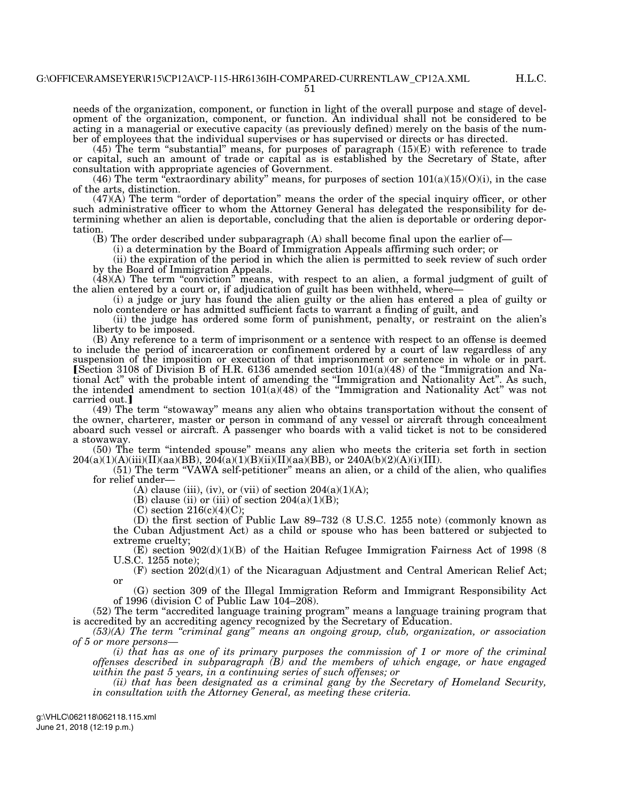needs of the organization, component, or function in light of the overall purpose and stage of development of the organization, component, or function. An individual shall not be considered to be acting in a managerial or executive capacity (as previously defined) merely on the basis of the number of employees that the individual supervises or has supervised or directs or has directed.

 $(45)$  The term "substantial" means, for purposes of paragraph  $(15)(E)$  with reference to trade or capital, such an amount of trade or capital as is established by the Secretary of State, after consultation with appropriate agencies of Government.

 $(46)$  The term "extraordinary ability" means, for purposes of section  $101(a)(15)(0)(i)$ , in the case of the arts, distinction.

 $(47)(A)$  The term "order of deportation" means the order of the special inquiry officer, or other such administrative officer to whom the Attorney General has delegated the responsibility for determining whether an alien is deportable, concluding that the alien is deportable or ordering deportation.

(B) The order described under subparagraph (A) shall become final upon the earlier of—

(i) a determination by the Board of Immigration Appeals affirming such order; or

(ii) the expiration of the period in which the alien is permitted to seek review of such order by the Board of Immigration Appeals.

 $(48)(A)$  The term "conviction" means, with respect to an alien, a formal judgment of guilt of the alien entered by a court or, if adjudication of guilt has been withheld, where—

(i) a judge or jury has found the alien guilty or the alien has entered a plea of guilty or nolo contendere or has admitted sufficient facts to warrant a finding of guilt, and

(ii) the judge has ordered some form of punishment, penalty, or restraint on the alien's liberty to be imposed.

(B) Any reference to a term of imprisonment or a sentence with respect to an offense is deemed to include the period of incarceration or confinement ordered by a court of law regardless of any suspension of the imposition or execution of that imprisonment or sentence in whole or in part. Section 3108 of Division B of H.R. 6136 amended section  $101(a)(48)$  of the "Immigration and National Act'' with the probable intent of amending the ''Immigration and Nationality Act''. As such, the intended amendment to section  $101(a)(48)$  of the "Immigration and Nationality Act" was not carried out.]

(49) The term ''stowaway'' means any alien who obtains transportation without the consent of the owner, charterer, master or person in command of any vessel or aircraft through concealment aboard such vessel or aircraft. A passenger who boards with a valid ticket is not to be considered a stowaway.

(50) The term ''intended spouse'' means any alien who meets the criteria set forth in section  $204(a)(1)(A)(iii)(II)(aa)(BB), 204(a)(1)(B)(ii)(II)(aa)(BB), or 240A(b)(2)(A)(i)(III).$ 

(51) The term ''VAWA self-petitioner'' means an alien, or a child of the alien, who qualifies for relief under—

(A) clause (iii), (iv), or (vii) of section  $204(a)(1)(A);$ 

(B) clause (ii) or (iii) of section  $204(a)(1)(B)$ ;

 $(C)$  section  $216(c)(4)(C)$ ;

(D) the first section of Public Law 89–732 (8 U.S.C. 1255 note) (commonly known as the Cuban Adjustment Act) as a child or spouse who has been battered or subjected to extreme cruelty;

 $(E)$  section  $902(d)(1)(B)$  of the Haitian Refugee Immigration Fairness Act of 1998 (8) U.S.C. 1255 note);

(F) section 202(d)(1) of the Nicaraguan Adjustment and Central American Relief Act; or

(G) section 309 of the Illegal Immigration Reform and Immigrant Responsibility Act of 1996 (division C of Public Law 104–208).

(52) The term ''accredited language training program'' means a language training program that is accredited by an accrediting agency recognized by the Secretary of Education.

*(53)(A) The term ''criminal gang'' means an ongoing group, club, organization, or association of 5 or more persons—* 

*(i) that has as one of its primary purposes the commission of 1 or more of the criminal offenses described in subparagraph (B) and the members of which engage, or have engaged within the past 5 years, in a continuing series of such offenses; or* 

*(ii) that has been designated as a criminal gang by the Secretary of Homeland Security, in consultation with the Attorney General, as meeting these criteria.*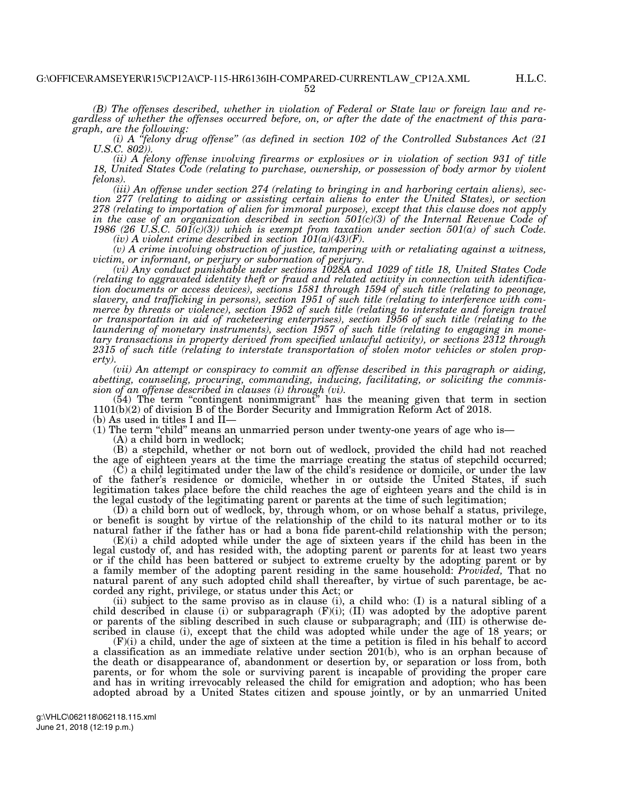*(B) The offenses described, whether in violation of Federal or State law or foreign law and regardless of whether the offenses occurred before, on, or after the date of the enactment of this paragraph, are the following:* 

*(i) A ''felony drug offense'' (as defined in section 102 of the Controlled Substances Act (21 U.S.C. 802)).* 

*(ii) A felony offense involving firearms or explosives or in violation of section 931 of title 18, United States Code (relating to purchase, ownership, or possession of body armor by violent felons).* 

*(iii) An offense under section 274 (relating to bringing in and harboring certain aliens), section 277 (relating to aiding or assisting certain aliens to enter the United States), or section 278 (relating to importation of alien for immoral purpose), except that this clause does not apply in the case of an organization described in section 501(c)(3) of the Internal Revenue Code of 1986 (26 U.S.C. 501(c)(3)) which is exempt from taxation under section 501(a) of such Code.* 

 $(iv)$  A violent crime described in section  $101(a)(43)(F)$ .

*(v) A crime involving obstruction of justice, tampering with or retaliating against a witness, victim, or informant, or perjury or subornation of perjury.* 

*(vi) Any conduct punishable under sections 1028A and 1029 of title 18, United States Code (relating to aggravated identity theft or fraud and related activity in connection with identification documents or access devices), sections 1581 through 1594 of such title (relating to peonage, slavery, and trafficking in persons), section 1951 of such title (relating to interference with commerce by threats or violence), section 1952 of such title (relating to interstate and foreign travel or transportation in aid of racketeering enterprises), section 1956 of such title (relating to the laundering of monetary instruments), section 1957 of such title (relating to engaging in monetary transactions in property derived from specified unlawful activity), or sections 2312 through 2315 of such title (relating to interstate transportation of stolen motor vehicles or stolen property).* 

*(vii) An attempt or conspiracy to commit an offense described in this paragraph or aiding, abetting, counseling, procuring, commanding, inducing, facilitating, or soliciting the commission of an offense described in clauses (i) through (vi).* 

 $(54)$  The term "contingent nonimmigrant" has the meaning given that term in section 1101(b)(2) of division B of the Border Security and Immigration Reform Act of 2018.

(b) As used in titles I and II—

 $(1)$  The term "child" means an unmarried person under twenty-one years of age who is—

(A) a child born in wedlock;

(B) a stepchild, whether or not born out of wedlock, provided the child had not reached the age of eighteen years at the time the marriage creating the status of stepchild occurred;

(C) a child legitimated under the law of the child's residence or domicile, or under the law of the father's residence or domicile, whether in or outside the United States, if such legitimation takes place before the child reaches the age of eighteen years and the child is in the legal custody of the legitimating parent or parents at the time of such legitimation;

(D) a child born out of wedlock, by, through whom, or on whose behalf a status, privilege, or benefit is sought by virtue of the relationship of the child to its natural mother or to its natural father if the father has or had a bona fide parent-child relationship with the person;

(E)(i) a child adopted while under the age of sixteen years if the child has been in the legal custody of, and has resided with, the adopting parent or parents for at least two years or if the child has been battered or subject to extreme cruelty by the adopting parent or by a family member of the adopting parent residing in the same household: *Provided,* That no natural parent of any such adopted child shall thereafter, by virtue of such parentage, be accorded any right, privilege, or status under this Act; or

(ii) subject to the same proviso as in clause (i), a child who: (I) is a natural sibling of a child described in clause (i) or subparagraph  $(F)(i)$ ;  $(II)$  was adopted by the adoptive parent or parents of the sibling described in such clause or subparagraph; and (III) is otherwise described in clause (i), except that the child was adopted while under the age of 18 years; or

(F)(i) a child, under the age of sixteen at the time a petition is filed in his behalf to accord a classification as an immediate relative under section 201(b), who is an orphan because of the death or disappearance of, abandonment or desertion by, or separation or loss from, both parents, or for whom the sole or surviving parent is incapable of providing the proper care and has in writing irrevocably released the child for emigration and adoption; who has been adopted abroad by a United States citizen and spouse jointly, or by an unmarried United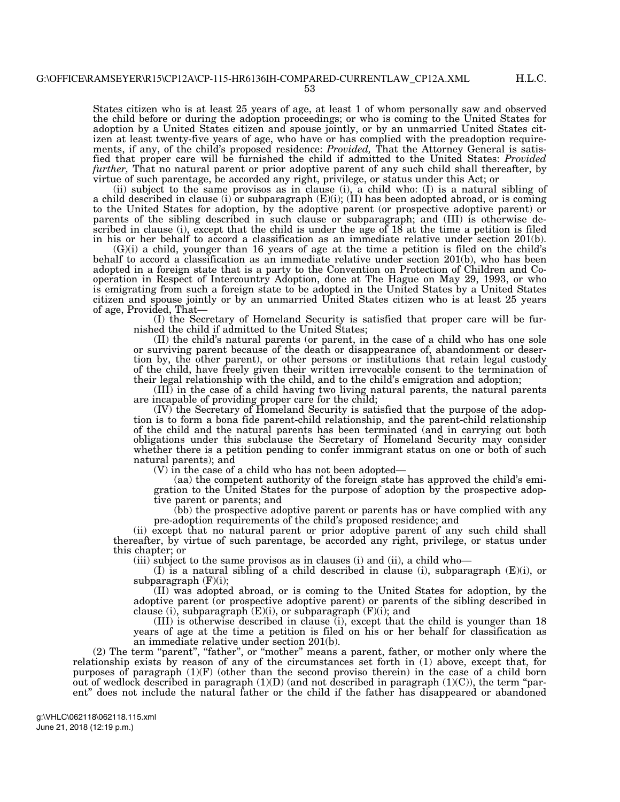53

States citizen who is at least 25 years of age, at least 1 of whom personally saw and observed the child before or during the adoption proceedings; or who is coming to the United States for adoption by a United States citizen and spouse jointly, or by an unmarried United States citizen at least twenty-five years of age, who have or has complied with the preadoption requirements, if any, of the child's proposed residence: *Provided,* That the Attorney General is satisfied that proper care will be furnished the child if admitted to the United States: *Provided further*, That no natural parent or prior adoptive parent of any such child shall thereafter, by virtue of such parentage, be accorded any right, privilege, or status under this Act; or

(ii) subject to the same provisos as in clause (i), a child who: (I) is a natural sibling of a child described in clause (i) or subparagraph  $(E)(i)$ ;  $(II)$  has been adopted abroad, or is coming to the United States for adoption, by the adoptive parent (or prospective adoptive parent) or parents of the sibling described in such clause or subparagraph; and (III) is otherwise described in clause (i), except that the child is under the age of 18 at the time a petition is filed in his or her behalf to accord a classification as an immediate relative under section 201(b).

(G)(i) a child, younger than 16 years of age at the time a petition is filed on the child's behalf to accord a classification as an immediate relative under section 201(b), who has been adopted in a foreign state that is a party to the Convention on Protection of Children and Cooperation in Respect of Intercountry Adoption, done at The Hague on May 29, 1993, or who is emigrating from such a foreign state to be adopted in the United States by a United States citizen and spouse jointly or by an unmarried United States citizen who is at least 25 years of age, Provided, That—

(I) the Secretary of Homeland Security is satisfied that proper care will be furnished the child if admitted to the United States;

(II) the child's natural parents (or parent, in the case of a child who has one sole or surviving parent because of the death or disappearance of, abandonment or desertion by, the other parent), or other persons or institutions that retain legal custody of the child, have freely given their written irrevocable consent to the termination of their legal relationship with the child, and to the child's emigration and adoption;

(III) in the case of a child having two living natural parents, the natural parents are incapable of providing proper care for the child;

(IV) the Secretary of Homeland Security is satisfied that the purpose of the adoption is to form a bona fide parent-child relationship, and the parent-child relationship of the child and the natural parents has been terminated (and in carrying out both obligations under this subclause the Secretary of Homeland Security may consider whether there is a petition pending to confer immigrant status on one or both of such natural parents); and

(V) in the case of a child who has not been adopted—

(aa) the competent authority of the foreign state has approved the child's emigration to the United States for the purpose of adoption by the prospective adoptive parent or parents; and

(bb) the prospective adoptive parent or parents has or have complied with any pre-adoption requirements of the child's proposed residence; and

(ii) except that no natural parent or prior adoptive parent of any such child shall thereafter, by virtue of such parentage, be accorded any right, privilege, or status under this chapter; or

(iii) subject to the same provisos as in clauses (i) and (ii), a child who—

(I) is a natural sibling of a child described in clause (i), subparagraph (E)(i), or subparagraph (F)(i);

(II) was adopted abroad, or is coming to the United States for adoption, by the adoptive parent (or prospective adoptive parent) or parents of the sibling described in clause (i), subparagraph  $(E)(i)$ , or subparagraph  $(F)(i)$ ; and

(III) is otherwise described in clause (i), except that the child is younger than 18 years of age at the time a petition is filed on his or her behalf for classification as an immediate relative under section 201(b).

(2) The term "parent", "father", or "mother" means a parent, father, or mother only where the relationship exists by reason of any of the circumstances set forth in (1) above, except that, for purposes of paragraph (1)(F) (other than the second proviso therein) in the case of a child born out of wedlock described in paragraph  $(1)(D)$  (and not described in paragraph  $(1)(C)$ ), the term "parent'' does not include the natural father or the child if the father has disappeared or abandoned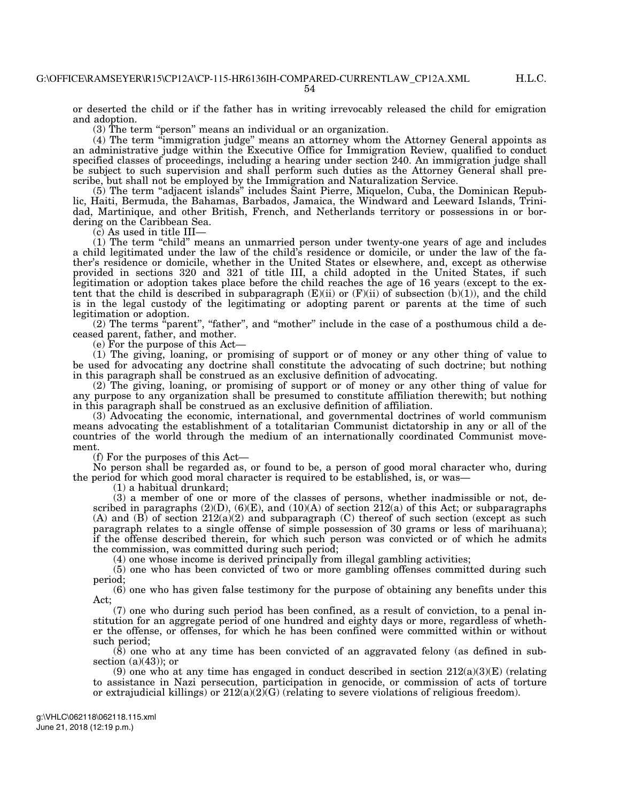54

H.L.C.

or deserted the child or if the father has in writing irrevocably released the child for emigration and adoption.

(3) The term ''person'' means an individual or an organization.

(4) The term ''immigration judge'' means an attorney whom the Attorney General appoints as an administrative judge within the Executive Office for Immigration Review, qualified to conduct specified classes of proceedings, including a hearing under section 240. An immigration judge shall be subject to such supervision and shall perform such duties as the Attorney General shall prescribe, but shall not be employed by the Immigration and Naturalization Service.

(5) The term ''adjacent islands'' includes Saint Pierre, Miquelon, Cuba, the Dominican Republic, Haiti, Bermuda, the Bahamas, Barbados, Jamaica, the Windward and Leeward Islands, Trinidad, Martinique, and other British, French, and Netherlands territory or possessions in or bordering on the Caribbean Sea.

(c) As used in title III—

(1) The term ''child'' means an unmarried person under twenty-one years of age and includes a child legitimated under the law of the child's residence or domicile, or under the law of the father's residence or domicile, whether in the United States or elsewhere, and, except as otherwise provided in sections 320 and 321 of title III, a child adopted in the United States, if such legitimation or adoption takes place before the child reaches the age of 16 years (except to the extent that the child is described in subparagraph  $(E)(ii)$  or  $(F)(ii)$  of subsection  $(b)(1)$ ), and the child is in the legal custody of the legitimating or adopting parent or parents at the time of such legitimation or adoption.

 $(2)$  The terms  $\alpha$  "parent", "father", and "mother" include in the case of a posthumous child a deceased parent, father, and mother.

(e) For the purpose of this Act—

(1) The giving, loaning, or promising of support or of money or any other thing of value to be used for advocating any doctrine shall constitute the advocating of such doctrine; but nothing in this paragraph shall be construed as an exclusive definition of advocating.

(2) The giving, loaning, or promising of support or of money or any other thing of value for any purpose to any organization shall be presumed to constitute affiliation therewith; but nothing in this paragraph shall be construed as an exclusive definition of affiliation.

(3) Advocating the economic, international, and governmental doctrines of world communism means advocating the establishment of a totalitarian Communist dictatorship in any or all of the countries of the world through the medium of an internationally coordinated Communist movement.

(f) For the purposes of this Act—

No person shall be regarded as, or found to be, a person of good moral character who, during the period for which good moral character is required to be established, is, or was—

(1) a habitual drunkard;

(3) a member of one or more of the classes of persons, whether inadmissible or not, described in paragraphs  $(2)(D)$ ,  $(6)(E)$ , and  $(10)(A)$  of section  $212(a)$  of this Act; or subparagraphs (A) and (B) of section 212(a)(2) and subparagraph (C) thereof of such section (except as such paragraph relates to a single offense of simple possession of 30 grams or less of marihuana); if the offense described therein, for which such person was convicted or of which he admits the commission, was committed during such period;

(4) one whose income is derived principally from illegal gambling activities;

(5) one who has been convicted of two or more gambling offenses committed during such period;

(6) one who has given false testimony for the purpose of obtaining any benefits under this Act;

(7) one who during such period has been confined, as a result of conviction, to a penal institution for an aggregate period of one hundred and eighty days or more, regardless of whether the offense, or offenses, for which he has been confined were committed within or without such period;

(8) one who at any time has been convicted of an aggravated felony (as defined in subsection  $(a)(43)$ ; or

(9) one who at any time has engaged in conduct described in section  $212(a)(3)(E)$  (relating to assistance in Nazi persecution, participation in genocide, or commission of acts of torture or extrajudicial killings) or  $212(a)(2)(G)$  (relating to severe violations of religious freedom).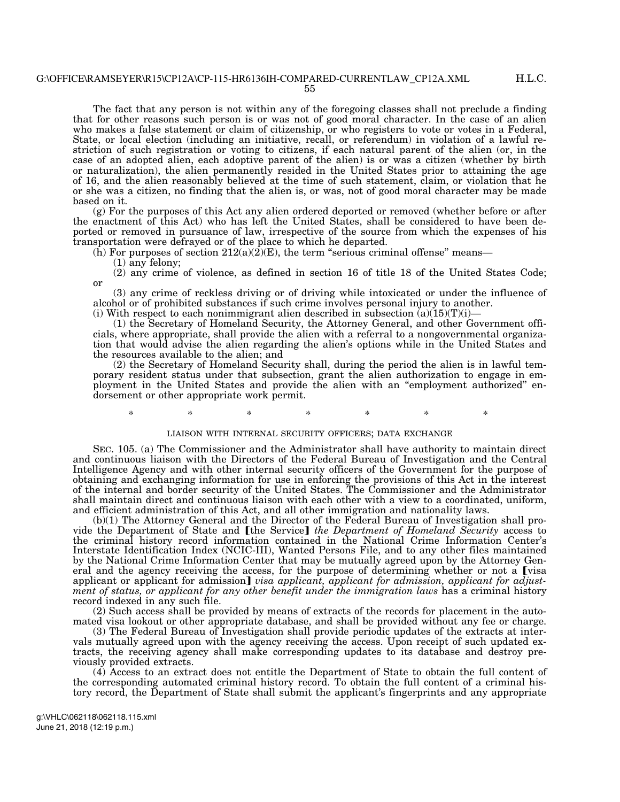The fact that any person is not within any of the foregoing classes shall not preclude a finding that for other reasons such person is or was not of good moral character. In the case of an alien who makes a false statement or claim of citizenship, or who registers to vote or votes in a Federal, State, or local election (including an initiative, recall, or referendum) in violation of a lawful restriction of such registration or voting to citizens, if each natural parent of the alien (or, in the case of an adopted alien, each adoptive parent of the alien) is or was a citizen (whether by birth or naturalization), the alien permanently resided in the United States prior to attaining the age of 16, and the alien reasonably believed at the time of such statement, claim, or violation that he or she was a citizen, no finding that the alien is, or was, not of good moral character may be made based on it.

(g) For the purposes of this Act any alien ordered deported or removed (whether before or after the enactment of this Act) who has left the United States, shall be considered to have been deported or removed in pursuance of law, irrespective of the source from which the expenses of his transportation were defrayed or of the place to which he departed.

(h) For purposes of section  $212(a)(2)(E)$ , the term "serious criminal offense" means—

(1) any felony;

(2) any crime of violence, as defined in section 16 of title 18 of the United States Code; or

(3) any crime of reckless driving or of driving while intoxicated or under the influence of alcohol or of prohibited substances if such crime involves personal injury to another. (i) With respect to each nonimmigrant alien described in subsection  $(a)(15)(T)(i)$ —

(1) the Secretary of Homeland Security, the Attorney General, and other Government officials, where appropriate, shall provide the alien with a referral to a nongovernmental organization that would advise the alien regarding the alien's options while in the United States and the resources available to the alien; and

(2) the Secretary of Homeland Security shall, during the period the alien is in lawful temporary resident status under that subsection, grant the alien authorization to engage in employment in the United States and provide the alien with an ''employment authorized'' endorsement or other appropriate work permit.

## \* \* \* \* \* \* \* LIAISON WITH INTERNAL SECURITY OFFICERS; DATA EXCHANGE

SEC. 105. (a) The Commissioner and the Administrator shall have authority to maintain direct and continuous liaison with the Directors of the Federal Bureau of Investigation and the Central Intelligence Agency and with other internal security officers of the Government for the purpose of obtaining and exchanging information for use in enforcing the provisions of this Act in the interest of the internal and border security of the United States. The Commissioner and the Administrator shall maintain direct and continuous liaison with each other with a view to a coordinated, uniform, and efficient administration of this Act, and all other immigration and nationality laws.

(b)(1) The Attorney General and the Director of the Federal Bureau of Investigation shall provide the Department of State and [the Service] *the Department of Homeland Security* access to the criminal history record information contained in the National Crime Information Center's Interstate Identification Index (NCIC-III), Wanted Persons File, and to any other files maintained by the National Crime Information Center that may be mutually agreed upon by the Attorney General and the agency receiving the access, for the purpose of determining whether or not a [visa] applicant or applicant for admission] *visa applicant, applicant for admission, applicant for adjustment of status, or applicant for any other benefit under the immigration laws* has a criminal history record indexed in any such file.

(2) Such access shall be provided by means of extracts of the records for placement in the automated visa lookout or other appropriate database, and shall be provided without any fee or charge.

(3) The Federal Bureau of Investigation shall provide periodic updates of the extracts at intervals mutually agreed upon with the agency receiving the access. Upon receipt of such updated extracts, the receiving agency shall make corresponding updates to its database and destroy previously provided extracts.

(4) Access to an extract does not entitle the Department of State to obtain the full content of the corresponding automated criminal history record. To obtain the full content of a criminal history record, the Department of State shall submit the applicant's fingerprints and any appropriate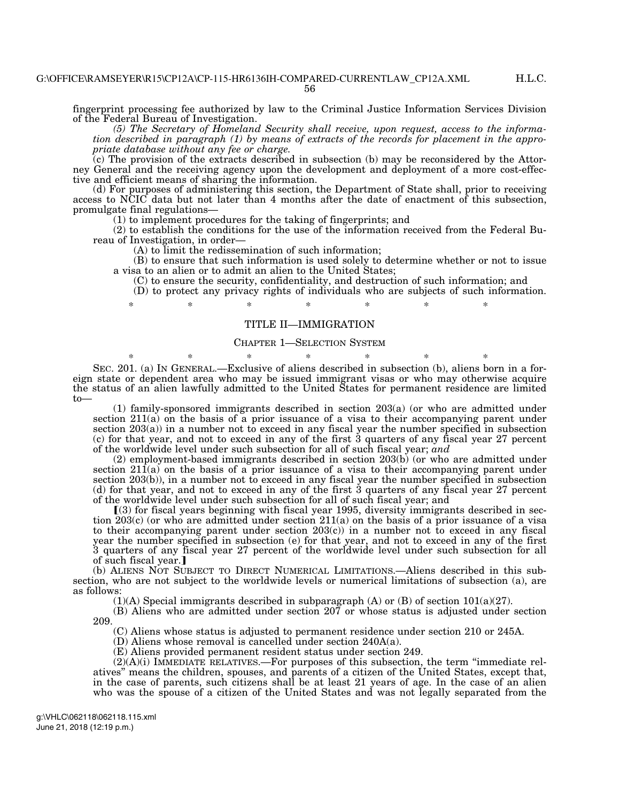fingerprint processing fee authorized by law to the Criminal Justice Information Services Division of the Federal Bureau of Investigation.

*(5) The Secretary of Homeland Security shall receive, upon request, access to the information described in paragraph (1) by means of extracts of the records for placement in the appropriate database without any fee or charge.* 

(c) The provision of the extracts described in subsection (b) may be reconsidered by the Attorney General and the receiving agency upon the development and deployment of a more cost-effective and efficient means of sharing the information.

(d) For purposes of administering this section, the Department of State shall, prior to receiving access to NCIC data but not later than 4 months after the date of enactment of this subsection, promulgate final regulations—

(1) to implement procedures for the taking of fingerprints; and

(2) to establish the conditions for the use of the information received from the Federal Bureau of Investigation, in order—

(A) to limit the redissemination of such information;

(B) to ensure that such information is used solely to determine whether or not to issue a visa to an alien or to admit an alien to the United States;

(C) to ensure the security, confidentiality, and destruction of such information; and

(D) to protect any privacy rights of individuals who are subjects of such information.

\* \* \* \* \* \* \*

## TITLE II—IMMIGRATION

### CHAPTER 1—SELECTION SYSTEM

\* \* \* \* \* \* \* \* SEC. 201. (a) IN GENERAL.—Exclusive of aliens described in subsection (b), aliens born in a foreign state or dependent area who may be issued immigrant visas or who may otherwise acquire the status of an alien lawfully admitted to the United States for permanent residence are limited to—

(1) family-sponsored immigrants described in section 203(a) (or who are admitted under section 211(a) on the basis of a prior issuance of a visa to their accompanying parent under section  $203(a)$  in a number not to exceed in any fiscal year the number specified in subsection (c) for that year, and not to exceed in any of the first 3 quarters of any fiscal year 27 percent of the worldwide level under such subsection for all of such fiscal year; *and* 

(2) employment-based immigrants described in section 203(b) (or who are admitted under section  $211(a)$  on the basis of a prior issuance of a visa to their accompanying parent under section 203(b)), in a number not to exceed in any fiscal year the number specified in subsection (d) for that year, and not to exceed in any of the first 3 quarters of any fiscal year 27 percent of the worldwide level under such subsection for all of such fiscal year; and

 $(3)$  for fiscal years beginning with fiscal year 1995, diversity immigrants described in section  $203(c)$  (or who are admitted under section  $211(a)$  on the basis of a prior issuance of a visa to their accompanying parent under section  $203(c)$  in a number not to exceed in any fiscal year the number specified in subsection (e) for that year, and not to exceed in any of the first 3 quarters of any fiscal year 27 percent of the worldwide level under such subsection for all of such fiscal year.]

(b) ALIENS NOT SUBJECT TO DIRECT NUMERICAL LIMITATIONS.—Aliens described in this subsection, who are not subject to the worldwide levels or numerical limitations of subsection (a), are as follows:

 $(1)(A)$  Special immigrants described in subparagraph  $(A)$  or  $(B)$  of section 101 $(a)(27)$ .

(B) Aliens who are admitted under section 207 or whose status is adjusted under section 209.

(C) Aliens whose status is adjusted to permanent residence under section 210 or 245A.

(D) Aliens whose removal is cancelled under section 240A(a).

(E) Aliens provided permanent resident status under section 249.

 $(2)(A)(i)$  IMMEDIATE RELATIVES.—For purposes of this subsection, the term "immediate relatives'' means the children, spouses, and parents of a citizen of the United States, except that, in the case of parents, such citizens shall be at least 21 years of age. In the case of an alien who was the spouse of a citizen of the United States and was not legally separated from the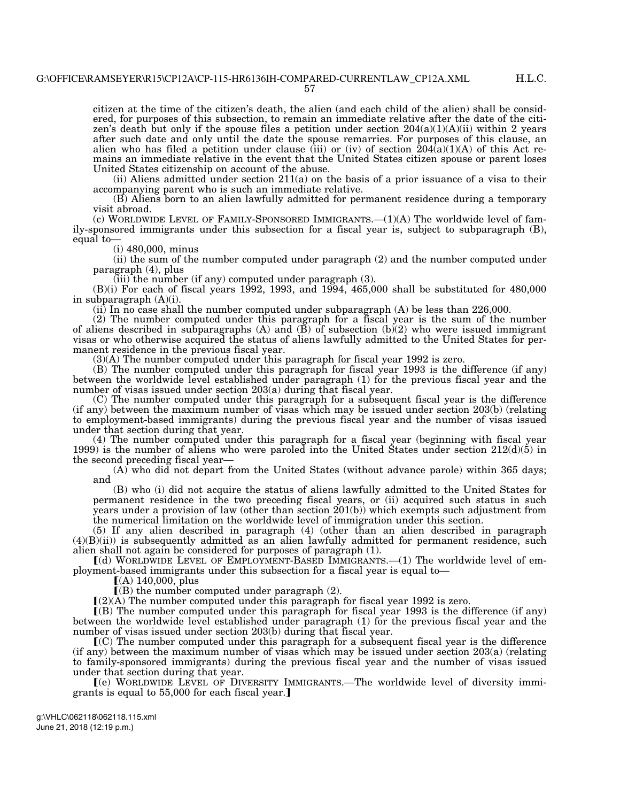citizen at the time of the citizen's death, the alien (and each child of the alien) shall be considered, for purposes of this subsection, to remain an immediate relative after the date of the citizen's death but only if the spouse files a petition under section  $204(a)(1)(A)(ii)$  within 2 years after such date and only until the date the spouse remarries. For purposes of this clause, an alien who has filed a petition under clause (iii) or (iv) of section  $\overline{204(a)(1)(A)}$  of this Act remains an immediate relative in the event that the United States citizen spouse or parent loses United States citizenship on account of the abuse.

(ii) Aliens admitted under section  $211(a)$  on the basis of a prior issuance of a visa to their accompanying parent who is such an immediate relative.

(B) Aliens born to an alien lawfully admitted for permanent residence during a temporary visit abroad.

(c) WORLDWIDE LEVEL OF FAMILY-SPONSORED IMMIGRANTS.—(1)(A) The worldwide level of family-sponsored immigrants under this subsection for a fiscal year is, subject to subparagraph (B), equal to—

(i) 480,000, minus

(ii) the sum of the number computed under paragraph (2) and the number computed under paragraph (4), plus

 $(iii)$  the number (if any) computed under paragraph  $(3)$ .

 $(B)(i)$  For each of fiscal years 1992, 1993, and 1994, 465,000 shall be substituted for 480,000 in subparagraph (A)(i).

(ii) In no case shall the number computed under subparagraph (A) be less than 226,000.

(2) The number computed under this paragraph for a fiscal year is the sum of the number of aliens described in subparagraphs  $(A)$  and  $(\overline{B})$  of subsection  $(b)(2)$  who were issued immigrant visas or who otherwise acquired the status of aliens lawfully admitted to the United States for permanent residence in the previous fiscal year.

(3)(A) The number computed under this paragraph for fiscal year 1992 is zero.

(B) The number computed under this paragraph for fiscal year 1993 is the difference (if any) between the worldwide level established under paragraph (1) for the previous fiscal year and the number of visas issued under section 203(a) during that fiscal year.

(C) The number computed under this paragraph for a subsequent fiscal year is the difference (if any) between the maximum number of visas which may be issued under section 203(b) (relating to employment-based immigrants) during the previous fiscal year and the number of visas issued under that section during that year.

(4) The number computed under this paragraph for a fiscal year (beginning with fiscal year 1999) is the number of aliens who were paroled into the United States under section  $212(d)(5)$  in the second preceding fiscal year—

(A) who did not depart from the United States (without advance parole) within 365 days; and

(B) who (i) did not acquire the status of aliens lawfully admitted to the United States for permanent residence in the two preceding fiscal years, or (ii) acquired such status in such years under a provision of law (other than section  $201(b)$ ) which exempts such adjustment from the numerical limitation on the worldwide level of immigration under this section.

(5) If any alien described in paragraph (4) (other than an alien described in paragraph (4)(B)(ii)) is subsequently admitted as an alien lawfully admitted for permanent residence, such alien shall not again be considered for purposes of paragraph (1).

 $\lceil$ (d) WORLDWIDE LEVEL OF EMPLOYMENT-BASED IMMIGRANTS.—(1) The worldwide level of employment-based immigrants under this subsection for a fiscal year is equal to—

 $(A)$  140,000, plus

 $(6)$  the number computed under paragraph  $(2)$ .

 $[(2)(A)$  The number computed under this paragraph for fiscal year 1992 is zero.

ø(B) The number computed under this paragraph for fiscal year 1993 is the difference (if any) between the worldwide level established under paragraph (1) for the previous fiscal year and the number of visas issued under section 203(b) during that fiscal year.

 $\mathfrak{g}(C)$  The number computed under this paragraph for a subsequent fiscal year is the difference (if any) between the maximum number of visas which may be issued under section 203(a) (relating to family-sponsored immigrants) during the previous fiscal year and the number of visas issued under that section during that year.

ø(e) WORLDWIDE LEVEL OF DIVERSITY IMMIGRANTS.—The worldwide level of diversity immigrants is equal to  $55,000$  for each fiscal year.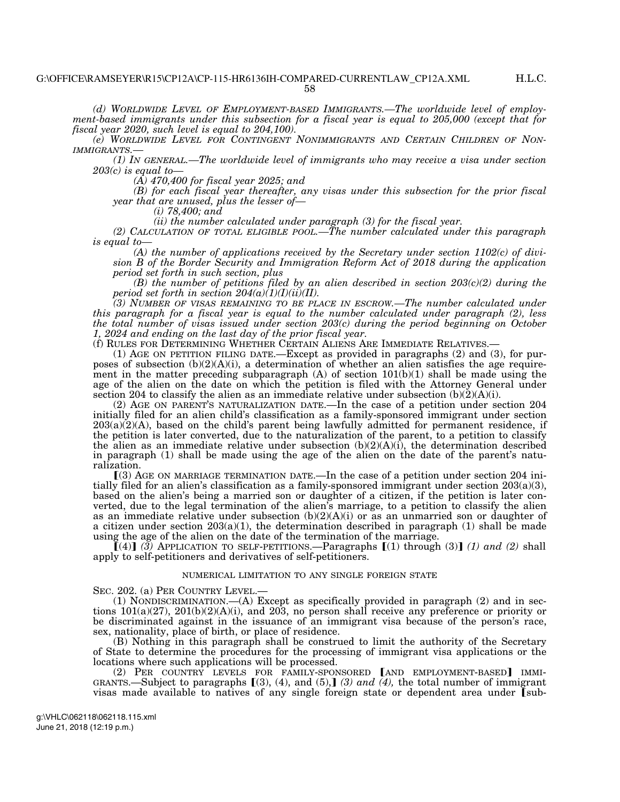*(d) WORLDWIDE LEVEL OF EMPLOYMENT-BASED IMMIGRANTS.—The worldwide level of employment-based immigrants under this subsection for a fiscal year is equal to 205,000 (except that for fiscal year 2020, such level is equal to 204,100).* 

*(e) WORLDWIDE LEVEL FOR CONTINGENT NONIMMIGRANTS AND CERTAIN CHILDREN OF NON-IMMIGRANTS.—* 

*(1) IN GENERAL.—The worldwide level of immigrants who may receive a visa under section 203(c) is equal to—* 

*(A) 470,400 for fiscal year 2025; and* 

*(B) for each fiscal year thereafter, any visas under this subsection for the prior fiscal year that are unused, plus the lesser of—* 

*(i) 78,400; and* 

*(ii) the number calculated under paragraph (3) for the fiscal year.* 

*(2) CALCULATION OF TOTAL ELIGIBLE POOL.—The number calculated under this paragraph is equal to—* 

*(A) the number of applications received by the Secretary under section 1102(c) of division B of the Border Security and Immigration Reform Act of 2018 during the application period set forth in such section, plus* 

*(B) the number of petitions filed by an alien described in section 203(c)(2) during the period set forth in section 204(a)(1)(I)(ii)(II).* 

*(3) NUMBER OF VISAS REMAINING TO BE PLACE IN ESCROW.—The number calculated under this paragraph for a fiscal year is equal to the number calculated under paragraph (2), less the total number of visas issued under section 203(c) during the period beginning on October 1, 2024 and ending on the last day of the prior fiscal year.* 

(f) RULES FOR DETERMINING WHETHER CERTAIN ALIENS ARE IMMEDIATE RELATIVES.—

(1) AGE ON PETITION FILING DATE.—Except as provided in paragraphs (2) and (3), for purposes of subsection (b)(2)(A)(i), a determination of whether an alien satisfies the age requirement in the matter preceding subparagraph  $(A)$  of section  $101(b)(1)$  shall be made using the age of the alien on the date on which the petition is filed with the Attorney General under section 204 to classify the alien as an immediate relative under subsection  $(b)(2)(A)(i)$ .

(2) AGE ON PARENT'S NATURALIZATION DATE.—In the case of a petition under section 204 initially filed for an alien child's classification as a family-sponsored immigrant under section  $203(a)(2)(A)$ , based on the child's parent being lawfully admitted for permanent residence, if the petition is later converted, due to the naturalization of the parent, to a petition to classify the alien as an immediate relative under subsection  $(b)(2)(A)(i)$ , the determination described in paragraph (1) shall be made using the age of the alien on the date of the parent's naturalization.

 $(3)$  AGE ON MARRIAGE TERMINATION DATE.—In the case of a petition under section 204 initially filed for an alien's classification as a family-sponsored immigrant under section  $203(a)(3)$ , based on the alien's being a married son or daughter of a citizen, if the petition is later converted, due to the legal termination of the alien's marriage, to a petition to classify the alien as an immediate relative under subsection  $(b)(2)(A)(i)$  or as an unmarried son or daughter of a citizen under section  $203(a)(1)$ , the determination described in paragraph (1) shall be made using the age of the alien on the date of the termination of the marriage.

 $\left[\!\left(4\right)\!\right]$  *(3)* APPLICATION TO SELF-PETITIONS.—Paragraphs  $\left[\!\left(1\right)$  through *(3) (1) and (2)* shall apply to self-petitioners and derivatives of self-petitioners.

### NUMERICAL LIMITATION TO ANY SINGLE FOREIGN STATE

SEC. 202. (a) PER COUNTRY LEVEL.—<br>(1) NONDISCRIMINATION.—(A) Except as specifically provided in paragraph (2) and in sections  $101(a)(27)$ ,  $201(b)(2)(A)(i)$ , and  $203$ , no person shall receive any preference or priority or be discriminated against in the issuance of an immigrant visa because of the person's race, sex, nationality, place of birth, or place of residence.

(B) Nothing in this paragraph shall be construed to limit the authority of the Secretary of State to determine the procedures for the processing of immigrant visa applications or the locations where such applications will be processed.<br>
(2) PER COUNTRY LEVELS FOR FAMILY-SPONSORED [AND EMPLOYMENT-BASED] IMMI-

GRANTS.—Subject to paragraphs  $[(3), (4),$  and  $(5),$  *(3) and (4),* the total number of immigrant visas made available to natives of any single foreign state or dependent area under  $\lceil \text{sub-} \rceil$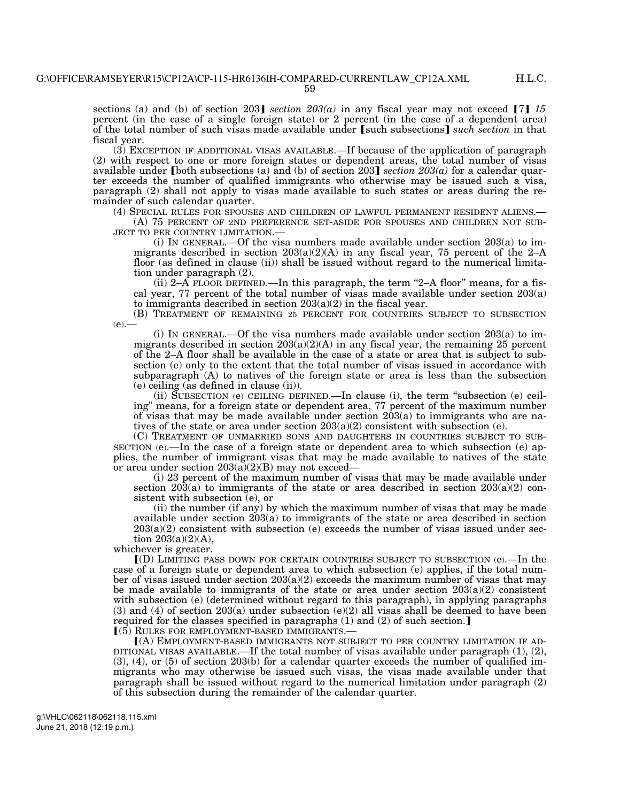sections (a) and (b) of section 203] *section 203(a)* in any fiscal year may not exceed [7] 15 percent (in the case of a single foreign state) or 2 percent (in the case of a dependent area) of the total number of such visas made available under [such subsections] *such section* in that fiscal year.

(3) EXCEPTION IF ADDITIONAL VISAS AVAILABLE.—If because of the application of paragraph (2) with respect to one or more foreign states or dependent areas, the total number of visas available under (both subsections (a) and (b) of section 203] *section 203(a)* for a calendar quarter exceeds the number of qualified immigrants who otherwise may be issued such a visa, paragraph (2) shall not apply to visas made available to such states or areas during the remainder of such calendar quarter.

(4) SPECIAL RULES FOR SPOUSES AND CHILDREN OF LAWFUL PERMANENT RESIDENT ALIENS.—

(A) 75 PERCENT OF 2ND PREFERENCE SET-ASIDE FOR SPOUSES AND CHILDREN NOT SUB-JECT TO PER COUNTRY LIMITATION.—

(i) IN GENERAL.—Of the visa numbers made available under section  $203(a)$  to immigrants described in section  $203(a)(2)(A)$  in any fiscal year, 75 percent of the 2-A floor (as defined in clause (ii)) shall be issued without regard to the numerical limitation under paragraph (2).

(ii) 2– $\vec{A}$  FLOOR DEFINED.—In this paragraph, the term "2–A floor" means, for a fiscal year, 77 percent of the total number of visas made available under section 203(a) to immigrants described in section  $203(a)(2)$  in the fiscal year.

(B) TREATMENT OF REMAINING 25 PERCENT FOR COUNTRIES SUBJECT TO SUBSECTION  $(e)$ .

(i) IN GENERAL.—Of the visa numbers made available under section 203(a) to immigrants described in section  $203(a)(2)(A)$  in any fiscal year, the remaining 25 percent of the 2–A floor shall be available in the case of a state or area that is subject to subsection (e) only to the extent that the total number of visas issued in accordance with subparagraph (A) to natives of the foreign state or area is less than the subsection (e) ceiling (as defined in clause (ii)).

(ii) SUBSECTION (e) CEILING DEFINED.—In clause (i), the term ''subsection (e) ceiling'' means, for a foreign state or dependent area, 77 percent of the maximum number of visas that may be made available under section 203(a) to immigrants who are natives of the state or area under section 203(a)(2) consistent with subsection (e).

(C) TREATMENT OF UNMARRIED SONS AND DAUGHTERS IN COUNTRIES SUBJECT TO SUB-SECTION (e).—In the case of a foreign state or dependent area to which subsection (e) applies, the number of immigrant visas that may be made available to natives of the state or area under section  $203(a)(2)(B)$  may not exceed—

(i) 23 percent of the maximum number of visas that may be made available under section  $20\overline{3}(a)$  to immigrants of the state or area described in section  $20\overline{3}(a)(2)$  consistent with subsection (e), or

(ii) the number (if any) by which the maximum number of visas that may be made available under section 203(a) to immigrants of the state or area described in section  $203(a)(2)$  consistent with subsection (e) exceeds the number of visas issued under section  $203(a)(2)(A)$ ,

whichever is greater.

 $(D)$  LIMITING PASS DOWN FOR CERTAIN COUNTRIES SUBJECT TO SUBSECTION (e).  $\overline{\phantom{a}}$  In the case of a foreign state or dependent area to which subsection (e) applies, if the total number of visas issued under section  $203(a)(2)$  exceeds the maximum number of visas that may be made available to immigrants of the state or area under section  $203(a)(2)$  consistent with subsection (e) (determined without regard to this paragraph), in applying paragraphs (3) and (4) of section  $203(a)$  under subsection (e)(2) all visas shall be deemed to have been required for the classes specified in paragraphs  $(1)$  and  $(2)$  of such section.]  $(5)$  RULES FOR EMPLOYMENT-BASED IMMIGRANTS.

ø(A) EMPLOYMENT-BASED IMMIGRANTS NOT SUBJECT TO PER COUNTRY LIMITATION IF AD-DITIONAL VISAS AVAILABLE.—If the total number of visas available under paragraph  $(1)$ ,  $(2)$ , (3), (4), or (5) of section 203(b) for a calendar quarter exceeds the number of qualified immigrants who may otherwise be issued such visas, the visas made available under that paragraph shall be issued without regard to the numerical limitation under paragraph (2) of this subsection during the remainder of the calendar quarter.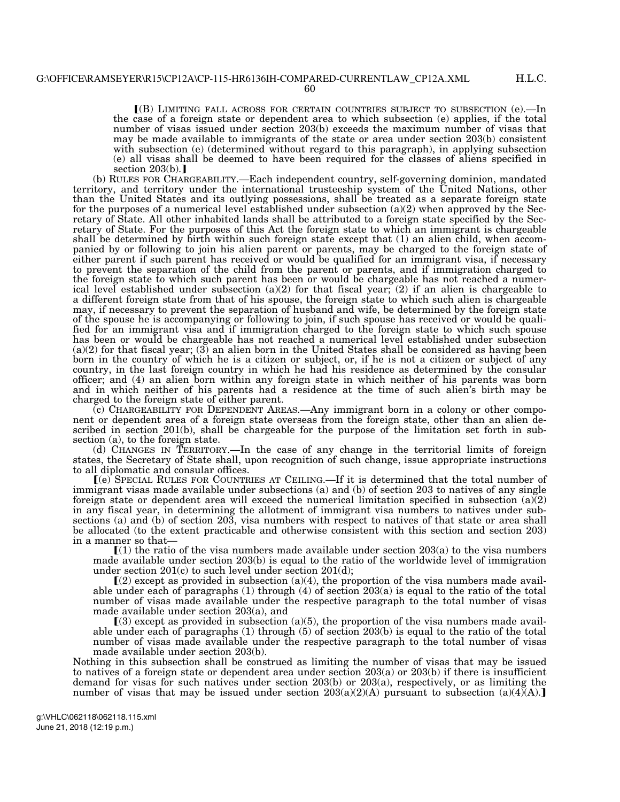H.L.C.

 $f(B)$  LIMITING FALL ACROSS FOR CERTAIN COUNTRIES SUBJECT TO SUBSECTION (e).  $\overline{-}\ln$ the case of a foreign state or dependent area to which subsection (e) applies, if the total number of visas issued under section 203(b) exceeds the maximum number of visas that may be made available to immigrants of the state or area under section 203(b) consistent with subsection (e) (determined without regard to this paragraph), in applying subsection (e) all visas shall be deemed to have been required for the classes of aliens specified in section  $203(b)$ .

(b) RULES FOR CHARGEABILITY.—Each independent country, self-governing dominion, mandated territory, and territory under the international trusteeship system of the United Nations, other than the United States and its outlying possessions, shall be treated as a separate foreign state for the purposes of a numerical level established under subsection  $(a)(2)$  when approved by the Secretary of State. All other inhabited lands shall be attributed to a foreign state specified by the Secretary of State. For the purposes of this Act the foreign state to which an immigrant is chargeable shall be determined by birth within such foreign state except that (1) an alien child, when accompanied by or following to join his alien parent or parents, may be charged to the foreign state of either parent if such parent has received or would be qualified for an immigrant visa, if necessary to prevent the separation of the child from the parent or parents, and if immigration charged to the foreign state to which such parent has been or would be chargeable has not reached a numerical level established under subsection (a)(2) for that fiscal year; (2) if an alien is chargeable to a different foreign state from that of his spouse, the foreign state to which such alien is chargeable may, if necessary to prevent the separation of husband and wife, be determined by the foreign state of the spouse he is accompanying or following to join, if such spouse has received or would be qualified for an immigrant visa and if immigration charged to the foreign state to which such spouse has been or would be chargeable has not reached a numerical level established under subsection  $(a)(2)$  for that fiscal year;  $(3)$  an alien born in the United States shall be considered as having been born in the country of which he is a citizen or subject, or, if he is not a citizen or subject of any country, in the last foreign country in which he had his residence as determined by the consular officer; and (4) an alien born within any foreign state in which neither of his parents was born and in which neither of his parents had a residence at the time of such alien's birth may be charged to the foreign state of either parent.

(c) CHARGEABILITY FOR DEPENDENT AREAS.—Any immigrant born in a colony or other component or dependent area of a foreign state overseas from the foreign state, other than an alien described in section 201(b), shall be chargeable for the purpose of the limitation set forth in subsection (a), to the foreign state.

(d) CHANGES IN TERRITORY.—In the case of any change in the territorial limits of foreign states, the Secretary of State shall, upon recognition of such change, issue appropriate instructions to all diplomatic and consular offices.

ø(e) SPECIAL RULES FOR COUNTRIES AT CEILING.—If it is determined that the total number of immigrant visas made available under subsections (a) and (b) of section 203 to natives of any single foreign state or dependent area will exceed the numerical limitation specified in subsection  $(a)(2)$ in any fiscal year, in determining the allotment of immigrant visa numbers to natives under subsections (a) and (b) of section 203, visa numbers with respect to natives of that state or area shall be allocated (to the extent practicable and otherwise consistent with this section and section 203) in a manner so that—

 $(1)$  the ratio of the visa numbers made available under section 203(a) to the visa numbers made available under section 203(b) is equal to the ratio of the worldwide level of immigration under section 201(c) to such level under section 201(d);

 $(2)$  except as provided in subsection (a)(4), the proportion of the visa numbers made available under each of paragraphs (1) through (4) of section  $203(a)$  is equal to the ratio of the total number of visas made available under the respective paragraph to the total number of visas made available under section 203(a), and

 $(3)$  except as provided in subsection (a)(5), the proportion of the visa numbers made available under each of paragraphs (1) through (5) of section 203(b) is equal to the ratio of the total number of visas made available under the respective paragraph to the total number of visas made available under section 203(b).

Nothing in this subsection shall be construed as limiting the number of visas that may be issued to natives of a foreign state or dependent area under section  $203(a)$  or  $203(b)$  if there is insufficient demand for visas for such natives under section 203(b) or 203(a), respectively, or as limiting the number of visas that may be issued under section  $203(a)(2)(A)$  pursuant to subsection  $(a)(4)(A)$ .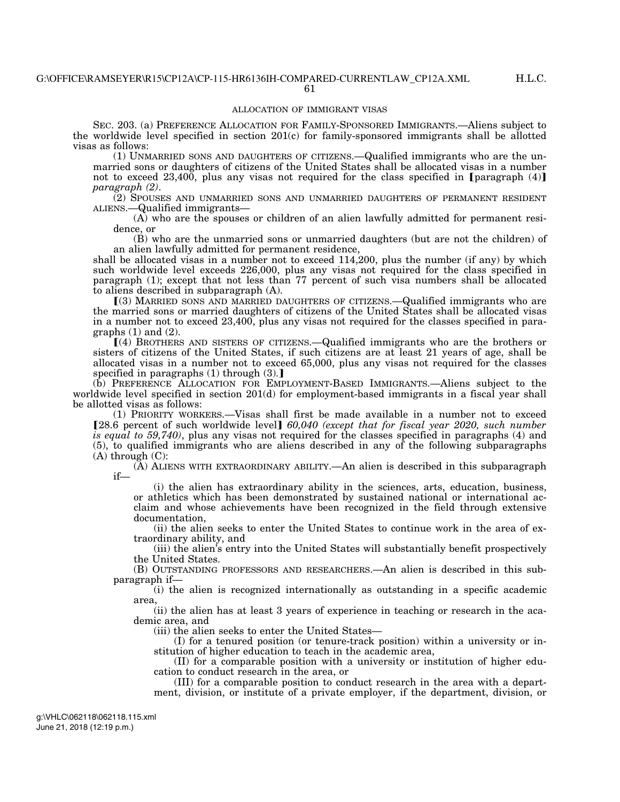# ALLOCATION OF IMMIGRANT VISAS

SEC. 203. (a) PREFERENCE ALLOCATION FOR FAMILY-SPONSORED IMMIGRANTS.—Aliens subject to the worldwide level specified in section 201(c) for family-sponsored immigrants shall be allotted visas as follows:

(1) UNMARRIED SONS AND DAUGHTERS OF CITIZENS.—Qualified immigrants who are the unmarried sons or daughters of citizens of the United States shall be allocated visas in a number not to exceed  $23,400$ , plus any visas not required for the class specified in [paragraph (4)] *paragraph (2)*.

(2) SPOUSES AND UNMARRIED SONS AND UNMARRIED DAUGHTERS OF PERMANENT RESIDENT ALIENS.—Qualified immigrants—

(A) who are the spouses or children of an alien lawfully admitted for permanent residence, or

(B) who are the unmarried sons or unmarried daughters (but are not the children) of an alien lawfully admitted for permanent residence,

shall be allocated visas in a number not to exceed 114,200, plus the number (if any) by which such worldwide level exceeds 226,000, plus any visas not required for the class specified in paragraph (1); except that not less than 77 percent of such visa numbers shall be allocated to aliens described in subparagraph (A).

ø(3) MARRIED SONS AND MARRIED DAUGHTERS OF CITIZENS.—Qualified immigrants who are the married sons or married daughters of citizens of the United States shall be allocated visas in a number not to exceed 23,400, plus any visas not required for the classes specified in paragraphs  $(1)$  and  $(2)$ .

ø(4) BROTHERS AND SISTERS OF CITIZENS.—Qualified immigrants who are the brothers or sisters of citizens of the United States, if such citizens are at least 21 years of age, shall be allocated visas in a number not to exceed 65,000, plus any visas not required for the classes specified in paragraphs  $(1)$  through  $(3)$ .

(b) PREFERENCE ALLOCATION FOR EMPLOYMENT-BASED IMMIGRANTS.—Aliens subject to the worldwide level specified in section 201(d) for employment-based immigrants in a fiscal year shall be allotted visas as follows:

(1) PRIORITY WORKERS.—Visas shall first be made available in a number not to exceed [28.6 percent of such worldwide level] 60,040 (except that for fiscal year 2020, such number *is equal to 59,740)*, plus any visas not required for the classes specified in paragraphs (4) and (5), to qualified immigrants who are aliens described in any of the following subparagraphs (A) through (C):

(A) ALIENS WITH EXTRAORDINARY ABILITY.—An alien is described in this subparagraph if—

(i) the alien has extraordinary ability in the sciences, arts, education, business, or athletics which has been demonstrated by sustained national or international acclaim and whose achievements have been recognized in the field through extensive documentation,

(ii) the alien seeks to enter the United States to continue work in the area of extraordinary ability, and

(iii) the alien's entry into the United States will substantially benefit prospectively the United States.

(B) OUTSTANDING PROFESSORS AND RESEARCHERS.—An alien is described in this subparagraph if—

(i) the alien is recognized internationally as outstanding in a specific academic area,

(ii) the alien has at least 3 years of experience in teaching or research in the academic area, and

(iii) the alien seeks to enter the United States—

(I) for a tenured position (or tenure-track position) within a university or institution of higher education to teach in the academic area,

(II) for a comparable position with a university or institution of higher education to conduct research in the area, or

(III) for a comparable position to conduct research in the area with a department, division, or institute of a private employer, if the department, division, or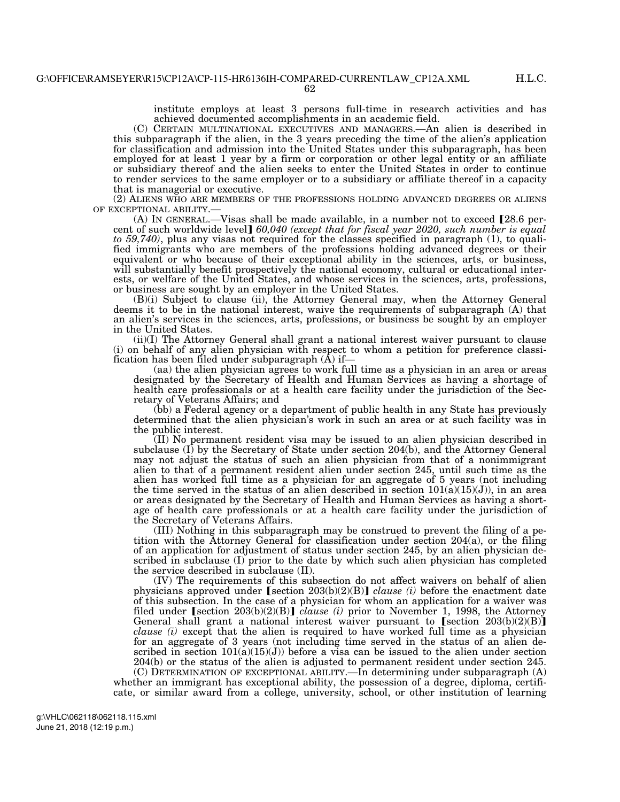institute employs at least 3 persons full-time in research activities and has

achieved documented accomplishments in an academic field. (C) CERTAIN MULTINATIONAL EXECUTIVES AND MANAGERS.—An alien is described in this subparagraph if the alien, in the 3 years preceding the time of the alien's application for classification and admission into the United States under this subparagraph, has been employed for at least 1 year by a firm or corporation or other legal entity or an affiliate

or subsidiary thereof and the alien seeks to enter the United States in order to continue to render services to the same employer or to a subsidiary or affiliate thereof in a capacity that is managerial or executive.

(2) ALIENS WHO ARE MEMBERS OF THE PROFESSIONS HOLDING ADVANCED DEGREES OR ALIENS OF EXCEPTIONAL ABILITY.—<br>(A) IN GENERAL.—Visas shall be made available, in a number not to exceed [28.6 per-

cent of such worldwide level] 60,040 (except that for fiscal year 2020, such number is equal *to 59,740)*, plus any visas not required for the classes specified in paragraph (1), to qualified immigrants who are members of the professions holding advanced degrees or their equivalent or who because of their exceptional ability in the sciences, arts, or business, will substantially benefit prospectively the national economy, cultural or educational interests, or welfare of the United States, and whose services in the sciences, arts, professions, or business are sought by an employer in the United States.

(B)(i) Subject to clause (ii), the Attorney General may, when the Attorney General deems it to be in the national interest, waive the requirements of subparagraph (A) that an alien's services in the sciences, arts, professions, or business be sought by an employer in the United States.

(ii)(I) The Attorney General shall grant a national interest waiver pursuant to clause (i) on behalf of any alien physician with respect to whom a petition for preference classification has been filed under subparagraph (A) if—

(aa) the alien physician agrees to work full time as a physician in an area or areas designated by the Secretary of Health and Human Services as having a shortage of health care professionals or at a health care facility under the jurisdiction of the Secretary of Veterans Affairs; and

(bb) a Federal agency or a department of public health in any State has previously determined that the alien physician's work in such an area or at such facility was in the public interest.

(II) No permanent resident visa may be issued to an alien physician described in subclause (I) by the Secretary of State under section 204(b), and the Attorney General may not adjust the status of such an alien physician from that of a nonimmigrant alien to that of a permanent resident alien under section 245, until such time as the alien has worked full time as a physician for an aggregate of 5 years (not including the time served in the status of an alien described in section  $101(a)(15)(J)$ , in an area or areas designated by the Secretary of Health and Human Services as having a shortage of health care professionals or at a health care facility under the jurisdiction of the Secretary of Veterans Affairs.

(III) Nothing in this subparagraph may be construed to prevent the filing of a petition with the Attorney General for classification under section  $204(a)$ , or the filing of an application for adjustment of status under section 245, by an alien physician described in subclause (I) prior to the date by which such alien physician has completed the service described in subclause (II).

(IV) The requirements of this subsection do not affect waivers on behalf of alien physicians approved under [section  $203(b)(2)(B)$ ] *clause (i)* before the enactment date of this subsection. In the case of a physician for whom an application for a waiver was filed under [section  $203(b)(2)(B)$ ] *clause (i)* prior to November 1, 1998, the Attorney General shall grant a national interest waiver pursuant to [section  $203(b)(2)(B)$ ] *clause (i)* except that the alien is required to have worked full time as a physician for an aggregate of 3 years (not including time served in the status of an alien described in section  $101(a)(15)(J)$  before a visa can be issued to the alien under section 204(b) or the status of the alien is adjusted to permanent resident under section 245.

(C) DETERMINATION OF EXCEPTIONAL ABILITY.—In determining under subparagraph (A) whether an immigrant has exceptional ability, the possession of a degree, diploma, certificate, or similar award from a college, university, school, or other institution of learning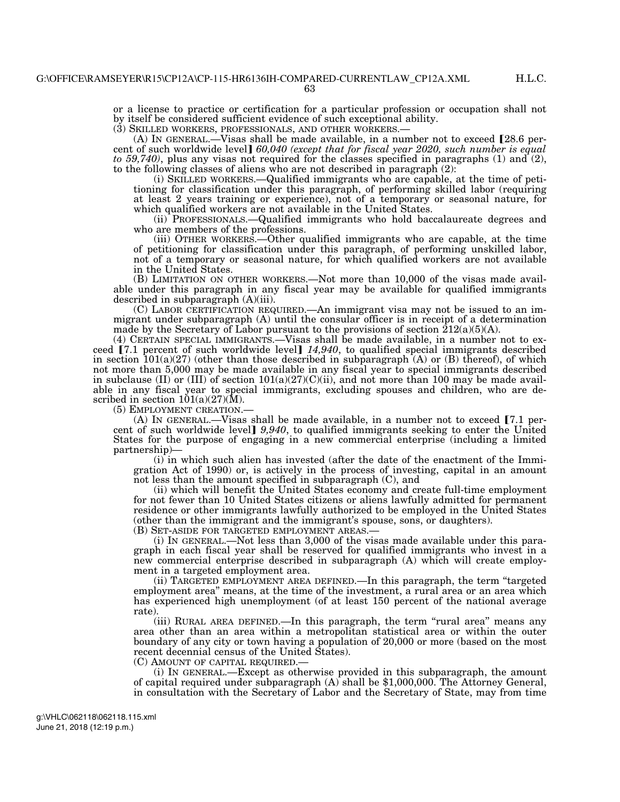or a license to practice or certification for a particular profession or occupation shall not by itself be considered sufficient evidence of such exceptional ability.<br>(3) SKILLED WORKERS, PROFESSIONALS, AND OTHER WORKERS.—

(A) IN GENERAL.—Visas shall be made available, in a number not to exceed  $[28.6$  percent of such worldwide level] 60,040 (except that for fiscal year 2020, such number is equal *to 59,740)*, plus any visas not required for the classes specified in paragraphs (1) and (2), to the following classes of aliens who are not described in paragraph (2):

(i) SKILLED WORKERS.—Qualified immigrants who are capable, at the time of petitioning for classification under this paragraph, of performing skilled labor (requiring at least 2 years training or experience), not of a temporary or seasonal nature, for which qualified workers are not available in the United States.

(ii) PROFESSIONALS.—Qualified immigrants who hold baccalaureate degrees and who are members of the professions.

(iii) OTHER WORKERS.—Other qualified immigrants who are capable, at the time of petitioning for classification under this paragraph, of performing unskilled labor, not of a temporary or seasonal nature, for which qualified workers are not available in the United States.

(B) LIMITATION ON OTHER WORKERS.—Not more than 10,000 of the visas made available under this paragraph in any fiscal year may be available for qualified immigrants described in subparagraph  $(A)(iii)$ .

(C) LABOR CERTIFICATION REQUIRED.—An immigrant visa may not be issued to an immigrant under subparagraph (A) until the consular officer is in receipt of a determination made by the Secretary of Labor pursuant to the provisions of section  $\overline{212(a)(5)(A)}$ .

(4) CERTAIN SPECIAL IMMIGRANTS.—Visas shall be made available, in a number not to exceed  $[7.1$  percent of such worldwide level]  $14,940$ , to qualified special immigrants described in section  $101(a)(27)$  (other than those described in subparagraph  $(A)$  or (B) thereof), of which not more than 5,000 may be made available in any fiscal year to special immigrants described in subclause (II) or (III) of section  $101(a)(27)(C)(ii)$ , and not more than 100 may be made available in any fiscal year to special immigrants, excluding spouses and children, who are described in section  $101(a)(27)(M)$ .

(5) EMPLOYMENT CREATION.—<br>(A) IN GENERAL.—Visas shall be made available, in a number not to exceed  $\lceil 7.1 \text{ per-} \rceil$ cent of such worldwide level] 9,940, to qualified immigrants seeking to enter the United States for the purpose of engaging in a new commercial enterprise (including a limited partnership)—

(i) in which such alien has invested (after the date of the enactment of the Immigration Act of 1990) or, is actively in the process of investing, capital in an amount not less than the amount specified in subparagraph (C), and

(ii) which will benefit the United States economy and create full-time employment for not fewer than 10 United States citizens or aliens lawfully admitted for permanent residence or other immigrants lawfully authorized to be employed in the United States (other than the immigrant and the immigrant's spouse, sons, or daughters).

(B) SET-ASIDE FOR TARGETED EMPLOYMENT AREAS.—

(i) IN GENERAL.—Not less than 3,000 of the visas made available under this paragraph in each fiscal year shall be reserved for qualified immigrants who invest in a new commercial enterprise described in subparagraph (A) which will create employment in a targeted employment area.

(ii) TARGETED EMPLOYMENT AREA DEFINED.—In this paragraph, the term ''targeted employment area'' means, at the time of the investment, a rural area or an area which has experienced high unemployment (of at least 150 percent of the national average rate).

(iii) RURAL AREA DEFINED.—In this paragraph, the term ''rural area'' means any area other than an area within a metropolitan statistical area or within the outer boundary of any city or town having a population of 20,000 or more (based on the most recent decennial census of the United States).

(C) AMOUNT OF CAPITAL REQUIRED.

(i) IN GENERAL.—Except as otherwise provided in this subparagraph, the amount of capital required under subparagraph  $(A)$  shall be \$1,000,000. The Attorney General, in consultation with the Secretary of Labor and the Secretary of State, may from time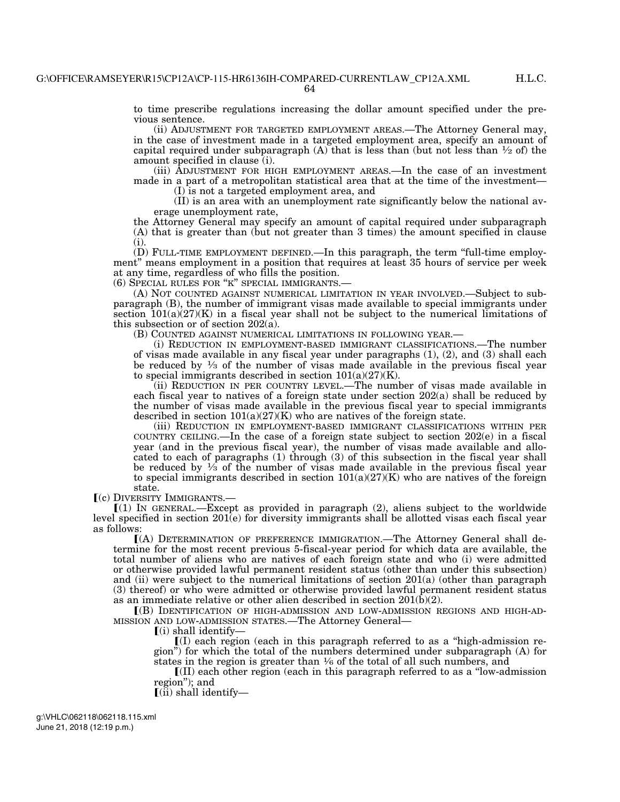to time prescribe regulations increasing the dollar amount specified under the previous sentence.

(ii) ADJUSTMENT FOR TARGETED EMPLOYMENT AREAS.—The Attorney General may, in the case of investment made in a targeted employment area, specify an amount of capital required under subparagraph (A) that is less than (but not less than  $\frac{1}{2}$  of) the amount specified in clause (i).

(iii) ADJUSTMENT FOR HIGH EMPLOYMENT AREAS.—In the case of an investment made in a part of a metropolitan statistical area that at the time of the investment—

(I) is not a targeted employment area, and

(II) is an area with an unemployment rate significantly below the national average unemployment rate,

the Attorney General may specify an amount of capital required under subparagraph (A) that is greater than (but not greater than 3 times) the amount specified in clause (i).

(D) FULL-TIME EMPLOYMENT DEFINED.—In this paragraph, the term ''full-time employment'' means employment in a position that requires at least 35 hours of service per week at any time, regardless of who fills the position.

(6) SPECIAL RULES FOR ''K'' SPECIAL IMMIGRANTS.—

(A) NOT COUNTED AGAINST NUMERICAL LIMITATION IN YEAR INVOLVED.—Subject to subparagraph (B), the number of immigrant visas made available to special immigrants under section  $101(a)(27)(K)$  in a fiscal year shall not be subject to the numerical limitations of this subsection or of section 202(a).

(B) COUNTED AGAINST NUMERICAL LIMITATIONS IN FOLLOWING YEAR.—

(i) REDUCTION IN EMPLOYMENT-BASED IMMIGRANT CLASSIFICATIONS.—The number of visas made available in any fiscal year under paragraphs (1), (2), and (3) shall each be reduced by  $\frac{1}{3}$  of the number of visas made available in the previous fiscal year to special immigrants described in section  $101(a)(27)(K)$ .

(ii) REDUCTION IN PER COUNTRY LEVEL.—The number of visas made available in each fiscal year to natives of a foreign state under section 202(a) shall be reduced by the number of visas made available in the previous fiscal year to special immigrants described in section  $101(a)(27)(K)$  who are natives of the foreign state.

(iii) REDUCTION IN EMPLOYMENT-BASED IMMIGRANT CLASSIFICATIONS WITHIN PER COUNTRY CEILING.—In the case of a foreign state subject to section 202(e) in a fiscal year (and in the previous fiscal year), the number of visas made available and allocated to each of paragraphs (1) through (3) of this subsection in the fiscal year shall be reduced by  $\frac{1}{3}$  of the number of visas made available in the previous fiscal year to special immigrants described in section  $101(a)(27)(K)$  who are natives of the foreign state.

ø(c) DIVERSITY IMMIGRANTS.—

 $(1)$  In GENERAL.—Except as provided in paragraph  $(2)$ , aliens subject to the worldwide level specified in section 201(e) for diversity immigrants shall be allotted visas each fiscal year as follows:

ø(A) DETERMINATION OF PREFERENCE IMMIGRATION.—The Attorney General shall determine for the most recent previous 5-fiscal-year period for which data are available, the total number of aliens who are natives of each foreign state and who (i) were admitted or otherwise provided lawful permanent resident status (other than under this subsection) and (ii) were subject to the numerical limitations of section 201(a) (other than paragraph (3) thereof) or who were admitted or otherwise provided lawful permanent resident status as an immediate relative or other alien described in section  $201(b)(2)$ .

ø(B) IDENTIFICATION OF HIGH-ADMISSION AND LOW-ADMISSION REGIONS AND HIGH-AD-MISSION AND LOW-ADMISSION STATES.—The Attorney General—

 $(i)$  shall identify-

 $\left[$ (I) each region (each in this paragraph referred to as a "high-admission region'') for which the total of the numbers determined under subparagraph (A) for states in the region is greater than  $\frac{1}{6}$  of the total of all such numbers, and

 $\left[ \text{III} \right]$  each other region (each in this paragraph referred to as a "low-admission") region''); and

 $\lceil$ (ii) shall identify—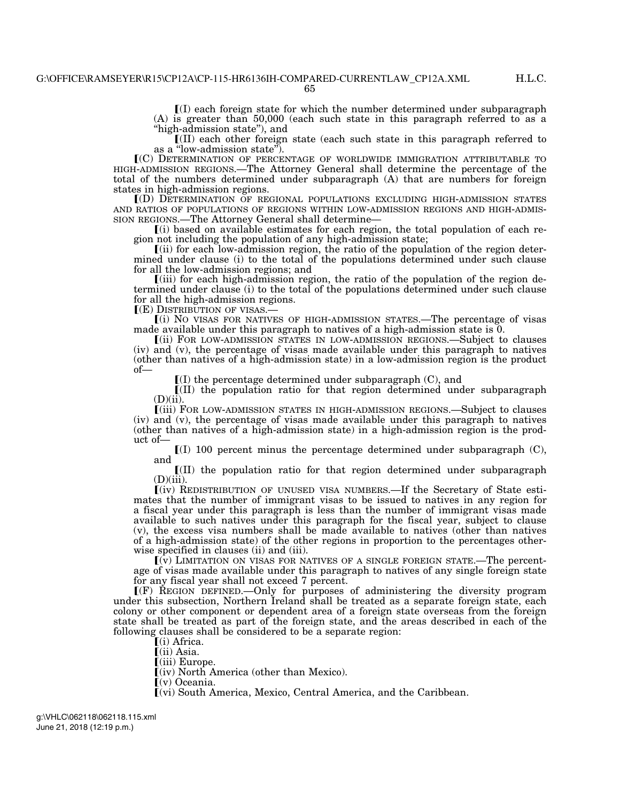65

 $I(I)$  each foreign state for which the number determined under subparagraph (A) is greater than 50,000 (each such state in this paragraph referred to as a ''high-admission state''), and

ø(II) each other foreign state (each such state in this paragraph referred to as a ''low-admission state'').

ø(C) DETERMINATION OF PERCENTAGE OF WORLDWIDE IMMIGRATION ATTRIBUTABLE TO HIGH-ADMISSION REGIONS.—The Attorney General shall determine the percentage of the total of the numbers determined under subparagraph (A) that are numbers for foreign states in high-admission regions.

ø(D) DETERMINATION OF REGIONAL POPULATIONS EXCLUDING HIGH-ADMISSION STATES AND RATIOS OF POPULATIONS OF REGIONS WITHIN LOW-ADMISSION REGIONS AND HIGH-ADMIS- SION REGIONS.—The Attorney General shall determine—

 $(i)$  based on available estimates for each region, the total population of each region not including the population of any high-admission state;

 $(i)$  for each low-admission region, the ratio of the population of the region determined under clause (i) to the total of the populations determined under such clause for all the low-admission regions; and

 $(iii)$  for each high-admission region, the ratio of the population of the region determined under clause (i) to the total of the populations determined under such clause for all the high-admission regions.

 $\mathbb{I}(E)$  DISTRIBUTION OF VISAS.—<br> $\mathbb{I}(i)$  No VISAS FOR NATIVES OF HIGH-ADMISSION STATES.—The percentage of visas made available under this paragraph to natives of a high-admission state is 0.

ø(ii) FOR LOW-ADMISSION STATES IN LOW-ADMISSION REGIONS.—Subject to clauses (iv) and (v), the percentage of visas made available under this paragraph to natives (other than natives of a high-admission state) in a low-admission region is the product of—

 $\mathbf{I}(I)$  the percentage determined under subparagraph  $(C)$ , and

ø(II) the population ratio for that region determined under subparagraph  $(D)(ii)$ .

ø(iii) FOR LOW-ADMISSION STATES IN HIGH-ADMISSION REGIONS.—Subject to clauses (iv) and (v), the percentage of visas made available under this paragraph to natives (other than natives of a high-admission state) in a high-admission region is the product of—

 $[(1)$  100 percent minus the percentage determined under subparagraph  $(C)$ , and

 $\llbracket$ (II) the population ratio for that region determined under subparagraph  $(D)(iii)$ .

ø(iv) REDISTRIBUTION OF UNUSED VISA NUMBERS.—If the Secretary of State estimates that the number of immigrant visas to be issued to natives in any region for a fiscal year under this paragraph is less than the number of immigrant visas made available to such natives under this paragraph for the fiscal year, subject to clause (v), the excess visa numbers shall be made available to natives (other than natives of a high-admission state) of the other regions in proportion to the percentages otherwise specified in clauses (ii) and (iii).

 $\mathbf{v}(\mathbf{v})$  LIMITATION ON VISAS FOR NATIVES OF A SINGLE FOREIGN STATE.—The percentage of visas made available under this paragraph to natives of any single foreign state for any fiscal year shall not exceed 7 percent.

ø(F) REGION DEFINED.—Only for purposes of administering the diversity program under this subsection, Northern Ireland shall be treated as a separate foreign state, each colony or other component or dependent area of a foreign state overseas from the foreign state shall be treated as part of the foreign state, and the areas described in each of the following clauses shall be considered to be a separate region:

ø(i) Africa.

 $\left[$ (ii) Asia.

[(iii) Europe.

 $\lceil$ (iv) North America (other than Mexico).

 $\Gamma(v)$  Oceania.

 $\lceil$ (vi) South America, Mexico, Central America, and the Caribbean.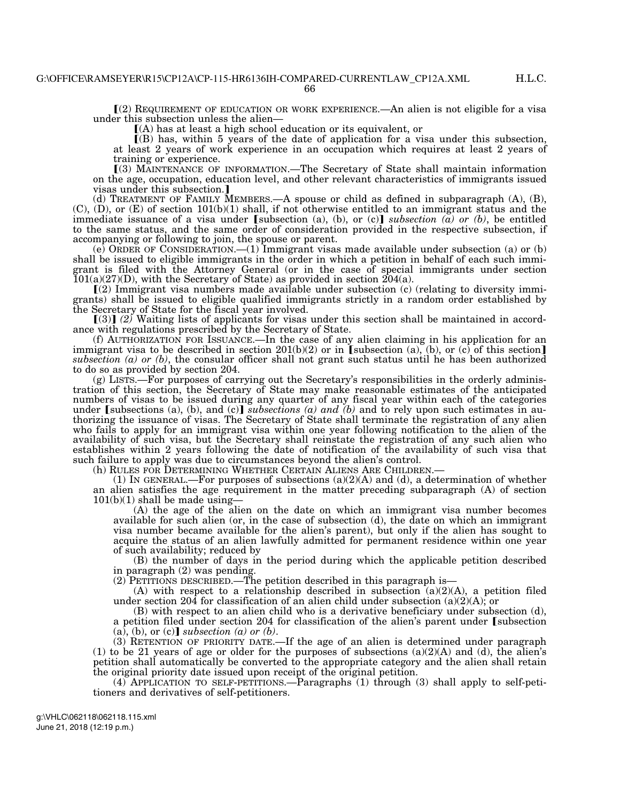$66$ 

 $\lceil (2)$  REQUIREMENT OF EDUCATION OR WORK EXPERIENCE.—An alien is not eligible for a visa under this subsection unless the alien—

ø(A) has at least a high school education or its equivalent, or

 $(18)$  has, within 5 years of the date of application for a visa under this subsection, at least 2 years of work experience in an occupation which requires at least 2 years of training or experience.

ø(3) MAINTENANCE OF INFORMATION.—The Secretary of State shall maintain information on the age, occupation, education level, and other relevant characteristics of immigrants issued visas under this subsection.]

(d) TREATMENT OF FAMILY MEMBERS.—A spouse or child as defined in subparagraph (A), (B),  $(C)$ ,  $(D)$ , or  $(E)$  of section 101(b)(1) shall, if not otherwise entitled to an immigrant status and the immediate issuance of a visa under [subsection (a), (b), or (c)] *subsection* ( $\bar{a}$ ) or (b), be entitled to the same status, and the same order of consideration provided in the respective subsection, if accompanying or following to join, the spouse or parent.

(e) ORDER OF CONSIDERATION.—(1) Immigrant visas made available under subsection (a) or (b) shall be issued to eligible immigrants in the order in which a petition in behalf of each such immigrant is filed with the Attorney General (or in the case of special immigrants under section  $101(a)(27)(D)$ , with the Secretary of State) as provided in section  $204(a)$ .

 $(2)$  Immigrant visa numbers made available under subsection (c) (relating to diversity immigrants) shall be issued to eligible qualified immigrants strictly in a random order established by the Secretary of State for the fiscal year involved.

 $(3)$   $(2)$  Waiting lists of applicants for visas under this section shall be maintained in accordance with regulations prescribed by the Secretary of State.

(f) AUTHORIZATION FOR ISSUANCE.—In the case of any alien claiming in his application for an immigrant visa to be described in section  $201(b)(2)$  or in [subsection (a), (b), or (c) of this section] *subsection (a) or (b)*, the consular officer shall not grant such status until he has been authorized to do so as provided by section 204.

(g) LISTS.—For purposes of carrying out the Secretary's responsibilities in the orderly administration of this section, the Secretary of State may make reasonable estimates of the anticipated numbers of visas to be issued during any quarter of any fiscal year within each of the categories under [subsections (a), (b), and (c)] *subsections (a) and (b)* and to rely upon such estimates in authorizing the issuance of visas. The Secretary of State shall terminate the registration of any alien who fails to apply for an immigrant visa within one year following notification to the alien of the availability of such visa, but the Secretary shall reinstate the registration of any such alien who establishes within 2 years following the date of notification of the availability of such visa that such failure to apply was due to circumstances beyond the alien's control.<br>(h) RULES FOR DETERMINING WHETHER CERTAIN ALIENS ARE CHILDREN.

(1) IN GENERAL.—For purposes of subsections  $(a)(2)(A)$  and  $(d)$ , a determination of whether an alien satisfies the age requirement in the matter preceding subparagraph (A) of section  $101(b)(1)$  shall be made using-

(A) the age of the alien on the date on which an immigrant visa number becomes available for such alien (or, in the case of subsection  $(d)$ , the date on which an immigrant visa number became available for the alien's parent), but only if the alien has sought to acquire the status of an alien lawfully admitted for permanent residence within one year of such availability; reduced by

(B) the number of days in the period during which the applicable petition described in paragraph (2) was pending.

 $(2)$  PETITIONS DESCRIBED.—The petition described in this paragraph is—

(A) with respect to a relationship described in subsection  $(a)(2)(A)$ , a petition filed under section 204 for classification of an alien child under subsection (a)(2)(A); or

(B) with respect to an alien child who is a derivative beneficiary under subsection (d), a petition filed under section 204 for classification of the alien's parent under [subsection]  $(a)$ ,  $(b)$ , or  $(c)$  *subsection*  $(a)$  *or*  $(b)$ *.* 

(3) RETENTION OF PRIORITY DATE.—If the age of an alien is determined under paragraph (1) to be 21 years of age or older for the purposes of subsections  $(a)(2)(A)$  and (d), the alien's petition shall automatically be converted to the appropriate category and the alien shall retain the original priority date issued upon receipt of the original petition.

(4) APPLICATION TO SELF-PETITIONS.—Paragraphs (1) through (3) shall apply to self-petitioners and derivatives of self-petitioners.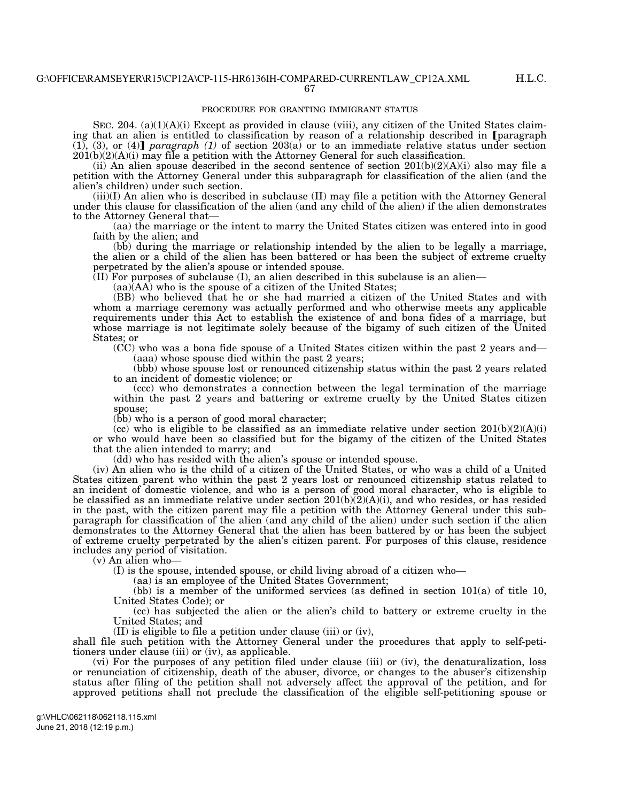#### PROCEDURE FOR GRANTING IMMIGRANT STATUS

SEC. 204. (a)(1)(A)(i) Except as provided in clause (viii), any citizen of the United States claiming that an alien is entitled to classification by reason of a relationship described in [paragraph]  $(1)$ ,  $(3)$ , or  $(4)$  *paragraph*  $(1)$  of section  $203(a)$  or to an immediate relative status under section  $201(b)(2)(A)(i)$  may file a petition with the Attorney General for such classification.

(ii) An alien spouse described in the second sentence of section  $201(b)(2)(A)(i)$  also may file a petition with the Attorney General under this subparagraph for classification of the alien (and the alien's children) under such section.

(iii)(I) An alien who is described in subclause (II) may file a petition with the Attorney General under this clause for classification of the alien (and any child of the alien) if the alien demonstrates to the Attorney General that—

(aa) the marriage or the intent to marry the United States citizen was entered into in good faith by the alien; and

(bb) during the marriage or relationship intended by the alien to be legally a marriage, the alien or a child of the alien has been battered or has been the subject of extreme cruelty perpetrated by the alien's spouse or intended spouse.

 $(H)$  For purposes of subclause  $(I)$ , an alien described in this subclause is an alien—

 $(aa)(AA)$  who is the spouse of a citizen of the United States;

(BB) who believed that he or she had married a citizen of the United States and with whom a marriage ceremony was actually performed and who otherwise meets any applicable requirements under this Act to establish the existence of and bona fides of a marriage, but whose marriage is not legitimate solely because of the bigamy of such citizen of the United States; or

(CC) who was a bona fide spouse of a United States citizen within the past 2 years and— (aaa) whose spouse died within the past 2 years;

(bbb) whose spouse lost or renounced citizenship status within the past 2 years related to an incident of domestic violence; or

(ccc) who demonstrates a connection between the legal termination of the marriage within the past 2 years and battering or extreme cruelty by the United States citizen spouse;

(bb) who is a person of good moral character;

(cc) who is eligible to be classified as an immediate relative under section  $201(b)(2)(A)(i)$ or who would have been so classified but for the bigamy of the citizen of the United States that the alien intended to marry; and

(dd) who has resided with the alien's spouse or intended spouse.

(iv) An alien who is the child of a citizen of the United States, or who was a child of a United States citizen parent who within the past 2 years lost or renounced citizenship status related to an incident of domestic violence, and who is a person of good moral character, who is eligible to be classified as an immediate relative under section  $201(b)(2)(A)(i)$ , and who resides, or has resided in the past, with the citizen parent may file a petition with the Attorney General under this subparagraph for classification of the alien (and any child of the alien) under such section if the alien demonstrates to the Attorney General that the alien has been battered by or has been the subject of extreme cruelty perpetrated by the alien's citizen parent. For purposes of this clause, residence includes any period of visitation.

(v) An alien who—

(I) is the spouse, intended spouse, or child living abroad of a citizen who—

(aa) is an employee of the United States Government;

(bb) is a member of the uniformed services (as defined in section  $101(a)$  of title 10, United States Code); or

(cc) has subjected the alien or the alien's child to battery or extreme cruelty in the United States; and

(II) is eligible to file a petition under clause (iii) or (iv),

shall file such petition with the Attorney General under the procedures that apply to self-petitioners under clause (iii) or (iv), as applicable.

(vi) For the purposes of any petition filed under clause (iii) or (iv), the denaturalization, loss or renunciation of citizenship, death of the abuser, divorce, or changes to the abuser's citizenship status after filing of the petition shall not adversely affect the approval of the petition, and for approved petitions shall not preclude the classification of the eligible self-petitioning spouse or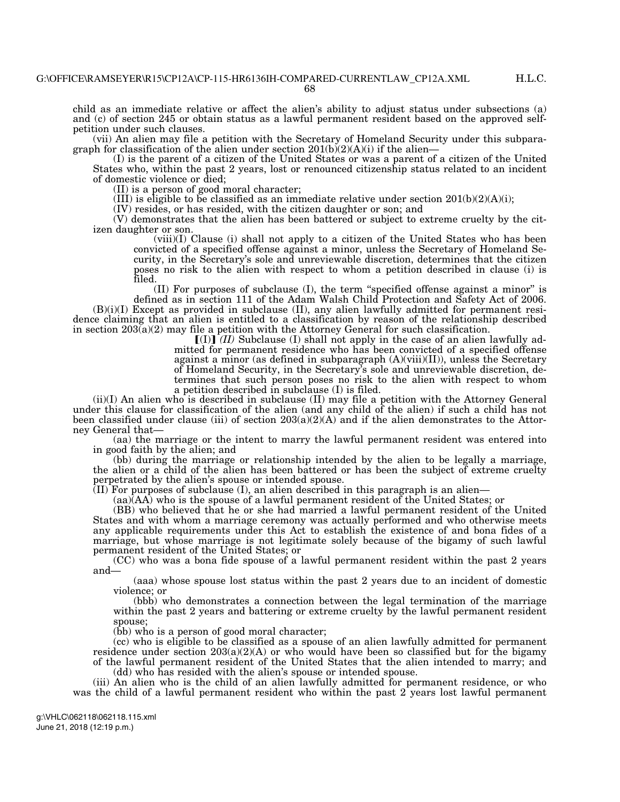child as an immediate relative or affect the alien's ability to adjust status under subsections (a) and (c) of section 245 or obtain status as a lawful permanent resident based on the approved selfpetition under such clauses.

(vii) An alien may file a petition with the Secretary of Homeland Security under this subparagraph for classification of the alien under section  $201(b)(2)(A)(i)$  if the alien-

(I) is the parent of a citizen of the United States or was a parent of a citizen of the United States who, within the past 2 years, lost or renounced citizenship status related to an incident of domestic violence or died;

(II) is a person of good moral character;

(III) is eligible to be classified as an immediate relative under section  $201(b)(2)(A)(i)$ ;

(IV) resides, or has resided, with the citizen daughter or son; and

(V) demonstrates that the alien has been battered or subject to extreme cruelty by the citizen daughter or son.

 $(viii)(I)$  Clause (i) shall not apply to a citizen of the United States who has been convicted of a specified offense against a minor, unless the Secretary of Homeland Security, in the Secretary's sole and unreviewable discretion, determines that the citizen poses no risk to the alien with respect to whom a petition described in clause (i) is filed.

(II) For purposes of subclause (I), the term ''specified offense against a minor'' is defined as in section 111 of the Adam Walsh Child Protection and Safety Act of 2006.

(B)(i)(I) Except as provided in subclause (II), any alien lawfully admitted for permanent residence claiming that an alien is entitled to a classification by reason of the relationship described in section  $203(a)(2)$  may file a petition with the Attorney General for such classification.

 $[(I)]$  $(II)$  Subclause (I) shall not apply in the case of an alien lawfully admitted for permanent residence who has been convicted of a specified offense against a minor (as defined in subparagraph  $(A)(viii)(II))$ , unless the Secretary of Homeland Security, in the Secretary's sole and unreviewable discretion, determines that such person poses no risk to the alien with respect to whom a petition described in subclause (I) is filed.

(ii)(I) An alien who is described in subclause (II) may file a petition with the Attorney General under this clause for classification of the alien (and any child of the alien) if such a child has not been classified under clause (iii) of section  $203(a)(2)(A)$  and if the alien demonstrates to the Attorney General that—

(aa) the marriage or the intent to marry the lawful permanent resident was entered into in good faith by the alien; and

(bb) during the marriage or relationship intended by the alien to be legally a marriage, the alien or a child of the alien has been battered or has been the subject of extreme cruelty perpetrated by the alien's spouse or intended spouse.

 $(II)$  For purposes of subclause  $(I)$ , an alien described in this paragraph is an alien—

 $(aa)(AA)$  who is the spouse of a lawful permanent resident of the United States; or

(BB) who believed that he or she had married a lawful permanent resident of the United States and with whom a marriage ceremony was actually performed and who otherwise meets any applicable requirements under this Act to establish the existence of and bona fides of a marriage, but whose marriage is not legitimate solely because of the bigamy of such lawful permanent resident of the United States; or

(CC) who was a bona fide spouse of a lawful permanent resident within the past 2 years and—

(aaa) whose spouse lost status within the past 2 years due to an incident of domestic violence; or

(bbb) who demonstrates a connection between the legal termination of the marriage within the past 2 years and battering or extreme cruelty by the lawful permanent resident spouse;

(bb) who is a person of good moral character;

(cc) who is eligible to be classified as a spouse of an alien lawfully admitted for permanent residence under section  $203(a)(2)(A)$  or who would have been so classified but for the bigamy of the lawful permanent resident of the United States that the alien intended to marry; and

(dd) who has resided with the alien's spouse or intended spouse.

(iii) An alien who is the child of an alien lawfully admitted for permanent residence, or who was the child of a lawful permanent resident who within the past 2 years lost lawful permanent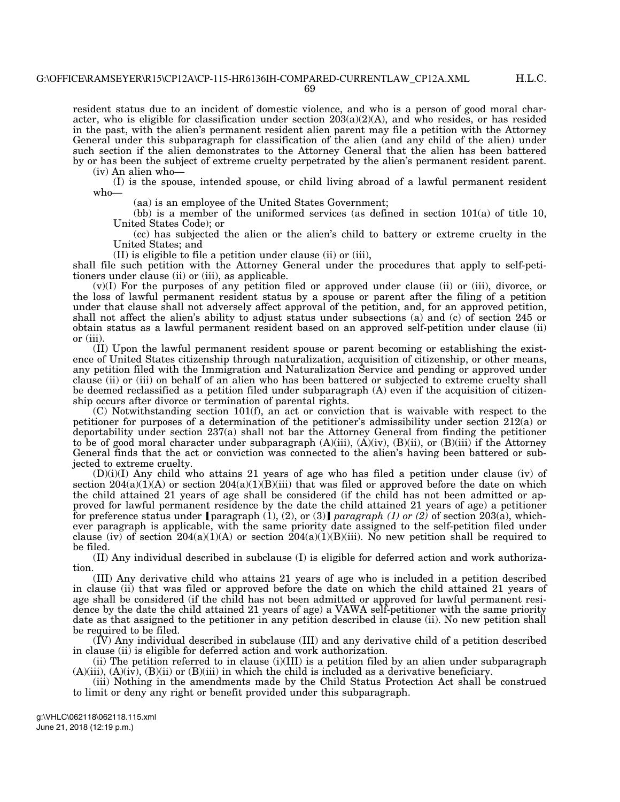H.L.C.

resident status due to an incident of domestic violence, and who is a person of good moral character, who is eligible for classification under section  $203(a)(2)(A)$ , and who resides, or has resided in the past, with the alien's permanent resident alien parent may file a petition with the Attorney General under this subparagraph for classification of the alien (and any child of the alien) under such section if the alien demonstrates to the Attorney General that the alien has been battered by or has been the subject of extreme cruelty perpetrated by the alien's permanent resident parent. (iv) An alien who—

(I) is the spouse, intended spouse, or child living abroad of a lawful permanent resident who—

(aa) is an employee of the United States Government;

(bb) is a member of the uniformed services (as defined in section  $101(a)$  of title 10, United States Code); or

(cc) has subjected the alien or the alien's child to battery or extreme cruelty in the United States; and

(II) is eligible to file a petition under clause (ii) or (iii),

shall file such petition with the Attorney General under the procedures that apply to self-petitioners under clause (ii) or (iii), as applicable.

(v)(I) For the purposes of any petition filed or approved under clause (ii) or (iii), divorce, or the loss of lawful permanent resident status by a spouse or parent after the filing of a petition under that clause shall not adversely affect approval of the petition, and, for an approved petition, shall not affect the alien's ability to adjust status under subsections (a) and (c) of section 245 or obtain status as a lawful permanent resident based on an approved self-petition under clause (ii) or (iii).

(II) Upon the lawful permanent resident spouse or parent becoming or establishing the existence of United States citizenship through naturalization, acquisition of citizenship, or other means, any petition filed with the Immigration and Naturalization Service and pending or approved under clause (ii) or (iii) on behalf of an alien who has been battered or subjected to extreme cruelty shall be deemed reclassified as a petition filed under subparagraph (A) even if the acquisition of citizenship occurs after divorce or termination of parental rights.

(C) Notwithstanding section 101(f), an act or conviction that is waivable with respect to the petitioner for purposes of a determination of the petitioner's admissibility under section 212(a) or deportability under section 237(a) shall not bar the Attorney General from finding the petitioner to be of good moral character under subparagraph  $(A)(iii)$ ,  $(A)(iv)$ ,  $(B)(ii)$ , or  $(B)(iii)$  if the Attorney General finds that the act or conviction was connected to the alien's having been battered or subjected to extreme cruelty.

(D)(i)(I) Any child who attains 21 years of age who has filed a petition under clause (iv) of section  $204(a)(1)(A)$  or section  $204(a)(1)(B)(iii)$  that was filed or approved before the date on which the child attained 21 years of age shall be considered (if the child has not been admitted or approved for lawful permanent residence by the date the child attained 21 years of age) a petitioner for preference status under  $\lceil$  paragraph (1), (2), or (3) $\lceil$  *paragraph (1) or (2)* of section 203(a), whichever paragraph is applicable, with the same priority date assigned to the self-petition filed under clause (iv) of section  $204(a)(1)(A)$  or section  $204(a)(1)(B)(iii)$ . No new petition shall be required to be filed.

(II) Any individual described in subclause (I) is eligible for deferred action and work authorization.

(III) Any derivative child who attains 21 years of age who is included in a petition described in clause (ii) that was filed or approved before the date on which the child attained 21 years of age shall be considered (if the child has not been admitted or approved for lawful permanent residence by the date the child attained 21 years of age) a VAWA self-petitioner with the same priority date as that assigned to the petitioner in any petition described in clause (ii). No new petition shall be required to be filed.

(IV) Any individual described in subclause (III) and any derivative child of a petition described in clause (ii) is eligible for deferred action and work authorization.

 $(ii)$  The petition referred to in clause  $(i)(III)$  is a petition filed by an alien under subparagraph  $(A)(iii)$ ,  $(A)(iv)$ ,  $(B)(ii)$  or  $(B)(iii)$  in which the child is included as a derivative beneficiary.

(iii) Nothing in the amendments made by the Child Status Protection Act shall be construed to limit or deny any right or benefit provided under this subparagraph.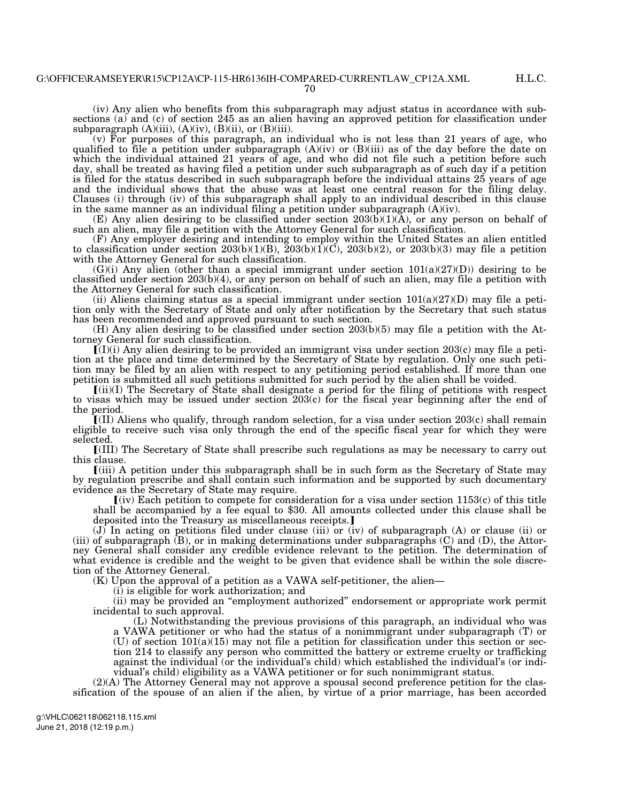70

(iv) Any alien who benefits from this subparagraph may adjust status in accordance with subsections (a) and (c) of section 245 as an alien having an approved petition for classification under subparagraph  $(A)(iii)$ ,  $(A)(iv)$ ,  $(B)(ii)$ , or  $(B)(iii)$ .

(v) For purposes of this paragraph, an individual who is not less than 21 years of age, who qualified to file a petition under subparagraph  $(A)(iv)$  or  $(B)(iii)$  as of the day before the date on which the individual attained 21 years of age, and who did not file such a petition before such day, shall be treated as having filed a petition under such subparagraph as of such day if a petition is filed for the status described in such subparagraph before the individual attains 25 years of age and the individual shows that the abuse was at least one central reason for the filing delay. Clauses (i) through (iv) of this subparagraph shall apply to an individual described in this clause in the same manner as an individual filing a petition under subparagraph  $(A)(iv)$ .

 $(E)$  Any alien desiring to be classified under section  $203(b)(1)(A)$ , or any person on behalf of such an alien, may file a petition with the Attorney General for such classification.

(F) Any employer desiring and intending to employ within the United States an alien entitled to classification under section  $203(b)(1)(B)$ ,  $203(b)(1)(C)$ ,  $203(b)(2)$ , or  $203(b)(3)$  may file a petition with the Attorney General for such classification.

 $(G)(i)$  Any alien (other than a special immigrant under section  $101(a)(27)(D)$ ) desiring to be classified under section 203(b)(4), or any person on behalf of such an alien, may file a petition with the Attorney General for such classification.

(ii) Aliens claiming status as a special immigrant under section  $101(a)(27)(D)$  may file a petition only with the Secretary of State and only after notification by the Secretary that such status has been recommended and approved pursuant to such section.

(H) Any alien desiring to be classified under section 203(b)(5) may file a petition with the Attorney General for such classification.

 $[(1)(i)$  Any alien desiring to be provided an immigrant visa under section 203 $(c)$  may file a petition at the place and time determined by the Secretary of State by regulation. Only one such petition may be filed by an alien with respect to any petitioning period established. If more than one petition is submitted all such petitions submitted for such period by the alien shall be voided.

ø(ii)(I) The Secretary of State shall designate a period for the filing of petitions with respect to visas which may be issued under section 203(c) for the fiscal year beginning after the end of the period.

 $\left[ \text{III} \right]$  Aliens who qualify, through random selection, for a visa under section 203(c) shall remain eligible to receive such visa only through the end of the specific fiscal year for which they were selected.

ø(III) The Secretary of State shall prescribe such regulations as may be necessary to carry out this clause.

ø(iii) A petition under this subparagraph shall be in such form as the Secretary of State may by regulation prescribe and shall contain such information and be supported by such documentary evidence as the Secretary of State may require.<br>
(iv) Each petition to compete for consideration for a visa under section 1153(c) of this title

shall be accompanied by a fee equal to \$30. All amounts collected under this clause shall be deposited into the Treasury as miscellaneous receipts.]

(J) In acting on petitions filed under clause (iii) or (iv) of subparagraph (A) or clause (ii) or (iii) of subparagraph (B), or in making determinations under subparagraphs (C) and (D), the Attorney General shall consider any credible evidence relevant to the petition. The determination of what evidence is credible and the weight to be given that evidence shall be within the sole discretion of the Attorney General.

(K) Upon the approval of a petition as a VAWA self-petitioner, the alien—

(i) is eligible for work authorization; and

(ii) may be provided an ''employment authorized'' endorsement or appropriate work permit incidental to such approval.

(L) Notwithstanding the previous provisions of this paragraph, an individual who was a VAWA petitioner or who had the status of a nonimmigrant under subparagraph (T) or  $(U)$  of section  $101(a)(15)$  may not file a petition for classification under this section or section 214 to classify any person who committed the battery or extreme cruelty or trafficking against the individual (or the individual's child) which established the individual's (or individual's child) eligibility as a VAWA petitioner or for such nonimmigrant status.

(2)(A) The Attorney General may not approve a spousal second preference petition for the classification of the spouse of an alien if the alien, by virtue of a prior marriage, has been accorded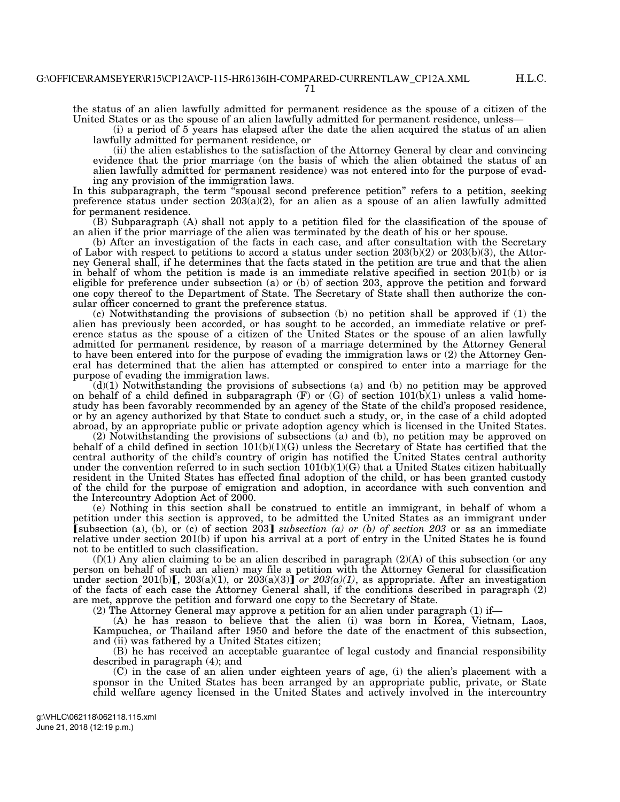the status of an alien lawfully admitted for permanent residence as the spouse of a citizen of the United States or as the spouse of an alien lawfully admitted for permanent residence, unless—

(i) a period of 5 years has elapsed after the date the alien acquired the status of an alien lawfully admitted for permanent residence, or

(ii) the alien establishes to the satisfaction of the Attorney General by clear and convincing evidence that the prior marriage (on the basis of which the alien obtained the status of an alien lawfully admitted for permanent residence) was not entered into for the purpose of evading any provision of the immigration laws.

In this subparagraph, the term "spousal second preference petition" refers to a petition, seeking preference status under section  $203(a)(2)$ , for an alien as a spouse of an alien lawfully admitted for permanent residence.

(B) Subparagraph (A) shall not apply to a petition filed for the classification of the spouse of an alien if the prior marriage of the alien was terminated by the death of his or her spouse.

(b) After an investigation of the facts in each case, and after consultation with the Secretary of Labor with respect to petitions to accord a status under section 203(b)(2) or 203(b)(3), the Attorney General shall, if he determines that the facts stated in the petition are true and that the alien in behalf of whom the petition is made is an immediate relative specified in section 201(b) or is eligible for preference under subsection (a) or (b) of section 203, approve the petition and forward one copy thereof to the Department of State. The Secretary of State shall then authorize the consular officer concerned to grant the preference status.

(c) Notwithstanding the provisions of subsection (b) no petition shall be approved if (1) the alien has previously been accorded, or has sought to be accorded, an immediate relative or preference status as the spouse of a citizen of the United States or the spouse of an alien lawfully admitted for permanent residence, by reason of a marriage determined by the Attorney General to have been entered into for the purpose of evading the immigration laws or (2) the Attorney General has determined that the alien has attempted or conspired to enter into a marriage for the purpose of evading the immigration laws.

 $(d)(1)$  Notwithstanding the provisions of subsections (a) and (b) no petition may be approved on behalf of a child defined in subparagraph  $(F)$  or  $(G)$  of section 101(b)(1) unless a valid homestudy has been favorably recommended by an agency of the State of the child's proposed residence, or by an agency authorized by that State to conduct such a study, or, in the case of a child adopted abroad, by an appropriate public or private adoption agency which is licensed in the United States.

(2) Notwithstanding the provisions of subsections (a) and (b), no petition may be approved on behalf of a child defined in section  $101(b)(1)(G)$  unless the Secretary of State has certified that the central authority of the child's country of origin has notified the United States central authority under the convention referred to in such section  $101(b)(1)(G)$  that a United States citizen habitually resident in the United States has effected final adoption of the child, or has been granted custody of the child for the purpose of emigration and adoption, in accordance with such convention and the Intercountry Adoption Act of 2000.

(e) Nothing in this section shall be construed to entitle an immigrant, in behalf of whom a petition under this section is approved, to be admitted the United States as an immigrant under **[subsection** (a), (b), or (c) of section 203] *subsection* (a) or (b) of section 203 or as an immediate relative under section 201(b) if upon his arrival at a port of entry in the United States he is found not to be entitled to such classification.

 $(f)(1)$  Any alien claiming to be an alien described in paragraph  $(2)(A)$  of this subsection (or any person on behalf of such an alien) may file a petition with the Attorney General for classification under section 201(b)**[**, 203(a)(1), or 203(a)(3)] or 203(a)(1), as appropriate. After an investigation of the facts of each case the Attorney General shall, if the conditions described in paragraph (2) are met, approve the petition and forward one copy to the Secretary of State.

(2) The Attorney General may approve a petition for an alien under paragraph (1) if—

(A) he has reason to believe that the alien (i) was born in Korea, Vietnam, Laos, Kampuchea, or Thailand after 1950 and before the date of the enactment of this subsection, and (ii) was fathered by a United States citizen;

(B) he has received an acceptable guarantee of legal custody and financial responsibility described in paragraph (4); and

(C) in the case of an alien under eighteen years of age, (i) the alien's placement with a sponsor in the United States has been arranged by an appropriate public, private, or State child welfare agency licensed in the United States and actively involved in the intercountry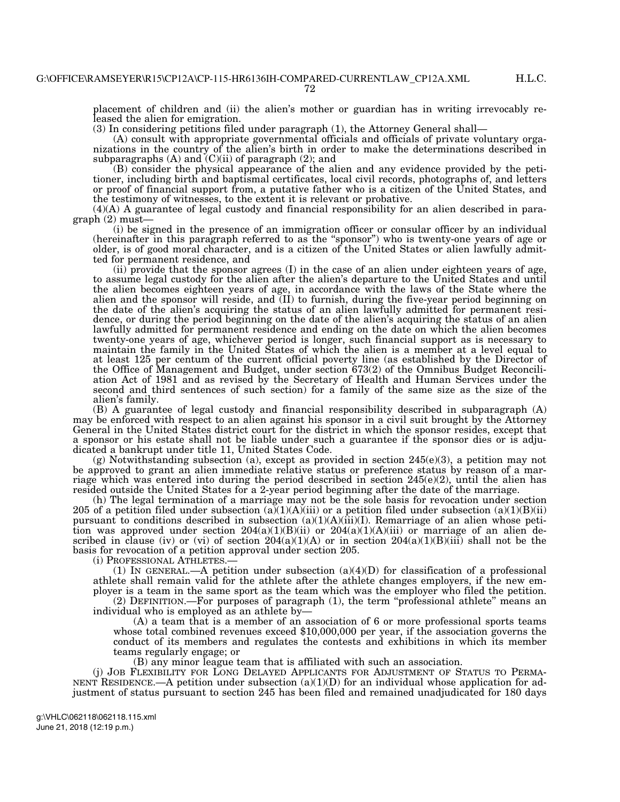placement of children and (ii) the alien's mother or guardian has in writing irrevocably released the alien for emigration.

(3) In considering petitions filed under paragraph (1), the Attorney General shall—

(A) consult with appropriate governmental officials and officials of private voluntary organizations in the country of the alien's birth in order to make the determinations described in subparagraphs  $(A)$  and  $(C)(ii)$  of paragraph  $(2)$ ; and

(B) consider the physical appearance of the alien and any evidence provided by the petitioner, including birth and baptismal certificates, local civil records, photographs of, and letters or proof of financial support from, a putative father who is a citizen of the United States, and the testimony of witnesses, to the extent it is relevant or probative.

(4)(A) A guarantee of legal custody and financial responsibility for an alien described in paragraph (2) must—

(i) be signed in the presence of an immigration officer or consular officer by an individual (hereinafter in this paragraph referred to as the ''sponsor'') who is twenty-one years of age or older, is of good moral character, and is a citizen of the United States or alien lawfully admitted for permanent residence, and

 $(ii)$  provide that the sponsor agrees  $(I)$  in the case of an alien under eighteen years of age, to assume legal custody for the alien after the alien's departure to the United States and until the alien becomes eighteen years of age, in accordance with the laws of the State where the alien and the sponsor will reside, and (II) to furnish, during the five-year period beginning on the date of the alien's acquiring the status of an alien lawfully admitted for permanent residence, or during the period beginning on the date of the alien's acquiring the status of an alien lawfully admitted for permanent residence and ending on the date on which the alien becomes twenty-one years of age, whichever period is longer, such financial support as is necessary to maintain the family in the United States of which the alien is a member at a level equal to at least 125 per centum of the current official poverty line (as established by the Director of the Office of Management and Budget, under section 673(2) of the Omnibus Budget Reconciliation Act of 1981 and as revised by the Secretary of Health and Human Services under the second and third sentences of such section) for a family of the same size as the size of the alien's family.

(B) A guarantee of legal custody and financial responsibility described in subparagraph (A) may be enforced with respect to an alien against his sponsor in a civil suit brought by the Attorney General in the United States district court for the district in which the sponsor resides, except that a sponsor or his estate shall not be liable under such a guarantee if the sponsor dies or is adjudicated a bankrupt under title 11, United States Code.

 $(g)$  Notwithstanding subsection (a), except as provided in section 245(e)(3), a petition may not be approved to grant an alien immediate relative status or preference status by reason of a marriage which was entered into during the period described in section 245(e)(2), until the alien has resided outside the United States for a 2-year period beginning after the date of the marriage.

(h) The legal termination of a marriage may not be the sole basis for revocation under section 205 of a petition filed under subsection  $(a)(1)(A)(iii)$  or a petition filed under subsection  $(a)(1)(B)(ii)$ pursuant to conditions described in subsection  $(a)(1)(A)(iii)(I)$ . Remarriage of an alien whose petition was approved under section  $204(a)(1)(B)(ii)$  or  $204(a)(1)(A)(iii)$  or marriage of an alien described in clause (iv) or (vi) of section  $204(a)(1)(A)$  or in section  $204(a)(1)(B)(iii)$  shall not be the basis for revocation of a petition approval under section 205.

(i) PROFESSIONAL ATHLETES.—

(1) In GENERAL.—A petition under subsection  $(a)(4)(D)$  for classification of a professional athlete shall remain valid for the athlete after the athlete changes employers, if the new employer is a team in the same sport as the team which was the employer who filed the petition.

(2) DEFINITION.—For purposes of paragraph (1), the term ''professional athlete'' means an individual who is employed as an athlete by—

(A) a team that is a member of an association of 6 or more professional sports teams whose total combined revenues exceed \$10,000,000 per year, if the association governs the conduct of its members and regulates the contests and exhibitions in which its member teams regularly engage; or

(B) any minor league team that is affiliated with such an association.

(j) JOB FLEXIBILITY FOR LONG DELAYED APPLICANTS FOR ADJUSTMENT OF STATUS TO PERMA-NENT RESIDENCE.—A petition under subsection  $(a)(1)(D)$  for an individual whose application for adjustment of status pursuant to section 245 has been filed and remained unadjudicated for 180 days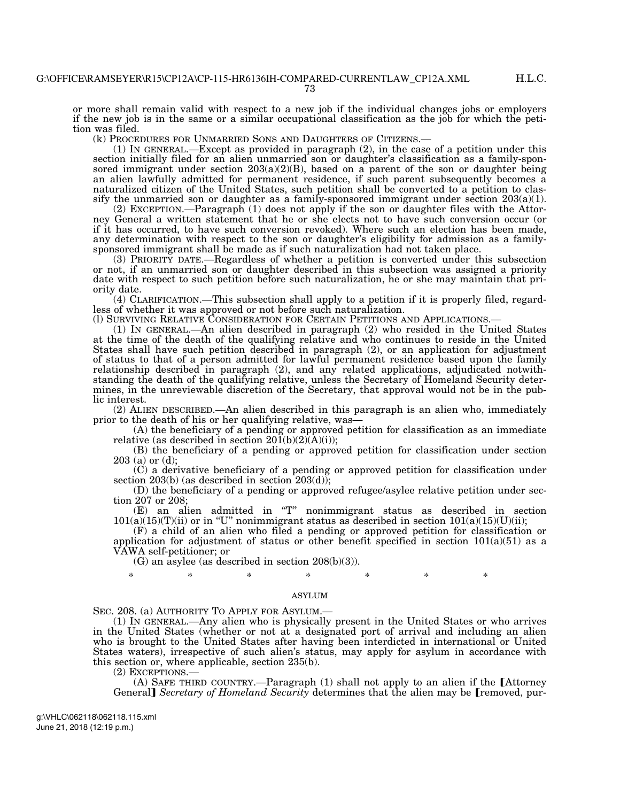H.L.C.

or more shall remain valid with respect to a new job if the individual changes jobs or employers if the new job is in the same or a similar occupational classification as the job for which the petition was filed.<br>(k) PROCEDURES FOR UNMARRIED SONS AND DAUGHTERS OF CITIZENS.—

 $(k)$  IN GENERAL.—Except as provided in paragraph  $(2)$ , in the case of a petition under this section initially filed for an alien unmarried son or daughter's classification as a family-sponsored immigrant under section  $203(a)(2)(B)$ , based on a parent of the son or daughter being an alien lawfully admitted for permanent residence, if such parent subsequently becomes a naturalized citizen of the United States, such petition shall be converted to a petition to classify the unmarried son or daughter as a family-sponsored immigrant under section  $203(a)(1)$ .

(2) EXCEPTION.—Paragraph (1) does not apply if the son or daughter files with the Attorney General a written statement that he or she elects not to have such conversion occur (or if it has occurred, to have such conversion revoked). Where such an election has been made, any determination with respect to the son or daughter's eligibility for admission as a familysponsored immigrant shall be made as if such naturalization had not taken place.

(3) PRIORITY DATE.—Regardless of whether a petition is converted under this subsection or not, if an unmarried son or daughter described in this subsection was assigned a priority date with respect to such petition before such naturalization, he or she may maintain that priority date.

(4) CLARIFICATION.—This subsection shall apply to a petition if it is properly filed, regardless of whether it was approved or not before such naturalization.<br>(1) SURVIVING RELATIVE CONSIDERATION FOR CERTAIN PETITIONS AND APPLICATIONS.—

 $(1)$  In GENERAL.—An alien described in paragraph  $(2)$  who resided in the United States at the time of the death of the qualifying relative and who continues to reside in the United States shall have such petition described in paragraph (2), or an application for adjustment of status to that of a person admitted for lawful permanent residence based upon the family relationship described in paragraph (2), and any related applications, adjudicated notwithstanding the death of the qualifying relative, unless the Secretary of Homeland Security determines, in the unreviewable discretion of the Secretary, that approval would not be in the public interest.

(2) ALIEN DESCRIBED.—An alien described in this paragraph is an alien who, immediately prior to the death of his or her qualifying relative, was—

(A) the beneficiary of a pending or approved petition for classification as an immediate relative (as described in section  $20\tilde{1}(b)(2)(\tilde{A})(i)$ );

(B) the beneficiary of a pending or approved petition for classification under section 203 (a) or (d);

(C) a derivative beneficiary of a pending or approved petition for classification under section 203(b) (as described in section  $203(d)$ );

(D) the beneficiary of a pending or approved refugee/asylee relative petition under section 207 or 208;

(E) an alien admitted in ''T'' nonimmigrant status as described in section  $101(a)(15)(T)(ii)$  or in "U" nonimmigrant status as described in section  $101(a)(15)(U)(ii)$ ;

(F) a child of an alien who filed a pending or approved petition for classification or application for adjustment of status or other benefit specified in section  $101(a)(51)$  as a VAWA self-petitioner; or

(G) an asylee (as described in section 208(b)(3)).

\* \* \* \* \* \* \* \*

### **ASYLUM**

SEC. 208. (a) AUTHORITY TO APPLY FOR ASYLUM.—

(1) IN GENERAL.—Any alien who is physically present in the United States or who arrives in the United States (whether or not at a designated port of arrival and including an alien who is brought to the United States after having been interdicted in international or United States waters), irrespective of such alien's status, may apply for asylum in accordance with this section or, where applicable, section 235(b).

(2) EXCEPTIONS.—

(A) SAFE THIRD COUNTRY.—Paragraph  $(1)$  shall not apply to an alien if the [Attorney General] *Secretary of Homeland Security* determines that the alien may be fremoved, pur-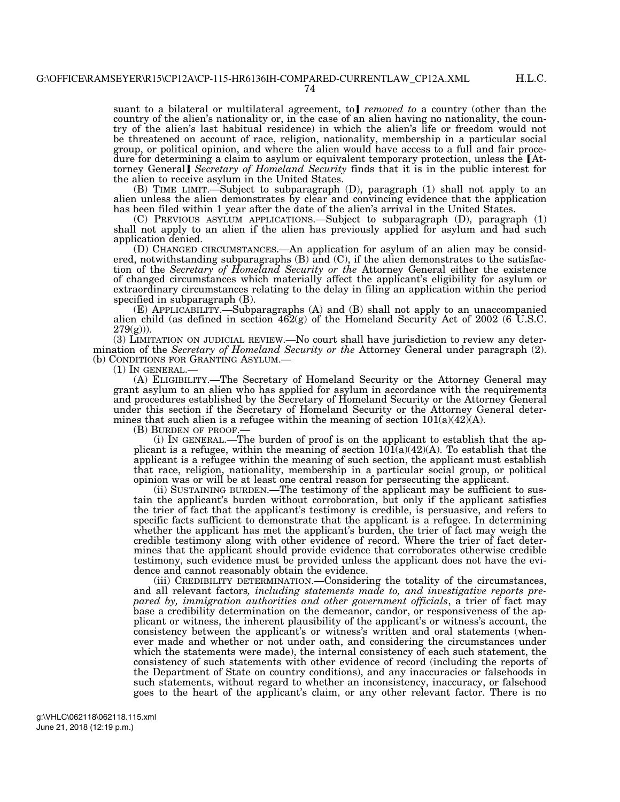H.L.C.

74

suant to a bilateral or multilateral agreement, to *removed to* a country (other than the country of the alien's nationality or, in the case of an alien having no nationality, the country of the alien's last habitual residence) in which the alien's life or freedom would not be threatened on account of race, religion, nationality, membership in a particular social group, or political opinion, and where the alien would have access to a full and fair procedure for determining a claim to asylum or equivalent temporary protection, unless the [Attorney General¿ *Secretary of Homeland Security* finds that it is in the public interest for the alien to receive asylum in the United States.

(B) TIME LIMIT.—Subject to subparagraph (D), paragraph (1) shall not apply to an alien unless the alien demonstrates by clear and convincing evidence that the application has been filed within 1 year after the date of the alien's arrival in the United States.

(C) PREVIOUS ASYLUM APPLICATIONS.—Subject to subparagraph (D), paragraph (1) shall not apply to an alien if the alien has previously applied for asylum and had such application denied.

(D) CHANGED CIRCUMSTANCES.—An application for asylum of an alien may be considered, notwithstanding subparagraphs (B) and (C), if the alien demonstrates to the satisfaction of the *Secretary of Homeland Security or the* Attorney General either the existence of changed circumstances which materially affect the applicant's eligibility for asylum or extraordinary circumstances relating to the delay in filing an application within the period specified in subparagraph (B).

(E) APPLICABILITY.—Subparagraphs (A) and (B) shall not apply to an unaccompanied alien child (as defined in section 462(g) of the Homeland Security Act of 2002 (6 U.S.C.  $279(g))$ ).

(3) LIMITATION ON JUDICIAL REVIEW.—No court shall have jurisdiction to review any determination of the *Secretary of Homeland Security or the* Attorney General under paragraph (2). (b) CONDITIONS FOR GRANTING ASYLUM.—<br>(1) IN GENERAL.—<br>(A) ELIGIBILITY.—The Secretary of Homeland Security or the Attorney General may

grant asylum to an alien who has applied for asylum in accordance with the requirements and procedures established by the Secretary of Homeland Security or the Attorney General under this section if the Secretary of Homeland Security or the Attorney General determines that such alien is a refugee within the meaning of section  $101(a)(42)(A)$ .<br>(B) BURDEN OF PROOF.—

 $(i)$  IN GENERAL.—The burden of proof is on the applicant to establish that the applicant is a refugee, within the meaning of section  $101(a)(42)(A)$ . To establish that the applicant is a refugee within the meaning of such section, the applicant must establish that race, religion, nationality, membership in a particular social group, or political opinion was or will be at least one central reason for persecuting the applicant.

(ii) SUSTAINING BURDEN.—The testimony of the applicant may be sufficient to sustain the applicant's burden without corroboration, but only if the applicant satisfies the trier of fact that the applicant's testimony is credible, is persuasive, and refers to specific facts sufficient to demonstrate that the applicant is a refugee. In determining whether the applicant has met the applicant's burden, the trier of fact may weigh the credible testimony along with other evidence of record. Where the trier of fact determines that the applicant should provide evidence that corroborates otherwise credible testimony, such evidence must be provided unless the applicant does not have the evidence and cannot reasonably obtain the evidence.

(iii) CREDIBILITY DETERMINATION.—Considering the totality of the circumstances, and all relevant factors*, including statements made to, and investigative reports prepared by, immigration authorities and other government officials*, a trier of fact may base a credibility determination on the demeanor, candor, or responsiveness of the applicant or witness, the inherent plausibility of the applicant's or witness's account, the consistency between the applicant's or witness's written and oral statements (whenever made and whether or not under oath, and considering the circumstances under which the statements were made), the internal consistency of each such statement, the consistency of such statements with other evidence of record (including the reports of the Department of State on country conditions), and any inaccuracies or falsehoods in such statements, without regard to whether an inconsistency, inaccuracy, or falsehood goes to the heart of the applicant's claim, or any other relevant factor. There is no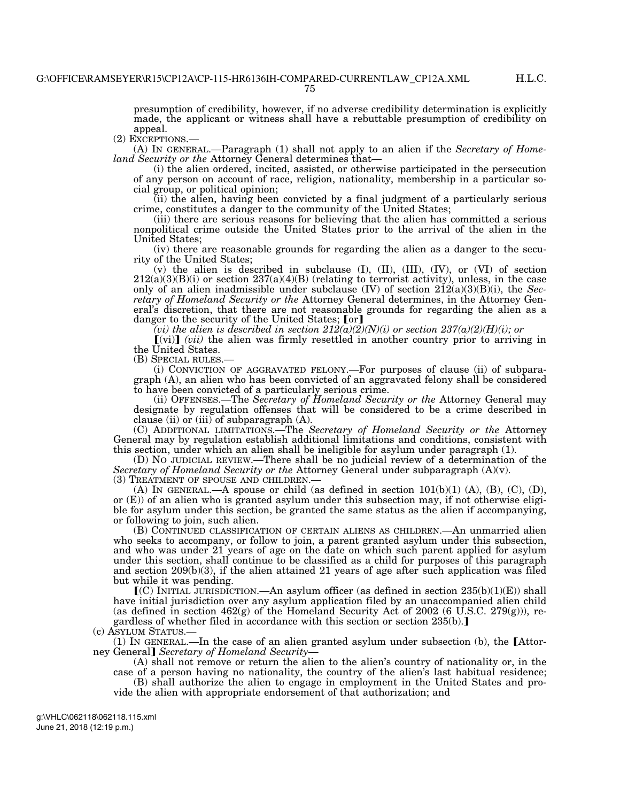presumption of credibility, however, if no adverse credibility determination is explicitly made, the applicant or witness shall have a rebuttable presumption of credibility on

appeal.<br>(2) Exceprions.

(A) IN GENERAL.—Paragraph (1) shall not apply to an alien if the *Secretary of Homeland Security or the* Attorney General determines that—

(i) the alien ordered, incited, assisted, or otherwise participated in the persecution of any person on account of race, religion, nationality, membership in a particular social group, or political opinion;

(ii) the alien, having been convicted by a final judgment of a particularly serious crime, constitutes a danger to the community of the United States;

(iii) there are serious reasons for believing that the alien has committed a serious nonpolitical crime outside the United States prior to the arrival of the alien in the United States;

(iv) there are reasonable grounds for regarding the alien as a danger to the security of the United States;

(v) the alien is described in subclause (I), (II), (III), (IV), or (VI) of section  $212(a)(3)(B)(i)$  or section  $237(a)(4)(B)$  (relating to terrorist activity), unless, in the case only of an alien inadmissible under subclause (IV) of section 212(a)(3)(B)(i), the *Secretary of Homeland Security or the* Attorney General determines, in the Attorney General's discretion, that there are not reasonable grounds for regarding the alien as a danger to the security of the United States; [or]

*(vi) the alien is described in section*  $212(a)(2)(N)(i)$  *or section*  $237(a)(2)(H)(i)$ *; or* 

 $[(vi)]$  *(vii)* the alien was firmly resettled in another country prior to arriving in the United States.

(B) SPECIAL RULES.— (i) CONVICTION OF AGGRAVATED FELONY.—For purposes of clause (ii) of subparagraph (A), an alien who has been convicted of an aggravated felony shall be considered to have been convicted of a particularly serious crime.

(ii) OFFENSES.—The *Secretary of Homeland Security or the* Attorney General may designate by regulation offenses that will be considered to be a crime described in clause (ii) or (iii) of subparagraph  $(A)$ .

(C) ADDITIONAL LIMITATIONS.—The *Secretary of Homeland Security or the* Attorney General may by regulation establish additional limitations and conditions, consistent with this section, under which an alien shall be ineligible for asylum under paragraph (1).

(D) NO JUDICIAL REVIEW.—There shall be no judicial review of a determination of the *Secretary of Homeland Security or the Attorney General under subparagraph* (A)(v). (3) TREATMENT OF SPOUSE AND CHILDREN.—

(A) IN GENERAL.—A spouse or child (as defined in section  $101(b)(1)$  (A), (B), (C), (D), or  $(E)$ ) of an alien who is granted asylum under this subsection may, if not otherwise eligible for asylum under this section, be granted the same status as the alien if accompanying, or following to join, such alien.

(B) CONTINUED CLASSIFICATION OF CERTAIN ALIENS AS CHILDREN.—An unmarried alien who seeks to accompany, or follow to join, a parent granted asylum under this subsection, and who was under 21 years of age on the date on which such parent applied for asylum under this section, shall continue to be classified as a child for purposes of this paragraph and section  $209(b)(3)$ , if the alien attained 21 years of age after such application was filed but while it was pending.

 $(C)$  INITIAL JURISDICTION.—An asylum officer (as defined in section  $235(b)(1)(E)$ ) shall have initial jurisdiction over any asylum application filed by an unaccompanied alien child (as defined in section  $462(g)$  of the Homeland Security Act of 2002 (6 U.S.C. 279(g))), regardless of whether filed in accordance with this section or section 235(b).

(c) ASYLUM STATUS.—

 $(1)$  In GENERAL.—In the case of an alien granted asylum under subsection (b), the [Attorney General] *Secretary of Homeland Security*—

(A) shall not remove or return the alien to the alien's country of nationality or, in the case of a person having no nationality, the country of the alien's last habitual residence; (B) shall authorize the alien to engage in employment in the United States and provide the alien with appropriate endorsement of that authorization; and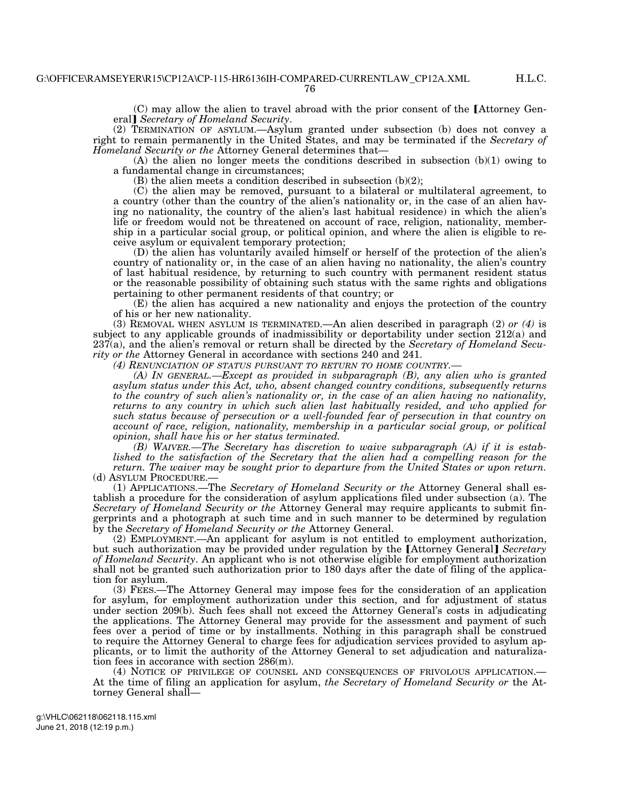76

 $(C)$  may allow the alien to travel abroad with the prior consent of the Attorney General¿ *Secretary of Homeland Security*.

(2) TERMINATION OF ASYLUM.—Asylum granted under subsection (b) does not convey a right to remain permanently in the United States, and may be terminated if the *Secretary of Homeland Security or the* Attorney General determines that—

 $(A)$  the alien no longer meets the conditions described in subsection  $(b)(1)$  owing to a fundamental change in circumstances;

(B) the alien meets a condition described in subsection  $(b)(2)$ ;

(C) the alien may be removed, pursuant to a bilateral or multilateral agreement, to a country (other than the country of the alien's nationality or, in the case of an alien having no nationality, the country of the alien's last habitual residence) in which the alien's life or freedom would not be threatened on account of race, religion, nationality, membership in a particular social group, or political opinion, and where the alien is eligible to receive asylum or equivalent temporary protection;

(D) the alien has voluntarily availed himself or herself of the protection of the alien's country of nationality or, in the case of an alien having no nationality, the alien's country of last habitual residence, by returning to such country with permanent resident status or the reasonable possibility of obtaining such status with the same rights and obligations pertaining to other permanent residents of that country; or

(E) the alien has acquired a new nationality and enjoys the protection of the country of his or her new nationality.

(3) REMOVAL WHEN ASYLUM IS TERMINATED.—An alien described in paragraph (2) *or (4)* is subject to any applicable grounds of inadmissibility or deportability under section 212(a) and 237(a), and the alien's removal or return shall be directed by the *Secretary of Homeland Security or the* Attorney General in accordance with sections 240 and 241.

*(4) RENUNCIATION OF STATUS PURSUANT TO RETURN TO HOME COUNTRY.—* 

*(A) IN GENERAL.—Except as provided in subparagraph (B), any alien who is granted asylum status under this Act, who, absent changed country conditions, subsequently returns to the country of such alien's nationality or, in the case of an alien having no nationality, returns to any country in which such alien last habitually resided, and who applied for such status because of persecution or a well-founded fear of persecution in that country on account of race, religion, nationality, membership in a particular social group, or political opinion, shall have his or her status terminated.* 

*(B) WAIVER.—The Secretary has discretion to waive subparagraph (A) if it is estab*lished to the satisfaction of the Secretary that the alien had a compelling reason for the *return. The waiver may be sought prior to departure from the United States or upon return.*  (d) ASYLUM PROCEDURE.—

(1) APPLICATIONS.—The *Secretary of Homeland Security or the* Attorney General shall establish a procedure for the consideration of asylum applications filed under subsection (a). The *Secretary of Homeland Security or the* Attorney General may require applicants to submit fingerprints and a photograph at such time and in such manner to be determined by regulation by the *Secretary of Homeland Security or the* Attorney General.

(2) EMPLOYMENT.—An applicant for asylum is not entitled to employment authorization, but such authorization may be provided under regulation by the [Attorney General] Secretary *of Homeland Security*. An applicant who is not otherwise eligible for employment authorization shall not be granted such authorization prior to 180 days after the date of filing of the application for asylum.

(3) FEES.—The Attorney General may impose fees for the consideration of an application for asylum, for employment authorization under this section, and for adjustment of status under section 209(b). Such fees shall not exceed the Attorney General's costs in adjudicating the applications. The Attorney General may provide for the assessment and payment of such fees over a period of time or by installments. Nothing in this paragraph shall be construed to require the Attorney General to charge fees for adjudication services provided to asylum applicants, or to limit the authority of the Attorney General to set adjudication and naturalization fees in accorance with section 286(m).

(4) NOTICE OF PRIVILEGE OF COUNSEL AND CONSEQUENCES OF FRIVOLOUS APPLICATION.— At the time of filing an application for asylum, *the Secretary of Homeland Security or* the Attorney General shall—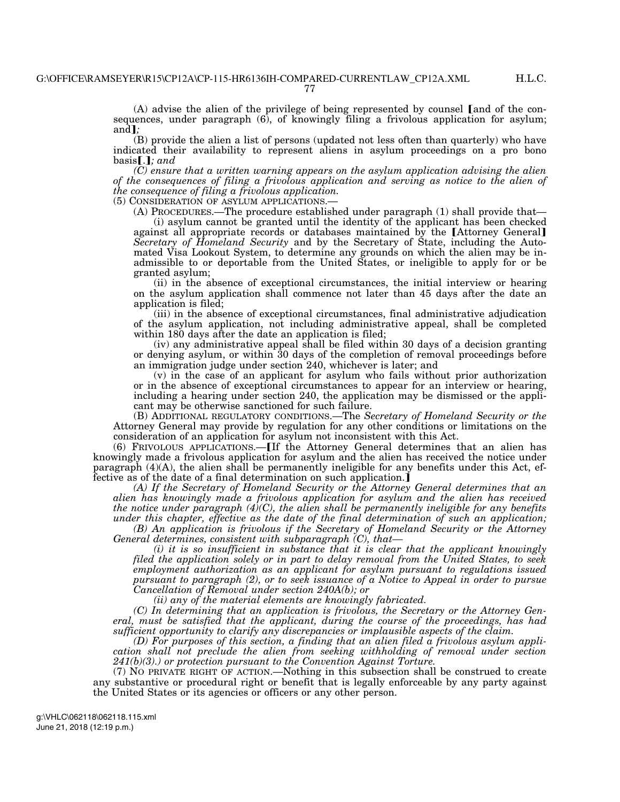H.L.C.

(A) advise the alien of the privilege of being represented by counsel  $[$  and of the consequences, under paragraph (6), of knowingly filing a frivolous application for asylum; and $\mathbf{J}$ ;

(B) provide the alien a list of persons (updated not less often than quarterly) who have indicated their availability to represent aliens in asylum proceedings on a pro bono  $basis$ .*..<sup><i>i*</sup>; and

*(C) ensure that a written warning appears on the asylum application advising the alien of the consequences of filing a frivolous application and serving as notice to the alien of the consequence of filing a frivolous application.* 

(5) CONSIDERATION OF ASYLUM APPLICATIONS.—

(A) PROCEDURES.—The procedure established under paragraph (1) shall provide that— (i) asylum cannot be granted until the identity of the applicant has been checked against all appropriate records or databases maintained by the [Attorney General] *Secretary of Homeland Security* and by the Secretary of State, including the Automated Visa Lookout System, to determine any grounds on which the alien may be inadmissible to or deportable from the United States, or ineligible to apply for or be granted asylum;

(ii) in the absence of exceptional circumstances, the initial interview or hearing on the asylum application shall commence not later than 45 days after the date an application is filed;

(iii) in the absence of exceptional circumstances, final administrative adjudication of the asylum application, not including administrative appeal, shall be completed within 180 days after the date an application is filed;

(iv) any administrative appeal shall be filed within 30 days of a decision granting or denying asylum, or within 30 days of the completion of removal proceedings before an immigration judge under section 240, whichever is later; and

(v) in the case of an applicant for asylum who fails without prior authorization or in the absence of exceptional circumstances to appear for an interview or hearing, including a hearing under section 240, the application may be dismissed or the applicant may be otherwise sanctioned for such failure.

(B) ADDITIONAL REGULATORY CONDITIONS.—The *Secretary of Homeland Security or the*  Attorney General may provide by regulation for any other conditions or limitations on the consideration of an application for asylum not inconsistent with this Act.

 $(6)$  FRIVOLOUS APPLICATIONS.— $[If the Atorey General determines that an alien has$ knowingly made a frivolous application for asylum and the alien has received the notice under paragraph (4)(A), the alien shall be permanently ineligible for any benefits under this Act, effective as of the date of a final determination on such application.

*(A) If the Secretary of Homeland Security or the Attorney General determines that an alien has knowingly made a frivolous application for asylum and the alien has received the notice under paragraph (4)(C), the alien shall be permanently ineligible for any benefits under this chapter, effective as the date of the final determination of such an application;* 

*(B) An application is frivolous if the Secretary of Homeland Security or the Attorney General determines, consistent with subparagraph (C), that—* 

*(i) it is so insufficient in substance that it is clear that the applicant knowingly filed the application solely or in part to delay removal from the United States, to seek employment authorization as an applicant for asylum pursuant to regulations issued pursuant to paragraph (2), or to seek issuance of a Notice to Appeal in order to pursue Cancellation of Removal under section 240A(b); or* 

*(ii) any of the material elements are knowingly fabricated.* 

*(C) In determining that an application is frivolous, the Secretary or the Attorney General, must be satisfied that the applicant, during the course of the proceedings, has had sufficient opportunity to clarify any discrepancies or implausible aspects of the claim.* 

*(D) For purposes of this section, a finding that an alien filed a frivolous asylum application shall not preclude the alien from seeking withholding of removal under section 241(b)(3).) or protection pursuant to the Convention Against Torture.* 

(7) NO PRIVATE RIGHT OF ACTION.—Nothing in this subsection shall be construed to create any substantive or procedural right or benefit that is legally enforceable by any party against the United States or its agencies or officers or any other person.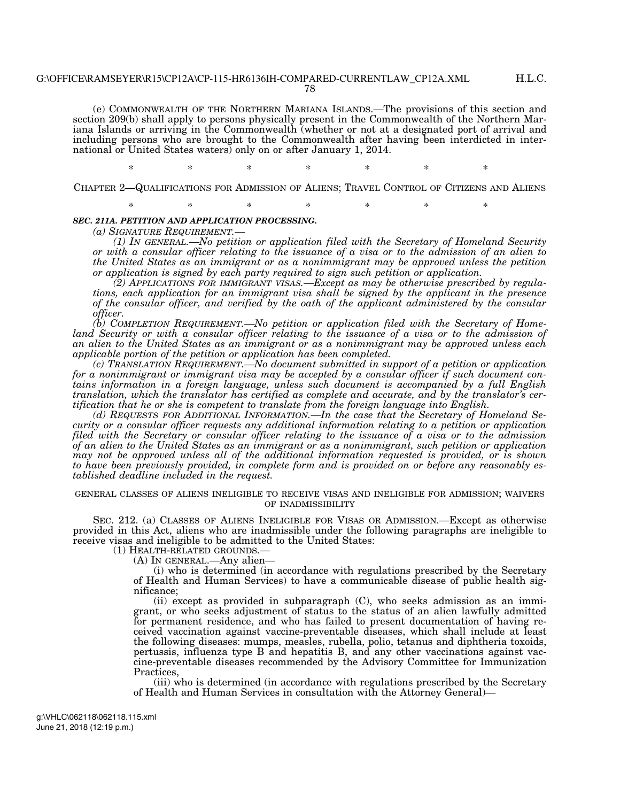(e) COMMONWEALTH OF THE NORTHERN MARIANA ISLANDS.—The provisions of this section and section 209(b) shall apply to persons physically present in the Commonwealth of the Northern Mariana Islands or arriving in the Commonwealth (whether or not at a designated port of arrival and including persons who are brought to the Commonwealth after having been interdicted in international or United States waters) only on or after January 1, 2014.

\* \* \* \* \* \* \* \*

H.L.C.

CHAPTER 2—QUALIFICATIONS FOR ADMISSION OF ALIENS; TRAVEL CONTROL OF CITIZENS AND ALIENS

\* \* \* \* \* \* \*

## *SEC. 211A. PETITION AND APPLICATION PROCESSING.*

*(a) SIGNATURE REQUIREMENT.—* 

*(1) IN GENERAL.—No petition or application filed with the Secretary of Homeland Security or with a consular officer relating to the issuance of a visa or to the admission of an alien to the United States as an immigrant or as a nonimmigrant may be approved unless the petition or application is signed by each party required to sign such petition or application.* 

*(2) APPLICATIONS FOR IMMIGRANT VISAS.—Except as may be otherwise prescribed by regulations, each application for an immigrant visa shall be signed by the applicant in the presence of the consular officer, and verified by the oath of the applicant administered by the consular officer.* 

*(b) COMPLETION REQUIREMENT.—No petition or application filed with the Secretary of Homeland Security or with a consular officer relating to the issuance of a visa or to the admission of an alien to the United States as an immigrant or as a nonimmigrant may be approved unless each applicable portion of the petition or application has been completed.* 

*(c) TRANSLATION REQUIREMENT.—No document submitted in support of a petition or application for a nonimmigrant or immigrant visa may be accepted by a consular officer if such document contains information in a foreign language, unless such document is accompanied by a full English translation, which the translator has certified as complete and accurate, and by the translator's certification that he or she is competent to translate from the foreign language into English.* 

*(d) REQUESTS FOR ADDITIONAL INFORMATION.—In the case that the Secretary of Homeland Security or a consular officer requests any additional information relating to a petition or application filed with the Secretary or consular officer relating to the issuance of a visa or to the admission of an alien to the United States as an immigrant or as a nonimmigrant, such petition or application may not be approved unless all of the additional information requested is provided, or is shown to have been previously provided, in complete form and is provided on or before any reasonably established deadline included in the request.* 

## GENERAL CLASSES OF ALIENS INELIGIBLE TO RECEIVE VISAS AND INELIGIBLE FOR ADMISSION; WAIVERS OF INADMISSIBILITY

SEC. 212. (a) CLASSES OF ALIENS INELIGIBLE FOR VISAS OR ADMISSION.—Except as otherwise provided in this Act, aliens who are inadmissible under the following paragraphs are ineligible to receive visas and ineligible to be admitted to the United States:

(1) HEALTH-RELATED GROUNDS.—

(A) IN GENERAL.—Any alien—

(i) who is determined (in accordance with regulations prescribed by the Secretary of Health and Human Services) to have a communicable disease of public health significance;

(ii) except as provided in subparagraph (C), who seeks admission as an immigrant, or who seeks adjustment of status to the status of an alien lawfully admitted for permanent residence, and who has failed to present documentation of having received vaccination against vaccine-preventable diseases, which shall include at least the following diseases: mumps, measles, rubella, polio, tetanus and diphtheria toxoids, pertussis, influenza type B and hepatitis B, and any other vaccinations against vaccine-preventable diseases recommended by the Advisory Committee for Immunization Practices,

(iii) who is determined (in accordance with regulations prescribed by the Secretary of Health and Human Services in consultation with the Attorney General)—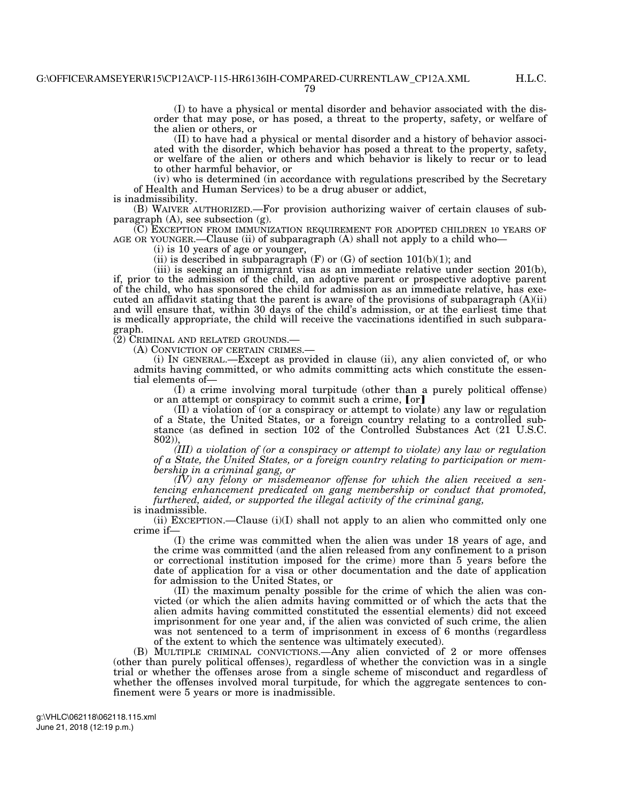79

(I) to have a physical or mental disorder and behavior associated with the disorder that may pose, or has posed, a threat to the property, safety, or welfare of the alien or others, or

(II) to have had a physical or mental disorder and a history of behavior associated with the disorder, which behavior has posed a threat to the property, safety, or welfare of the alien or others and which behavior is likely to recur or to lead to other harmful behavior, or

(iv) who is determined (in accordance with regulations prescribed by the Secretary of Health and Human Services) to be a drug abuser or addict,

is inadmissibility.

(B) WAIVER AUTHORIZED.—For provision authorizing waiver of certain clauses of subparagraph (A), see subsection (g).

(C) EXCEPTION FROM IMMUNIZATION REQUIREMENT FOR ADOPTED CHILDREN 10 YEARS OF AGE OR YOUNGER.—Clause (ii) of subparagraph (A) shall not apply to a child who—

(i) is 10 years of age or younger,

(ii) is described in subparagraph  $(F)$  or  $(G)$  of section 101(b)(1); and

(iii) is seeking an immigrant visa as an immediate relative under section 201(b), if, prior to the admission of the child, an adoptive parent or prospective adoptive parent of the child, who has sponsored the child for admission as an immediate relative, has executed an affidavit stating that the parent is aware of the provisions of subparagraph  $(A)(ii)$ and will ensure that, within 30 days of the child's admission, or at the earliest time that is medically appropriate, the child will receive the vaccinations identified in such subparagraph.<br>(2) Criminal and related grounds.—

(A) CONVICTION OF CERTAIN CRIMES.—<br>(i) IN GENERAL.—Except as provided in clause (ii), any alien convicted of, or who admits having committed, or who admits committing acts which constitute the essential elements of—

(I) a crime involving moral turpitude (other than a purely political offense) or an attempt or conspiracy to commit such a crime, [or]

(II) a violation of (or a conspiracy or attempt to violate) any law or regulation of a State, the United States, or a foreign country relating to a controlled substance (as defined in section 102 of the Controlled Substances Act (21 U.S.C.  $(802)$ 

*(III) a violation of (or a conspiracy or attempt to violate) any law or regulation of a State, the United States, or a foreign country relating to participation or membership in a criminal gang, or* 

*(IV) any felony or misdemeanor offense for which the alien received a sentencing enhancement predicated on gang membership or conduct that promoted, furthered, aided, or supported the illegal activity of the criminal gang,*  is inadmissible.

(ii) EXCEPTION.—Clause  $(i)(I)$  shall not apply to an alien who committed only one crime if—

(I) the crime was committed when the alien was under 18 years of age, and the crime was committed (and the alien released from any confinement to a prison or correctional institution imposed for the crime) more than 5 years before the date of application for a visa or other documentation and the date of application for admission to the United States, or

(II) the maximum penalty possible for the crime of which the alien was convicted (or which the alien admits having committed or of which the acts that the alien admits having committed constituted the essential elements) did not exceed imprisonment for one year and, if the alien was convicted of such crime, the alien was not sentenced to a term of imprisonment in excess of 6 months (regardless of the extent to which the sentence was ultimately executed).

(B) MULTIPLE CRIMINAL CONVICTIONS.—Any alien convicted of 2 or more offenses (other than purely political offenses), regardless of whether the conviction was in a single trial or whether the offenses arose from a single scheme of misconduct and regardless of whether the offenses involved moral turpitude, for which the aggregate sentences to confinement were 5 years or more is inadmissible.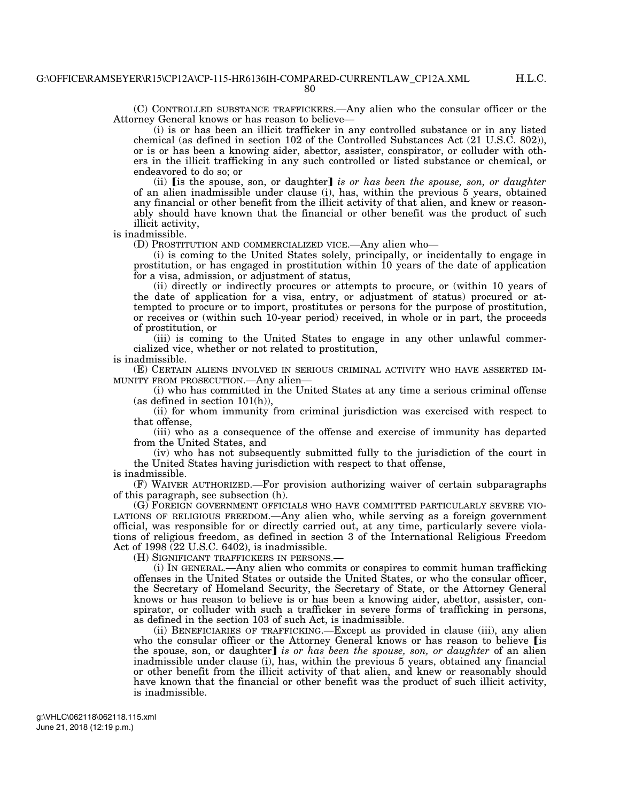$80$ 

(C) CONTROLLED SUBSTANCE TRAFFICKERS.—Any alien who the consular officer or the Attorney General knows or has reason to believe—

(i) is or has been an illicit trafficker in any controlled substance or in any listed chemical (as defined in section 102 of the Controlled Substances Act (21 U.S.C. 802)), or is or has been a knowing aider, abettor, assister, conspirator, or colluder with others in the illicit trafficking in any such controlled or listed substance or chemical, or endeavored to do so; or

(ii) **[is the spouse, son, or daughter]** *is or has been the spouse, son, or daughter* of an alien inadmissible under clause (i), has, within the previous 5 years, obtained any financial or other benefit from the illicit activity of that alien, and knew or reasonably should have known that the financial or other benefit was the product of such illicit activity,

is inadmissible.

(D) PROSTITUTION AND COMMERCIALIZED VICE.—Any alien who—

(i) is coming to the United States solely, principally, or incidentally to engage in prostitution, or has engaged in prostitution within 10 years of the date of application for a visa, admission, or adjustment of status,

(ii) directly or indirectly procures or attempts to procure, or (within 10 years of the date of application for a visa, entry, or adjustment of status) procured or attempted to procure or to import, prostitutes or persons for the purpose of prostitution, or receives or (within such 10-year period) received, in whole or in part, the proceeds of prostitution, or

(iii) is coming to the United States to engage in any other unlawful commercialized vice, whether or not related to prostitution,

is inadmissible.

(E) CERTAIN ALIENS INVOLVED IN SERIOUS CRIMINAL ACTIVITY WHO HAVE ASSERTED IM-MUNITY FROM PROSECUTION.—Any alien—

(i) who has committed in the United States at any time a serious criminal offense (as defined in section 101(h)),

(ii) for whom immunity from criminal jurisdiction was exercised with respect to that offense,

(iii) who as a consequence of the offense and exercise of immunity has departed from the United States, and

(iv) who has not subsequently submitted fully to the jurisdiction of the court in the United States having jurisdiction with respect to that offense, is inadmissible.

(F) WAIVER AUTHORIZED.—For provision authorizing waiver of certain subparagraphs of this paragraph, see subsection (h).

(G) FOREIGN GOVERNMENT OFFICIALS WHO HAVE COMMITTED PARTICULARLY SEVERE VIO-LATIONS OF RELIGIOUS FREEDOM.—Any alien who, while serving as a foreign government official, was responsible for or directly carried out, at any time, particularly severe violations of religious freedom, as defined in section 3 of the International Religious Freedom Act of 1998 (22 U.S.C. 6402), is inadmissible.

(H) SIGNIFICANT TRAFFICKERS IN PERSONS.—

(i) IN GENERAL.—Any alien who commits or conspires to commit human trafficking offenses in the United States or outside the United States, or who the consular officer, the Secretary of Homeland Security, the Secretary of State, or the Attorney General knows or has reason to believe is or has been a knowing aider, abettor, assister, conspirator, or colluder with such a trafficker in severe forms of trafficking in persons, as defined in the section 103 of such Act, is inadmissible.

(ii) BENEFICIARIES OF TRAFFICKING.—Except as provided in clause (iii), any alien who the consular officer or the Attorney General knows or has reason to believe [is the spouse, son, or daughter] *is or has been the spouse, son, or daughter* of an alien inadmissible under clause (i), has, within the previous 5 years, obtained any financial or other benefit from the illicit activity of that alien, and knew or reasonably should have known that the financial or other benefit was the product of such illicit activity, is inadmissible.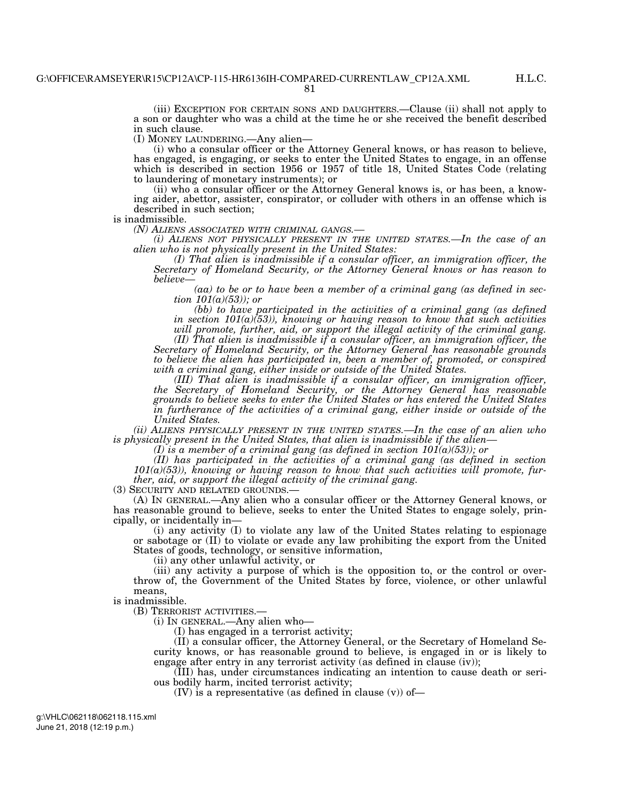(iii) EXCEPTION FOR CERTAIN SONS AND DAUGHTERS.—Clause (ii) shall not apply to a son or daughter who was a child at the time he or she received the benefit described in such clause.

(I) MONEY LAUNDERING.—Any alien—

(i) who a consular officer or the Attorney General knows, or has reason to believe, has engaged, is engaging, or seeks to enter the United States to engage, in an offense which is described in section 1956 or 1957 of title 18, United States Code (relating to laundering of monetary instruments); or

(ii) who a consular officer or the Attorney General knows is, or has been, a knowing aider, abettor, assister, conspirator, or colluder with others in an offense which is described in such section;

is inadmissible.<br>(N) ALIENS ASSOCIATED WITH CRIMINAL GANGS.—

*(i) ALIENS NOT PHYSICALLY PRESENT IN THE UNITED STATES.—In the case of an alien who is not physically present in the United States:* 

*(I) That alien is inadmissible if a consular officer, an immigration officer, the Secretary of Homeland Security, or the Attorney General knows or has reason to believe—* 

*(aa) to be or to have been a member of a criminal gang (as defined in section 101(a)(53)); or* 

*(bb)* to have participated in the activities of a criminal gang (as defined  $\overline{a}$ *in section 101(a)(53)), knowing or having reason to know that such activities*  will promote, further, aid, or support the illegal activity of the criminal gang.

*(II) That alien is inadmissible if a consular officer, an immigration officer, the Secretary of Homeland Security, or the Attorney General has reasonable grounds to believe the alien has participated in, been a member of, promoted, or conspired with a criminal gang, either inside or outside of the United States.* 

*(III) That alien is inadmissible if a consular officer, an immigration officer, the Secretary of Homeland Security, or the Attorney General has reasonable grounds to believe seeks to enter the United States or has entered the United States in furtherance of the activities of a criminal gang, either inside or outside of the United States.* 

*(ii) ALIENS PHYSICALLY PRESENT IN THE UNITED STATES.—In the case of an alien who is physically present in the United States, that alien is inadmissible if the alien—* 

*(I) is a member of a criminal gang (as defined in section*  $101(a)(53)$ *); or* 

*(II) has participated in the activities of a criminal gang (as defined in section 101(a)(53)), knowing or having reason to know that such activities will promote, further, aid, or support the illegal activity of the criminal gang.* (3) SECURITY AND RELATED GROUNDS.—

(A) IN GENERAL.—Any alien who a consular officer or the Attorney General knows, or has reasonable ground to believe, seeks to enter the United States to engage solely, principally, or incidentally in—

(i) any activity (I) to violate any law of the United States relating to espionage or sabotage or (II) to violate or evade any law prohibiting the export from the United States of goods, technology, or sensitive information,

(ii) any other unlawful activity, or

(iii) any activity a purpose of which is the opposition to, or the control or overthrow of, the Government of the United States by force, violence, or other unlawful means,

is inadmissible.

(B) TERRORIST ACTIVITIES.—

(i) IN GENERAL.—Any alien who—

(I) has engaged in a terrorist activity;

(II) a consular officer, the Attorney General, or the Secretary of Homeland Security knows, or has reasonable ground to believe, is engaged in or is likely to engage after entry in any terrorist activity (as defined in clause (iv));

(III) has, under circumstances indicating an intention to cause death or serious bodily harm, incited terrorist activity;

(IV) is a representative (as defined in clause  $(v)$ ) of—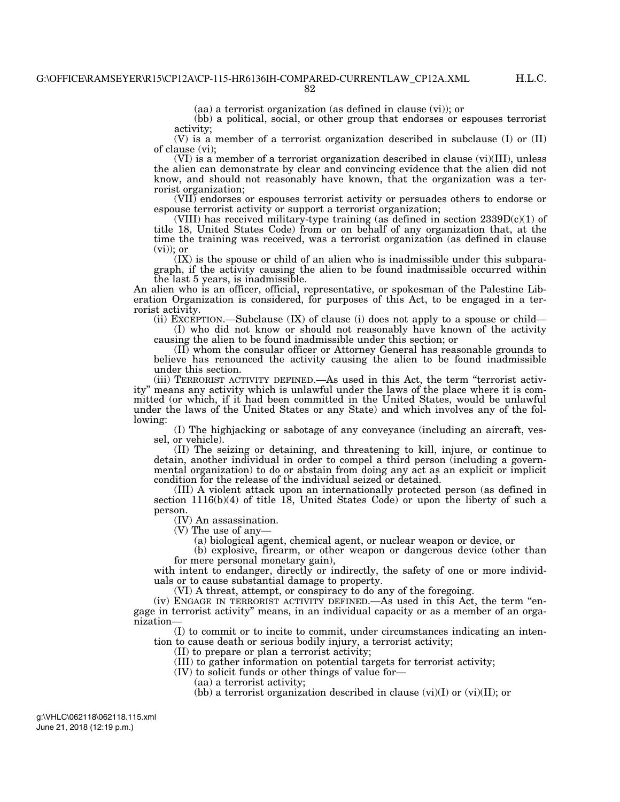(aa) a terrorist organization (as defined in clause (vi)); or

(bb) a political, social, or other group that endorses or espouses terrorist activity;

(V) is a member of a terrorist organization described in subclause (I) or (II) of clause (vi);

(VI) is a member of a terrorist organization described in clause (vi)(III), unless the alien can demonstrate by clear and convincing evidence that the alien did not know, and should not reasonably have known, that the organization was a terrorist organization;

(VII) endorses or espouses terrorist activity or persuades others to endorse or espouse terrorist activity or support a terrorist organization;

(VIII) has received military-type training (as defined in section  $2339D(c)(1)$  of title 18, United States Code) from or on behalf of any organization that, at the time the training was received, was a terrorist organization (as defined in clause  $(vi)$ ; or

(IX) is the spouse or child of an alien who is inadmissible under this subparagraph, if the activity causing the alien to be found inadmissible occurred within the last 5 years, is inadmissible.

An alien who is an officer, official, representative, or spokesman of the Palestine Liberation Organization is considered, for purposes of this Act, to be engaged in a terrorist activity.

(ii) EXCEPTION.—Subclause (IX) of clause (i) does not apply to a spouse or child— (I) who did not know or should not reasonably have known of the activity

causing the alien to be found inadmissible under this section; or

(II) whom the consular officer or Attorney General has reasonable grounds to believe has renounced the activity causing the alien to be found inadmissible under this section.

(iii) TERRORIST ACTIVITY DEFINED.—As used in this Act, the term ''terrorist activity'' means any activity which is unlawful under the laws of the place where it is committed (or which, if it had been committed in the United States, would be unlawful under the laws of the United States or any State) and which involves any of the following:

(I) The highjacking or sabotage of any conveyance (including an aircraft, vessel, or vehicle).

(II) The seizing or detaining, and threatening to kill, injure, or continue to detain, another individual in order to compel a third person (including a governmental organization) to do or abstain from doing any act as an explicit or implicit condition for the release of the individual seized or detained.

(III) A violent attack upon an internationally protected person (as defined in section  $1116(b)(4)$  of title 18, United States Code) or upon the liberty of such a person.

(IV) An assassination.

(V) The use of any—

(a) biological agent, chemical agent, or nuclear weapon or device, or

(b) explosive, firearm, or other weapon or dangerous device (other than for mere personal monetary gain),

with intent to endanger, directly or indirectly, the safety of one or more individuals or to cause substantial damage to property.

(VI) A threat, attempt, or conspiracy to do any of the foregoing.

(iv) ENGAGE IN TERRORIST ACTIVITY DEFINED.—As used in this Act, the term ''engage in terrorist activity'' means, in an individual capacity or as a member of an organization—

(I) to commit or to incite to commit, under circumstances indicating an intention to cause death or serious bodily injury, a terrorist activity;

(II) to prepare or plan a terrorist activity;

(III) to gather information on potential targets for terrorist activity;

(IV) to solicit funds or other things of value for—

(aa) a terrorist activity;

(bb) a terrorist organization described in clause (vi)(I) or (vi)(II); or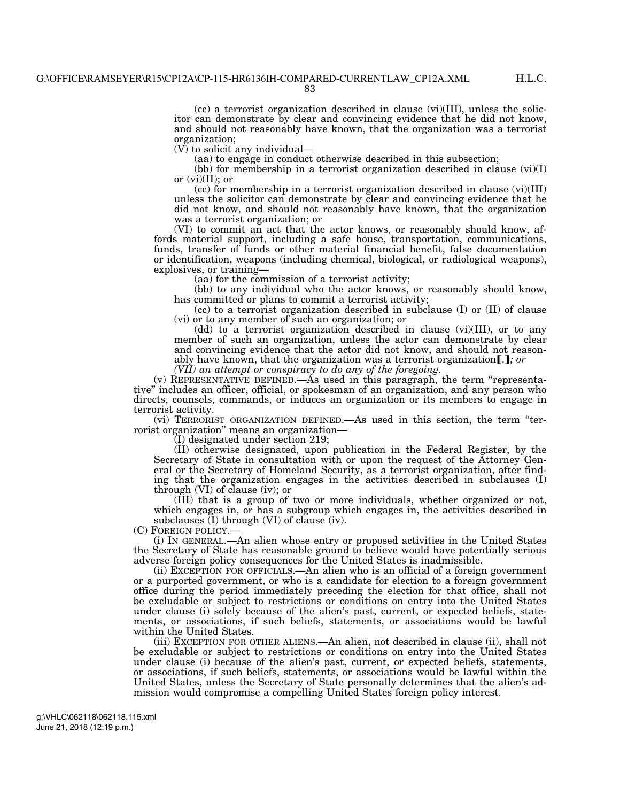$(cc)$  a terrorist organization described in clause  $(vi)(III)$ , unless the solicitor can demonstrate by clear and convincing evidence that he did not know, and should not reasonably have known, that the organization was a terrorist organization;

(V) to solicit any individual—

(aa) to engage in conduct otherwise described in this subsection;

(bb) for membership in a terrorist organization described in clause  $(vi)(I)$ or  $(vi)(II)$ ; or

 $(cc)$  for membership in a terrorist organization described in clause  $(vi)(III)$ unless the solicitor can demonstrate by clear and convincing evidence that he did not know, and should not reasonably have known, that the organization was a terrorist organization; or

(VI) to commit an act that the actor knows, or reasonably should know, affords material support, including a safe house, transportation, communications, funds, transfer of funds or other material financial benefit, false documentation or identification, weapons (including chemical, biological, or radiological weapons), explosives, or training—

(aa) for the commission of a terrorist activity;

(bb) to any individual who the actor knows, or reasonably should know, has committed or plans to commit a terrorist activity;

(cc) to a terrorist organization described in subclause (I) or (II) of clause (vi) or to any member of such an organization; or

(dd) to a terrorist organization described in clause (vi)(III), or to any member of such an organization, unless the actor can demonstrate by clear and convincing evidence that the actor did not know, and should not reasonably have known, that the organization was a terrorist organization.  $\mathbf{I}$ , *or* 

*(VII) an attempt or conspiracy to do any of the foregoing.* 

 $(v)$  REPRESENTATIVE DEFINED.—As used in this paragraph, the term "representative'' includes an officer, official, or spokesman of an organization, and any person who directs, counsels, commands, or induces an organization or its members to engage in terrorist activity.

(vi) TERRORIST ORGANIZATION DEFINED.—As used in this section, the term ''terrorist organization'' means an organization—

(I) designated under section 219;

(II) otherwise designated, upon publication in the Federal Register, by the Secretary of State in consultation with or upon the request of the Attorney General or the Secretary of Homeland Security, as a terrorist organization, after finding that the organization engages in the activities described in subclauses (I) through (VI) of clause (iv); or

(III) that is a group of two or more individuals, whether organized or not, which engages in, or has a subgroup which engages in, the activities described in subclauses  $(I)$  through  $(VI)$  of clause  $(iv)$ .

(C) FOREIGN POLICY.—

(i) IN GENERAL.—An alien whose entry or proposed activities in the United States the Secretary of State has reasonable ground to believe would have potentially serious adverse foreign policy consequences for the United States is inadmissible.

(ii) EXCEPTION FOR OFFICIALS.—An alien who is an official of a foreign government or a purported government, or who is a candidate for election to a foreign government office during the period immediately preceding the election for that office, shall not be excludable or subject to restrictions or conditions on entry into the United States under clause (i) solely because of the alien's past, current, or expected beliefs, statements, or associations, if such beliefs, statements, or associations would be lawful within the United States.

(iii) EXCEPTION FOR OTHER ALIENS.—An alien, not described in clause (ii), shall not be excludable or subject to restrictions or conditions on entry into the United States under clause (i) because of the alien's past, current, or expected beliefs, statements, or associations, if such beliefs, statements, or associations would be lawful within the United States, unless the Secretary of State personally determines that the alien's admission would compromise a compelling United States foreign policy interest.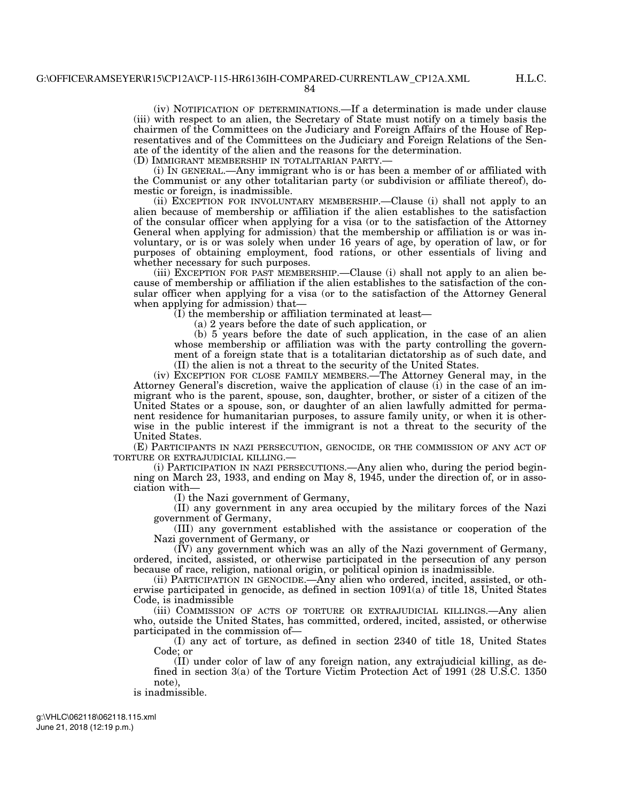H.L.C.

84

(iv) NOTIFICATION OF DETERMINATIONS.—If a determination is made under clause (iii) with respect to an alien, the Secretary of State must notify on a timely basis the chairmen of the Committees on the Judiciary and Foreign Affairs of the House of Representatives and of the Committees on the Judiciary and Foreign Relations of the Senate of the identity of the alien and the reasons for the determination.

(D) IMMIGRANT MEMBERSHIP IN TOTALITARIAN PARTY.—

(i) IN GENERAL.—Any immigrant who is or has been a member of or affiliated with the Communist or any other totalitarian party (or subdivision or affiliate thereof), domestic or foreign, is inadmissible.

(ii) EXCEPTION FOR INVOLUNTARY MEMBERSHIP.—Clause (i) shall not apply to an alien because of membership or affiliation if the alien establishes to the satisfaction of the consular officer when applying for a visa (or to the satisfaction of the Attorney General when applying for admission) that the membership or affiliation is or was involuntary, or is or was solely when under 16 years of age, by operation of law, or for purposes of obtaining employment, food rations, or other essentials of living and whether necessary for such purposes.

(iii) EXCEPTION FOR PAST MEMBERSHIP.—Clause (i) shall not apply to an alien because of membership or affiliation if the alien establishes to the satisfaction of the consular officer when applying for a visa (or to the satisfaction of the Attorney General when applying for admission) that—

(I) the membership or affiliation terminated at least—

(a) 2 years before the date of such application, or

(b) 5 years before the date of such application, in the case of an alien whose membership or affiliation was with the party controlling the government of a foreign state that is a totalitarian dictatorship as of such date, and (II) the alien is not a threat to the security of the United States.

(iv) EXCEPTION FOR CLOSE FAMILY MEMBERS.—The Attorney General may, in the Attorney General's discretion, waive the application of clause (i) in the case of an immigrant who is the parent, spouse, son, daughter, brother, or sister of a citizen of the United States or a spouse, son, or daughter of an alien lawfully admitted for permanent residence for humanitarian purposes, to assure family unity, or when it is otherwise in the public interest if the immigrant is not a threat to the security of the United States.

(E) PARTICIPANTS IN NAZI PERSECUTION, GENOCIDE, OR THE COMMISSION OF ANY ACT OF TORTURE OR EXTRAJUDICIAL KILLING.—

(i) PARTICIPATION IN NAZI PERSECUTIONS.—Any alien who, during the period beginning on March 23, 1933, and ending on May 8, 1945, under the direction of, or in association with—

(I) the Nazi government of Germany,

(II) any government in any area occupied by the military forces of the Nazi government of Germany,

(III) any government established with the assistance or cooperation of the Nazi government of Germany, or

(IV) any government which was an ally of the Nazi government of Germany, ordered, incited, assisted, or otherwise participated in the persecution of any person because of race, religion, national origin, or political opinion is inadmissible.

(ii) PARTICIPATION IN GENOCIDE.—Any alien who ordered, incited, assisted, or otherwise participated in genocide, as defined in section 1091(a) of title 18, United States Code, is inadmissible

(iii) COMMISSION OF ACTS OF TORTURE OR EXTRAJUDICIAL KILLINGS.—Any alien who, outside the United States, has committed, ordered, incited, assisted, or otherwise participated in the commission of—

(I) any act of torture, as defined in section 2340 of title 18, United States Code; or

(II) under color of law of any foreign nation, any extrajudicial killing, as defined in section 3(a) of the Torture Victim Protection Act of 1991 (28 U.S.C. 1350 note),

is inadmissible.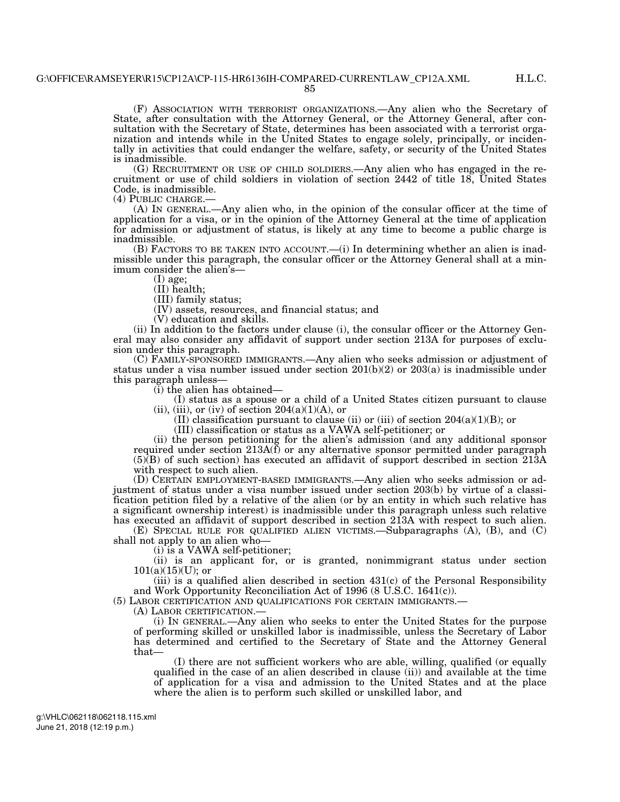H.L.C.

85

(F) ASSOCIATION WITH TERRORIST ORGANIZATIONS.—Any alien who the Secretary of State, after consultation with the Attorney General, or the Attorney General, after consultation with the Secretary of State, determines has been associated with a terrorist organization and intends while in the United States to engage solely, principally, or incidentally in activities that could endanger the welfare, safety, or security of the United States is inadmissible.

(G) RECRUITMENT OR USE OF CHILD SOLDIERS.—Any alien who has engaged in the recruitment or use of child soldiers in violation of section 2442 of title 18, United States Code, is inadmissible.<br>(4) PUBLIC CHARGE.—

 $(A)$  In GENERAL.—Any alien who, in the opinion of the consular officer at the time of application for a visa, or in the opinion of the Attorney General at the time of application for admission or adjustment of status, is likely at any time to become a public charge is inadmissible.

(B) FACTORS TO BE TAKEN INTO ACCOUNT.—(i) In determining whether an alien is inadmissible under this paragraph, the consular officer or the Attorney General shall at a minimum consider the alien's—

(I) age;

(II) health;

(III) family status;

(IV) assets, resources, and financial status; and

(V) education and skills.

(ii) In addition to the factors under clause (i), the consular officer or the Attorney General may also consider any affidavit of support under section 213A for purposes of exclusion under this paragraph.

(C) FAMILY-SPONSORED IMMIGRANTS.—Any alien who seeks admission or adjustment of status under a visa number issued under section  $201(b)(2)$  or  $203(a)$  is inadmissible under this paragraph unless—

(i) the alien has obtained—

(I) status as a spouse or a child of a United States citizen pursuant to clause (ii), (iii), or (iv) of section  $204(a)(1)(A)$ , or

(II) classification pursuant to clause (ii) or (iii) of section  $204(a)(1)(B)$ ; or

(III) classification or status as a VAWA self-petitioner; or

(ii) the person petitioning for the alien's admission (and any additional sponsor required under section 213A(f) or any alternative sponsor permitted under paragraph (5)(B) of such section) has executed an affidavit of support described in section 213A with respect to such alien.

(D) CERTAIN EMPLOYMENT-BASED IMMIGRANTS.—Any alien who seeks admission or adjustment of status under a visa number issued under section 203(b) by virtue of a classification petition filed by a relative of the alien (or by an entity in which such relative has a significant ownership interest) is inadmissible under this paragraph unless such relative has executed an affidavit of support described in section 213A with respect to such alien.

(E) SPECIAL RULE FOR QUALIFIED ALIEN VICTIMS.—Subparagraphs (A), (B), and (C) shall not apply to an alien who—

(i) is a VAWA self-petitioner;

(ii) is an applicant for, or is granted, nonimmigrant status under section  $101(a)(15)(U)$ ; or

 $(iii)$  is a qualified alien described in section  $431(c)$  of the Personal Responsibility and Work Opportunity Reconciliation Act of 1996 (8 U.S.C. 1641(c)).

(5) LABOR CERTIFICATION AND QUALIFICATIONS FOR CERTAIN IMMIGRANTS.—

(A) LABOR CERTIFICATION.—

(i) IN GENERAL.—Any alien who seeks to enter the United States for the purpose of performing skilled or unskilled labor is inadmissible, unless the Secretary of Labor has determined and certified to the Secretary of State and the Attorney General that—

(I) there are not sufficient workers who are able, willing, qualified (or equally qualified in the case of an alien described in clause  $(i)$  and available at the time of application for a visa and admission to the United States and at the place where the alien is to perform such skilled or unskilled labor, and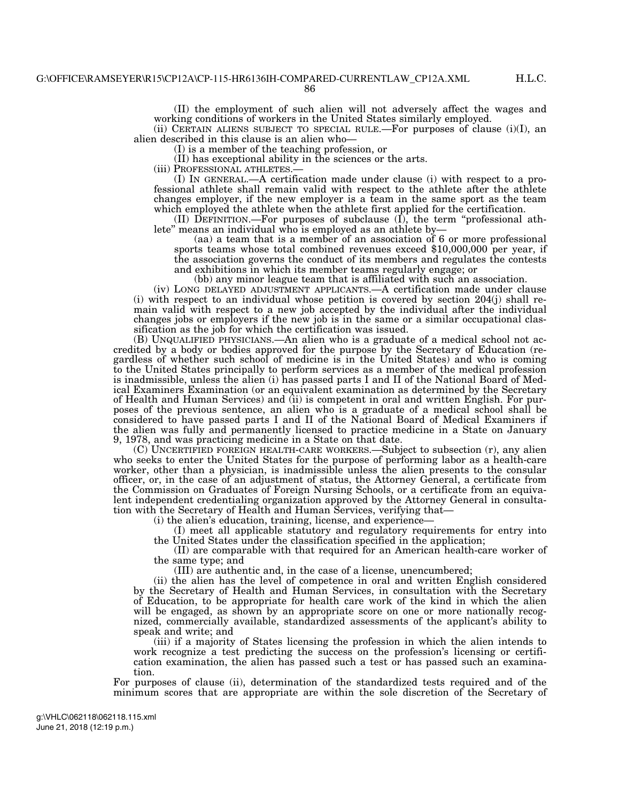86

(II) the employment of such alien will not adversely affect the wages and working conditions of workers in the United States similarly employed.

(ii) CERTAIN ALIENS SUBJECT TO SPECIAL RULE.—For purposes of clause  $(i)(I)$ , an alien described in this clause is an alien who—

(I) is a member of the teaching profession, or

(II) has exceptional ability in the sciences or the arts.

(iii) PROFESSIONAL ATHLETES.— (I) IN GENERAL.—A certification made under clause (i) with respect to a professional athlete shall remain valid with respect to the athlete after the athlete changes employer, if the new employer is a team in the same sport as the team which employed the athlete when the athlete first applied for the certification.

(II) DEFINITION.—For purposes of subclause (I), the term ''professional athlete'' means an individual who is employed as an athlete by—

(aa) a team that is a member of an association of 6 or more professional sports teams whose total combined revenues exceed \$10,000,000 per year, if the association governs the conduct of its members and regulates the contests and exhibitions in which its member teams regularly engage; or

(bb) any minor league team that is affiliated with such an association.

(iv) LONG DELAYED ADJUSTMENT APPLICANTS.—A certification made under clause (i) with respect to an individual whose petition is covered by section 204(j) shall remain valid with respect to a new job accepted by the individual after the individual changes jobs or employers if the new job is in the same or a similar occupational classification as the job for which the certification was issued.

(B) UNQUALIFIED PHYSICIANS.—An alien who is a graduate of a medical school not accredited by a body or bodies approved for the purpose by the Secretary of Education (regardless of whether such school of medicine is in the United States) and who is coming to the United States principally to perform services as a member of the medical profession is inadmissible, unless the alien (i) has passed parts I and II of the National Board of Medical Examiners Examination (or an equivalent examination as determined by the Secretary of Health and Human Services) and (ii) is competent in oral and written English. For purposes of the previous sentence, an alien who is a graduate of a medical school shall be considered to have passed parts I and II of the National Board of Medical Examiners if the alien was fully and permanently licensed to practice medicine in a State on January 9, 1978, and was practicing medicine in a State on that date.

(C) UNCERTIFIED FOREIGN HEALTH-CARE WORKERS.—Subject to subsection (r), any alien who seeks to enter the United States for the purpose of performing labor as a health-care worker, other than a physician, is inadmissible unless the alien presents to the consular officer, or, in the case of an adjustment of status, the Attorney General, a certificate from the Commission on Graduates of Foreign Nursing Schools, or a certificate from an equivalent independent credentialing organization approved by the Attorney General in consultation with the Secretary of Health and Human Services, verifying that—

(i) the alien's education, training, license, and experience—

(I) meet all applicable statutory and regulatory requirements for entry into the United States under the classification specified in the application;

(II) are comparable with that required for an American health-care worker of the same type; and

(III) are authentic and, in the case of a license, unencumbered;

(ii) the alien has the level of competence in oral and written English considered by the Secretary of Health and Human Services, in consultation with the Secretary of Education, to be appropriate for health care work of the kind in which the alien will be engaged, as shown by an appropriate score on one or more nationally recognized, commercially available, standardized assessments of the applicant's ability to speak and write; and

(iii) if a majority of States licensing the profession in which the alien intends to work recognize a test predicting the success on the profession's licensing or certification examination, the alien has passed such a test or has passed such an examination.

For purposes of clause (ii), determination of the standardized tests required and of the minimum scores that are appropriate are within the sole discretion of the Secretary of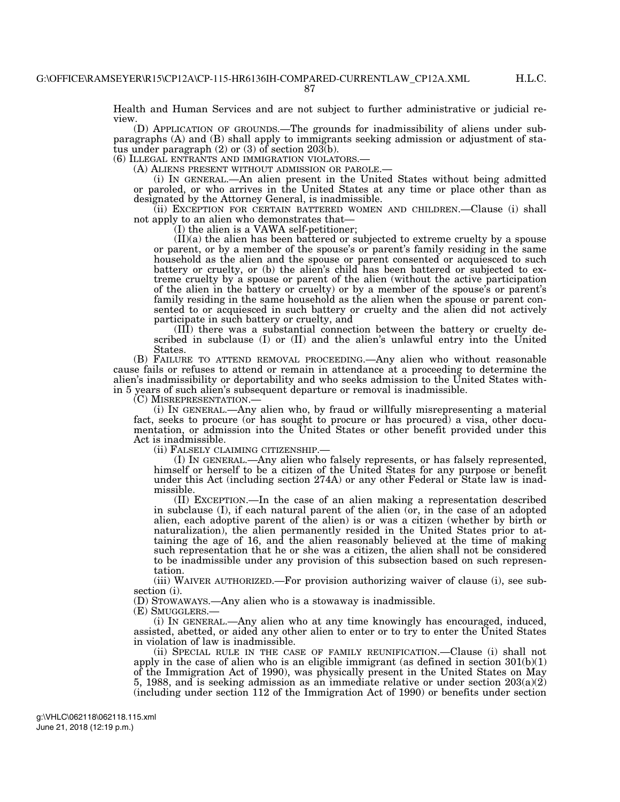87

Health and Human Services and are not subject to further administrative or judicial review

(D) APPLICATION OF GROUNDS.—The grounds for inadmissibility of aliens under subparagraphs (A) and (B) shall apply to immigrants seeking admission or adjustment of status under paragraph (2) or (3) of section 203(b).

(6) ILLEGAL ENTRANTS AND IMMIGRATION VIOLATORS.— (A) ALIENS PRESENT WITHOUT ADMISSION OR PAROLE.— (i) IN GENERAL.—An alien present in the United States without being admitted or paroled, or who arrives in the United States at any time or place other than as designated by the Attorney General, is inadmissible.

(ii) EXCEPTION FOR CERTAIN BATTERED WOMEN AND CHILDREN.—Clause (i) shall not apply to an alien who demonstrates that—

(I) the alien is a VAWA self-petitioner;

(II)(a) the alien has been battered or subjected to extreme cruelty by a spouse or parent, or by a member of the spouse's or parent's family residing in the same household as the alien and the spouse or parent consented or acquiesced to such battery or cruelty, or (b) the alien's child has been battered or subjected to extreme cruelty by a spouse or parent of the alien (without the active participation of the alien in the battery or cruelty) or by a member of the spouse's or parent's family residing in the same household as the alien when the spouse or parent consented to or acquiesced in such battery or cruelty and the alien did not actively participate in such battery or cruelty, and

(III) there was a substantial connection between the battery or cruelty described in subclause (I) or (II) and the alien's unlawful entry into the United States.

(B) FAILURE TO ATTEND REMOVAL PROCEEDING.—Any alien who without reasonable cause fails or refuses to attend or remain in attendance at a proceeding to determine the alien's inadmissibility or deportability and who seeks admission to the United States within 5 years of such alien's subsequent departure or removal is inadmissible.

(C) MISREPRESENTATION.— (i) IN GENERAL.—Any alien who, by fraud or willfully misrepresenting a material fact, seeks to procure (or has sought to procure or has procured) a visa, other documentation, or admission into the United States or other benefit provided under this Act is inadmissible.<br>(ii) FALSELY CLAIMING CITIZENSHIP.—

(ii) FALSELY CLAIMING CITIZENSHIP.— (I) IN GENERAL.—Any alien who falsely represents, or has falsely represented, himself or herself to be a citizen of the United States for any purpose or benefit under this Act (including section 274A) or any other Federal or State law is inadmissible.

(II) EXCEPTION.—In the case of an alien making a representation described in subclause (I), if each natural parent of the alien (or, in the case of an adopted alien, each adoptive parent of the alien) is or was a citizen (whether by birth or naturalization), the alien permanently resided in the United States prior to attaining the age of 16, and the alien reasonably believed at the time of making such representation that he or she was a citizen, the alien shall not be considered to be inadmissible under any provision of this subsection based on such representation.

(iii) WAIVER AUTHORIZED.—For provision authorizing waiver of clause (i), see subsection (i).

(D) STOWAWAYS.—Any alien who is a stowaway is inadmissible.

(E) SMUGGLERS.—

(i) IN GENERAL.—Any alien who at any time knowingly has encouraged, induced, assisted, abetted, or aided any other alien to enter or to try to enter the United States in violation of law is inadmissible.

(ii) SPECIAL RULE IN THE CASE OF FAMILY REUNIFICATION.—Clause (i) shall not apply in the case of alien who is an eligible immigrant (as defined in section  $301(b)(1)$ ) of the Immigration Act of 1990), was physically present in the United States on May 5, 1988, and is seeking admission as an immediate relative or under section  $203(a)(2)$ (including under section 112 of the Immigration Act of 1990) or benefits under section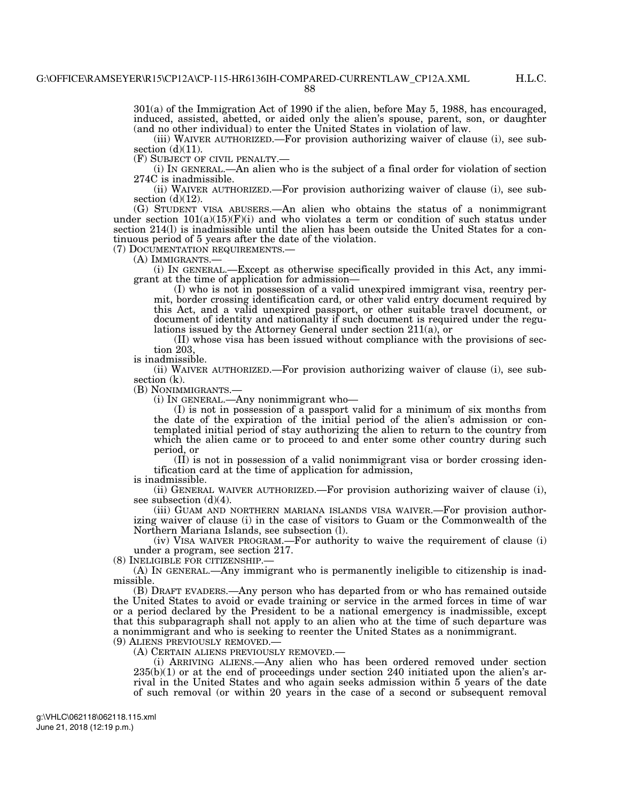301(a) of the Immigration Act of 1990 if the alien, before May 5, 1988, has encouraged, induced, assisted, abetted, or aided only the alien's spouse, parent, son, or daughter (and no other individual) to enter the United States in violation of law.

(iii) WAIVER AUTHORIZED.—For provision authorizing waiver of clause (i), see subsection  $(d)(11)$ .<br>(F) SUBJECT OF CIVIL PENALTY.—

 $(i)$  In GENERAL.—An alien who is the subject of a final order for violation of section 274C is inadmissible.

(ii) WAIVER AUTHORIZED.—For provision authorizing waiver of clause (i), see subsection  $(d)(12)$ .

(G) STUDENT VISA ABUSERS.—An alien who obtains the status of a nonimmigrant under section  $101(a)(15)(F)(i)$  and who violates a term or condition of such status under section 214(l) is inadmissible until the alien has been outside the United States for a continuous period of 5 years after the date of the violation.<br>(7) DOCUMENTATION REQUIREMENTS.—

(A) IMMIGRANTS.—<br>(i) IN GENERAL.—Except as otherwise specifically provided in this Act, any immigrant at the time of application for admission—

(I) who is not in possession of a valid unexpired immigrant visa, reentry permit, border crossing identification card, or other valid entry document required by this Act, and a valid unexpired passport, or other suitable travel document, or document of identity and nationality if such document is required under the regulations issued by the Attorney General under section 211(a), or

(II) whose visa has been issued without compliance with the provisions of section 203,

is inadmissible.

(ii) WAIVER AUTHORIZED.—For provision authorizing waiver of clause (i), see subsection (k).<br>(B) NONIMMIGRANTS.-

 $(i)$  In GENERAL.—Any nonimmigrant who—

(I) is not in possession of a passport valid for a minimum of six months from the date of the expiration of the initial period of the alien's admission or contemplated initial period of stay authorizing the alien to return to the country from which the alien came or to proceed to and enter some other country during such period, or

(II) is not in possession of a valid nonimmigrant visa or border crossing identification card at the time of application for admission,

is inadmissible.

(ii) GENERAL WAIVER AUTHORIZED.—For provision authorizing waiver of clause (i), see subsection (d)(4).

(iii) GUAM AND NORTHERN MARIANA ISLANDS VISA WAIVER.—For provision authorizing waiver of clause (i) in the case of visitors to Guam or the Commonwealth of the Northern Mariana Islands, see subsection (l).

(iv) VISA WAIVER PROGRAM.—For authority to waive the requirement of clause (i) under a program, see section 217.

(8) INELIGIBLE FOR CITIZENSHIP.—

(A) IN GENERAL.—Any immigrant who is permanently ineligible to citizenship is inadmissible.

(B) DRAFT EVADERS.—Any person who has departed from or who has remained outside the United States to avoid or evade training or service in the armed forces in time of war or a period declared by the President to be a national emergency is inadmissible, except that this subparagraph shall not apply to an alien who at the time of such departure was a nonimmigrant and who is seeking to reenter the United States as a nonimmigrant.

(9) ALIENS PREVIOUSLY REMOVED.—

(A) CERTAIN ALIENS PREVIOUSLY REMOVED.—

(i) ARRIVING ALIENS.—Any alien who has been ordered removed under section  $235(b)(1)$  or at the end of proceedings under section 240 initiated upon the alien's arrival in the United States and who again seeks admission within 5 years of the date of such removal (or within 20 years in the case of a second or subsequent removal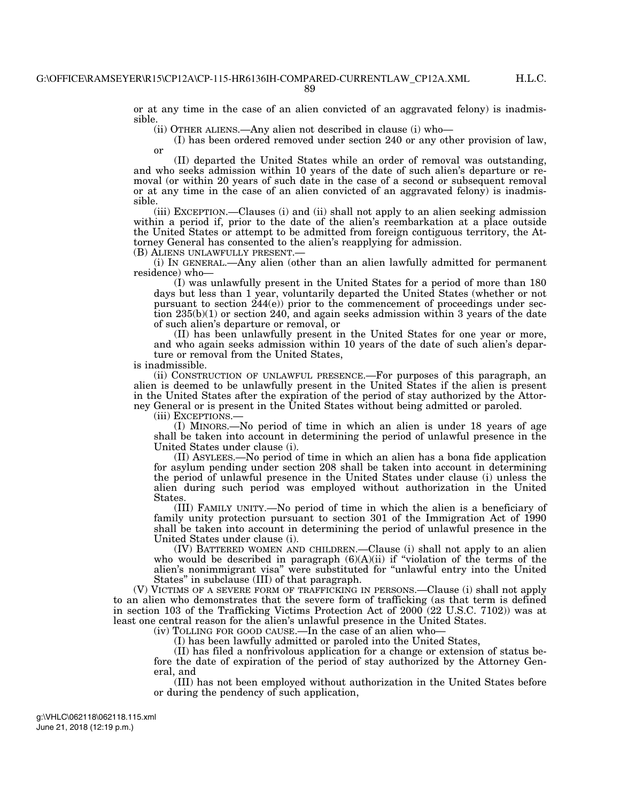or at any time in the case of an alien convicted of an aggravated felony) is inadmissible.

(ii) OTHER ALIENS.—Any alien not described in clause (i) who—

(I) has been ordered removed under section 240 or any other provision of law, or

(II) departed the United States while an order of removal was outstanding, and who seeks admission within 10 years of the date of such alien's departure or removal (or within 20 years of such date in the case of a second or subsequent removal or at any time in the case of an alien convicted of an aggravated felony) is inadmissible.

(iii) EXCEPTION.—Clauses (i) and (ii) shall not apply to an alien seeking admission within a period if, prior to the date of the alien's reembarkation at a place outside the United States or attempt to be admitted from foreign contiguous territory, the Attorney General has consented to the alien's reapplying for admission.

(B) ALIENS UNLAWFULLY PRESENT.—

(i) IN GENERAL.—Any alien (other than an alien lawfully admitted for permanent residence) who—

(I) was unlawfully present in the United States for a period of more than 180 days but less than 1 year, voluntarily departed the United States (whether or not pursuant to section  $244(e)$  prior to the commencement of proceedings under section  $235(b)(1)$  or section  $240$ , and again seeks admission within 3 years of the date of such alien's departure or removal, or

(II) has been unlawfully present in the United States for one year or more, and who again seeks admission within 10 years of the date of such alien's departure or removal from the United States,

is inadmissible.

(ii) CONSTRUCTION OF UNLAWFUL PRESENCE.—For purposes of this paragraph, an alien is deemed to be unlawfully present in the United States if the alien is present in the United States after the expiration of the period of stay authorized by the Attorney General or is present in the United States without being admitted or paroled.

(iii) EXCEPTIONS.—

(I) MINORS.—No period of time in which an alien is under 18 years of age shall be taken into account in determining the period of unlawful presence in the United States under clause (i).

(II) ASYLEES.—No period of time in which an alien has a bona fide application for asylum pending under section 208 shall be taken into account in determining the period of unlawful presence in the United States under clause (i) unless the alien during such period was employed without authorization in the United States.

(III) FAMILY UNITY.—No period of time in which the alien is a beneficiary of family unity protection pursuant to section 301 of the Immigration Act of 1990 shall be taken into account in determining the period of unlawful presence in the United States under clause (i).

(IV) BATTERED WOMEN AND CHILDREN.—Clause (i) shall not apply to an alien who would be described in paragraph  $(6)(A)(ii)$  if "violation of the terms of the alien's nonimmigrant visa'' were substituted for ''unlawful entry into the United States'' in subclause (III) of that paragraph.

(V) VICTIMS OF A SEVERE FORM OF TRAFFICKING IN PERSONS.—Clause (i) shall not apply to an alien who demonstrates that the severe form of trafficking (as that term is defined in section 103 of the Trafficking Victims Protection Act of 2000 (22 U.S.C. 7102)) was at least one central reason for the alien's unlawful presence in the United States.

(iv) TOLLING FOR GOOD CAUSE.—In the case of an alien who—

(I) has been lawfully admitted or paroled into the United States,

(II) has filed a nonfrivolous application for a change or extension of status before the date of expiration of the period of stay authorized by the Attorney General, and

(III) has not been employed without authorization in the United States before or during the pendency of such application,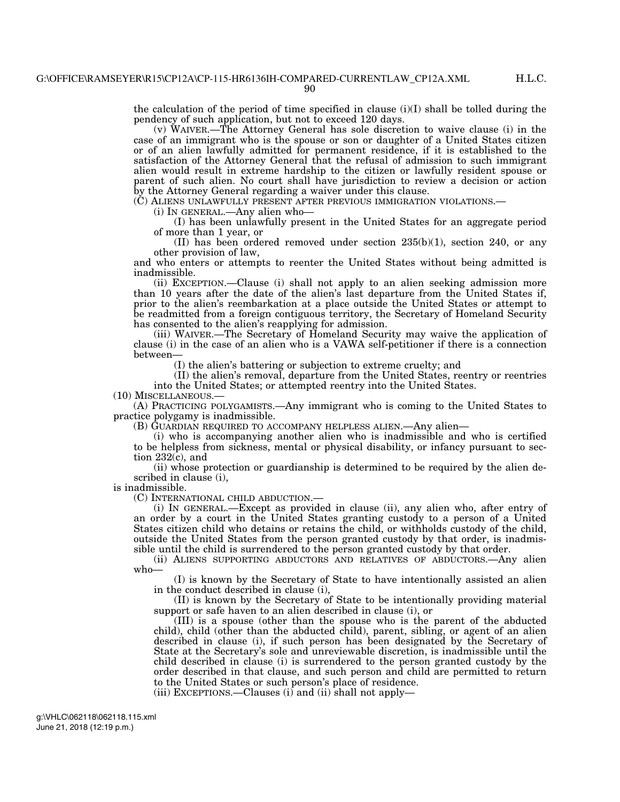$90$ 

the calculation of the period of time specified in clause  $(i)(I)$  shall be tolled during the pendency of such application, but not to exceed 120 days.

(v) WAIVER.—The Attorney General has sole discretion to waive clause (i) in the case of an immigrant who is the spouse or son or daughter of a United States citizen or of an alien lawfully admitted for permanent residence, if it is established to the satisfaction of the Attorney General that the refusal of admission to such immigrant alien would result in extreme hardship to the citizen or lawfully resident spouse or parent of such alien. No court shall have jurisdiction to review a decision or action by the Attorney General regarding a waiver under this clause.

(C) ALIENS UNLAWFULLY PRESENT AFTER PREVIOUS IMMIGRATION VIOLATIONS.—

(i) IN GENERAL.—Any alien who—

(I) has been unlawfully present in the United States for an aggregate period of more than 1 year, or

(II) has been ordered removed under section  $235(b)(1)$ , section  $240$ , or any other provision of law,

and who enters or attempts to reenter the United States without being admitted is inadmissible.

(ii) EXCEPTION.—Clause (i) shall not apply to an alien seeking admission more than 10 years after the date of the alien's last departure from the United States if, prior to the alien's reembarkation at a place outside the United States or attempt to be readmitted from a foreign contiguous territory, the Secretary of Homeland Security has consented to the alien's reapplying for admission.

(iii) WAIVER.—The Secretary of Homeland Security may waive the application of clause (i) in the case of an alien who is a VAWA self-petitioner if there is a connection between—

(I) the alien's battering or subjection to extreme cruelty; and

(II) the alien's removal, departure from the United States, reentry or reentries into the United States; or attempted reentry into the United States.

(10) MISCELLANEOUS.—

(A) PRACTICING POLYGAMISTS.—Any immigrant who is coming to the United States to practice polygamy is inadmissible.

(B) GUARDIAN REQUIRED TO ACCOMPANY HELPLESS ALIEN.—Any alien—

(i) who is accompanying another alien who is inadmissible and who is certified to be helpless from sickness, mental or physical disability, or infancy pursuant to section  $232(c)$ , and

(ii) whose protection or guardianship is determined to be required by the alien described in clause (i),

is inadmissible.

(C) INTERNATIONAL CHILD ABDUCTION.—

(i) IN GENERAL.—Except as provided in clause (ii), any alien who, after entry of an order by a court in the United States granting custody to a person of a United States citizen child who detains or retains the child, or withholds custody of the child, outside the United States from the person granted custody by that order, is inadmissible until the child is surrendered to the person granted custody by that order.

(ii) ALIENS SUPPORTING ABDUCTORS AND RELATIVES OF ABDUCTORS.—Any alien who—

(I) is known by the Secretary of State to have intentionally assisted an alien in the conduct described in clause (i),

(II) is known by the Secretary of State to be intentionally providing material support or safe haven to an alien described in clause (i), or

(III) is a spouse (other than the spouse who is the parent of the abducted child), child (other than the abducted child), parent, sibling, or agent of an alien described in clause (i), if such person has been designated by the Secretary of State at the Secretary's sole and unreviewable discretion, is inadmissible until the child described in clause (i) is surrendered to the person granted custody by the order described in that clause, and such person and child are permitted to return to the United States or such person's place of residence.

(iii) EXCEPTIONS.—Clauses (i) and (ii) shall not apply—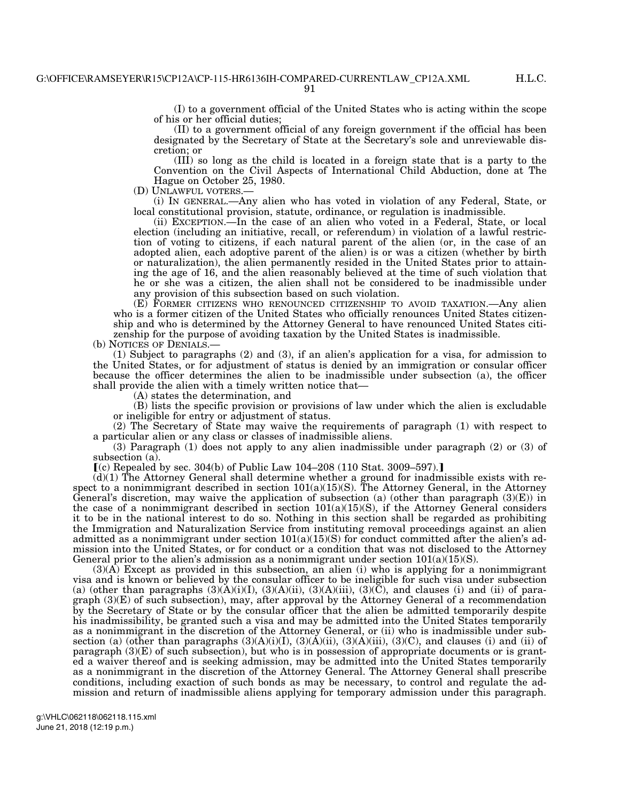H.L.C.

91

(I) to a government official of the United States who is acting within the scope of his or her official duties;

(II) to a government official of any foreign government if the official has been designated by the Secretary of State at the Secretary's sole and unreviewable discretion; or

(III) so long as the child is located in a foreign state that is a party to the Convention on the Civil Aspects of International Child Abduction, done at The Hague on October 25, 1980.

(D) UNLAWFUL VOTERS.—

(i) IN GENERAL.—Any alien who has voted in violation of any Federal, State, or local constitutional provision, statute, ordinance, or regulation is inadmissible.

(ii) EXCEPTION.—In the case of an alien who voted in a Federal, State, or local election (including an initiative, recall, or referendum) in violation of a lawful restriction of voting to citizens, if each natural parent of the alien (or, in the case of an adopted alien, each adoptive parent of the alien) is or was a citizen (whether by birth or naturalization), the alien permanently resided in the United States prior to attaining the age of 16, and the alien reasonably believed at the time of such violation that he or she was a citizen, the alien shall not be considered to be inadmissible under any provision of this subsection based on such violation.

(E) FORMER CITIZENS WHO RENOUNCED CITIZENSHIP TO AVOID TAXATION.—Any alien who is a former citizen of the United States who officially renounces United States citizenship and who is determined by the Attorney General to have renounced United States citizenship for the purpose of avoiding taxation by the United States is inadmissible.

(b) NOTICES OF DENIALS.—

(1) Subject to paragraphs (2) and (3), if an alien's application for a visa, for admission to the United States, or for adjustment of status is denied by an immigration or consular officer because the officer determines the alien to be inadmissible under subsection (a), the officer shall provide the alien with a timely written notice that—

(A) states the determination, and

(B) lists the specific provision or provisions of law under which the alien is excludable or ineligible for entry or adjustment of status.

(2) The Secretary of State may waive the requirements of paragraph (1) with respect to a particular alien or any class or classes of inadmissible aliens.

(3) Paragraph (1) does not apply to any alien inadmissible under paragraph (2) or (3) of subsection (a).

 $(c)$  Repealed by sec. 304(b) of Public Law 104–208 (110 Stat. 3009–597).]

(d)(1) The Attorney General shall determine whether a ground for inadmissible exists with respect to a nonimmigrant described in section  $101(a)(15)(S)$ . The Attorney General, in the Attorney General's discretion, may waive the application of subsection (a) (other than paragraph  $(3)(E)$ ) in the case of a nonimmigrant described in section  $101(a)(15)(S)$ , if the Attorney General considers it to be in the national interest to do so. Nothing in this section shall be regarded as prohibiting the Immigration and Naturalization Service from instituting removal proceedings against an alien admitted as a nonimmigrant under section  $101(a)(15)(S)$  for conduct committed after the alien's admission into the United States, or for conduct or a condition that was not disclosed to the Attorney General prior to the alien's admission as a nonimmigrant under section  $101(a)(15)(S)$ .

 $(3)(\widehat{A})$  Except as provided in this subsection, an alien (i) who is applying for a nonimmigrant visa and is known or believed by the consular officer to be ineligible for such visa under subsection (a) (other than paragraphs  $(3)(A)(i)(I), (3)(A)(ii), (3)(A)(iii), (3)(\overline{C})$ , and clauses (i) and (ii) of paragraph (3)(E) of such subsection), may, after approval by the Attorney General of a recommendation by the Secretary of State or by the consular officer that the alien be admitted temporarily despite his inadmissibility, be granted such a visa and may be admitted into the United States temporarily as a nonimmigrant in the discretion of the Attorney General, or (ii) who is inadmissible under subsection (a) (other than paragraphs  $(3)(A)(i)(I), (3)(A)(ii), (3)(A)(iii), (3)(C)$ , and clauses (i) and (ii) of paragraph (3)(E) of such subsection), but who is in possession of appropriate documents or is granted a waiver thereof and is seeking admission, may be admitted into the United States temporarily as a nonimmigrant in the discretion of the Attorney General. The Attorney General shall prescribe conditions, including exaction of such bonds as may be necessary, to control and regulate the admission and return of inadmissible aliens applying for temporary admission under this paragraph.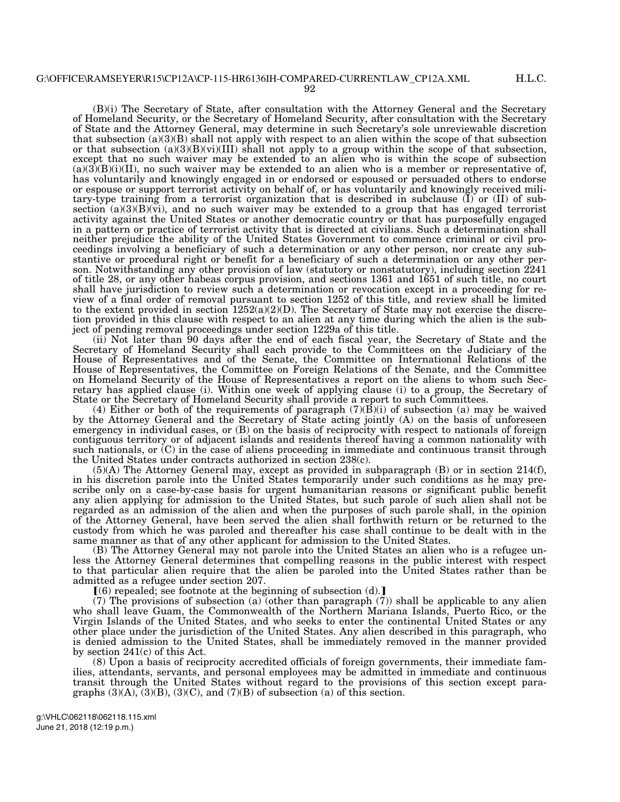(B)(i) The Secretary of State, after consultation with the Attorney General and the Secretary of Homeland Security, or the Secretary of Homeland Security, after consultation with the Secretary of State and the Attorney General, may determine in such Secretary's sole unreviewable discretion that subsection  $(a)(3)(B)$  shall not apply with respect to an alien within the scope of that subsection or that subsection  $(a)(3)(B)(vi)(III)$  shall not apply to a group within the scope of that subsection, except that no such waiver may be extended to an alien who is within the scope of subsection  $(a)(3)(B)(i)(II)$ , no such waiver may be extended to an alien who is a member or representative of, has voluntarily and knowingly engaged in or endorsed or espoused or persuaded others to endorse or espouse or support terrorist activity on behalf of, or has voluntarily and knowingly received military-type training from a terrorist organization that is described in subclause (I) or (II) of subsection  $(a)(3)(B)(\overline{v})$ , and no such waiver may be extended to a group that has engaged terrorist activity against the United States or another democratic country or that has purposefully engaged in a pattern or practice of terrorist activity that is directed at civilians. Such a determination shall neither prejudice the ability of the United States Government to commence criminal or civil proceedings involving a beneficiary of such a determination or any other person, nor create any substantive or procedural right or benefit for a beneficiary of such a determination or any other person. Notwithstanding any other provision of law (statutory or nonstatutory), including section 2241 of title 28, or any other habeas corpus provision, and sections 1361 and 1651 of such title, no court shall have jurisdiction to review such a determination or revocation except in a proceeding for review of a final order of removal pursuant to section 1252 of this title, and review shall be limited to the extent provided in section  $1252(a)(2)(D)$ . The Secretary of State may not exercise the discretion provided in this clause with respect to an alien at any time during which the alien is the subject of pending removal proceedings under section 1229a of this title.

(ii) Not later than 90 days after the end of each fiscal year, the Secretary of State and the Secretary of Homeland Security shall each provide to the Committees on the Judiciary of the House of Representatives and of the Senate, the Committee on International Relations of the House of Representatives, the Committee on Foreign Relations of the Senate, and the Committee on Homeland Security of the House of Representatives a report on the aliens to whom such Secretary has applied clause (i). Within one week of applying clause (i) to a group, the Secretary of State or the Secretary of Homeland Security shall provide a report to such Committees.

(4) Either or both of the requirements of paragraph  $(7)(\vec{B})(i)$  of subsection (a) may be waived by the Attorney General and the Secretary of State acting jointly (A) on the basis of unforeseen emergency in individual cases, or (B) on the basis of reciprocity with respect to nationals of foreign contiguous territory or of adjacent islands and residents thereof having a common nationality with such nationals, or  $(C)$  in the case of aliens proceeding in immediate and continuous transit through the United States under contracts authorized in section 238(c).

(5)(A) The Attorney General may, except as provided in subparagraph (B) or in section 214(f), in his discretion parole into the United States temporarily under such conditions as he may prescribe only on a case-by-case basis for urgent humanitarian reasons or significant public benefit any alien applying for admission to the United States, but such parole of such alien shall not be regarded as an admission of the alien and when the purposes of such parole shall, in the opinion of the Attorney General, have been served the alien shall forthwith return or be returned to the custody from which he was paroled and thereafter his case shall continue to be dealt with in the same manner as that of any other applicant for admission to the United States.

(B) The Attorney General may not parole into the United States an alien who is a refugee unless the Attorney General determines that compelling reasons in the public interest with respect to that particular alien require that the alien be paroled into the United States rather than be admitted as a refugee under section 207.

 $(6)$  repealed; see footnote at the beginning of subsection (d).

(7) The provisions of subsection (a) (other than paragraph (7)) shall be applicable to any alien who shall leave Guam, the Commonwealth of the Northern Mariana Islands, Puerto Rico, or the Virgin Islands of the United States, and who seeks to enter the continental United States or any other place under the jurisdiction of the United States. Any alien described in this paragraph, who is denied admission to the United States, shall be immediately removed in the manner provided by section 241(c) of this Act.

(8) Upon a basis of reciprocity accredited officials of foreign governments, their immediate families, attendants, servants, and personal employees may be admitted in immediate and continuous transit through the United States without regard to the provisions of this section except paragraphs  $(3)(A)$ ,  $(3)(B)$ ,  $(3)(C)$ , and  $(7)(B)$  of subsection (a) of this section.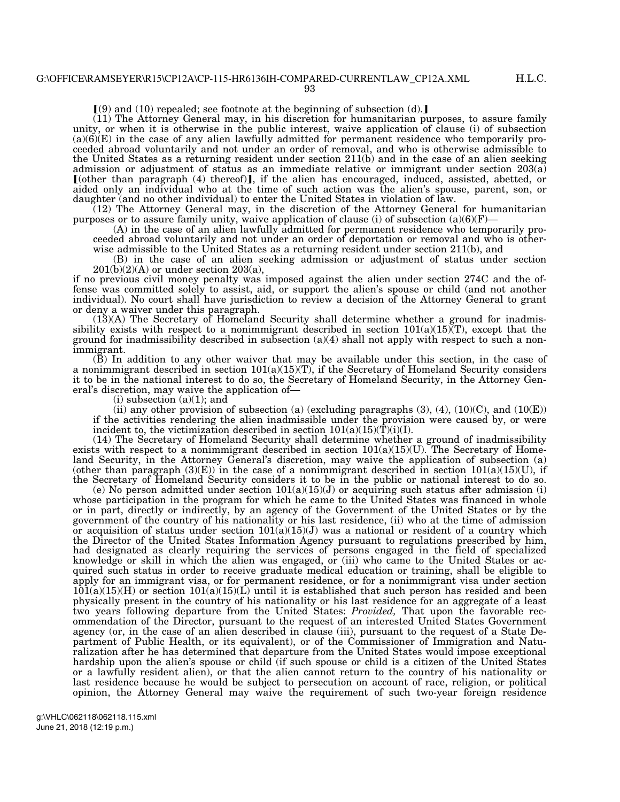93

 $(9)$  and (10) repealed; see footnote at the beginning of subsection (d).

(11) The Attorney General may, in his discretion for humanitarian purposes, to assure family unity, or when it is otherwise in the public interest, waive application of clause (i) of subsection  $(a)(\tilde{6})(E)$  in the case of any alien lawfully admitted for permanent residence who temporarily proceeded abroad voluntarily and not under an order of removal, and who is otherwise admissible to the United States as a returning resident under section 211(b) and in the case of an alien seeking admission or adjustment of status as an immediate relative or immigrant under section 203(a)  $[$ (other than paragraph  $(4)$  thereof)], if the alien has encouraged, induced, assisted, abetted, or aided only an individual who at the time of such action was the alien's spouse, parent, son, or daughter (and no other individual) to enter the United States in violation of law.

(12) The Attorney General may, in the discretion of the Attorney General for humanitarian purposes or to assure family unity, waive application of clause (i) of subsection (a)(6)(F)—

(A) in the case of an alien lawfully admitted for permanent residence who temporarily proceeded abroad voluntarily and not under an order of deportation or removal and who is otherwise admissible to the United States as a returning resident under section 211(b), and

(B) in the case of an alien seeking admission or adjustment of status under section  $201(b)(2)(A)$  or under section  $203(a)$ ,

if no previous civil money penalty was imposed against the alien under section 274C and the offense was committed solely to assist, aid, or support the alien's spouse or child (and not another individual). No court shall have jurisdiction to review a decision of the Attorney General to grant or deny a waiver under this paragraph.

(13)(A) The Secretary of Homeland Security shall determine whether a ground for inadmissibility exists with respect to a nonimmigrant described in section  $101(a)(15)$ (T), except that the ground for inadmissibility described in subsection  $(a)(4)$  shall not apply with respect to such a nonimmigrant.

(B) In addition to any other waiver that may be available under this section, in the case of a nonimmigrant described in section  $101(a)(15)(T)$ , if the Secretary of Homeland Security considers it to be in the national interest to do so, the Secretary of Homeland Security, in the Attorney General's discretion, may waive the application of—

 $(i)$  subsection  $(a)(1)$ ; and

(ii) any other provision of subsection (a) (excluding paragraphs  $(3)$ ,  $(4)$ ,  $(10)(C)$ , and  $(10(E))$ if the activities rendering the alien inadmissible under the provision were caused by, or were incident to, the victimization described in section  $101(a)(15)(\overline{T})(i)$ .

(14) The Secretary of Homeland Security shall determine whether a ground of inadmissibility exists with respect to a nonimmigrant described in section  $101(a)(15)(U)$ . The Secretary of Homeland Security, in the Attorney General's discretion, may waive the application of subsection (a) (other than paragraph  $(3)(E)$ ) in the case of a nonimmigrant described in section  $101(a)(15)(U)$ , if the Secretary of Homeland Security considers it to be in the public or national interest to do so.

(e) No person admitted under section  $101(a)(15)(J)$  or acquiring such status after admission (i) whose participation in the program for which he came to the United States was financed in whole or in part, directly or indirectly, by an agency of the Government of the United States or by the government of the country of his nationality or his last residence, (ii) who at the time of admission or acquisition of status under section 101(a)(15)(J) was a national or resident of a country which the Director of the United States Information Agency pursuant to regulations prescribed by him, had designated as clearly requiring the services of persons engaged in the field of specialized knowledge or skill in which the alien was engaged, or (iii) who came to the United States or acquired such status in order to receive graduate medical education or training, shall be eligible to apply for an immigrant visa, or for permanent residence, or for a nonimmigrant visa under section  $101(a)(15)(H)$  or section  $101(a)(15)(L)$  until it is established that such person has resided and been physically present in the country of his nationality or his last residence for an aggregate of a least two years following departure from the United States: *Provided,* That upon the favorable recommendation of the Director, pursuant to the request of an interested United States Government agency (or, in the case of an alien described in clause (iii), pursuant to the request of a State Department of Public Health, or its equivalent), or of the Commissioner of Immigration and Naturalization after he has determined that departure from the United States would impose exceptional hardship upon the alien's spouse or child (if such spouse or child is a citizen of the United States or a lawfully resident alien), or that the alien cannot return to the country of his nationality or last residence because he would be subject to persecution on account of race, religion, or political opinion, the Attorney General may waive the requirement of such two-year foreign residence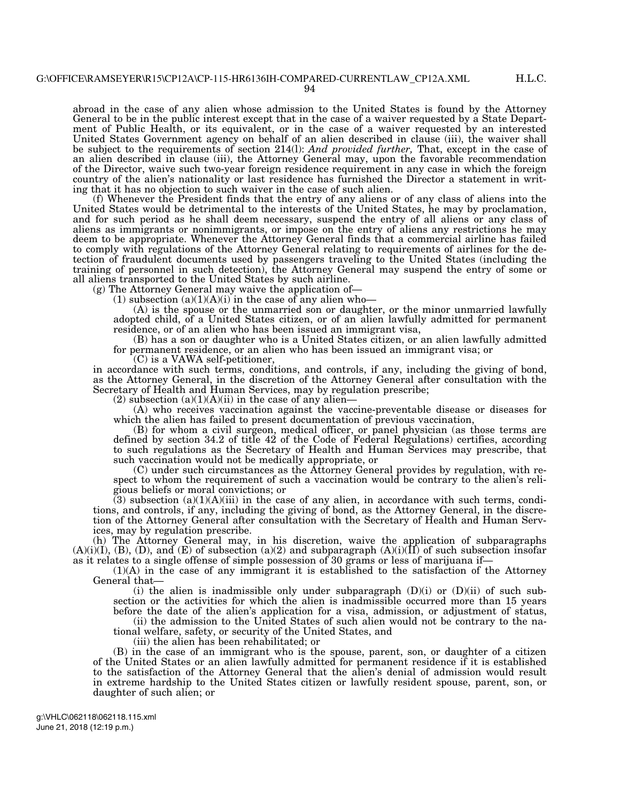94

abroad in the case of any alien whose admission to the United States is found by the Attorney General to be in the public interest except that in the case of a waiver requested by a State Department of Public Health, or its equivalent, or in the case of a waiver requested by an interested United States Government agency on behalf of an alien described in clause (iii), the waiver shall be subject to the requirements of section 214(l): *And provided further,* That, except in the case of an alien described in clause (iii), the Attorney General may, upon the favorable recommendation of the Director, waive such two-year foreign residence requirement in any case in which the foreign country of the alien's nationality or last residence has furnished the Director a statement in writing that it has no objection to such waiver in the case of such alien.

(f) Whenever the President finds that the entry of any aliens or of any class of aliens into the United States would be detrimental to the interests of the United States, he may by proclamation, and for such period as he shall deem necessary, suspend the entry of all aliens or any class of aliens as immigrants or nonimmigrants, or impose on the entry of aliens any restrictions he may deem to be appropriate. Whenever the Attorney General finds that a commercial airline has failed to comply with regulations of the Attorney General relating to requirements of airlines for the detection of fraudulent documents used by passengers traveling to the United States (including the training of personnel in such detection), the Attorney General may suspend the entry of some or all aliens transported to the United States by such airline.

(g) The Attorney General may waive the application of—

(1) subsection  $(a)(1)(A)(i)$  in the case of any alien who-

(A) is the spouse or the unmarried son or daughter, or the minor unmarried lawfully adopted child, of a United States citizen, or of an alien lawfully admitted for permanent residence, or of an alien who has been issued an immigrant visa,

(B) has a son or daughter who is a United States citizen, or an alien lawfully admitted for permanent residence, or an alien who has been issued an immigrant visa; or

(C) is a VAWA self-petitioner,

in accordance with such terms, conditions, and controls, if any, including the giving of bond, as the Attorney General, in the discretion of the Attorney General after consultation with the Secretary of Health and Human Services, may by regulation prescribe;

 $(2)$  subsection  $(a)(1)(A)(ii)$  in the case of any alien-

(A) who receives vaccination against the vaccine-preventable disease or diseases for which the alien has failed to present documentation of previous vaccination,

(B) for whom a civil surgeon, medical officer, or panel physician (as those terms are defined by section 34.2 of title 42 of the Code of Federal Regulations) certifies, according to such regulations as the Secretary of Health and Human Services may prescribe, that such vaccination would not be medically appropriate, or

(C) under such circumstances as the Attorney General provides by regulation, with respect to whom the requirement of such a vaccination would be contrary to the alien's religious beliefs or moral convictions; or

 $(3)$  subsection  $(a)(1)(A)(iii)$  in the case of any alien, in accordance with such terms, conditions, and controls, if any, including the giving of bond, as the Attorney General, in the discretion of the Attorney General after consultation with the Secretary of Health and Human Services, may by regulation prescribe.

(h) The Attorney General may, in his discretion, waive the application of subparagraphs  $(A)(i)(I), (B), (D),$  and  $(E)$  of subsection  $(a)(2)$  and subparagraph  $(A)(i)(\overline{II})$  of such subsection insofar as it relates to a single offense of simple possession of 30 grams or less of marijuana if—

(1)(A) in the case of any immigrant it is established to the satisfaction of the Attorney General that—

(i) the alien is inadmissible only under subparagraph  $(D)(i)$  or  $(D)(ii)$  of such subsection or the activities for which the alien is inadmissible occurred more than 15 years before the date of the alien's application for a visa, admission, or adjustment of status,

(ii) the admission to the United States of such alien would not be contrary to the national welfare, safety, or security of the United States, and

(iii) the alien has been rehabilitated; or

(B) in the case of an immigrant who is the spouse, parent, son, or daughter of a citizen of the United States or an alien lawfully admitted for permanent residence if it is established to the satisfaction of the Attorney General that the alien's denial of admission would result in extreme hardship to the United States citizen or lawfully resident spouse, parent, son, or daughter of such alien; or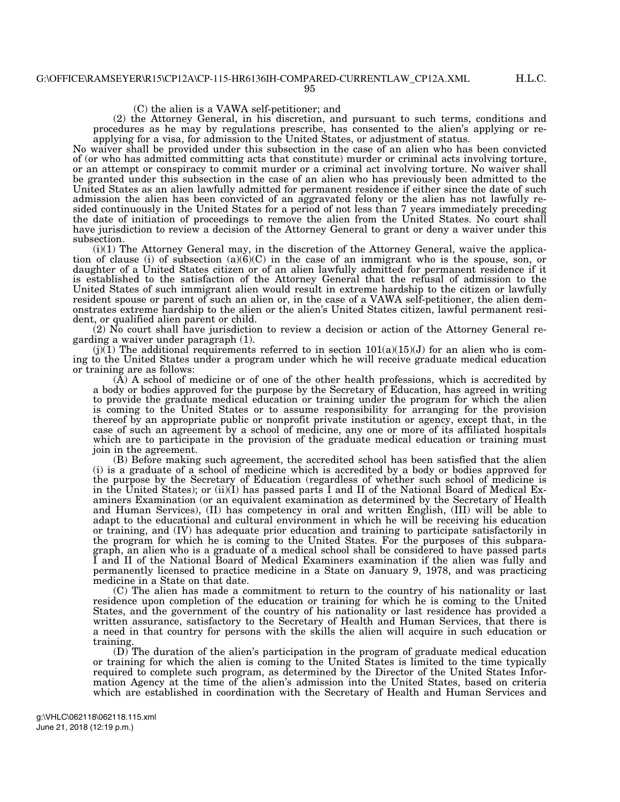H.L.C.

(C) the alien is a VAWA self-petitioner; and

(2) the Attorney General, in his discretion, and pursuant to such terms, conditions and procedures as he may by regulations prescribe, has consented to the alien's applying or reapplying for a visa, for admission to the United States, or adjustment of status.

No waiver shall be provided under this subsection in the case of an alien who has been convicted of (or who has admitted committing acts that constitute) murder or criminal acts involving torture, or an attempt or conspiracy to commit murder or a criminal act involving torture. No waiver shall be granted under this subsection in the case of an alien who has previously been admitted to the United States as an alien lawfully admitted for permanent residence if either since the date of such admission the alien has been convicted of an aggravated felony or the alien has not lawfully resided continuously in the United States for a period of not less than 7 years immediately preceding the date of initiation of proceedings to remove the alien from the United States. No court shall have jurisdiction to review a decision of the Attorney General to grant or deny a waiver under this subsection.

 $(i)(1)$  The Attorney General may, in the discretion of the Attorney General, waive the application of clause (i) of subsection  $(a)(6)(C)$  in the case of an immigrant who is the spouse, son, or daughter of a United States citizen or of an alien lawfully admitted for permanent residence if it is established to the satisfaction of the Attorney General that the refusal of admission to the United States of such immigrant alien would result in extreme hardship to the citizen or lawfully resident spouse or parent of such an alien or, in the case of a VAWA self-petitioner, the alien demonstrates extreme hardship to the alien or the alien's United States citizen, lawful permanent resident, or qualified alien parent or child.

 $(2)$  No court shall have jurisdiction to review a decision or action of the Attorney General regarding a waiver under paragraph (1).

 $(j)(1)$  The additional requirements referred to in section  $101(a)(15)(J)$  for an alien who is coming to the United States under a program under which he will receive graduate medical education or training are as follows:

(A) A school of medicine or of one of the other health professions, which is accredited by a body or bodies approved for the purpose by the Secretary of Education, has agreed in writing to provide the graduate medical education or training under the program for which the alien is coming to the United States or to assume responsibility for arranging for the provision thereof by an appropriate public or nonprofit private institution or agency, except that, in the case of such an agreement by a school of medicine, any one or more of its affiliated hospitals which are to participate in the provision of the graduate medical education or training must join in the agreement.

(B) Before making such agreement, the accredited school has been satisfied that the alien (i) is a graduate of a school of medicine which is accredited by a body or bodies approved for the purpose by the Secretary of Education (regardless of whether such school of medicine is in the United States); or  $(ii)(I)$  has passed parts I and II of the National Board of Medical Examiners Examination (or an equivalent examination as determined by the Secretary of Health and Human Services), (II) has competency in oral and written English, (III) will be able to adapt to the educational and cultural environment in which he will be receiving his education or training, and (IV) has adequate prior education and training to participate satisfactorily in the program for which he is coming to the United States. For the purposes of this subparagraph, an alien who is a graduate of a medical school shall be considered to have passed parts I and II of the National Board of Medical Examiners examination if the alien was fully and permanently licensed to practice medicine in a State on January 9, 1978, and was practicing medicine in a State on that date.

(C) The alien has made a commitment to return to the country of his nationality or last residence upon completion of the education or training for which he is coming to the United States, and the government of the country of his nationality or last residence has provided a written assurance, satisfactory to the Secretary of Health and Human Services, that there is a need in that country for persons with the skills the alien will acquire in such education or training.

(D) The duration of the alien's participation in the program of graduate medical education or training for which the alien is coming to the United States is limited to the time typically required to complete such program, as determined by the Director of the United States Information Agency at the time of the alien's admission into the United States, based on criteria which are established in coordination with the Secretary of Health and Human Services and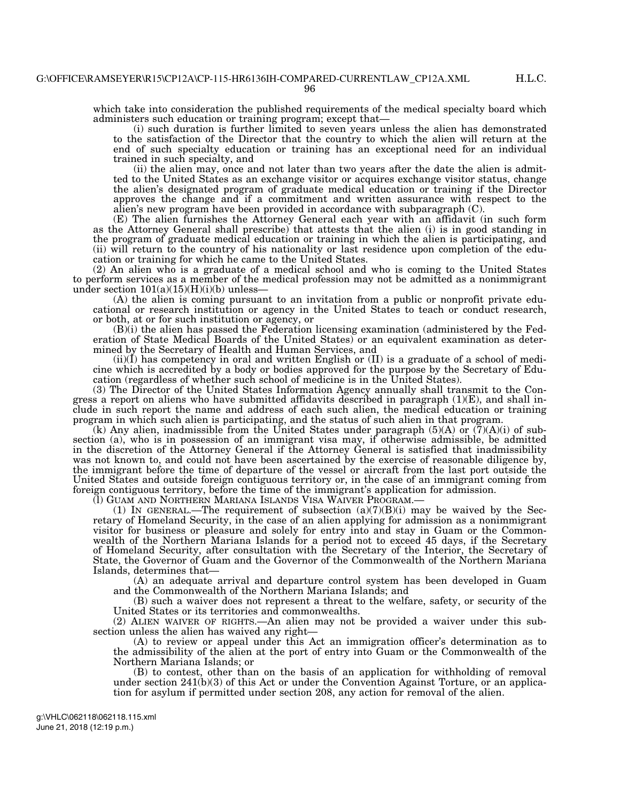96

which take into consideration the published requirements of the medical specialty board which administers such education or training program; except that—

(i) such duration is further limited to seven years unless the alien has demonstrated to the satisfaction of the Director that the country to which the alien will return at the end of such specialty education or training has an exceptional need for an individual trained in such specialty, and

(ii) the alien may, once and not later than two years after the date the alien is admitted to the United States as an exchange visitor or acquires exchange visitor status, change the alien's designated program of graduate medical education or training if the Director approves the change and if a commitment and written assurance with respect to the alien's new program have been provided in accordance with subparagraph (C).

(E) The alien furnishes the Attorney General each year with an affidavit (in such form as the Attorney General shall prescribe) that attests that the alien (i) is in good standing in the program of graduate medical education or training in which the alien is participating, and (ii) will return to the country of his nationality or last residence upon completion of the education or training for which he came to the United States.

(2) An alien who is a graduate of a medical school and who is coming to the United States to perform services as a member of the medical profession may not be admitted as a nonimmigrant under section  $101(a)(15)(H)(i)(b)$  unless—

(A) the alien is coming pursuant to an invitation from a public or nonprofit private educational or research institution or agency in the United States to teach or conduct research, or both, at or for such institution or agency, or

(B)(i) the alien has passed the Federation licensing examination (administered by the Federation of State Medical Boards of the United States) or an equivalent examination as determined by the Secretary of Health and Human Services, and

 $(iii)(\hat{I})$  has competency in oral and written English or  $(II)$  is a graduate of a school of medicine which is accredited by a body or bodies approved for the purpose by the Secretary of Education (regardless of whether such school of medicine is in the United States).

(3) The Director of the United States Information Agency annually shall transmit to the Congress a report on aliens who have submitted affidavits described in paragraph  $(1)(E)$ , and shall include in such report the name and address of each such alien, the medical education or training program in which such alien is participating, and the status of such alien in that program.

(k) Any alien, inadmissible from the United States under paragraph  $(5)(A)$  or  $(7)(A)(i)$  of subsection (a), who is in possession of an immigrant visa may, if otherwise admissible, be admitted in the discretion of the Attorney General if the Attorney General is satisfied that inadmissibility was not known to, and could not have been ascertained by the exercise of reasonable diligence by, the immigrant before the time of departure of the vessel or aircraft from the last port outside the United States and outside foreign contiguous territory or, in the case of an immigrant coming from foreign contiguous territory, before the time of the immigrant's application for admission.<br>(1) GUAM AND NORTHERN MARIANA ISLANDS VISA WAIVER PROGRAM.—

(1) In GENERAL.—The requirement of subsection  $(a)(7)(B)(i)$  may be waived by the Secretary of Homeland Security, in the case of an alien applying for admission as a nonimmigrant visitor for business or pleasure and solely for entry into and stay in Guam or the Commonwealth of the Northern Mariana Islands for a period not to exceed 45 days, if the Secretary of Homeland Security, after consultation with the Secretary of the Interior, the Secretary of State, the Governor of Guam and the Governor of the Commonwealth of the Northern Mariana Islands, determines that—

(A) an adequate arrival and departure control system has been developed in Guam and the Commonwealth of the Northern Mariana Islands; and

(B) such a waiver does not represent a threat to the welfare, safety, or security of the United States or its territories and commonwealths.

(2) ALIEN WAIVER OF RIGHTS.—An alien may not be provided a waiver under this subsection unless the alien has waived any right—

(A) to review or appeal under this Act an immigration officer's determination as to the admissibility of the alien at the port of entry into Guam or the Commonwealth of the Northern Mariana Islands; or

(B) to contest, other than on the basis of an application for withholding of removal under section  $241(b)(3)$  of this Act or under the Convention Against Torture, or an application for asylum if permitted under section 208, any action for removal of the alien.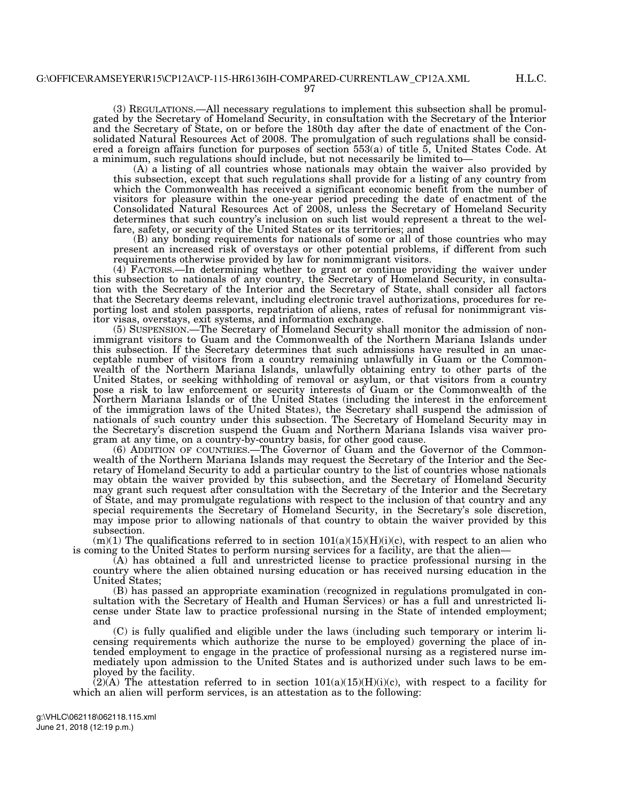H.L.C.

(3) REGULATIONS.—All necessary regulations to implement this subsection shall be promulgated by the Secretary of Homeland Security, in consultation with the Secretary of the Interior and the Secretary of State, on or before the 180th day after the date of enactment of the Consolidated Natural Resources Act of 2008. The promulgation of such regulations shall be considered a foreign affairs function for purposes of section 553(a) of title 5, United States Code. At a minimum, such regulations should include, but not necessarily be limited to—

(A) a listing of all countries whose nationals may obtain the waiver also provided by this subsection, except that such regulations shall provide for a listing of any country from which the Commonwealth has received a significant economic benefit from the number of visitors for pleasure within the one-year period preceding the date of enactment of the Consolidated Natural Resources Act of 2008, unless the Secretary of Homeland Security determines that such country's inclusion on such list would represent a threat to the welfare, safety, or security of the United States or its territories; and

(B) any bonding requirements for nationals of some or all of those countries who may present an increased risk of overstays or other potential problems, if different from such requirements otherwise provided by law for nonimmigrant visitors.

(4) FACTORS.—In determining whether to grant or continue providing the waiver under this subsection to nationals of any country, the Secretary of Homeland Security, in consultation with the Secretary of the Interior and the Secretary of State, shall consider all factors that the Secretary deems relevant, including electronic travel authorizations, procedures for reporting lost and stolen passports, repatriation of aliens, rates of refusal for nonimmigrant visitor visas, overstays, exit systems, and information exchange.

(5) SUSPENSION.—The Secretary of Homeland Security shall monitor the admission of nonimmigrant visitors to Guam and the Commonwealth of the Northern Mariana Islands under this subsection. If the Secretary determines that such admissions have resulted in an unacceptable number of visitors from a country remaining unlawfully in Guam or the Commonwealth of the Northern Mariana Islands, unlawfully obtaining entry to other parts of the United States, or seeking withholding of removal or asylum, or that visitors from a country pose a risk to law enforcement or security interests of Guam or the Commonwealth of the Northern Mariana Islands or of the United States (including the interest in the enforcement of the immigration laws of the United States), the Secretary shall suspend the admission of nationals of such country under this subsection. The Secretary of Homeland Security may in the Secretary's discretion suspend the Guam and Northern Mariana Islands visa waiver program at any time, on a country-by-country basis, for other good cause.

(6) ADDITION OF COUNTRIES.—The Governor of Guam and the Governor of the Commonwealth of the Northern Mariana Islands may request the Secretary of the Interior and the Secretary of Homeland Security to add a particular country to the list of countries whose nationals may obtain the waiver provided by this subsection, and the Secretary of Homeland Security may grant such request after consultation with the Secretary of the Interior and the Secretary of State, and may promulgate regulations with respect to the inclusion of that country and any special requirements the Secretary of Homeland Security, in the Secretary's sole discretion, may impose prior to allowing nationals of that country to obtain the waiver provided by this subsection.

 $(m)(1)$  The qualifications referred to in section  $101(a)(15)(H)(i)(c)$ , with respect to an alien who is coming to the United States to perform nursing services for a facility, are that the alien—

(A) has obtained a full and unrestricted license to practice professional nursing in the country where the alien obtained nursing education or has received nursing education in the United States;

(B) has passed an appropriate examination (recognized in regulations promulgated in consultation with the Secretary of Health and Human Services) or has a full and unrestricted license under State law to practice professional nursing in the State of intended employment; and

(C) is fully qualified and eligible under the laws (including such temporary or interim licensing requirements which authorize the nurse to be employed) governing the place of intended employment to engage in the practice of professional nursing as a registered nurse immediately upon admission to the United States and is authorized under such laws to be employed by the facility.

 $(2)(A)$  The attestation referred to in section  $101(a)(15)(H)(i)(c)$ , with respect to a facility for which an alien will perform services, is an attestation as to the following: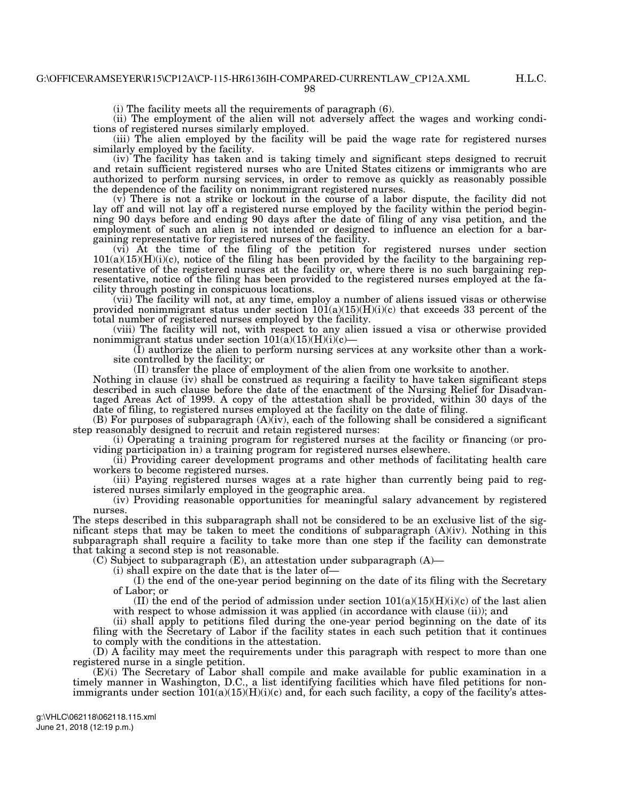98

(i) The facility meets all the requirements of paragraph (6).

(ii) The employment of the alien will not adversely affect the wages and working conditions of registered nurses similarly employed.

(iii) The alien employed by the facility will be paid the wage rate for registered nurses similarly employed by the facility.

(iv) The facility has taken and is taking timely and significant steps designed to recruit and retain sufficient registered nurses who are United States citizens or immigrants who are authorized to perform nursing services, in order to remove as quickly as reasonably possible the dependence of the facility on nonimmigrant registered nurses.

(v) There is not a strike or lockout in the course of a labor dispute, the facility did not lay off and will not lay off a registered nurse employed by the facility within the period beginning 90 days before and ending 90 days after the date of filing of any visa petition, and the employment of such an alien is not intended or designed to influence an election for a bargaining representative for registered nurses of the facility.

(vi) At the time of the filing of the petition for registered nurses under section  $101(a)(15)(H)(i)c$ , notice of the filing has been provided by the facility to the bargaining representative of the registered nurses at the facility or, where there is no such bargaining representative, notice of the filing has been provided to the registered nurses employed at the facility through posting in conspicuous locations.

(vii) The facility will not, at any time, employ a number of aliens issued visas or otherwise provided nonimmigrant status under section  $101(a)(15)(H)(i)(c)$  that exceeds 33 percent of the total number of registered nurses employed by the facility.

(viii) The facility will not, with respect to any alien issued a visa or otherwise provided nonimmigrant status under section  $101(a)(15)(H)(i)(c)$ 

(I) authorize the alien to perform nursing services at any worksite other than a worksite controlled by the facility; or

(II) transfer the place of employment of the alien from one worksite to another.

Nothing in clause (iv) shall be construed as requiring a facility to have taken significant steps described in such clause before the date of the enactment of the Nursing Relief for Disadvantaged Areas Act of 1999. A copy of the attestation shall be provided, within 30 days of the date of filing, to registered nurses employed at the facility on the date of filing.

 $(B)$  For purposes of subparagraph  $(A)(iv)$ , each of the following shall be considered a significant step reasonably designed to recruit and retain registered nurses:

(i) Operating a training program for registered nurses at the facility or financing (or providing participation in) a training program for registered nurses elsewhere.

(ii) Providing career development programs and other methods of facilitating health care workers to become registered nurses.

(iii) Paying registered nurses wages at a rate higher than currently being paid to registered nurses similarly employed in the geographic area.

(iv) Providing reasonable opportunities for meaningful salary advancement by registered nurses.

The steps described in this subparagraph shall not be considered to be an exclusive list of the significant steps that may be taken to meet the conditions of subparagraph (A)(iv). Nothing in this subparagraph shall require a facility to take more than one step if the facility can demonstrate that taking a second step is not reasonable.

(C) Subject to subparagraph (E), an attestation under subparagraph (A)—

(i) shall expire on the date that is the later of—

(I) the end of the one-year period beginning on the date of its filing with the Secretary of Labor; or

(II) the end of the period of admission under section  $101(a)(15)(H)(i)(c)$  of the last alien with respect to whose admission it was applied (in accordance with clause (ii)); and

(ii) shall apply to petitions filed during the one-year period beginning on the date of its filing with the Secretary of Labor if the facility states in each such petition that it continues to comply with the conditions in the attestation.

(D) A facility may meet the requirements under this paragraph with respect to more than one registered nurse in a single petition.

(E)(i) The Secretary of Labor shall compile and make available for public examination in a timely manner in Washington, D.C., a list identifying facilities which have filed petitions for nonimmigrants under section  $101(a)(15)(H)(i)c$  and, for each such facility, a copy of the facility's attes-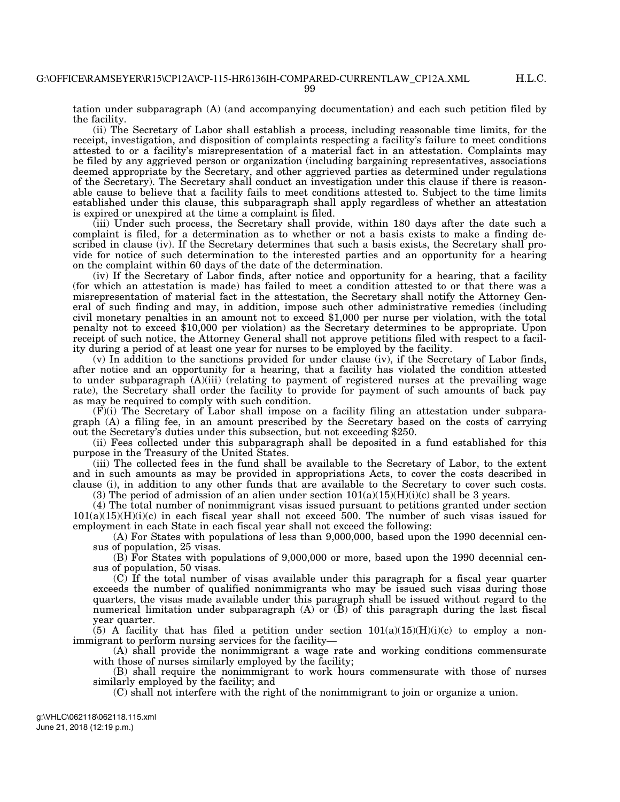tation under subparagraph (A) (and accompanying documentation) and each such petition filed by the facility.

(ii) The Secretary of Labor shall establish a process, including reasonable time limits, for the receipt, investigation, and disposition of complaints respecting a facility's failure to meet conditions attested to or a facility's misrepresentation of a material fact in an attestation. Complaints may be filed by any aggrieved person or organization (including bargaining representatives, associations deemed appropriate by the Secretary, and other aggrieved parties as determined under regulations of the Secretary). The Secretary shall conduct an investigation under this clause if there is reasonable cause to believe that a facility fails to meet conditions attested to. Subject to the time limits established under this clause, this subparagraph shall apply regardless of whether an attestation is expired or unexpired at the time a complaint is filed.

(iii) Under such process, the Secretary shall provide, within 180 days after the date such a complaint is filed, for a determination as to whether or not a basis exists to make a finding described in clause (iv). If the Secretary determines that such a basis exists, the Secretary shall provide for notice of such determination to the interested parties and an opportunity for a hearing on the complaint within 60 days of the date of the determination.

(iv) If the Secretary of Labor finds, after notice and opportunity for a hearing, that a facility (for which an attestation is made) has failed to meet a condition attested to or that there was a misrepresentation of material fact in the attestation, the Secretary shall notify the Attorney General of such finding and may, in addition, impose such other administrative remedies (including civil monetary penalties in an amount not to exceed \$1,000 per nurse per violation, with the total penalty not to exceed \$10,000 per violation) as the Secretary determines to be appropriate. Upon receipt of such notice, the Attorney General shall not approve petitions filed with respect to a facility during a period of at least one year for nurses to be employed by the facility.

(v) In addition to the sanctions provided for under clause (iv), if the Secretary of Labor finds, after notice and an opportunity for a hearing, that a facility has violated the condition attested to under subparagraph (A)(iii) (relating to payment of registered nurses at the prevailing wage rate), the Secretary shall order the facility to provide for payment of such amounts of back pay as may be required to comply with such condition.

 $(F)(i)$  The Secretary of Labor shall impose on a facility filing an attestation under subparagraph (A) a filing fee, in an amount prescribed by the Secretary based on the costs of carrying out the Secretary's duties under this subsection, but not exceeding \$250.

(ii) Fees collected under this subparagraph shall be deposited in a fund established for this purpose in the Treasury of the United States.

(iii) The collected fees in the fund shall be available to the Secretary of Labor, to the extent and in such amounts as may be provided in appropriations Acts, to cover the costs described in clause (i), in addition to any other funds that are available to the Secretary to cover such costs.

(3) The period of admission of an alien under section  $101(a)(15)(H)(i)(c)$  shall be 3 years.

(4) The total number of nonimmigrant visas issued pursuant to petitions granted under section  $101(a)(15)(H)(i)(c)$  in each fiscal year shall not exceed 500. The number of such visas issued for employment in each State in each fiscal year shall not exceed the following:

(A) For States with populations of less than 9,000,000, based upon the 1990 decennial census of population, 25 visas.

(B) For States with populations of 9,000,000 or more, based upon the 1990 decennial census of population, 50 visas.

 $(C)$  If the total number of visas available under this paragraph for a fiscal year quarter exceeds the number of qualified nonimmigrants who may be issued such visas during those quarters, the visas made available under this paragraph shall be issued without regard to the numerical limitation under subparagraph (A) or (B) of this paragraph during the last fiscal year quarter.

(5) A facility that has filed a petition under section  $101(a)(15)(H)(i)(c)$  to employ a nonimmigrant to perform nursing services for the facility—

(A) shall provide the nonimmigrant a wage rate and working conditions commensurate with those of nurses similarly employed by the facility;

(B) shall require the nonimmigrant to work hours commensurate with those of nurses similarly employed by the facility; and

(C) shall not interfere with the right of the nonimmigrant to join or organize a union.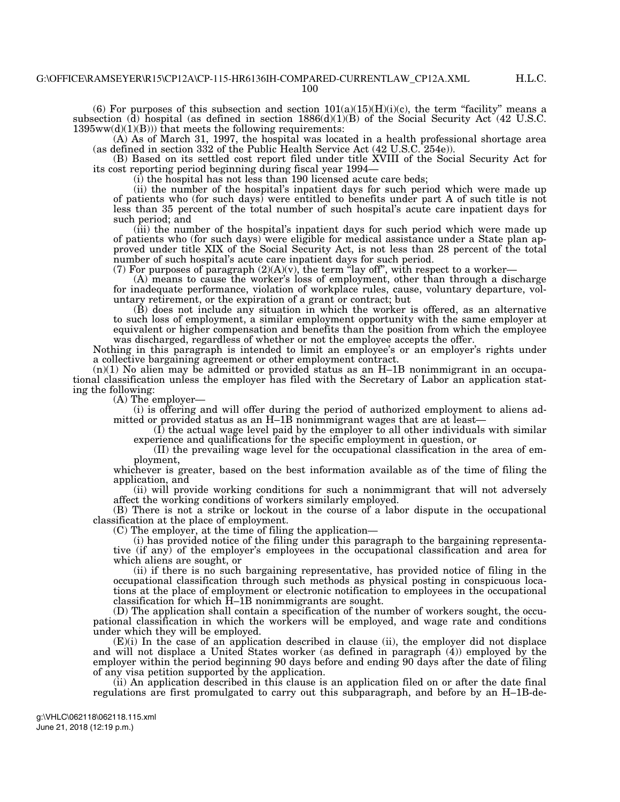(6) For purposes of this subsection and section  $101(a)(15)(H)(i)c$ , the term "facility" means a subsection (d) hospital (as defined in section 1886(d)(1)(B) of the Social Security Act (42 U.S.C.  $1395ww(d)(1)(B))$  that meets the following requirements:

(A) As of March 31, 1997, the hospital was located in a health professional shortage area (as defined in section 332 of the Public Health Service Act (42 U.S.C. 254e)).

(B) Based on its settled cost report filed under title XVIII of the Social Security Act for its cost reporting period beginning during fiscal year 1994—

(i) the hospital has not less than 190 licensed acute care beds;

(ii) the number of the hospital's inpatient days for such period which were made up of patients who (for such days) were entitled to benefits under part A of such title is not less than 35 percent of the total number of such hospital's acute care inpatient days for such period; and

(iii) the number of the hospital's inpatient days for such period which were made up of patients who (for such days) were eligible for medical assistance under a State plan approved under title XIX of the Social Security Act, is not less than 28 percent of the total number of such hospital's acute care inpatient days for such period.

(7) For purposes of paragraph  $(2)(A)(v)$ , the term "lay off", with respect to a worker—

(A) means to cause the worker's loss of employment, other than through a discharge for inadequate performance, violation of workplace rules, cause, voluntary departure, voluntary retirement, or the expiration of a grant or contract; but

(B) does not include any situation in which the worker is offered, as an alternative to such loss of employment, a similar employment opportunity with the same employer at equivalent or higher compensation and benefits than the position from which the employee was discharged, regardless of whether or not the employee accepts the offer.

Nothing in this paragraph is intended to limit an employee's or an employer's rights under a collective bargaining agreement or other employment contract.

 $(n)(1)$  No alien may be admitted or provided status as an H–1B nonimmigrant in an occupational classification unless the employer has filed with the Secretary of Labor an application stating the following:

(A) The employer—

(i) is offering and will offer during the period of authorized employment to aliens admitted or provided status as an H–1B nonimmigrant wages that are at least—

(I) the actual wage level paid by the employer to all other individuals with similar experience and qualifications for the specific employment in question, or

(II) the prevailing wage level for the occupational classification in the area of employment,

whichever is greater, based on the best information available as of the time of filing the application, and

(ii) will provide working conditions for such a nonimmigrant that will not adversely affect the working conditions of workers similarly employed.

(B) There is not a strike or lockout in the course of a labor dispute in the occupational classification at the place of employment.

(C) The employer, at the time of filing the application—

(i) has provided notice of the filing under this paragraph to the bargaining representative (if any) of the employer's employees in the occupational classification and area for which aliens are sought, or

(ii) if there is no such bargaining representative, has provided notice of filing in the occupational classification through such methods as physical posting in conspicuous locations at the place of employment or electronic notification to employees in the occupational classification for which H–1B nonimmigrants are sought.

(D) The application shall contain a specification of the number of workers sought, the occupational classification in which the workers will be employed, and wage rate and conditions under which they will be employed.

(E)(i) In the case of an application described in clause (ii), the employer did not displace and will not displace a United States worker (as defined in paragraph (4)) employed by the employer within the period beginning 90 days before and ending 90 days after the date of filing of any visa petition supported by the application.

(ii) An application described in this clause is an application filed on or after the date final regulations are first promulgated to carry out this subparagraph, and before by an H–1B-de-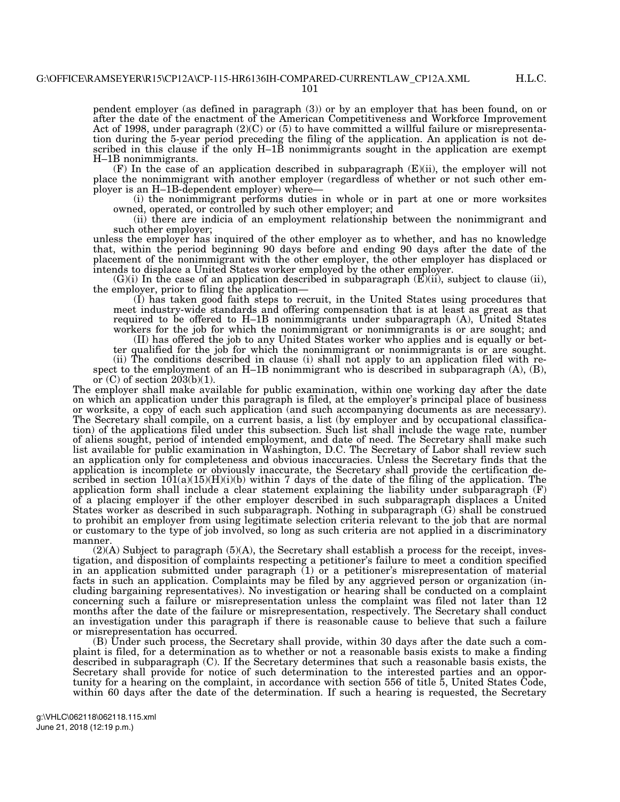pendent employer (as defined in paragraph (3)) or by an employer that has been found, on or after the date of the enactment of the American Competitiveness and Workforce Improvement Act of 1998, under paragraph  $(2)(C)$  or  $(5)$  to have committed a willful failure or misrepresentation during the 5-year period preceding the filing of the application. An application is not described in this clause if the only H–1B nonimmigrants sought in the application are exempt H–1B nonimmigrants.

(F) In the case of an application described in subparagraph (E)(ii), the employer will not place the nonimmigrant with another employer (regardless of whether or not such other employer is an H–1B-dependent employer) where—

(i) the nonimmigrant performs duties in whole or in part at one or more worksites owned, operated, or controlled by such other employer; and

(ii) there are indicia of an employment relationship between the nonimmigrant and such other employer;

unless the employer has inquired of the other employer as to whether, and has no knowledge that, within the period beginning 90 days before and ending 90 days after the date of the placement of the nonimmigrant with the other employer, the other employer has displaced or intends to displace a United States worker employed by the other employer.

 $(G)(i)$  In the case of an application described in subparagraph  $(E)(ii)$ , subject to clause (ii), the employer, prior to filing the application—

(I) has taken good faith steps to recruit, in the United States using procedures that meet industry-wide standards and offering compensation that is at least as great as that required to be offered to H–1B nonimmigrants under subparagraph (A), United States workers for the job for which the nonimmigrant or nonimmigrants is or are sought; and

(II) has offered the job to any United States worker who applies and is equally or bet-

ter qualified for the job for which the nonimmigrant or nonimmigrants is or are sought. (ii) The conditions described in clause (i) shall not apply to an application filed with re-

spect to the employment of an H–1B nonimmigrant who is described in subparagraph  $(A)$ ,  $(B)$ , or  $(C)$  of section  $203(b)(1)$ .

The employer shall make available for public examination, within one working day after the date on which an application under this paragraph is filed, at the employer's principal place of business or worksite, a copy of each such application (and such accompanying documents as are necessary). The Secretary shall compile, on a current basis, a list (by employer and by occupational classification) of the applications filed under this subsection. Such list shall include the wage rate, number of aliens sought, period of intended employment, and date of need. The Secretary shall make such list available for public examination in Washington, D.C. The Secretary of Labor shall review such an application only for completeness and obvious inaccuracies. Unless the Secretary finds that the application is incomplete or obviously inaccurate, the Secretary shall provide the certification described in section  $101(a)(15)(H)(i)$  within 7 days of the date of the filing of the application. The application form shall include a clear statement explaining the liability under subparagraph  $(F)$ of a placing employer if the other employer described in such subparagraph displaces a United States worker as described in such subparagraph. Nothing in subparagraph (G) shall be construed to prohibit an employer from using legitimate selection criteria relevant to the job that are normal or customary to the type of job involved, so long as such criteria are not applied in a discriminatory manner.

 $(2)(A)$  Subject to paragraph  $(5)(A)$ , the Secretary shall establish a process for the receipt, investigation, and disposition of complaints respecting a petitioner's failure to meet a condition specified in an application submitted under paragraph (1) or a petitioner's misrepresentation of material facts in such an application. Complaints may be filed by any aggrieved person or organization (including bargaining representatives). No investigation or hearing shall be conducted on a complaint concerning such a failure or misrepresentation unless the complaint was filed not later than 12 months after the date of the failure or misrepresentation, respectively. The Secretary shall conduct an investigation under this paragraph if there is reasonable cause to believe that such a failure or misrepresentation has occurred.

(B) Under such process, the Secretary shall provide, within 30 days after the date such a complaint is filed, for a determination as to whether or not a reasonable basis exists to make a finding described in subparagraph (C). If the Secretary determines that such a reasonable basis exists, the Secretary shall provide for notice of such determination to the interested parties and an opportunity for a hearing on the complaint, in accordance with section 556 of title 5, United States Code, within 60 days after the date of the determination. If such a hearing is requested, the Secretary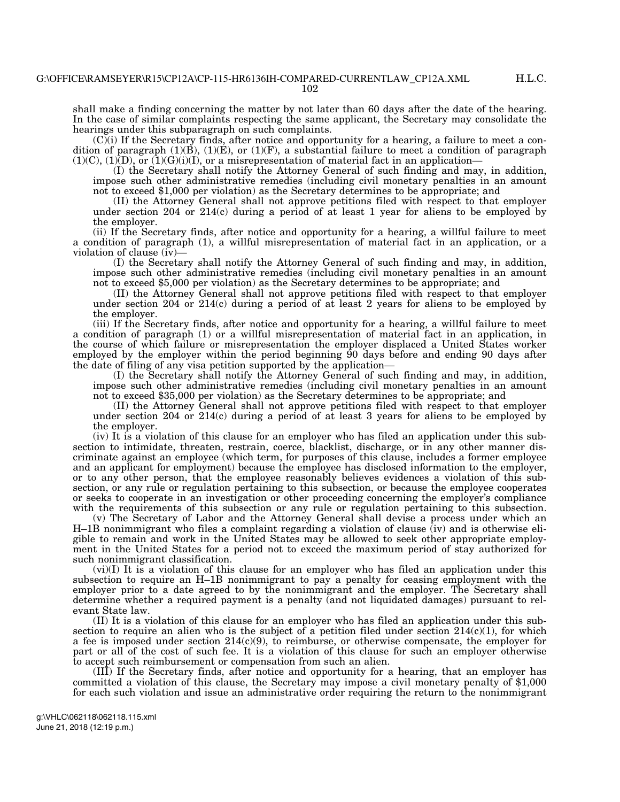shall make a finding concerning the matter by not later than 60 days after the date of the hearing. In the case of similar complaints respecting the same applicant, the Secretary may consolidate the hearings under this subparagraph on such complaints.

 $(C)(i)$  If the Secretary finds, after notice and opportunity for a hearing, a failure to meet a condition of paragraph  $(1)(\check{B})$ ,  $(1)(\check{E})$ , or  $(1)(F)$ , a substantial failure to meet a condition of paragraph  $(1)(C)$ ,  $(1)(D)$ , or  $(1)(G)(i)(I)$ , or a misrepresentation of material fact in an application—

(I) the Secretary shall notify the Attorney General of such finding and may, in addition, impose such other administrative remedies (including civil monetary penalties in an amount not to exceed \$1,000 per violation) as the Secretary determines to be appropriate; and

(II) the Attorney General shall not approve petitions filed with respect to that employer under section 204 or 214(c) during a period of at least 1 year for aliens to be employed by the employer.

(ii) If the Secretary finds, after notice and opportunity for a hearing, a willful failure to meet a condition of paragraph (1), a willful misrepresentation of material fact in an application, or a violation of clause (iv)—

(I) the Secretary shall notify the Attorney General of such finding and may, in addition, impose such other administrative remedies (including civil monetary penalties in an amount not to exceed \$5,000 per violation) as the Secretary determines to be appropriate; and

(II) the Attorney General shall not approve petitions filed with respect to that employer under section 204 or 214(c) during a period of at least 2 years for aliens to be employed by the employer.

(iii) If the Secretary finds, after notice and opportunity for a hearing, a willful failure to meet a condition of paragraph (1) or a willful misrepresentation of material fact in an application, in the course of which failure or misrepresentation the employer displaced a United States worker employed by the employer within the period beginning 90 days before and ending 90 days after the date of filing of any visa petition supported by the application—

(I) the Secretary shall notify the Attorney General of such finding and may, in addition, impose such other administrative remedies (including civil monetary penalties in an amount not to exceed \$35,000 per violation) as the Secretary determines to be appropriate; and

(II) the Attorney General shall not approve petitions filed with respect to that employer under section 204 or 214(c) during a period of at least 3 years for aliens to be employed by the employer.

(iv) It is a violation of this clause for an employer who has filed an application under this subsection to intimidate, threaten, restrain, coerce, blacklist, discharge, or in any other manner discriminate against an employee (which term, for purposes of this clause, includes a former employee and an applicant for employment) because the employee has disclosed information to the employer, or to any other person, that the employee reasonably believes evidences a violation of this subsection, or any rule or regulation pertaining to this subsection, or because the employee cooperates or seeks to cooperate in an investigation or other proceeding concerning the employer's compliance with the requirements of this subsection or any rule or regulation pertaining to this subsection.

(v) The Secretary of Labor and the Attorney General shall devise a process under which an H–1B nonimmigrant who files a complaint regarding a violation of clause (iv) and is otherwise eligible to remain and work in the United States may be allowed to seek other appropriate employment in the United States for a period not to exceed the maximum period of stay authorized for such nonimmigrant classification.

(vi)(I) It is a violation of this clause for an employer who has filed an application under this subsection to require an H–1B nonimmigrant to pay a penalty for ceasing employment with the employer prior to a date agreed to by the nonimmigrant and the employer. The Secretary shall determine whether a required payment is a penalty (and not liquidated damages) pursuant to relevant State law.

(II) It is a violation of this clause for an employer who has filed an application under this subsection to require an alien who is the subject of a petition filed under section  $214(c)(1)$ , for which a fee is imposed under section  $214(c)(9)$ , to reimburse, or otherwise compensate, the employer for part or all of the cost of such fee. It is a violation of this clause for such an employer otherwise to accept such reimbursement or compensation from such an alien.

(III) If the Secretary finds, after notice and opportunity for a hearing, that an employer has committed a violation of this clause, the Secretary may impose a civil monetary penalty of \$1,000 for each such violation and issue an administrative order requiring the return to the nonimmigrant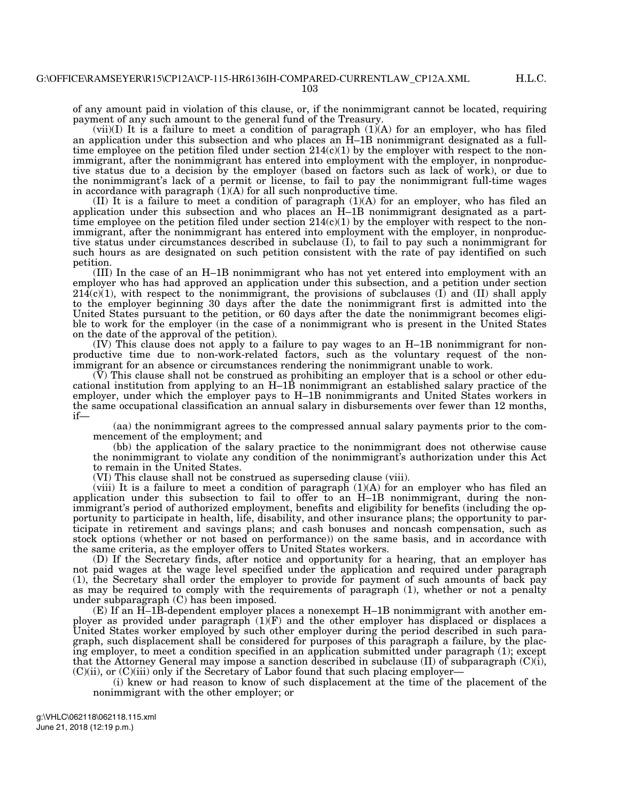H.L.C.

of any amount paid in violation of this clause, or, if the nonimmigrant cannot be located, requiring payment of any such amount to the general fund of the Treasury.

(vii)(I) It is a failure to meet a condition of paragraph  $(1)(A)$  for an employer, who has filed an application under this subsection and who places an H–1B nonimmigrant designated as a fulltime employee on the petition filed under section 214(c)(1) by the employer with respect to the nonimmigrant, after the nonimmigrant has entered into employment with the employer, in nonproductive status due to a decision by the employer (based on factors such as lack of work), or due to the nonimmigrant's lack of a permit or license, to fail to pay the nonimmigrant full-time wages in accordance with paragraph  $(1)(A)$  for all such nonproductive time.

(II) It is a failure to meet a condition of paragraph (1)(A) for an employer, who has filed an application under this subsection and who places an H–1B nonimmigrant designated as a parttime employee on the petition filed under section  $214(c)(1)$  by the employer with respect to the nonimmigrant, after the nonimmigrant has entered into employment with the employer, in nonproductive status under circumstances described in subclause (I), to fail to pay such a nonimmigrant for such hours as are designated on such petition consistent with the rate of pay identified on such petition.

(III) In the case of an H–1B nonimmigrant who has not yet entered into employment with an employer who has had approved an application under this subsection, and a petition under section  $214(c)(1)$ , with respect to the nonimmigrant, the provisions of subclauses (I) and (II) shall apply to the employer beginning 30 days after the date the nonimmigrant first is admitted into the United States pursuant to the petition, or 60 days after the date the nonimmigrant becomes eligible to work for the employer (in the case of a nonimmigrant who is present in the United States on the date of the approval of the petition).

(IV) This clause does not apply to a failure to pay wages to an H–1B nonimmigrant for nonproductive time due to non-work-related factors, such as the voluntary request of the nonimmigrant for an absence or circumstances rendering the nonimmigrant unable to work.

(V) This clause shall not be construed as prohibiting an employer that is a school or other educational institution from applying to an H–1B nonimmigrant an established salary practice of the employer, under which the employer pays to H–1B nonimmigrants and United States workers in the same occupational classification an annual salary in disbursements over fewer than 12 months, if—

(aa) the nonimmigrant agrees to the compressed annual salary payments prior to the commencement of the employment; and

(bb) the application of the salary practice to the nonimmigrant does not otherwise cause the nonimmigrant to violate any condition of the nonimmigrant's authorization under this Act to remain in the United States.

(VI) This clause shall not be construed as superseding clause (viii).

(viii) It is a failure to meet a condition of paragraph  $(1)(A)$  for an employer who has filed an application under this subsection to fail to offer to an H–1B nonimmigrant, during the nonimmigrant's period of authorized employment, benefits and eligibility for benefits (including the opportunity to participate in health, life, disability, and other insurance plans; the opportunity to participate in retirement and savings plans; and cash bonuses and noncash compensation, such as stock options (whether or not based on performance)) on the same basis, and in accordance with the same criteria, as the employer offers to United States workers.

(D) If the Secretary finds, after notice and opportunity for a hearing, that an employer has not paid wages at the wage level specified under the application and required under paragraph (1), the Secretary shall order the employer to provide for payment of such amounts of back pay as may be required to comply with the requirements of paragraph (1), whether or not a penalty under subparagraph (C) has been imposed.

(E) If an H–1B-dependent employer places a nonexempt H–1B nonimmigrant with another employer as provided under paragraph (1)(F) and the other employer has displaced or displaces a United States worker employed by such other employer during the period described in such paragraph, such displacement shall be considered for purposes of this paragraph a failure, by the placing employer, to meet a condition specified in an application submitted under paragraph (1); except that the Attorney General may impose a sanction described in subclause (II) of subparagraph (C)(i),  $(C)(ii)$ , or  $(C)(iii)$  only if the Secretary of Labor found that such placing employer-

(i) knew or had reason to know of such displacement at the time of the placement of the nonimmigrant with the other employer; or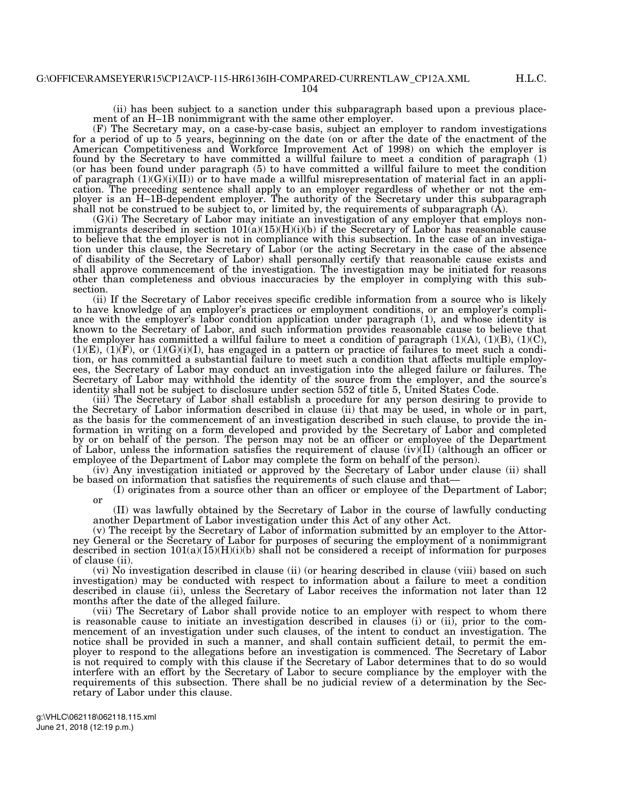H.L.C.

(ii) has been subject to a sanction under this subparagraph based upon a previous placement of an H–1B nonimmigrant with the same other employer.

(F) The Secretary may, on a case-by-case basis, subject an employer to random investigations for a period of up to 5 years, beginning on the date (on or after the date of the enactment of the American Competitiveness and Workforce Improvement Act of 1998) on which the employer is found by the Secretary to have committed a willful failure to meet a condition of paragraph (1) (or has been found under paragraph (5) to have committed a willful failure to meet the condition of paragraph  $(1)(G)(I)(II)$  or to have made a willful misrepresentation of material fact in an application. The preceding sentence shall apply to an employer regardless of whether or not the employer is an H–1B-dependent employer. The authority of the Secretary under this subparagraph shall not be construed to be subject to, or limited by, the requirements of subparagraph  $(A)$ .

(G)(i) The Secretary of Labor may initiate an investigation of any employer that employs nonimmigrants described in section  $101(a)(15)(H)(i)$  if the Secretary of Labor has reasonable cause to believe that the employer is not in compliance with this subsection. In the case of an investigation under this clause, the Secretary of Labor (or the acting Secretary in the case of the absence of disability of the Secretary of Labor) shall personally certify that reasonable cause exists and shall approve commencement of the investigation. The investigation may be initiated for reasons other than completeness and obvious inaccuracies by the employer in complying with this subsection.

(ii) If the Secretary of Labor receives specific credible information from a source who is likely to have knowledge of an employer's practices or employment conditions, or an employer's compliance with the employer's labor condition application under paragraph (1), and whose identity is known to the Secretary of Labor, and such information provides reasonable cause to believe that the employer has committed a willful failure to meet a condition of paragraph  $(1)(A)$ ,  $(1)(B)$ ,  $(1)(C)$ ,  $(1)(E)$ ,  $(1)(F)$ , or  $(1)(G)(i)(I)$ , has engaged in a pattern or practice of failures to meet such a condition, or has committed a substantial failure to meet such a condition that affects multiple employees, the Secretary of Labor may conduct an investigation into the alleged failure or failures. The Secretary of Labor may withhold the identity of the source from the employer, and the source's identity shall not be subject to disclosure under section 552 of title 5, United States Code.

(iii) The Secretary of Labor shall establish a procedure for any person desiring to provide to the Secretary of Labor information described in clause (ii) that may be used, in whole or in part, as the basis for the commencement of an investigation described in such clause, to provide the information in writing on a form developed and provided by the Secretary of Labor and completed by or on behalf of the person. The person may not be an officer or employee of the Department of Labor, unless the information satisfies the requirement of clause (iv)(II) (although an officer or employee of the Department of Labor may complete the form on behalf of the person).

(iv) Any investigation initiated or approved by the Secretary of Labor under clause (ii) shall be based on information that satisfies the requirements of such clause and that—

(I) originates from a source other than an officer or employee of the Department of Labor; or

(II) was lawfully obtained by the Secretary of Labor in the course of lawfully conducting another Department of Labor investigation under this Act of any other Act.

(v) The receipt by the Secretary of Labor of information submitted by an employer to the Attorney General or the Secretary of Labor for purposes of securing the employment of a nonimmigrant described in section  $101(a)(15)(H)(i)$  shall not be considered a receipt of information for purposes of clause (ii).

(vi) No investigation described in clause (ii) (or hearing described in clause (viii) based on such investigation) may be conducted with respect to information about a failure to meet a condition described in clause (ii), unless the Secretary of Labor receives the information not later than 12 months after the date of the alleged failure.

(vii) The Secretary of Labor shall provide notice to an employer with respect to whom there is reasonable cause to initiate an investigation described in clauses (i) or (ii), prior to the commencement of an investigation under such clauses, of the intent to conduct an investigation. The notice shall be provided in such a manner, and shall contain sufficient detail, to permit the employer to respond to the allegations before an investigation is commenced. The Secretary of Labor is not required to comply with this clause if the Secretary of Labor determines that to do so would interfere with an effort by the Secretary of Labor to secure compliance by the employer with the requirements of this subsection. There shall be no judicial review of a determination by the Secretary of Labor under this clause.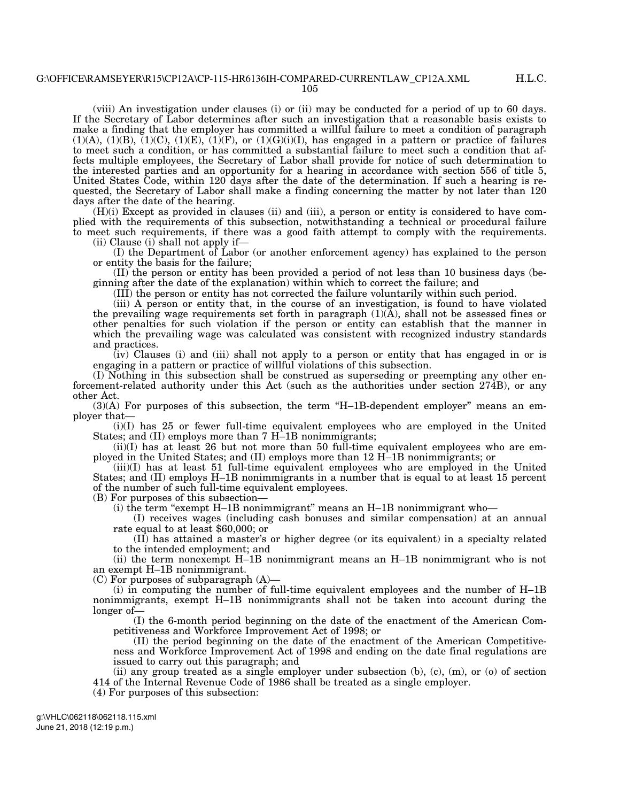(viii) An investigation under clauses (i) or (ii) may be conducted for a period of up to 60 days. If the Secretary of Labor determines after such an investigation that a reasonable basis exists to make a finding that the employer has committed a willful failure to meet a condition of paragraph  $(1)(A)$ ,  $(1)(B)$ ,  $(1)(C)$ ,  $(1)(E)$ ,  $(1)(F)$ , or  $(1)(G)(i)(I)$ , has engaged in a pattern or practice of failures to meet such a condition, or has committed a substantial failure to meet such a condition that affects multiple employees, the Secretary of Labor shall provide for notice of such determination to the interested parties and an opportunity for a hearing in accordance with section 556 of title 5, United States Code, within 120 days after the date of the determination. If such a hearing is requested, the Secretary of Labor shall make a finding concerning the matter by not later than 120 days after the date of the hearing.

(H)(i) Except as provided in clauses (ii) and (iii), a person or entity is considered to have complied with the requirements of this subsection, notwithstanding a technical or procedural failure to meet such requirements, if there was a good faith attempt to comply with the requirements.

(ii) Clause (i) shall not apply if—

(I) the Department of Labor (or another enforcement agency) has explained to the person or entity the basis for the failure;

(II) the person or entity has been provided a period of not less than 10 business days (beginning after the date of the explanation) within which to correct the failure; and

(III) the person or entity has not corrected the failure voluntarily within such period.

(iii) A person or entity that, in the course of an investigation, is found to have violated the prevailing wage requirements set forth in paragraph  $(1)(\tilde{A})$ , shall not be assessed fines or other penalties for such violation if the person or entity can establish that the manner in which the prevailing wage was calculated was consistent with recognized industry standards and practices.

(iv) Clauses (i) and (iii) shall not apply to a person or entity that has engaged in or is engaging in a pattern or practice of willful violations of this subsection.

(I) Nothing in this subsection shall be construed as superseding or preempting any other enforcement-related authority under this Act (such as the authorities under section 274B), or any other Act.

 $(3)(A)$  For purposes of this subsection, the term "H-1B-dependent employer" means an employer that—

(i)(I) has 25 or fewer full-time equivalent employees who are employed in the United States; and (II) employs more than 7 H–1B nonimmigrants;

(ii)(I) has at least 26 but not more than 50 full-time equivalent employees who are employed in the United States; and (II) employs more than 12 H–1B nonimmigrants; or

(iii)(I) has at least 51 full-time equivalent employees who are employed in the United States; and (II) employs H–1B nonimmigrants in a number that is equal to at least 15 percent of the number of such full-time equivalent employees.

(B) For purposes of this subsection—

(i) the term "exempt H-1B nonimmigrant" means an H-1B nonimmigrant who-

(I) receives wages (including cash bonuses and similar compensation) at an annual rate equal to at least \$60,000; or

(II) has attained a master's or higher degree (or its equivalent) in a specialty related to the intended employment; and

(ii) the term nonexempt H–1B nonimmigrant means an H–1B nonimmigrant who is not an exempt H–1B nonimmigrant.

(C) For purposes of subparagraph (A)—

(i) in computing the number of full-time equivalent employees and the number of H–1B nonimmigrants, exempt H–1B nonimmigrants shall not be taken into account during the longer of—

(I) the 6-month period beginning on the date of the enactment of the American Competitiveness and Workforce Improvement Act of 1998; or

(II) the period beginning on the date of the enactment of the American Competitiveness and Workforce Improvement Act of 1998 and ending on the date final regulations are issued to carry out this paragraph; and

(ii) any group treated as a single employer under subsection (b), (c), (m), or (o) of section 414 of the Internal Revenue Code of 1986 shall be treated as a single employer.

(4) For purposes of this subsection: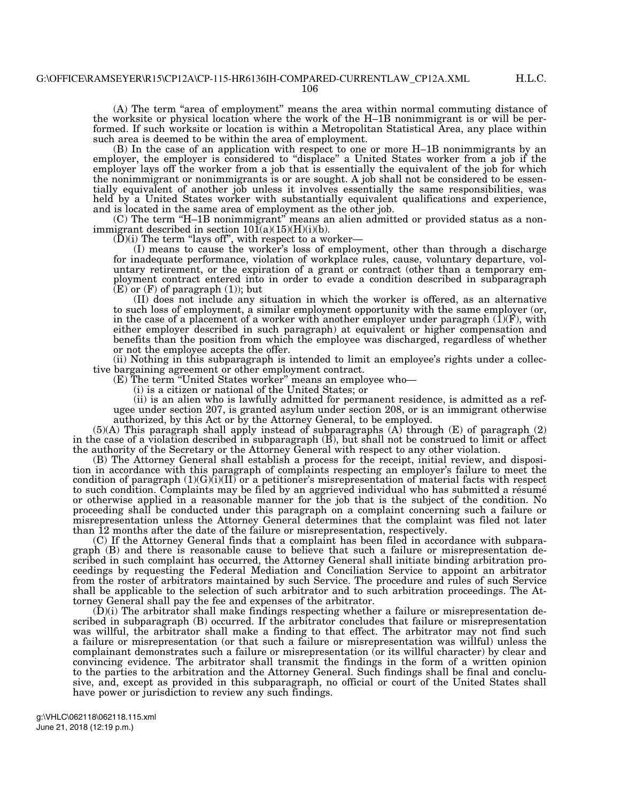(A) The term "area of employment" means the area within normal commuting distance of the worksite or physical location where the work of the H–1B nonimmigrant is or will be performed. If such worksite or location is within a Metropolitan Statistical Area, any place within such area is deemed to be within the area of employment.

(B) In the case of an application with respect to one or more H–1B nonimmigrants by an employer, the employer is considered to "displace" a United States worker from a job if the employer lays off the worker from a job that is essentially the equivalent of the job for which the nonimmigrant or nonimmigrants is or are sought. A job shall not be considered to be essentially equivalent of another job unless it involves essentially the same responsibilities, was held by a United States worker with substantially equivalent qualifications and experience, and is located in the same area of employment as the other job.

(C) The term ''H–1B nonimmigrant'' means an alien admitted or provided status as a nonimmigrant described in section  $101(a)(15)(H)(i)(b)$ .

 $(D)(i)$  The term "lays off", with respect to a worker—

(I) means to cause the worker's loss of employment, other than through a discharge for inadequate performance, violation of workplace rules, cause, voluntary departure, voluntary retirement, or the expiration of a grant or contract (other than a temporary employment contract entered into in order to evade a condition described in subparagraph  $(E)$  or  $(F)$  of paragraph  $(1)$ ); but

(II) does not include any situation in which the worker is offered, as an alternative to such loss of employment, a similar employment opportunity with the same employer (or, in the case of a placement of a worker with another employer under paragraph  $(1)(F)$ , with either employer described in such paragraph) at equivalent or higher compensation and benefits than the position from which the employee was discharged, regardless of whether or not the employee accepts the offer.

(ii) Nothing in this subparagraph is intended to limit an employee's rights under a collective bargaining agreement or other employment contract.

(E) The term ''United States worker'' means an employee who—

(i) is a citizen or national of the United States; or

(ii) is an alien who is lawfully admitted for permanent residence, is admitted as a refugee under section 207, is granted asylum under section 208, or is an immigrant otherwise authorized, by this Act or by the Attorney General, to be employed.

 $(5)(A)$  This paragraph shall apply instead of subparagraphs  $(A)$  through  $(E)$  of paragraph  $(2)$ in the case of a violation described in subparagraph (B), but shall not be construed to limit or affect the authority of the Secretary or the Attorney General with respect to any other violation.

(B) The Attorney General shall establish a process for the receipt, initial review, and disposition in accordance with this paragraph of complaints respecting an employer's failure to meet the condition of paragraph  $(1)(G)(I)(II)$  or a petitioner's misrepresentation of material facts with respect to such condition. Complaints may be filed by an aggrieved individual who has submitted a résumé or otherwise applied in a reasonable manner for the job that is the subject of the condition. No proceeding shall be conducted under this paragraph on a complaint concerning such a failure or misrepresentation unless the Attorney General determines that the complaint was filed not later than 12 months after the date of the failure or misrepresentation, respectively.

(C) If the Attorney General finds that a complaint has been filed in accordance with subparagraph (B) and there is reasonable cause to believe that such a failure or misrepresentation described in such complaint has occurred, the Attorney General shall initiate binding arbitration proceedings by requesting the Federal Mediation and Conciliation Service to appoint an arbitrator from the roster of arbitrators maintained by such Service. The procedure and rules of such Service shall be applicable to the selection of such arbitrator and to such arbitration proceedings. The Attorney General shall pay the fee and expenses of the arbitrator.

 $(D)(i)$  The arbitrator shall make findings respecting whether a failure or misrepresentation described in subparagraph (B) occurred. If the arbitrator concludes that failure or misrepresentation was willful, the arbitrator shall make a finding to that effect. The arbitrator may not find such a failure or misrepresentation (or that such a failure or misrepresentation was willful) unless the complainant demonstrates such a failure or misrepresentation (or its willful character) by clear and convincing evidence. The arbitrator shall transmit the findings in the form of a written opinion to the parties to the arbitration and the Attorney General. Such findings shall be final and conclusive, and, except as provided in this subparagraph, no official or court of the United States shall have power or jurisdiction to review any such findings.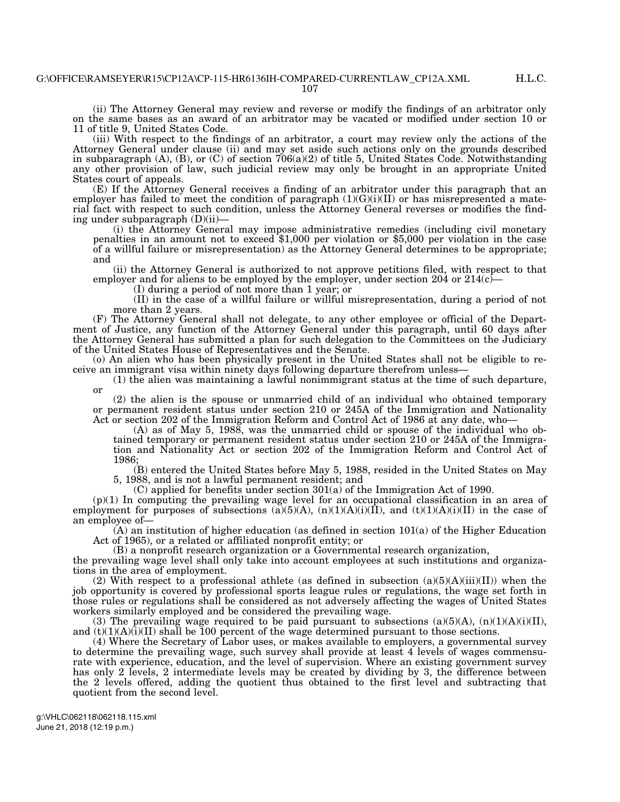(ii) The Attorney General may review and reverse or modify the findings of an arbitrator only on the same bases as an award of an arbitrator may be vacated or modified under section 10 or 11 of title 9, United States Code.

(iii) With respect to the findings of an arbitrator, a court may review only the actions of the Attorney General under clause (ii) and may set aside such actions only on the grounds described in subparagraph (A), (B), or (C) of section 706(a)(2) of title 5, United States Code. Notwithstanding any other provision of law, such judicial review may only be brought in an appropriate United States court of appeals.

(E) If the Attorney General receives a finding of an arbitrator under this paragraph that an employer has failed to meet the condition of paragraph  $(1)(G)(i)(II)$  or has misrepresented a material fact with respect to such condition, unless the Attorney General reverses or modifies the finding under subparagraph  $(D)(ii)$ —<br>(i) the Attorney General may impose administrative remedies (including civil monetary

penalties in an amount not to exceed  $$1,000$  per violation or  $$5,000$  per violation in the case of a willful failure or misrepresentation) as the Attorney General determines to be appropriate; and

(ii) the Attorney General is authorized to not approve petitions filed, with respect to that employer and for aliens to be employed by the employer, under section  $204$  or  $214(c)$ —

(I) during a period of not more than 1 year; or

(II) in the case of a willful failure or willful misrepresentation, during a period of not more than 2 years.

(F) The Attorney General shall not delegate, to any other employee or official of the Department of Justice, any function of the Attorney General under this paragraph, until 60 days after the Attorney General has submitted a plan for such delegation to the Committees on the Judiciary of the United States House of Representatives and the Senate.

(o) An alien who has been physically present in the United States shall not be eligible to receive an immigrant visa within ninety days following departure therefrom unless—

(1) the alien was maintaining a lawful nonimmigrant status at the time of such departure, or

(2) the alien is the spouse or unmarried child of an individual who obtained temporary or permanent resident status under section 210 or 245A of the Immigration and Nationality Act or section 202 of the Immigration Reform and Control Act of 1986 at any date, who—

(A) as of May 5, 1988, was the unmarried child or spouse of the individual who obtained temporary or permanent resident status under section 210 or 245A of the Immigration and Nationality Act or section 202 of the Immigration Reform and Control Act of 1986;

(B) entered the United States before May 5, 1988, resided in the United States on May 5, 1988, and is not a lawful permanent resident; and

(C) applied for benefits under section 301(a) of the Immigration Act of 1990.

(p)(1) In computing the prevailing wage level for an occupational classification in an area of employment for purposes of subsections (a)(5)(A), (n)(1)(A)(i)(II), and (t)(1)(A)(i)(II) in the case of an employee of—

 $(A)$  an institution of higher education (as defined in section 101(a) of the Higher Education Act of 1965), or a related or affiliated nonprofit entity; or

(B) a nonprofit research organization or a Governmental research organization,

the prevailing wage level shall only take into account employees at such institutions and organizations in the area of employment.

(2) With respect to a professional athlete (as defined in subsection  $(a)(5)(A)(iii)(II))$  when the job opportunity is covered by professional sports league rules or regulations, the wage set forth in those rules or regulations shall be considered as not adversely affecting the wages of United States workers similarly employed and be considered the prevailing wage.

(3) The prevailing wage required to be paid pursuant to subsections (a)(5)(A),  $(n)(1)(A)(i)(II)$ , and  $(t)(1)(A)(i)(II)$  shall be 100 percent of the wage determined pursuant to those sections.

(4) Where the Secretary of Labor uses, or makes available to employers, a governmental survey to determine the prevailing wage, such survey shall provide at least 4 levels of wages commensurate with experience, education, and the level of supervision. Where an existing government survey has only 2 levels, 2 intermediate levels may be created by dividing by 3, the difference between the 2 levels offered, adding the quotient thus obtained to the first level and subtracting that quotient from the second level.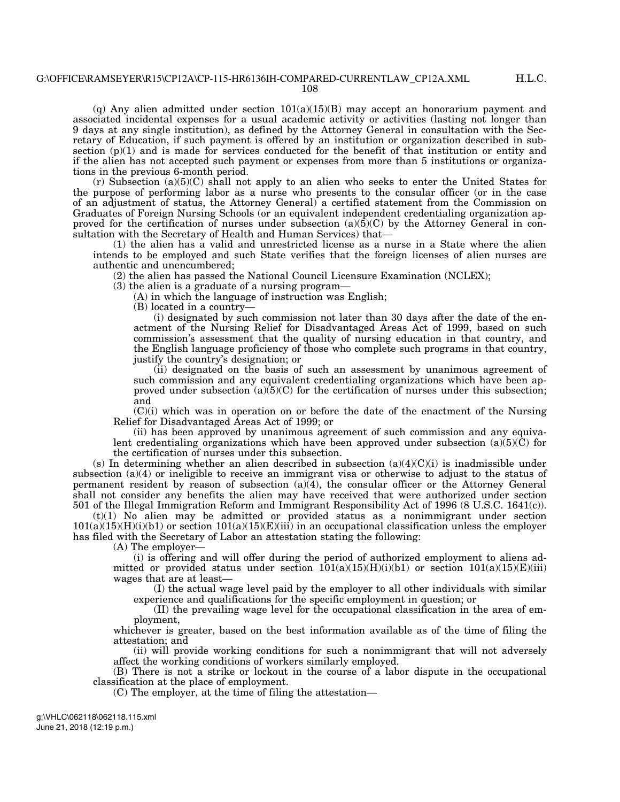H.L.C.

(q) Any alien admitted under section  $101(a)(15)(B)$  may accept an honorarium payment and associated incidental expenses for a usual academic activity or activities (lasting not longer than 9 days at any single institution), as defined by the Attorney General in consultation with the Secretary of Education, if such payment is offered by an institution or organization described in subsection  $(p)(1)$  and is made for services conducted for the benefit of that institution or entity and if the alien has not accepted such payment or expenses from more than 5 institutions or organizations in the previous 6-month period.

 $(r)$  Subsection  $(a)(5)(C)$  shall not apply to an alien who seeks to enter the United States for the purpose of performing labor as a nurse who presents to the consular officer (or in the case of an adjustment of status, the Attorney General) a certified statement from the Commission on Graduates of Foreign Nursing Schools (or an equivalent independent credentialing organization approved for the certification of nurses under subsection  $(a)(5)(C)$  by the Attorney General in consultation with the Secretary of Health and Human Services) that—

(1) the alien has a valid and unrestricted license as a nurse in a State where the alien intends to be employed and such State verifies that the foreign licenses of alien nurses are authentic and unencumbered;

(2) the alien has passed the National Council Licensure Examination (NCLEX);

(3) the alien is a graduate of a nursing program—

(A) in which the language of instruction was English;

(B) located in a country—

(i) designated by such commission not later than 30 days after the date of the enactment of the Nursing Relief for Disadvantaged Areas Act of 1999, based on such commission's assessment that the quality of nursing education in that country, and the English language proficiency of those who complete such programs in that country, justify the country's designation; or

(ii) designated on the basis of such an assessment by unanimous agreement of such commission and any equivalent credentialing organizations which have been approved under subsection  $(a)(5)(C)$  for the certification of nurses under this subsection; and

 $(C)(i)$  which was in operation on or before the date of the enactment of the Nursing Relief for Disadvantaged Areas Act of 1999; or

(ii) has been approved by unanimous agreement of such commission and any equivalent credentialing organizations which have been approved under subsection (a)(5)(C) for the certification of nurses under this subsection.

(s) In determining whether an alien described in subsection  $(a)(4)(C)(i)$  is inadmissible under subsection (a)(4) or ineligible to receive an immigrant visa or otherwise to adjust to the status of permanent resident by reason of subsection (a)(4), the consular officer or the Attorney General shall not consider any benefits the alien may have received that were authorized under section 501 of the Illegal Immigration Reform and Immigrant Responsibility Act of 1996 (8 U.S.C. 1641(c)).

 $(t)(1)$  No alien may be admitted or provided status as a nonimmigrant under section  $101(a)(15)(H)(i)(b1)$  or section  $101(a)(15)(E)(iii)$  in an occupational classification unless the employer has filed with the Secretary of Labor an attestation stating the following:

(A) The employer—

(i) is offering and will offer during the period of authorized employment to aliens admitted or provided status under section  $101(a)(15)(H)(i)(b1)$  or section  $101(a)(15)(E)(iii)$ wages that are at least—

(I) the actual wage level paid by the employer to all other individuals with similar experience and qualifications for the specific employment in question; or

(II) the prevailing wage level for the occupational classification in the area of employment,

whichever is greater, based on the best information available as of the time of filing the attestation; and

(ii) will provide working conditions for such a nonimmigrant that will not adversely affect the working conditions of workers similarly employed.

(B) There is not a strike or lockout in the course of a labor dispute in the occupational classification at the place of employment.

(C) The employer, at the time of filing the attestation—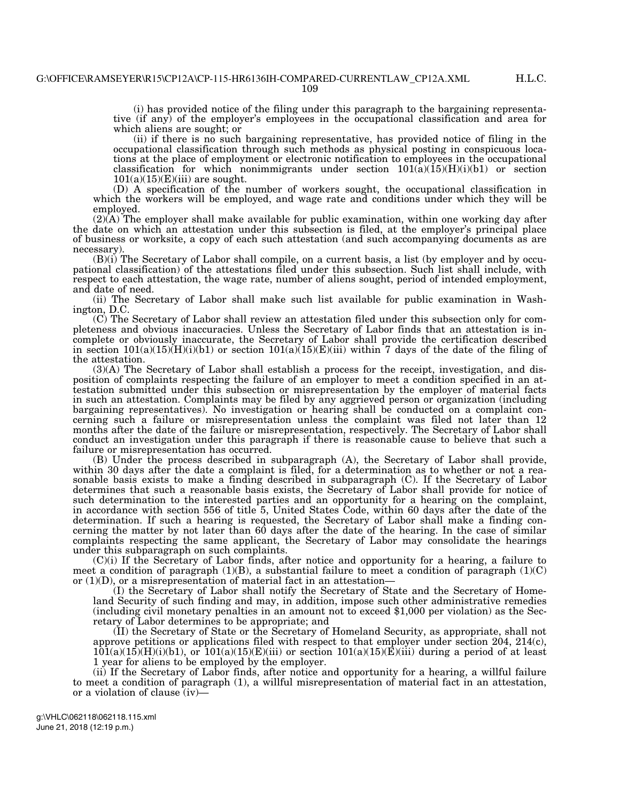H.L.C.

(i) has provided notice of the filing under this paragraph to the bargaining representative (if any) of the employer's employees in the occupational classification and area for which aliens are sought; or

(ii) if there is no such bargaining representative, has provided notice of filing in the occupational classification through such methods as physical posting in conspicuous locations at the place of employment or electronic notification to employees in the occupational classification for which nonimmigrants under section  $101(a)(15)(H)(i)(b1)$  or section  $101(a)(15)(E)(iii)$  are sought.

(D) A specification of the number of workers sought, the occupational classification in which the workers will be employed, and wage rate and conditions under which they will be employed.

(2)(A) The employer shall make available for public examination, within one working day after the date on which an attestation under this subsection is filed, at the employer's principal place of business or worksite, a copy of each such attestation (and such accompanying documents as are necessary).

(B)(i) The Secretary of Labor shall compile, on a current basis, a list (by employer and by occupational classification) of the attestations filed under this subsection. Such list shall include, with respect to each attestation, the wage rate, number of aliens sought, period of intended employment, and date of need.

(ii) The Secretary of Labor shall make such list available for public examination in Washington, D.C.

(C) The Secretary of Labor shall review an attestation filed under this subsection only for completeness and obvious inaccuracies. Unless the Secretary of Labor finds that an attestation is incomplete or obviously inaccurate, the Secretary of Labor shall provide the certification described in section  $101(a)(15)(H)(i)(b1)$  or section  $101(a)(15)(E)(iii)$  within 7 days of the date of the filing of the attestation.

(3)(A) The Secretary of Labor shall establish a process for the receipt, investigation, and disposition of complaints respecting the failure of an employer to meet a condition specified in an attestation submitted under this subsection or misrepresentation by the employer of material facts in such an attestation. Complaints may be filed by any aggrieved person or organization (including bargaining representatives). No investigation or hearing shall be conducted on a complaint concerning such a failure or misrepresentation unless the complaint was filed not later than 12 months after the date of the failure or misrepresentation, respectively. The Secretary of Labor shall conduct an investigation under this paragraph if there is reasonable cause to believe that such a failure or misrepresentation has occurred.

(B) Under the process described in subparagraph (A), the Secretary of Labor shall provide, within 30 days after the date a complaint is filed, for a determination as to whether or not a reasonable basis exists to make a finding described in subparagraph (C). If the Secretary of Labor determines that such a reasonable basis exists, the Secretary of Labor shall provide for notice of such determination to the interested parties and an opportunity for a hearing on the complaint, in accordance with section 556 of title 5, United States Code, within 60 days after the date of the determination. If such a hearing is requested, the Secretary of Labor shall make a finding concerning the matter by not later than 60 days after the date of the hearing. In the case of similar complaints respecting the same applicant, the Secretary of Labor may consolidate the hearings under this subparagraph on such complaints.

(C)(i) If the Secretary of Labor finds, after notice and opportunity for a hearing, a failure to meet a condition of paragraph  $(1)(B)$ , a substantial failure to meet a condition of paragraph  $(1)(C)$ or  $(1)(D)$ , or a misrepresentation of material fact in an attestation-

(I) the Secretary of Labor shall notify the Secretary of State and the Secretary of Homeland Security of such finding and may, in addition, impose such other administrative remedies (including civil monetary penalties in an amount not to exceed \$1,000 per violation) as the Secretary of Labor determines to be appropriate; and

(II) the Secretary of State or the Secretary of Homeland Security, as appropriate, shall not approve petitions or applications filed with respect to that employer under section 204, 214(c),  $101(a)(15)(H)(i)b1$ , or  $101(a)(15)(E)(iii)$  or section  $101(a)(15)(E)(iii)$  during a period of at least 1 year for aliens to be employed by the employer.

(ii) If the Secretary of Labor finds, after notice and opportunity for a hearing, a willful failure to meet a condition of paragraph (1), a willful misrepresentation of material fact in an attestation, or a violation of clause (iv)—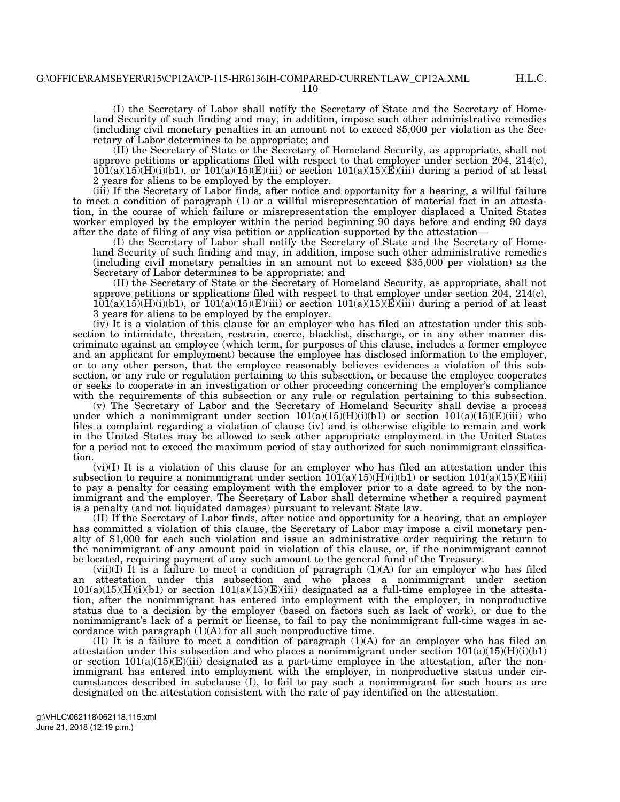(I) the Secretary of Labor shall notify the Secretary of State and the Secretary of Homeland Security of such finding and may, in addition, impose such other administrative remedies (including civil monetary penalties in an amount not to exceed \$5,000 per violation as the Secretary of Labor determines to be appropriate; and

(II) the Secretary of State or the Secretary of Homeland Security, as appropriate, shall not approve petitions or applications filed with respect to that employer under section 204, 214(c),  $101(a)(15)(H)(i)b1$ , or  $101(a)(15)(E)(iii)$  or section  $101(a)(15)(E)(iii)$  during a period of at least 2 years for aliens to be employed by the employer.

(iii) If the Secretary of Labor finds, after notice and opportunity for a hearing, a willful failure to meet a condition of paragraph (1) or a willful misrepresentation of material fact in an attestation, in the course of which failure or misrepresentation the employer displaced a United States worker employed by the employer within the period beginning 90 days before and ending 90 days after the date of filing of any visa petition or application supported by the attestation—

(I) the Secretary of Labor shall notify the Secretary of State and the Secretary of Homeland Security of such finding and may, in addition, impose such other administrative remedies (including civil monetary penalties in an amount not to exceed \$35,000 per violation) as the Secretary of Labor determines to be appropriate; and

(II) the Secretary of State or the Secretary of Homeland Security, as appropriate, shall not approve petitions or applications filed with respect to that employer under section 204, 214(c),  $101(a)(15)(H)(i)b1$ , or  $101(a)(15)(E)(iii)$  or section  $101(a)(15)(E)(iii)$  during a period of at least 3 years for aliens to be employed by the employer.

(iv) It is a violation of this clause for an employer who has filed an attestation under this subsection to intimidate, threaten, restrain, coerce, blacklist, discharge, or in any other manner discriminate against an employee (which term, for purposes of this clause, includes a former employee and an applicant for employment) because the employee has disclosed information to the employer, or to any other person, that the employee reasonably believes evidences a violation of this subsection, or any rule or regulation pertaining to this subsection, or because the employee cooperates or seeks to cooperate in an investigation or other proceeding concerning the employer's compliance with the requirements of this subsection or any rule or regulation pertaining to this subsection.

(v) The Secretary of Labor and the Secretary of Homeland Security shall devise a process under which a nonimmigrant under section  $101(a)(15)(H)(i)(b)$  or section  $101(a)(15)(E)(iii)$  who files a complaint regarding a violation of clause (iv) and is otherwise eligible to remain and work in the United States may be allowed to seek other appropriate employment in the United States for a period not to exceed the maximum period of stay authorized for such nonimmigrant classification.

(vi)(I) It is a violation of this clause for an employer who has filed an attestation under this subsection to require a nonimmigrant under section  $101(a)(15)(H)(i)(b1)$  or section  $101(a)(15)(E)(iii)$ to pay a penalty for ceasing employment with the employer prior to a date agreed to by the nonimmigrant and the employer. The Secretary of Labor shall determine whether a required payment is a penalty (and not liquidated damages) pursuant to relevant State law.

(II) If the Secretary of Labor finds, after notice and opportunity for a hearing, that an employer has committed a violation of this clause, the Secretary of Labor may impose a civil monetary penalty of \$1,000 for each such violation and issue an administrative order requiring the return to the nonimmigrant of any amount paid in violation of this clause, or, if the nonimmigrant cannot be located, requiring payment of any such amount to the general fund of the Treasury.

 $(vii)(I)$  It is a failure to meet a condition of paragraph  $(1)(A)$  for an employer who has filed an attestation under this subsection and who places a nonimmigrant under section  $101(a)(15)(H)(i)(b1)$  or section  $101(a)(15)(E)(iii)$  designated as a full-time employee in the attestation, after the nonimmigrant has entered into employment with the employer, in nonproductive status due to a decision by the employer (based on factors such as lack of work), or due to the nonimmigrant's lack of a permit or license, to fail to pay the nonimmigrant full-time wages in accordance with paragraph  $(1)(A)$  for all such nonproductive time.

(II) It is a failure to meet a condition of paragraph  $(1)(A)$  for an employer who has filed an attestation under this subsection and who places a nonimmigrant under section  $101(a)(15)(H)(i)(b1)$ or section  $101(a)(15)(E)(iii)$  designated as a part-time employee in the attestation, after the nonimmigrant has entered into employment with the employer, in nonproductive status under circumstances described in subclause (I), to fail to pay such a nonimmigrant for such hours as are designated on the attestation consistent with the rate of pay identified on the attestation.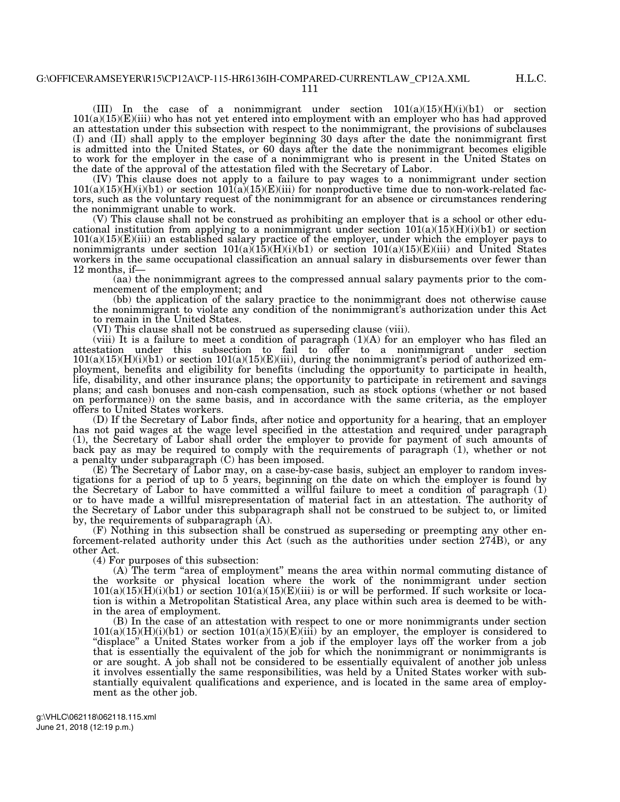(III) In the case of a nonimmigrant under section  $101(a)(15)(H)(i)(b)$  or section  $101(a)(15)(E)(iii)$  who has not yet entered into employment with an employer who has had approved an attestation under this subsection with respect to the nonimmigrant, the provisions of subclauses (I) and (II) shall apply to the employer beginning 30 days after the date the nonimmigrant first is admitted into the United States, or 60 days after the date the nonimmigrant becomes eligible to work for the employer in the case of a nonimmigrant who is present in the United States on the date of the approval of the attestation filed with the Secretary of Labor.

(IV) This clause does not apply to a failure to pay wages to a nonimmigrant under section  $101(a)(15)(H)(i)b1$  or section  $101(a)(15)(E)(iii)$  for nonproductive time due to non-work-related factors, such as the voluntary request of the nonimmigrant for an absence or circumstances rendering the nonimmigrant unable to work.

(V) This clause shall not be construed as prohibiting an employer that is a school or other educational institution from applying to a nonimmigrant under section  $101(a)(15)(H)(i)(b1)$  or section  $101(a)(15)(E)(iii)$  an established salary practice of the employer, under which the employer pays to nonimmigrants under section  $101(a)(15)(H)(i)(b1)$  or section  $101(a)(15)(E)(iii)$  and United States workers in the same occupational classification an annual salary in disbursements over fewer than 12 months, if—

(aa) the nonimmigrant agrees to the compressed annual salary payments prior to the commencement of the employment; and

(bb) the application of the salary practice to the nonimmigrant does not otherwise cause the nonimmigrant to violate any condition of the nonimmigrant's authorization under this Act to remain in the United States.

(VI) This clause shall not be construed as superseding clause (viii).

(viii) It is a failure to meet a condition of paragraph  $(1)(A)$  for an employer who has filed an attestation under this subsection to fail to offer to a nonimmigrant under section  $101(a)(15)(H)(i)(b1)$  or section  $101(a)(15)(E)(iii)$ , during the nonimmigrant's period of authorized employment, benefits and eligibility for benefits (including the opportunity to participate in health, life, disability, and other insurance plans; the opportunity to participate in retirement and savings plans; and cash bonuses and non-cash compensation, such as stock options (whether or not based on performance)) on the same basis, and in accordance with the same criteria, as the employer offers to United States workers.

(D) If the Secretary of Labor finds, after notice and opportunity for a hearing, that an employer has not paid wages at the wage level specified in the attestation and required under paragraph (1), the Secretary of Labor shall order the employer to provide for payment of such amounts of back pay as may be required to comply with the requirements of paragraph (1), whether or not a penalty under subparagraph (C) has been imposed.

(E) The Secretary of Labor may, on a case-by-case basis, subject an employer to random investigations for a period of up to 5 years, beginning on the date on which the employer is found by the Secretary of Labor to have committed a willful failure to meet a condition of paragraph (1) or to have made a willful misrepresentation of material fact in an attestation. The authority of the Secretary of Labor under this subparagraph shall not be construed to be subject to, or limited by, the requirements of subparagraph (A).

(F) Nothing in this subsection shall be construed as superseding or preempting any other enforcement-related authority under this Act (such as the authorities under section 274B), or any other Act.

(4) For purposes of this subsection:

(A) The term "area of employment" means the area within normal commuting distance of the worksite or physical location where the work of the nonimmigrant under section  $101(a)(15)(H)(i)(b1)$  or section  $101(a)(15)(E)(iii)$  is or will be performed. If such worksite or location is within a Metropolitan Statistical Area, any place within such area is deemed to be within the area of employment.

(B) In the case of an attestation with respect to one or more nonimmigrants under section  $101(a)(15)(H)(i)b1$  or section  $101(a)(15)(E)(iii)$  by an employer, the employer is considered to ''displace'' a United States worker from a job if the employer lays off the worker from a job that is essentially the equivalent of the job for which the nonimmigrant or nonimmigrants is or are sought. A job shall not be considered to be essentially equivalent of another job unless it involves essentially the same responsibilities, was held by a United States worker with substantially equivalent qualifications and experience, and is located in the same area of employment as the other job.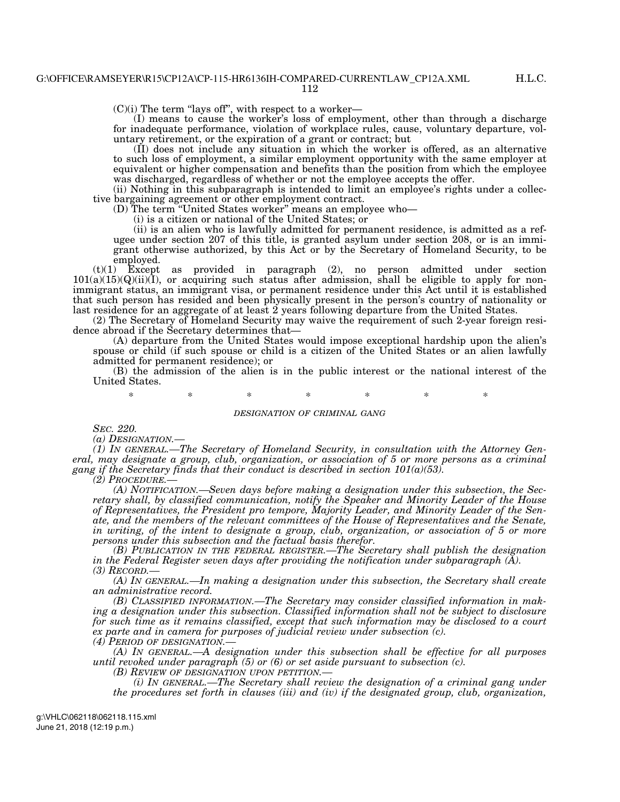$(C)(i)$  The term "lays off", with respect to a worker—

(I) means to cause the worker's loss of employment, other than through a discharge for inadequate performance, violation of workplace rules, cause, voluntary departure, voluntary retirement, or the expiration of a grant or contract; but

(II) does not include any situation in which the worker is offered, as an alternative to such loss of employment, a similar employment opportunity with the same employer at equivalent or higher compensation and benefits than the position from which the employee was discharged, regardless of whether or not the employee accepts the offer.

(ii) Nothing in this subparagraph is intended to limit an employee's rights under a collective bargaining agreement or other employment contract.

(D) The term ''United States worker'' means an employee who—

(i) is a citizen or national of the United States; or

(ii) is an alien who is lawfully admitted for permanent residence, is admitted as a refugee under section 207 of this title, is granted asylum under section 208, or is an immigrant otherwise authorized, by this Act or by the Secretary of Homeland Security, to be employed.

(t)(1) Except as provided in paragraph (2), no person admitted under section  $101(a)(15)(Q)(ii)(I)$ , or acquiring such status after admission, shall be eligible to apply for nonimmigrant status, an immigrant visa, or permanent residence under this Act until it is established that such person has resided and been physically present in the person's country of nationality or last residence for an aggregate of at least 2 years following departure from the United States.

(2) The Secretary of Homeland Security may waive the requirement of such 2-year foreign residence abroad if the Secretary determines that—

(A) departure from the United States would impose exceptional hardship upon the alien's spouse or child (if such spouse or child is a citizen of the United States or an alien lawfully admitted for permanent residence); or

(B) the admission of the alien is in the public interest or the national interest of the United States.

\* \* \* \* \* \* \*

### *DESIGNATION OF CRIMINAL GANG*

*SEC. 220.* 

*(a) DESIGNATION.—* 

*(1) IN GENERAL.—The Secretary of Homeland Security, in consultation with the Attorney General, may designate a group, club, organization, or association of 5 or more persons as a criminal gang if the Secretary finds that their conduct is described in section 101(a)(53).* 

*(2) PROCEDURE.—* 

*(A) NOTIFICATION.—Seven days before making a designation under this subsection, the Secretary shall, by classified communication, notify the Speaker and Minority Leader of the House of Representatives, the President pro tempore, Majority Leader, and Minority Leader of the Senate, and the members of the relevant committees of the House of Representatives and the Senate, in writing, of the intent to designate a group, club, organization, or association of 5 or more persons under this subsection and the factual basis therefor.* 

*(B) PUBLICATION IN THE FEDERAL REGISTER.—The Secretary shall publish the designation in the Federal Register seven days after providing the notification under subparagraph (A). (3) RECORD.—* 

*(A) IN GENERAL.—In making a designation under this subsection, the Secretary shall create an administrative record.* 

*(B) CLASSIFIED INFORMATION.—The Secretary may consider classified information in making a designation under this subsection. Classified information shall not be subject to disclosure for such time as it remains classified, except that such information may be disclosed to a court ex parte and in camera for purposes of judicial review under subsection (c). (4) PERIOD OF DESIGNATION.—* 

*(A) IN GENERAL.—A designation under this subsection shall be effective for all purposes until revoked under paragraph (5) or (6) or set aside pursuant to subsection (c).* 

*(B) REVIEW OF DESIGNATION UPON PETITION.—* 

*(i) IN GENERAL.—The Secretary shall review the designation of a criminal gang under the procedures set forth in clauses (iii) and (iv) if the designated group, club, organization,*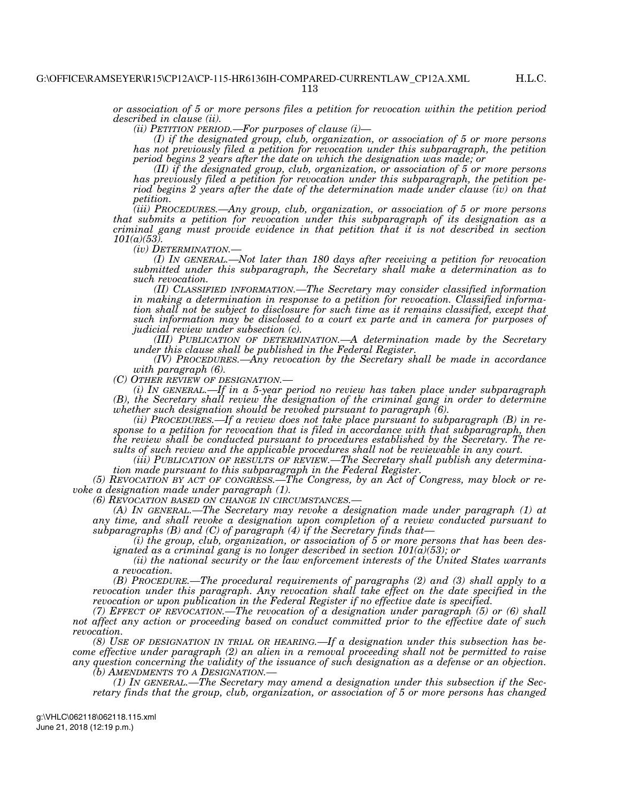*or association of 5 or more persons files a petition for revocation within the petition period described in clause (ii).* 

*(ii) PETITION PERIOD.—For purposes of clause (i)—* 

*(I) if the designated group, club, organization, or association of 5 or more persons has not previously filed a petition for revocation under this subparagraph, the petition period begins 2 years after the date on which the designation was made; or* 

*(II) if the designated group, club, organization, or association of 5 or more persons has previously filed a petition for revocation under this subparagraph, the petition period begins 2 years after the date of the determination made under clause (iv) on that petition.* 

*(iii) PROCEDURES.—Any group, club, organization, or association of 5 or more persons that submits a petition for revocation under this subparagraph of its designation as a criminal gang must provide evidence in that petition that it is not described in section 101(a)(53).* 

*(I) In GENERAL.—Not later than 180 days after receiving a petition for revocation submitted under this subparagraph, the Secretary shall make a determination as to such revocation.* 

*(II) CLASSIFIED INFORMATION.—The Secretary may consider classified information in making a determination in response to a petition for revocation. Classified information shall not be subject to disclosure for such time as it remains classified, except that such information may be disclosed to a court ex parte and in camera for purposes of judicial review under subsection (c).* 

*(III) PUBLICATION OF DETERMINATION.—A determination made by the Secretary under this clause shall be published in the Federal Register.* 

*(IV) PROCEDURES.—Any revocation by the Secretary shall be made in accordance with paragraph (6).*<br>(C) OTHER REVIEW OF DESIGNATION.—

*(C) OTHER REVIEW OF DESIGNATION.— (i) IN GENERAL.—If in a 5-year period no review has taken place under subparagraph (B), the Secretary shall review the designation of the criminal gang in order to determine whether such designation should be revoked pursuant to paragraph (6).* 

*(ii) PROCEDURES.—If a review does not take place pursuant to subparagraph (B) in response to a petition for revocation that is filed in accordance with that subparagraph, then the review shall be conducted pursuant to procedures established by the Secretary. The results of such review and the applicable procedures shall not be reviewable in any court.* 

*(iii) PUBLICATION OF RESULTS OF REVIEW.—The Secretary shall publish any determination made pursuant to this subparagraph in the Federal Register.* 

*(5) REVOCATION BY ACT OF CONGRESS.—The Congress, by an Act of Congress, may block or revoke a designation made under paragraph (1).* 

*(A) In GENERAL.—The Secretary may revoke a designation made under paragraph (1) at any time, and shall revoke a designation upon completion of a review conducted pursuant to subparagraphs (B) and (C) of paragraph (4) if the Secretary finds that—* 

*(i) the group, club, organization, or association of 5 or more persons that has been designated as a criminal gang is no longer described in section 101(a)(53); or* 

*(ii) the national security or the law enforcement interests of the United States warrants a revocation.* 

*(B) PROCEDURE.—The procedural requirements of paragraphs (2) and (3) shall apply to a revocation under this paragraph. Any revocation shall take effect on the date specified in the revocation or upon publication in the Federal Register if no effective date is specified.* 

*(7) EFFECT OF REVOCATION.—The revocation of a designation under paragraph (5) or (6) shall not affect any action or proceeding based on conduct committed prior to the effective date of such revocation.* 

*(8) USE OF DESIGNATION IN TRIAL OR HEARING.—If a designation under this subsection has become effective under paragraph (2) an alien in a removal proceeding shall not be permitted to raise any question concerning the validity of the issuance of such designation as a defense or an objection. (b) AMENDMENTS TO A DESIGNATION.—* 

*(1) IN GENERAL.—The Secretary may amend a designation under this subsection if the Secretary finds that the group, club, organization, or association of 5 or more persons has changed*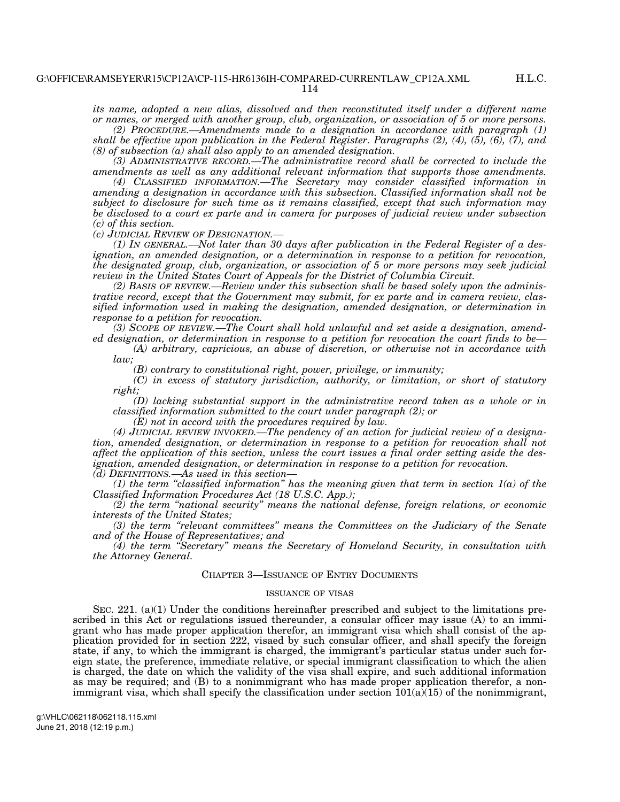*its name, adopted a new alias, dissolved and then reconstituted itself under a different name or names, or merged with another group, club, organization, or association of 5 or more persons.* 

*(2) PROCEDURE.—Amendments made to a designation in accordance with paragraph (1) shall be effective upon publication in the Federal Register. Paragraphs (2), (4), (5), (6), (7), and (8) of subsection (a) shall also apply to an amended designation.* 

*(3) ADMINISTRATIVE RECORD.—The administrative record shall be corrected to include the amendments as well as any additional relevant information that supports those amendments.* 

*(4) CLASSIFIED INFORMATION.—The Secretary may consider classified information in amending a designation in accordance with this subsection. Classified information shall not be subject to disclosure for such time as it remains classified, except that such information may be disclosed to a court ex parte and in camera for purposes of judicial review under subsection (c) of this section.* 

*(c) JUDICIAL REVIEW OF DESIGNATION.—* 

*(1) IN GENERAL.—Not later than 30 days after publication in the Federal Register of a designation, an amended designation, or a determination in response to a petition for revocation, the designated group, club, organization, or association of 5 or more persons may seek judicial review in the United States Court of Appeals for the District of Columbia Circuit.* 

*(2) BASIS OF REVIEW.—Review under this subsection shall be based solely upon the administrative record, except that the Government may submit, for ex parte and in camera review, classified information used in making the designation, amended designation, or determination in response to a petition for revocation.* 

*(3) SCOPE OF REVIEW.—The Court shall hold unlawful and set aside a designation, amended designation, or determination in response to a petition for revocation the court finds to be—* 

*(A) arbitrary, capricious, an abuse of discretion, or otherwise not in accordance with law;* 

*(B) contrary to constitutional right, power, privilege, or immunity;* 

*(C) in excess of statutory jurisdiction, authority, or limitation, or short of statutory right;* 

*(D) lacking substantial support in the administrative record taken as a whole or in classified information submitted to the court under paragraph (2); or* 

*(E) not in accord with the procedures required by law.* 

*(4) JUDICIAL REVIEW INVOKED.—The pendency of an action for judicial review of a designation, amended designation, or determination in response to a petition for revocation shall not affect the application of this section, unless the court issues a final order setting aside the designation, amended designation, or determination in response to a petition for revocation.* 

*(d) DEFINITIONS.—As used in this section—* 

 $(1)$  the term "classified information" has the meaning given that term in section  $1(a)$  of the *Classified Information Procedures Act (18 U.S.C. App.);* 

*(2) the term ''national security'' means the national defense, foreign relations, or economic interests of the United States;* 

*(3) the term ''relevant committees'' means the Committees on the Judiciary of the Senate and of the House of Representatives; and* 

*(4) the term ''Secretary'' means the Secretary of Homeland Security, in consultation with the Attorney General.* 

# CHAPTER 3—ISSUANCE OF ENTRY DOCUMENTS

# ISSUANCE OF VISAS

SEC. 221. (a)(1) Under the conditions hereinafter prescribed and subject to the limitations prescribed in this Act or regulations issued thereunder, a consular officer may issue (A) to an immigrant who has made proper application therefor, an immigrant visa which shall consist of the application provided for in section 222, visaed by such consular officer, and shall specify the foreign state, if any, to which the immigrant is charged, the immigrant's particular status under such foreign state, the preference, immediate relative, or special immigrant classification to which the alien is charged, the date on which the validity of the visa shall expire, and such additional information as may be required; and (B) to a nonimmigrant who has made proper application therefor, a nonimmigrant visa, which shall specify the classification under section  $101(a)(15)$  of the nonimmigrant,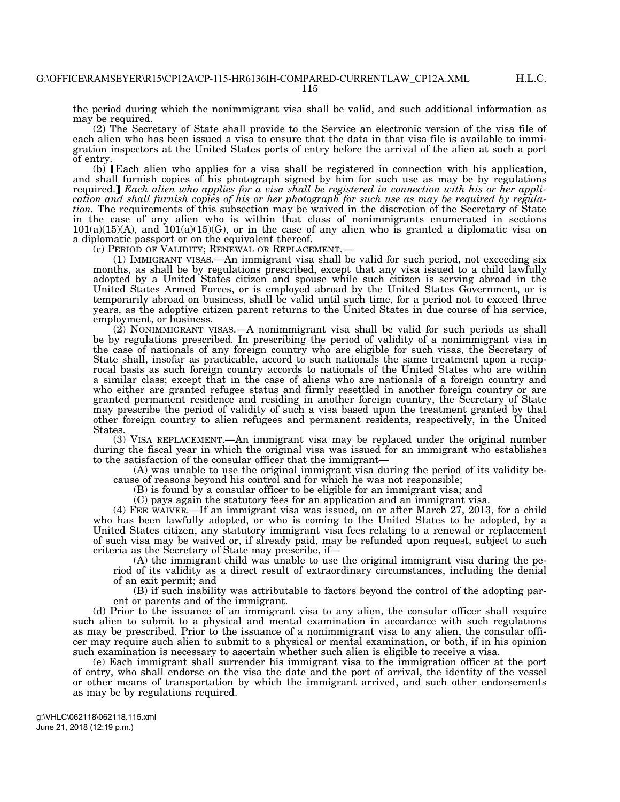the period during which the nonimmigrant visa shall be valid, and such additional information as may be required.

(2) The Secretary of State shall provide to the Service an electronic version of the visa file of each alien who has been issued a visa to ensure that the data in that visa file is available to immigration inspectors at the United States ports of entry before the arrival of the alien at such a port of entry.

 $(b)$  [Each alien who applies for a visa shall be registered in connection with his application, and shall furnish copies of his photograph signed by him for such use as may be by regulations required.] Each alien who applies for a visa shall be registered in connection with his or her appli*cation and shall furnish copies of his or her photograph for such use as may be required by regulation.* The requirements of this subsection may be waived in the discretion of the Secretary of State in the case of any alien who is within that class of nonimmigrants enumerated in sections  $101(a)(15)(A)$ , and  $101(a)(15)(G)$ , or in the case of any alien who is granted a diplomatic visa on a diplomatic passport or on the equivalent thereof.<br>(c) PERIOD OF VALIDITY; RENEWAL OR REPLACEMENT.

 $(1)$  IMMIGRANT VISAS.—An immigrant visa shall be valid for such period, not exceeding six months, as shall be by regulations prescribed, except that any visa issued to a child lawfully adopted by a United States citizen and spouse while such citizen is serving abroad in the United States Armed Forces, or is employed abroad by the United States Government, or is temporarily abroad on business, shall be valid until such time, for a period not to exceed three years, as the adoptive citizen parent returns to the United States in due course of his service, employment, or business.

(2) NONIMMIGRANT VISAS.—A nonimmigrant visa shall be valid for such periods as shall be by regulations prescribed. In prescribing the period of validity of a nonimmigrant visa in the case of nationals of any foreign country who are eligible for such visas, the Secretary of State shall, insofar as practicable, accord to such nationals the same treatment upon a reciprocal basis as such foreign country accords to nationals of the United States who are within a similar class; except that in the case of aliens who are nationals of a foreign country and who either are granted refugee status and firmly resettled in another foreign country or are granted permanent residence and residing in another foreign country, the Secretary of State may prescribe the period of validity of such a visa based upon the treatment granted by that other foreign country to alien refugees and permanent residents, respectively, in the United States.

(3) VISA REPLACEMENT.—An immigrant visa may be replaced under the original number during the fiscal year in which the original visa was issued for an immigrant who establishes to the satisfaction of the consular officer that the immigrant—

(A) was unable to use the original immigrant visa during the period of its validity because of reasons beyond his control and for which he was not responsible;

(B) is found by a consular officer to be eligible for an immigrant visa; and

(C) pays again the statutory fees for an application and an immigrant visa.

(4) FEE WAIVER.—If an immigrant visa was issued, on or after March 27, 2013, for a child who has been lawfully adopted, or who is coming to the United States to be adopted, by a United States citizen, any statutory immigrant visa fees relating to a renewal or replacement of such visa may be waived or, if already paid, may be refunded upon request, subject to such criteria as the Secretary of State may prescribe, if—

(A) the immigrant child was unable to use the original immigrant visa during the period of its validity as a direct result of extraordinary circumstances, including the denial of an exit permit; and

(B) if such inability was attributable to factors beyond the control of the adopting parent or parents and of the immigrant.

(d) Prior to the issuance of an immigrant visa to any alien, the consular officer shall require such alien to submit to a physical and mental examination in accordance with such regulations as may be prescribed. Prior to the issuance of a nonimmigrant visa to any alien, the consular officer may require such alien to submit to a physical or mental examination, or both, if in his opinion such examination is necessary to ascertain whether such alien is eligible to receive a visa.

(e) Each immigrant shall surrender his immigrant visa to the immigration officer at the port of entry, who shall endorse on the visa the date and the port of arrival, the identity of the vessel or other means of transportation by which the immigrant arrived, and such other endorsements as may be by regulations required.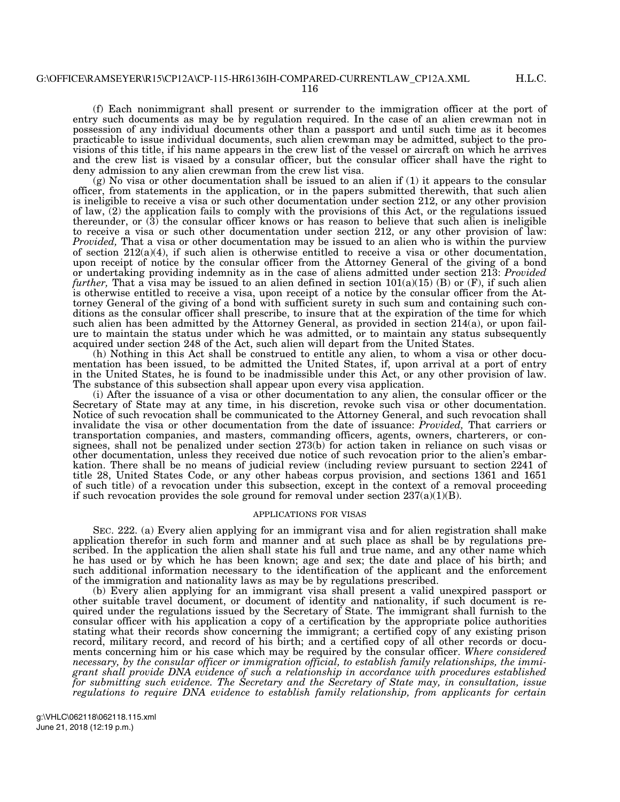(f) Each nonimmigrant shall present or surrender to the immigration officer at the port of entry such documents as may be by regulation required. In the case of an alien crewman not in possession of any individual documents other than a passport and until such time as it becomes practicable to issue individual documents, such alien crewman may be admitted, subject to the provisions of this title, if his name appears in the crew list of the vessel or aircraft on which he arrives and the crew list is visaed by a consular officer, but the consular officer shall have the right to deny admission to any alien crewman from the crew list visa.

 $(g)$  No visa or other documentation shall be issued to an alien if  $(1)$  it appears to the consular officer, from statements in the application, or in the papers submitted therewith, that such alien is ineligible to receive a visa or such other documentation under section 212, or any other provision of law,  $(2)$  the application fails to comply with the provisions of this Act, or the regulations issued thereunder, or  $(3)$  the consular officer knows or has reason to believe that such alien is ineligible to receive a visa or such other documentation under section 212, or any other provision of law: *Provided,* That a visa or other documentation may be issued to an alien who is within the purview of section 212(a)(4), if such alien is otherwise entitled to receive a visa or other documentation, upon receipt of notice by the consular officer from the Attorney General of the giving of a bond or undertaking providing indemnity as in the case of aliens admitted under section 213: *Provided further*, That a visa may be issued to an alien defined in section  $101(a)(15)$  (B) or (F), if such alien is otherwise entitled to receive a visa, upon receipt of a notice by the consular officer from the Attorney General of the giving of a bond with sufficient surety in such sum and containing such conditions as the consular officer shall prescribe, to insure that at the expiration of the time for which such alien has been admitted by the Attorney General, as provided in section 214(a), or upon failure to maintain the status under which he was admitted, or to maintain any status subsequently acquired under section 248 of the Act, such alien will depart from the United States.

(h) Nothing in this Act shall be construed to entitle any alien, to whom a visa or other documentation has been issued, to be admitted the United States, if, upon arrival at a port of entry in the United States, he is found to be inadmissible under this Act, or any other provision of law. The substance of this subsection shall appear upon every visa application.

(i) After the issuance of a visa or other documentation to any alien, the consular officer or the Secretary of State may at any time, in his discretion, revoke such visa or other documentation. Notice of such revocation shall be communicated to the Attorney General, and such revocation shall invalidate the visa or other documentation from the date of issuance: *Provided,* That carriers or transportation companies, and masters, commanding officers, agents, owners, charterers, or consignees, shall not be penalized under section 273(b) for action taken in reliance on such visas or other documentation, unless they received due notice of such revocation prior to the alien's embarkation. There shall be no means of judicial review (including review pursuant to section 2241 of title 28, United States Code, or any other habeas corpus provision, and sections 1361 and 1651 of such title) of a revocation under this subsection, except in the context of a removal proceeding if such revocation provides the sole ground for removal under section  $237(a)(1)(B)$ .

# APPLICATIONS FOR VISAS

SEC. 222. (a) Every alien applying for an immigrant visa and for alien registration shall make application therefor in such form and manner and at such place as shall be by regulations prescribed. In the application the alien shall state his full and true name, and any other name which he has used or by which he has been known; age and sex; the date and place of his birth; and such additional information necessary to the identification of the applicant and the enforcement of the immigration and nationality laws as may be by regulations prescribed.

(b) Every alien applying for an immigrant visa shall present a valid unexpired passport or other suitable travel document, or document of identity and nationality, if such document is required under the regulations issued by the Secretary of State. The immigrant shall furnish to the consular officer with his application a copy of a certification by the appropriate police authorities stating what their records show concerning the immigrant; a certified copy of any existing prison record, military record, and record of his birth; and a certified copy of all other records or documents concerning him or his case which may be required by the consular officer. *Where considered necessary, by the consular officer or immigration official, to establish family relationships, the immigrant shall provide DNA evidence of such a relationship in accordance with procedures established for submitting such evidence. The Secretary and the Secretary of State may, in consultation, issue regulations to require DNA evidence to establish family relationship, from applicants for certain*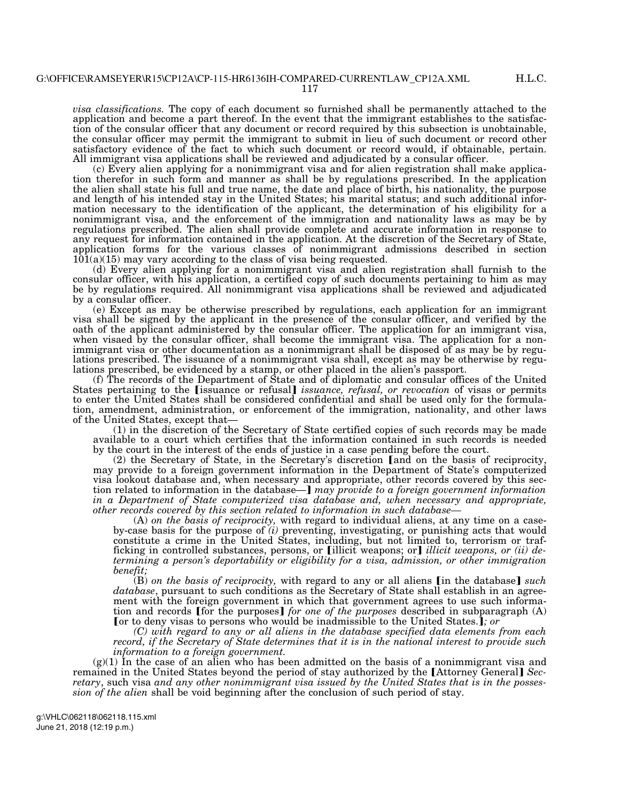H.L.C.

*visa classifications.* The copy of each document so furnished shall be permanently attached to the application and become a part thereof. In the event that the immigrant establishes to the satisfaction of the consular officer that any document or record required by this subsection is unobtainable, the consular officer may permit the immigrant to submit in lieu of such document or record other satisfactory evidence of the fact to which such document or record would, if obtainable, pertain. All immigrant visa applications shall be reviewed and adjudicated by a consular officer.

(c) Every alien applying for a nonimmigrant visa and for alien registration shall make application therefor in such form and manner as shall be by regulations prescribed. In the application the alien shall state his full and true name, the date and place of birth, his nationality, the purpose and length of his intended stay in the United States; his marital status; and such additional information necessary to the identification of the applicant, the determination of his eligibility for a nonimmigrant visa, and the enforcement of the immigration and nationality laws as may be by regulations prescribed. The alien shall provide complete and accurate information in response to any request for information contained in the application. At the discretion of the Secretary of State, application forms for the various classes of nonimmigrant admissions described in section  $101(a)(15)$  may vary according to the class of visa being requested.

(d) Every alien applying for a nonimmigrant visa and alien registration shall furnish to the consular officer, with his application, a certified copy of such documents pertaining to him as may be by regulations required. All nonimmigrant visa applications shall be reviewed and adjudicated by a consular officer.

(e) Except as may be otherwise prescribed by regulations, each application for an immigrant visa shall be signed by the applicant in the presence of the consular officer, and verified by the oath of the applicant administered by the consular officer. The application for an immigrant visa, when visaed by the consular officer, shall become the immigrant visa. The application for a nonimmigrant visa or other documentation as a nonimmigrant shall be disposed of as may be by regulations prescribed. The issuance of a nonimmigrant visa shall, except as may be otherwise by regulations prescribed, be evidenced by a stamp, or other placed in the alien's passport.

(f) The records of the Department of State and of diplomatic and consular offices of the United States pertaining to the *containers* or refusal *issuance*, *refusal, or revocation* of visas or permits to enter the United States shall be considered confidential and shall be used only for the formulation, amendment, administration, or enforcement of the immigration, nationality, and other laws of the United States, except that—

(1) in the discretion of the Secretary of State certified copies of such records may be made available to a court which certifies that the information contained in such records is needed by the court in the interest of the ends of justice in a case pending before the court.

 $(2)$  the Secretary of State, in the Secretary's discretion [and on the basis of reciprocity, may provide to a foreign government information in the Department of State's computerized visa lookout database and, when necessary and appropriate, other records covered by this section related to information in the database— $\mathbf{I}$  *may provide to a foreign government information in a Department of State computerized visa database and, when necessary and appropriate, other records covered by this section related to information in such database—* 

(A) *on the basis of reciprocity,* with regard to individual aliens, at any time on a caseby-case basis for the purpose of *(i)* preventing, investigating, or punishing acts that would constitute a crime in the United States, including, but not limited to, terrorism or trafficking in controlled substances, persons, or **[illicit weapons; or]** *illicit weapons, or (ii) determining a person's deportability or eligibility for a visa, admission, or other immigration benefit;* 

(B) *on the basis of reciprocity*, with regard to any or all aliens [in the database] *such database*, pursuant to such conditions as the Secretary of State shall establish in an agreement with the foreign government in which that government agrees to use such information and records [for the purposes] *for one of the purposes* described in subparagraph  $(A)$ for to deny visas to persons who would be inadmissible to the United States.*]*; or

*(C) with regard to any or all aliens in the database specified data elements from each record, if the Secretary of State determines that it is in the national interest to provide such information to a foreign government.* 

 $(g)(1)$  In the case of an alien who has been admitted on the basis of a nonimmigrant visa and remained in the United States beyond the period of stay authorized by the [Attorney General] Sec*retary*, such visa *and any other nonimmigrant visa issued by the United States that is in the possession of the alien* shall be void beginning after the conclusion of such period of stay.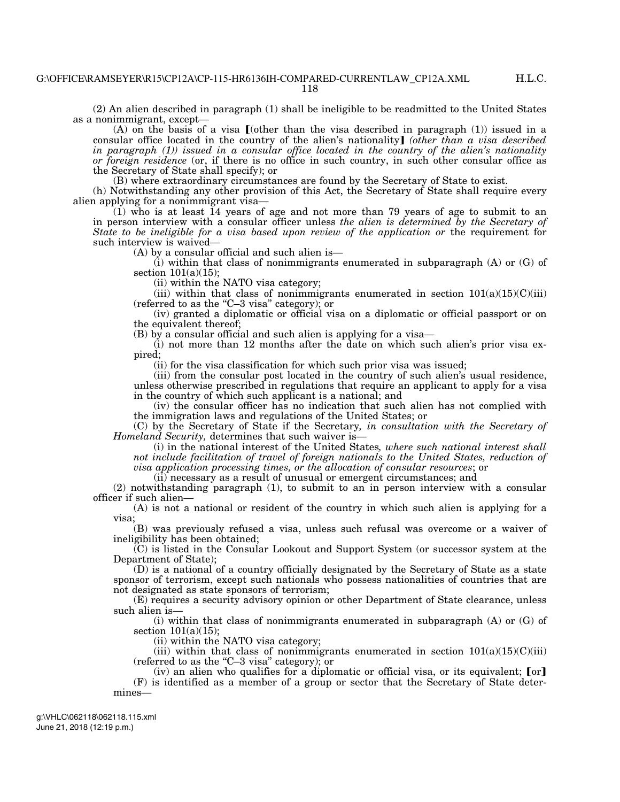(2) An alien described in paragraph (1) shall be ineligible to be readmitted to the United States as a nonimmigrant, except—

(A) on the basis of a visa  $(0)$  other than the visa described in paragraph (1)) issued in a consular office located in the country of the alien's nationality] *(other than a visa described in paragraph (1)) issued in a consular office located in the country of the alien's nationality or foreign residence* (or, if there is no office in such country, in such other consular office as the Secretary of State shall specify); or

(B) where extraordinary circumstances are found by the Secretary of State to exist.

(h) Notwithstanding any other provision of this Act, the Secretary of State shall require every alien applying for a nonimmigrant visa—

 $(1)$  who is at least  $14$  years of age and not more than 79 years of age to submit to an in person interview with a consular officer unless *the alien is determined by the Secretary of State to be ineligible for a visa based upon review of the application or* the requirement for such interview is waived—

(A) by a consular official and such alien is—

 $(i)$  within that class of nonimmigrants enumerated in subparagraph  $(A)$  or  $(G)$  of section  $101(a)(15)$ ;

(ii) within the NATO visa category;

(iii) within that class of nonimmigrants enumerated in section  $101(a)(15)(C)(iii)$ (referred to as the ''C–3 visa'' category); or

(iv) granted a diplomatic or official visa on a diplomatic or official passport or on the equivalent thereof;

(B) by a consular official and such alien is applying for a visa—

(i) not more than 12 months after the date on which such alien's prior visa expired;

(ii) for the visa classification for which such prior visa was issued;

(iii) from the consular post located in the country of such alien's usual residence, unless otherwise prescribed in regulations that require an applicant to apply for a visa in the country of which such applicant is a national; and

(iv) the consular officer has no indication that such alien has not complied with the immigration laws and regulations of the United States; or

(C) by the Secretary of State if the Secretary*, in consultation with the Secretary of Homeland Security,* determines that such waiver is—

(i) in the national interest of the United States*, where such national interest shall not include facilitation of travel of foreign nationals to the United States, reduction of visa application processing times, or the allocation of consular resources*; or

(ii) necessary as a result of unusual or emergent circumstances; and

(2) notwithstanding paragraph (1), to submit to an in person interview with a consular officer if such alien—

(A) is not a national or resident of the country in which such alien is applying for a visa;

(B) was previously refused a visa, unless such refusal was overcome or a waiver of ineligibility has been obtained;

(C) is listed in the Consular Lookout and Support System (or successor system at the Department of State);

(D) is a national of a country officially designated by the Secretary of State as a state sponsor of terrorism, except such nationals who possess nationalities of countries that are not designated as state sponsors of terrorism;

(E) requires a security advisory opinion or other Department of State clearance, unless such alien is—

(i) within that class of nonimmigrants enumerated in subparagraph (A) or (G) of section 101(a)(15);

(ii) within the NATO visa category;

(iii) within that class of nonimmigrants enumerated in section  $101(a)(15)(C)(iii)$ (referred to as the "C-3 visa" category); or

 $(iv)$  an alien who qualifies for a diplomatic or official visa, or its equivalent;  $[or]$ (F) is identified as a member of a group or sector that the Secretary of State determines—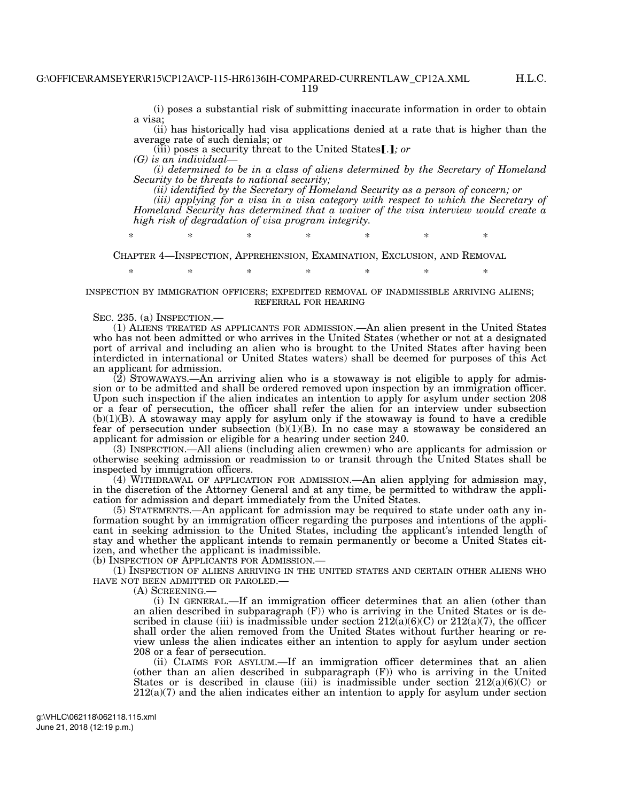(i) poses a substantial risk of submitting inaccurate information in order to obtain a visa;

(ii) has historically had visa applications denied at a rate that is higher than the average rate of such denials; or

(iii) poses a security threat to the United States  $[]$ *; or* 

*(G) is an individual—* 

*(i) determined to be in a class of aliens determined by the Secretary of Homeland Security to be threats to national security;* 

*(ii) identified by the Secretary of Homeland Security as a person of concern; or* 

*(iii) applying for a visa in a visa category with respect to which the Secretary of Homeland Security has determined that a waiver of the visa interview would create a high risk of degradation of visa program integrity.* 

\* \* \* \* \* \* \*

CHAPTER 4—INSPECTION, APPREHENSION, EXAMINATION, EXCLUSION, AND REMOVAL

\* \* \* \* \* \* \* \*

# INSPECTION BY IMMIGRATION OFFICERS; EXPEDITED REMOVAL OF INADMISSIBLE ARRIVING ALIENS; REFERRAL FOR HEARING

SEC. 235. (a) INSPECTION.—

(1) ALIENS TREATED AS APPLICANTS FOR ADMISSION.—An alien present in the United States who has not been admitted or who arrives in the United States (whether or not at a designated port of arrival and including an alien who is brought to the United States after having been interdicted in international or United States waters) shall be deemed for purposes of this Act an applicant for admission.

(2) STOWAWAYS.—An arriving alien who is a stowaway is not eligible to apply for admission or to be admitted and shall be ordered removed upon inspection by an immigration officer. Upon such inspection if the alien indicates an intention to apply for asylum under section 208 or a fear of persecution, the officer shall refer the alien for an interview under subsection  $(b)(1)(B)$ . A stowaway may apply for asylum only if the stowaway is found to have a credible fear of persecution under subsection  $(b)(1)(B)$ . In no case may a stowaway be considered an applicant for admission or eligible for a hearing under section 240.

(3) INSPECTION.—All aliens (including alien crewmen) who are applicants for admission or otherwise seeking admission or readmission to or transit through the United States shall be inspected by immigration officers.

(4) WITHDRAWAL OF APPLICATION FOR ADMISSION.—An alien applying for admission may, in the discretion of the Attorney General and at any time, be permitted to withdraw the application for admission and depart immediately from the United States.

(5) STATEMENTS.—An applicant for admission may be required to state under oath any information sought by an immigration officer regarding the purposes and intentions of the applicant in seeking admission to the United States, including the applicant's intended length of stay and whether the applicant intends to remain permanently or become a United States citizen, and whether the applicant is inadmissible.<br>(b) INSPECTION OF APPLICANTS FOR ADMISSION.—

(1) INSPECTION OF ALIENS ARRIVING IN THE UNITED STATES AND CERTAIN OTHER ALIENS WHO HAVE NOT BEEN ADMITTED OR PAROLED.—

(A) SCREENING.—<br>(i) IN GENERAL.—If an immigration officer determines that an alien (other than an alien described in subparagraph (F)) who is arriving in the United States or is described in clause (iii) is inadmissible under section  $212(a)(6)(C)$  or  $212(a)(7)$ , the officer shall order the alien removed from the United States without further hearing or review unless the alien indicates either an intention to apply for asylum under section 208 or a fear of persecution.

(ii) CLAIMS FOR ASYLUM.—If an immigration officer determines that an alien (other than an alien described in subparagraph (F)) who is arriving in the United States or is described in clause (iii) is inadmissible under section  $212(a)(6)(C)$  or  $212(a)(7)$  and the alien indicates either an intention to apply for asylum under section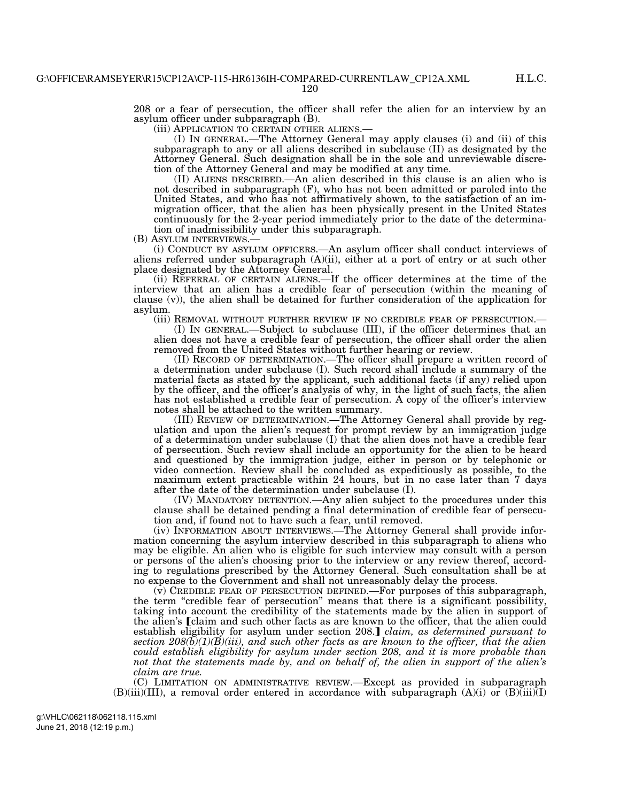120

208 or a fear of persecution, the officer shall refer the alien for an interview by an asylum officer under subparagraph (B).<br>(iii) APPLICATION TO CERTAIN OTHER ALIENS.—

(I) In GENERAL.—The Attorney General may apply clauses (i) and (ii) of this subparagraph to any or all aliens described in subclause (II) as designated by the Attorney General. Such designation shall be in the sole and unreviewable discretion of the Attorney General and may be modified at any time.

(II) ALIENS DESCRIBED.—An alien described in this clause is an alien who is not described in subparagraph (F), who has not been admitted or paroled into the United States, and who has not affirmatively shown, to the satisfaction of an immigration officer, that the alien has been physically present in the United States continuously for the 2-year period immediately prior to the date of the determination of inadmissibility under this subparagraph.

(B) ASYLUM INTERVIEWS.— (i) CONDUCT BY ASYLUM OFFICERS.—An asylum officer shall conduct interviews of aliens referred under subparagraph (A)(ii), either at a port of entry or at such other place designated by the Attorney General.

(ii) REFERRAL OF CERTAIN ALIENS.—If the officer determines at the time of the interview that an alien has a credible fear of persecution (within the meaning of clause  $(v)$ ), the alien shall be detained for further consideration of the application for asylum.<br>(iii) REMOVAL WITHOUT FURTHER REVIEW IF NO CREDIBLE FEAR OF PERSECUTION.—

(I) IN GENERAL.—Subject to subclause (III), if the officer determines that an alien does not have a credible fear of persecution, the officer shall order the alien removed from the United States without further hearing or review.

(II) RECORD OF DETERMINATION.—The officer shall prepare a written record of a determination under subclause (I). Such record shall include a summary of the material facts as stated by the applicant, such additional facts (if any) relied upon by the officer, and the officer's analysis of why, in the light of such facts, the alien has not established a credible fear of persecution. A copy of the officer's interview notes shall be attached to the written summary.

(III) REVIEW OF DETERMINATION.—The Attorney General shall provide by regulation and upon the alien's request for prompt review by an immigration judge of a determination under subclause (I) that the alien does not have a credible fear of persecution. Such review shall include an opportunity for the alien to be heard and questioned by the immigration judge, either in person or by telephonic or video connection. Review shall be concluded as expeditiously as possible, to the maximum extent practicable within 24 hours, but in no case later than 7 days after the date of the determination under subclause (I).

(IV) MANDATORY DETENTION.—Any alien subject to the procedures under this clause shall be detained pending a final determination of credible fear of persecution and, if found not to have such a fear, until removed.

(iv) INFORMATION ABOUT INTERVIEWS.—The Attorney General shall provide information concerning the asylum interview described in this subparagraph to aliens who may be eligible. An alien who is eligible for such interview may consult with a person or persons of the alien's choosing prior to the interview or any review thereof, according to regulations prescribed by the Attorney General. Such consultation shall be at no expense to the Government and shall not unreasonably delay the process.

 $(v)$  CREDIBLE FEAR OF PERSECUTION DEFINED.—For purposes of this subparagraph, the term ''credible fear of persecution'' means that there is a significant possibility, taking into account the credibility of the statements made by the alien in support of the alien's [claim and such other facts as are known to the officer, that the alien could establish eligibility for asylum under section 208.] *claim, as determined pursuant to* section  $208(b)(1)(B)(iii)$ , and such other facts as are known to the officer, that the alien *could establish eligibility for asylum under section 208, and it is more probable than not that the statements made by, and on behalf of, the alien in support of the alien's claim are true.* 

(C) LIMITATION ON ADMINISTRATIVE REVIEW.—Except as provided in subparagraph  $(B)(iii)(III)$ , a removal order entered in accordance with subparagraph  $(A)(i)$  or  $(B)(iii)(I)$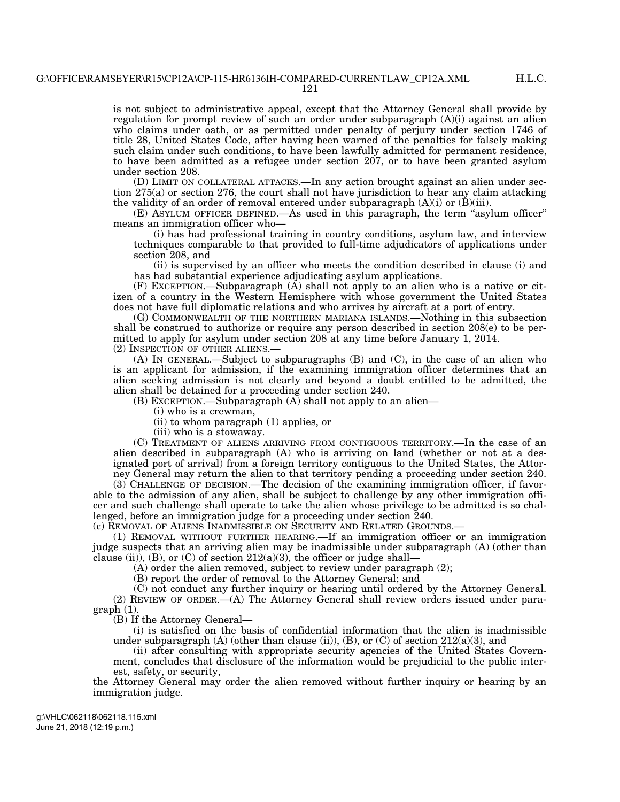H.L.C.

is not subject to administrative appeal, except that the Attorney General shall provide by regulation for prompt review of such an order under subparagraph (A)(i) against an alien who claims under oath, or as permitted under penalty of perjury under section 1746 of title 28, United States Code, after having been warned of the penalties for falsely making such claim under such conditions, to have been lawfully admitted for permanent residence, to have been admitted as a refugee under section 207, or to have been granted asylum under section 208.

(D) LIMIT ON COLLATERAL ATTACKS.—In any action brought against an alien under section 275(a) or section 276, the court shall not have jurisdiction to hear any claim attacking the validity of an order of removal entered under subparagraph  $(A)(i)$  or  $(B)(iii)$ .

(E) ASYLUM OFFICER DEFINED.—As used in this paragraph, the term ''asylum officer'' means an immigration officer who—

(i) has had professional training in country conditions, asylum law, and interview techniques comparable to that provided to full-time adjudicators of applications under section 208, and

(ii) is supervised by an officer who meets the condition described in clause (i) and has had substantial experience adjudicating asylum applications.

(F) EXCEPTION.—Subparagraph (A) shall not apply to an alien who is a native or citizen of a country in the Western Hemisphere with whose government the United States does not have full diplomatic relations and who arrives by aircraft at a port of entry.

(G) COMMONWEALTH OF THE NORTHERN MARIANA ISLANDS.—Nothing in this subsection shall be construed to authorize or require any person described in section  $208(e)$  to be permitted to apply for asylum under section 208 at any time before January 1, 2014. (2) INSPECTION OF OTHER ALIENS.—

(A) IN GENERAL.—Subject to subparagraphs (B) and (C), in the case of an alien who is an applicant for admission, if the examining immigration officer determines that an alien seeking admission is not clearly and beyond a doubt entitled to be admitted, the alien shall be detained for a proceeding under section 240.

(B) EXCEPTION.—Subparagraph (A) shall not apply to an alien—

(i) who is a crewman,

(ii) to whom paragraph (1) applies, or

(iii) who is a stowaway.

(C) TREATMENT OF ALIENS ARRIVING FROM CONTIGUOUS TERRITORY.—In the case of an alien described in subparagraph (A) who is arriving on land (whether or not at a designated port of arrival) from a foreign territory contiguous to the United States, the Attorney General may return the alien to that territory pending a proceeding under section 240.

(3) CHALLENGE OF DECISION.—The decision of the examining immigration officer, if favorable to the admission of any alien, shall be subject to challenge by any other immigration officer and such challenge shall operate to take the alien whose privilege to be admitted is so challenged, before an immigration judge for a proceeding under section 240.

(c) REMOVAL OF ALIENS INADMISSIBLE ON SECURITY AND RELATED GROUNDS.—

(1) REMOVAL WITHOUT FURTHER HEARING.—If an immigration officer or an immigration judge suspects that an arriving alien may be inadmissible under subparagraph (A) (other than clause (ii)), (B), or (C) of section 212(a)(3), the officer or judge shall—

(A) order the alien removed, subject to review under paragraph (2);

(B) report the order of removal to the Attorney General; and

(C) not conduct any further inquiry or hearing until ordered by the Attorney General. (2) REVIEW OF ORDER.—(A) The Attorney General shall review orders issued under paragraph (1).

(B) If the Attorney General—

(i) is satisfied on the basis of confidential information that the alien is inadmissible under subparagraph  $(A)$  (other than clause (ii)),  $(B)$ , or  $(C)$  of section 212(a)(3), and

(ii) after consulting with appropriate security agencies of the United States Government, concludes that disclosure of the information would be prejudicial to the public interest, safety, or security,

the Attorney General may order the alien removed without further inquiry or hearing by an immigration judge.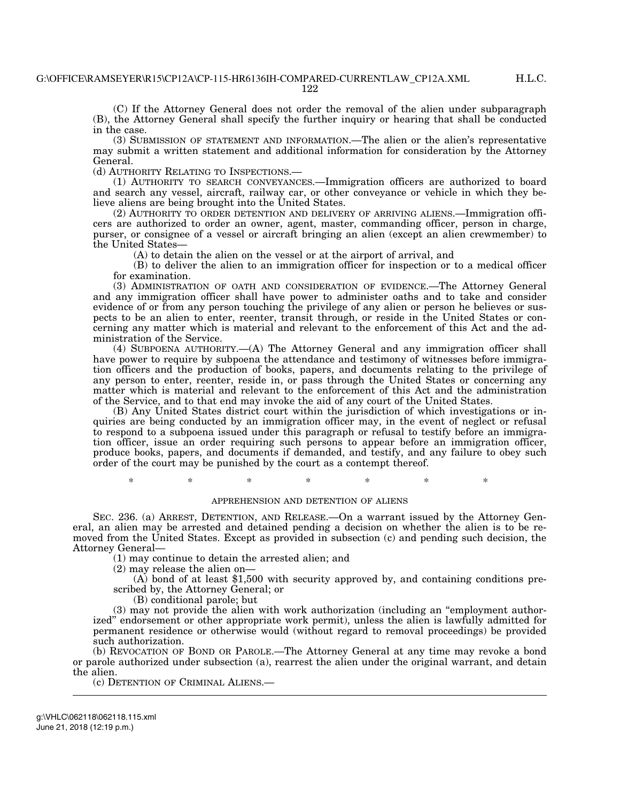(C) If the Attorney General does not order the removal of the alien under subparagraph (B), the Attorney General shall specify the further inquiry or hearing that shall be conducted in the case.

(3) SUBMISSION OF STATEMENT AND INFORMATION.—The alien or the alien's representative may submit a written statement and additional information for consideration by the Attorney General.

(d) AUTHORITY RELATING TO INSPECTIONS.—

(1) AUTHORITY TO SEARCH CONVEYANCES.—Immigration officers are authorized to board and search any vessel, aircraft, railway car, or other conveyance or vehicle in which they believe aliens are being brought into the United States.

(2) AUTHORITY TO ORDER DETENTION AND DELIVERY OF ARRIVING ALIENS.—Immigration officers are authorized to order an owner, agent, master, commanding officer, person in charge, purser, or consignee of a vessel or aircraft bringing an alien (except an alien crewmember) to the United States—

(A) to detain the alien on the vessel or at the airport of arrival, and

(B) to deliver the alien to an immigration officer for inspection or to a medical officer for examination.

(3) ADMINISTRATION OF OATH AND CONSIDERATION OF EVIDENCE.—The Attorney General and any immigration officer shall have power to administer oaths and to take and consider evidence of or from any person touching the privilege of any alien or person he believes or suspects to be an alien to enter, reenter, transit through, or reside in the United States or concerning any matter which is material and relevant to the enforcement of this Act and the administration of the Service.

(4) SUBPOENA AUTHORITY.—(A) The Attorney General and any immigration officer shall have power to require by subpoena the attendance and testimony of witnesses before immigration officers and the production of books, papers, and documents relating to the privilege of any person to enter, reenter, reside in, or pass through the United States or concerning any matter which is material and relevant to the enforcement of this Act and the administration of the Service, and to that end may invoke the aid of any court of the United States.

(B) Any United States district court within the jurisdiction of which investigations or inquiries are being conducted by an immigration officer may, in the event of neglect or refusal to respond to a subpoena issued under this paragraph or refusal to testify before an immigration officer, issue an order requiring such persons to appear before an immigration officer, produce books, papers, and documents if demanded, and testify, and any failure to obey such order of the court may be punished by the court as a contempt thereof.

\* \* \* \* \* \* \*

# APPREHENSION AND DETENTION OF ALIENS

SEC. 236. (a) ARREST, DETENTION, AND RELEASE.—On a warrant issued by the Attorney General, an alien may be arrested and detained pending a decision on whether the alien is to be removed from the United States. Except as provided in subsection (c) and pending such decision, the Attorney General—

(1) may continue to detain the arrested alien; and

(2) may release the alien on—

(A) bond of at least \$1,500 with security approved by, and containing conditions prescribed by, the Attorney General; or

(B) conditional parole; but

(3) may not provide the alien with work authorization (including an ''employment authorized'' endorsement or other appropriate work permit), unless the alien is lawfully admitted for permanent residence or otherwise would (without regard to removal proceedings) be provided such authorization.

(b) REVOCATION OF BOND OR PAROLE.—The Attorney General at any time may revoke a bond or parole authorized under subsection (a), rearrest the alien under the original warrant, and detain the alien.

(c) DETENTION OF CRIMINAL ALIENS.—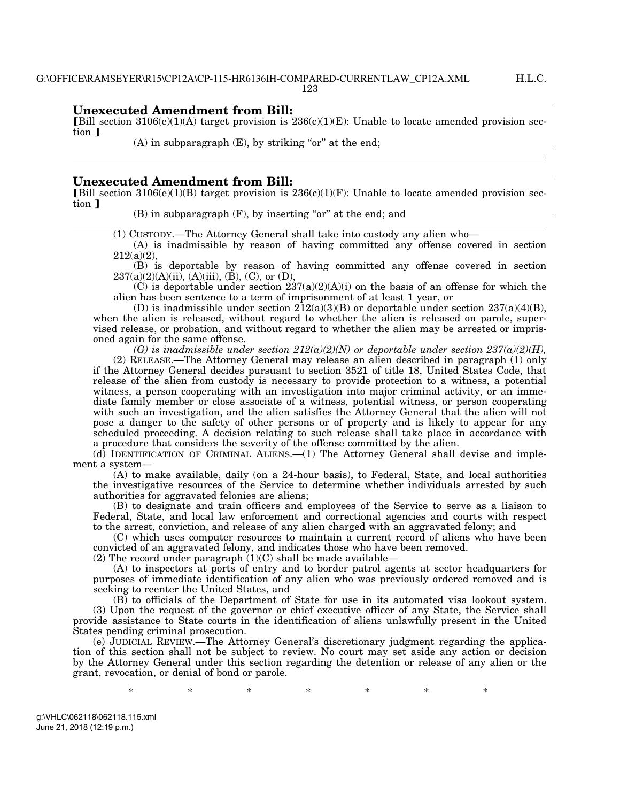# **Unexecuted Amendment from Bill:**

[Bill section 3106(e)(1)(A) target provision is  $236(c)(1)(E)$ : Unable to locate amended provision section 1

 $(A)$  in subparagraph  $(E)$ , by striking "or" at the end;

# **Unexecuted Amendment from Bill:**

[Bill section 3106(e)(1)(B) target provision is  $236(c)(1)(F)$ : Unable to locate amended provision section 1

 $(B)$  in subparagraph  $(F)$ , by inserting "or" at the end; and

(1) CUSTODY.—The Attorney General shall take into custody any alien who—

(A) is inadmissible by reason of having committed any offense covered in section  $212(a)(2)$ ,

(B) is deportable by reason of having committed any offense covered in section  $237(a)(2)(A)(ii)$ , (A)(iii), (B), (C), or (D),

(C) is deportable under section  $237(a)(2)(A)(i)$  on the basis of an offense for which the alien has been sentence to a term of imprisonment of at least 1 year, or

(D) is inadmissible under section  $2\overline{1}2(a)(3)(B)$  or deportable under section  $2\overline{37}(a)(4)(B)$ , when the alien is released, without regard to whether the alien is released on parole, supervised release, or probation, and without regard to whether the alien may be arrested or imprisoned again for the same offense.

*(G) is inadmissible under section*  $212(a)(2)(N)$  *or deportable under section*  $237(a)(2)(H)$ *,* (2) RELEASE.—The Attorney General may release an alien described in paragraph (1) only if the Attorney General decides pursuant to section 3521 of title 18, United States Code, that release of the alien from custody is necessary to provide protection to a witness, a potential witness, a person cooperating with an investigation into major criminal activity, or an immediate family member or close associate of a witness, potential witness, or person cooperating with such an investigation, and the alien satisfies the Attorney General that the alien will not pose a danger to the safety of other persons or of property and is likely to appear for any scheduled proceeding. A decision relating to such release shall take place in accordance with a procedure that considers the severity of the offense committed by the alien.

(d) IDENTIFICATION OF CRIMINAL ALIENS.—(1) The Attorney General shall devise and implement a system—

(A) to make available, daily (on a 24-hour basis), to Federal, State, and local authorities the investigative resources of the Service to determine whether individuals arrested by such authorities for aggravated felonies are aliens;

(B) to designate and train officers and employees of the Service to serve as a liaison to Federal, State, and local law enforcement and correctional agencies and courts with respect to the arrest, conviction, and release of any alien charged with an aggravated felony; and

(C) which uses computer resources to maintain a current record of aliens who have been convicted of an aggravated felony, and indicates those who have been removed.

(2) The record under paragraph  $(1)(C)$  shall be made available—

(A) to inspectors at ports of entry and to border patrol agents at sector headquarters for purposes of immediate identification of any alien who was previously ordered removed and is seeking to reenter the United States, and

(B) to officials of the Department of State for use in its automated visa lookout system. (3) Upon the request of the governor or chief executive officer of any State, the Service shall provide assistance to State courts in the identification of aliens unlawfully present in the United States pending criminal prosecution.

(e) JUDICIAL REVIEW.—The Attorney General's discretionary judgment regarding the application of this section shall not be subject to review. No court may set aside any action or decision by the Attorney General under this section regarding the detention or release of any alien or the grant, revocation, or denial of bond or parole.

\* \* \* \* \* \* \* \*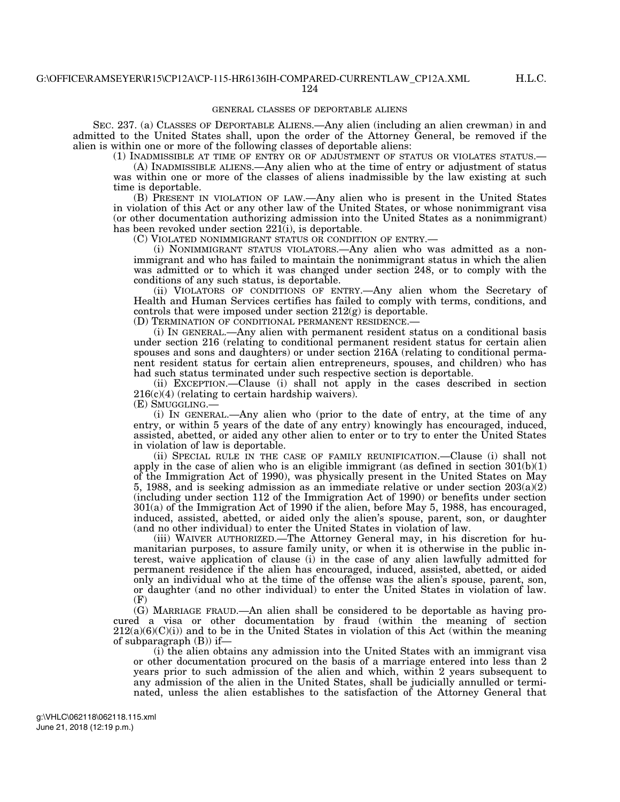## GENERAL CLASSES OF DEPORTABLE ALIENS

SEC. 237. (a) CLASSES OF DEPORTABLE ALIENS.—Any alien (including an alien crewman) in and admitted to the United States shall, upon the order of the Attorney General, be removed if the alien is within one or more of the following classes of deportable aliens:

(1) INADMISSIBLE AT TIME OF ENTRY OR OF ADJUSTMENT OF STATUS OR VIOLATES STATUS.—

(A) INADMISSIBLE ALIENS.—Any alien who at the time of entry or adjustment of status was within one or more of the classes of aliens inadmissible by the law existing at such time is deportable.

(B) PRESENT IN VIOLATION OF LAW.—Any alien who is present in the United States in violation of this Act or any other law of the United States, or whose nonimmigrant visa (or other documentation authorizing admission into the United States as a nonimmigrant) has been revoked under section 221(i), is deportable.

(C) VIOLATED NONIMMIGRANT STATUS OR CONDITION OF ENTRY.—

(i) NONIMMIGRANT STATUS VIOLATORS.—Any alien who was admitted as a nonimmigrant and who has failed to maintain the nonimmigrant status in which the alien was admitted or to which it was changed under section 248, or to comply with the conditions of any such status, is deportable.

(ii) VIOLATORS OF CONDITIONS OF ENTRY.—Any alien whom the Secretary of Health and Human Services certifies has failed to comply with terms, conditions, and controls that were imposed under section 212(g) is deportable.

(D) TERMINATION OF CONDITIONAL PERMANENT RESIDENCE.—

(i) IN GENERAL.—Any alien with permanent resident status on a conditional basis under section 216 (relating to conditional permanent resident status for certain alien spouses and sons and daughters) or under section 216A (relating to conditional permanent resident status for certain alien entrepreneurs, spouses, and children) who has had such status terminated under such respective section is deportable.

(ii) EXCEPTION.—Clause (i) shall not apply in the cases described in section  $216(c)(4)$  (relating to certain hardship waivers).

(E) SMUGGLING.—

(i) IN GENERAL.—Any alien who (prior to the date of entry, at the time of any entry, or within 5 years of the date of any entry) knowingly has encouraged, induced, assisted, abetted, or aided any other alien to enter or to try to enter the United States in violation of law is deportable.

(ii) SPECIAL RULE IN THE CASE OF FAMILY REUNIFICATION.—Clause (i) shall not apply in the case of alien who is an eligible immigrant (as defined in section  $301(b)(1)$ ) of the Immigration Act of 1990), was physically present in the United States on May 5, 1988, and is seeking admission as an immediate relative or under section  $203(a)(2)$ (including under section 112 of the Immigration Act of 1990) or benefits under section 301(a) of the Immigration Act of 1990 if the alien, before May 5, 1988, has encouraged, induced, assisted, abetted, or aided only the alien's spouse, parent, son, or daughter (and no other individual) to enter the United States in violation of law.

(iii) WAIVER AUTHORIZED.—The Attorney General may, in his discretion for humanitarian purposes, to assure family unity, or when it is otherwise in the public interest, waive application of clause (i) in the case of any alien lawfully admitted for permanent residence if the alien has encouraged, induced, assisted, abetted, or aided only an individual who at the time of the offense was the alien's spouse, parent, son, or daughter (and no other individual) to enter the United States in violation of law. (F)

(G) MARRIAGE FRAUD.—An alien shall be considered to be deportable as having procured a visa or other documentation by fraud (within the meaning of section  $212(a)(6)(C)(i)$  and to be in the United States in violation of this Act (within the meaning of subparagraph  $(B)$  if-

(i) the alien obtains any admission into the United States with an immigrant visa or other documentation procured on the basis of a marriage entered into less than 2 years prior to such admission of the alien and which, within 2 years subsequent to any admission of the alien in the United States, shall be judicially annulled or terminated, unless the alien establishes to the satisfaction of the Attorney General that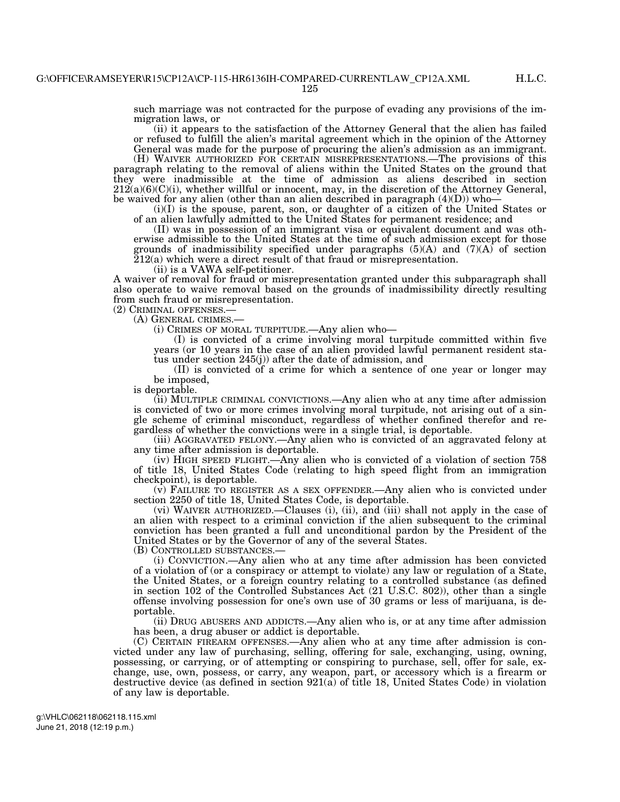125

H.L.C.

such marriage was not contracted for the purpose of evading any provisions of the immigration laws, or

(ii) it appears to the satisfaction of the Attorney General that the alien has failed or refused to fulfill the alien's marital agreement which in the opinion of the Attorney General was made for the purpose of procuring the alien's admission as an immigrant. (H) WAIVER AUTHORIZED FOR CERTAIN MISREPRESENTATIONS.—The provisions of this

paragraph relating to the removal of aliens within the United States on the ground that they were inadmissible at the time of admission as aliens described in section  $212(a)(6)(C)(i)$ , whether willful or innocent, may, in the discretion of the Attorney General, be waived for any alien (other than an alien described in paragraph  $(4)(D)$ ) who-

(i)(I) is the spouse, parent, son, or daughter of a citizen of the United States or of an alien lawfully admitted to the United States for permanent residence; and

(II) was in possession of an immigrant visa or equivalent document and was otherwise admissible to the United States at the time of such admission except for those grounds of inadmissibility specified under paragraphs  $(5)(A)$  and  $(7)(A)$  of section 212(a) which were a direct result of that fraud or misrepresentation.

(ii) is a VAWA self-petitioner.

A waiver of removal for fraud or misrepresentation granted under this subparagraph shall also operate to waive removal based on the grounds of inadmissibility directly resulting from such fraud or misrepresentation.

(2) CRIMINAL OFFENSES.—<br>
(A) GENERAL CRIMES.—<br>
(i) CRIMES OF MORAL TURPITUDE.—Any alien who—

(I) is convicted of a crime involving moral turpitude committed within five years (or 10 years in the case of an alien provided lawful permanent resident status under section 245(j)) after the date of admission, and

(II) is convicted of a crime for which a sentence of one year or longer may be imposed,

is deportable.

(ii) MULTIPLE CRIMINAL CONVICTIONS.—Any alien who at any time after admission is convicted of two or more crimes involving moral turpitude, not arising out of a single scheme of criminal misconduct, regardless of whether confined therefor and regardless of whether the convictions were in a single trial, is deportable.

(iii) AGGRAVATED FELONY.—Any alien who is convicted of an aggravated felony at any time after admission is deportable.

(iv) HIGH SPEED FLIGHT.—Any alien who is convicted of a violation of section 758 of title 18, United States Code (relating to high speed flight from an immigration checkpoint), is deportable.

 $(v)$  FAILURE TO REGISTER AS A SEX OFFENDER.—Any alien who is convicted under section 2250 of title 18, United States Code, is deportable.

(vi) WAIVER AUTHORIZED.—Clauses (i), (ii), and (iii) shall not apply in the case of an alien with respect to a criminal conviction if the alien subsequent to the criminal conviction has been granted a full and unconditional pardon by the President of the United States or by the Governor of any of the several States.

(B) CONTROLLED SUBSTANCES.—

(i) CONVICTION.—Any alien who at any time after admission has been convicted of a violation of (or a conspiracy or attempt to violate) any law or regulation of a State, the United States, or a foreign country relating to a controlled substance (as defined in section 102 of the Controlled Substances Act (21 U.S.C. 802)), other than a single offense involving possession for one's own use of 30 grams or less of marijuana, is deportable.

(ii) DRUG ABUSERS AND ADDICTS.—Any alien who is, or at any time after admission has been, a drug abuser or addict is deportable.

(C) CERTAIN FIREARM OFFENSES.—Any alien who at any time after admission is convicted under any law of purchasing, selling, offering for sale, exchanging, using, owning, possessing, or carrying, or of attempting or conspiring to purchase, sell, offer for sale, exchange, use, own, possess, or carry, any weapon, part, or accessory which is a firearm or destructive device (as defined in section 921(a) of title 18, United States Code) in violation of any law is deportable.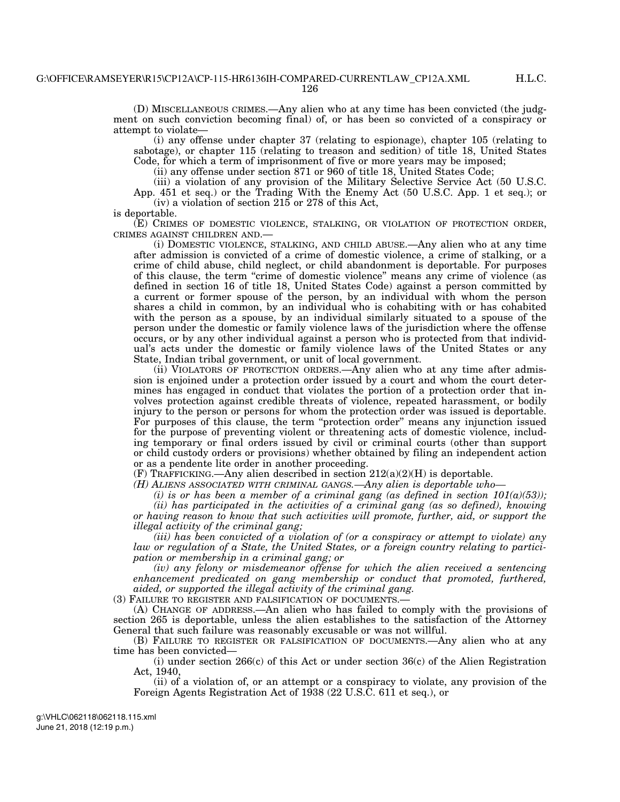H.L.C.

(D) MISCELLANEOUS CRIMES.—Any alien who at any time has been convicted (the judgment on such conviction becoming final) of, or has been so convicted of a conspiracy or attempt to violate—

(i) any offense under chapter 37 (relating to espionage), chapter 105 (relating to sabotage), or chapter 115 (relating to treason and sedition) of title 18, United States Code, for which a term of imprisonment of five or more years may be imposed;

(ii) any offense under section 871 or 960 of title 18, United States Code;

(iii) a violation of any provision of the Military Selective Service Act (50 U.S.C. App. 451 et seq.) or the Trading With the Enemy Act (50 U.S.C. App. 1 et seq.); or (iv) a violation of section 215 or 278 of this Act,

is deportable.

(E) CRIMES OF DOMESTIC VIOLENCE, STALKING, OR VIOLATION OF PROTECTION ORDER, CRIMES AGAINST CHILDREN AND.—

(i) DOMESTIC VIOLENCE, STALKING, AND CHILD ABUSE.—Any alien who at any time after admission is convicted of a crime of domestic violence, a crime of stalking, or a crime of child abuse, child neglect, or child abandonment is deportable. For purposes of this clause, the term ''crime of domestic violence'' means any crime of violence (as defined in section 16 of title 18, United States Code) against a person committed by a current or former spouse of the person, by an individual with whom the person shares a child in common, by an individual who is cohabiting with or has cohabited with the person as a spouse, by an individual similarly situated to a spouse of the person under the domestic or family violence laws of the jurisdiction where the offense occurs, or by any other individual against a person who is protected from that individual's acts under the domestic or family violence laws of the United States or any State, Indian tribal government, or unit of local government.

(ii) VIOLATORS OF PROTECTION ORDERS.—Any alien who at any time after admission is enjoined under a protection order issued by a court and whom the court determines has engaged in conduct that violates the portion of a protection order that involves protection against credible threats of violence, repeated harassment, or bodily injury to the person or persons for whom the protection order was issued is deportable. For purposes of this clause, the term "protection order" means any injunction issued for the purpose of preventing violent or threatening acts of domestic violence, including temporary or final orders issued by civil or criminal courts (other than support or child custody orders or provisions) whether obtained by filing an independent action or as a pendente lite order in another proceeding.

(F) TRAFFICKING.—Any alien described in section  $212(a)(2)(H)$  is deportable.

*(H) ALIENS ASSOCIATED WITH CRIMINAL GANGS.—Any alien is deportable who—* 

(*i*) is or has been a member of a criminal gang (as defined in section  $101(a)(53)$ );

*(ii) has participated in the activities of a criminal gang (as so defined), knowing or having reason to know that such activities will promote, further, aid, or support the illegal activity of the criminal gang;* 

*(iii) has been convicted of a violation of (or a conspiracy or attempt to violate) any law or regulation of a State, the United States, or a foreign country relating to participation or membership in a criminal gang; or* 

*(iv) any felony or misdemeanor offense for which the alien received a sentencing*  enhancement predicated on gang membership or conduct that promoted, furthered, *aided, or supported the illegal activity of the criminal gang.* 

(3) FAILURE TO REGISTER AND FALSIFICATION OF DOCUMENTS.—

(A) CHANGE OF ADDRESS.—An alien who has failed to comply with the provisions of section 265 is deportable, unless the alien establishes to the satisfaction of the Attorney General that such failure was reasonably excusable or was not willful.

(B) FAILURE TO REGISTER OR FALSIFICATION OF DOCUMENTS.—Any alien who at any time has been convicted—

(i) under section 266(c) of this Act or under section 36(c) of the Alien Registration Act, 1940,

(ii) of a violation of, or an attempt or a conspiracy to violate, any provision of the Foreign Agents Registration Act of 1938 (22 U.S.C. 611 et seq.), or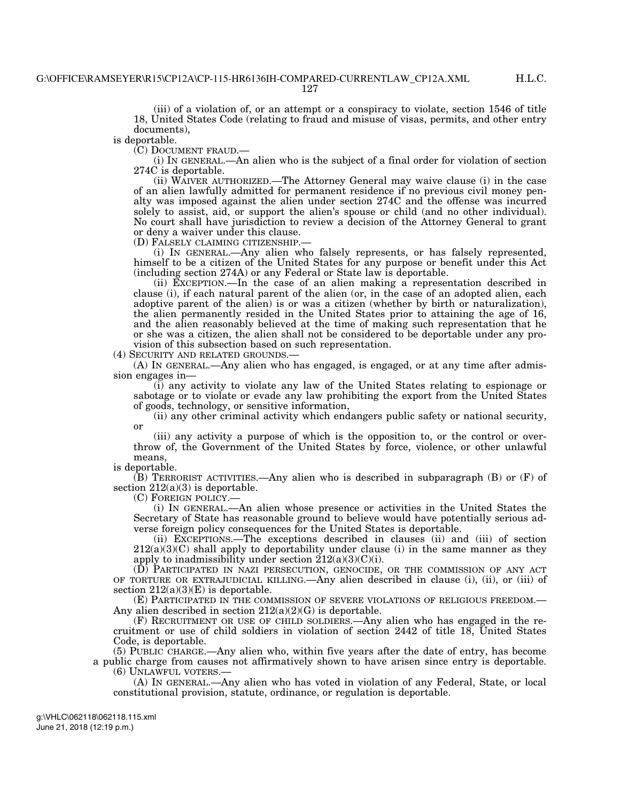(iii) of a violation of, or an attempt or a conspiracy to violate, section 1546 of title 18, United States Code (relating to fraud and misuse of visas, permits, and other entry documents),

is deportable.

(C) DOCUMENT FRAUD.—

(i) IN GENERAL.—An alien who is the subject of a final order for violation of section 274C is deportable.

(ii) WAIVER AUTHORIZED.—The Attorney General may waive clause (i) in the case of an alien lawfully admitted for permanent residence if no previous civil money penalty was imposed against the alien under section 274C and the offense was incurred solely to assist, aid, or support the alien's spouse or child (and no other individual). No court shall have jurisdiction to review a decision of the Attorney General to grant or deny a waiver under this clause.

(D) FALSELY CLAIMING CITIZENSHIP.—

(i) IN GENERAL.—Any alien who falsely represents, or has falsely represented, himself to be a citizen of the United States for any purpose or benefit under this Act (including section 274A) or any Federal or State law is deportable.

(ii) EXCEPTION.—In the case of an alien making a representation described in clause (i), if each natural parent of the alien (or, in the case of an adopted alien, each adoptive parent of the alien) is or was a citizen (whether by birth or naturalization), the alien permanently resided in the United States prior to attaining the age of 16, and the alien reasonably believed at the time of making such representation that he or she was a citizen, the alien shall not be considered to be deportable under any provision of this subsection based on such representation.

(4) SECURITY AND RELATED GROUNDS.—

(A) IN GENERAL.—Any alien who has engaged, is engaged, or at any time after admission engages in—

(i) any activity to violate any law of the United States relating to espionage or sabotage or to violate or evade any law prohibiting the export from the United States of goods, technology, or sensitive information,

(ii) any other criminal activity which endangers public safety or national security, or

(iii) any activity a purpose of which is the opposition to, or the control or overthrow of, the Government of the United States by force, violence, or other unlawful means,

is deportable.

(B) TERRORIST ACTIVITIES.—Any alien who is described in subparagraph (B) or (F) of section  $212(a)(3)$  is deportable.

(C) FOREIGN POLICY.—

(i) IN GENERAL.—An alien whose presence or activities in the United States the Secretary of State has reasonable ground to believe would have potentially serious adverse foreign policy consequences for the United States is deportable.

(ii) EXCEPTIONS.—The exceptions described in clauses (ii) and (iii) of section  $212(a)(3)(C)$  shall apply to deportability under clause (i) in the same manner as they apply to inadmissibility under section  $212(a)(3)(C)(i)$ .

(D) PARTICIPATED IN NAZI PERSECUTION, GENOCIDE, OR THE COMMISSION OF ANY ACT OF TORTURE OR EXTRAJUDICIAL KILLING.—Any alien described in clause (i), (ii), or (iii) of section  $212(a)(3)(E)$  is deportable.

(E) PARTICIPATED IN THE COMMISSION OF SEVERE VIOLATIONS OF RELIGIOUS FREEDOM.— Any alien described in section  $212(a)(2)(G)$  is deportable.

(F) RECRUITMENT OR USE OF CHILD SOLDIERS.—Any alien who has engaged in the recruitment or use of child soldiers in violation of section 2442 of title 18, United States Code, is deportable.

(5) PUBLIC CHARGE.—Any alien who, within five years after the date of entry, has become a public charge from causes not affirmatively shown to have arisen since entry is deportable. (6) UNLAWFUL VOTERS.—

(A) IN GENERAL.—Any alien who has voted in violation of any Federal, State, or local constitutional provision, statute, ordinance, or regulation is deportable.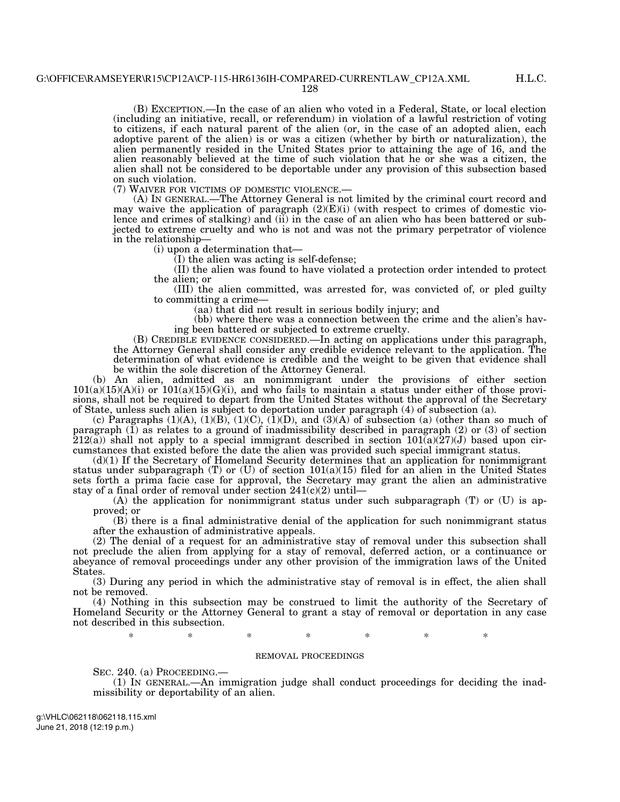(B) EXCEPTION.—In the case of an alien who voted in a Federal, State, or local election (including an initiative, recall, or referendum) in violation of a lawful restriction of voting to citizens, if each natural parent of the alien (or, in the case of an adopted alien, each adoptive parent of the alien) is or was a citizen (whether by birth or naturalization), the alien permanently resided in the United States prior to attaining the age of 16, and the alien reasonably believed at the time of such violation that he or she was a citizen, the alien shall not be considered to be deportable under any provision of this subsection based on such violation.<br>(7) WAIVER FOR VICTIMS OF DOMESTIC VIOLENCE.—

(A) IN GENERAL.—The Attorney General is not limited by the criminal court record and may waive the application of paragraph  $(2)(E)(i)$  (with respect to crimes of domestic violence and crimes of stalking) and (ii) in the case of an alien who has been battered or subjected to extreme cruelty and who is not and was not the primary perpetrator of violence in the relationship—

(i) upon a determination that—

(I) the alien was acting is self-defense;

(II) the alien was found to have violated a protection order intended to protect the alien; or

(III) the alien committed, was arrested for, was convicted of, or pled guilty to committing a crime—

(aa) that did not result in serious bodily injury; and

(bb) where there was a connection between the crime and the alien's having been battered or subjected to extreme cruelty.

(B) CREDIBLE EVIDENCE CONSIDERED.—In acting on applications under this paragraph, the Attorney General shall consider any credible evidence relevant to the application. The determination of what evidence is credible and the weight to be given that evidence shall be within the sole discretion of the Attorney General.

(b) An alien, admitted as an nonimmigrant under the provisions of either section  $101(a)(15)(A)(i)$  or  $101(a)(15)(G)(i)$ , and who fails to maintain a status under either of those provisions, shall not be required to depart from the United States without the approval of the Secretary of State, unless such alien is subject to deportation under paragraph (4) of subsection (a).

(c) Paragraphs  $(1)(A)$ ,  $(1)(B)$ ,  $(1)(C)$ ,  $(1)(D)$ , and  $(3)(A)$  of subsection (a) (other than so much of paragraph  $(1)$  as relates to a ground of inadmissibility described in paragraph  $(2)$  or  $(3)$  of section  $212(a)$ ) shall not apply to a special immigrant described in section  $101(a)(27)(J)$  based upon circumstances that existed before the date the alien was provided such special immigrant status.

(d)(1) If the Secretary of Homeland Security determines that an application for nonimmigrant status under subparagraph  $(T)$  or  $(U)$  of section 101(a)(15) filed for an alien in the United States sets forth a prima facie case for approval, the Secretary may grant the alien an administrative stay of a final order of removal under section 241(c)(2) until—

(A) the application for nonimmigrant status under such subparagraph (T) or (U) is approved; or

(B) there is a final administrative denial of the application for such nonimmigrant status after the exhaustion of administrative appeals.

(2) The denial of a request for an administrative stay of removal under this subsection shall not preclude the alien from applying for a stay of removal, deferred action, or a continuance or abeyance of removal proceedings under any other provision of the immigration laws of the United States.

(3) During any period in which the administrative stay of removal is in effect, the alien shall not be removed.

(4) Nothing in this subsection may be construed to limit the authority of the Secretary of Homeland Security or the Attorney General to grant a stay of removal or deportation in any case not described in this subsection.

\* \* \* \* \* \* \* \*

# REMOVAL PROCEEDINGS

SEC. 240. (a) PROCEEDING.—

(1) IN GENERAL.—An immigration judge shall conduct proceedings for deciding the inadmissibility or deportability of an alien.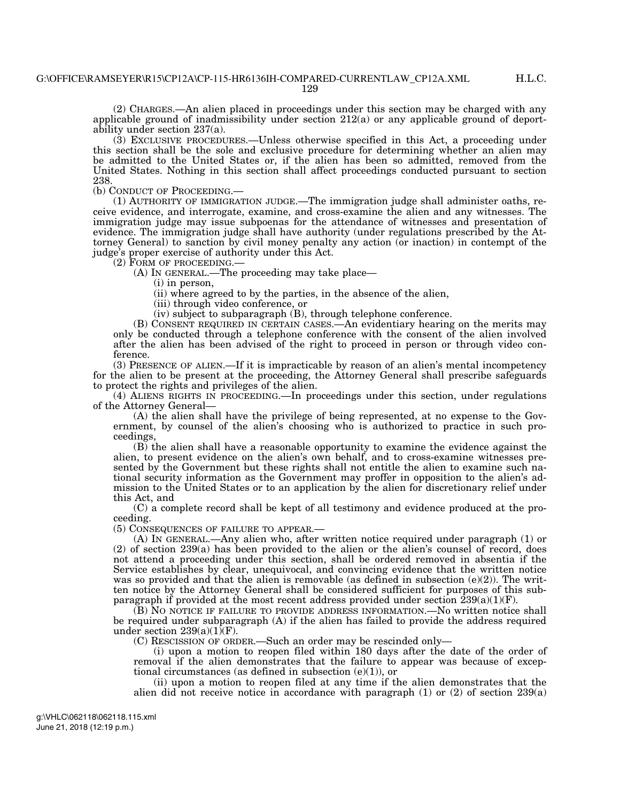(2) CHARGES.—An alien placed in proceedings under this section may be charged with any applicable ground of inadmissibility under section  $212(a)$  or any applicable ground of deportability under section 237(a).

(3) EXCLUSIVE PROCEDURES.—Unless otherwise specified in this Act, a proceeding under this section shall be the sole and exclusive procedure for determining whether an alien may be admitted to the United States or, if the alien has been so admitted, removed from the United States. Nothing in this section shall affect proceedings conducted pursuant to section 238.

(b) CONDUCT OF PROCEEDING.—

(1) AUTHORITY OF IMMIGRATION JUDGE.—The immigration judge shall administer oaths, receive evidence, and interrogate, examine, and cross-examine the alien and any witnesses. The immigration judge may issue subpoenas for the attendance of witnesses and presentation of evidence. The immigration judge shall have authority (under regulations prescribed by the Attorney General) to sanction by civil money penalty any action (or inaction) in contempt of the judge's proper exercise of authority under this Act.

(2) FORM OF PROCEEDING.—

(A) IN GENERAL.—The proceeding may take place—

(i) in person,

(ii) where agreed to by the parties, in the absence of the alien,

(iii) through video conference, or

(iv) subject to subparagraph (B), through telephone conference.

(B) CONSENT REQUIRED IN CERTAIN CASES.—An evidentiary hearing on the merits may only be conducted through a telephone conference with the consent of the alien involved after the alien has been advised of the right to proceed in person or through video conference.

(3) PRESENCE OF ALIEN.—If it is impracticable by reason of an alien's mental incompetency for the alien to be present at the proceeding, the Attorney General shall prescribe safeguards to protect the rights and privileges of the alien.

(4) ALIENS RIGHTS IN PROCEEDING.—In proceedings under this section, under regulations of the Attorney General—

(A) the alien shall have the privilege of being represented, at no expense to the Government, by counsel of the alien's choosing who is authorized to practice in such proceedings,

(B) the alien shall have a reasonable opportunity to examine the evidence against the alien, to present evidence on the alien's own behalf, and to cross-examine witnesses presented by the Government but these rights shall not entitle the alien to examine such national security information as the Government may proffer in opposition to the alien's admission to the United States or to an application by the alien for discretionary relief under this Act, and

(C) a complete record shall be kept of all testimony and evidence produced at the proceeding.

(5) CONSEQUENCES OF FAILURE TO APPEAR.—

(A) IN GENERAL.—Any alien who, after written notice required under paragraph (1) or (2) of section 239(a) has been provided to the alien or the alien's counsel of record, does not attend a proceeding under this section, shall be ordered removed in absentia if the Service establishes by clear, unequivocal, and convincing evidence that the written notice was so provided and that the alien is removable (as defined in subsection  $(e)(2)$ ). The written notice by the Attorney General shall be considered sufficient for purposes of this subparagraph if provided at the most recent address provided under section  $\overline{239(a)(1)(F)}$ .

(B) NO NOTICE IF FAILURE TO PROVIDE ADDRESS INFORMATION.—No written notice shall be required under subparagraph (A) if the alien has failed to provide the address required under section  $239(a)(1)(F)$ .

(C) RESCISSION OF ORDER.—Such an order may be rescinded only—

(i) upon a motion to reopen filed within 180 days after the date of the order of removal if the alien demonstrates that the failure to appear was because of exceptional circumstances (as defined in subsection  $(e)(1)$ ), or

(ii) upon a motion to reopen filed at any time if the alien demonstrates that the alien did not receive notice in accordance with paragraph  $(1)$  or  $(2)$  of section  $239(a)$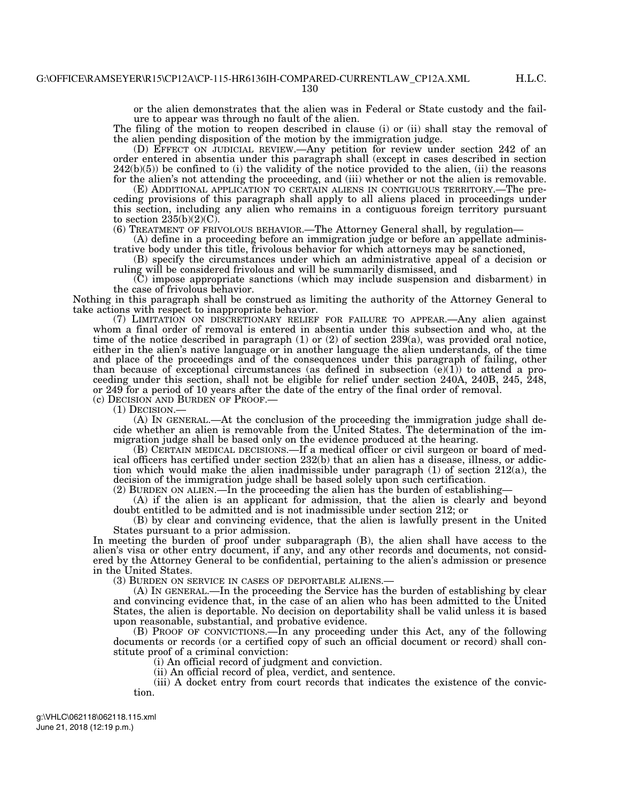or the alien demonstrates that the alien was in Federal or State custody and the failure to appear was through no fault of the alien.

The filing of the motion to reopen described in clause (i) or (ii) shall stay the removal of the alien pending disposition of the motion by the immigration judge.

(D) EFFECT ON JUDICIAL REVIEW.—Any petition for review under section 242 of an order entered in absentia under this paragraph shall (except in cases described in section  $242(b)(5)$ ) be confined to (i) the validity of the notice provided to the alien, (ii) the reasons for the alien's not attending the proceeding, and (iii) whether or not the alien is removable.

(E) ADDITIONAL APPLICATION TO CERTAIN ALIENS IN CONTIGUOUS TERRITORY.—The preceding provisions of this paragraph shall apply to all aliens placed in proceedings under this section, including any alien who remains in a contiguous foreign territory pursuant to section  $235(b)(2)(C)$ .

(6) TREATMENT OF FRIVOLOUS BEHAVIOR.—The Attorney General shall, by regulation—

(A) define in a proceeding before an immigration judge or before an appellate administrative body under this title, frivolous behavior for which attorneys may be sanctioned,

(B) specify the circumstances under which an administrative appeal of a decision or ruling will be considered frivolous and will be summarily dismissed, and

(C) impose appropriate sanctions (which may include suspension and disbarment) in the case of frivolous behavior.

Nothing in this paragraph shall be construed as limiting the authority of the Attorney General to take actions with respect to inappropriate behavior.

(7) LIMITATION ON DISCRETIONARY RELIEF FOR FAILURE TO APPEAR.—Any alien against whom a final order of removal is entered in absentia under this subsection and who, at the time of the notice described in paragraph  $(1)$  or  $(2)$  of section 239 $(a)$ , was provided oral notice, either in the alien's native language or in another language the alien understands, of the time and place of the proceedings and of the consequences under this paragraph of failing, other than because of exceptional circumstances (as defined in subsection (e)(1)) to attend a proceeding under this section, shall not be eligible for relief under section 240A, 240B, 245, 248, or 249 for a period of 10 years after the date of the entry of the final order of removal.<br>(c) DECISION AND BURDEN OF PROOF.—

(1) DECISION  $-$  (A) IN GENERAL.—At the conclusion of the proceeding the immigration judge shall decide whether an alien is removable from the United States. The determination of the immigration judge shall be based only on the evidence produced at the hearing.

(B) CERTAIN MEDICAL DECISIONS.—If a medical officer or civil surgeon or board of medical officers has certified under section 232(b) that an alien has a disease, illness, or addiction which would make the alien inadmissible under paragraph (1) of section 212(a), the decision of the immigration judge shall be based solely upon such certification.

(2) BURDEN ON ALIEN.—In the proceeding the alien has the burden of establishing—

(A) if the alien is an applicant for admission, that the alien is clearly and beyond doubt entitled to be admitted and is not inadmissible under section 212; or

(B) by clear and convincing evidence, that the alien is lawfully present in the United States pursuant to a prior admission.

In meeting the burden of proof under subparagraph (B), the alien shall have access to the alien's visa or other entry document, if any, and any other records and documents, not considered by the Attorney General to be confidential, pertaining to the alien's admission or presence in the United States.

(3) BURDEN ON SERVICE IN CASES OF DEPORTABLE ALIENS.—

(A) IN GENERAL.—In the proceeding the Service has the burden of establishing by clear and convincing evidence that, in the case of an alien who has been admitted to the United States, the alien is deportable. No decision on deportability shall be valid unless it is based upon reasonable, substantial, and probative evidence.

(B) PROOF OF CONVICTIONS.—In any proceeding under this Act, any of the following documents or records (or a certified copy of such an official document or record) shall constitute proof of a criminal conviction:

(i) An official record of judgment and conviction.

(ii) An official record of plea, verdict, and sentence.

(iii) A docket entry from court records that indicates the existence of the conviction.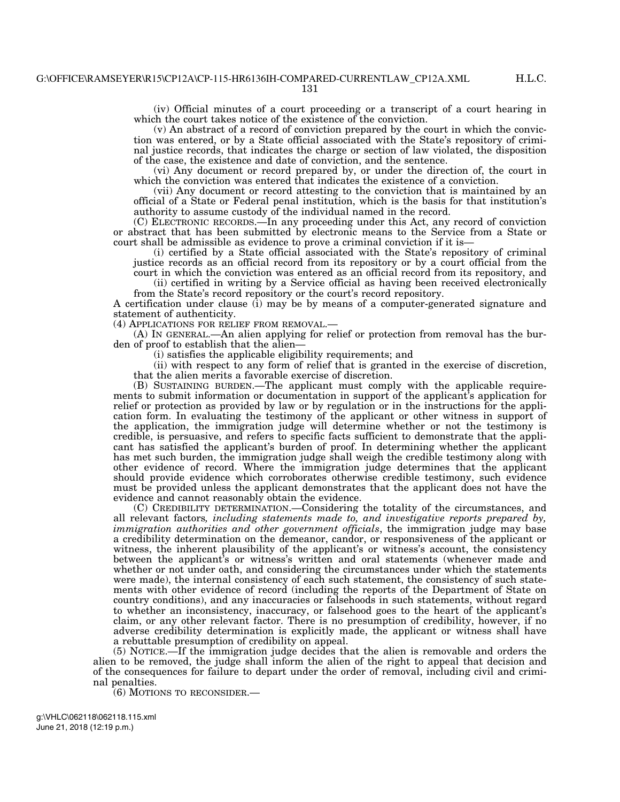(iv) Official minutes of a court proceeding or a transcript of a court hearing in which the court takes notice of the existence of the conviction.

H.L.C.

(v) An abstract of a record of conviction prepared by the court in which the conviction was entered, or by a State official associated with the State's repository of criminal justice records, that indicates the charge or section of law violated, the disposition of the case, the existence and date of conviction, and the sentence.

(vi) Any document or record prepared by, or under the direction of, the court in which the conviction was entered that indicates the existence of a conviction.

(vii) Any document or record attesting to the conviction that is maintained by an official of a State or Federal penal institution, which is the basis for that institution's authority to assume custody of the individual named in the record.

(C) ELECTRONIC RECORDS.—In any proceeding under this Act, any record of conviction or abstract that has been submitted by electronic means to the Service from a State or court shall be admissible as evidence to prove a criminal conviction if it is—

(i) certified by a State official associated with the State's repository of criminal justice records as an official record from its repository or by a court official from the court in which the conviction was entered as an official record from its repository, and

(ii) certified in writing by a Service official as having been received electronically from the State's record repository or the court's record repository.

A certification under clause (i) may be by means of a computer-generated signature and statement of authenticity.

(4) APPLICATIONS FOR RELIEF FROM REMOVAL.—

(A) IN GENERAL.—An alien applying for relief or protection from removal has the burden of proof to establish that the alien—

(i) satisfies the applicable eligibility requirements; and

(ii) with respect to any form of relief that is granted in the exercise of discretion, that the alien merits a favorable exercise of discretion.

(B) SUSTAINING BURDEN.—The applicant must comply with the applicable requirements to submit information or documentation in support of the applicant's application for relief or protection as provided by law or by regulation or in the instructions for the application form. In evaluating the testimony of the applicant or other witness in support of the application, the immigration judge will determine whether or not the testimony is credible, is persuasive, and refers to specific facts sufficient to demonstrate that the applicant has satisfied the applicant's burden of proof. In determining whether the applicant has met such burden, the immigration judge shall weigh the credible testimony along with other evidence of record. Where the immigration judge determines that the applicant should provide evidence which corroborates otherwise credible testimony, such evidence must be provided unless the applicant demonstrates that the applicant does not have the evidence and cannot reasonably obtain the evidence.

(C) CREDIBILITY DETERMINATION.—Considering the totality of the circumstances, and all relevant factors*, including statements made to, and investigative reports prepared by, immigration authorities and other government officials*, the immigration judge may base a credibility determination on the demeanor, candor, or responsiveness of the applicant or witness, the inherent plausibility of the applicant's or witness's account, the consistency between the applicant's or witness's written and oral statements (whenever made and whether or not under oath, and considering the circumstances under which the statements were made), the internal consistency of each such statement, the consistency of such statements with other evidence of record (including the reports of the Department of State on country conditions), and any inaccuracies or falsehoods in such statements, without regard to whether an inconsistency, inaccuracy, or falsehood goes to the heart of the applicant's claim, or any other relevant factor. There is no presumption of credibility, however, if no adverse credibility determination is explicitly made, the applicant or witness shall have a rebuttable presumption of credibility on appeal.

(5) NOTICE.—If the immigration judge decides that the alien is removable and orders the alien to be removed, the judge shall inform the alien of the right to appeal that decision and of the consequences for failure to depart under the order of removal, including civil and criminal penalties.

(6) MOTIONS TO RECONSIDER.—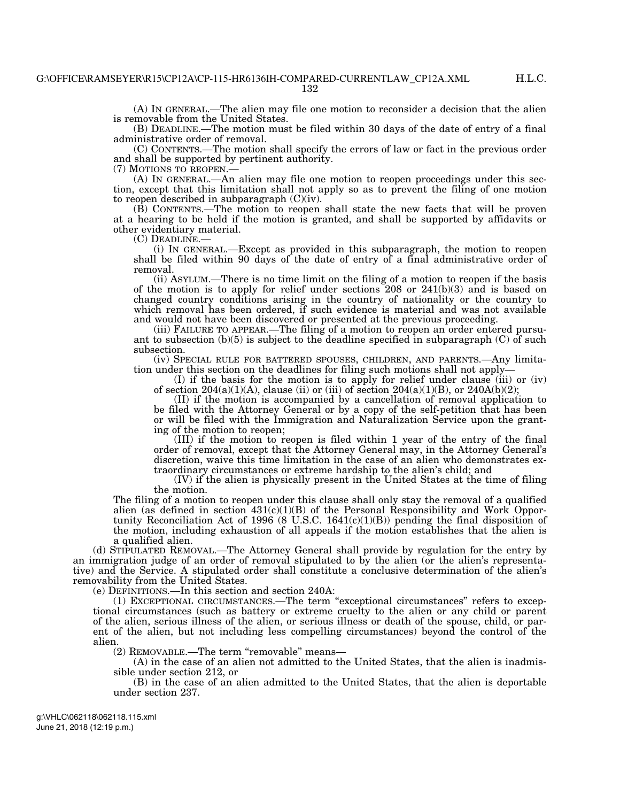(A) IN GENERAL.—The alien may file one motion to reconsider a decision that the alien is removable from the United States.

(B) DEADLINE.—The motion must be filed within 30 days of the date of entry of a final administrative order of removal.

(C) CONTENTS.—The motion shall specify the errors of law or fact in the previous order and shall be supported by pertinent authority.<br>(7) MOTIONS TO REOPEN.—

(A) IN GENERAL.—An alien may file one motion to reopen proceedings under this section, except that this limitation shall not apply so as to prevent the filing of one motion to reopen described in subparagraph (C)(iv).

(B) CONTENTS.—The motion to reopen shall state the new facts that will be proven at a hearing to be held if the motion is granted, and shall be supported by affidavits or other evidentiary material.<br>(C) DEADLINE.—

(i) IN GENERAL.—Except as provided in this subparagraph, the motion to reopen shall be filed within 90 days of the date of entry of a final administrative order of removal.

(ii) ASYLUM.—There is no time limit on the filing of a motion to reopen if the basis of the motion is to apply for relief under sections  $208$  or  $241(b)(3)$  and is based on changed country conditions arising in the country of nationality or the country to which removal has been ordered, if such evidence is material and was not available and would not have been discovered or presented at the previous proceeding.

(iii) FAILURE TO APPEAR.—The filing of a motion to reopen an order entered pursuant to subsection  $(b)(5)$  is subject to the deadline specified in subparagraph  $(C)$  of such subsection.

(iv) SPECIAL RULE FOR BATTERED SPOUSES, CHILDREN, AND PARENTS.—Any limitation under this section on the deadlines for filing such motions shall not apply—

(I) if the basis for the motion is to apply for relief under clause (iii) or (iv) of section  $204(a)(1)(A)$ , clause (ii) or (iii) of section  $204(a)(1)(B)$ , or  $240A(b)(2)$ ;

(II) if the motion is accompanied by a cancellation of removal application to be filed with the Attorney General or by a copy of the self-petition that has been or will be filed with the Immigration and Naturalization Service upon the granting of the motion to reopen;

(III) if the motion to reopen is filed within 1 year of the entry of the final order of removal, except that the Attorney General may, in the Attorney General's discretion, waive this time limitation in the case of an alien who demonstrates extraordinary circumstances or extreme hardship to the alien's child; and

(IV) if the alien is physically present in the United States at the time of filing the motion.

The filing of a motion to reopen under this clause shall only stay the removal of a qualified alien (as defined in section  $431(c)(1)(B)$  of the Personal Responsibility and Work Opportunity Reconciliation Act of 1996 (8 U.S.C.  $1641(c)(1)(B)$ ) pending the final disposition of the motion, including exhaustion of all appeals if the motion establishes that the alien is a qualified alien.

(d) STIPULATED REMOVAL.—The Attorney General shall provide by regulation for the entry by an immigration judge of an order of removal stipulated to by the alien (or the alien's representative) and the Service. A stipulated order shall constitute a conclusive determination of the alien's removability from the United States.

(e) DEFINITIONS.—In this section and section 240A:

(1) EXCEPTIONAL CIRCUMSTANCES.—The term ''exceptional circumstances'' refers to exceptional circumstances (such as battery or extreme cruelty to the alien or any child or parent of the alien, serious illness of the alien, or serious illness or death of the spouse, child, or parent of the alien, but not including less compelling circumstances) beyond the control of the alien.

(2) REMOVABLE.—The term ''removable'' means—

(A) in the case of an alien not admitted to the United States, that the alien is inadmissible under section 212, or

(B) in the case of an alien admitted to the United States, that the alien is deportable under section 237.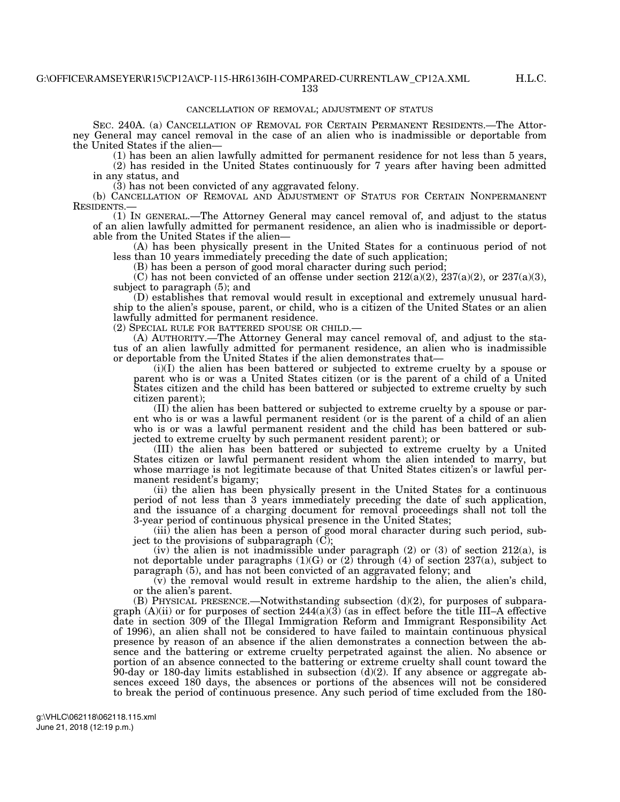# CANCELLATION OF REMOVAL; ADJUSTMENT OF STATUS

SEC. 240A. (a) CANCELLATION OF REMOVAL FOR CERTAIN PERMANENT RESIDENTS.—The Attorney General may cancel removal in the case of an alien who is inadmissible or deportable from the United States if the alien—

(1) has been an alien lawfully admitted for permanent residence for not less than 5 years,

(2) has resided in the United States continuously for 7 years after having been admitted in any status, and

(3) has not been convicted of any aggravated felony.

(b) CANCELLATION OF REMOVAL AND ADJUSTMENT OF STATUS FOR CERTAIN NONPERMANENT RESIDENTS.—

(1) IN GENERAL.—The Attorney General may cancel removal of, and adjust to the status of an alien lawfully admitted for permanent residence, an alien who is inadmissible or deportable from the United States if the alien—

(A) has been physically present in the United States for a continuous period of not less than 10 years immediately preceding the date of such application;

(B) has been a person of good moral character during such period;

(C) has not been convicted of an offense under section  $212(a)(2)$ ,  $237(a)(2)$ , or  $237(a)(3)$ , subject to paragraph (5); and

(D) establishes that removal would result in exceptional and extremely unusual hardship to the alien's spouse, parent, or child, who is a citizen of the United States or an alien lawfully admitted for permanent residence.

(2) SPECIAL RULE FOR BATTERED SPOUSE OR CHILD.—

(A) AUTHORITY.—The Attorney General may cancel removal of, and adjust to the status of an alien lawfully admitted for permanent residence, an alien who is inadmissible or deportable from the United States if the alien demonstrates that—

(i)(I) the alien has been battered or subjected to extreme cruelty by a spouse or parent who is or was a United States citizen (or is the parent of a child of a United States citizen and the child has been battered or subjected to extreme cruelty by such citizen parent);

(II) the alien has been battered or subjected to extreme cruelty by a spouse or parent who is or was a lawful permanent resident (or is the parent of a child of an alien who is or was a lawful permanent resident and the child has been battered or subjected to extreme cruelty by such permanent resident parent); or

(III) the alien has been battered or subjected to extreme cruelty by a United States citizen or lawful permanent resident whom the alien intended to marry, but whose marriage is not legitimate because of that United States citizen's or lawful permanent resident's bigamy;

(ii) the alien has been physically present in the United States for a continuous period of not less than 3 years immediately preceding the date of such application, and the issuance of a charging document for removal proceedings shall not toll the 3-year period of continuous physical presence in the United States;

(iii) the alien has been a person of good moral character during such period, subject to the provisions of subparagraph (C);

(iv) the alien is not inadmissible under paragraph  $(2)$  or  $(3)$  of section  $212(a)$ , is not deportable under paragraphs  $(1)(G)$  or  $(2)$  through  $(4)$  of section 237(a), subject to paragraph (5), and has not been convicted of an aggravated felony; and

 $\overline{v}(v)$  the removal would result in extreme hardship to the alien, the alien's child, or the alien's parent.

(B) PHYSICAL PRESENCE.—Notwithstanding subsection  $(d)(2)$ , for purposes of subparagraph (A)(ii) or for purposes of section  $244(a)(3)$  (as in effect before the title III–A effective date in section 309 of the Illegal Immigration Reform and Immigrant Responsibility Act of 1996), an alien shall not be considered to have failed to maintain continuous physical presence by reason of an absence if the alien demonstrates a connection between the absence and the battering or extreme cruelty perpetrated against the alien. No absence or portion of an absence connected to the battering or extreme cruelty shall count toward the  $90$ -day or 180-day limits established in subsection (d)(2). If any absence or aggregate absences exceed 180 days, the absences or portions of the absences will not be considered to break the period of continuous presence. Any such period of time excluded from the 180-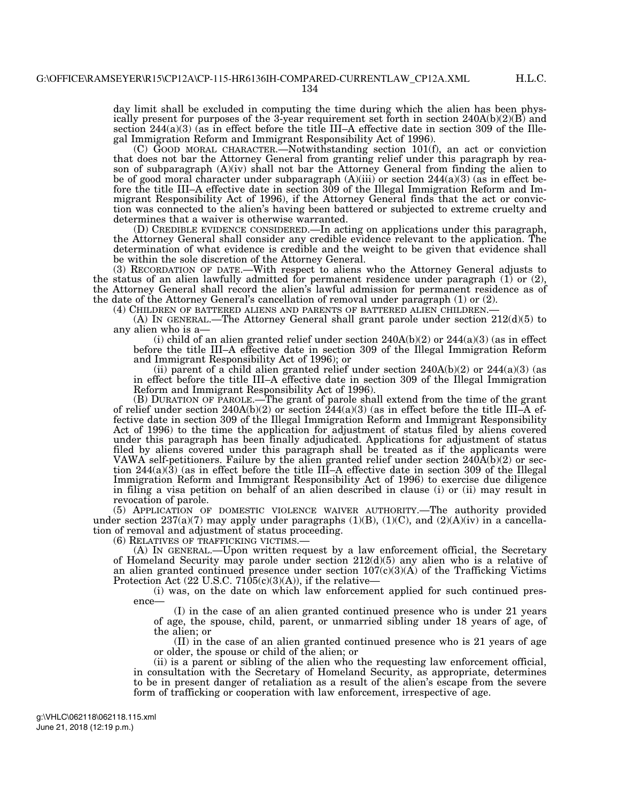day limit shall be excluded in computing the time during which the alien has been physically present for purposes of the 3-year requirement set forth in section 240A(b)(2)(B) and section  $244(a)(3)$  (as in effect before the title III–A effective date in section 309 of the Illegal Immigration Reform and Immigrant Responsibility Act of 1996).

(C) GOOD MORAL CHARACTER.—Notwithstanding section 101(f), an act or conviction that does not bar the Attorney General from granting relief under this paragraph by reason of subparagraph  $(A)(iv)$  shall not bar the Attorney General from finding the alien to be of good moral character under subparagraph  $(A)(iii)$  or section 244 $(a)(3)$  (as in effect before the title III–A effective date in section 309 of the Illegal Immigration Reform and Immigrant Responsibility Act of 1996), if the Attorney General finds that the act or conviction was connected to the alien's having been battered or subjected to extreme cruelty and determines that a waiver is otherwise warranted.

(D) CREDIBLE EVIDENCE CONSIDERED.—In acting on applications under this paragraph, the Attorney General shall consider any credible evidence relevant to the application. The determination of what evidence is credible and the weight to be given that evidence shall be within the sole discretion of the Attorney General.

(3) RECORDATION OF DATE.—With respect to aliens who the Attorney General adjusts to the status of an alien lawfully admitted for permanent residence under paragraph  $(1)$  or  $(2)$ , the Attorney General shall record the alien's lawful admission for permanent residence as of the date of the Attorney General's cancellation of removal under paragraph (1) or (2).

(4) CHILDREN OF BATTERED ALIENS AND PARENTS OF BATTERED ALIEN CHILDREN.— (A) IN GENERAL.—The Attorney General shall grant parole under section  $212(d)(5)$  to any alien who is a—

(i) child of an alien granted relief under section  $240A(b)(2)$  or  $244(a)(3)$  (as in effect before the title III–A effective date in section 309 of the Illegal Immigration Reform and Immigrant Responsibility Act of 1996); or

(ii) parent of a child alien granted relief under section  $240A(b)(2)$  or  $244(a)(3)$  (as in effect before the title III–A effective date in section 309 of the Illegal Immigration Reform and Immigrant Responsibility Act of 1996).

(B) DURATION OF PAROLE.—The grant of parole shall extend from the time of the grant of relief under section  $240A(b)(2)$  or section  $244(a)(3)$  (as in effect before the title III–A effective date in section 309 of the Illegal Immigration Reform and Immigrant Responsibility Act of 1996) to the time the application for adjustment of status filed by aliens covered under this paragraph has been finally adjudicated. Applications for adjustment of status filed by aliens covered under this paragraph shall be treated as if the applicants were VAWA self-petitioners. Failure by the alien granted relief under section 240A(b)(2) or section 244(a)(3) (as in effect before the title III–A effective date in section 309 of the Illegal Immigration Reform and Immigrant Responsibility Act of 1996) to exercise due diligence in filing a visa petition on behalf of an alien described in clause (i) or (ii) may result in revocation of parole.

(5) APPLICATION OF DOMESTIC VIOLENCE WAIVER AUTHORITY.—The authority provided under section  $237(a)(7)$  may apply under paragraphs (1)(B), (1)(C), and (2)(A)(iv) in a cancellation of removal and adjustment of status proceeding.

(6) RELATIVES OF TRAFFICKING VICTIMS.—

(A) IN GENERAL.—Upon written request by a law enforcement official, the Secretary of Homeland Security may parole under section 212(d)(5) any alien who is a relative of an alien granted continued presence under section  $107(c)(3)(A)$  of the Trafficking Victims Protection Act  $(22 \text{ U.S.C. } 7105(c)(3)(A))$ , if the relative—

(i) was, on the date on which law enforcement applied for such continued presence—

(I) in the case of an alien granted continued presence who is under 21 years of age, the spouse, child, parent, or unmarried sibling under 18 years of age, of the alien; or

(II) in the case of an alien granted continued presence who is 21 years of age or older, the spouse or child of the alien; or

(ii) is a parent or sibling of the alien who the requesting law enforcement official, in consultation with the Secretary of Homeland Security, as appropriate, determines to be in present danger of retaliation as a result of the alien's escape from the severe form of trafficking or cooperation with law enforcement, irrespective of age.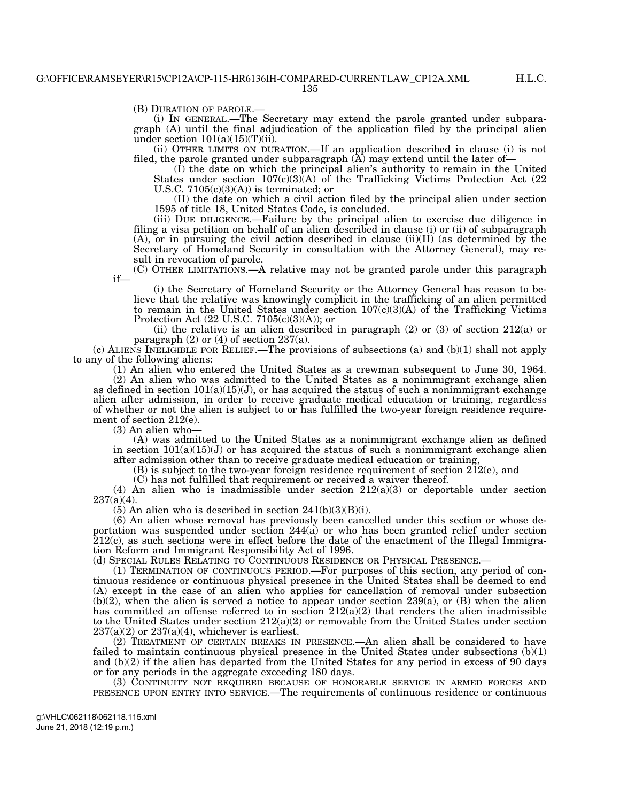(B) DURATION OF PAROLE.— (i) IN GENERAL.—The Secretary may extend the parole granted under subparagraph (A) until the final adjudication of the application filed by the principal alien under section  $101(a)(15)(T)(ii)$ .

(ii) OTHER LIMITS ON DURATION.—If an application described in clause (i) is not filed, the parole granted under subparagraph  $(\overline{A})$  may extend until the later of-

(I) the date on which the principal alien's authority to remain in the United States under section  $107(c)(3)$ (A) of the Trafficking Victims Protection Act (22) U.S.C.  $7105(c)(3)(A)$  is terminated; or

(II) the date on which a civil action filed by the principal alien under section 1595 of title 18, United States Code, is concluded.

(iii) DUE DILIGENCE.—Failure by the principal alien to exercise due diligence in filing a visa petition on behalf of an alien described in clause (i) or (ii) of subparagraph (A), or in pursuing the civil action described in clause (ii)(II) (as determined by the Secretary of Homeland Security in consultation with the Attorney General), may result in revocation of parole.

(C) OTHER LIMITATIONS.—A relative may not be granted parole under this paragraph if—

(i) the Secretary of Homeland Security or the Attorney General has reason to believe that the relative was knowingly complicit in the trafficking of an alien permitted to remain in the United States under section  $107(c)(3)(A)$  of the Trafficking Victims Protection Act (22 U.S.C. 7105(c)(3)(A)); or

(ii) the relative is an alien described in paragraph  $(2)$  or  $(3)$  of section 212(a) or paragraph  $(2)$  or  $(4)$  of section 237 $(a)$ .

 $(c)$  ALIENS INELIGIBLE FOR RELIEF.—The provisions of subsections (a) and  $(b)(1)$  shall not apply to any of the following aliens:

(1) An alien who entered the United States as a crewman subsequent to June 30, 1964.

(2) An alien who was admitted to the United States as a nonimmigrant exchange alien as defined in section  $101(a)(15)(J)$ , or has acquired the status of such a nonimmigrant exchange alien after admission, in order to receive graduate medical education or training, regardless of whether or not the alien is subject to or has fulfilled the two-year foreign residence requirement of section 212(e).

(3) An alien who—

(A) was admitted to the United States as a nonimmigrant exchange alien as defined in section  $101(a)(15)(J)$  or has acquired the status of such a nonimmigrant exchange alien after admission other than to receive graduate medical education or training,

(B) is subject to the two-year foreign residence requirement of section 212(e), and

(C) has not fulfilled that requirement or received a waiver thereof.

(4) An alien who is inadmissible under section  $212(a)(3)$  or deportable under section  $237(a)(4)$ .

(5) An alien who is described in section  $241(b)(3)(B)(i)$ .

(6) An alien whose removal has previously been cancelled under this section or whose deportation was suspended under section 244(a) or who has been granted relief under section  $212(c)$ , as such sections were in effect before the date of the enactment of the Illegal Immigration Reform and Immigrant Responsibility Act of 1996.

(d) SPECIAL RULES RELATING TO CONTINUOUS RESIDENCE OR PHYSICAL PRESENCE.—

(1) TERMINATION OF CONTINUOUS PERIOD.—For purposes of this section, any period of continuous residence or continuous physical presence in the United States shall be deemed to end (A) except in the case of an alien who applies for cancellation of removal under subsection  $(b)(2)$ , when the alien is served a notice to appear under section 239(a), or (B) when the alien has committed an offense referred to in section  $212(a)(2)$  that renders the alien inadmissible to the United States under section  $212(a)(2)$  or removable from the United States under section  $237(a)(2)$  or  $237(a)(4)$ , whichever is earliest.

(2) TREATMENT OF CERTAIN BREAKS IN PRESENCE.—An alien shall be considered to have failed to maintain continuous physical presence in the United States under subsections  $(b)(1)$ and (b)(2) if the alien has departed from the United States for any period in excess of 90 days or for any periods in the aggregate exceeding 180 days.

(3) CONTINUITY NOT REQUIRED BECAUSE OF HONORABLE SERVICE IN ARMED FORCES AND PRESENCE UPON ENTRY INTO SERVICE.—The requirements of continuous residence or continuous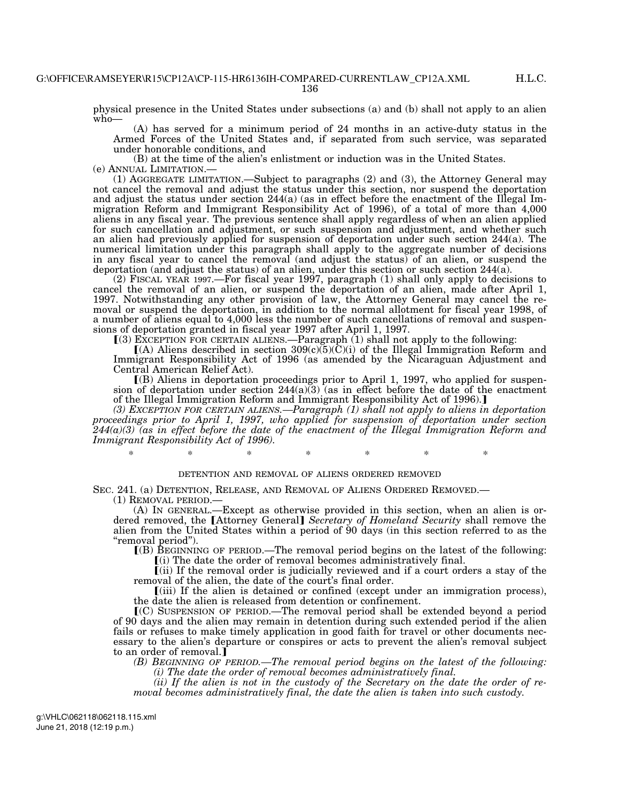physical presence in the United States under subsections (a) and (b) shall not apply to an alien who—

(A) has served for a minimum period of 24 months in an active-duty status in the Armed Forces of the United States and, if separated from such service, was separated under honorable conditions, and

(B) at the time of the alien's enlistment or induction was in the United States.<br>(e) ANNUAL LIMITATION.—

 $(1)$  AGGREGATE LIMITATION.—Subject to paragraphs  $(2)$  and  $(3)$ , the Attorney General may not cancel the removal and adjust the status under this section, nor suspend the deportation and adjust the status under section  $244(a)$  (as in effect before the enactment of the Illegal Immigration Reform and Immigrant Responsibility Act of 1996), of a total of more than 4,000 aliens in any fiscal year. The previous sentence shall apply regardless of when an alien applied for such cancellation and adjustment, or such suspension and adjustment, and whether such an alien had previously applied for suspension of deportation under such section 244(a). The numerical limitation under this paragraph shall apply to the aggregate number of decisions in any fiscal year to cancel the removal (and adjust the status) of an alien, or suspend the deportation (and adjust the status) of an alien, under this section or such section 244(a).

(2) FISCAL YEAR 1997.—For fiscal year 1997, paragraph (1) shall only apply to decisions to cancel the removal of an alien, or suspend the deportation of an alien, made after April 1, 1997. Notwithstanding any other provision of law, the Attorney General may cancel the removal or suspend the deportation, in addition to the normal allotment for fiscal year 1998, of a number of aliens equal to 4,000 less the number of such cancellations of removal and suspensions of deportation granted in fiscal year 1997 after April 1, 1997.

 $(3)$  EXCEPTION FOR CERTAIN ALIENS.—Paragraph  $(1)$  shall not apply to the following:

 $(A)$  Aliens described in section 309(c)(5)(C)(i) of the Illegal Immigration Reform and Immigrant Responsibility Act of 1996 (as amended by the Nicaraguan Adjustment and Central American Relief Act).

 $(6)$  Aliens in deportation proceedings prior to April 1, 1997, who applied for suspension of deportation under section  $244(a)(3)$  (as in effect before the date of the enactment of the Illegal Immigration Reform and Immigrant Responsibility Act of 1996).]

*(3) EXCEPTION FOR CERTAIN ALIENS.—Paragraph (1) shall not apply to aliens in deportation proceedings prior to April 1, 1997, who applied for suspension of deportation under section 244(a)(3) (as in effect before the date of the enactment of the Illegal Immigration Reform and Immigrant Responsibility Act of 1996).* 

\* \* \* \* \* \* \* \*

# DETENTION AND REMOVAL OF ALIENS ORDERED REMOVED

SEC. 241. (a) DETENTION, RELEASE, AND REMOVAL OF ALIENS ORDERED REMOVED.— (1) REMOVAL PERIOD.—

(A) IN GENERAL.—Except as otherwise provided in this section, when an alien is ordered removed, the [Attorney General] *Secretary of Homeland Security* shall remove the alien from the United States within a period of 90 days (in this section referred to as the "removal period").

 $\Gamma(B)$  BEGINNING OF PERIOD.—The removal period begins on the latest of the following: ø(i) The date the order of removal becomes administratively final.

 $(iii)$  If the removal order is judicially reviewed and if a court orders a stay of the

removal of the alien, the date of the court's final order.

 $(iii)$  If the alien is detained or confined (except under an immigration process), the date the alien is released from detention or confinement.

ø(C) SUSPENSION OF PERIOD.—The removal period shall be extended beyond a period of 90 days and the alien may remain in detention during such extended period if the alien fails or refuses to make timely application in good faith for travel or other documents necessary to the alien's departure or conspires or acts to prevent the alien's removal subject to an order of removal.]

*(B) BEGINNING OF PERIOD.—The removal period begins on the latest of the following: (i) The date the order of removal becomes administratively final.* 

*(ii) If the alien is not in the custody of the Secretary on the date the order of removal becomes administratively final, the date the alien is taken into such custody.*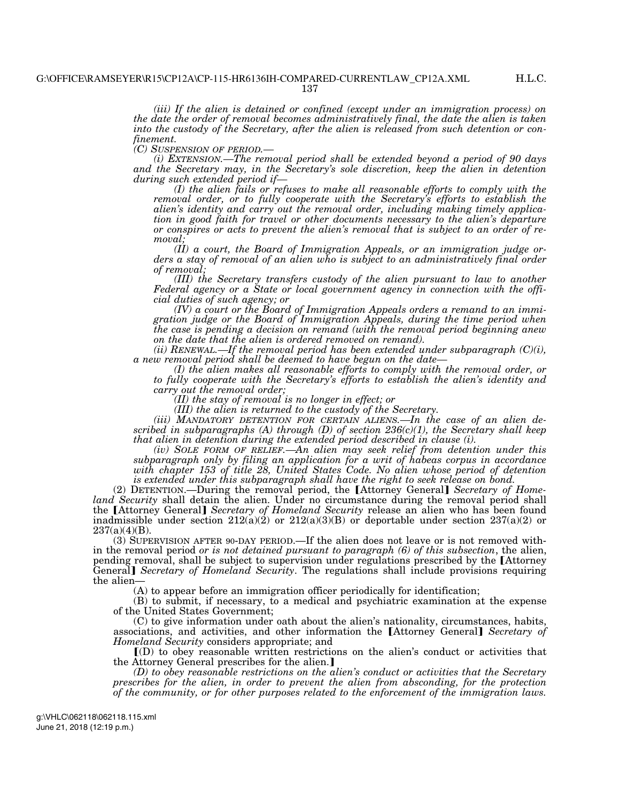*(iii) If the alien is detained or confined (except under an immigration process) on the date the order of removal becomes administratively final, the date the alien is taken into the custody of the Secretary, after the alien is released from such detention or confinement.*<br> *(C)* SUSPENSION OF PERIOD.

*(i) EXTENSION.—The removal period shall be extended beyond a period of 90 days and the Secretary may, in the Secretary's sole discretion, keep the alien in detention during such extended period if—* 

*(I) the alien fails or refuses to make all reasonable efforts to comply with the removal order, or to fully cooperate with the Secretary's efforts to establish the alien's identity and carry out the removal order, including making timely application in good faith for travel or other documents necessary to the alien's departure or conspires or acts to prevent the alien's removal that is subject to an order of removal;* 

*(II) a court, the Board of Immigration Appeals, or an immigration judge orders a stay of removal of an alien who is subject to an administratively final order of removal;* 

*(III) the Secretary transfers custody of the alien pursuant to law to another Federal agency or a State or local government agency in connection with the official duties of such agency; or* 

*(IV) a court or the Board of Immigration Appeals orders a remand to an immigration judge or the Board of Immigration Appeals, during the time period when the case is pending a decision on remand (with the removal period beginning anew on the date that the alien is ordered removed on remand).* 

*(ii) RENEWAL.—If the removal period has been extended under subparagraph*  $(C)(i)$ *, a new removal period shall be deemed to have begun on the date—* 

*(I) the alien makes all reasonable efforts to comply with the removal order, or to fully cooperate with the Secretary's efforts to establish the alien's identity and carry out the removal order;* 

*(II) the stay of removal is no longer in effect; or* 

*(III) the alien is returned to the custody of the Secretary.* 

*(iii) MANDATORY DETENTION FOR CERTAIN ALIENS.—In the case of an alien described in subparagraphs (A) through (D) of section 236(c)(1), the Secretary shall keep that alien in detention during the extended period described in clause (i).* 

*(iv) SOLE FORM OF RELIEF.—An alien may seek relief from detention under this subparagraph only by filing an application for a writ of habeas corpus in accordance with chapter 153 of title 28, United States Code. No alien whose period of detention is extended under this subparagraph shall have the right to seek release on bond.* 

(2) DETENTION.—During the removal period, the [Attorney General] Secretary of Home*land Security* shall detain the alien. Under no circumstance during the removal period shall the [Attorney General] *Secretary of Homeland Security* release an alien who has been found inadmissible under section  $212(a)(2)$  or  $212(a)(3)(B)$  or deportable under section  $237(a)(2)$  or  $237(a)(4)(B)$ .

(3) SUPERVISION AFTER 90-DAY PERIOD.—If the alien does not leave or is not removed within the removal period *or is not detained pursuant to paragraph (6) of this subsection*, the alien, pending removal, shall be subject to supervision under regulations prescribed by the *[Attorney* General] *Secretary of Homeland Security*. The regulations shall include provisions requiring the alien—

(A) to appear before an immigration officer periodically for identification;

(B) to submit, if necessary, to a medical and psychiatric examination at the expense of the United States Government;

(C) to give information under oath about the alien's nationality, circumstances, habits, associations, and activities, and other information the [Attorney General] *Secretary of Homeland Security* considers appropriate; and

 $(D)$  to obey reasonable written restrictions on the alien's conduct or activities that the Attorney General prescribes for the alien.]

*(D) to obey reasonable restrictions on the alien's conduct or activities that the Secretary prescribes for the alien, in order to prevent the alien from absconding, for the protection of the community, or for other purposes related to the enforcement of the immigration laws.*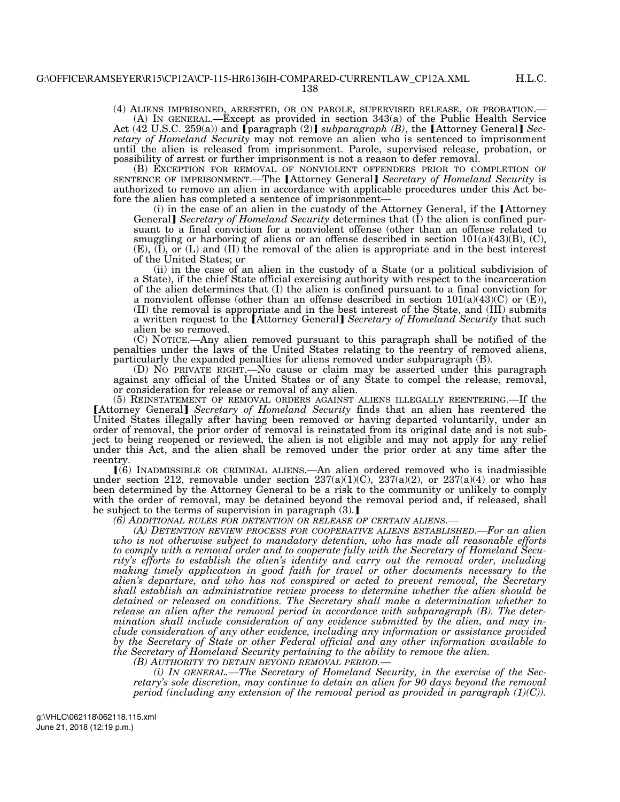(4) ALIENS IMPRISONED, ARRESTED, OR ON PAROLE, SUPERVISED RELEASE, OR PROBATION.— (A) IN GENERAL.—Except as provided in section 343(a) of the Public Health Service

Act (42 U.S.C. 259(a)) and [paragraph (2)] *subparagraph* (B), the [Attorney General] *Secretary of Homeland Security* may not remove an alien who is sentenced to imprisonment until the alien is released from imprisonment. Parole, supervised release, probation, or possibility of arrest or further imprisonment is not a reason to defer removal.

(B) EXCEPTION FOR REMOVAL OF NONVIOLENT OFFENDERS PRIOR TO COMPLETION OF SENTENCE OF IMPRISONMENT.—The [Attorney General] *Secretary of Homeland Security* is authorized to remove an alien in accordance with applicable procedures under this Act before the alien has completed a sentence of imprisonment—

 $(i)$  in the case of an alien in the custody of the Attorney General, if the [Attorney General] *Secretary of Homeland Security* determines that (I) the alien is confined pursuant to a final conviction for a nonviolent offense (other than an offense related to smuggling or harboring of aliens or an offense described in section  $101(a)(43)(B)$ , (C),  $(E)$ ,  $(\tilde{I})$ , or  $(L)$  and  $(II)$  the removal of the alien is appropriate and in the best interest of the United States; or

(ii) in the case of an alien in the custody of a State (or a political subdivision of a State), if the chief State official exercising authority with respect to the incarceration of the alien determines that (I) the alien is confined pursuant to a final conviction for a nonviolent offense (other than an offense described in section  $101(a)(43)(C)$  or  $(E)$ ), (II) the removal is appropriate and in the best interest of the State, and (III) submits<br>a written request to the *[Attorney General] Secretary of Homeland Security* that such alien be so removed.

(C) NOTICE.—Any alien removed pursuant to this paragraph shall be notified of the penalties under the laws of the United States relating to the reentry of removed aliens, particularly the expanded penalties for aliens removed under subparagraph (B).

(D) NO PRIVATE RIGHT.—No cause or claim may be asserted under this paragraph against any official of the United States or of any State to compel the release, removal, or consideration for release or removal of any alien.

(5) REINSTATEMENT OF REMOVAL ORDERS AGAINST ALIENS ILLEGALLY REENTERING.—If the [Attorney General] *Secretary of Homeland Security* finds that an alien has reentered the United States illegally after having been removed or having departed voluntarily, under an order of removal, the prior order of removal is reinstated from its original date and is not subject to being reopened or reviewed, the alien is not eligible and may not apply for any relief under this Act, and the alien shall be removed under the prior order at any time after the reentry.

 $(6)$  INADMISSIBLE OR CRIMINAL ALIENS.—An alien ordered removed who is inadmissible under section 212, removable under section  $237(a)(1)(C)$ ,  $237(a)(2)$ , or  $237(a)(4)$  or who has been determined by the Attorney General to be a risk to the community or unlikely to comply with the order of removal, may be detained beyond the removal period and, if released, shall be subject to the terms of supervision in paragraph  $(3)$ .

*(6) ADDITIONAL RULES FOR DETENTION OR RELEASE OF CERTAIN ALIENS.—* 

*(A) DETENTION REVIEW PROCESS FOR COOPERATIVE ALIENS ESTABLISHED.—For an alien who is not otherwise subject to mandatory detention, who has made all reasonable efforts to comply with a removal order and to cooperate fully with the Secretary of Homeland Security's efforts to establish the alien's identity and carry out the removal order, including making timely application in good faith for travel or other documents necessary to the alien's departure, and who has not conspired or acted to prevent removal, the Secretary shall establish an administrative review process to determine whether the alien should be detained or released on conditions. The Secretary shall make a determination whether to release an alien after the removal period in accordance with subparagraph (B). The determination shall include consideration of any evidence submitted by the alien, and may include consideration of any other evidence, including any information or assistance provided by the Secretary of State or other Federal official and any other information available to the Secretary of Homeland Security pertaining to the ability to remove the alien.* 

*(B) AUTHORITY TO DETAIN BEYOND REMOVAL PERIOD.* 

*(i) IN GENERAL.—The Secretary of Homeland Security, in the exercise of the Secretary's sole discretion, may continue to detain an alien for 90 days beyond the removal period (including any extension of the removal period as provided in paragraph (1)(C)).*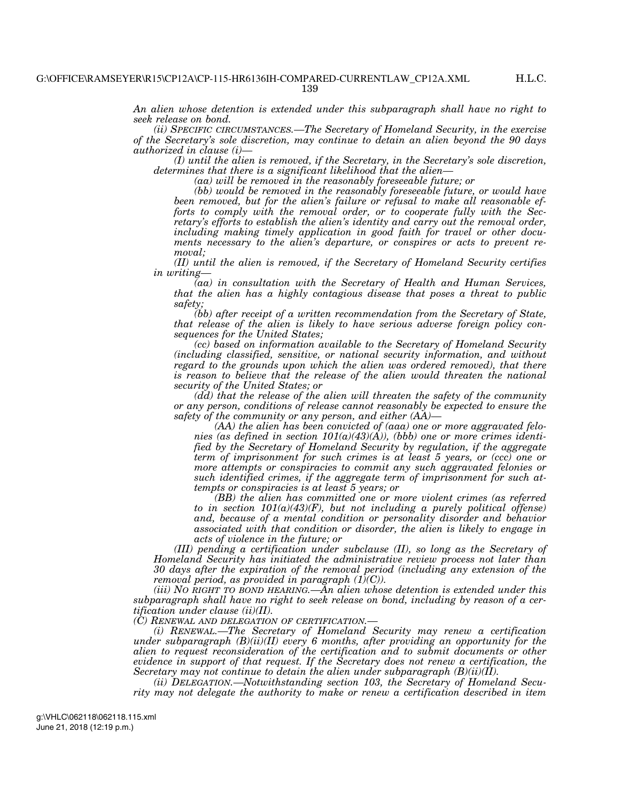H.L.C.

*An alien whose detention is extended under this subparagraph shall have no right to seek release on bond.* 

*(ii) SPECIFIC CIRCUMSTANCES.—The Secretary of Homeland Security, in the exercise of the Secretary's sole discretion, may continue to detain an alien beyond the 90 days authorized in clause (i)—* 

*(I) until the alien is removed, if the Secretary, in the Secretary's sole discretion, determines that there is a significant likelihood that the alien—* 

*(aa) will be removed in the reasonably foreseeable future; or* 

*(bb) would be removed in the reasonably foreseeable future, or would have been removed, but for the alien's failure or refusal to make all reasonable efforts to comply with the removal order, or to cooperate fully with the Secretary's efforts to establish the alien's identity and carry out the removal order, including making timely application in good faith for travel or other documents necessary to the alien's departure, or conspires or acts to prevent removal;* 

*(II) until the alien is removed, if the Secretary of Homeland Security certifies in writing—* 

*(aa) in consultation with the Secretary of Health and Human Services, that the alien has a highly contagious disease that poses a threat to public safety;* 

*(bb) after receipt of a written recommendation from the Secretary of State, that release of the alien is likely to have serious adverse foreign policy consequences for the United States;* 

*(cc) based on information available to the Secretary of Homeland Security (including classified, sensitive, or national security information, and without regard to the grounds upon which the alien was ordered removed), that there is reason to believe that the release of the alien would threaten the national security of the United States; or* 

*(dd) that the release of the alien will threaten the safety of the community or any person, conditions of release cannot reasonably be expected to ensure the safety of the community or any person, and either (AA)—* 

*(AA) the alien has been convicted of (aaa) one or more aggravated felonies (as defined in section 101(a)(43)(A)), (bbb) one or more crimes identified by the Secretary of Homeland Security by regulation, if the aggregate term of imprisonment for such crimes is at least 5 years, or (ccc) one or more attempts or conspiracies to commit any such aggravated felonies or such identified crimes, if the aggregate term of imprisonment for such attempts or conspiracies is at least 5 years; or* 

*(BB) the alien has committed one or more violent crimes (as referred to in section 101(a)(43)(F), but not including a purely political offense)*  and, because of a mental condition or personality disorder and behavior *associated with that condition or disorder, the alien is likely to engage in acts of violence in the future; or* 

*(III) pending a certification under subclause (II), so long as the Secretary of Homeland Security has initiated the administrative review process not later than 30 days after the expiration of the removal period (including any extension of the removal period, as provided in paragraph (1)(C)).* 

*(iii) NO RIGHT TO BOND HEARING.—An alien whose detention is extended under this subparagraph shall have no right to seek release on bond, including by reason of a certification under clause (ii)(II).* 

*(C) RENEWAL AND DELEGATION OF CERTIFICATION.—* 

*(i) RENEWAL.—The Secretary of Homeland Security may renew a certification under subparagraph (B)(ii)(II) every 6 months, after providing an opportunity for the alien to request reconsideration of the certification and to submit documents or other evidence in support of that request. If the Secretary does not renew a certification, the Secretary may not continue to detain the alien under subparagraph (B)(ii)(II).* 

*(ii) DELEGATION.—Notwithstanding section 103, the Secretary of Homeland Security may not delegate the authority to make or renew a certification described in item*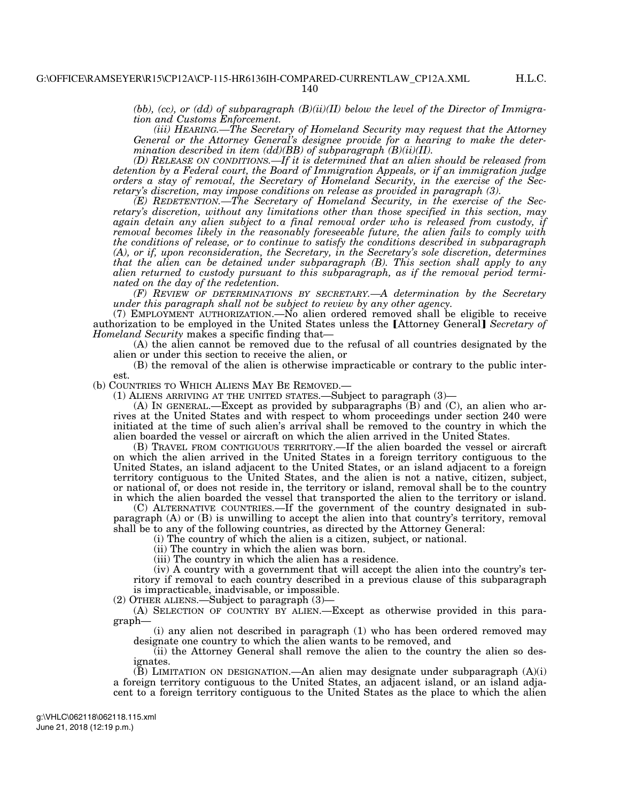*(bb), (cc), or (dd) of subparagraph (B)(ii)(II) below the level of the Director of Immigration and Customs Enforcement.* 

*(iii) HEARING.—The Secretary of Homeland Security may request that the Attorney General or the Attorney General's designee provide for a hearing to make the determination described in item (dd)(BB) of subparagraph (B)(ii)(II).* 

*(D) RELEASE ON CONDITIONS.—If it is determined that an alien should be released from detention by a Federal court, the Board of Immigration Appeals, or if an immigration judge orders a stay of removal, the Secretary of Homeland Security, in the exercise of the Secretary's discretion, may impose conditions on release as provided in paragraph (3).* 

*(E) REDETENTION.—The Secretary of Homeland Security, in the exercise of the Secretary's discretion, without any limitations other than those specified in this section, may again detain any alien subject to a final removal order who is released from custody, if removal becomes likely in the reasonably foreseeable future, the alien fails to comply with the conditions of release, or to continue to satisfy the conditions described in subparagraph (A), or if, upon reconsideration, the Secretary, in the Secretary's sole discretion, determines that the alien can be detained under subparagraph (B). This section shall apply to any alien returned to custody pursuant to this subparagraph, as if the removal period terminated on the day of the redetention.* 

*(F) REVIEW OF DETERMINATIONS BY SECRETARY.—A determination by the Secretary under this paragraph shall not be subject to review by any other agency.* 

(7) EMPLOYMENT AUTHORIZATION.—No alien ordered removed shall be eligible to receive authorization to be employed in the United States unless the [Attorney General] Secretary of *Homeland Security* makes a specific finding that—

(A) the alien cannot be removed due to the refusal of all countries designated by the alien or under this section to receive the alien, or

(B) the removal of the alien is otherwise impracticable or contrary to the public interest.

(b) COUNTRIES TO WHICH ALIENS MAY BE REMOVED.—

(1) ALIENS ARRIVING AT THE UNITED STATES.—Subject to paragraph (3)—

(A) IN GENERAL.—Except as provided by subparagraphs  $(B)$  and  $(C)$ , an alien who arrives at the United States and with respect to whom proceedings under section 240 were initiated at the time of such alien's arrival shall be removed to the country in which the alien boarded the vessel or aircraft on which the alien arrived in the United States.

(B) TRAVEL FROM CONTIGUOUS TERRITORY.—If the alien boarded the vessel or aircraft on which the alien arrived in the United States in a foreign territory contiguous to the United States, an island adjacent to the United States, or an island adjacent to a foreign territory contiguous to the United States, and the alien is not a native, citizen, subject, or national of, or does not reside in, the territory or island, removal shall be to the country in which the alien boarded the vessel that transported the alien to the territory or island.

(C) ALTERNATIVE COUNTRIES.—If the government of the country designated in subparagraph (A) or (B) is unwilling to accept the alien into that country's territory, removal shall be to any of the following countries, as directed by the Attorney General:

(i) The country of which the alien is a citizen, subject, or national.

(ii) The country in which the alien was born.

(iii) The country in which the alien has a residence.

(iv) A country with a government that will accept the alien into the country's territory if removal to each country described in a previous clause of this subparagraph is impracticable, inadvisable, or impossible.

(2) OTHER ALIENS.—Subject to paragraph (3)—

(A) SELECTION OF COUNTRY BY ALIEN.—Except as otherwise provided in this paragraph—

(i) any alien not described in paragraph (1) who has been ordered removed may designate one country to which the alien wants to be removed, and

(ii) the Attorney General shall remove the alien to the country the alien so designates.

 $(B)$  LIMITATION ON DESIGNATION.—An alien may designate under subparagraph  $(A)(i)$ a foreign territory contiguous to the United States, an adjacent island, or an island adjacent to a foreign territory contiguous to the United States as the place to which the alien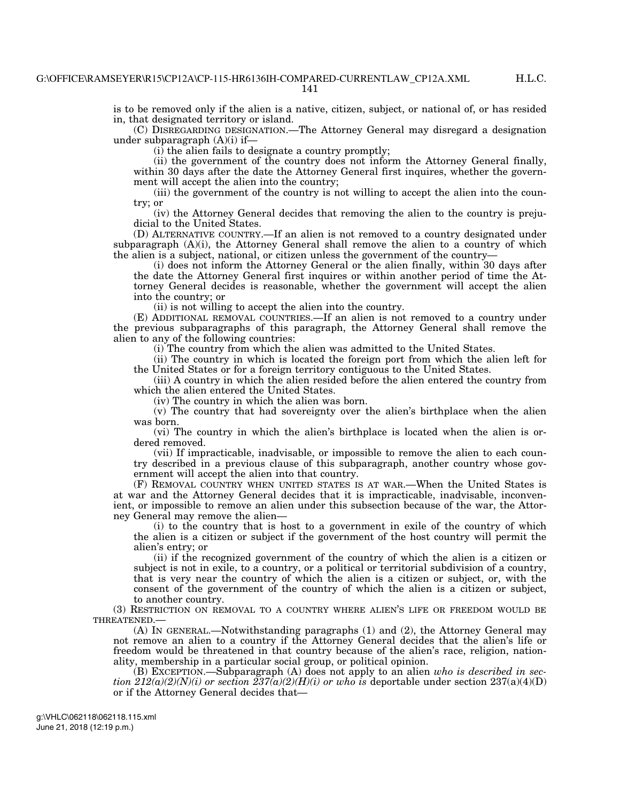is to be removed only if the alien is a native, citizen, subject, or national of, or has resided in, that designated territory or island.

(C) DISREGARDING DESIGNATION.—The Attorney General may disregard a designation under subparagraph  $(A)(i)$  if—

(i) the alien fails to designate a country promptly;

(ii) the government of the country does not inform the Attorney General finally, within 30 days after the date the Attorney General first inquires, whether the government will accept the alien into the country;

(iii) the government of the country is not willing to accept the alien into the country; or

(iv) the Attorney General decides that removing the alien to the country is prejudicial to the United States.

(D) ALTERNATIVE COUNTRY.—If an alien is not removed to a country designated under subparagraph (A)(i), the Attorney General shall remove the alien to a country of which the alien is a subject, national, or citizen unless the government of the country—

(i) does not inform the Attorney General or the alien finally, within 30 days after the date the Attorney General first inquires or within another period of time the Attorney General decides is reasonable, whether the government will accept the alien into the country; or

(ii) is not willing to accept the alien into the country.

(E) ADDITIONAL REMOVAL COUNTRIES.—If an alien is not removed to a country under the previous subparagraphs of this paragraph, the Attorney General shall remove the alien to any of the following countries:

(i) The country from which the alien was admitted to the United States.

(ii) The country in which is located the foreign port from which the alien left for the United States or for a foreign territory contiguous to the United States.

(iii) A country in which the alien resided before the alien entered the country from which the alien entered the United States.

(iv) The country in which the alien was born.

(v) The country that had sovereignty over the alien's birthplace when the alien was born.

(vi) The country in which the alien's birthplace is located when the alien is ordered removed.

(vii) If impracticable, inadvisable, or impossible to remove the alien to each country described in a previous clause of this subparagraph, another country whose government will accept the alien into that country.

(F) REMOVAL COUNTRY WHEN UNITED STATES IS AT WAR.—When the United States is at war and the Attorney General decides that it is impracticable, inadvisable, inconvenient, or impossible to remove an alien under this subsection because of the war, the Attorney General may remove the alien—

(i) to the country that is host to a government in exile of the country of which the alien is a citizen or subject if the government of the host country will permit the alien's entry; or

(ii) if the recognized government of the country of which the alien is a citizen or subject is not in exile, to a country, or a political or territorial subdivision of a country, that is very near the country of which the alien is a citizen or subject, or, with the consent of the government of the country of which the alien is a citizen or subject, to another country.

(3) RESTRICTION ON REMOVAL TO A COUNTRY WHERE ALIEN'S LIFE OR FREEDOM WOULD BE THREATENED.—

(A) IN GENERAL.—Notwithstanding paragraphs (1) and (2), the Attorney General may not remove an alien to a country if the Attorney General decides that the alien's life or freedom would be threatened in that country because of the alien's race, religion, nationality, membership in a particular social group, or political opinion.

(B) EXCEPTION.—Subparagraph (A) does not apply to an alien *who is described in section 212(a)(2)(N)(i) or section 237(a)(2)(H)(i) or who is deportable under section 237(a)(4)(D)* or if the Attorney General decides that—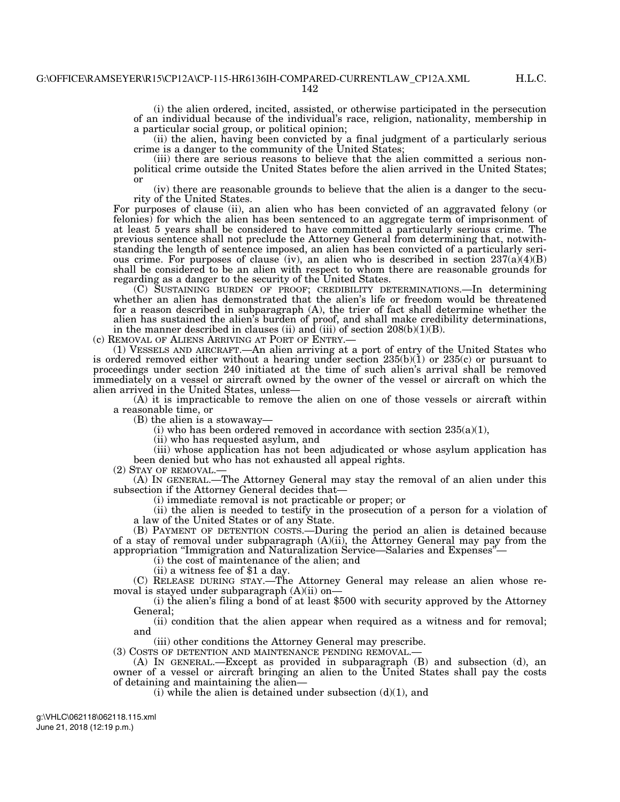(i) the alien ordered, incited, assisted, or otherwise participated in the persecution of an individual because of the individual's race, religion, nationality, membership in a particular social group, or political opinion;

(ii) the alien, having been convicted by a final judgment of a particularly serious crime is a danger to the community of the United States;

(iii) there are serious reasons to believe that the alien committed a serious nonpolitical crime outside the United States before the alien arrived in the United States; or

(iv) there are reasonable grounds to believe that the alien is a danger to the security of the United States.

For purposes of clause (ii), an alien who has been convicted of an aggravated felony (or felonies) for which the alien has been sentenced to an aggregate term of imprisonment of at least 5 years shall be considered to have committed a particularly serious crime. The previous sentence shall not preclude the Attorney General from determining that, notwithstanding the length of sentence imposed, an alien has been convicted of a particularly serious crime. For purposes of clause (iv), an alien who is described in section  $237(a)(4)(B)$ shall be considered to be an alien with respect to whom there are reasonable grounds for regarding as a danger to the security of the United States.

(C) SUSTAINING BURDEN OF PROOF; CREDIBILITY DETERMINATIONS.—In determining whether an alien has demonstrated that the alien's life or freedom would be threatened for a reason described in subparagraph (A), the trier of fact shall determine whether the alien has sustained the alien's burden of proof, and shall make credibility determinations, in the manner described in clauses (ii) and (iii) of section 208(b)(1)(B).<br>(c) REMOVAL OF ALIENS ARRIVING AT PORT OF ENTRY.—

 $(1)$  VESSELS AND AIRCRAFT.—An alien arriving at a port of entry of the United States who is ordered removed either without a hearing under section  $235(b)(1)$  or  $235(c)$  or pursuant to proceedings under section 240 initiated at the time of such alien's arrival shall be removed immediately on a vessel or aircraft owned by the owner of the vessel or aircraft on which the alien arrived in the United States, unless—

(A) it is impracticable to remove the alien on one of those vessels or aircraft within a reasonable time, or

(B) the alien is a stowaway—

(i) who has been ordered removed in accordance with section  $235(a)(1)$ ,

(ii) who has requested asylum, and

(iii) whose application has not been adjudicated or whose asylum application has been denied but who has not exhausted all appeal rights.

(2) STAY OF REMOVAL.— (A) IN GENERAL.—The Attorney General may stay the removal of an alien under this subsection if the Attorney General decides that—

(i) immediate removal is not practicable or proper; or

(ii) the alien is needed to testify in the prosecution of a person for a violation of a law of the United States or of any State.

(B) PAYMENT OF DETENTION COSTS.—During the period an alien is detained because of a stay of removal under subparagraph (A)(ii), the Attorney General may pay from the appropriation ''Immigration and Naturalization Service—Salaries and Expenses''—

(i) the cost of maintenance of the alien; and

(ii) a witness fee of \$1 a day.

(C) RELEASE DURING STAY.—The Attorney General may release an alien whose removal is stayed under subparagraph (A)(ii) on—

(i) the alien's filing a bond of at least \$500 with security approved by the Attorney General;

(ii) condition that the alien appear when required as a witness and for removal; and

(iii) other conditions the Attorney General may prescribe.

(3) COSTS OF DETENTION AND MAINTENANCE PENDING REMOVAL.—

(A) IN GENERAL.—Except as provided in subparagraph (B) and subsection (d), an owner of a vessel or aircraft bringing an alien to the United States shall pay the costs of detaining and maintaining the alien—

(i) while the alien is detained under subsection  $(d)(1)$ , and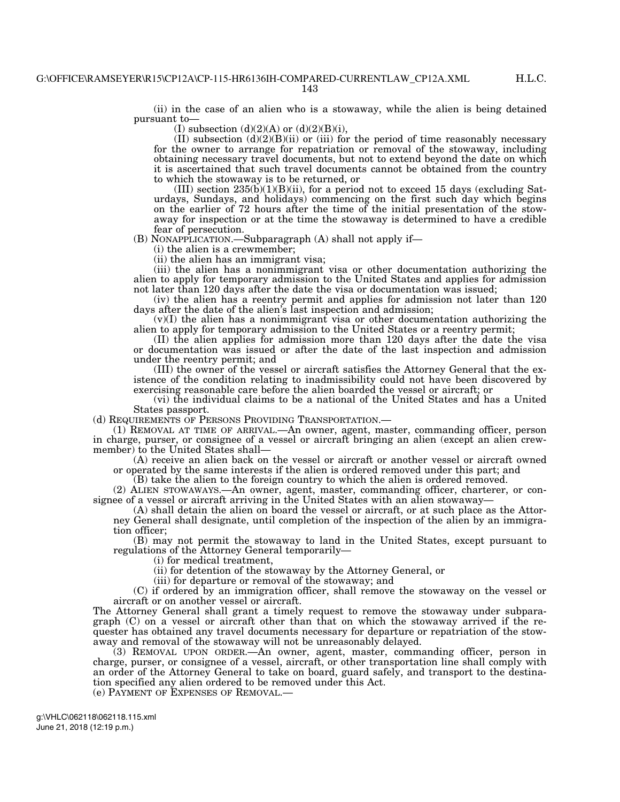143

(ii) in the case of an alien who is a stowaway, while the alien is being detained pursuant to—

(I) subsection  $(d)(2)(A)$  or  $(d)(2)(B)(i)$ ,

 $(II)$  subsection  $(d)(2)(B)(ii)$  or  $(iii)$  for the period of time reasonably necessary for the owner to arrange for repatriation or removal of the stowaway, including obtaining necessary travel documents, but not to extend beyond the date on which it is ascertained that such travel documents cannot be obtained from the country to which the stowaway is to be returned, or

(III) section  $235(b)(1)(B)(ii)$ , for a period not to exceed 15 days (excluding Saturdays, Sundays, and holidays) commencing on the first such day which begins on the earlier of 72 hours after the time of the initial presentation of the stowaway for inspection or at the time the stowaway is determined to have a credible fear of persecution.

(B) NONAPPLICATION.—Subparagraph (A) shall not apply if—

(i) the alien is a crewmember;

(ii) the alien has an immigrant visa;

(iii) the alien has a nonimmigrant visa or other documentation authorizing the alien to apply for temporary admission to the United States and applies for admission not later than 120 days after the date the visa or documentation was issued;

(iv) the alien has a reentry permit and applies for admission not later than 120 days after the date of the alien's last inspection and admission;

 $(v)(I)$  the alien has a nonimmigrant visa or other documentation authorizing the alien to apply for temporary admission to the United States or a reentry permit;

(II) the alien applies for admission more than 120 days after the date the visa or documentation was issued or after the date of the last inspection and admission under the reentry permit; and

(III) the owner of the vessel or aircraft satisfies the Attorney General that the existence of the condition relating to inadmissibility could not have been discovered by exercising reasonable care before the alien boarded the vessel or aircraft; or

(vi) the individual claims to be a national of the United States and has a United

States passport.<br>(d) REQUIREMENTS OF PERSONS PROVIDING TRANSPORTATION.—

 $(1)$  REMOVAL AT TIME OF ARRIVAL.—An owner, agent, master, commanding officer, person in charge, purser, or consignee of a vessel or aircraft bringing an alien (except an alien crewmember) to the United States shall—

(A) receive an alien back on the vessel or aircraft or another vessel or aircraft owned or operated by the same interests if the alien is ordered removed under this part; and

(B) take the alien to the foreign country to which the alien is ordered removed.

(2) ALIEN STOWAWAYS.—An owner, agent, master, commanding officer, charterer, or consignee of a vessel or aircraft arriving in the United States with an alien stowaway—

(A) shall detain the alien on board the vessel or aircraft, or at such place as the Attorney General shall designate, until completion of the inspection of the alien by an immigration officer;

(B) may not permit the stowaway to land in the United States, except pursuant to regulations of the Attorney General temporarily—

(i) for medical treatment,

(ii) for detention of the stowaway by the Attorney General, or

(iii) for departure or removal of the stowaway; and

(C) if ordered by an immigration officer, shall remove the stowaway on the vessel or aircraft or on another vessel or aircraft.

The Attorney General shall grant a timely request to remove the stowaway under subparagraph (C) on a vessel or aircraft other than that on which the stowaway arrived if the requester has obtained any travel documents necessary for departure or repatriation of the stowaway and removal of the stowaway will not be unreasonably delayed.

(3) REMOVAL UPON ORDER.—An owner, agent, master, commanding officer, person in charge, purser, or consignee of a vessel, aircraft, or other transportation line shall comply with an order of the Attorney General to take on board, guard safely, and transport to the destination specified any alien ordered to be removed under this Act.

(e) PAYMENT OF EXPENSES OF REMOVAL.—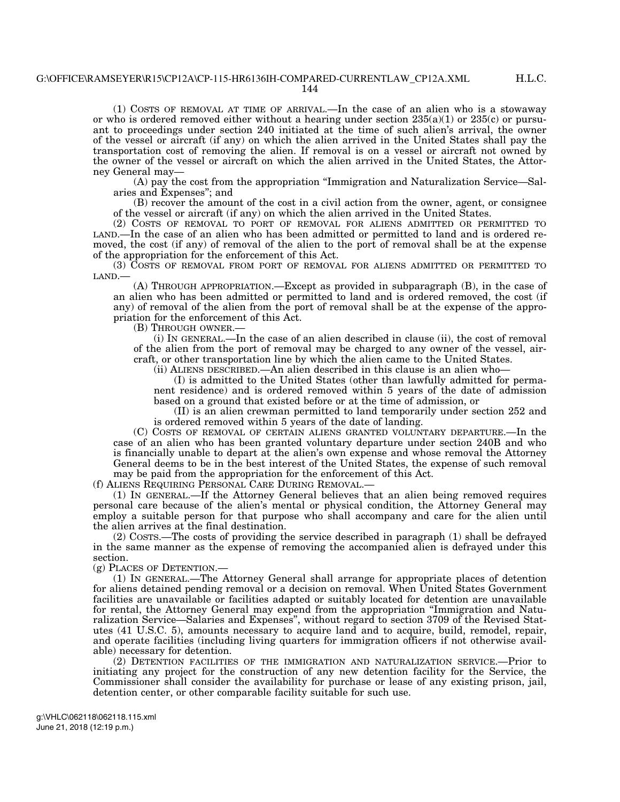(1) COSTS OF REMOVAL AT TIME OF ARRIVAL.—In the case of an alien who is a stowaway or who is ordered removed either without a hearing under section  $235(a)(1)$  or  $235(c)$  or pursuant to proceedings under section 240 initiated at the time of such alien's arrival, the owner of the vessel or aircraft (if any) on which the alien arrived in the United States shall pay the transportation cost of removing the alien. If removal is on a vessel or aircraft not owned by the owner of the vessel or aircraft on which the alien arrived in the United States, the Attorney General may—

(A) pay the cost from the appropriation ''Immigration and Naturalization Service—Salaries and Expenses''; and

(B) recover the amount of the cost in a civil action from the owner, agent, or consignee of the vessel or aircraft (if any) on which the alien arrived in the United States.

(2) COSTS OF REMOVAL TO PORT OF REMOVAL FOR ALIENS ADMITTED OR PERMITTED TO LAND.—In the case of an alien who has been admitted or permitted to land and is ordered removed, the cost (if any) of removal of the alien to the port of removal shall be at the expense of the appropriation for the enforcement of this Act.

(3) COSTS OF REMOVAL FROM PORT OF REMOVAL FOR ALIENS ADMITTED OR PERMITTED TO LAND.—

(A) THROUGH APPROPRIATION.—Except as provided in subparagraph (B), in the case of an alien who has been admitted or permitted to land and is ordered removed, the cost (if any) of removal of the alien from the port of removal shall be at the expense of the appropriation for the enforcement of this Act.

(B) THROUGH OWNER.—

(i) IN GENERAL.—In the case of an alien described in clause (ii), the cost of removal of the alien from the port of removal may be charged to any owner of the vessel, aircraft, or other transportation line by which the alien came to the United States.

(ii) ALIENS DESCRIBED.—An alien described in this clause is an alien who—

(I) is admitted to the United States (other than lawfully admitted for permanent residence) and is ordered removed within 5 years of the date of admission based on a ground that existed before or at the time of admission, or

(II) is an alien crewman permitted to land temporarily under section 252 and is ordered removed within 5 years of the date of landing.

(C) COSTS OF REMOVAL OF CERTAIN ALIENS GRANTED VOLUNTARY DEPARTURE.—In the case of an alien who has been granted voluntary departure under section 240B and who is financially unable to depart at the alien's own expense and whose removal the Attorney General deems to be in the best interest of the United States, the expense of such removal may be paid from the appropriation for the enforcement of this Act.

(f) ALIENS REQUIRING PERSONAL CARE DURING REMOVAL.—

(1) IN GENERAL.—If the Attorney General believes that an alien being removed requires personal care because of the alien's mental or physical condition, the Attorney General may employ a suitable person for that purpose who shall accompany and care for the alien until the alien arrives at the final destination.

(2) COSTS.—The costs of providing the service described in paragraph (1) shall be defrayed in the same manner as the expense of removing the accompanied alien is defrayed under this section.

(g) PLACES OF DETENTION.—

(1) IN GENERAL.—The Attorney General shall arrange for appropriate places of detention for aliens detained pending removal or a decision on removal. When United States Government facilities are unavailable or facilities adapted or suitably located for detention are unavailable for rental, the Attorney General may expend from the appropriation ''Immigration and Naturalization Service—Salaries and Expenses'', without regard to section 3709 of the Revised Statutes (41 U.S.C. 5), amounts necessary to acquire land and to acquire, build, remodel, repair, and operate facilities (including living quarters for immigration officers if not otherwise available) necessary for detention.

(2) DETENTION FACILITIES OF THE IMMIGRATION AND NATURALIZATION SERVICE.—Prior to initiating any project for the construction of any new detention facility for the Service, the Commissioner shall consider the availability for purchase or lease of any existing prison, jail, detention center, or other comparable facility suitable for such use.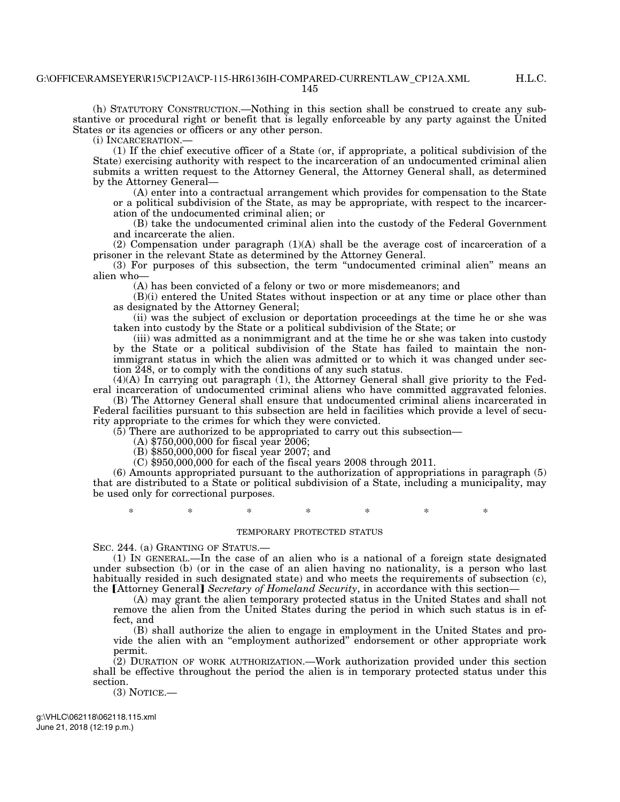(h) STATUTORY CONSTRUCTION.—Nothing in this section shall be construed to create any substantive or procedural right or benefit that is legally enforceable by any party against the United States or its agencies or officers or any other person.

(i) INCARCERATION.—

(1) If the chief executive officer of a State (or, if appropriate, a political subdivision of the State) exercising authority with respect to the incarceration of an undocumented criminal alien submits a written request to the Attorney General, the Attorney General shall, as determined by the Attorney General—

(A) enter into a contractual arrangement which provides for compensation to the State or a political subdivision of the State, as may be appropriate, with respect to the incarceration of the undocumented criminal alien; or

(B) take the undocumented criminal alien into the custody of the Federal Government and incarcerate the alien.

 $(2)$  Compensation under paragraph  $(1)(A)$  shall be the average cost of incarceration of a prisoner in the relevant State as determined by the Attorney General.

(3) For purposes of this subsection, the term ''undocumented criminal alien'' means an alien who—

(A) has been convicted of a felony or two or more misdemeanors; and

(B)(i) entered the United States without inspection or at any time or place other than as designated by the Attorney General;

(ii) was the subject of exclusion or deportation proceedings at the time he or she was taken into custody by the State or a political subdivision of the State; or

(iii) was admitted as a nonimmigrant and at the time he or she was taken into custody by the State or a political subdivision of the State has failed to maintain the nonimmigrant status in which the alien was admitted or to which it was changed under section 248, or to comply with the conditions of any such status.

(4)(A) In carrying out paragraph (1), the Attorney General shall give priority to the Federal incarceration of undocumented criminal aliens who have committed aggravated felonies.

(B) The Attorney General shall ensure that undocumented criminal aliens incarcerated in Federal facilities pursuant to this subsection are held in facilities which provide a level of security appropriate to the crimes for which they were convicted.

 $(5)$  There are authorized to be appropriated to carry out this subsection—

(A) \$750,000,000 for fiscal year 2006;

(B) \$850,000,000 for fiscal year 2007; and

(C) \$950,000,000 for each of the fiscal years 2008 through 2011.

(6) Amounts appropriated pursuant to the authorization of appropriations in paragraph (5) that are distributed to a State or political subdivision of a State, including a municipality, may be used only for correctional purposes.

\* \* \* \* \* \* \*

#### TEMPORARY PROTECTED STATUS

SEC. 244. (a) GRANTING OF STATUS.—

(1) IN GENERAL.—In the case of an alien who is a national of a foreign state designated under subsection (b) (or in the case of an alien having no nationality, is a person who last habitually resided in such designated state) and who meets the requirements of subsection (c), the [Attorney General] *Secretary of Homeland Security*, in accordance with this section—

(A) may grant the alien temporary protected status in the United States and shall not remove the alien from the United States during the period in which such status is in effect, and

(B) shall authorize the alien to engage in employment in the United States and provide the alien with an ''employment authorized'' endorsement or other appropriate work permit.

(2) DURATION OF WORK AUTHORIZATION.—Work authorization provided under this section shall be effective throughout the period the alien is in temporary protected status under this section.

 $(3)$  NOTICE.—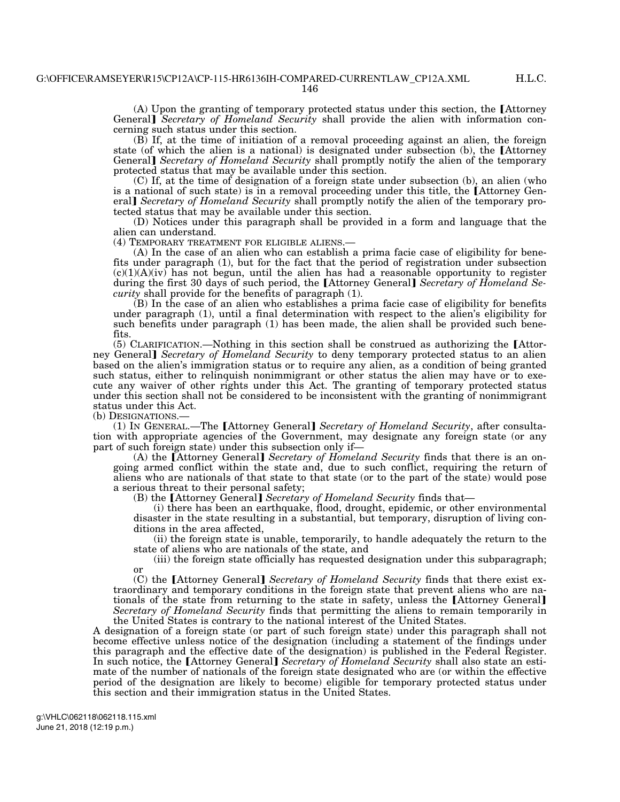$(A)$  Upon the granting of temporary protected status under this section, the Attorney General¿ *Secretary of Homeland Security* shall provide the alien with information concerning such status under this section.

(B) If, at the time of initiation of a removal proceeding against an alien, the foreign state (of which the alien is a national) is designated under subsection (b), the [Attorney General] Secretary of Homeland Security shall promptly notify the alien of the temporary protected status that may be available under this section.

(C) If, at the time of designation of a foreign state under subsection (b), an alien (who is a national of such state) is in a removal proceeding under this title, the *[Attorney Gen*eral] *Secretary of Homeland Security* shall promptly notify the alien of the temporary protected status that may be available under this section.

(D) Notices under this paragraph shall be provided in a form and language that the alien can understand.

(4) TEMPORARY TREATMENT FOR ELIGIBLE ALIENS.—

(A) In the case of an alien who can establish a prima facie case of eligibility for benefits under paragraph (1), but for the fact that the period of registration under subsection  $(c)(1)(A)(iv)$  has not begun, until the alien has had a reasonable opportunity to register during the first 30 days of such period, the [Attorney General] Secretary of *Homeland Security* shall provide for the benefits of paragraph (1).

(B) In the case of an alien who establishes a prima facie case of eligibility for benefits under paragraph (1), until a final determination with respect to the alien's eligibility for such benefits under paragraph (1) has been made, the alien shall be provided such benefits.

 $(5)$  CLARIFICATION.—Nothing in this section shall be construed as authorizing the  $[Attor$ ney General] *Secretary of Homeland Security* to deny temporary protected status to an alien based on the alien's immigration status or to require any alien, as a condition of being granted such status, either to relinquish nonimmigrant or other status the alien may have or to execute any waiver of other rights under this Act. The granting of temporary protected status under this section shall not be considered to be inconsistent with the granting of nonimmigrant status under this Act.

(b) DESIGNATIONS.

(1) IN GENERAL.—The [Attorney General] *Secretary of Homeland Security*, after consultation with appropriate agencies of the Government, may designate any foreign state (or any part of such foreign state) under this subsection only if—

(A) the **[Attorney General]** *Secretary of Homeland Security* finds that there is an ongoing armed conflict within the state and, due to such conflict, requiring the return of aliens who are nationals of that state to that state (or to the part of the state) would pose a serious threat to their personal safety;

(B) the [Attorney General] *Secretary of Homeland Security* finds that—

(i) there has been an earthquake, flood, drought, epidemic, or other environmental disaster in the state resulting in a substantial, but temporary, disruption of living conditions in the area affected,

(ii) the foreign state is unable, temporarily, to handle adequately the return to the state of aliens who are nationals of the state, and

(iii) the foreign state officially has requested designation under this subparagraph; or

(C) the [Attorney General] *Secretary of Homeland Security* finds that there exist extraordinary and temporary conditions in the foreign state that prevent aliens who are nationals of the state from returning to the state in safety, unless the [Attorney General] *Secretary of Homeland Security* finds that permitting the aliens to remain temporarily in the United States is contrary to the national interest of the United States.

A designation of a foreign state (or part of such foreign state) under this paragraph shall not become effective unless notice of the designation (including a statement of the findings under this paragraph and the effective date of the designation) is published in the Federal Register. In such notice, the [Attorney General] *Secretary of Homeland Security* shall also state an estimate of the number of nationals of the foreign state designated who are (or within the effective period of the designation are likely to become) eligible for temporary protected status under this section and their immigration status in the United States.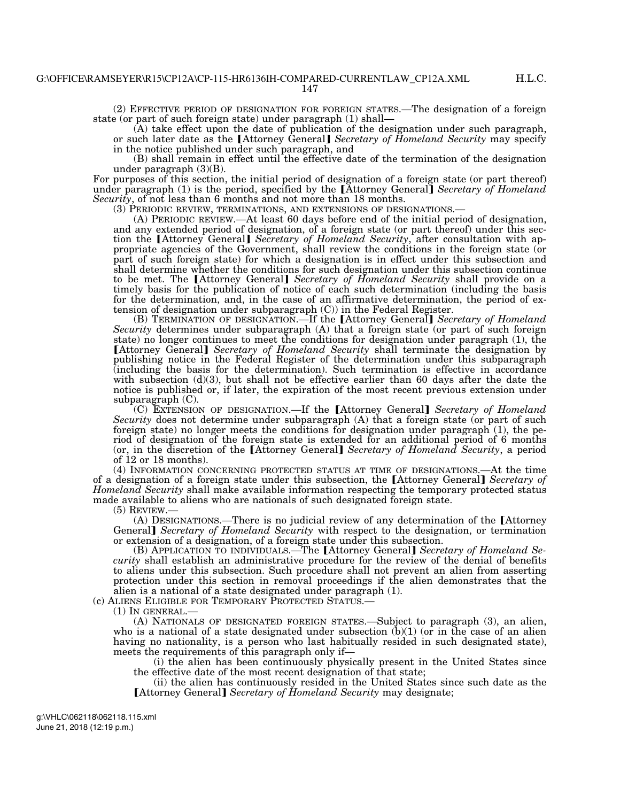(2) EFFECTIVE PERIOD OF DESIGNATION FOR FOREIGN STATES.—The designation of a foreign state (or part of such foreign state) under paragraph (1) shall—

(A) take effect upon the date of publication of the designation under such paragraph, or such later date as the [Attorney General] *Secretary of Homeland Security* may specify in the notice published under such paragraph, and

(B) shall remain in effect until the effective date of the termination of the designation under paragraph (3)(B).

For purposes of this section, the initial period of designation of a foreign state (or part thereof) under paragraph (1) is the period, specified by the **[Attorney General]** *Secretary of Homeland Security*, of not less than 6 months and not more than 18 months.<br>(3) PERIODIC REVIEW, TERMINATIONS, AND EXTENSIONS OF DESIGNATIONS.—

 $(A)$  PERIODIC REVIEW.—At least 60 days before end of the initial period of designation, and any extended period of designation, of a foreign state (or part thereof) under this section the *[Attorney General] Secretary of Homeland Security*, after consultation with appropriate agencies of the Government, shall review the conditions in the foreign state (or part of such foreign state) for which a designation is in effect under this subsection and shall determine whether the conditions for such designation under this subsection continue to be met. The [Attorney General] *Secretary of Homeland Security* shall provide on a timely basis for the publication of notice of each such determination (including the basis for the determination, and, in the case of an affirmative determination, the period of ex-

tension of designation under subparagraph (C)) in the Federal Register.<br>(B) TERMINATION OF DESIGNATION.—If the [Attorney General] Secretary of Homeland *Security* determines under subparagraph (A) that a foreign state (or part of such foreign state) no longer continues to meet the conditions for designation under paragraph (1), the **EXECUTE: CONSTRUCTED THE CONSTRUCT OF ACCOUNT CONSTRUCT CONSTRUCTED** (1), and **The CONSTRUCT CONSTRUCTED CONSTRUCTED CONSTRUCTED CONSTRUCTED CONSTRUCTED CONSTRUCTED CONSTRUCTED CONSTRUCTED CONSTRUCTE** publishing notice in the Federal Register of the determination under this subparagraph (including the basis for the determination). Such termination is effective in accordance with subsection  $(d)(3)$ , but shall not be effective earlier than 60 days after the date the notice is published or, if later, the expiration of the most recent previous extension under subparagraph (C).

(C) EXTENSION OF DESIGNATION.—If the [Attorney General] *Secretary of Homeland Security* does not determine under subparagraph (A) that a foreign state (or part of such foreign state) no longer meets the conditions for designation under paragraph (1), the period of designation of the foreign state is extended for an additional period of 6 months (or, in the discretion of the [Attorney General] *Secretary of Homeland Security*, a period of 12 or 18 months).

(4) INFORMATION CONCERNING PROTECTED STATUS AT TIME OF DESIGNATIONS.—At the time of a designation of a foreign state under this subsection, the [Attorney General] Secretary of *Homeland Security* shall make available information respecting the temporary protected status made available to aliens who are nationals of such designated foreign state.

(5) REVIEW.—

 $(A)$  DESIGNATIONS.—There is no judicial review of any determination of the [Attorney General] Secretary of Homeland Security with respect to the designation, or termination

or extension of a designation, of a foreign state under this subsection.<br>
(B) APPLICATION TO INDIVIDUALS.—The *[Attorney General] Secretary of Homeland Security* shall establish an administrative procedure for the review of the denial of benefits to aliens under this subsection. Such procedure shall not prevent an alien from asserting protection under this section in removal proceedings if the alien demonstrates that the alien is a national of a state designated under paragraph (1).

(c) ALIENS ELIGIBLE FOR TEMPORARY PROTECTED STATUS.—

 $(1)$  In GENERAL.-

(A) NATIONALS OF DESIGNATED FOREIGN STATES.—Subject to paragraph (3), an alien, who is a national of a state designated under subsection  $(b)(1)$  (or in the case of an alien having no nationality, is a person who last habitually resided in such designated state), meets the requirements of this paragraph only if—

(i) the alien has been continuously physically present in the United States since the effective date of the most recent designation of that state;

(ii) the alien has continuously resided in the United States since such date as the **[Attorney General]** *Secretary of Homeland Security* may designate;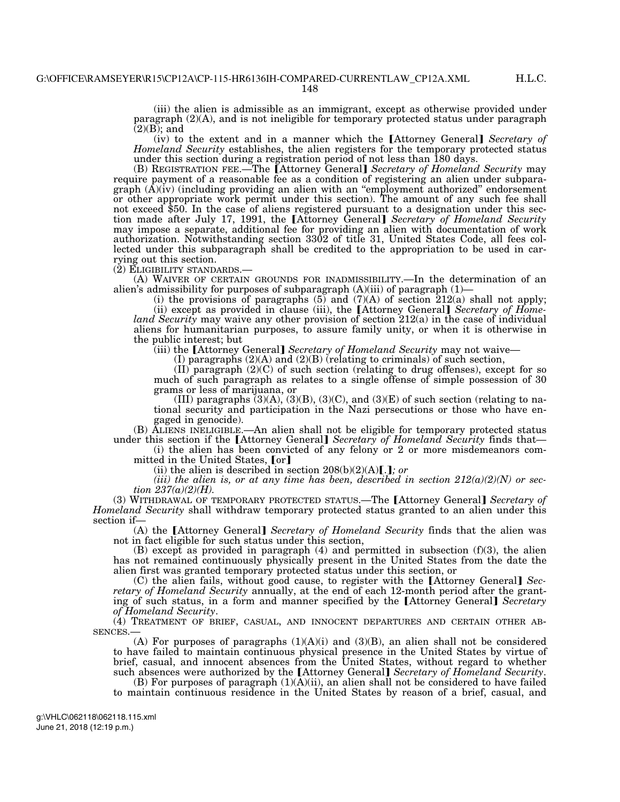148

(iii) the alien is admissible as an immigrant, except as otherwise provided under paragraph (2)(A), and is not ineligible for temporary protected status under paragraph  $(2)(B)$ ; and

(iv) to the extent and in a manner which the **[Attorney General]** *Secretary of Homeland Security* establishes, the alien registers for the temporary protected status under this section during a registration period of not less than 180 days.

(B) REGISTRATION FEE.—The **[Attorney General]** Secretary of Homeland Security may require payment of a reasonable fee as a condition of registering an alien under subparagraph  $(A)(iv)$  (including providing an alien with an "employment authorized" endorsement or other appropriate work permit under this section). The amount of any such fee shall not exceed \$50. In the case of aliens registered pursuant to a designation under this section made after July 17, 1991, the **[Attorney General]** *Secretary of Homeland Security* may impose a separate, additional fee for providing an alien with documentation of work authorization. Notwithstanding section 3302 of title 31, United States Code, all fees collected under this subparagraph shall be credited to the appropriation to be used in carrying out this section.

(2) ELIGIBILITY STANDARDS.— (A) WAIVER OF CERTAIN GROUNDS FOR INADMISSIBILITY.—In the determination of an alien's admissibility for purposes of subparagraph (A)(iii) of paragraph (1)—

(i) the provisions of paragraphs  $(5)$  and  $(7)(A)$  of section  $212(a)$  shall not apply; (ii) except as provided in clause (iii), the  $[Attorney General]$  *Secretary of Home-*

*land Security* may waive any other provision of section 212(a) in the case of individual aliens for humanitarian purposes, to assure family unity, or when it is otherwise in the public interest; but

(iii) the [Attorney General] *Secretary of Homeland Security* may not waive—

(I) paragraphs  $(2)(A)$  and  $(2)(B)$  (relating to criminals) of such section,

(II) paragraph (2)(C) of such section (relating to drug offenses), except for so much of such paragraph as relates to a single offense of simple possession of 30 grams or less of marijuana, or

(III) paragraphs  $(3)(A)$ ,  $(3)(B)$ ,  $(3)(C)$ , and  $(3)(E)$  of such section (relating to national security and participation in the Nazi persecutions or those who have engaged in genocide).

(B) ALIENS INELIGIBLE.—An alien shall not be eligible for temporary protected status under this section if the [Attorney General] *Secretary of Homeland Security* finds that—

(i) the alien has been convicted of any felony or 2 or more misdemeanors committed in the United States, [or]

(ii) the alien is described in section  $208(b)(2)(A)$ . *j, or* 

*(iii) the alien is, or at any time has been, described in section*  $2I2(a)(2)(N)$  *or section 237(a)(2)(H).* 

(3) WITHDRAWAL OF TEMPORARY PROTECTED STATUS.—The [Attorney General] Secretary of *Homeland Security* shall withdraw temporary protected status granted to an alien under this section if—

(A) the **[Attorney General]** *Secretary of Homeland Security* finds that the alien was not in fact eligible for such status under this section,

(B) except as provided in paragraph (4) and permitted in subsection (f)(3), the alien has not remained continuously physically present in the United States from the date the alien first was granted temporary protected status under this section, or

(C) the alien fails, without good cause, to register with the [Attorney General] Sec*retary of Homeland Security* annually, at the end of each 12-month period after the granting of such status, in a form and manner specified by the [Attorney General] *Secretary of Homeland Security*.

(4) TREATMENT OF BRIEF, CASUAL, AND INNOCENT DEPARTURES AND CERTAIN OTHER AB-SENCES.—

(A) For purposes of paragraphs  $(1)(A)(i)$  and  $(3)(B)$ , an alien shall not be considered to have failed to maintain continuous physical presence in the United States by virtue of brief, casual, and innocent absences from the United States, without regard to whether such absences were authorized by the [Attorney General] *Secretary of Homeland Security*.

(B) For purposes of paragraph  $(1)(A)(ii)$ , an alien shall not be considered to have failed to maintain continuous residence in the United States by reason of a brief, casual, and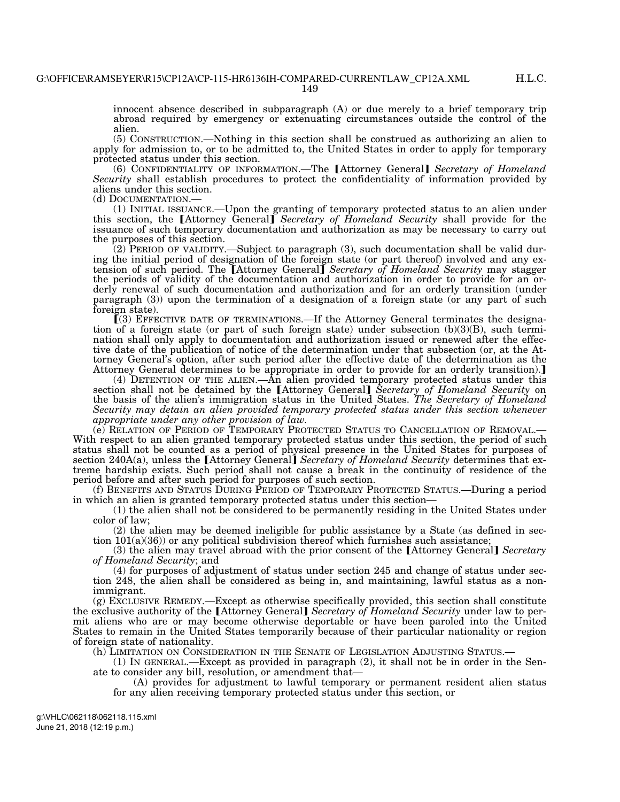innocent absence described in subparagraph (A) or due merely to a brief temporary trip abroad required by emergency or extenuating circumstances outside the control of the alien.

(5) CONSTRUCTION.—Nothing in this section shall be construed as authorizing an alien to apply for admission to, or to be admitted to, the United States in order to apply for temporary protected status under this section.

(6) CONFIDENTIALITY OF INFORMATION.—The [Attorney General] *Secretary of Homeland Security* shall establish procedures to protect the confidentiality of information provided by aliens under this section.<br>(d) DOCUMENTATION.—

(d) DOCUMENTATION.—<br>(1) INITIAL ISSUANCE.—Upon the granting of temporary protected status to an alien under this section, the *[Attorney General] Secretary of Homeland Security* shall provide for the issuance of such temporary documentation and authorization as may be necessary to carry out the purposes of this section.

(2) PERIOD OF VALIDITY.—Subject to paragraph (3), such documentation shall be valid during the initial period of designation of the foreign state (or part thereof) involved and any extension of such period. The LAttorney General<sub>J</sub> Secretary of Homeland Security may stagger the periods of validity of the documentation and authorization in order to provide for an orderly renewal of such documentation and authorization and for an orderly transition (under paragraph (3)) upon the termination of a designation of a foreign state (or any part of such foreign state).

 $(3)$  EFFECTIVE DATE OF TERMINATIONS.—If the Attorney General terminates the designation of a foreign state (or part of such foreign state) under subsection (b)(3)(B), such termination shall only apply to documentation and authorization issued or renewed after the effective date of the publication of notice of the determination under that subsection (or, at the Attorney General's option, after such period after the effective date of the determination as the Attorney General determines to be appropriate in order to provide for an orderly transition).

(4) DETENTION OF THE ALIEN.— $\tilde{A}$ n alien provided temporary protected status under this section shall not be detained by the *[Attorney General] Secretary of Homeland Security* on the basis of the alien's immigration status in the United States. *The Secretary of Homeland Security may detain an alien provided temporary protected status under this section whenever appropriate under any other provision of law.*<br>(e) RELATION OF PERIOD OF TEMPORARY PROTECTED STATUS TO CANCELLATION OF REMOVAL.—

(e) RELATION OF PERIOD OF TEMPORARY PROTECTED STATUS TO CANCELLATION OF REMOVAL.— With respect to an alien granted temporary protected status under this section, the period of such status shall not be counted as a period of physical presence in the United States for purposes of section 240A(a), unless the [Attorney General] Secretary of Homeland Security determines that extreme hardship exists. Such period shall not cause a break in the continuity of residence of the period before and after such period for purposes of such section.

(f) BENEFITS AND STATUS DURING PERIOD OF TEMPORARY PROTECTED STATUS.—During a period in which an alien is granted temporary protected status under this section—

(1) the alien shall not be considered to be permanently residing in the United States under color of law;

(2) the alien may be deemed ineligible for public assistance by a State (as defined in section  $101(a)(36)$  or any political subdivision thereof which furnishes such assistance;

(3) the alien may travel abroad with the prior consent of the [Attorney General] *Secretary of Homeland Security*; and

(4) for purposes of adjustment of status under section 245 and change of status under section 248, the alien shall be considered as being in, and maintaining, lawful status as a nonimmigrant.

(g) EXCLUSIVE REMEDY.—Except as otherwise specifically provided, this section shall constitute the exclusive authority of the [Attorney General] *Secretary of Homeland Security* under law to permit aliens who are or may become otherwise deportable or have been paroled into the United States to remain in the United States temporarily because of their particular nationality or region of foreign state of nationality.

(h) LIMITATION ON CONSIDERATION IN THE SENATE OF LEGISLATION ADJUSTING STATUS.—

(1) IN GENERAL.—Except as provided in paragraph (2), it shall not be in order in the Senate to consider any bill, resolution, or amendment that—

(A) provides for adjustment to lawful temporary or permanent resident alien status for any alien receiving temporary protected status under this section, or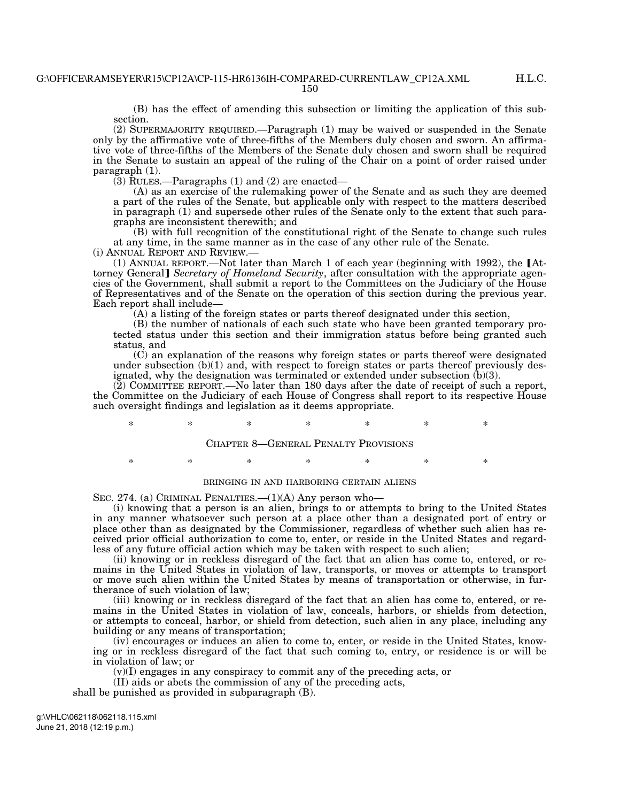150

(B) has the effect of amending this subsection or limiting the application of this subsection.

(2) SUPERMAJORITY REQUIRED.—Paragraph (1) may be waived or suspended in the Senate only by the affirmative vote of three-fifths of the Members duly chosen and sworn. An affirmative vote of three-fifths of the Members of the Senate duly chosen and sworn shall be required in the Senate to sustain an appeal of the ruling of the Chair on a point of order raised under paragraph (1).

(3) RULES.—Paragraphs (1) and (2) are enacted—

(A) as an exercise of the rulemaking power of the Senate and as such they are deemed a part of the rules of the Senate, but applicable only with respect to the matters described in paragraph (1) and supersede other rules of the Senate only to the extent that such paragraphs are inconsistent therewith; and

(B) with full recognition of the constitutional right of the Senate to change such rules at any time, in the same manner as in the case of any other rule of the Senate.

(i) ANNUAL REPORT AND REVIEW.—

 $(1)$  ANNUAL REPORT.—Not later than March 1 of each year (beginning with 1992), the  $[At$ torney General] *Secretary of Homeland Security*, after consultation with the appropriate agencies of the Government, shall submit a report to the Committees on the Judiciary of the House of Representatives and of the Senate on the operation of this section during the previous year. Each report shall include—

(A) a listing of the foreign states or parts thereof designated under this section,

(B) the number of nationals of each such state who have been granted temporary protected status under this section and their immigration status before being granted such status, and

(C) an explanation of the reasons why foreign states or parts thereof were designated under subsection  $(b)(1)$  and, with respect to foreign states or parts thereof previously designated, why the designation was terminated or extended under subsection  $(b)(3)$ .

 $(2)$  COMMITTEE REPORT.—No later than 180 days after the date of receipt of such a report, the Committee on the Judiciary of each House of Congress shall report to its respective House such oversight findings and legislation as it deems appropriate.

\* \* \* \* \* \* \*

## CHAPTER 8—GENERAL PENALTY PROVISIONS

\* \* \* \* \* \* \* \*

#### BRINGING IN AND HARBORING CERTAIN ALIENS

SEC. 274. (a) CRIMINAL PENALTIES.—(1)(A) Any person who—

(i) knowing that a person is an alien, brings to or attempts to bring to the United States in any manner whatsoever such person at a place other than a designated port of entry or place other than as designated by the Commissioner, regardless of whether such alien has received prior official authorization to come to, enter, or reside in the United States and regardless of any future official action which may be taken with respect to such alien;

(ii) knowing or in reckless disregard of the fact that an alien has come to, entered, or remains in the United States in violation of law, transports, or moves or attempts to transport or move such alien within the United States by means of transportation or otherwise, in furtherance of such violation of law;

(iii) knowing or in reckless disregard of the fact that an alien has come to, entered, or remains in the United States in violation of law, conceals, harbors, or shields from detection, or attempts to conceal, harbor, or shield from detection, such alien in any place, including any building or any means of transportation;

(iv) encourages or induces an alien to come to, enter, or reside in the United States, knowing or in reckless disregard of the fact that such coming to, entry, or residence is or will be in violation of law; or

(v)(I) engages in any conspiracy to commit any of the preceding acts, or

(II) aids or abets the commission of any of the preceding acts,

shall be punished as provided in subparagraph (B).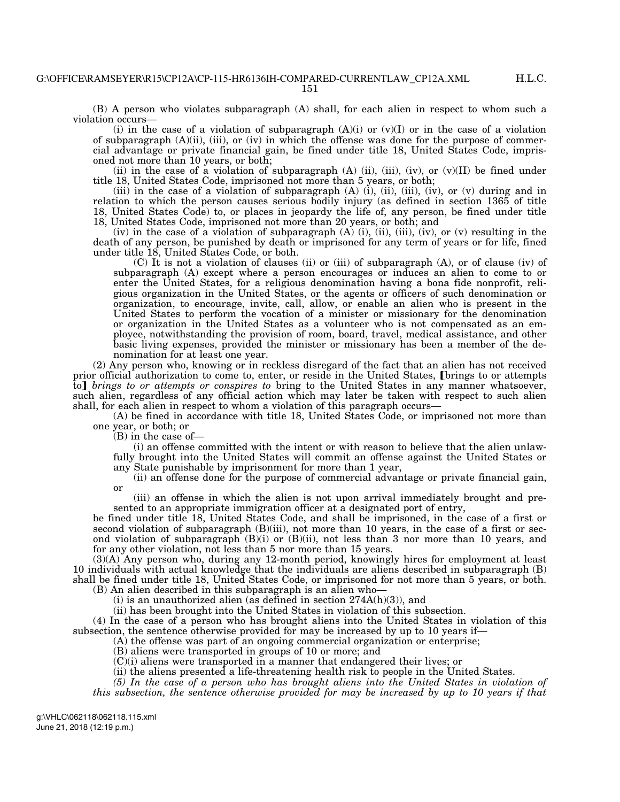(B) A person who violates subparagraph (A) shall, for each alien in respect to whom such a violation occurs—

(i) in the case of a violation of subparagraph  $(A)(i)$  or  $(v)(I)$  or in the case of a violation of subparagraph  $(A)(ii)$ ,  $(iii)$ , or  $(iv)$  in which the offense was done for the purpose of commercial advantage or private financial gain, be fined under title 18, United States Code, imprisoned not more than 10 years, or both;

(ii) in the case of a violation of subparagraph (A) (ii), (iii), (iv), or  $(v)(II)$  be fined under title 18, United States Code, imprisoned not more than 5 years, or both;

(iii) in the case of a violation of subparagraph  $(A)$  (i), (ii), (iii), (iv), or (v) during and in relation to which the person causes serious bodily injury (as defined in section 1365 of title 18, United States Code) to, or places in jeopardy the life of, any person, be fined under title 18, United States Code, imprisoned not more than 20 years, or both; and

 $(iv)$  in the case of a violation of subparagraph  $(A)$   $(i)$ ,  $(ii)$ ,  $(iii)$ ,  $(iv)$ , or  $(v)$  resulting in the death of any person, be punished by death or imprisoned for any term of years or for life, fined under title 18, United States Code, or both.

(C) It is not a violation of clauses (ii) or (iii) of subparagraph (A), or of clause (iv) of subparagraph (A) except where a person encourages or induces an alien to come to or enter the United States, for a religious denomination having a bona fide nonprofit, religious organization in the United States, or the agents or officers of such denomination or organization, to encourage, invite, call, allow, or enable an alien who is present in the United States to perform the vocation of a minister or missionary for the denomination or organization in the United States as a volunteer who is not compensated as an employee, notwithstanding the provision of room, board, travel, medical assistance, and other basic living expenses, provided the minister or missionary has been a member of the denomination for at least one year.

(2) Any person who, knowing or in reckless disregard of the fact that an alien has not received prior official authorization to come to, enter, or reside in the United States, [brings to or attempts to] brings to or attempts or conspires to bring to the United States in any manner whatsoever, such alien, regardless of any official action which may later be taken with respect to such alien shall, for each alien in respect to whom a violation of this paragraph occurs—

(A) be fined in accordance with title 18, United States Code, or imprisoned not more than one year, or both; or

(B) in the case of—

(i) an offense committed with the intent or with reason to believe that the alien unlawfully brought into the United States will commit an offense against the United States or any State punishable by imprisonment for more than 1 year,

(ii) an offense done for the purpose of commercial advantage or private financial gain, or

(iii) an offense in which the alien is not upon arrival immediately brought and presented to an appropriate immigration officer at a designated port of entry,

be fined under title 18, United States Code, and shall be imprisoned, in the case of a first or second violation of subparagraph (B)(iii), not more than 10 years, in the case of a first or second violation of subparagraph (B)(i) or (B)(ii), not less than 3 nor more than 10 years, and for any other violation, not less than 5 nor more than 15 years.

(3)(A) Any person who, during any 12-month period, knowingly hires for employment at least 10 individuals with actual knowledge that the individuals are aliens described in subparagraph (B) shall be fined under title 18, United States Code, or imprisoned for not more than 5 years, or both. (B) An alien described in this subparagraph is an alien who—

 $(i)$  is an unauthorized alien (as defined in section  $274A(h)(3)$ ), and

(ii) has been brought into the United States in violation of this subsection.

(4) In the case of a person who has brought aliens into the United States in violation of this subsection, the sentence otherwise provided for may be increased by up to 10 years if—

(A) the offense was part of an ongoing commercial organization or enterprise;

(B) aliens were transported in groups of 10 or more; and

(C)(i) aliens were transported in a manner that endangered their lives; or

(ii) the aliens presented a life-threatening health risk to people in the United States.

*(5) In the case of a person who has brought aliens into the United States in violation of this subsection, the sentence otherwise provided for may be increased by up to 10 years if that*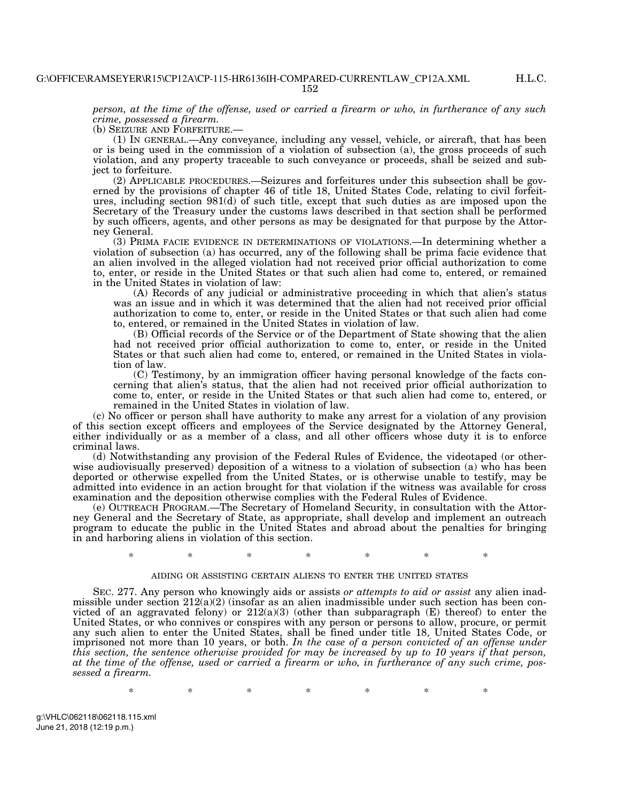H.L.C.

*person, at the time of the offense, used or carried a firearm or who, in furtherance of any such crime, possessed a firearm.* 

(b) SEIZURE AND FORFEITURE.—

(1) IN GENERAL.—Any conveyance, including any vessel, vehicle, or aircraft, that has been or is being used in the commission of a violation of subsection (a), the gross proceeds of such violation, and any property traceable to such conveyance or proceeds, shall be seized and subject to forfeiture.

(2) APPLICABLE PROCEDURES.—Seizures and forfeitures under this subsection shall be governed by the provisions of chapter 46 of title 18, United States Code, relating to civil forfeitures, including section 981(d) of such title, except that such duties as are imposed upon the Secretary of the Treasury under the customs laws described in that section shall be performed by such officers, agents, and other persons as may be designated for that purpose by the Attorney General.

(3) PRIMA FACIE EVIDENCE IN DETERMINATIONS OF VIOLATIONS.—In determining whether a violation of subsection (a) has occurred, any of the following shall be prima facie evidence that an alien involved in the alleged violation had not received prior official authorization to come to, enter, or reside in the United States or that such alien had come to, entered, or remained in the United States in violation of law:

(A) Records of any judicial or administrative proceeding in which that alien's status was an issue and in which it was determined that the alien had not received prior official authorization to come to, enter, or reside in the United States or that such alien had come to, entered, or remained in the United States in violation of law.

(B) Official records of the Service or of the Department of State showing that the alien had not received prior official authorization to come to, enter, or reside in the United States or that such alien had come to, entered, or remained in the United States in violation of law.

(C) Testimony, by an immigration officer having personal knowledge of the facts concerning that alien's status, that the alien had not received prior official authorization to come to, enter, or reside in the United States or that such alien had come to, entered, or remained in the United States in violation of law.

(c) No officer or person shall have authority to make any arrest for a violation of any provision of this section except officers and employees of the Service designated by the Attorney General, either individually or as a member of a class, and all other officers whose duty it is to enforce criminal laws.

(d) Notwithstanding any provision of the Federal Rules of Evidence, the videotaped (or otherwise audiovisually preserved) deposition of a witness to a violation of subsection (a) who has been deported or otherwise expelled from the United States, or is otherwise unable to testify, may be admitted into evidence in an action brought for that violation if the witness was available for cross examination and the deposition otherwise complies with the Federal Rules of Evidence.

(e) OUTREACH PROGRAM.—The Secretary of Homeland Security, in consultation with the Attorney General and the Secretary of State, as appropriate, shall develop and implement an outreach program to educate the public in the United States and abroad about the penalties for bringing in and harboring aliens in violation of this section.

# \* \* \* \* \* \* \*

# AIDING OR ASSISTING CERTAIN ALIENS TO ENTER THE UNITED STATES

SEC. 277. Any person who knowingly aids or assists *or attempts to aid or assist* any alien inadmissible under section  $212(a)(2)$  (insofar as an alien inadmissible under such section has been convicted of an aggravated felony) or  $212(a)(3)$  (other than subparagraph (E) thereof) to enter the United States, or who connives or conspires with any person or persons to allow, procure, or permit any such alien to enter the United States, shall be fined under title 18, United States Code, or imprisoned not more than 10 years, or both. *In the case of a person convicted of an offense under this section, the sentence otherwise provided for may be increased by up to 10 years if that person, at the time of the offense, used or carried a firearm or who, in furtherance of any such crime, possessed a firearm.* 

\* \* \* \* \* \* \* \*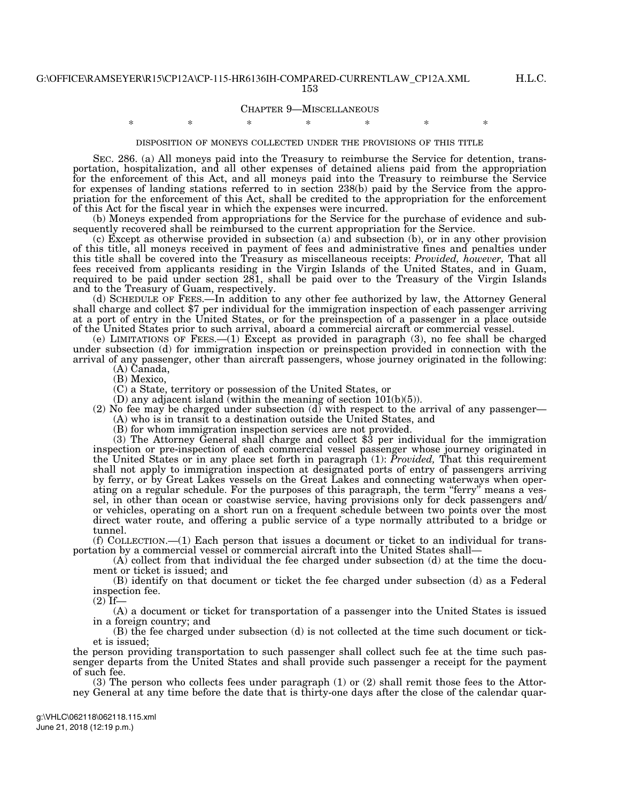#### CHAPTER 9—MISCELLANEOUS

# \* \* \* \* \* \* \*

### DISPOSITION OF MONEYS COLLECTED UNDER THE PROVISIONS OF THIS TITLE

SEC. 286. (a) All moneys paid into the Treasury to reimburse the Service for detention, transportation, hospitalization, and all other expenses of detained aliens paid from the appropriation for the enforcement of this Act, and all moneys paid into the Treasury to reimburse the Service for expenses of landing stations referred to in section 238(b) paid by the Service from the appropriation for the enforcement of this Act, shall be credited to the appropriation for the enforcement of this Act for the fiscal year in which the expenses were incurred.

(b) Moneys expended from appropriations for the Service for the purchase of evidence and subsequently recovered shall be reimbursed to the current appropriation for the Service.

(c) Except as otherwise provided in subsection (a) and subsection (b), or in any other provision of this title, all moneys received in payment of fees and administrative fines and penalties under this title shall be covered into the Treasury as miscellaneous receipts: *Provided, however,* That all fees received from applicants residing in the Virgin Islands of the United States, and in Guam, required to be paid under section 281, shall be paid over to the Treasury of the Virgin Islands and to the Treasury of Guam, respectively.

(d) SCHEDULE OF FEES.—In addition to any other fee authorized by law, the Attorney General shall charge and collect \$7 per individual for the immigration inspection of each passenger arriving at a port of entry in the United States, or for the preinspection of a passenger in a place outside of the United States prior to such arrival, aboard a commercial aircraft or commercial vessel.

(e) LIMITATIONS OF FEES.—(1) Except as provided in paragraph (3), no fee shall be charged under subsection (d) for immigration inspection or preinspection provided in connection with the arrival of any passenger, other than aircraft passengers, whose journey originated in the following: (A) Canada,

(B) Mexico,

(C) a State, territory or possession of the United States, or

 $(D)$  any adjacent island (within the meaning of section  $101(b)(5)$ ).

(2) No fee may be charged under subsection  $(d)$  with respect to the arrival of any passenger—

- (A) who is in transit to a destination outside the United States, and
- (B) for whom immigration inspection services are not provided.

(3) The Attorney General shall charge and collect \$3 per individual for the immigration inspection or pre-inspection of each commercial vessel passenger whose journey originated in the United States or in any place set forth in paragraph (1): *Provided,* That this requirement shall not apply to immigration inspection at designated ports of entry of passengers arriving by ferry, or by Great Lakes vessels on the Great Lakes and connecting waterways when operating on a regular schedule. For the purposes of this paragraph, the term ''ferry'' means a vessel, in other than ocean or coastwise service, having provisions only for deck passengers and/ or vehicles, operating on a short run on a frequent schedule between two points over the most direct water route, and offering a public service of a type normally attributed to a bridge or tunnel.

(f) COLLECTION.—(1) Each person that issues a document or ticket to an individual for transportation by a commercial vessel or commercial aircraft into the United States shall—

(A) collect from that individual the fee charged under subsection (d) at the time the document or ticket is issued; and

(B) identify on that document or ticket the fee charged under subsection (d) as a Federal inspection fee.

 $(2)$  If—

(A) a document or ticket for transportation of a passenger into the United States is issued in a foreign country; and

(B) the fee charged under subsection (d) is not collected at the time such document or ticket is issued;

the person providing transportation to such passenger shall collect such fee at the time such passenger departs from the United States and shall provide such passenger a receipt for the payment of such fee.

(3) The person who collects fees under paragraph (1) or (2) shall remit those fees to the Attorney General at any time before the date that is thirty-one days after the close of the calendar quar-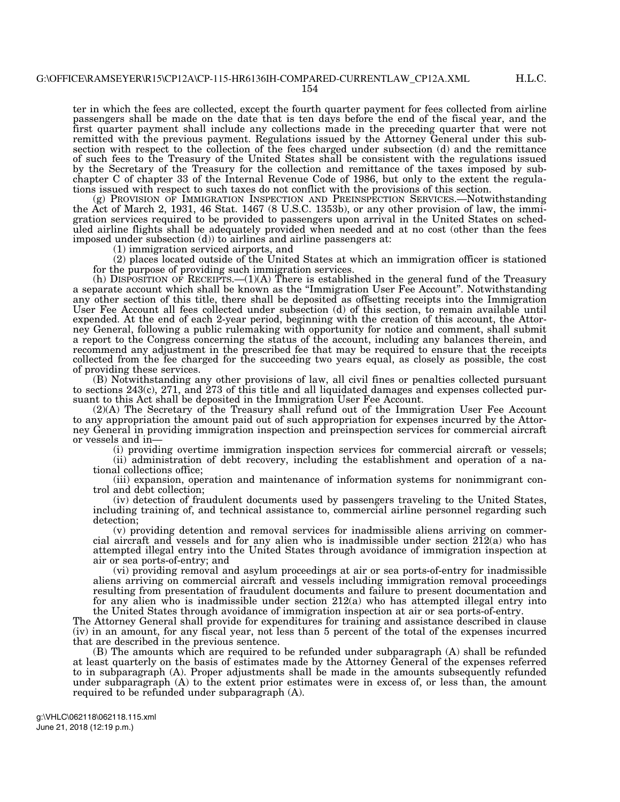H.L.C.

ter in which the fees are collected, except the fourth quarter payment for fees collected from airline passengers shall be made on the date that is ten days before the end of the fiscal year, and the first quarter payment shall include any collections made in the preceding quarter that were not remitted with the previous payment. Regulations issued by the Attorney General under this subsection with respect to the collection of the fees charged under subsection (d) and the remittance of such fees to the Treasury of the United States shall be consistent with the regulations issued by the Secretary of the Treasury for the collection and remittance of the taxes imposed by subchapter C of chapter 33 of the Internal Revenue Code of 1986, but only to the extent the regulations issued with respect to such taxes do not conflict with the provisions of this section.

(g) PROVISION OF IMMIGRATION INSPECTION AND PREINSPECTION SERVICES.—Notwithstanding the Act of March 2, 1931, 46 Stat. 1467 (8 U.S.C. 1353b), or any other provision of law, the immigration services required to be provided to passengers upon arrival in the United States on scheduled airline flights shall be adequately provided when needed and at no cost (other than the fees imposed under subsection (d)) to airlines and airline passengers at:

(1) immigration serviced airports, and

(2) places located outside of the United States at which an immigration officer is stationed for the purpose of providing such immigration services.

(h) DISPOSITION OF RECEIPTS.—(1)(A) There is established in the general fund of the Treasury a separate account which shall be known as the ''Immigration User Fee Account''. Notwithstanding any other section of this title, there shall be deposited as offsetting receipts into the Immigration User Fee Account all fees collected under subsection (d) of this section, to remain available until expended. At the end of each 2-year period, beginning with the creation of this account, the Attorney General, following a public rulemaking with opportunity for notice and comment, shall submit a report to the Congress concerning the status of the account, including any balances therein, and recommend any adjustment in the prescribed fee that may be required to ensure that the receipts collected from the fee charged for the succeeding two years equal, as closely as possible, the cost of providing these services.

(B) Notwithstanding any other provisions of law, all civil fines or penalties collected pursuant to sections 243(c), 271, and 273 of this title and all liquidated damages and expenses collected pursuant to this Act shall be deposited in the Immigration User Fee Account.

(2)(A) The Secretary of the Treasury shall refund out of the Immigration User Fee Account to any appropriation the amount paid out of such appropriation for expenses incurred by the Attorney General in providing immigration inspection and preinspection services for commercial aircraft or vessels and in—

(i) providing overtime immigration inspection services for commercial aircraft or vessels; (ii) administration of debt recovery, including the establishment and operation of a na-

tional collections office;

(iii) expansion, operation and maintenance of information systems for nonimmigrant control and debt collection;

(iv) detection of fraudulent documents used by passengers traveling to the United States, including training of, and technical assistance to, commercial airline personnel regarding such detection;

(v) providing detention and removal services for inadmissible aliens arriving on commercial aircraft and vessels and for any alien who is inadmissible under section  $2\tilde{1}2(a)$  who has attempted illegal entry into the United States through avoidance of immigration inspection at air or sea ports-of-entry; and

(vi) providing removal and asylum proceedings at air or sea ports-of-entry for inadmissible aliens arriving on commercial aircraft and vessels including immigration removal proceedings resulting from presentation of fraudulent documents and failure to present documentation and for any alien who is inadmissible under section  $212(a)$  who has attempted illegal entry into the United States through avoidance of immigration inspection at air or sea ports-of-entry.

The Attorney General shall provide for expenditures for training and assistance described in clause (iv) in an amount, for any fiscal year, not less than 5 percent of the total of the expenses incurred that are described in the previous sentence.

(B) The amounts which are required to be refunded under subparagraph (A) shall be refunded at least quarterly on the basis of estimates made by the Attorney General of the expenses referred to in subparagraph (A). Proper adjustments shall be made in the amounts subsequently refunded under subparagraph (A) to the extent prior estimates were in excess of, or less than, the amount required to be refunded under subparagraph (A).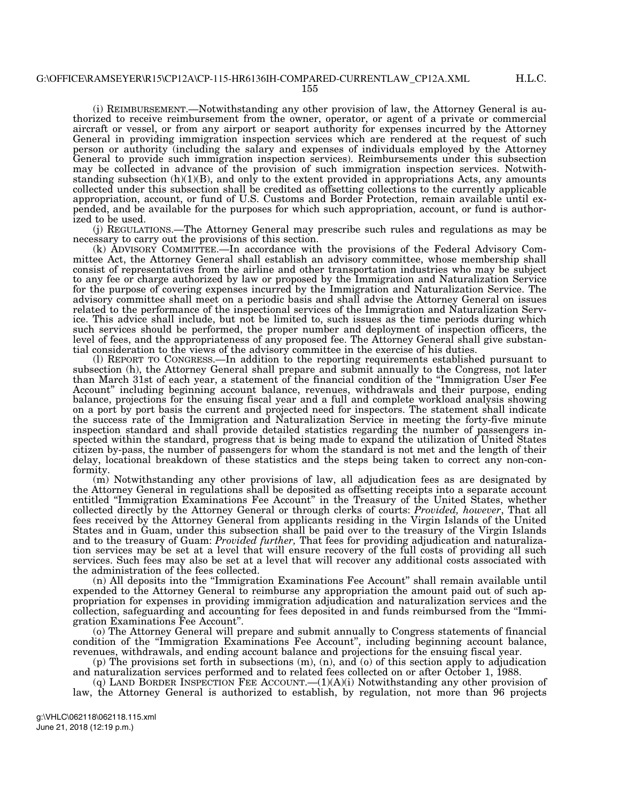(i) REIMBURSEMENT.—Notwithstanding any other provision of law, the Attorney General is authorized to receive reimbursement from the owner, operator, or agent of a private or commercial aircraft or vessel, or from any airport or seaport authority for expenses incurred by the Attorney General in providing immigration inspection services which are rendered at the request of such person or authority (including the salary and expenses of individuals employed by the Attorney General to provide such immigration inspection services). Reimbursements under this subsection may be collected in advance of the provision of such immigration inspection services. Notwithstanding subsection  $(h)(1)(B)$ , and only to the extent provided in appropriations Acts, any amounts collected under this subsection shall be credited as offsetting collections to the currently applicable appropriation, account, or fund of U.S. Customs and Border Protection, remain available until expended, and be available for the purposes for which such appropriation, account, or fund is authorized to be used.

(j) REGULATIONS.—The Attorney General may prescribe such rules and regulations as may be necessary to carry out the provisions of this section.

(k) ADVISORY COMMITTEE.—In accordance with the provisions of the Federal Advisory Committee Act, the Attorney General shall establish an advisory committee, whose membership shall consist of representatives from the airline and other transportation industries who may be subject to any fee or charge authorized by law or proposed by the Immigration and Naturalization Service for the purpose of covering expenses incurred by the Immigration and Naturalization Service. The advisory committee shall meet on a periodic basis and shall advise the Attorney General on issues related to the performance of the inspectional services of the Immigration and Naturalization Service. This advice shall include, but not be limited to, such issues as the time periods during which such services should be performed, the proper number and deployment of inspection officers, the level of fees, and the appropriateness of any proposed fee. The Attorney General shall give substantial consideration to the views of the advisory committee in the exercise of his duties.

(l) REPORT TO CONGRESS.—In addition to the reporting requirements established pursuant to subsection (h), the Attorney General shall prepare and submit annually to the Congress, not later than March 31st of each year, a statement of the financial condition of the ''Immigration User Fee Account'' including beginning account balance, revenues, withdrawals and their purpose, ending balance, projections for the ensuing fiscal year and a full and complete workload analysis showing on a port by port basis the current and projected need for inspectors. The statement shall indicate the success rate of the Immigration and Naturalization Service in meeting the forty-five minute inspection standard and shall provide detailed statistics regarding the number of passengers inspected within the standard, progress that is being made to expand the utilization of United States citizen by-pass, the number of passengers for whom the standard is not met and the length of their delay, locational breakdown of these statistics and the steps being taken to correct any non-conformity.

(m) Notwithstanding any other provisions of law, all adjudication fees as are designated by the Attorney General in regulations shall be deposited as offsetting receipts into a separate account entitled ''Immigration Examinations Fee Account'' in the Treasury of the United States, whether collected directly by the Attorney General or through clerks of courts: *Provided, however*, That all fees received by the Attorney General from applicants residing in the Virgin Islands of the United States and in Guam, under this subsection shall be paid over to the treasury of the Virgin Islands and to the treasury of Guam: *Provided further,* That fees for providing adjudication and naturalization services may be set at a level that will ensure recovery of the full costs of providing all such services. Such fees may also be set at a level that will recover any additional costs associated with the administration of the fees collected.

(n) All deposits into the ''Immigration Examinations Fee Account'' shall remain available until expended to the Attorney General to reimburse any appropriation the amount paid out of such appropriation for expenses in providing immigration adjudication and naturalization services and the collection, safeguarding and accounting for fees deposited in and funds reimbursed from the ''Immigration Examinations Fee Account''.

(o) The Attorney General will prepare and submit annually to Congress statements of financial condition of the ''Immigration Examinations Fee Account'', including beginning account balance, revenues, withdrawals, and ending account balance and projections for the ensuing fiscal year.

(p) The provisions set forth in subsections (m), (n), and (o) of this section apply to adjudication and naturalization services performed and to related fees collected on or after October 1, 1988.

(q) LAND BORDER INSPECTION FEE ACCOUNT.  $-(1)(A)(i)$  Notwithstanding any other provision of law, the Attorney General is authorized to establish, by regulation, not more than 96 projects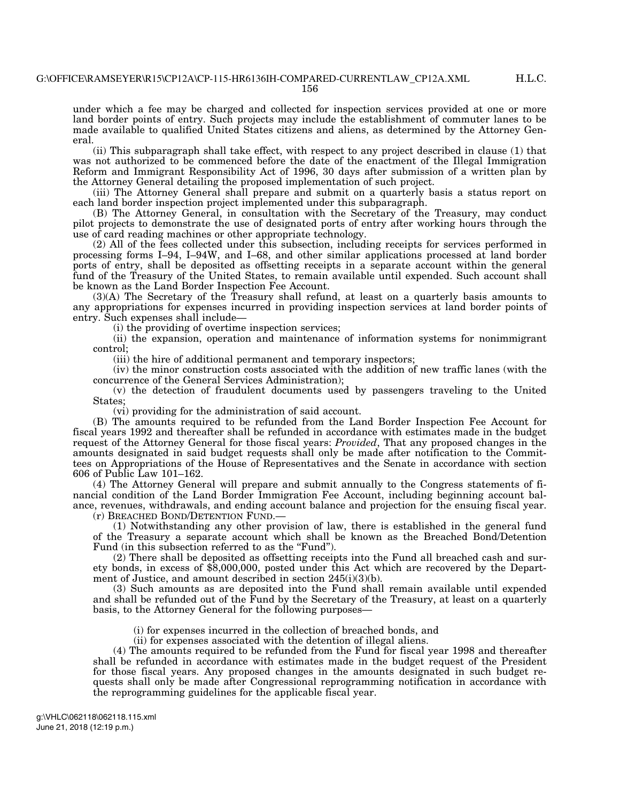under which a fee may be charged and collected for inspection services provided at one or more land border points of entry. Such projects may include the establishment of commuter lanes to be made available to qualified United States citizens and aliens, as determined by the Attorney General.

(ii) This subparagraph shall take effect, with respect to any project described in clause (1) that was not authorized to be commenced before the date of the enactment of the Illegal Immigration Reform and Immigrant Responsibility Act of 1996, 30 days after submission of a written plan by the Attorney General detailing the proposed implementation of such project.

(iii) The Attorney General shall prepare and submit on a quarterly basis a status report on each land border inspection project implemented under this subparagraph.

(B) The Attorney General, in consultation with the Secretary of the Treasury, may conduct pilot projects to demonstrate the use of designated ports of entry after working hours through the use of card reading machines or other appropriate technology.

(2) All of the fees collected under this subsection, including receipts for services performed in processing forms I–94, I–94W, and I–68, and other similar applications processed at land border ports of entry, shall be deposited as offsetting receipts in a separate account within the general fund of the Treasury of the United States, to remain available until expended. Such account shall be known as the Land Border Inspection Fee Account.

(3)(A) The Secretary of the Treasury shall refund, at least on a quarterly basis amounts to any appropriations for expenses incurred in providing inspection services at land border points of entry. Such expenses shall include—

(i) the providing of overtime inspection services;

(ii) the expansion, operation and maintenance of information systems for nonimmigrant control;

(iii) the hire of additional permanent and temporary inspectors;

(iv) the minor construction costs associated with the addition of new traffic lanes (with the concurrence of the General Services Administration);

(v) the detection of fraudulent documents used by passengers traveling to the United States;

(vi) providing for the administration of said account.

(B) The amounts required to be refunded from the Land Border Inspection Fee Account for fiscal years 1992 and thereafter shall be refunded in accordance with estimates made in the budget request of the Attorney General for those fiscal years: *Provided*, That any proposed changes in the amounts designated in said budget requests shall only be made after notification to the Committees on Appropriations of the House of Representatives and the Senate in accordance with section 606 of Public Law 101–162.

(4) The Attorney General will prepare and submit annually to the Congress statements of financial condition of the Land Border Immigration Fee Account, including beginning account balance, revenues, withdrawals, and ending account balance and projection for the ensuing fiscal year. (r) BREACHED BOND/DETENTION FUND.—

(1) Notwithstanding any other provision of law, there is established in the general fund of the Treasury a separate account which shall be known as the Breached Bond/Detention Fund (in this subsection referred to as the "Fund").

(2) There shall be deposited as offsetting receipts into the Fund all breached cash and surety bonds, in excess of \$8,000,000, posted under this Act which are recovered by the Department of Justice, and amount described in section 245(i)(3)(b).

(3) Such amounts as are deposited into the Fund shall remain available until expended and shall be refunded out of the Fund by the Secretary of the Treasury, at least on a quarterly basis, to the Attorney General for the following purposes—

(i) for expenses incurred in the collection of breached bonds, and

(ii) for expenses associated with the detention of illegal aliens.

(4) The amounts required to be refunded from the Fund for fiscal year 1998 and thereafter shall be refunded in accordance with estimates made in the budget request of the President for those fiscal years. Any proposed changes in the amounts designated in such budget requests shall only be made after Congressional reprogramming notification in accordance with the reprogramming guidelines for the applicable fiscal year.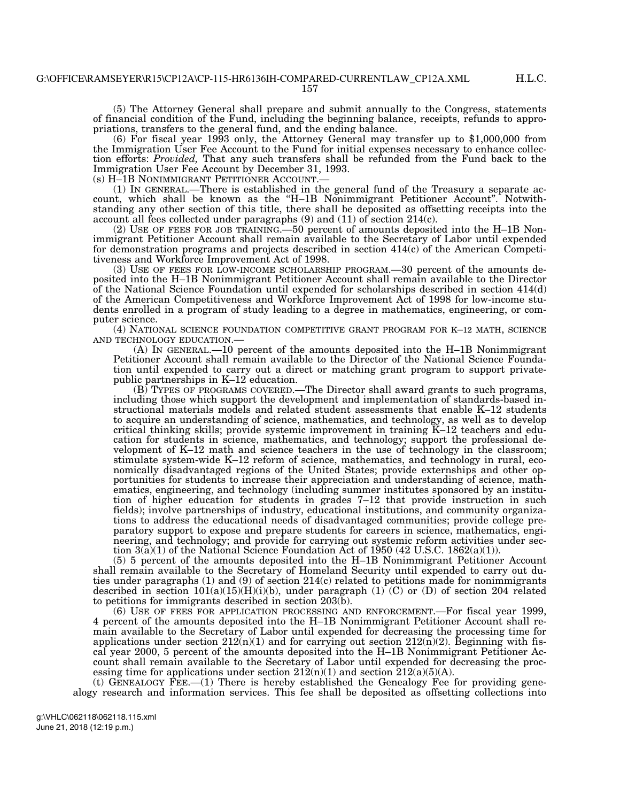(5) The Attorney General shall prepare and submit annually to the Congress, statements of financial condition of the Fund, including the beginning balance, receipts, refunds to appro-<br>priations, transfers to the general fund, and the ending balance.

 $p(6)$  For fiscal year 1993 only, the Attorney General may transfer up to \$1,000,000 from the Immigration User Fee Account to the Fund for initial expenses necessary to enhance collection efforts: *Provided,* That any such transfers shall be refunded from the Fund back to the Immigration User Fee Account by December 31, 1993.<br>(s) H-1B NONIMMIGRANT PETITIONER ACCOUNT.—

 $(1)$  In GENERAL.—There is established in the general fund of the Treasury a separate account, which shall be known as the ''H–1B Nonimmigrant Petitioner Account''. Notwithstanding any other section of this title, there shall be deposited as offsetting receipts into the account all fees collected under paragraphs (9) and (11) of section 214(c).

(2) USE OF FEES FOR JOB TRAINING.—50 percent of amounts deposited into the H–1B Nonimmigrant Petitioner Account shall remain available to the Secretary of Labor until expended for demonstration programs and projects described in section 414(c) of the American Competitiveness and Workforce Improvement Act of 1998.

(3) USE OF FEES FOR LOW-INCOME SCHOLARSHIP PROGRAM.—30 percent of the amounts deposited into the H–1B Nonimmigrant Petitioner Account shall remain available to the Director of the National Science Foundation until expended for scholarships described in section 414(d) of the American Competitiveness and Workforce Improvement Act of 1998 for low-income students enrolled in a program of study leading to a degree in mathematics, engineering, or computer science.

 $\,$  (4) NATIONAL SCIENCE FOUNDATION COMPETITIVE GRANT PROGRAM FOR K–12 MATH, SCIENCE AND TECHNOLOGY EDUCATION.—

 $(A)$  In GENERAL.—10 percent of the amounts deposited into the H–1B Nonimmigrant Petitioner Account shall remain available to the Director of the National Science Foundation until expended to carry out a direct or matching grant program to support privatepublic partnerships in K–12 education.

(B) TYPES OF PROGRAMS COVERED.—The Director shall award grants to such programs, including those which support the development and implementation of standards-based instructional materials models and related student assessments that enable K–12 students to acquire an understanding of science, mathematics, and technology, as well as to develop critical thinking skills; provide systemic improvement in training  $\bar{K}$ –12 teachers and education for students in science, mathematics, and technology; support the professional development of K-12 math and science teachers in the use of technology in the classroom; stimulate system-wide K–12 reform of science, mathematics, and technology in rural, economically disadvantaged regions of the United States; provide externships and other opportunities for students to increase their appreciation and understanding of science, mathematics, engineering, and technology (including summer institutes sponsored by an institution of higher education for students in grades 7–12 that provide instruction in such fields); involve partnerships of industry, educational institutions, and community organizations to address the educational needs of disadvantaged communities; provide college preparatory support to expose and prepare students for careers in science, mathematics, engineering, and technology; and provide for carrying out systemic reform activities under section  $3(a)(1)$  of the National Science Foundation Act of 1950 (42 U.S.C. 1862(a)(1)).

(5) 5 percent of the amounts deposited into the H–1B Nonimmigrant Petitioner Account shall remain available to the Secretary of Homeland Security until expended to carry out duties under paragraphs (1) and (9) of section 214(c) related to petitions made for nonimmigrants described in section  $101(a)(15)(H)(i)$ , under paragraph  $(1)(C)$  or  $(D)$  of section 204 related to petitions for immigrants described in section 203(b).

(6) USE OF FEES FOR APPLICATION PROCESSING AND ENFORCEMENT.—For fiscal year 1999, 4 percent of the amounts deposited into the H–1B Nonimmigrant Petitioner Account shall remain available to the Secretary of Labor until expended for decreasing the processing time for applications under section  $212(n)(1)$  and for carrying out section  $212(n)(2)$ . Beginning with fiscal year 2000, 5 percent of the amounts deposited into the H–1B Nonimmigrant Petitioner Account shall remain available to the Secretary of Labor until expended for decreasing the processing time for applications under section  $212(n)(1)$  and section  $212(a)(5)(A)$ .

(t) GENEALOGY  $\text{FEE}$ —(1) There is hereby established the Genealogy Fee for providing genealogy research and information services. This fee shall be deposited as offsetting collections into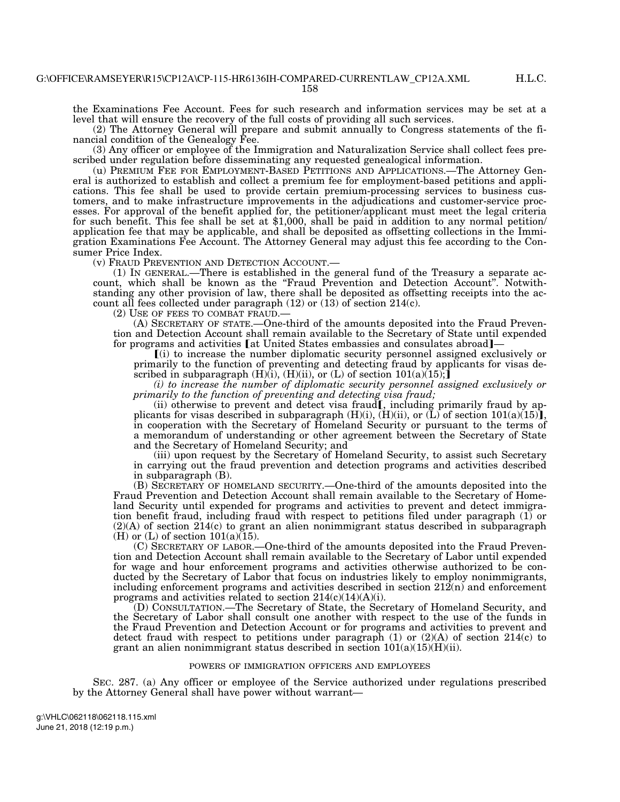H.L.C.

the Examinations Fee Account. Fees for such research and information services may be set at a level that will ensure the recovery of the full costs of providing all such services.

(2) The Attorney General will prepare and submit annually to Congress statements of the financial condition of the Genealogy Fee.

(3) Any officer or employee of the Immigration and Naturalization Service shall collect fees prescribed under regulation before disseminating any requested genealogical information.

(u) PREMIUM FEE FOR EMPLOYMENT-BASED PETITIONS AND APPLICATIONS.—The Attorney General is authorized to establish and collect a premium fee for employment-based petitions and applications. This fee shall be used to provide certain premium-processing services to business customers, and to make infrastructure improvements in the adjudications and customer-service processes. For approval of the benefit applied for, the petitioner/applicant must meet the legal criteria for such benefit. This fee shall be set at \$1,000, shall be paid in addition to any normal petition/ application fee that may be applicable, and shall be deposited as offsetting collections in the Immigration Examinations Fee Account. The Attorney General may adjust this fee according to the Consumer Price Index.

(v) FRAUD PREVENTION AND DETECTION ACCOUNT.—

(1) IN GENERAL.—There is established in the general fund of the Treasury a separate account, which shall be known as the "Fraud Prevention and Detection Account". Notwithstanding any other provision of law, there shall be deposited as offsetting receipts into the account all fees collected under paragraph (12) or (13) of section 214(c).

(2) USE OF FEES TO COMBAT FRAUD.—

(A) SECRETARY OF STATE.—One-third of the amounts deposited into the Fraud Prevention and Detection Account shall remain available to the Secretary of State until expended for programs and activities [at United States embassies and consulates abroad]—

ø(i) to increase the number diplomatic security personnel assigned exclusively or primarily to the function of preventing and detecting fraud by applicants for visas described in subparagraph  $(H)(i)$ ,  $(H)(ii)$ , or  $(L)$  of section  $101(a)(15)$ ;

*(i) to increase the number of diplomatic security personnel assigned exclusively or primarily to the function of preventing and detecting visa fraud;* 

(ii) otherwise to prevent and detect visa fraud<sup> $I$ </sup>, including primarily fraud by applicants for visas described in subparagraph (H)(i), (H)(ii), or  $(L)$  of section 101(a)(15)], in cooperation with the Secretary of Homeland Security or pursuant to the terms of a memorandum of understanding or other agreement between the Secretary of State and the Secretary of Homeland Security; and

(iii) upon request by the Secretary of Homeland Security, to assist such Secretary in carrying out the fraud prevention and detection programs and activities described in subparagraph (B).

(B) SECRETARY OF HOMELAND SECURITY.—One-third of the amounts deposited into the Fraud Prevention and Detection Account shall remain available to the Secretary of Homeland Security until expended for programs and activities to prevent and detect immigration benefit fraud, including fraud with respect to petitions filed under paragraph (1) or (2)(A) of section 214(c) to grant an alien nonimmigrant status described in subparagraph (H) or  $(L)$  of section  $101(a)(15)$ .

(C) SECRETARY OF LABOR.—One-third of the amounts deposited into the Fraud Prevention and Detection Account shall remain available to the Secretary of Labor until expended for wage and hour enforcement programs and activities otherwise authorized to be conducted by the Secretary of Labor that focus on industries likely to employ nonimmigrants, including enforcement programs and activities described in section  $212(n)$  and enforcement programs and activities related to section  $214(c)(14)(A)(i)$ .

(D) CONSULTATION.—The Secretary of State, the Secretary of Homeland Security, and the Secretary of Labor shall consult one another with respect to the use of the funds in the Fraud Prevention and Detection Account or for programs and activities to prevent and detect fraud with respect to petitions under paragraph  $(1)$  or  $(2)(A)$  of section 214 $(c)$  to grant an alien nonimmigrant status described in section  $101(a)(15)(H)(ii)$ .

### POWERS OF IMMIGRATION OFFICERS AND EMPLOYEES

SEC. 287. (a) Any officer or employee of the Service authorized under regulations prescribed by the Attorney General shall have power without warrant—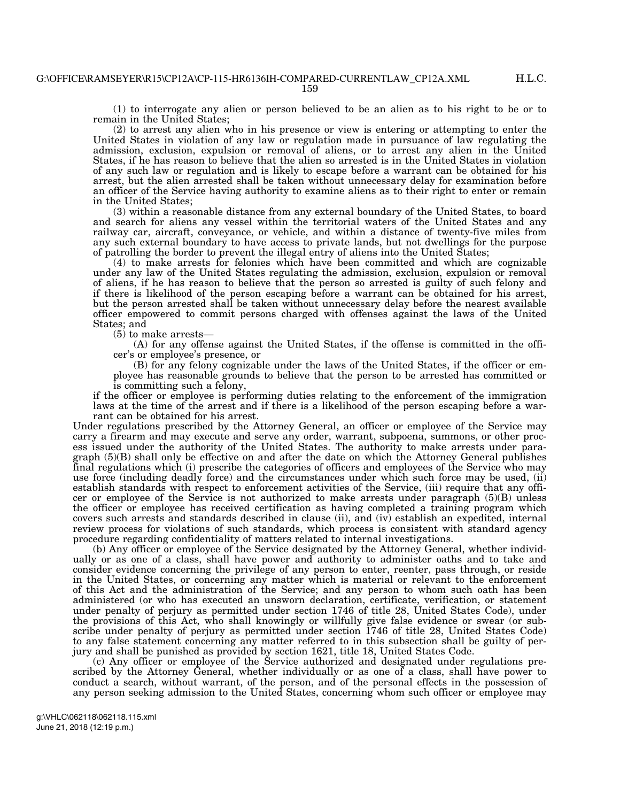H.L.C.

(1) to interrogate any alien or person believed to be an alien as to his right to be or to remain in the United States;

(2) to arrest any alien who in his presence or view is entering or attempting to enter the United States in violation of any law or regulation made in pursuance of law regulating the admission, exclusion, expulsion or removal of aliens, or to arrest any alien in the United States, if he has reason to believe that the alien so arrested is in the United States in violation of any such law or regulation and is likely to escape before a warrant can be obtained for his arrest, but the alien arrested shall be taken without unnecessary delay for examination before an officer of the Service having authority to examine aliens as to their right to enter or remain in the United States;

(3) within a reasonable distance from any external boundary of the United States, to board and search for aliens any vessel within the territorial waters of the United States and any railway car, aircraft, conveyance, or vehicle, and within a distance of twenty-five miles from any such external boundary to have access to private lands, but not dwellings for the purpose of patrolling the border to prevent the illegal entry of aliens into the United States;

(4) to make arrests for felonies which have been committed and which are cognizable under any law of the United States regulating the admission, exclusion, expulsion or removal of aliens, if he has reason to believe that the person so arrested is guilty of such felony and if there is likelihood of the person escaping before a warrant can be obtained for his arrest, but the person arrested shall be taken without unnecessary delay before the nearest available officer empowered to commit persons charged with offenses against the laws of the United States; and

(5) to make arrests—

(A) for any offense against the United States, if the offense is committed in the officer's or employee's presence, or

(B) for any felony cognizable under the laws of the United States, if the officer or employee has reasonable grounds to believe that the person to be arrested has committed or is committing such a felony,

if the officer or employee is performing duties relating to the enforcement of the immigration laws at the time of the arrest and if there is a likelihood of the person escaping before a warrant can be obtained for his arrest.

Under regulations prescribed by the Attorney General, an officer or employee of the Service may carry a firearm and may execute and serve any order, warrant, subpoena, summons, or other process issued under the authority of the United States. The authority to make arrests under paragraph (5)(B) shall only be effective on and after the date on which the Attorney General publishes final regulations which (i) prescribe the categories of officers and employees of the Service who may use force (including deadly force) and the circumstances under which such force may be used, (ii) establish standards with respect to enforcement activities of the Service, (iii) require that any officer or employee of the Service is not authorized to make arrests under paragraph (5)(B) unless the officer or employee has received certification as having completed a training program which covers such arrests and standards described in clause (ii), and (iv) establish an expedited, internal review process for violations of such standards, which process is consistent with standard agency procedure regarding confidentiality of matters related to internal investigations.

(b) Any officer or employee of the Service designated by the Attorney General, whether individually or as one of a class, shall have power and authority to administer oaths and to take and consider evidence concerning the privilege of any person to enter, reenter, pass through, or reside in the United States, or concerning any matter which is material or relevant to the enforcement of this Act and the administration of the Service; and any person to whom such oath has been administered (or who has executed an unsworn declaration, certificate, verification, or statement under penalty of perjury as permitted under section 1746 of title 28, United States Code), under the provisions of this Act, who shall knowingly or willfully give false evidence or swear (or subscribe under penalty of perjury as permitted under section 1746 of title 28, United States Code) to any false statement concerning any matter referred to in this subsection shall be guilty of perjury and shall be punished as provided by section 1621, title 18, United States Code.

(c) Any officer or employee of the Service authorized and designated under regulations prescribed by the Attorney General, whether individually or as one of a class, shall have power to conduct a search, without warrant, of the person, and of the personal effects in the possession of any person seeking admission to the United States, concerning whom such officer or employee may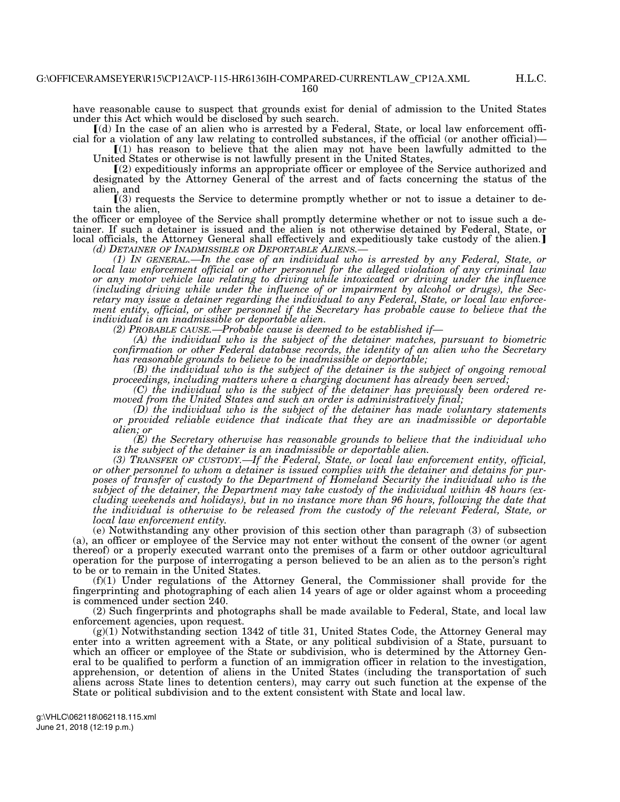have reasonable cause to suspect that grounds exist for denial of admission to the United States under this Act which would be disclosed by such search.

 $(d)$  In the case of an alien who is arrested by a Federal, State, or local law enforcement official for a violation of any law relating to controlled substances, if the official (or another official)—

 $(1)$  has reason to believe that the alien may not have been lawfully admitted to the United States or otherwise is not lawfully present in the United States,

ø(2) expeditiously informs an appropriate officer or employee of the Service authorized and designated by the Attorney General of the arrest and of facts concerning the status of the alien, and

ø(3) requests the Service to determine promptly whether or not to issue a detainer to detain the alien,

the officer or employee of the Service shall promptly determine whether or not to issue such a detainer. If such a detainer is issued and the alien is not otherwise detained by Federal, State, or local officials, the Attorney General shall effectively and expeditiously take custody of the alien.]<br>(d) DETAINER OF INADMISSIBLE OR DEPORTABLE ALIENS.—

*(1) In GENERAL.—In the case of an individual who is arrested by any Federal, State, or local law enforcement official or other personnel for the alleged violation of any criminal law or any motor vehicle law relating to driving while intoxicated or driving under the influence (including driving while under the influence of or impairment by alcohol or drugs), the Secretary may issue a detainer regarding the individual to any Federal, State, or local law enforcement entity, official, or other personnel if the Secretary has probable cause to believe that the individual is an inadmissible or deportable alien.* 

*(2) PROBABLE CAUSE.—Probable cause is deemed to be established if—* 

*(A) the individual who is the subject of the detainer matches, pursuant to biometric confirmation or other Federal database records, the identity of an alien who the Secretary has reasonable grounds to believe to be inadmissible or deportable;* 

*(B) the individual who is the subject of the detainer is the subject of ongoing removal proceedings, including matters where a charging document has already been served;* 

*(C) the individual who is the subject of the detainer has previously been ordered removed from the United States and such an order is administratively final;* 

*(D) the individual who is the subject of the detainer has made voluntary statements or provided reliable evidence that indicate that they are an inadmissible or deportable alien; or* 

*(E) the Secretary otherwise has reasonable grounds to believe that the individual who is the subject of the detainer is an inadmissible or deportable alien.* 

*(3) TRANSFER OF CUSTODY.—If the Federal, State, or local law enforcement entity, official, or other personnel to whom a detainer is issued complies with the detainer and detains for pur*poses of transfer of custody to the Department of Homeland Security the individual who is the *subject of the detainer, the Department may take custody of the individual within 48 hours (excluding weekends and holidays), but in no instance more than 96 hours, following the date that the individual is otherwise to be released from the custody of the relevant Federal, State, or local law enforcement entity.* 

(e) Notwithstanding any other provision of this section other than paragraph (3) of subsection (a), an officer or employee of the Service may not enter without the consent of the owner (or agent thereof) or a properly executed warrant onto the premises of a farm or other outdoor agricultural operation for the purpose of interrogating a person believed to be an alien as to the person's right to be or to remain in the United States.

(f)(1) Under regulations of the Attorney General, the Commissioner shall provide for the fingerprinting and photographing of each alien 14 years of age or older against whom a proceeding is commenced under section 240.

(2) Such fingerprints and photographs shall be made available to Federal, State, and local law enforcement agencies, upon request.

 $(g)(1)$  Notwithstanding section 1342 of title 31, United States Code, the Attorney General may enter into a written agreement with a State, or any political subdivision of a State, pursuant to which an officer or employee of the State or subdivision, who is determined by the Attorney General to be qualified to perform a function of an immigration officer in relation to the investigation, apprehension, or detention of aliens in the United States (including the transportation of such aliens across State lines to detention centers), may carry out such function at the expense of the State or political subdivision and to the extent consistent with State and local law.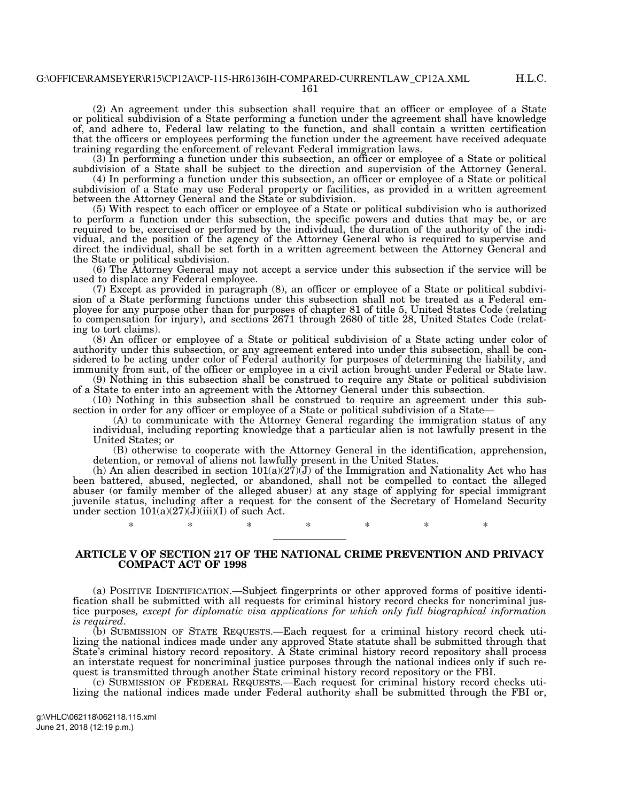(2) An agreement under this subsection shall require that an officer or employee of a State or political subdivision of a State performing a function under the agreement shall have knowledge of, and adhere to, Federal law relating to the function, and shall contain a written certification that the officers or employees performing the function under the agreement have received adequate training regarding the enforcement of relevant Federal immigration laws.

(3) In performing a function under this subsection, an officer or employee of a State or political subdivision of a State shall be subject to the direction and supervision of the Attorney General.

(4) In performing a function under this subsection, an officer or employee of a State or political subdivision of a State may use Federal property or facilities, as provided in a written agreement between the Attorney General and the State or subdivision.

(5) With respect to each officer or employee of a State or political subdivision who is authorized to perform a function under this subsection, the specific powers and duties that may be, or are required to be, exercised or performed by the individual, the duration of the authority of the individual, and the position of the agency of the Attorney General who is required to supervise and direct the individual, shall be set forth in a written agreement between the Attorney General and the State or political subdivision.

(6) The Attorney General may not accept a service under this subsection if the service will be used to displace any Federal employee.

(7) Except as provided in paragraph (8), an officer or employee of a State or political subdivision of a State performing functions under this subsection shall not be treated as a Federal employee for any purpose other than for purposes of chapter 81 of title 5, United States Code (relating to compensation for injury), and sections 2671 through 2680 of title 28, United States Code (relating to tort claims).

(8) An officer or employee of a State or political subdivision of a State acting under color of authority under this subsection, or any agreement entered into under this subsection, shall be considered to be acting under color of Federal authority for purposes of determining the liability, and immunity from suit, of the officer or employee in a civil action brought under Federal or State law.

(9) Nothing in this subsection shall be construed to require any State or political subdivision of a State to enter into an agreement with the Attorney General under this subsection.

(10) Nothing in this subsection shall be construed to require an agreement under this subsection in order for any officer or employee of a State or political subdivision of a State—

(A) to communicate with the Attorney General regarding the immigration status of any individual, including reporting knowledge that a particular alien is not lawfully present in the United States; or

(B) otherwise to cooperate with the Attorney General in the identification, apprehension, detention, or removal of aliens not lawfully present in the United States.

(h) An alien described in section  $101(a)(27)(J)$  of the Immigration and Nationality Act who has been battered, abused, neglected, or abandoned, shall not be compelled to contact the alleged abuser (or family member of the alleged abuser) at any stage of applying for special immigrant juvenile status, including after a request for the consent of the Secretary of Homeland Security under section  $101(a)(27)(J)(iii)(I)$  of such Act.

\* \* \* \* \* \* \*

# **ARTICLE V OF SECTION 217 OF THE NATIONAL CRIME PREVENTION AND PRIVACY COMPACT ACT OF 1998**

(a) POSITIVE IDENTIFICATION.—Subject fingerprints or other approved forms of positive identification shall be submitted with all requests for criminal history record checks for noncriminal justice purposes*, except for diplomatic visa applications for which only full biographical information is required*.

(b) SUBMISSION OF STATE REQUESTS.—Each request for a criminal history record check utilizing the national indices made under any approved State statute shall be submitted through that State's criminal history record repository. A State criminal history record repository shall process an interstate request for noncriminal justice purposes through the national indices only if such request is transmitted through another State criminal history record repository or the FBI.

(c) SUBMISSION OF FEDERAL REQUESTS.—Each request for criminal history record checks utilizing the national indices made under Federal authority shall be submitted through the FBI or,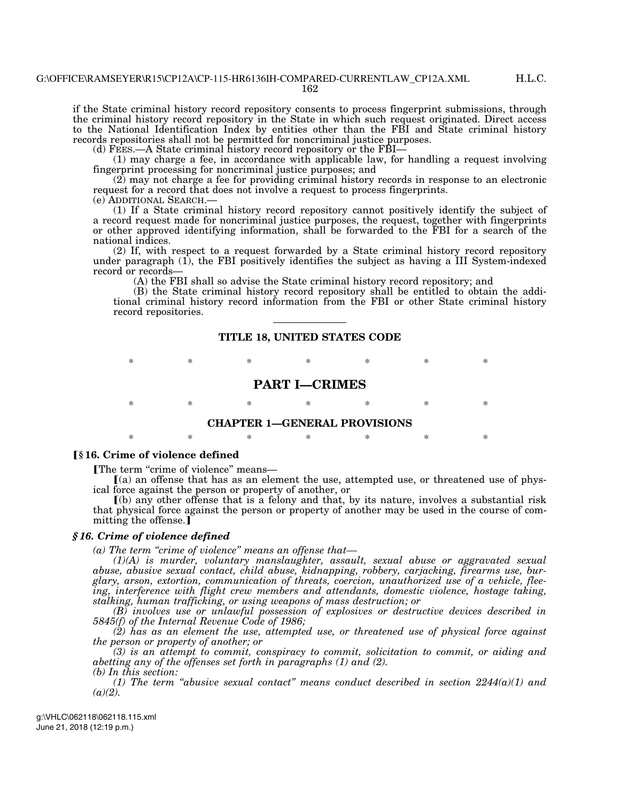if the State criminal history record repository consents to process fingerprint submissions, through the criminal history record repository in the State in which such request originated. Direct access to the National Identification Index by entities other than the FBI and State criminal history records repositories shall not be permitted for noncriminal justice purposes.

(d) FEES.—A State criminal history record repository or the FBI—

(1) may charge a fee, in accordance with applicable law, for handling a request involving fingerprint processing for noncriminal justice purposes; and

(2) may not charge a fee for providing criminal history records in response to an electronic request for a record that does not involve a request to process fingerprints.<br>(e) ADDITIONAL SEARCH.—

 $(1)$  If a State criminal history record repository cannot positively identify the subject of a record request made for noncriminal justice purposes, the request, together with fingerprints or other approved identifying information, shall be forwarded to the FBI for a search of the national indices.

(2) If, with respect to a request forwarded by a State criminal history record repository under paragraph (1), the FBI positively identifies the subject as having a III System-indexed record or records—

(A) the FBI shall so advise the State criminal history record repository; and

(B) the State criminal history record repository shall be entitled to obtain the additional criminal history record information from the FBI or other State criminal history record repositories.

# **TITLE 18, UNITED STATES CODE**

\* \* \* \* \* \* \* \*

# **PART I—CRIMES**

# \* \* \* \* \* \* \* **CHAPTER 1—GENERAL PROVISIONS**

\* \* \* \* \* \* \*

## ø**§ 16. Crime of violence defined**

øThe term ''crime of violence'' means—

 $(a)$  an offense that has as an element the use, attempted use, or threatened use of physical force against the person or property of another, or

 $(6)$  any other offense that is a felony and that, by its nature, involves a substantial risk that physical force against the person or property of another may be used in the course of committing the offense.<sup>1</sup>

# *§ 16. Crime of violence defined*

*(a) The term ''crime of violence'' means an offense that—* 

*(1)(A) is murder, voluntary manslaughter, assault, sexual abuse or aggravated sexual abuse, abusive sexual contact, child abuse, kidnapping, robbery, carjacking, firearms use, burglary, arson, extortion, communication of threats, coercion, unauthorized use of a vehicle, fleeing, interference with flight crew members and attendants, domestic violence, hostage taking, stalking, human trafficking, or using weapons of mass destruction; or* 

*(B) involves use or unlawful possession of explosives or destructive devices described in 5845(f) of the Internal Revenue Code of 1986;* 

*(2) has as an element the use, attempted use, or threatened use of physical force against the person or property of another; or* 

*(3) is an attempt to commit, conspiracy to commit, solicitation to commit, or aiding and abetting any of the offenses set forth in paragraphs (1) and (2). (b) In this section:* 

*(1) The term ''abusive sexual contact'' means conduct described in section 2244(a)(1) and*   $(a)(2)$ .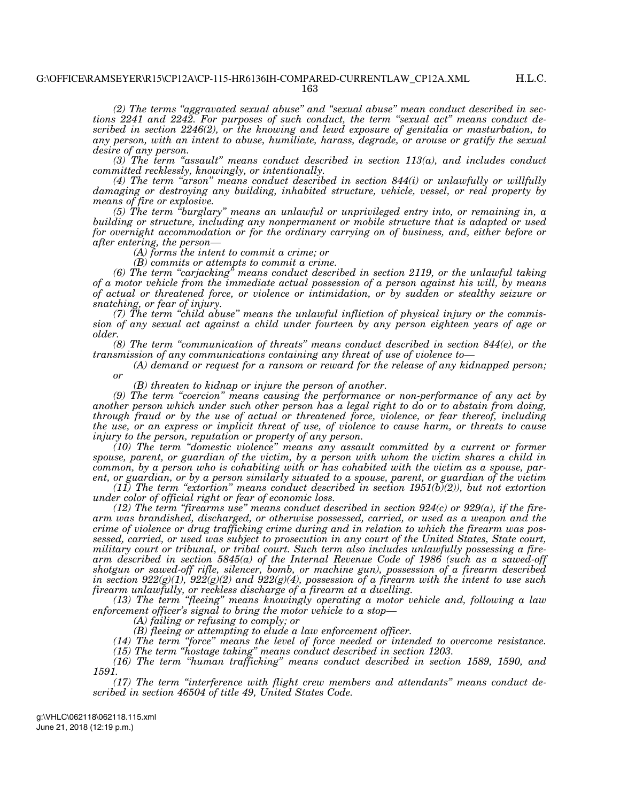*(2) The terms ''aggravated sexual abuse'' and ''sexual abuse'' mean conduct described in sections 2241 and 2242. For purposes of such conduct, the term ''sexual act'' means conduct described in section 2246(2), or the knowing and lewd exposure of genitalia or masturbation, to any person, with an intent to abuse, humiliate, harass, degrade, or arouse or gratify the sexual desire of any person.* 

*(3) The term ''assault'' means conduct described in section 113(a), and includes conduct committed recklessly, knowingly, or intentionally.* 

*(4) The term ''arson'' means conduct described in section 844(i) or unlawfully or willfully damaging or destroying any building, inhabited structure, vehicle, vessel, or real property by means of fire or explosive.* 

*(5) The term ''burglary'' means an unlawful or unprivileged entry into, or remaining in, a building or structure, including any nonpermanent or mobile structure that is adapted or used for overnight accommodation or for the ordinary carrying on of business, and, either before or after entering, the person—* 

*(A) forms the intent to commit a crime; or* 

*(B) commits or attempts to commit a crime.* 

*(6) The term ''carjacking'' means conduct described in section 2119, or the unlawful taking of a motor vehicle from the immediate actual possession of a person against his will, by means of actual or threatened force, or violence or intimidation, or by sudden or stealthy seizure or snatching, or fear of injury.* 

*(7) The term ''child abuse'' means the unlawful infliction of physical injury or the commission of any sexual act against a child under fourteen by any person eighteen years of age or older.* 

*(8) The term ''communication of threats'' means conduct described in section 844(e), or the transmission of any communications containing any threat of use of violence to—* 

*(A) demand or request for a ransom or reward for the release of any kidnapped person; or* 

*(B) threaten to kidnap or injure the person of another.* 

*(9) The term ''coercion'' means causing the performance or non-performance of any act by another person which under such other person has a legal right to do or to abstain from doing, through fraud or by the use of actual or threatened force, violence, or fear thereof, including the use, or an express or implicit threat of use, of violence to cause harm, or threats to cause injury to the person, reputation or property of any person.* 

*(10) The term ''domestic violence'' means any assault committed by a current or former spouse, parent, or guardian of the victim, by a person with whom the victim shares a child in common, by a person who is cohabiting with or has cohabited with the victim as a spouse, parent, or guardian, or by a person similarly situated to a spouse, parent, or guardian of the victim* 

 $(11)$  The term "extortion" means conduct described in section  $1951(b)(2)$ ), but not extortion *under color of official right or fear of economic loss.* 

*(12) The term ''firearms use'' means conduct described in section 924(c) or 929(a), if the firearm was brandished, discharged, or otherwise possessed, carried, or used as a weapon and the crime of violence or drug trafficking crime during and in relation to which the firearm was possessed, carried, or used was subject to prosecution in any court of the United States, State court, military court or tribunal, or tribal court. Such term also includes unlawfully possessing a firearm described in section 5845(a) of the Internal Revenue Code of 1986 (such as a sawed-off shotgun or sawed-off rifle, silencer, bomb, or machine gun), possession of a firearm described in section 922(g)(1), 922(g)(2) and 922(g)(4), possession of a firearm with the intent to use such firearm unlawfully, or reckless discharge of a firearm at a dwelling.* 

*(13) The term ''fleeing'' means knowingly operating a motor vehicle and, following a law enforcement officer's signal to bring the motor vehicle to a stop—* 

*(A) failing or refusing to comply; or* 

*(B) fleeing or attempting to elude a law enforcement officer.* 

*(14) The term ''force'' means the level of force needed or intended to overcome resistance. (15) The term ''hostage taking'' means conduct described in section 1203.* 

*(16) The term ''human trafficking'' means conduct described in section 1589, 1590, and 1591.* 

*(17) The term ''interference with flight crew members and attendants'' means conduct described in section 46504 of title 49, United States Code.*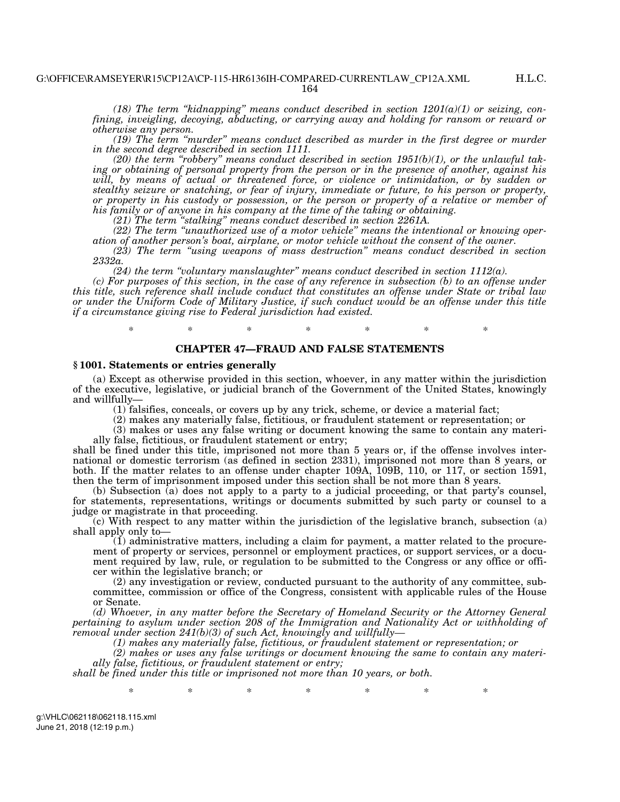H.L.C.

(18) The term "kidnapping" means conduct described in section  $1201(a)(1)$  or seizing, con*fining, inveigling, decoying, abducting, or carrying away and holding for ransom or reward or otherwise any person.* 

*(19) The term ''murder'' means conduct described as murder in the first degree or murder in the second degree described in section 1111.* 

*(20) the term ''robbery'' means conduct described in section 1951(b)(1), or the unlawful taking or obtaining of personal property from the person or in the presence of another, against his will, by means of actual or threatened force, or violence or intimidation, or by sudden or stealthy seizure or snatching, or fear of injury, immediate or future, to his person or property, or property in his custody or possession, or the person or property of a relative or member of his family or of anyone in his company at the time of the taking or obtaining.* 

*(21) The term ''stalking'' means conduct described in section 2261A.* 

*(22) The term ''unauthorized use of a motor vehicle'' means the intentional or knowing operation of another person's boat, airplane, or motor vehicle without the consent of the owner.* 

*(23) The term ''using weapons of mass destruction'' means conduct described in section 2332a.* 

*(24) the term ''voluntary manslaughter'' means conduct described in section 1112(a).* 

*(c) For purposes of this section, in the case of any reference in subsection (b) to an offense under this title, such reference shall include conduct that constitutes an offense under State or tribal law or under the Uniform Code of Military Justice, if such conduct would be an offense under this title if a circumstance giving rise to Federal jurisdiction had existed.* 

\* \* \* \* \* \* \* \*

# **CHAPTER 47—FRAUD AND FALSE STATEMENTS**

#### **§ 1001. Statements or entries generally**

(a) Except as otherwise provided in this section, whoever, in any matter within the jurisdiction of the executive, legislative, or judicial branch of the Government of the United States, knowingly and willfully—

(1) falsifies, conceals, or covers up by any trick, scheme, or device a material fact;

(2) makes any materially false, fictitious, or fraudulent statement or representation; or

(3) makes or uses any false writing or document knowing the same to contain any materially false, fictitious, or fraudulent statement or entry;

shall be fined under this title, imprisoned not more than 5 years or, if the offense involves international or domestic terrorism (as defined in section 2331), imprisoned not more than 8 years, or both. If the matter relates to an offense under chapter 109A, 109B, 110, or 117, or section 1591, then the term of imprisonment imposed under this section shall be not more than 8 years.

(b) Subsection (a) does not apply to a party to a judicial proceeding, or that party's counsel, for statements, representations, writings or documents submitted by such party or counsel to a judge or magistrate in that proceeding.

(c) With respect to any matter within the jurisdiction of the legislative branch, subsection (a) shall apply only to—

(1) administrative matters, including a claim for payment, a matter related to the procurement of property or services, personnel or employment practices, or support services, or a document required by law, rule, or regulation to be submitted to the Congress or any office or officer within the legislative branch; or

(2) any investigation or review, conducted pursuant to the authority of any committee, subcommittee, commission or office of the Congress, consistent with applicable rules of the House or Senate.

*(d) Whoever, in any matter before the Secretary of Homeland Security or the Attorney General pertaining to asylum under section 208 of the Immigration and Nationality Act or withholding of removal under section 241(b)(3) of such Act, knowingly and willfully—* 

*(1) makes any materially false, fictitious, or fraudulent statement or representation; or* 

*(2) makes or uses any false writings or document knowing the same to contain any materially false, fictitious, or fraudulent statement or entry;* 

*shall be fined under this title or imprisoned not more than 10 years, or both.* 

\* \* \* \* \* \* \* \*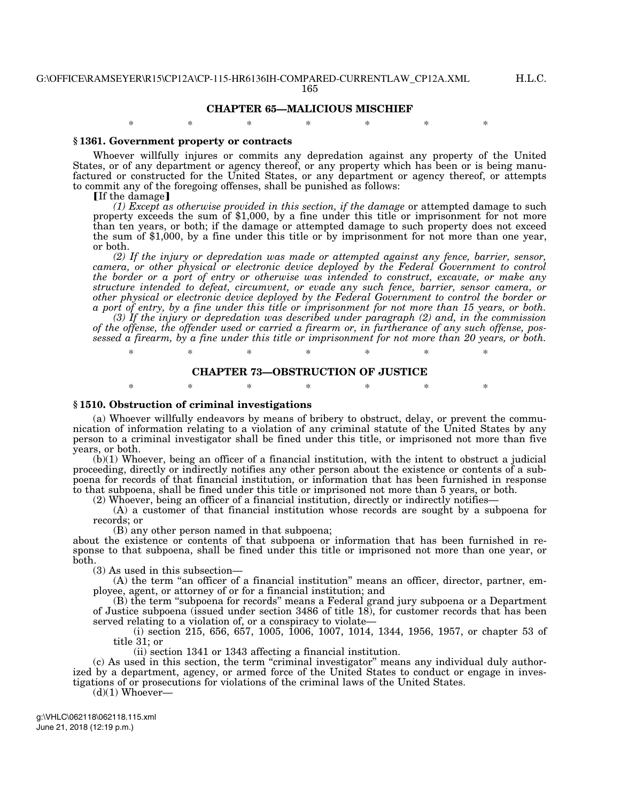### **CHAPTER 65—MALICIOUS MISCHIEF**

\* \* \* \* \* \* \*

### **§ 1361. Government property or contracts**

Whoever willfully injures or commits any depredation against any property of the United States, or of any department or agency thereof, or any property which has been or is being manufactured or constructed for the United States, or any department or agency thereof, or attempts to commit any of the foregoing offenses, shall be punished as follows:

[If the damage]

*(1) Except as otherwise provided in this section, if the damage* or attempted damage to such property exceeds the sum of \$1,000, by a fine under this title or imprisonment for not more than ten years, or both; if the damage or attempted damage to such property does not exceed the sum of \$1,000, by a fine under this title or by imprisonment for not more than one year, or both.

*(2) If the injury or depredation was made or attempted against any fence, barrier, sensor, camera, or other physical or electronic device deployed by the Federal Government to control the border or a port of entry or otherwise was intended to construct, excavate, or make any structure intended to defeat, circumvent, or evade any such fence, barrier, sensor camera, or other physical or electronic device deployed by the Federal Government to control the border or a port of entry, by a fine under this title or imprisonment for not more than 15 years, or both.* 

*(3) If the injury or depredation was described under paragraph (2) and, in the commission of the offense, the offender used or carried a firearm or, in furtherance of any such offense, possessed a firearm, by a fine under this title or imprisonment for not more than 20 years, or both.* 

\* \* \* \* \* \* \*

# **CHAPTER 73—OBSTRUCTION OF JUSTICE**  \* \* \* \* \* \* \* \*

### **§ 1510. Obstruction of criminal investigations**

(a) Whoever willfully endeavors by means of bribery to obstruct, delay, or prevent the communication of information relating to a violation of any criminal statute of the United States by any person to a criminal investigator shall be fined under this title, or imprisoned not more than five years, or both.

 $(b)(1)$  Whoever, being an officer of a financial institution, with the intent to obstruct a judicial proceeding, directly or indirectly notifies any other person about the existence or contents of a subpoena for records of that financial institution, or information that has been furnished in response to that subpoena, shall be fined under this title or imprisoned not more than 5 years, or both.

(2) Whoever, being an officer of a financial institution, directly or indirectly notifies—

(A) a customer of that financial institution whose records are sought by a subpoena for records; or

(B) any other person named in that subpoena;

about the existence or contents of that subpoena or information that has been furnished in response to that subpoena, shall be fined under this title or imprisoned not more than one year, or both.

(3) As used in this subsection—

(A) the term "an officer of a financial institution" means an officer, director, partner, employee, agent, or attorney of or for a financial institution; and

(B) the term ''subpoena for records'' means a Federal grand jury subpoena or a Department of Justice subpoena (issued under section 3486 of title 18), for customer records that has been served relating to a violation of, or a conspiracy to violate—

(i) section 215, 656, 657, 1005, 1006, 1007, 1014, 1344, 1956, 1957, or chapter 53 of title 31; or

(ii) section 1341 or 1343 affecting a financial institution.

(c) As used in this section, the term ''criminal investigator'' means any individual duly authorized by a department, agency, or armed force of the United States to conduct or engage in investigations of or prosecutions for violations of the criminal laws of the United States.

 $(d)(1)$  Whoever-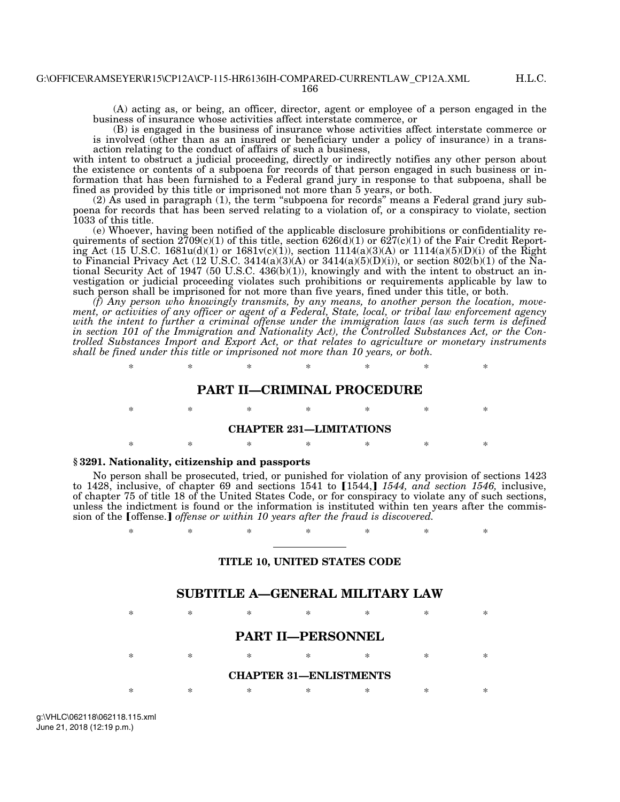H.L.C.

(A) acting as, or being, an officer, director, agent or employee of a person engaged in the business of insurance whose activities affect interstate commerce, or

(B) is engaged in the business of insurance whose activities affect interstate commerce or is involved (other than as an insured or beneficiary under a policy of insurance) in a transaction relating to the conduct of affairs of such a business,

with intent to obstruct a judicial proceeding, directly or indirectly notifies any other person about the existence or contents of a subpoena for records of that person engaged in such business or information that has been furnished to a Federal grand jury in response to that subpoena, shall be fined as provided by this title or imprisoned not more than 5 years, or both.

(2) As used in paragraph (1), the term ''subpoena for records'' means a Federal grand jury subpoena for records that has been served relating to a violation of, or a conspiracy to violate, section 1033 of this title.

(e) Whoever, having been notified of the applicable disclosure prohibitions or confidentiality requirements of section  $2709(c)(1)$  of this title, section  $626(d)(1)$  or  $627(c)(1)$  of the Fair Credit Reporting Act (15 U.S.C. 1681u(d)(1) or 1681v(c)(1)), section 1114(a)(3)(A) or 1114(a)(5)(D)(i) of the Right to Financial Privacy Act (12 U.S.C. 3414(a)(3)(A) or 3414(a)(5)(D)(i)), or section 802(b)(1) of the National Security Act of 1947 (50 U.S.C. 436(b)(1)), knowingly and with the intent to obstruct an investigation or judicial proceeding violates such prohibitions or requirements applicable by law to such person shall be imprisoned for not more than five years, fined under this title, or both.

*(f) Any person who knowingly transmits, by any means, to another person the location, movement, or activities of any officer or agent of a Federal, State, local, or tribal law enforcement agency*  with the intent to further a criminal offense under the immigration laws (as such term is defined *in section 101 of the Immigration and Nationality Act), the Controlled Substances Act, or the Controlled Substances Import and Export Act, or that relates to agriculture or monetary instruments shall be fined under this title or imprisoned not more than 10 years, or both.* 

\* \* \* \* \* \* \*

# **PART II—CRIMINAL PROCEDURE**

\* \* \* \* \* \* \* **CHAPTER 231—LIMITATIONS** 

\* \* \* \* \* \* \* \*

# **§ 3291. Nationality, citizenship and passports**

No person shall be prosecuted, tried, or punished for violation of any provision of sections 1423 to 1428, inclusive, of chapter 69 and sections 1541 to [1544,] 1544, and section 1546, inclusive, of chapter 75 of title 18 of the United States Code, or for conspiracy to violate any of such sections, unless the indictment is found or the information is instituted within ten years after the commission of the [offense.] *offense or within 10 years after the fraud is discovered.* 

\* \* \* \* \* \* \*

# **TITLE 10, UNITED STATES CODE**

## **SUBTITLE A—GENERAL MILITARY LAW**

\* \* \* \* \* \* \* **PART II—PERSONNEL**  \* \* \* \* \* \* \* **CHAPTER 31—ENLISTMENTS**  \* \* \* \* \* \* \* \*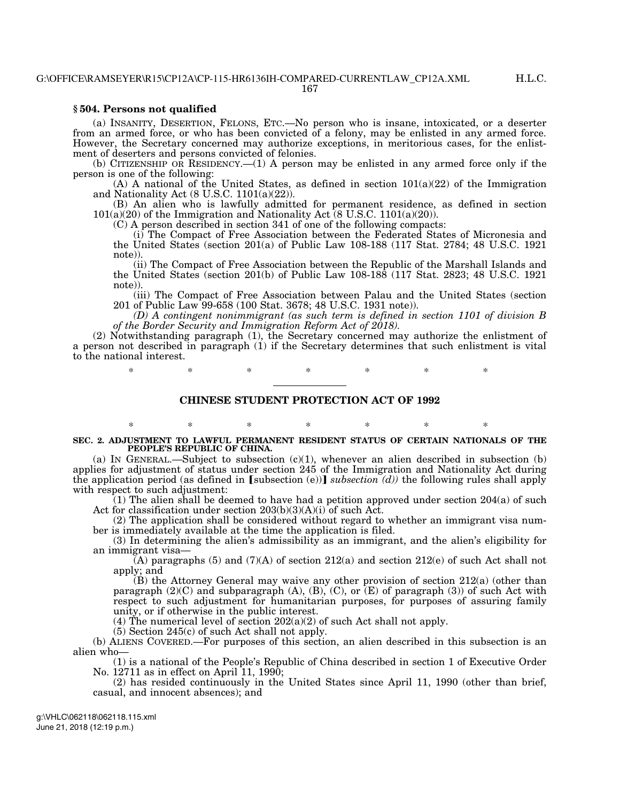#### **§ 504. Persons not qualified**

(a) INSANITY, DESERTION, FELONS, ETC.—No person who is insane, intoxicated, or a deserter from an armed force, or who has been convicted of a felony, may be enlisted in any armed force. However, the Secretary concerned may authorize exceptions, in meritorious cases, for the enlistment of deserters and persons convicted of felonies.

(b) CITIZENSHIP OR RESIDENCY.—(1) A person may be enlisted in any armed force only if the person is one of the following:

(A) A national of the United States, as defined in section  $101(a)(22)$  of the Immigration and Nationality Act (8 U.S.C. 1101(a)(22)).

(B) An alien who is lawfully admitted for permanent residence, as defined in section 101(a)(20) of the Immigration and Nationality Act (8 U.S.C. 1101(a)(20)).

(C) A person described in section 341 of one of the following compacts:

(i) The Compact of Free Association between the Federated States of Micronesia and the United States (section 201(a) of Public Law 108-188 (117 Stat. 2784; 48 U.S.C. 1921 note)).

(ii) The Compact of Free Association between the Republic of the Marshall Islands and the United States (section 201(b) of Public Law 108-188 (117 Stat. 2823; 48 U.S.C. 1921 note)).

(iii) The Compact of Free Association between Palau and the United States (section 201 of Public Law 99-658 (100 Stat. 3678; 48 U.S.C. 1931 note)).

*(D) A contingent nonimmigrant (as such term is defined in section 1101 of division B of the Border Security and Immigration Reform Act of 2018).* 

(2) Notwithstanding paragraph (1), the Secretary concerned may authorize the enlistment of a person not described in paragraph  $(1)$  if the Secretary determines that such enlistment is vital to the national interest.

\* \* \* \* \* \* \*

# **CHINESE STUDENT PROTECTION ACT OF 1992**

# \* \* \* \* \* \* \* **SEC. 2. ADJUSTMENT TO LAWFUL PERMANENT RESIDENT STATUS OF CERTAIN NATIONALS OF THE PEOPLE'S REPUBLIC OF CHINA.**

(a) IN GENERAL.—Subject to subsection  $(c)(1)$ , whenever an alien described in subsection (b) applies for adjustment of status under section 245 of the Immigration and Nationality Act during the application period (as defined in [subsection (e))] *subsection* (d)) the following rules shall apply with respect to such adjustment:

 $(1)$  The alien shall be deemed to have had a petition approved under section 204(a) of such Act for classification under section  $203(b)(3)(A)(i)$  of such Act.

(2) The application shall be considered without regard to whether an immigrant visa number is immediately available at the time the application is filed.

 $(3)$  In determining the alien's admissibility as an immigrant, and the alien's eligibility for an immigrant visa—

 $(A)$  paragraphs (5) and (7) $(A)$  of section 212 $(a)$  and section 212 $(e)$  of such Act shall not apply; and

 $(B)$  the Attorney General may waive any other provision of section 212(a) (other than paragraph  $(2)(C)$  and subparagraph  $(A)$ ,  $(B)$ ,  $(C)$ , or  $(E)$  of paragraph  $(3)$  of such Act with respect to such adjustment for humanitarian purposes, for purposes of assuring family unity, or if otherwise in the public interest.

(4) The numerical level of section  $202(a)(2)$  of such Act shall not apply.

(5) Section 245(c) of such Act shall not apply.

(b) ALIENS COVERED.—For purposes of this section, an alien described in this subsection is an alien who—

(1) is a national of the People's Republic of China described in section 1 of Executive Order No. 12711 as in effect on April 11, 1990;

(2) has resided continuously in the United States since April 11, 1990 (other than brief, casual, and innocent absences); and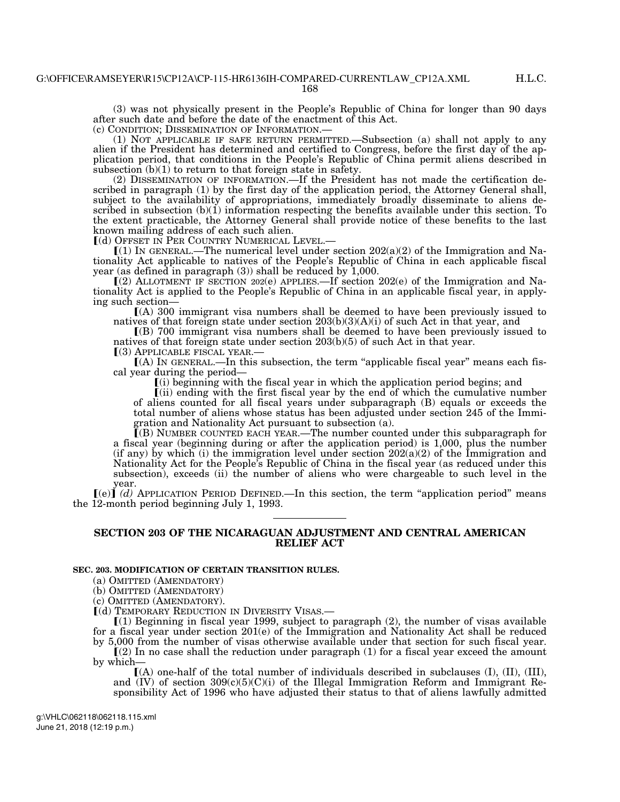(3) was not physically present in the People's Republic of China for longer than 90 days after such date and before the date of the enactment of this Act.

(c) CONDITION; DISSEMINATION OF INFORMATION.—

(1) NOT APPLICABLE IF SAFE RETURN PERMITTED.—Subsection (a) shall not apply to any alien if the President has determined and certified to Congress, before the first day of the application period, that conditions in the People's Republic of China permit aliens described in subsection  $(b)(1)$  to return to that foreign state in safety.

(2) DISSEMINATION OF INFORMATION.—If the President has not made the certification described in paragraph (1) by the first day of the application period, the Attorney General shall, subject to the availability of appropriations, immediately broadly disseminate to aliens described in subsection  $(b)(1)$  information respecting the benefits available under this section. To the extent practicable, the Attorney General shall provide notice of these benefits to the last known mailing address of each such alien.<br>
[(d) OFFSET IN PER COUNTRY NUMERICAL LEVEL.

 $\mathcal{L}(1)$  In GENERAL.—The numerical level under section 202(a)(2) of the Immigration and Nationality Act applicable to natives of the People's Republic of China in each applicable fiscal year (as defined in paragraph  $(3)$ ) shall be reduced by 1,000.

 $(2)$  ALLOTMENT IF SECTION 202(e) APPLIES.—If section 202(e) of the Immigration and Nationality Act is applied to the People's Republic of China in an applicable fiscal year, in applying such section—

ø(A) 300 immigrant visa numbers shall be deemed to have been previously issued to natives of that foreign state under section  $203(b)(3)(A)(i)$  of such Act in that year, and

 $($ B) 700 immigrant visa numbers shall be deemed to have been previously issued to natives of that foreign state under section 203(b)(5) of such Act in that year.

ø(3) APPLICABLE FISCAL YEAR.—

 $(A)$  IN GENERAL.—In this subsection, the term "applicable fiscal year" means each fiscal year during the period—

ø(i) beginning with the fiscal year in which the application period begins; and

 $\lceil$ (ii) ending with the first fiscal year by the end of which the cumulative number of aliens counted for all fiscal years under subparagraph (B) equals or exceeds the total number of aliens whose status has been adjusted under section 245 of the Immigration and Nationality Act pursuant to subsection (a).

**EXECUTE EXECUTED** EACH YEAR.—The number counted under this subparagraph for a fiscal year (beginning during or after the application period) is 1,000, plus the number (if any) by which (i) the immigration level under section  $202(a)(2)$  of the Immigration and Nationality Act for the People's Republic of China in the fiscal year (as reduced under this subsection), exceeds (ii) the number of aliens who were chargeable to such level in the year.

 $\left[\text{(e)}\right]$  (d) APPLICATION PERIOD DEFINED.—In this section, the term "application period" means the 12-month period beginning July 1, 1993.

# **SECTION 203 OF THE NICARAGUAN ADJUSTMENT AND CENTRAL AMERICAN RELIEF ACT**

## **SEC. 203. MODIFICATION OF CERTAIN TRANSITION RULES.**

(a) OMITTED (AMENDATORY)

(b) OMITTED (AMENDATORY)

(c) OMITTED (AMENDATORY).

ø(d) TEMPORARY REDUCTION IN DIVERSITY VISAS.—

 $(1)$  Beginning in fiscal year 1999, subject to paragraph  $(2)$ , the number of visas available for a fiscal year under section 201(e) of the Immigration and Nationality Act shall be reduced by 5,000 from the number of visas otherwise available under that section for such fiscal year.

 $(2)$  In no case shall the reduction under paragraph  $(1)$  for a fiscal year exceed the amount by which—

 $(A)$  one-half of the total number of individuals described in subclauses (I), (II), (III), and  $(IV)$  of section  $309(c)(5)(C)(i)$  of the Illegal Immigration Reform and Immigrant Responsibility Act of 1996 who have adjusted their status to that of aliens lawfully admitted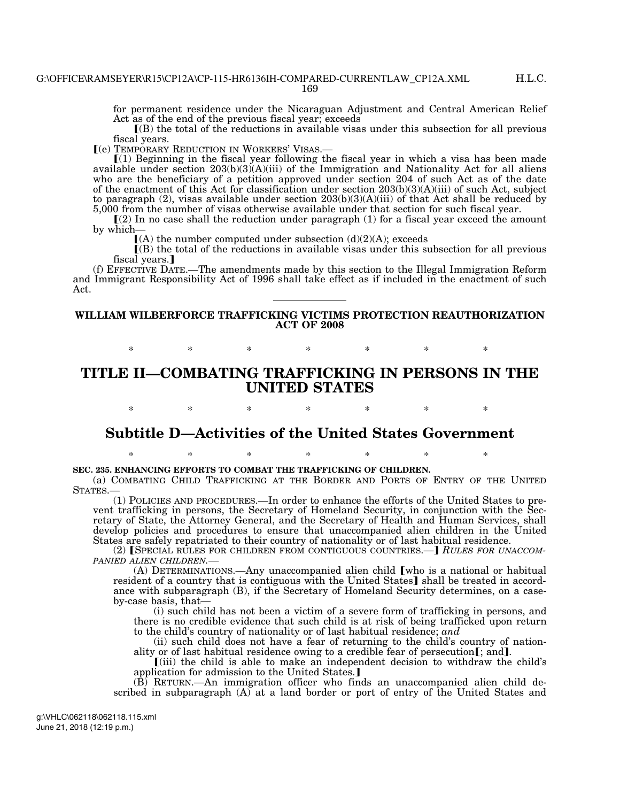for permanent residence under the Nicaraguan Adjustment and Central American Relief Act as of the end of the previous fiscal year; exceeds

 $\Gamma(B)$  the total of the reductions in available visas under this subsection for all previous fiscal years.<br>
[(e) TEMPORARY REDUCTION IN WORKERS' VISAS.-

 $(1)$  Beginning in the fiscal year following the fiscal year in which a visa has been made available under section  $203(b)(3)(A)(iii)$  of the Immigration and Nationality Act for all aliens who are the beneficiary of a petition approved under section 204 of such Act as of the date of the enactment of this Act for classification under section  $203(b)(3)(A)(iii)$  of such Act, subject to paragraph (2), visas available under section  $203(b)(3)(A)(iii)$  of that Act shall be reduced by 5,000 from the number of visas otherwise available under that section for such fiscal year.

 $(2)$  In no case shall the reduction under paragraph  $(1)$  for a fiscal year exceed the amount by which—

 $(A)$  the number computed under subsection (d)(2)(A); exceeds

 $(6)$  the total of the reductions in available visas under this subsection for all previous fiscal years.<sup>1</sup>

(f) EFFECTIVE DATE.—The amendments made by this section to the Illegal Immigration Reform and Immigrant Responsibility Act of 1996 shall take effect as if included in the enactment of such Act.

## **WILLIAM WILBERFORCE TRAFFICKING VICTIMS PROTECTION REAUTHORIZATION ACT OF 2008**

\* \* \* \* \* \* \*

# **TITLE II—COMBATING TRAFFICKING IN PERSONS IN THE UNITED STATES**

\* \* \* \* \* \* \* \*

# **Subtitle D—Activities of the United States Government**

\* \* \* \* \* \* \*

**SEC. 235. ENHANCING EFFORTS TO COMBAT THE TRAFFICKING OF CHILDREN.** 

(a) COMBATING CHILD TRAFFICKING AT THE BORDER AND PORTS OF ENTRY OF THE UNITED STATES.—

(1) POLICIES AND PROCEDURES.—In order to enhance the efforts of the United States to prevent trafficking in persons, the Secretary of Homeland Security, in conjunction with the Secretary of State, the Attorney General, and the Secretary of Health and Human Services, shall develop policies and procedures to ensure that unaccompanied alien children in the United States are safely repatriated to their country of nationality or of last habitual residence.<br>(2) [SPECIAL RULES FOR CHILDREN FROM CONTIGUOUS COUNTRIES.—] *RULES FOR UNACCOM-*

*PANIED ALIEN CHILDREN.—* 

 $(A)$  DETERMINATIONS.—Any unaccompanied alien child [who is a national or habitual resident of a country that is contiguous with the United States] shall be treated in accordance with subparagraph (B), if the Secretary of Homeland Security determines, on a caseby-case basis, that—

(i) such child has not been a victim of a severe form of trafficking in persons, and there is no credible evidence that such child is at risk of being trafficked upon return to the child's country of nationality or of last habitual residence; *and* 

(ii) such child does not have a fear of returning to the child's country of nationality or of last habitual residence owing to a credible fear of persecution  $[$ ; and  $]$ *.* 

ø(iii) the child is able to make an independent decision to withdraw the child's application for admission to the United States.]

(B) RETURN.—An immigration officer who finds an unaccompanied alien child described in subparagraph (A) at a land border or port of entry of the United States and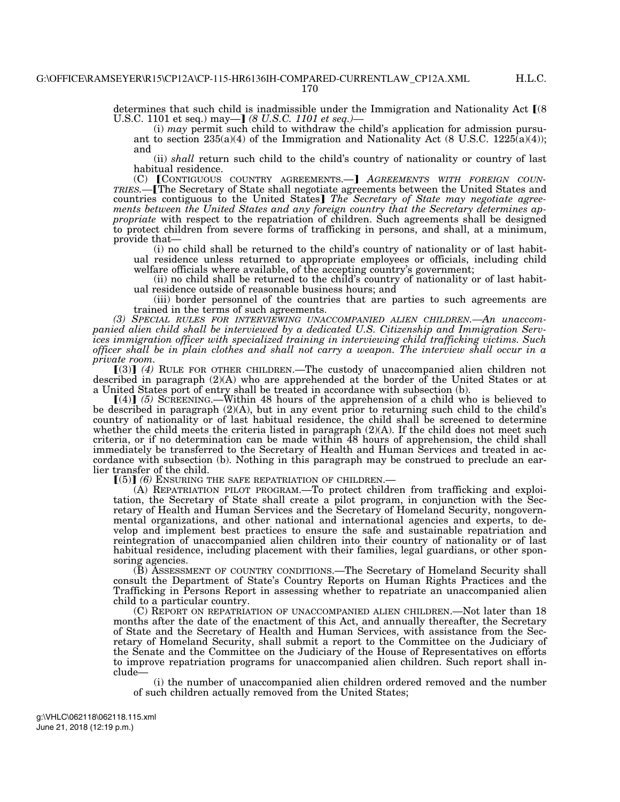determines that such child is inadmissible under the Immigration and Nationality Act  $\lceil(8 \rceil + 1)$ U.S.C. 1101 et seq.) may—**]** (8 U.S.C. 1101 et seq.)—

(i) *may* permit such child to withdraw the child's application for admission pursuant to section  $235(a)(4)$  of the Immigration and Nationality Act (8 U.S.C. 1225 $\tilde{a}(a)(4)$ ); and

(ii) *shall* return such child to the child's country of nationality or country of last habitual residence.<br>
(C) CONTIGUOUS COUNTRY AGREEMENTS.— AGREEMENTS WITH FOREIGN COUN-

(C) øCONTIGUOUS COUNTRY AGREEMENTS.—¿ *AGREEMENTS WITH FOREIGN COUN- TRIES.—*øThe Secretary of State shall negotiate agreements between the United States and countries contiguous to the United States] The Secretary of State may negotiate agree*ments between the United States and any foreign country that the Secretary determines appropriate* with respect to the repatriation of children. Such agreements shall be designed to protect children from severe forms of trafficking in persons, and shall, at a minimum, provide that—

(i) no child shall be returned to the child's country of nationality or of last habitual residence unless returned to appropriate employees or officials, including child welfare officials where available, of the accepting country's government;

(ii) no child shall be returned to the child's country of nationality or of last habitual residence outside of reasonable business hours; and

(iii) border personnel of the countries that are parties to such agreements are trained in the terms of such agreements.

*(3) SPECIAL RULES FOR INTERVIEWING UNACCOMPANIED ALIEN CHILDREN.—An unaccompanied alien child shall be interviewed by a dedicated U.S. Citizenship and Immigration Services immigration officer with specialized training in interviewing child trafficking victims. Such officer shall be in plain clothes and shall not carry a weapon. The interview shall occur in a private room.* 

[(3)] (4) RULE FOR OTHER CHILDREN.—The custody of unaccompanied alien children not described in paragraph (2)(A) who are apprehended at the border of the United States or at

a United States port of entry shall be treated in accordance with subsection (b).<br>
[(4)] (5) SCREENING.—Within 48 hours of the apprehension of a child who is believed to be described in paragraph (2)(A), but in any event prior to returning such child to the child's country of nationality or of last habitual residence, the child shall be screened to determine whether the child meets the criteria listed in paragraph  $(2)(A)$ . If the child does not meet such criteria, or if no determination can be made within 48 hours of apprehension, the child shall immediately be transferred to the Secretary of Health and Human Services and treated in accordance with subsection (b). Nothing in this paragraph may be construed to preclude an earlier transfer of the child.<br> $[(5)]$  (6) ENSURING THE SAFE REPATRIATION OF CHILDREN.—

(A) REPATRIATION PILOT PROGRAM.— To protect children from trafficking and exploitation, the Secretary of State shall create a pilot program, in conjunction with the Secretary of Health and Human Services and the Secretary of Homeland Security, nongovernmental organizations, and other national and international agencies and experts, to develop and implement best practices to ensure the safe and sustainable repatriation and reintegration of unaccompanied alien children into their country of nationality or of last habitual residence, including placement with their families, legal guardians, or other sponsoring agencies.

(B) ASSESSMENT OF COUNTRY CONDITIONS.—The Secretary of Homeland Security shall consult the Department of State's Country Reports on Human Rights Practices and the Trafficking in Persons Report in assessing whether to repatriate an unaccompanied alien child to a particular country.

(C) REPORT ON REPATRIATION OF UNACCOMPANIED ALIEN CHILDREN.—Not later than 18 months after the date of the enactment of this Act, and annually thereafter, the Secretary of State and the Secretary of Health and Human Services, with assistance from the Secretary of Homeland Security, shall submit a report to the Committee on the Judiciary of the Senate and the Committee on the Judiciary of the House of Representatives on efforts to improve repatriation programs for unaccompanied alien children. Such report shall include—

(i) the number of unaccompanied alien children ordered removed and the number of such children actually removed from the United States;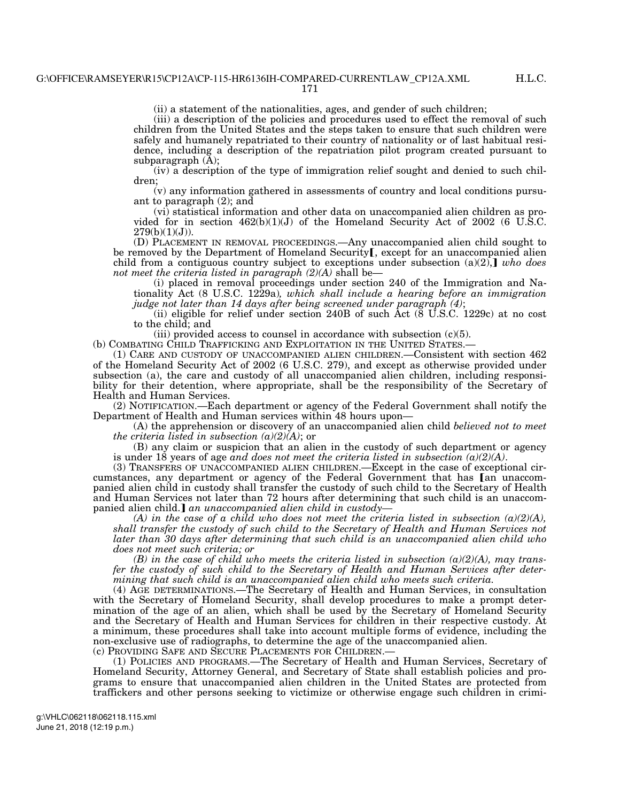(ii) a statement of the nationalities, ages, and gender of such children;

(iii) a description of the policies and procedures used to effect the removal of such children from the United States and the steps taken to ensure that such children were safely and humanely repatriated to their country of nationality or of last habitual residence, including a description of the repatriation pilot program created pursuant to subparagraph  $(A)$ ;

(iv) a description of the type of immigration relief sought and denied to such children;

(v) any information gathered in assessments of country and local conditions pursuant to paragraph (2); and

(vi) statistical information and other data on unaccompanied alien children as provided for in section  $462(b)(1)(J)$  of the Homeland Security Act of 2002 (6 U.S.C.  $279(b)(1)(J)$ ).

(D) PLACEMENT IN REMOVAL PROCEEDINGS.—Any unaccompanied alien child sought to be removed by the Department of Homeland Security<sup>[</sup>, except for an unaccompanied alien child from a contiguous country subject to exceptions under subsection  $(a)(2)$ , *who does not meet the criteria listed in paragraph (2)(A)* shall be—

(i) placed in removal proceedings under section 240 of the Immigration and Nationality Act (8 U.S.C. 1229a)*, which shall include a hearing before an immigration judge not later than 14 days after being screened under paragraph (4)*;

(ii) eligible for relief under section 240B of such  $\text{Act}$  ( $\& \text{U.S.C.}$  1229c) at no cost to the child; and

(iii) provided access to counsel in accordance with subsection  $(c)(5)$ .

(b) COMBATING CHILD TRAFFICKING AND EXPLOITATION IN THE UNITED STATES.—

(1) CARE AND CUSTODY OF UNACCOMPANIED ALIEN CHILDREN.—Consistent with section 462 of the Homeland Security Act of 2002 (6 U.S.C. 279), and except as otherwise provided under subsection (a), the care and custody of all unaccompanied alien children, including responsibility for their detention, where appropriate, shall be the responsibility of the Secretary of Health and Human Services.

(2) NOTIFICATION.—Each department or agency of the Federal Government shall notify the Department of Health and Human services within 48 hours upon—

(A) the apprehension or discovery of an unaccompanied alien child *believed not to meet the criteria listed in subsection (a)(2)(A)*; or

(B) any claim or suspicion that an alien in the custody of such department or agency is under 18 years of age *and does not meet the criteria listed in subsection (a)(2)(A)*.

(3) TRANSFERS OF UNACCOMPANIED ALIEN CHILDREN.—Except in the case of exceptional circumstances, any department or agency of the Federal Government that has [an unaccompanied alien child in custody shall transfer the custody of such child to the Secretary of Health and Human Services not later than 72 hours after determining that such child is an unaccompanied alien child.] an unaccompanied alien child in custody-

 $(A)$  in the case of a child who does not meet the criteria listed in subsection  $(a)(2)(A)$ , *shall transfer the custody of such child to the Secretary of Health and Human Services not later than 30 days after determining that such child is an unaccompanied alien child who does not meet such criteria; or* 

*(B) in the case of child who meets the criteria listed in subsection (a)(2)(A), may transfer the custody of such child to the Secretary of Health and Human Services after determining that such child is an unaccompanied alien child who meets such criteria.* 

(4) AGE DETERMINATIONS.—The Secretary of Health and Human Services, in consultation with the Secretary of Homeland Security, shall develop procedures to make a prompt determination of the age of an alien, which shall be used by the Secretary of Homeland Security and the Secretary of Health and Human Services for children in their respective custody. At a minimum, these procedures shall take into account multiple forms of evidence, including the non-exclusive use of radiographs, to determine the age of the unaccompanied alien. (c) PROVIDING SAFE AND SECURE PLACEMENTS FOR CHILDREN.—

(1) POLICIES AND PROGRAMS.—The Secretary of Health and Human Services, Secretary of Homeland Security, Attorney General, and Secretary of State shall establish policies and programs to ensure that unaccompanied alien children in the United States are protected from traffickers and other persons seeking to victimize or otherwise engage such children in crimi-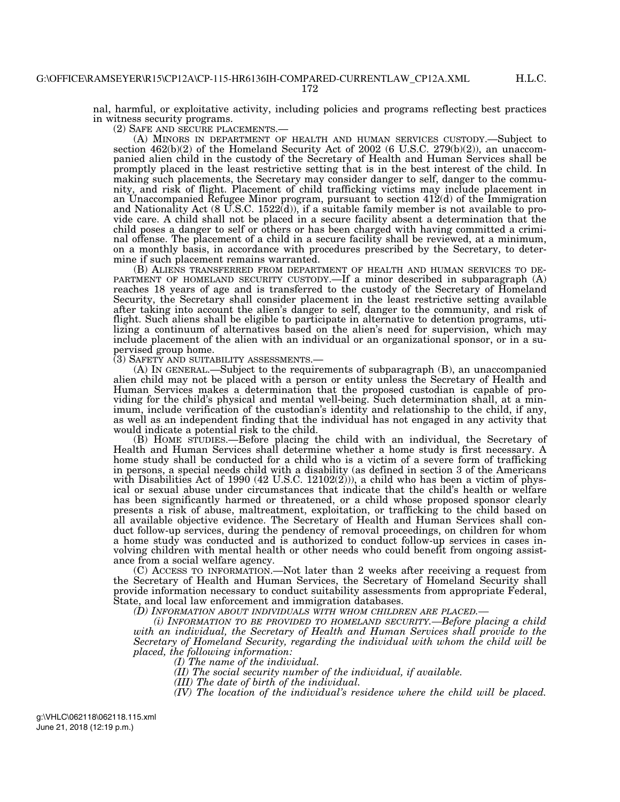172

H.L.C.

nal, harmful, or exploitative activity, including policies and programs reflecting best practices in witness security programs.<br>(2) SAFE AND SECURE PLACEMENTS.—

(A) MINORS IN DEPARTMENT OF HEALTH AND HUMAN SERVICES CUSTODY.—Subject to section  $462(b)(2)$  of the Homeland Security Act of  $2002$  (6 U.S.C.  $279(b)(2)$ ), an unaccompanied alien child in the custody of the Secretary of Health and Human Services shall be promptly placed in the least restrictive setting that is in the best interest of the child. In making such placements, the Secretary may consider danger to self, danger to the community, and risk of flight. Placement of child trafficking victims may include placement in an Unaccompanied Refugee Minor program, pursuant to section 412(d) of the Immigration and Nationality Act (8 U.S.C. 1522(d)), if a suitable family member is not available to provide care. A child shall not be placed in a secure facility absent a determination that the child poses a danger to self or others or has been charged with having committed a criminal offense. The placement of a child in a secure facility shall be reviewed, at a minimum, on a monthly basis, in accordance with procedures prescribed by the Secretary, to determine if such placement remains warranted.

(B) ALIENS TRANSFERRED FROM DEPARTMENT OF HEALTH AND HUMAN SERVICES TO DE- PARTMENT OF HOMELAND SECURITY CUSTODY.—If a minor described in subparagraph (A) reaches 18 years of age and is transferred to the custody of the Secretary of Homeland Security, the Secretary shall consider placement in the least restrictive setting available after taking into account the alien's danger to self, danger to the community, and risk of flight. Such aliens shall be eligible to participate in alternative to detention programs, utilizing a continuum of alternatives based on the alien's need for supervision, which may include placement of the alien with an individual or an organizational sponsor, or in a supervised group home.

(3) SAFETY AND SUITABILITY ASSESSMENTS.— (A) IN GENERAL.—Subject to the requirements of subparagraph (B), an unaccompanied alien child may not be placed with a person or entity unless the Secretary of Health and Human Services makes a determination that the proposed custodian is capable of providing for the child's physical and mental well-being. Such determination shall, at a minimum, include verification of the custodian's identity and relationship to the child, if any, as well as an independent finding that the individual has not engaged in any activity that would indicate a potential risk to the child.

(B) HOME STUDIES.—Before placing the child with an individual, the Secretary of Health and Human Services shall determine whether a home study is first necessary. A home study shall be conducted for a child who is a victim of a severe form of trafficking in persons, a special needs child with a disability (as defined in section 3 of the Americans with Disabilities Act of 1990  $(42 \text{ U.S.C. } 12102(2)))$ , a child who has been a victim of physical or sexual abuse under circumstances that indicate that the child's health or welfare has been significantly harmed or threatened, or a child whose proposed sponsor clearly presents a risk of abuse, maltreatment, exploitation, or trafficking to the child based on all available objective evidence. The Secretary of Health and Human Services shall conduct follow-up services, during the pendency of removal proceedings, on children for whom a home study was conducted and is authorized to conduct follow-up services in cases involving children with mental health or other needs who could benefit from ongoing assistance from a social welfare agency.

(C) ACCESS TO INFORMATION.—Not later than 2 weeks after receiving a request from the Secretary of Health and Human Services, the Secretary of Homeland Security shall provide information necessary to conduct suitability assessments from appropriate Federal, State, and local law enforcement and immigration databases.

*(D) INFORMATION ABOUT INDIVIDUALS WITH WHOM CHILDREN ARE PLACED.—* 

*(i) INFORMATION TO BE PROVIDED TO HOMELAND SECURITY.—Before placing a child*  with an individual, the Secretary of Health and Human Services shall provide to the *Secretary of Homeland Security, regarding the individual with whom the child will be placed, the following information:* 

*(I) The name of the individual.* 

*(II) The social security number of the individual, if available.* 

*(III) The date of birth of the individual.* 

*(IV) The location of the individual's residence where the child will be placed.*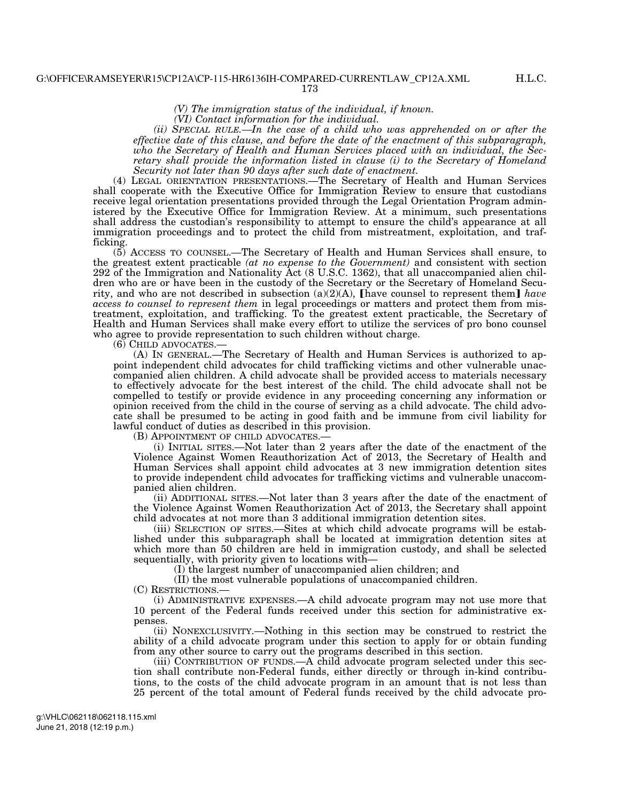*(V) The immigration status of the individual, if known.* 

*(VI) Contact information for the individual.* 

*(ii) SPECIAL RULE.—In the case of a child who was apprehended on or after the effective date of this clause, and before the date of the enactment of this subparagraph, who the Secretary of Health and Human Services placed with an individual, the Secretary shall provide the information listed in clause (i) to the Secretary of Homeland Security not later than 90 days after such date of enactment.* 

(4) LEGAL ORIENTATION PRESENTATIONS.—The Secretary of Health and Human Services shall cooperate with the Executive Office for Immigration Review to ensure that custodians receive legal orientation presentations provided through the Legal Orientation Program administered by the Executive Office for Immigration Review. At a minimum, such presentations shall address the custodian's responsibility to attempt to ensure the child's appearance at all immigration proceedings and to protect the child from mistreatment, exploitation, and trafficking.

(5) ACCESS TO COUNSEL.—The Secretary of Health and Human Services shall ensure, to the greatest extent practicable *(at no expense to the Government)* and consistent with section 292 of the Immigration and Nationality Act (8 U.S.C. 1362), that all unaccompanied alien children who are or have been in the custody of the Secretary or the Secretary of Homeland Security, and who are not described in subsection  $(a)(2)(A)$ , [have counsel to represent them] *have access to counsel to represent them* in legal proceedings or matters and protect them from mistreatment, exploitation, and trafficking. To the greatest extent practicable, the Secretary of Health and Human Services shall make every effort to utilize the services of pro bono counsel who agree to provide representation to such children without charge.

(6) CHILD ADVOCATES.—

(A) IN GENERAL.—The Secretary of Health and Human Services is authorized to appoint independent child advocates for child trafficking victims and other vulnerable unaccompanied alien children. A child advocate shall be provided access to materials necessary to effectively advocate for the best interest of the child. The child advocate shall not be compelled to testify or provide evidence in any proceeding concerning any information or opinion received from the child in the course of serving as a child advocate. The child advocate shall be presumed to be acting in good faith and be immune from civil liability for lawful conduct of duties as described in this provision.

(B) APPOINTMENT OF CHILD ADVOCATES.—

(i) INITIAL SITES.—Not later than 2 years after the date of the enactment of the Violence Against Women Reauthorization Act of 2013, the Secretary of Health and Human Services shall appoint child advocates at 3 new immigration detention sites to provide independent child advocates for trafficking victims and vulnerable unaccompanied alien children.

(ii) ADDITIONAL SITES.—Not later than 3 years after the date of the enactment of the Violence Against Women Reauthorization Act of 2013, the Secretary shall appoint child advocates at not more than 3 additional immigration detention sites.

(iii) SELECTION OF SITES.—Sites at which child advocate programs will be established under this subparagraph shall be located at immigration detention sites at which more than 50 children are held in immigration custody, and shall be selected sequentially, with priority given to locations with—

(I) the largest number of unaccompanied alien children; and

(II) the most vulnerable populations of unaccompanied children.

(C) RESTRICTIONS.—

(i) ADMINISTRATIVE EXPENSES.—A child advocate program may not use more that 10 percent of the Federal funds received under this section for administrative expenses.

(ii) NONEXCLUSIVITY.—Nothing in this section may be construed to restrict the ability of a child advocate program under this section to apply for or obtain funding from any other source to carry out the programs described in this section.

(iii) CONTRIBUTION OF FUNDS.—A child advocate program selected under this section shall contribute non-Federal funds, either directly or through in-kind contributions, to the costs of the child advocate program in an amount that is not less than 25 percent of the total amount of Federal funds received by the child advocate pro-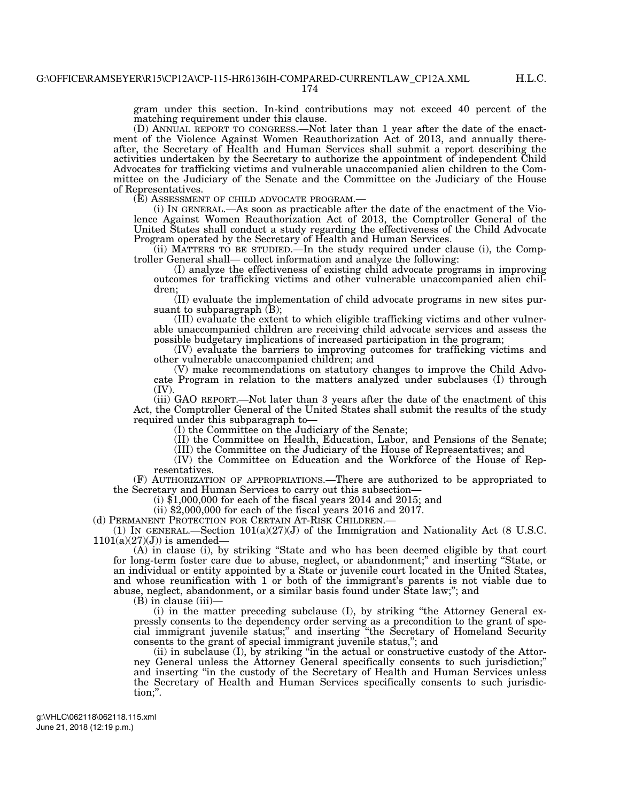gram under this section. In-kind contributions may not exceed 40 percent of the matching requirement under this clause.

(D) ANNUAL REPORT TO CONGRESS.—Not later than 1 year after the date of the enactment of the Violence Against Women Reauthorization Act of 2013, and annually thereafter, the Secretary of Health and Human Services shall submit a report describing the activities undertaken by the Secretary to authorize the appointment of independent Child Advocates for trafficking victims and vulnerable unaccompanied alien children to the Committee on the Judiciary of the Senate and the Committee on the Judiciary of the House of Representatives.<br>
(E) ASSESSMENT OF CHILD ADVOCATE PROGRAM.—

 $(i)$  IN GENERAL.—As soon as practicable after the date of the enactment of the Violence Against Women Reauthorization Act of 2013, the Comptroller General of the United States shall conduct a study regarding the effectiveness of the Child Advocate Program operated by the Secretary of Health and Human Services.

(ii) MATTERS TO BE STUDIED.—In the study required under clause (i), the Comptroller General shall— collect information and analyze the following:

(I) analyze the effectiveness of existing child advocate programs in improving outcomes for trafficking victims and other vulnerable unaccompanied alien children;

(II) evaluate the implementation of child advocate programs in new sites pursuant to subparagraph (B);

(III) evaluate the extent to which eligible trafficking victims and other vulnerable unaccompanied children are receiving child advocate services and assess the possible budgetary implications of increased participation in the program;

(IV) evaluate the barriers to improving outcomes for trafficking victims and other vulnerable unaccompanied children; and

(V) make recommendations on statutory changes to improve the Child Advocate Program in relation to the matters analyzed under subclauses (I) through (IV).

(iii) GAO REPORT.—Not later than 3 years after the date of the enactment of this Act, the Comptroller General of the United States shall submit the results of the study required under this subparagraph to—

(I) the Committee on the Judiciary of the Senate;

(II) the Committee on Health, Education, Labor, and Pensions of the Senate;

(III) the Committee on the Judiciary of the House of Representatives; and

(IV) the Committee on Education and the Workforce of the House of Representatives.

(F) AUTHORIZATION OF APPROPRIATIONS.—There are authorized to be appropriated to the Secretary and Human Services to carry out this subsection— (i) \$1,000,000 for each of the fiscal years 2014 and 2015; and

(ii) \$2,000,000 for each of the fiscal years 2016 and 2017.

(d) PERMANENT PROTECTION FOR CERTAIN AT-RISK CHILDREN.—

(1) IN GENERAL.—Section  $101(a)(27)(J)$  of the Immigration and Nationality Act (8 U.S.C.  $1101(a)(27)(J)$  is amended—

(A) in clause (i), by striking ''State and who has been deemed eligible by that court for long-term foster care due to abuse, neglect, or abandonment;'' and inserting ''State, or an individual or entity appointed by a State or juvenile court located in the United States, and whose reunification with 1 or both of the immigrant's parents is not viable due to abuse, neglect, abandonment, or a similar basis found under State law;''; and

(B) in clause (iii)—

(i) in the matter preceding subclause (I), by striking ''the Attorney General expressly consents to the dependency order serving as a precondition to the grant of special immigrant juvenile status;'' and inserting ''the Secretary of Homeland Security consents to the grant of special immigrant juvenile status,''; and

(ii) in subclause (I), by striking ''in the actual or constructive custody of the Attorney General unless the Attorney General specifically consents to such jurisdiction;'' and inserting ''in the custody of the Secretary of Health and Human Services unless the Secretary of Health and Human Services specifically consents to such jurisdiction;''.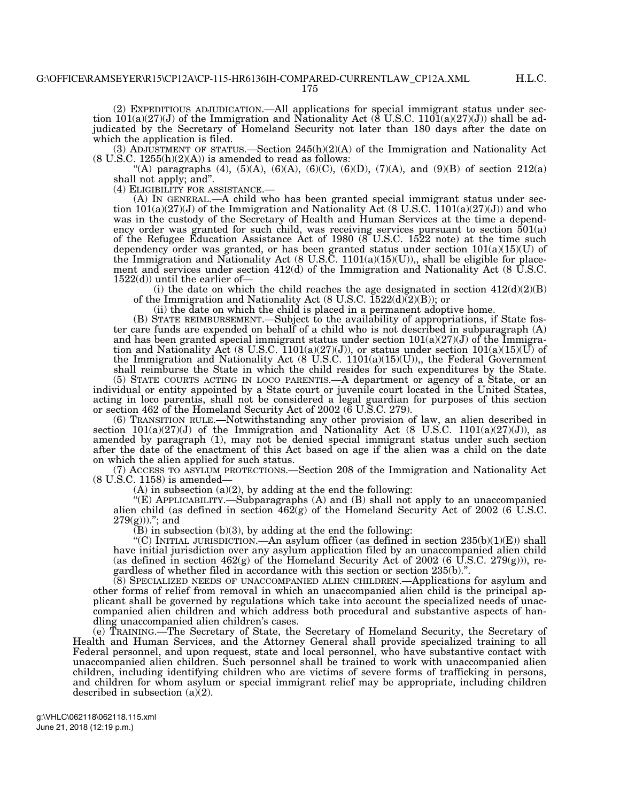(2) EXPEDITIOUS ADJUDICATION.—All applications for special immigrant status under section  $101(a)(27)(J)$  of the Immigration and Nationality Act (8 U.S.C. 1101(a)(27)(J)) shall be adjudicated by the Secretary of Homeland Security not later than 180 days after the date on which the application is filed.

(3) ADJUSTMENT OF STATUS.—Section  $245(h)(2)(A)$  of the Immigration and Nationality Act  $(8 \text{ U.S.C. } 1255(\text{h})(2)(\text{A}))$  is amended to read as follows:

"(A) paragraphs (4), (5)(A), (6)(A), (6)(C), (6)(D), (7)(A), and (9)(B) of section 212(a) shall not apply; and".<br>(4) ELIGIBILITY FOR ASSISTANCE.—

 $(A)$  In GENERAL.—A child who has been granted special immigrant status under section  $101(a)(27)(J)$  of the Immigration and Nationality Act (8 U.S.C. 1101(a)(27)(J)) and who was in the custody of the Secretary of Health and Human Services at the time a dependency order was granted for such child, was receiving services pursuant to section 501(a) of the Refugee Education Assistance Act of 1980 (8 U.S.C. 1522 note) at the time such dependency order was granted, or has been granted status under section  $101(a)(15)(U)$  of the Immigration and Nationality Act  $(8 \text{ U.S.C. } 1101(a)(15)(U))$ , shall be eligible for placement and services under section 412(d) of the Immigration and Nationality Act (8 U.S.C.  $1522(d)$  until the earlier of-

(i) the date on which the child reaches the age designated in section  $412(d)(2)(B)$ of the Immigration and Nationality Act (8 U.S.C.  $1522(d)(2)(B)$ ); or

(ii) the date on which the child is placed in a permanent adoptive home.

(B) STATE REIMBURSEMENT.—Subject to the availability of appropriations, if State foster care funds are expended on behalf of a child who is not described in subparagraph (A) and has been granted special immigrant status under section  $101(a)(27)(J)$  of the Immigration and Nationality Act (8 U.S.C. 1101(a)(27)(J)), or status under section  $101(a)(15)(U)$  of the Immigration and Nationality Act  $(8\text{ U.S.C. }1101(a)(15)(U))$ , the Federal Government shall reimburse the State in which the child resides for such expenditures by the State.

(5) STATE COURTS ACTING IN LOCO PARENTIS.—A department or agency of a State, or an individual or entity appointed by a State court or juvenile court located in the United States, acting in loco parentis, shall not be considered a legal guardian for purposes of this section or section 462 of the Homeland Security Act of 2002 (6 U.S.C. 279).

(6) TRANSITION RULE.—Notwithstanding any other provision of law, an alien described in section  $101(a)(27)(J)$  of the Immigration and Nationality Act (8 U.S.C. 1101(a)(27)(J)), as amended by paragraph (1), may not be denied special immigrant status under such section after the date of the enactment of this Act based on age if the alien was a child on the date on which the alien applied for such status.

(7) ACCESS TO ASYLUM PROTECTIONS.—Section 208 of the Immigration and Nationality Act (8 U.S.C. 1158) is amended—

(A) in subsection (a)(2), by adding at the end the following:

''(E) APPLICABILITY.—Subparagraphs (A) and (B) shall not apply to an unaccompanied alien child (as defined in section  $462(g)$  of the Homeland Security Act of 2002 (6 U.S.C.  $279(g))$ )."; and

 $(B)$  in subsection (b)(3), by adding at the end the following:

"(C) INITIAL JURISDICTION.—An asylum officer (as defined in section  $235(b)(1)(E)$ ) shall have initial jurisdiction over any asylum application filed by an unaccompanied alien child (as defined in section  $462(g)$  of the Homeland Security Act of 2002 (6 U.S.C. 279(g))), regardless of whether filed in accordance with this section or section 235(b).''.

(8) SPECIALIZED NEEDS OF UNACCOMPANIED ALIEN CHILDREN.—Applications for asylum and other forms of relief from removal in which an unaccompanied alien child is the principal applicant shall be governed by regulations which take into account the specialized needs of unaccompanied alien children and which address both procedural and substantive aspects of handling unaccompanied alien children's cases.

(e) TRAINING.—The Secretary of State, the Secretary of Homeland Security, the Secretary of Health and Human Services, and the Attorney General shall provide specialized training to all Federal personnel, and upon request, state and local personnel, who have substantive contact with unaccompanied alien children. Such personnel shall be trained to work with unaccompanied alien children, including identifying children who are victims of severe forms of trafficking in persons, and children for whom asylum or special immigrant relief may be appropriate, including children described in subsection  $(a)(2)$ .